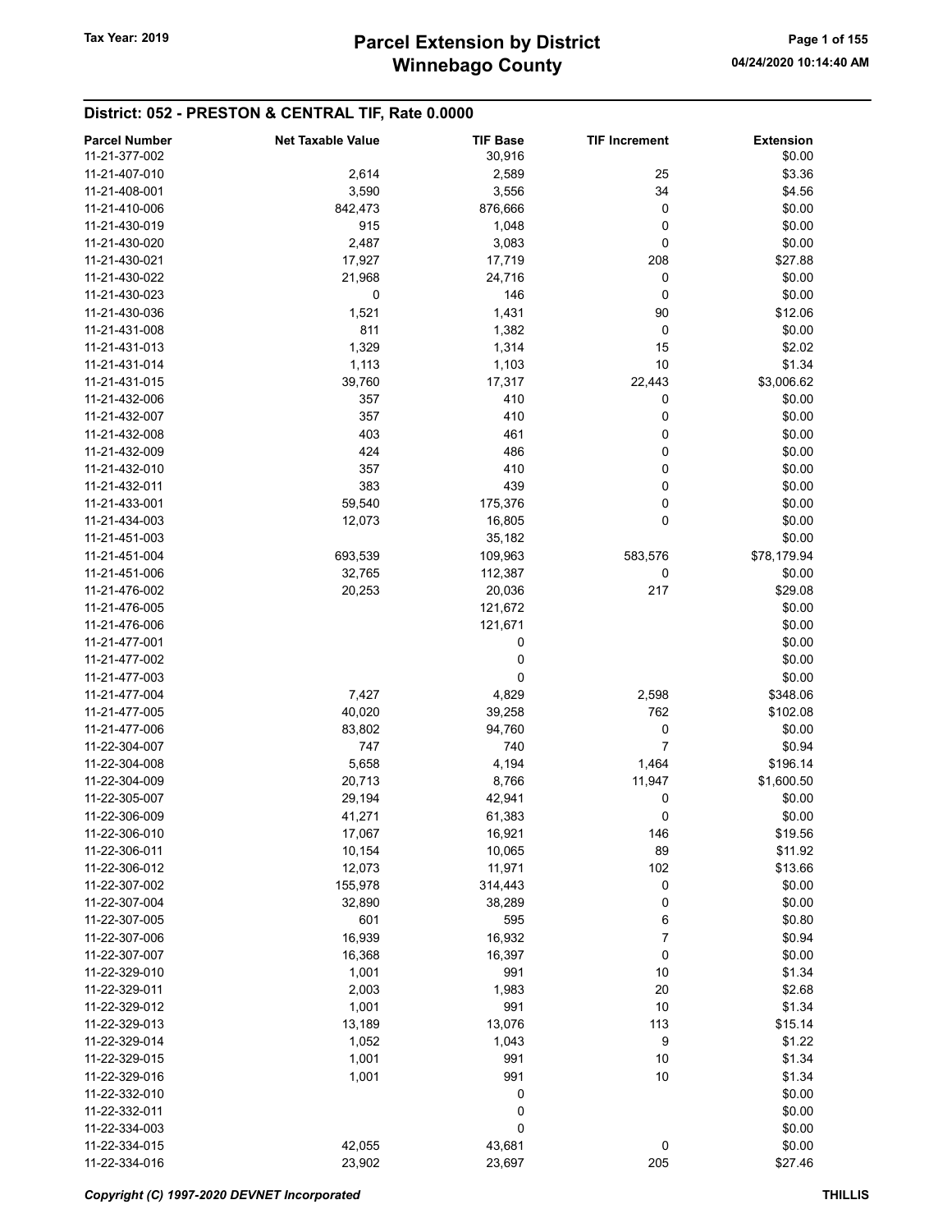# District: 052 - PRESTON & CENTRAL TIF, Rate 0.0000

| <b>Parcel Number</b> | <b>Net Taxable Value</b> | <b>TIF Base</b> | <b>TIF Increment</b> | <b>Extension</b> |
|----------------------|--------------------------|-----------------|----------------------|------------------|
| 11-21-377-002        |                          | 30,916          |                      | \$0.00           |
| 11-21-407-010        | 2,614                    | 2,589           | 25                   | \$3.36           |
| 11-21-408-001        | 3,590                    | 3,556           | 34                   | \$4.56           |
| 11-21-410-006        | 842,473                  | 876,666         | 0                    | \$0.00           |
| 11-21-430-019        | 915                      |                 | 0                    | \$0.00           |
|                      |                          | 1,048           |                      |                  |
| 11-21-430-020        | 2,487                    | 3,083           | 0                    | \$0.00           |
| 11-21-430-021        | 17,927                   | 17,719          | 208                  | \$27.88          |
| 11-21-430-022        | 21,968                   | 24,716          | 0                    | \$0.00           |
| 11-21-430-023        | 0                        | 146             | 0                    | \$0.00           |
| 11-21-430-036        | 1,521                    | 1,431           | 90                   | \$12.06          |
| 11-21-431-008        | 811                      | 1,382           | 0                    | \$0.00           |
| 11-21-431-013        | 1,329                    | 1,314           | 15                   | \$2.02           |
| 11-21-431-014        | 1,113                    | 1,103           | 10                   | \$1.34           |
| 11-21-431-015        | 39,760                   | 17,317          | 22,443               | \$3,006.62       |
| 11-21-432-006        | 357                      | 410             | 0                    | \$0.00           |
| 11-21-432-007        | 357                      | 410             | 0                    | \$0.00           |
| 11-21-432-008        | 403                      | 461             | 0                    | \$0.00           |
| 11-21-432-009        | 424                      | 486             | 0                    | \$0.00           |
| 11-21-432-010        | 357                      | 410             | 0                    | \$0.00           |
| 11-21-432-011        | 383                      |                 | 0                    |                  |
|                      |                          | 439             |                      | \$0.00           |
| 11-21-433-001        | 59,540                   | 175,376         | 0                    | \$0.00           |
| 11-21-434-003        | 12,073                   | 16,805          | 0                    | \$0.00           |
| 11-21-451-003        |                          | 35,182          |                      | \$0.00           |
| 11-21-451-004        | 693,539                  | 109,963         | 583,576              | \$78,179.94      |
| 11-21-451-006        | 32,765                   | 112,387         | 0                    | \$0.00           |
| 11-21-476-002        | 20,253                   | 20,036          | 217                  | \$29.08          |
| 11-21-476-005        |                          | 121,672         |                      | \$0.00           |
| 11-21-476-006        |                          | 121,671         |                      | \$0.00           |
| 11-21-477-001        |                          | 0               |                      | \$0.00           |
| 11-21-477-002        |                          | 0               |                      | \$0.00           |
| 11-21-477-003        |                          | 0               |                      | \$0.00           |
| 11-21-477-004        | 7,427                    | 4,829           | 2,598                | \$348.06         |
| 11-21-477-005        | 40,020                   | 39,258          | 762                  | \$102.08         |
| 11-21-477-006        | 83,802                   | 94,760          | 0                    | \$0.00           |
| 11-22-304-007        | 747                      | 740             | $\overline{7}$       | \$0.94           |
| 11-22-304-008        |                          |                 |                      |                  |
|                      | 5,658                    | 4,194           | 1,464                | \$196.14         |
| 11-22-304-009        | 20,713                   | 8,766           | 11,947               | \$1,600.50       |
| 11-22-305-007        | 29,194                   | 42,941          | 0                    | \$0.00           |
| 11-22-306-009        | 41,271                   | 61,383          | 0                    | \$0.00           |
| 11-22-306-010        | 17,067                   | 16,921          | 146                  | \$19.56          |
| 11-22-306-011        | 10,154                   | 10,065          | 89                   | \$11.92          |
| 11-22-306-012        | 12,073                   | 11,971          | 102                  | \$13.66          |
| 11-22-307-002        | 155,978                  | 314,443         | $\mathbf 0$          | \$0.00           |
| 11-22-307-004        | 32,890                   | 38,289          | 0                    | \$0.00           |
| 11-22-307-005        | 601                      | 595             | 6                    | \$0.80           |
| 11-22-307-006        | 16,939                   | 16,932          | 7                    | \$0.94           |
| 11-22-307-007        | 16,368                   | 16,397          | 0                    | \$0.00           |
| 11-22-329-010        | 1,001                    | 991             | 10                   | \$1.34           |
| 11-22-329-011        | 2,003                    | 1,983           | 20                   | \$2.68           |
| 11-22-329-012        | 1,001                    | 991             | 10                   | \$1.34           |
| 11-22-329-013        |                          | 13,076          | 113                  | \$15.14          |
|                      | 13,189                   |                 |                      |                  |
| 11-22-329-014        | 1,052                    | 1,043           | 9                    | \$1.22           |
| 11-22-329-015        | 1,001                    | 991             | 10                   | \$1.34           |
| 11-22-329-016        | 1,001                    | 991             | 10                   | \$1.34           |
| 11-22-332-010        |                          | 0               |                      | \$0.00           |
| 11-22-332-011        |                          | 0               |                      | \$0.00           |
| 11-22-334-003        |                          | 0               |                      | \$0.00           |
| 11-22-334-015        | 42,055                   | 43,681          | 0                    | \$0.00           |
| 11-22-334-016        | 23,902                   | 23,697          | 205                  | \$27.46          |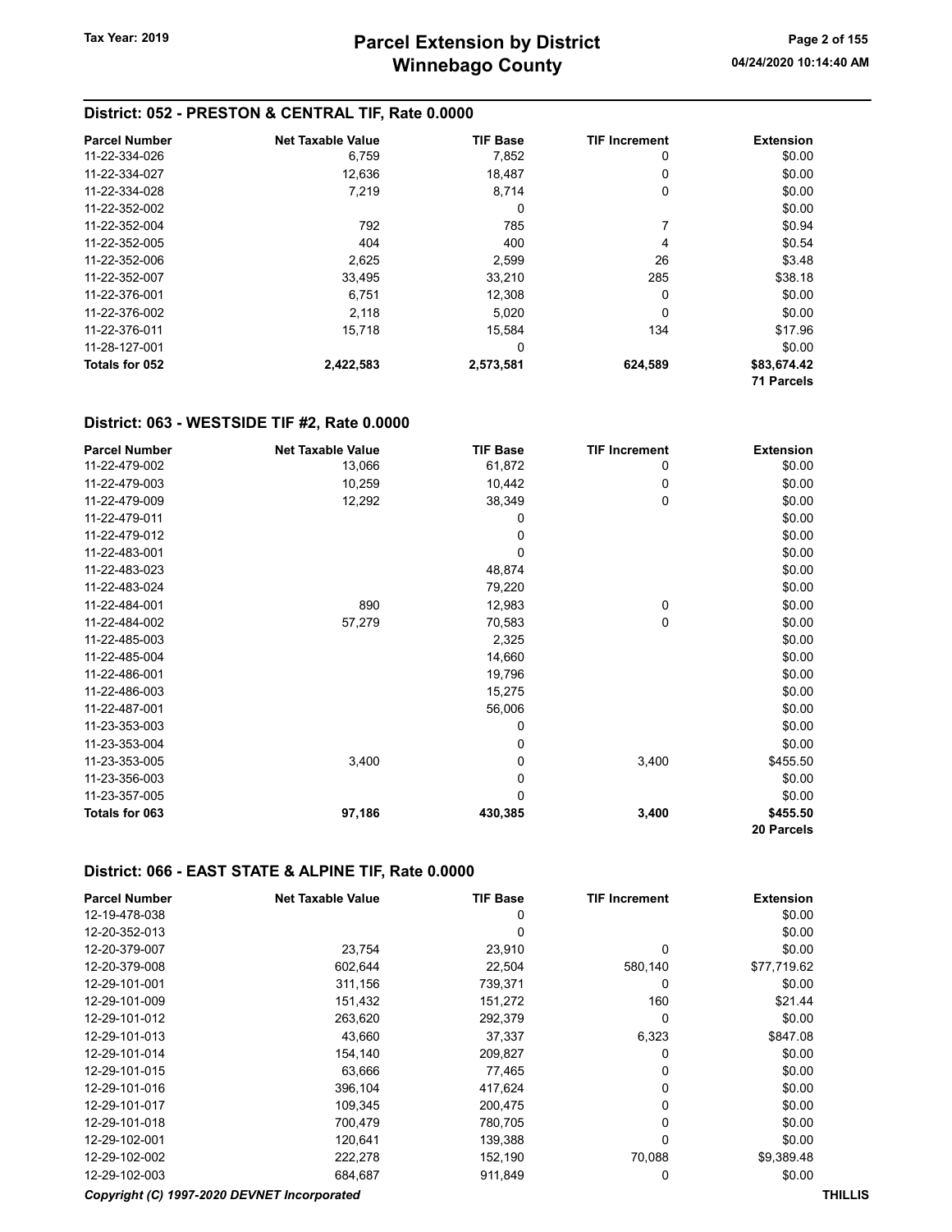#### District: 052 - PRESTON & CENTRAL TIF, Rate 0.0000

| <b>Parcel Number</b> | <b>Net Taxable Value</b> | <b>TIF Base</b> | <b>TIF Increment</b> | <b>Extension</b>  |
|----------------------|--------------------------|-----------------|----------------------|-------------------|
| 11-22-334-026        | 6,759                    | 7,852           | 0                    | \$0.00            |
| 11-22-334-027        | 12,636                   | 18,487          | 0                    | \$0.00            |
| 11-22-334-028        | 7,219                    | 8,714           | 0                    | \$0.00            |
| 11-22-352-002        |                          | 0               |                      | \$0.00            |
| 11-22-352-004        | 792                      | 785             |                      | \$0.94            |
| 11-22-352-005        | 404                      | 400             | 4                    | \$0.54            |
| 11-22-352-006        | 2,625                    | 2,599           | 26                   | \$3.48            |
| 11-22-352-007        | 33,495                   | 33,210          | 285                  | \$38.18           |
| 11-22-376-001        | 6,751                    | 12,308          | 0                    | \$0.00            |
| 11-22-376-002        | 2,118                    | 5.020           | 0                    | \$0.00            |
| 11-22-376-011        | 15,718                   | 15,584          | 134                  | \$17.96           |
| 11-28-127-001        |                          | 0               |                      | \$0.00            |
| Totals for 052       | 2,422,583                | 2,573,581       | 624,589              | \$83,674.42       |
|                      |                          |                 |                      | <b>71 Parcels</b> |

#### District: 063 - WESTSIDE TIF #2, Rate 0.0000

| <b>Parcel Number</b> | <b>Net Taxable Value</b> | <b>TIF Base</b> | <b>TIF Increment</b> | <b>Extension</b> |
|----------------------|--------------------------|-----------------|----------------------|------------------|
| 11-22-479-002        | 13,066                   | 61,872          | 0                    | \$0.00           |
| 11-22-479-003        | 10,259                   | 10,442          | 0                    | \$0.00           |
| 11-22-479-009        | 12,292                   | 38,349          | 0                    | \$0.00           |
| 11-22-479-011        |                          | 0               |                      | \$0.00           |
| 11-22-479-012        |                          | 0               |                      | \$0.00           |
| 11-22-483-001        |                          | 0               |                      | \$0.00           |
| 11-22-483-023        |                          | 48,874          |                      | \$0.00           |
| 11-22-483-024        |                          | 79,220          |                      | \$0.00           |
| 11-22-484-001        | 890                      | 12,983          | 0                    | \$0.00           |
| 11-22-484-002        | 57,279                   | 70,583          | 0                    | \$0.00           |
| 11-22-485-003        |                          | 2,325           |                      | \$0.00           |
| 11-22-485-004        |                          | 14,660          |                      | \$0.00           |
| 11-22-486-001        |                          | 19,796          |                      | \$0.00           |
| 11-22-486-003        |                          | 15,275          |                      | \$0.00           |
| 11-22-487-001        |                          | 56,006          |                      | \$0.00           |
| 11-23-353-003        |                          | 0               |                      | \$0.00           |
| 11-23-353-004        |                          | 0               |                      | \$0.00           |
| 11-23-353-005        | 3,400                    | 0               | 3,400                | \$455.50         |
| 11-23-356-003        |                          | 0               |                      | \$0.00           |
| 11-23-357-005        |                          | 0               |                      | \$0.00           |
| Totals for 063       | 97,186                   | 430,385         | 3,400                | \$455.50         |
|                      |                          |                 |                      | 20 Parcels       |

#### District: 066 - EAST STATE & ALPINE TIF, Rate 0.0000

| <b>Parcel Number</b> | <b>Net Taxable Value</b>                    | <b>TIF Base</b> | <b>TIF Increment</b> | <b>Extension</b> |
|----------------------|---------------------------------------------|-----------------|----------------------|------------------|
| 12-19-478-038        |                                             | 0               |                      | \$0.00           |
| 12-20-352-013        |                                             | 0               |                      | \$0.00           |
| 12-20-379-007        | 23,754                                      | 23,910          | $\Omega$             | \$0.00           |
| 12-20-379-008        | 602,644                                     | 22,504          | 580,140              | \$77,719.62      |
| 12-29-101-001        | 311,156                                     | 739,371         | 0                    | \$0.00           |
| 12-29-101-009        | 151,432                                     | 151,272         | 160                  | \$21.44          |
| 12-29-101-012        | 263,620                                     | 292,379         | 0                    | \$0.00           |
| 12-29-101-013        | 43,660                                      | 37,337          | 6,323                | \$847.08         |
| 12-29-101-014        | 154,140                                     | 209,827         | 0                    | \$0.00           |
| 12-29-101-015        | 63,666                                      | 77,465          | 0                    | \$0.00           |
| 12-29-101-016        | 396,104                                     | 417,624         | 0                    | \$0.00           |
| 12-29-101-017        | 109,345                                     | 200,475         | 0                    | \$0.00           |
| 12-29-101-018        | 700,479                                     | 780,705         | 0                    | \$0.00           |
| 12-29-102-001        | 120,641                                     | 139,388         | 0                    | \$0.00           |
| 12-29-102-002        | 222,278                                     | 152,190         | 70,088               | \$9,389.48       |
| 12-29-102-003        | 684,687                                     | 911,849         | 0                    | \$0.00           |
|                      | Copyright (C) 1997-2020 DEVNET Incorporated |                 |                      | <b>THILLIS</b>   |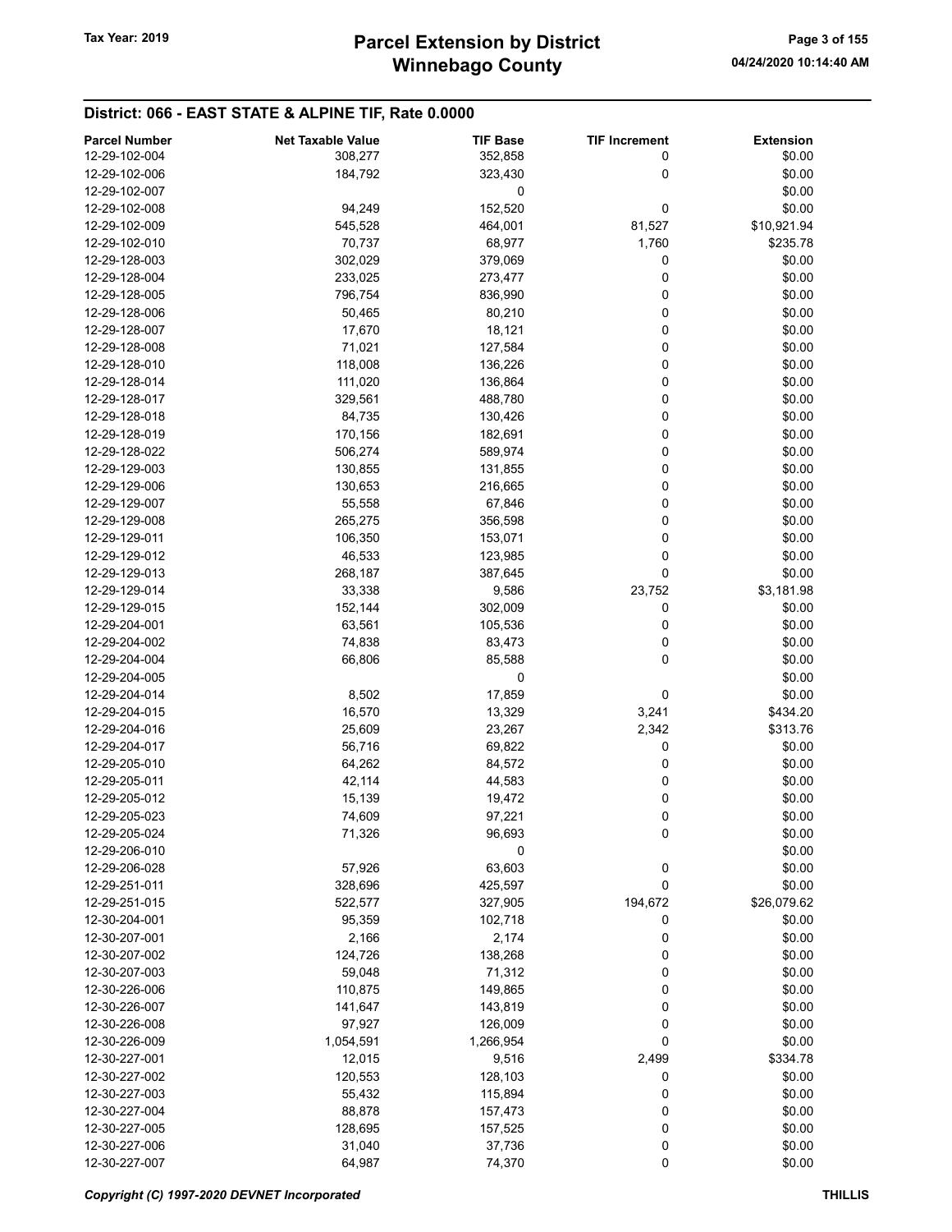#### District: 066 - EAST STATE & ALPINE TIF, Rate 0.0000

| <b>Parcel Number</b> | <b>Net Taxable Value</b> | <b>TIF Base</b> | <b>TIF Increment</b> | <b>Extension</b> |
|----------------------|--------------------------|-----------------|----------------------|------------------|
| 12-29-102-004        | 308,277                  | 352,858         | 0                    | \$0.00           |
| 12-29-102-006        | 184,792                  | 323,430         | 0                    | \$0.00           |
| 12-29-102-007        |                          | 0               |                      | \$0.00           |
| 12-29-102-008        | 94,249                   | 152,520         | 0                    | \$0.00           |
| 12-29-102-009        | 545,528                  |                 |                      |                  |
|                      |                          | 464,001         | 81,527               | \$10,921.94      |
| 12-29-102-010        | 70,737                   | 68,977          | 1,760                | \$235.78         |
| 12-29-128-003        | 302,029                  | 379,069         | 0                    | \$0.00           |
| 12-29-128-004        | 233,025                  | 273,477         | 0                    | \$0.00           |
| 12-29-128-005        | 796,754                  | 836,990         | 0                    | \$0.00           |
| 12-29-128-006        | 50,465                   | 80,210          | 0                    | \$0.00           |
| 12-29-128-007        | 17,670                   | 18,121          | 0                    | \$0.00           |
| 12-29-128-008        | 71,021                   | 127,584         | 0                    | \$0.00           |
| 12-29-128-010        | 118,008                  | 136,226         | 0                    | \$0.00           |
| 12-29-128-014        | 111,020                  | 136,864         | 0                    | \$0.00           |
| 12-29-128-017        | 329,561                  | 488,780         | 0                    | \$0.00           |
| 12-29-128-018        | 84,735                   | 130,426         | 0                    | \$0.00           |
| 12-29-128-019        | 170,156                  | 182,691         | 0                    | \$0.00           |
| 12-29-128-022        | 506,274                  | 589,974         | 0                    | \$0.00           |
| 12-29-129-003        | 130,855                  | 131,855         | 0                    | \$0.00           |
| 12-29-129-006        | 130,653                  | 216,665         | 0                    | \$0.00           |
| 12-29-129-007        | 55,558                   | 67,846          | 0                    | \$0.00           |
| 12-29-129-008        | 265,275                  | 356,598         | 0                    | \$0.00           |
| 12-29-129-011        | 106,350                  |                 |                      | \$0.00           |
|                      |                          | 153,071         | 0                    |                  |
| 12-29-129-012        | 46,533                   | 123,985         | 0                    | \$0.00           |
| 12-29-129-013        | 268,187                  | 387,645         | 0                    | \$0.00           |
| 12-29-129-014        | 33,338                   | 9,586           | 23,752               | \$3,181.98       |
| 12-29-129-015        | 152,144                  | 302,009         | 0                    | \$0.00           |
| 12-29-204-001        | 63,561                   | 105,536         | 0                    | \$0.00           |
| 12-29-204-002        | 74,838                   | 83,473          | 0                    | \$0.00           |
| 12-29-204-004        | 66,806                   | 85,588          | 0                    | \$0.00           |
| 12-29-204-005        |                          | 0               |                      | \$0.00           |
| 12-29-204-014        | 8,502                    | 17,859          | 0                    | \$0.00           |
| 12-29-204-015        | 16,570                   | 13,329          | 3,241                | \$434.20         |
| 12-29-204-016        | 25,609                   | 23,267          | 2,342                | \$313.76         |
| 12-29-204-017        | 56,716                   | 69,822          | 0                    | \$0.00           |
| 12-29-205-010        | 64,262                   | 84,572          | 0                    | \$0.00           |
| 12-29-205-011        | 42,114                   | 44,583          | 0                    | \$0.00           |
| 12-29-205-012        | 15,139                   | 19,472          | 0                    | \$0.00           |
| 12-29-205-023        | 74,609                   | 97,221          | 0                    | \$0.00           |
| 12-29-205-024        | 71,326                   | 96,693          | 0                    | \$0.00           |
| 12-29-206-010        |                          | 0               |                      | \$0.00           |
| 12-29-206-028        | 57,926                   | 63,603          | 0                    | \$0.00           |
| 12-29-251-011        | 328,696                  | 425,597         | 0                    | \$0.00           |
|                      |                          |                 |                      |                  |
| 12-29-251-015        | 522,577                  | 327,905         | 194,672              | \$26,079.62      |
| 12-30-204-001        | 95,359                   | 102,718         | 0                    | \$0.00           |
| 12-30-207-001        | 2,166                    | 2,174           | 0                    | \$0.00           |
| 12-30-207-002        | 124,726                  | 138,268         | 0                    | \$0.00           |
| 12-30-207-003        | 59,048                   | 71,312          | 0                    | \$0.00           |
| 12-30-226-006        | 110,875                  | 149,865         | 0                    | \$0.00           |
| 12-30-226-007        | 141,647                  | 143,819         | 0                    | \$0.00           |
| 12-30-226-008        | 97,927                   | 126,009         | 0                    | \$0.00           |
| 12-30-226-009        | 1,054,591                | 1,266,954       | 0                    | \$0.00           |
| 12-30-227-001        | 12,015                   | 9,516           | 2,499                | \$334.78         |
| 12-30-227-002        | 120,553                  | 128,103         | 0                    | \$0.00           |
| 12-30-227-003        | 55,432                   | 115,894         | 0                    | \$0.00           |
| 12-30-227-004        | 88,878                   | 157,473         | 0                    | \$0.00           |
| 12-30-227-005        | 128,695                  | 157,525         | 0                    | \$0.00           |
| 12-30-227-006        | 31,040                   | 37,736          | 0                    | \$0.00           |
| 12-30-227-007        | 64,987                   | 74,370          | 0                    | \$0.00           |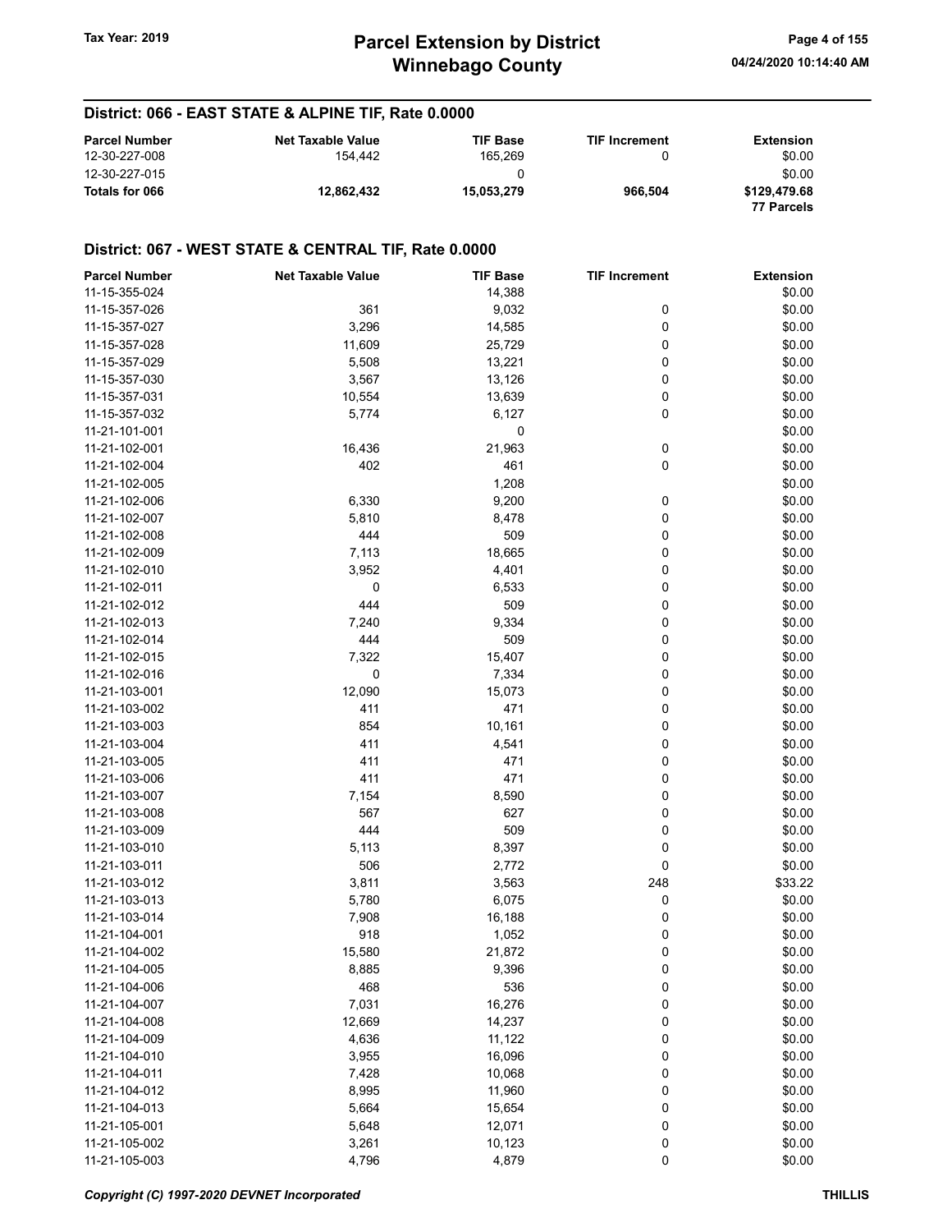#### District: 066 - EAST STATE & ALPINE TIF, Rate 0.0000

| <b>Parcel Number</b> | Net Taxable Value | <b>TIF Base</b> | <b>TIF Increment</b> | Extension    |
|----------------------|-------------------|-----------------|----------------------|--------------|
| 12-30-227-008        | 154.442           | 165.269         | O                    | \$0.00       |
| 12-30-227-015        |                   |                 |                      | \$0.00       |
| Totals for 066       | 12.862.432        | 15.053.279      | 966.504              | \$129,479.68 |
|                      |                   |                 |                      | 77 Parcels   |

| <b>Parcel Number</b> | <b>Net Taxable Value</b> | <b>TIF Base</b>  | <b>TIF Increment</b> | <b>Extension</b> |
|----------------------|--------------------------|------------------|----------------------|------------------|
| 11-15-355-024        |                          | 14,388           |                      | \$0.00           |
| 11-15-357-026        | 361                      | 9,032            | 0                    | \$0.00           |
| 11-15-357-027        | 3,296                    | 14,585           | 0                    | \$0.00           |
| 11-15-357-028        | 11,609                   | 25,729           | 0                    | \$0.00           |
| 11-15-357-029        | 5,508                    | 13,221           | 0                    | \$0.00           |
| 11-15-357-030        | 3,567                    | 13,126           | 0                    | \$0.00           |
| 11-15-357-031        | 10,554                   | 13,639           | 0                    | \$0.00           |
| 11-15-357-032        | 5,774                    | 6,127            | 0                    | \$0.00           |
| 11-21-101-001        |                          | 0                |                      | \$0.00           |
| 11-21-102-001        | 16,436                   | 21,963           | 0                    | \$0.00           |
| 11-21-102-004        | 402                      | 461              | 0                    | \$0.00           |
| 11-21-102-005        |                          | 1,208            |                      | \$0.00           |
| 11-21-102-006        | 6,330                    | 9,200            | 0                    | \$0.00           |
| 11-21-102-007        | 5,810                    | 8,478            | 0                    | \$0.00           |
| 11-21-102-008        | 444                      | 509              | 0                    | \$0.00           |
| 11-21-102-009        | 7,113                    | 18,665           | 0                    | \$0.00           |
| 11-21-102-010        | 3,952                    | 4,401            | 0                    | \$0.00           |
| 11-21-102-011        | 0                        | 6,533            | 0                    | \$0.00           |
| 11-21-102-012        | 444                      | 509              | 0                    | \$0.00           |
| 11-21-102-013        | 7,240                    | 9,334            | 0                    | \$0.00           |
| 11-21-102-014        | 444                      | 509              | 0                    | \$0.00           |
| 11-21-102-015        | 7,322                    | 15,407           | 0                    | \$0.00           |
| 11-21-102-016        | 0                        | 7,334            | 0                    | \$0.00           |
| 11-21-103-001        | 12,090                   | 15,073           | 0                    | \$0.00           |
| 11-21-103-002        | 411                      | 471              | 0                    | \$0.00           |
| 11-21-103-003        | 854                      | 10,161           | 0                    | \$0.00           |
| 11-21-103-004        | 411                      | 4,541            | 0                    | \$0.00           |
| 11-21-103-005        | 411                      | 471              | 0                    | \$0.00           |
| 11-21-103-006        | 411                      | 471              | 0                    | \$0.00           |
| 11-21-103-007        | 7,154                    | 8,590            | 0                    | \$0.00           |
| 11-21-103-008        | 567                      | 627              | 0                    | \$0.00           |
| 11-21-103-009        | 444                      | 509              | 0                    | \$0.00           |
| 11-21-103-010        | 5,113                    | 8,397            | 0                    | \$0.00           |
| 11-21-103-011        | 506                      | 2,772            | 0                    | \$0.00           |
| 11-21-103-012        | 3,811                    | 3,563            | 248                  | \$33.22          |
| 11-21-103-013        | 5,780                    | 6,075            | 0                    | \$0.00           |
| 11-21-103-014        | 7,908                    | 16,188           | 0                    | \$0.00           |
| 11-21-104-001        | 918                      | 1,052            | 0                    | \$0.00           |
| 11-21-104-002        | 15,580                   | 21,872           | 0                    | \$0.00           |
| 11-21-104-005        | 8,885                    | 9,396            | 0                    | \$0.00           |
| 11-21-104-006        | 468                      | 536              | 0                    | \$0.00           |
| 11-21-104-007        | 7,031                    | 16,276           | 0                    | \$0.00           |
| 11-21-104-008        | 12,669                   | 14,237           | 0                    | \$0.00           |
| 11-21-104-009        | 4,636                    | 11,122           | 0                    | \$0.00           |
| 11-21-104-010        | 3,955                    | 16,096           | 0                    | \$0.00           |
| 11-21-104-011        | 7,428                    | 10,068           | 0                    | \$0.00           |
| 11-21-104-012        | 8,995                    | 11,960           | 0                    | \$0.00           |
| 11-21-104-013        | 5,664                    |                  |                      | \$0.00           |
| 11-21-105-001        | 5,648                    | 15,654<br>12,071 | 0                    | \$0.00           |
| 11-21-105-002        | 3,261                    | 10,123           | 0<br>0               | \$0.00           |
| 11-21-105-003        | 4,796                    | 4,879            | 0                    | \$0.00           |
|                      |                          |                  |                      |                  |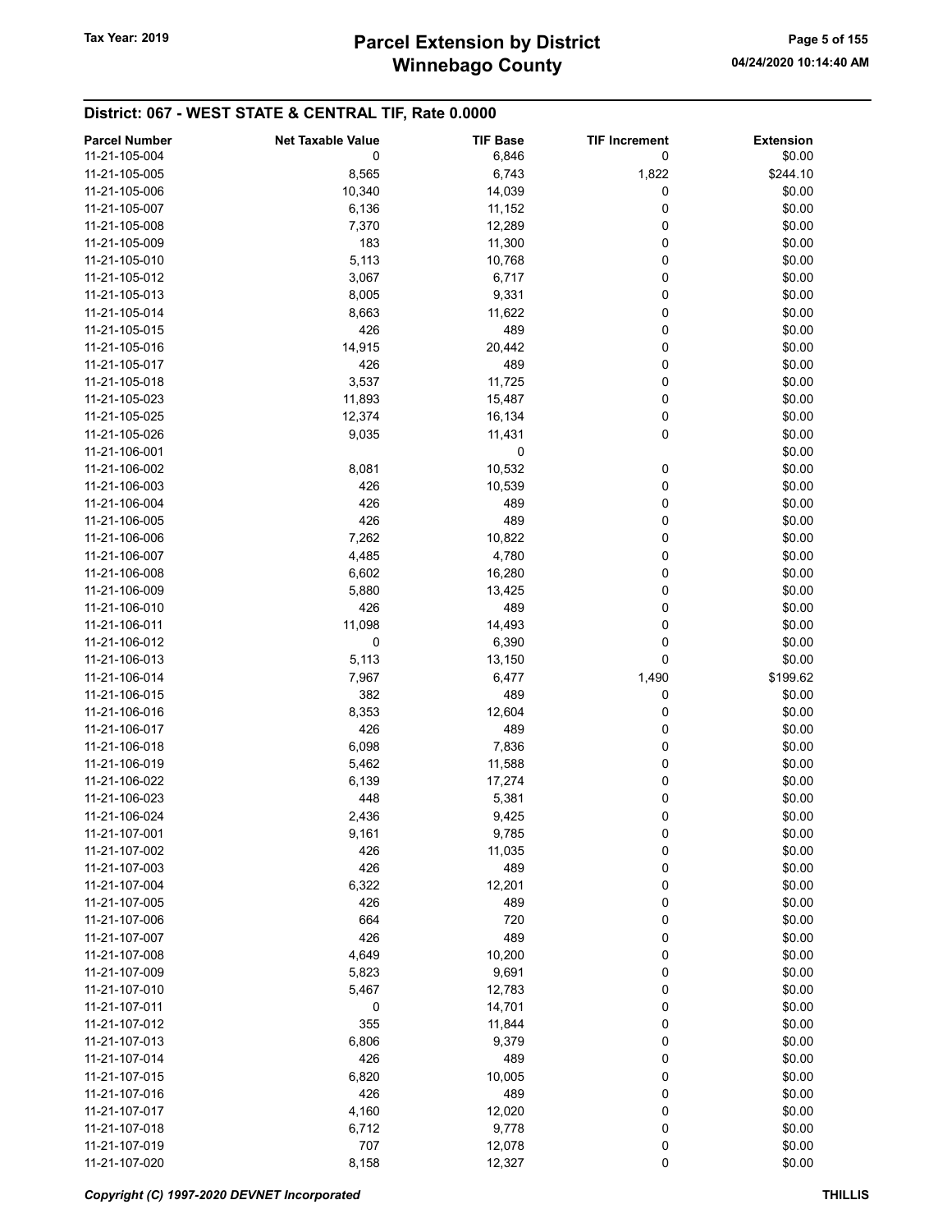# Winnebago County Tax Year: 2019 **Parcel Extension by District** Tax Year: 2019 Page 5 of 155

| <b>Parcel Number</b> | <b>Net Taxable Value</b> | <b>TIF Base</b> | <b>TIF Increment</b> | <b>Extension</b> |
|----------------------|--------------------------|-----------------|----------------------|------------------|
| 11-21-105-004        | 0                        | 6,846           | 0                    | \$0.00           |
| 11-21-105-005        | 8,565                    | 6,743           | 1,822                | \$244.10         |
|                      |                          |                 |                      |                  |
| 11-21-105-006        | 10,340                   | 14,039          | 0                    | \$0.00           |
| 11-21-105-007        | 6,136                    | 11,152          | 0                    | \$0.00           |
| 11-21-105-008        | 7,370                    | 12,289          | 0                    | \$0.00           |
| 11-21-105-009        | 183                      | 11,300          | 0                    | \$0.00           |
| 11-21-105-010        | 5,113                    | 10,768          | 0                    | \$0.00           |
| 11-21-105-012        | 3,067                    | 6,717           | 0                    | \$0.00           |
| 11-21-105-013        | 8,005                    | 9,331           | 0                    | \$0.00           |
| 11-21-105-014        | 8,663                    | 11,622          | 0                    | \$0.00           |
| 11-21-105-015        | 426                      | 489             | 0                    | \$0.00           |
| 11-21-105-016        | 14,915                   | 20,442          | 0                    | \$0.00           |
| 11-21-105-017        | 426                      | 489             | 0                    | \$0.00           |
|                      |                          |                 |                      |                  |
| 11-21-105-018        | 3,537                    | 11,725          | 0                    | \$0.00           |
| 11-21-105-023        | 11,893                   | 15,487          | 0                    | \$0.00           |
| 11-21-105-025        | 12,374                   | 16,134          | 0                    | \$0.00           |
| 11-21-105-026        | 9,035                    | 11,431          | 0                    | \$0.00           |
| 11-21-106-001        |                          | 0               |                      | \$0.00           |
| 11-21-106-002        | 8,081                    | 10,532          | 0                    | \$0.00           |
| 11-21-106-003        | 426                      | 10,539          | 0                    | \$0.00           |
| 11-21-106-004        | 426                      | 489             | 0                    | \$0.00           |
| 11-21-106-005        | 426                      | 489             | 0                    | \$0.00           |
| 11-21-106-006        | 7,262                    | 10,822          | 0                    | \$0.00           |
| 11-21-106-007        | 4,485                    | 4,780           | 0                    | \$0.00           |
| 11-21-106-008        |                          |                 |                      |                  |
|                      | 6,602                    | 16,280          | 0                    | \$0.00           |
| 11-21-106-009        | 5,880                    | 13,425          | 0                    | \$0.00           |
| 11-21-106-010        | 426                      | 489             | 0                    | \$0.00           |
| 11-21-106-011        | 11,098                   | 14,493          | 0                    | \$0.00           |
| 11-21-106-012        | 0                        | 6,390           | 0                    | \$0.00           |
| 11-21-106-013        | 5,113                    | 13,150          | 0                    | \$0.00           |
| 11-21-106-014        | 7,967                    | 6,477           | 1,490                | \$199.62         |
| 11-21-106-015        | 382                      | 489             | 0                    | \$0.00           |
| 11-21-106-016        | 8,353                    | 12,604          | 0                    | \$0.00           |
| 11-21-106-017        | 426                      | 489             | 0                    | \$0.00           |
| 11-21-106-018        | 6,098                    | 7,836           | 0                    | \$0.00           |
| 11-21-106-019        | 5,462                    | 11,588          | 0                    | \$0.00           |
| 11-21-106-022        | 6,139                    | 17,274          | 0                    | \$0.00           |
| 11-21-106-023        |                          |                 |                      |                  |
|                      | 448                      | 5,381           | 0                    | \$0.00           |
| 11-21-106-024        | 2,436                    | 9,425           | 0                    | \$0.00           |
| 11-21-107-001        | 9,161                    | 9,785           | 0                    | \$0.00           |
| 11-21-107-002        | 426                      | 11,035          | 0                    | \$0.00           |
| 11-21-107-003        | 426                      | 489             | 0                    | \$0.00           |
| 11-21-107-004        | 6,322                    | 12,201          | 0                    | \$0.00           |
| 11-21-107-005        | 426                      | 489             | 0                    | \$0.00           |
| 11-21-107-006        | 664                      | 720             | 0                    | \$0.00           |
| 11-21-107-007        | 426                      | 489             | 0                    | \$0.00           |
| 11-21-107-008        | 4,649                    | 10,200          | 0                    | \$0.00           |
| 11-21-107-009        | 5,823                    | 9,691           | 0                    | \$0.00           |
| 11-21-107-010        | 5,467                    | 12,783          | 0                    | \$0.00           |
| 11-21-107-011        |                          |                 |                      |                  |
|                      | 0                        | 14,701          | 0                    | \$0.00           |
| 11-21-107-012        | 355                      | 11,844          | 0                    | \$0.00           |
| 11-21-107-013        | 6,806                    | 9,379           | 0                    | \$0.00           |
| 11-21-107-014        | 426                      | 489             | 0                    | \$0.00           |
| 11-21-107-015        | 6,820                    | 10,005          | 0                    | \$0.00           |
| 11-21-107-016        | 426                      | 489             | 0                    | \$0.00           |
| 11-21-107-017        | 4,160                    | 12,020          | 0                    | \$0.00           |
| 11-21-107-018        | 6,712                    | 9,778           | 0                    | \$0.00           |
| 11-21-107-019        | 707                      | 12,078          | 0                    | \$0.00           |
| 11-21-107-020        | 8,158                    | 12,327          | $\pmb{0}$            | \$0.00           |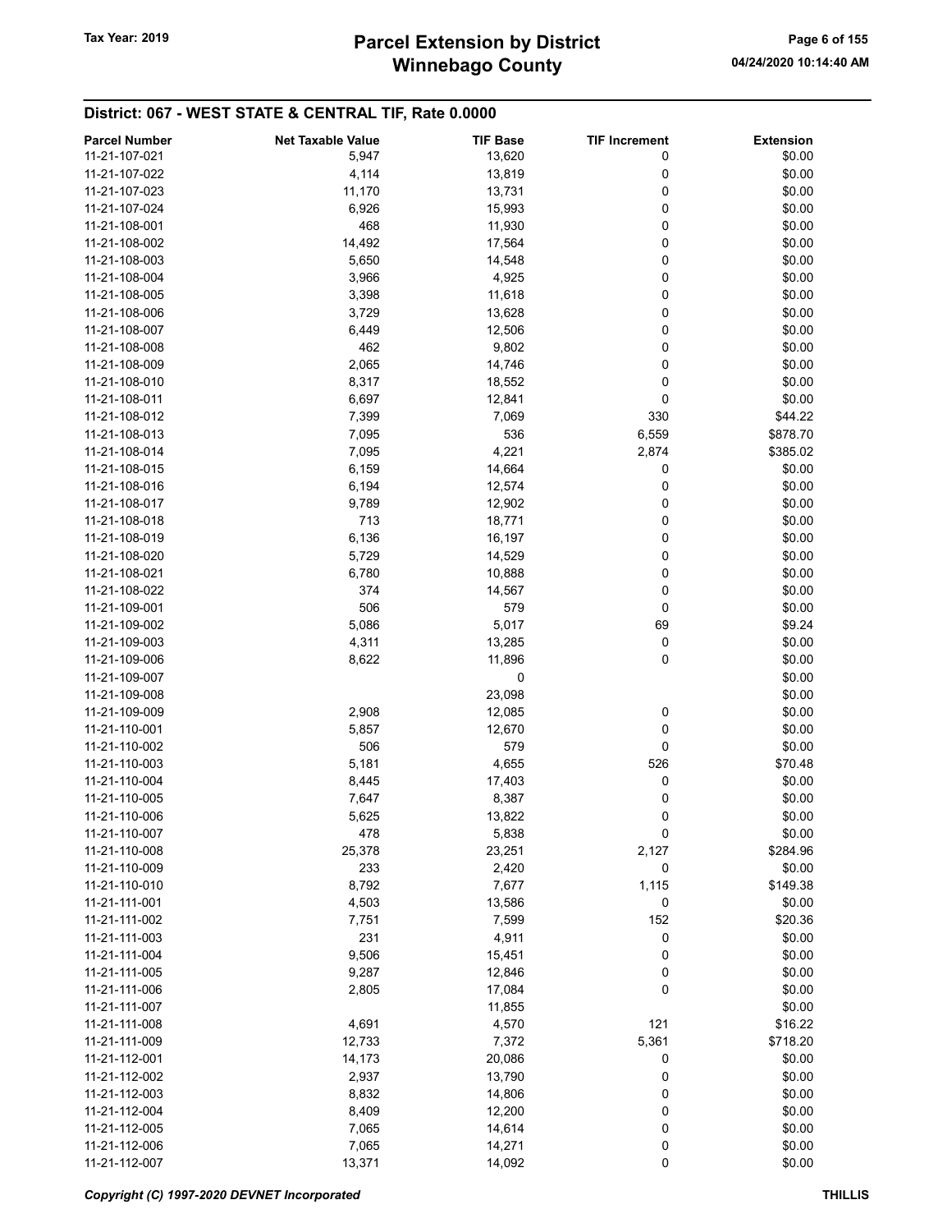# Winnebago County Tax Year: 2019 **Parcel Extension by District** Tax Year: 2019 Page 6 of 155

| <b>Parcel Number</b> | <b>Net Taxable Value</b> | <b>TIF Base</b> | <b>TIF Increment</b> | <b>Extension</b> |
|----------------------|--------------------------|-----------------|----------------------|------------------|
| 11-21-107-021        | 5,947                    | 13,620          | 0                    | \$0.00           |
| 11-21-107-022        | 4,114                    | 13,819          | 0                    | \$0.00           |
|                      |                          |                 |                      |                  |
| 11-21-107-023        | 11,170                   | 13,731          | 0                    | \$0.00           |
| 11-21-107-024        | 6,926                    | 15,993          | 0                    | \$0.00           |
| 11-21-108-001        | 468                      | 11,930          | 0                    | \$0.00           |
| 11-21-108-002        | 14,492                   | 17,564          | 0                    | \$0.00           |
| 11-21-108-003        | 5,650                    | 14,548          | 0                    | \$0.00           |
| 11-21-108-004        | 3,966                    | 4,925           | 0                    | \$0.00           |
| 11-21-108-005        | 3,398                    | 11,618          | 0                    | \$0.00           |
| 11-21-108-006        | 3,729                    | 13,628          | 0                    | \$0.00           |
| 11-21-108-007        | 6,449                    | 12,506          | 0                    | \$0.00           |
| 11-21-108-008        | 462                      |                 |                      | \$0.00           |
|                      |                          | 9,802           | 0                    |                  |
| 11-21-108-009        | 2,065                    | 14,746          | 0                    | \$0.00           |
| 11-21-108-010        | 8,317                    | 18,552          | 0                    | \$0.00           |
| 11-21-108-011        | 6,697                    | 12,841          | 0                    | \$0.00           |
| 11-21-108-012        | 7,399                    | 7,069           | 330                  | \$44.22          |
| 11-21-108-013        | 7,095                    | 536             | 6,559                | \$878.70         |
| 11-21-108-014        | 7,095                    | 4,221           | 2,874                | \$385.02         |
| 11-21-108-015        | 6,159                    | 14,664          | 0                    | \$0.00           |
| 11-21-108-016        | 6,194                    | 12,574          | 0                    | \$0.00           |
| 11-21-108-017        | 9,789                    | 12,902          | 0                    | \$0.00           |
|                      |                          |                 |                      |                  |
| 11-21-108-018        | 713                      | 18,771          | 0                    | \$0.00           |
| 11-21-108-019        | 6,136                    | 16,197          | 0                    | \$0.00           |
| 11-21-108-020        | 5,729                    | 14,529          | 0                    | \$0.00           |
| 11-21-108-021        | 6,780                    | 10,888          | 0                    | \$0.00           |
| 11-21-108-022        | 374                      | 14,567          | 0                    | \$0.00           |
| 11-21-109-001        | 506                      | 579             | 0                    | \$0.00           |
| 11-21-109-002        | 5,086                    | 5,017           | 69                   | \$9.24           |
| 11-21-109-003        | 4,311                    | 13,285          | 0                    | \$0.00           |
| 11-21-109-006        | 8,622                    | 11,896          | 0                    | \$0.00           |
| 11-21-109-007        |                          | 0               |                      | \$0.00           |
| 11-21-109-008        |                          | 23,098          |                      | \$0.00           |
|                      |                          |                 |                      |                  |
| 11-21-109-009        | 2,908                    | 12,085          | 0                    | \$0.00           |
| 11-21-110-001        | 5,857                    | 12,670          | 0                    | \$0.00           |
| 11-21-110-002        | 506                      | 579             | 0                    | \$0.00           |
| 11-21-110-003        | 5,181                    | 4,655           | 526                  | \$70.48          |
| 11-21-110-004        | 8,445                    | 17,403          | 0                    | \$0.00           |
| 11-21-110-005        | 7,647                    | 8,387           | 0                    | \$0.00           |
| 11-21-110-006        | 5,625                    | 13,822          | 0                    | \$0.00           |
| 11-21-110-007        | 478                      | 5,838           | 0                    | \$0.00           |
| 11-21-110-008        | 25,378                   | 23,251          | 2,127                | \$284.96         |
| 11-21-110-009        | 233                      | 2,420           | 0                    | \$0.00           |
|                      |                          |                 |                      |                  |
| 11-21-110-010        | 8,792                    | 7,677           | 1,115                | \$149.38         |
| 11-21-111-001        | 4,503                    | 13,586          | 0                    | \$0.00           |
| 11-21-111-002        | 7,751                    | 7,599           | 152                  | \$20.36          |
| 11-21-111-003        | 231                      | 4,911           | 0                    | \$0.00           |
| 11-21-111-004        | 9,506                    | 15,451          | 0                    | \$0.00           |
| 11-21-111-005        | 9,287                    | 12,846          | 0                    | \$0.00           |
| 11-21-111-006        | 2,805                    | 17,084          | 0                    | \$0.00           |
| 11-21-111-007        |                          | 11,855          |                      | \$0.00           |
| 11-21-111-008        | 4,691                    | 4,570           | 121                  | \$16.22          |
| 11-21-111-009        | 12,733                   | 7,372           | 5,361                | \$718.20         |
|                      |                          |                 |                      |                  |
| 11-21-112-001        | 14,173                   | 20,086          | 0                    | \$0.00           |
| 11-21-112-002        | 2,937                    | 13,790          | 0                    | \$0.00           |
| 11-21-112-003        | 8,832                    | 14,806          | 0                    | \$0.00           |
| 11-21-112-004        | 8,409                    | 12,200          | 0                    | \$0.00           |
| 11-21-112-005        | 7,065                    | 14,614          | 0                    | \$0.00           |
| 11-21-112-006        | 7,065                    | 14,271          | 0                    | \$0.00           |
| 11-21-112-007        | 13,371                   | 14,092          | 0                    | \$0.00           |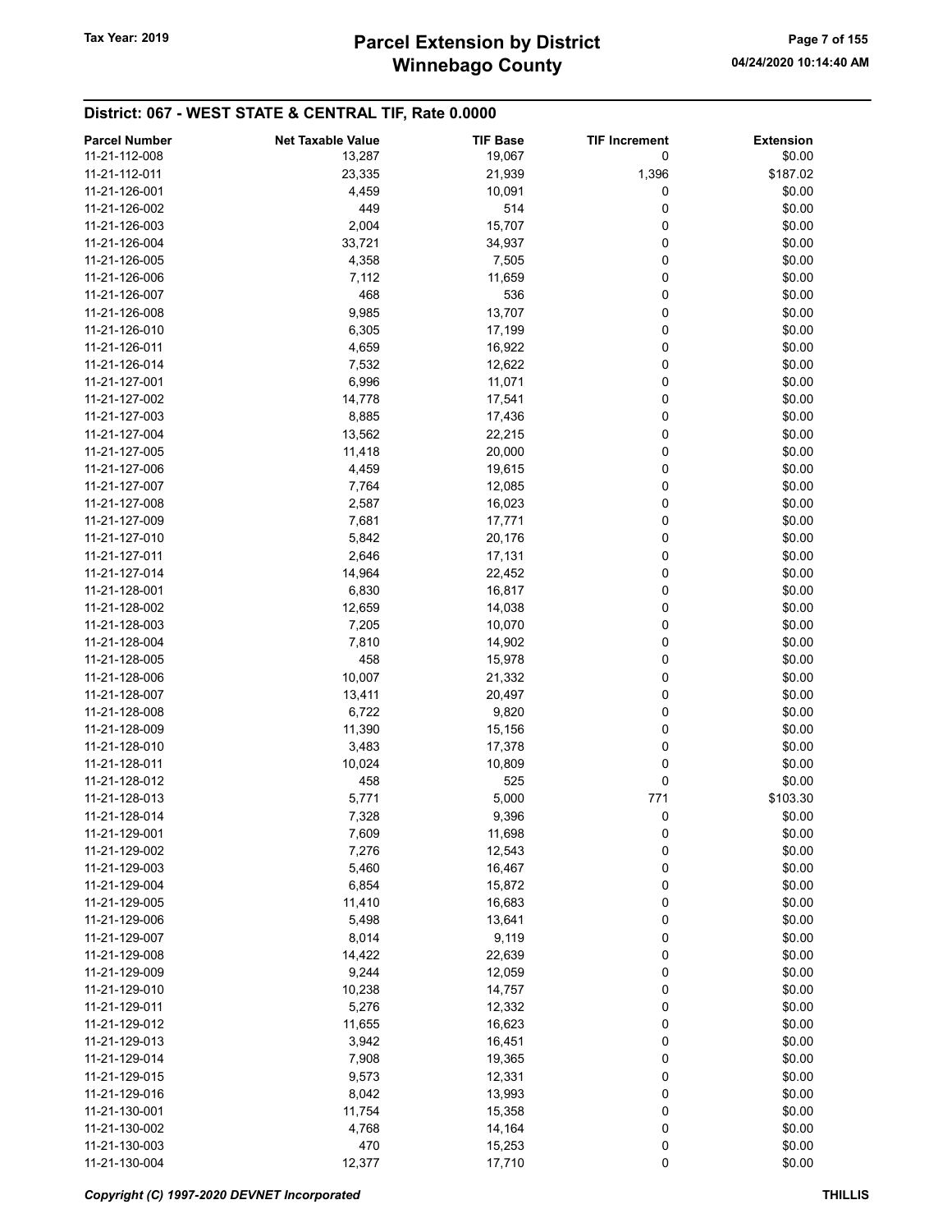# Winnebago County Tax Year: 2019 **Parcel Extension by District** Tax Year: 2019 Page 7 of 155

| <b>Parcel Number</b> | <b>Net Taxable Value</b> | <b>TIF Base</b> | <b>TIF Increment</b> | <b>Extension</b> |
|----------------------|--------------------------|-----------------|----------------------|------------------|
| 11-21-112-008        | 13,287                   | 19,067          | 0                    | \$0.00           |
| 11-21-112-011        | 23,335                   | 21,939          | 1,396                | \$187.02         |
| 11-21-126-001        | 4,459                    | 10,091          | 0                    | \$0.00           |
| 11-21-126-002        | 449                      | 514             | 0                    | \$0.00           |
| 11-21-126-003        | 2,004                    |                 | 0                    | \$0.00           |
|                      |                          | 15,707          |                      |                  |
| 11-21-126-004        | 33,721                   | 34,937          | 0                    | \$0.00           |
| 11-21-126-005        | 4,358                    | 7,505           | 0                    | \$0.00           |
| 11-21-126-006        | 7,112                    | 11,659          | 0                    | \$0.00           |
| 11-21-126-007        | 468                      | 536             | 0                    | \$0.00           |
| 11-21-126-008        | 9,985                    | 13,707          | 0                    | \$0.00           |
| 11-21-126-010        | 6,305                    | 17,199          | 0                    | \$0.00           |
| 11-21-126-011        | 4,659                    | 16,922          | 0                    | \$0.00           |
| 11-21-126-014        | 7,532                    | 12,622          | 0                    | \$0.00           |
| 11-21-127-001        | 6,996                    | 11,071          | 0                    | \$0.00           |
| 11-21-127-002        | 14,778                   | 17,541          | 0                    | \$0.00           |
| 11-21-127-003        | 8,885                    | 17,436          | 0                    | \$0.00           |
| 11-21-127-004        | 13,562                   | 22,215          | 0                    | \$0.00           |
| 11-21-127-005        | 11,418                   | 20,000          | 0                    | \$0.00           |
| 11-21-127-006        | 4,459                    | 19,615          | 0                    | \$0.00           |
| 11-21-127-007        | 7,764                    | 12,085          | 0                    | \$0.00           |
| 11-21-127-008        | 2,587                    | 16,023          | 0                    | \$0.00           |
| 11-21-127-009        | 7,681                    | 17,771          | 0                    | \$0.00           |
| 11-21-127-010        | 5,842                    | 20,176          | 0                    | \$0.00           |
| 11-21-127-011        | 2,646                    | 17,131          | 0                    | \$0.00           |
| 11-21-127-014        | 14,964                   | 22,452          | 0                    | \$0.00           |
| 11-21-128-001        | 6,830                    | 16,817          | 0                    | \$0.00           |
| 11-21-128-002        | 12,659                   | 14,038          | 0                    | \$0.00           |
| 11-21-128-003        | 7,205                    | 10,070          | 0                    | \$0.00           |
| 11-21-128-004        | 7,810                    | 14,902          | 0                    | \$0.00           |
| 11-21-128-005        | 458                      | 15,978          | 0                    | \$0.00           |
| 11-21-128-006        | 10,007                   | 21,332          | 0                    | \$0.00           |
| 11-21-128-007        | 13,411                   | 20,497          | 0                    | \$0.00           |
| 11-21-128-008        | 6,722                    | 9,820           | 0                    | \$0.00           |
| 11-21-128-009        | 11,390                   | 15,156          | 0                    | \$0.00           |
| 11-21-128-010        | 3,483                    | 17,378          | 0                    | \$0.00           |
| 11-21-128-011        | 10,024                   | 10,809          | 0                    | \$0.00           |
| 11-21-128-012        | 458                      | 525             | 0                    | \$0.00           |
| 11-21-128-013        | 5,771                    | 5,000           | 771                  | \$103.30         |
| 11-21-128-014        | 7,328                    | 9,396           | 0                    | \$0.00           |
| 11-21-129-001        | 7,609                    | 11,698          | 0                    | \$0.00           |
| 11-21-129-002        | 7,276                    | 12,543          | 0                    | \$0.00           |
| 11-21-129-003        | 5,460                    | 16,467          | 0                    | \$0.00           |
| 11-21-129-004        | 6,854                    | 15,872          | 0                    | \$0.00           |
| 11-21-129-005        | 11,410                   | 16,683          | 0                    | \$0.00           |
| 11-21-129-006        | 5,498                    | 13,641          | 0                    | \$0.00           |
| 11-21-129-007        | 8,014                    | 9,119           | 0                    | \$0.00           |
| 11-21-129-008        | 14,422                   | 22,639          | 0                    | \$0.00           |
| 11-21-129-009        | 9,244                    | 12,059          | 0                    | \$0.00           |
| 11-21-129-010        |                          |                 | 0                    | \$0.00           |
|                      | 10,238                   | 14,757          |                      |                  |
| 11-21-129-011        | 5,276                    | 12,332          | 0                    | \$0.00           |
| 11-21-129-012        | 11,655                   | 16,623          | 0                    | \$0.00           |
| 11-21-129-013        | 3,942                    | 16,451          | 0                    | \$0.00           |
| 11-21-129-014        | 7,908                    | 19,365          | 0                    | \$0.00           |
| 11-21-129-015        | 9,573                    | 12,331          | 0                    | \$0.00           |
| 11-21-129-016        | 8,042                    | 13,993          | 0                    | \$0.00           |
| 11-21-130-001        | 11,754                   | 15,358          | 0                    | \$0.00           |
| 11-21-130-002        | 4,768                    | 14,164          | 0                    | \$0.00           |
| 11-21-130-003        | 470                      | 15,253          | 0                    | \$0.00           |
| 11-21-130-004        | 12,377                   | 17,710          | 0                    | \$0.00           |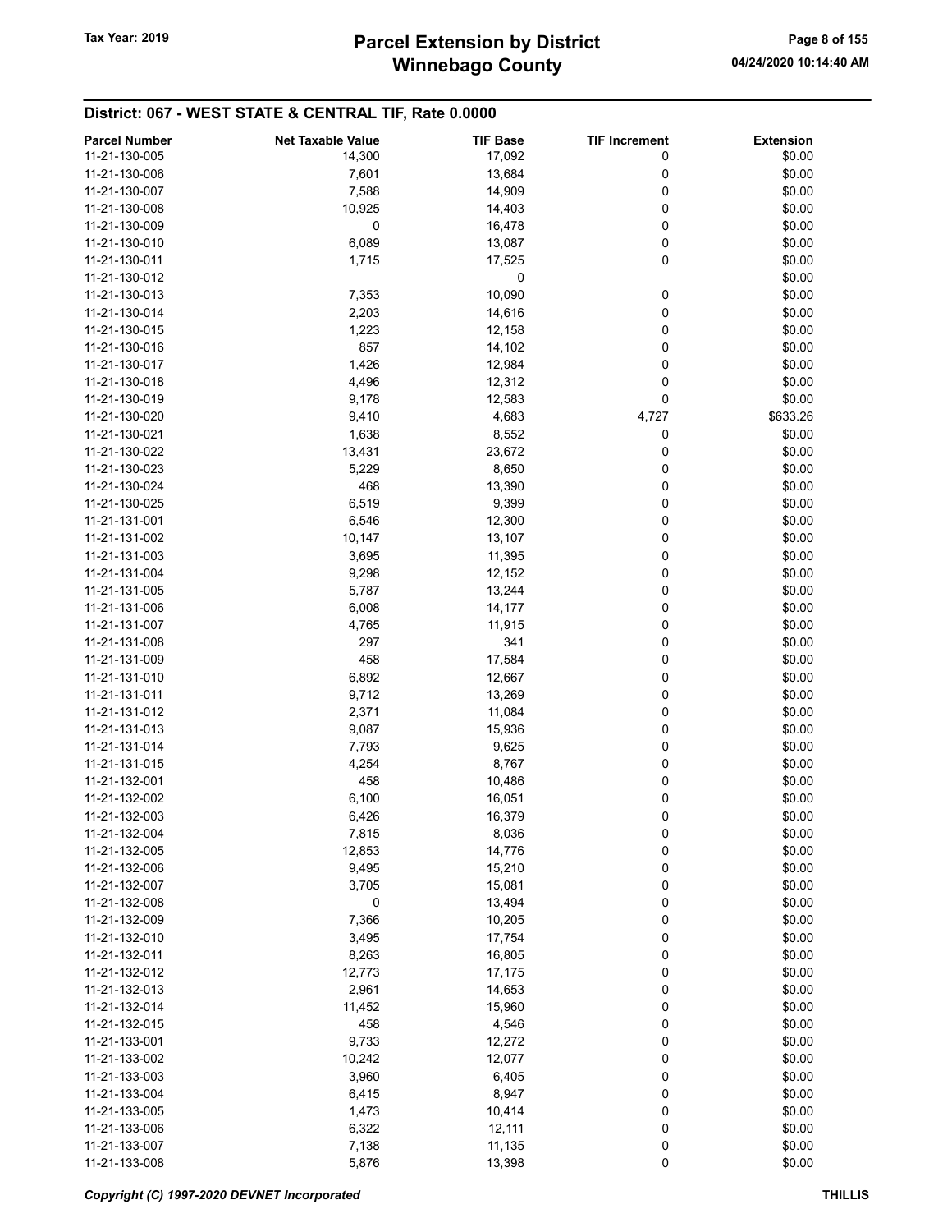| <b>Parcel Number</b> | <b>Net Taxable Value</b> | <b>TIF Base</b> | <b>TIF Increment</b> | <b>Extension</b> |
|----------------------|--------------------------|-----------------|----------------------|------------------|
|                      |                          |                 |                      |                  |
| 11-21-130-005        | 14,300                   | 17,092          | 0                    | \$0.00           |
| 11-21-130-006        | 7,601                    | 13,684          | 0                    | \$0.00           |
| 11-21-130-007        | 7,588                    | 14,909          | 0                    | \$0.00           |
| 11-21-130-008        | 10,925                   | 14,403          | 0                    | \$0.00           |
| 11-21-130-009        | 0                        | 16,478          | 0                    | \$0.00           |
| 11-21-130-010        | 6,089                    | 13,087          | 0                    | \$0.00           |
| 11-21-130-011        | 1,715                    | 17,525          | 0                    | \$0.00           |
| 11-21-130-012        |                          | 0               |                      | \$0.00           |
| 11-21-130-013        | 7,353                    | 10,090          | 0                    | \$0.00           |
| 11-21-130-014        | 2,203                    | 14,616          | 0                    | \$0.00           |
| 11-21-130-015        | 1,223                    | 12,158          | 0                    | \$0.00           |
|                      |                          |                 |                      |                  |
| 11-21-130-016        | 857                      | 14,102          | 0                    | \$0.00           |
| 11-21-130-017        | 1,426                    | 12,984          | 0                    | \$0.00           |
| 11-21-130-018        | 4,496                    | 12,312          | 0                    | \$0.00           |
| 11-21-130-019        | 9,178                    | 12,583          | 0                    | \$0.00           |
| 11-21-130-020        | 9,410                    | 4,683           | 4,727                | \$633.26         |
| 11-21-130-021        | 1,638                    | 8,552           | 0                    | \$0.00           |
| 11-21-130-022        | 13,431                   | 23,672          | 0                    | \$0.00           |
| 11-21-130-023        | 5,229                    | 8,650           | 0                    | \$0.00           |
| 11-21-130-024        | 468                      | 13,390          | 0                    | \$0.00           |
| 11-21-130-025        | 6,519                    | 9,399           | 0                    | \$0.00           |
| 11-21-131-001        | 6,546                    | 12,300          | 0                    | \$0.00           |
| 11-21-131-002        |                          |                 |                      |                  |
|                      | 10,147                   | 13,107          | 0                    | \$0.00           |
| 11-21-131-003        | 3,695                    | 11,395          | 0                    | \$0.00           |
| 11-21-131-004        | 9,298                    | 12,152          | 0                    | \$0.00           |
| 11-21-131-005        | 5,787                    | 13,244          | 0                    | \$0.00           |
| 11-21-131-006        | 6,008                    | 14,177          | 0                    | \$0.00           |
| 11-21-131-007        | 4,765                    | 11,915          | 0                    | \$0.00           |
| 11-21-131-008        | 297                      | 341             | 0                    | \$0.00           |
| 11-21-131-009        | 458                      | 17,584          | 0                    | \$0.00           |
| 11-21-131-010        | 6,892                    | 12,667          | 0                    | \$0.00           |
| 11-21-131-011        | 9,712                    | 13,269          | 0                    | \$0.00           |
| 11-21-131-012        | 2,371                    | 11,084          | 0                    | \$0.00           |
| 11-21-131-013        | 9,087                    | 15,936          | 0                    | \$0.00           |
|                      |                          |                 |                      |                  |
| 11-21-131-014        | 7,793                    | 9,625           | 0                    | \$0.00           |
| 11-21-131-015        | 4,254                    | 8,767           | 0                    | \$0.00           |
| 11-21-132-001        | 458                      | 10,486          | 0                    | \$0.00           |
| 11-21-132-002        | 6,100                    | 16,051          | 0                    | \$0.00           |
| 11-21-132-003        | 6,426                    | 16,379          | 0                    | \$0.00           |
| 11-21-132-004        | 7,815                    | 8,036           | 0                    | \$0.00           |
| 11-21-132-005        | 12,853                   | 14,776          | 0                    | \$0.00           |
| 11-21-132-006        | 9,495                    | 15,210          | 0                    | \$0.00           |
| 11-21-132-007        | 3,705                    | 15,081          | 0                    | \$0.00           |
| 11-21-132-008        | 0                        | 13,494          | 0                    | \$0.00           |
| 11-21-132-009        | 7,366                    | 10,205          | 0                    | \$0.00           |
| 11-21-132-010        | 3,495                    | 17,754          | 0                    | \$0.00           |
|                      |                          |                 |                      |                  |
| 11-21-132-011        | 8,263                    | 16,805          | 0                    | \$0.00           |
| 11-21-132-012        | 12,773                   | 17,175          | 0                    | \$0.00           |
| 11-21-132-013        | 2,961                    | 14,653          | 0                    | \$0.00           |
| 11-21-132-014        | 11,452                   | 15,960          | 0                    | \$0.00           |
| 11-21-132-015        | 458                      | 4,546           | 0                    | \$0.00           |
| 11-21-133-001        | 9,733                    | 12,272          | 0                    | \$0.00           |
| 11-21-133-002        | 10,242                   | 12,077          | 0                    | \$0.00           |
| 11-21-133-003        | 3,960                    | 6,405           | 0                    | \$0.00           |
| 11-21-133-004        | 6,415                    | 8,947           | 0                    | \$0.00           |
| 11-21-133-005        | 1,473                    | 10,414          | 0                    | \$0.00           |
| 11-21-133-006        | 6,322                    | 12,111          | 0                    | \$0.00           |
|                      |                          |                 |                      |                  |
| 11-21-133-007        | 7,138                    | 11,135          | 0                    | \$0.00           |
| 11-21-133-008        | 5,876                    | 13,398          | 0                    | \$0.00           |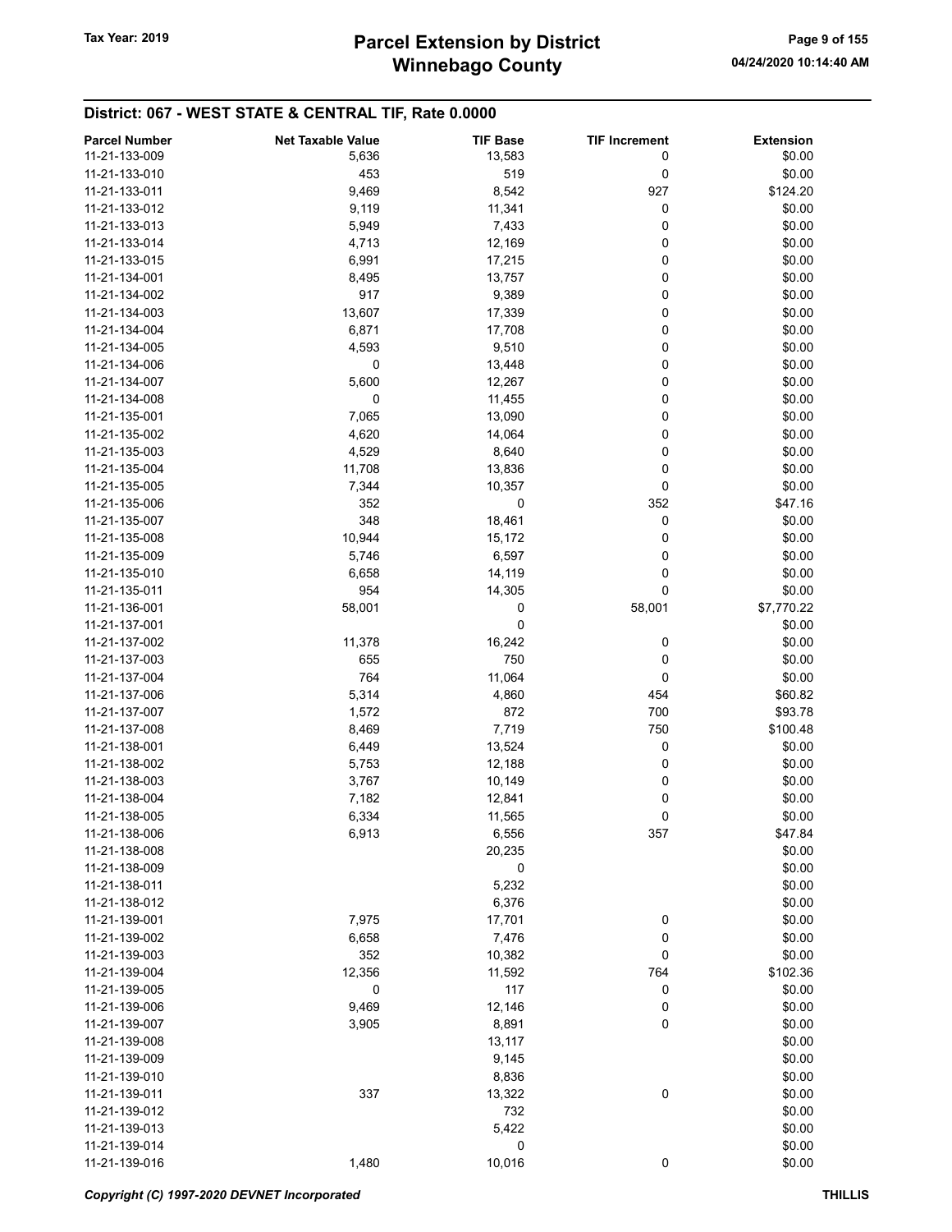| 11-21-133-009<br>5,636<br>13,583<br>0<br>\$0.00<br>11-21-133-010<br>453<br>519<br>0<br>\$0.00<br>927<br>\$124.20<br>11-21-133-011<br>9,469<br>8,542<br>0<br>\$0.00<br>11-21-133-012<br>9,119<br>11,341<br>0<br>\$0.00<br>11-21-133-013<br>5,949<br>7,433<br>\$0.00<br>11-21-133-014<br>4,713<br>12,169<br>0<br>0<br>\$0.00<br>11-21-133-015<br>6,991<br>17,215<br>0<br>\$0.00<br>11-21-134-001<br>8,495<br>13,757<br>917<br>9,389<br>0<br>\$0.00<br>11-21-134-002<br>0<br>\$0.00<br>11-21-134-003<br>13,607<br>17,339<br>0<br>\$0.00<br>11-21-134-004<br>6,871<br>17,708<br>\$0.00<br>4,593<br>9,510<br>0<br>11-21-134-005<br>\$0.00<br>11-21-134-006<br>0<br>13,448<br>0<br>0<br>\$0.00<br>11-21-134-007<br>5,600<br>12,267<br>0<br>0<br>\$0.00<br>11-21-134-008<br>11,455<br>0<br>\$0.00<br>11-21-135-001<br>7,065<br>13,090<br>0<br>\$0.00<br>11-21-135-002<br>4,620<br>14,064<br>0<br>\$0.00<br>11-21-135-003<br>4,529<br>8,640<br>11,708<br>0<br>\$0.00<br>11-21-135-004<br>13,836<br>\$0.00<br>11-21-135-005<br>7,344<br>10,357<br>0<br>352<br>352<br>\$47.16<br>11-21-135-006<br>0<br>0<br>\$0.00<br>11-21-135-007<br>348<br>18,461<br>10,944<br>0<br>\$0.00<br>11-21-135-008<br>15,172<br>0<br>11-21-135-009<br>5,746<br>6,597<br>\$0.00<br>0<br>11-21-135-010<br>6,658<br>14,119<br>\$0.00<br>0<br>\$0.00<br>11-21-135-011<br>954<br>14,305<br>\$7,770.22<br>11-21-136-001<br>58,001<br>0<br>58,001<br>0<br>11-21-137-001<br>\$0.00<br>16,242<br>\$0.00<br>11-21-137-002<br>11,378<br>0<br>750<br>\$0.00<br>11-21-137-003<br>655<br>0<br>764<br>11,064<br>0<br>\$0.00<br>11-21-137-004<br>5,314<br>11-21-137-006<br>4,860<br>454<br>\$60.82<br>700<br>\$93.78<br>11-21-137-007<br>1,572<br>872<br>750<br>\$100.48<br>11-21-137-008<br>8,469<br>7,719<br>0<br>11-21-138-001<br>6,449<br>13,524<br>\$0.00<br>\$0.00<br>11-21-138-002<br>12,188<br>0<br>5,753<br>11-21-138-003<br>3,767<br>10,149<br>0<br>\$0.00<br>0<br>\$0.00<br>11-21-138-004<br>7,182<br>12,841<br>0<br>\$0.00<br>11-21-138-005<br>6,334<br>11,565<br>6,913<br>11-21-138-006<br>6,556<br>357<br>\$47.84<br>\$0.00<br>11-21-138-008<br>20,235<br>\$0.00<br>11-21-138-009<br>0<br>\$0.00<br>11-21-138-011<br>5,232<br>\$0.00<br>11-21-138-012<br>6,376<br>7,975<br>\$0.00<br>11-21-139-001<br>17,701<br>0<br>0<br>6,658<br>7,476<br>\$0.00<br>11-21-139-002<br>0<br>\$0.00<br>11-21-139-003<br>352<br>10,382<br>\$102.36<br>11-21-139-004<br>12,356<br>11,592<br>764<br>11-21-139-005<br>117<br>0<br>\$0.00<br>0<br>0<br>\$0.00<br>11-21-139-006<br>9,469<br>12,146<br>0<br>\$0.00<br>11-21-139-007<br>3,905<br>8,891<br>13,117<br>\$0.00<br>11-21-139-008<br>\$0.00<br>9,145<br>11-21-139-009<br>\$0.00<br>11-21-139-010<br>8,836<br>0<br>\$0.00<br>11-21-139-011<br>337<br>13,322<br>\$0.00<br>11-21-139-012<br>732<br>\$0.00<br>5,422<br>11-21-139-013<br>0<br>\$0.00<br>11-21-139-014<br>11-21-139-016<br>1,480<br>10,016<br>0<br>\$0.00 | <b>Parcel Number</b> | <b>Net Taxable Value</b> | <b>TIF Base</b> | <b>TIF Increment</b> | <b>Extension</b> |
|----------------------------------------------------------------------------------------------------------------------------------------------------------------------------------------------------------------------------------------------------------------------------------------------------------------------------------------------------------------------------------------------------------------------------------------------------------------------------------------------------------------------------------------------------------------------------------------------------------------------------------------------------------------------------------------------------------------------------------------------------------------------------------------------------------------------------------------------------------------------------------------------------------------------------------------------------------------------------------------------------------------------------------------------------------------------------------------------------------------------------------------------------------------------------------------------------------------------------------------------------------------------------------------------------------------------------------------------------------------------------------------------------------------------------------------------------------------------------------------------------------------------------------------------------------------------------------------------------------------------------------------------------------------------------------------------------------------------------------------------------------------------------------------------------------------------------------------------------------------------------------------------------------------------------------------------------------------------------------------------------------------------------------------------------------------------------------------------------------------------------------------------------------------------------------------------------------------------------------------------------------------------------------------------------------------------------------------------------------------------------------------------------------------------------------------------------------------------------------------------------------------------------------------------------------------------------------------------------------------------------------------------------------------------------------------------------------------------------------------------------------------------------------------------------------------------------------------------------------------------------------------------------------------------|----------------------|--------------------------|-----------------|----------------------|------------------|
|                                                                                                                                                                                                                                                                                                                                                                                                                                                                                                                                                                                                                                                                                                                                                                                                                                                                                                                                                                                                                                                                                                                                                                                                                                                                                                                                                                                                                                                                                                                                                                                                                                                                                                                                                                                                                                                                                                                                                                                                                                                                                                                                                                                                                                                                                                                                                                                                                                                                                                                                                                                                                                                                                                                                                                                                                                                                                                                      |                      |                          |                 |                      |                  |
|                                                                                                                                                                                                                                                                                                                                                                                                                                                                                                                                                                                                                                                                                                                                                                                                                                                                                                                                                                                                                                                                                                                                                                                                                                                                                                                                                                                                                                                                                                                                                                                                                                                                                                                                                                                                                                                                                                                                                                                                                                                                                                                                                                                                                                                                                                                                                                                                                                                                                                                                                                                                                                                                                                                                                                                                                                                                                                                      |                      |                          |                 |                      |                  |
|                                                                                                                                                                                                                                                                                                                                                                                                                                                                                                                                                                                                                                                                                                                                                                                                                                                                                                                                                                                                                                                                                                                                                                                                                                                                                                                                                                                                                                                                                                                                                                                                                                                                                                                                                                                                                                                                                                                                                                                                                                                                                                                                                                                                                                                                                                                                                                                                                                                                                                                                                                                                                                                                                                                                                                                                                                                                                                                      |                      |                          |                 |                      |                  |
|                                                                                                                                                                                                                                                                                                                                                                                                                                                                                                                                                                                                                                                                                                                                                                                                                                                                                                                                                                                                                                                                                                                                                                                                                                                                                                                                                                                                                                                                                                                                                                                                                                                                                                                                                                                                                                                                                                                                                                                                                                                                                                                                                                                                                                                                                                                                                                                                                                                                                                                                                                                                                                                                                                                                                                                                                                                                                                                      |                      |                          |                 |                      |                  |
|                                                                                                                                                                                                                                                                                                                                                                                                                                                                                                                                                                                                                                                                                                                                                                                                                                                                                                                                                                                                                                                                                                                                                                                                                                                                                                                                                                                                                                                                                                                                                                                                                                                                                                                                                                                                                                                                                                                                                                                                                                                                                                                                                                                                                                                                                                                                                                                                                                                                                                                                                                                                                                                                                                                                                                                                                                                                                                                      |                      |                          |                 |                      |                  |
|                                                                                                                                                                                                                                                                                                                                                                                                                                                                                                                                                                                                                                                                                                                                                                                                                                                                                                                                                                                                                                                                                                                                                                                                                                                                                                                                                                                                                                                                                                                                                                                                                                                                                                                                                                                                                                                                                                                                                                                                                                                                                                                                                                                                                                                                                                                                                                                                                                                                                                                                                                                                                                                                                                                                                                                                                                                                                                                      |                      |                          |                 |                      |                  |
|                                                                                                                                                                                                                                                                                                                                                                                                                                                                                                                                                                                                                                                                                                                                                                                                                                                                                                                                                                                                                                                                                                                                                                                                                                                                                                                                                                                                                                                                                                                                                                                                                                                                                                                                                                                                                                                                                                                                                                                                                                                                                                                                                                                                                                                                                                                                                                                                                                                                                                                                                                                                                                                                                                                                                                                                                                                                                                                      |                      |                          |                 |                      |                  |
|                                                                                                                                                                                                                                                                                                                                                                                                                                                                                                                                                                                                                                                                                                                                                                                                                                                                                                                                                                                                                                                                                                                                                                                                                                                                                                                                                                                                                                                                                                                                                                                                                                                                                                                                                                                                                                                                                                                                                                                                                                                                                                                                                                                                                                                                                                                                                                                                                                                                                                                                                                                                                                                                                                                                                                                                                                                                                                                      |                      |                          |                 |                      |                  |
|                                                                                                                                                                                                                                                                                                                                                                                                                                                                                                                                                                                                                                                                                                                                                                                                                                                                                                                                                                                                                                                                                                                                                                                                                                                                                                                                                                                                                                                                                                                                                                                                                                                                                                                                                                                                                                                                                                                                                                                                                                                                                                                                                                                                                                                                                                                                                                                                                                                                                                                                                                                                                                                                                                                                                                                                                                                                                                                      |                      |                          |                 |                      |                  |
|                                                                                                                                                                                                                                                                                                                                                                                                                                                                                                                                                                                                                                                                                                                                                                                                                                                                                                                                                                                                                                                                                                                                                                                                                                                                                                                                                                                                                                                                                                                                                                                                                                                                                                                                                                                                                                                                                                                                                                                                                                                                                                                                                                                                                                                                                                                                                                                                                                                                                                                                                                                                                                                                                                                                                                                                                                                                                                                      |                      |                          |                 |                      |                  |
|                                                                                                                                                                                                                                                                                                                                                                                                                                                                                                                                                                                                                                                                                                                                                                                                                                                                                                                                                                                                                                                                                                                                                                                                                                                                                                                                                                                                                                                                                                                                                                                                                                                                                                                                                                                                                                                                                                                                                                                                                                                                                                                                                                                                                                                                                                                                                                                                                                                                                                                                                                                                                                                                                                                                                                                                                                                                                                                      |                      |                          |                 |                      |                  |
|                                                                                                                                                                                                                                                                                                                                                                                                                                                                                                                                                                                                                                                                                                                                                                                                                                                                                                                                                                                                                                                                                                                                                                                                                                                                                                                                                                                                                                                                                                                                                                                                                                                                                                                                                                                                                                                                                                                                                                                                                                                                                                                                                                                                                                                                                                                                                                                                                                                                                                                                                                                                                                                                                                                                                                                                                                                                                                                      |                      |                          |                 |                      |                  |
|                                                                                                                                                                                                                                                                                                                                                                                                                                                                                                                                                                                                                                                                                                                                                                                                                                                                                                                                                                                                                                                                                                                                                                                                                                                                                                                                                                                                                                                                                                                                                                                                                                                                                                                                                                                                                                                                                                                                                                                                                                                                                                                                                                                                                                                                                                                                                                                                                                                                                                                                                                                                                                                                                                                                                                                                                                                                                                                      |                      |                          |                 |                      |                  |
|                                                                                                                                                                                                                                                                                                                                                                                                                                                                                                                                                                                                                                                                                                                                                                                                                                                                                                                                                                                                                                                                                                                                                                                                                                                                                                                                                                                                                                                                                                                                                                                                                                                                                                                                                                                                                                                                                                                                                                                                                                                                                                                                                                                                                                                                                                                                                                                                                                                                                                                                                                                                                                                                                                                                                                                                                                                                                                                      |                      |                          |                 |                      |                  |
|                                                                                                                                                                                                                                                                                                                                                                                                                                                                                                                                                                                                                                                                                                                                                                                                                                                                                                                                                                                                                                                                                                                                                                                                                                                                                                                                                                                                                                                                                                                                                                                                                                                                                                                                                                                                                                                                                                                                                                                                                                                                                                                                                                                                                                                                                                                                                                                                                                                                                                                                                                                                                                                                                                                                                                                                                                                                                                                      |                      |                          |                 |                      |                  |
|                                                                                                                                                                                                                                                                                                                                                                                                                                                                                                                                                                                                                                                                                                                                                                                                                                                                                                                                                                                                                                                                                                                                                                                                                                                                                                                                                                                                                                                                                                                                                                                                                                                                                                                                                                                                                                                                                                                                                                                                                                                                                                                                                                                                                                                                                                                                                                                                                                                                                                                                                                                                                                                                                                                                                                                                                                                                                                                      |                      |                          |                 |                      |                  |
|                                                                                                                                                                                                                                                                                                                                                                                                                                                                                                                                                                                                                                                                                                                                                                                                                                                                                                                                                                                                                                                                                                                                                                                                                                                                                                                                                                                                                                                                                                                                                                                                                                                                                                                                                                                                                                                                                                                                                                                                                                                                                                                                                                                                                                                                                                                                                                                                                                                                                                                                                                                                                                                                                                                                                                                                                                                                                                                      |                      |                          |                 |                      |                  |
|                                                                                                                                                                                                                                                                                                                                                                                                                                                                                                                                                                                                                                                                                                                                                                                                                                                                                                                                                                                                                                                                                                                                                                                                                                                                                                                                                                                                                                                                                                                                                                                                                                                                                                                                                                                                                                                                                                                                                                                                                                                                                                                                                                                                                                                                                                                                                                                                                                                                                                                                                                                                                                                                                                                                                                                                                                                                                                                      |                      |                          |                 |                      |                  |
|                                                                                                                                                                                                                                                                                                                                                                                                                                                                                                                                                                                                                                                                                                                                                                                                                                                                                                                                                                                                                                                                                                                                                                                                                                                                                                                                                                                                                                                                                                                                                                                                                                                                                                                                                                                                                                                                                                                                                                                                                                                                                                                                                                                                                                                                                                                                                                                                                                                                                                                                                                                                                                                                                                                                                                                                                                                                                                                      |                      |                          |                 |                      |                  |
|                                                                                                                                                                                                                                                                                                                                                                                                                                                                                                                                                                                                                                                                                                                                                                                                                                                                                                                                                                                                                                                                                                                                                                                                                                                                                                                                                                                                                                                                                                                                                                                                                                                                                                                                                                                                                                                                                                                                                                                                                                                                                                                                                                                                                                                                                                                                                                                                                                                                                                                                                                                                                                                                                                                                                                                                                                                                                                                      |                      |                          |                 |                      |                  |
|                                                                                                                                                                                                                                                                                                                                                                                                                                                                                                                                                                                                                                                                                                                                                                                                                                                                                                                                                                                                                                                                                                                                                                                                                                                                                                                                                                                                                                                                                                                                                                                                                                                                                                                                                                                                                                                                                                                                                                                                                                                                                                                                                                                                                                                                                                                                                                                                                                                                                                                                                                                                                                                                                                                                                                                                                                                                                                                      |                      |                          |                 |                      |                  |
|                                                                                                                                                                                                                                                                                                                                                                                                                                                                                                                                                                                                                                                                                                                                                                                                                                                                                                                                                                                                                                                                                                                                                                                                                                                                                                                                                                                                                                                                                                                                                                                                                                                                                                                                                                                                                                                                                                                                                                                                                                                                                                                                                                                                                                                                                                                                                                                                                                                                                                                                                                                                                                                                                                                                                                                                                                                                                                                      |                      |                          |                 |                      |                  |
|                                                                                                                                                                                                                                                                                                                                                                                                                                                                                                                                                                                                                                                                                                                                                                                                                                                                                                                                                                                                                                                                                                                                                                                                                                                                                                                                                                                                                                                                                                                                                                                                                                                                                                                                                                                                                                                                                                                                                                                                                                                                                                                                                                                                                                                                                                                                                                                                                                                                                                                                                                                                                                                                                                                                                                                                                                                                                                                      |                      |                          |                 |                      |                  |
|                                                                                                                                                                                                                                                                                                                                                                                                                                                                                                                                                                                                                                                                                                                                                                                                                                                                                                                                                                                                                                                                                                                                                                                                                                                                                                                                                                                                                                                                                                                                                                                                                                                                                                                                                                                                                                                                                                                                                                                                                                                                                                                                                                                                                                                                                                                                                                                                                                                                                                                                                                                                                                                                                                                                                                                                                                                                                                                      |                      |                          |                 |                      |                  |
|                                                                                                                                                                                                                                                                                                                                                                                                                                                                                                                                                                                                                                                                                                                                                                                                                                                                                                                                                                                                                                                                                                                                                                                                                                                                                                                                                                                                                                                                                                                                                                                                                                                                                                                                                                                                                                                                                                                                                                                                                                                                                                                                                                                                                                                                                                                                                                                                                                                                                                                                                                                                                                                                                                                                                                                                                                                                                                                      |                      |                          |                 |                      |                  |
|                                                                                                                                                                                                                                                                                                                                                                                                                                                                                                                                                                                                                                                                                                                                                                                                                                                                                                                                                                                                                                                                                                                                                                                                                                                                                                                                                                                                                                                                                                                                                                                                                                                                                                                                                                                                                                                                                                                                                                                                                                                                                                                                                                                                                                                                                                                                                                                                                                                                                                                                                                                                                                                                                                                                                                                                                                                                                                                      |                      |                          |                 |                      |                  |
|                                                                                                                                                                                                                                                                                                                                                                                                                                                                                                                                                                                                                                                                                                                                                                                                                                                                                                                                                                                                                                                                                                                                                                                                                                                                                                                                                                                                                                                                                                                                                                                                                                                                                                                                                                                                                                                                                                                                                                                                                                                                                                                                                                                                                                                                                                                                                                                                                                                                                                                                                                                                                                                                                                                                                                                                                                                                                                                      |                      |                          |                 |                      |                  |
|                                                                                                                                                                                                                                                                                                                                                                                                                                                                                                                                                                                                                                                                                                                                                                                                                                                                                                                                                                                                                                                                                                                                                                                                                                                                                                                                                                                                                                                                                                                                                                                                                                                                                                                                                                                                                                                                                                                                                                                                                                                                                                                                                                                                                                                                                                                                                                                                                                                                                                                                                                                                                                                                                                                                                                                                                                                                                                                      |                      |                          |                 |                      |                  |
|                                                                                                                                                                                                                                                                                                                                                                                                                                                                                                                                                                                                                                                                                                                                                                                                                                                                                                                                                                                                                                                                                                                                                                                                                                                                                                                                                                                                                                                                                                                                                                                                                                                                                                                                                                                                                                                                                                                                                                                                                                                                                                                                                                                                                                                                                                                                                                                                                                                                                                                                                                                                                                                                                                                                                                                                                                                                                                                      |                      |                          |                 |                      |                  |
|                                                                                                                                                                                                                                                                                                                                                                                                                                                                                                                                                                                                                                                                                                                                                                                                                                                                                                                                                                                                                                                                                                                                                                                                                                                                                                                                                                                                                                                                                                                                                                                                                                                                                                                                                                                                                                                                                                                                                                                                                                                                                                                                                                                                                                                                                                                                                                                                                                                                                                                                                                                                                                                                                                                                                                                                                                                                                                                      |                      |                          |                 |                      |                  |
|                                                                                                                                                                                                                                                                                                                                                                                                                                                                                                                                                                                                                                                                                                                                                                                                                                                                                                                                                                                                                                                                                                                                                                                                                                                                                                                                                                                                                                                                                                                                                                                                                                                                                                                                                                                                                                                                                                                                                                                                                                                                                                                                                                                                                                                                                                                                                                                                                                                                                                                                                                                                                                                                                                                                                                                                                                                                                                                      |                      |                          |                 |                      |                  |
|                                                                                                                                                                                                                                                                                                                                                                                                                                                                                                                                                                                                                                                                                                                                                                                                                                                                                                                                                                                                                                                                                                                                                                                                                                                                                                                                                                                                                                                                                                                                                                                                                                                                                                                                                                                                                                                                                                                                                                                                                                                                                                                                                                                                                                                                                                                                                                                                                                                                                                                                                                                                                                                                                                                                                                                                                                                                                                                      |                      |                          |                 |                      |                  |
|                                                                                                                                                                                                                                                                                                                                                                                                                                                                                                                                                                                                                                                                                                                                                                                                                                                                                                                                                                                                                                                                                                                                                                                                                                                                                                                                                                                                                                                                                                                                                                                                                                                                                                                                                                                                                                                                                                                                                                                                                                                                                                                                                                                                                                                                                                                                                                                                                                                                                                                                                                                                                                                                                                                                                                                                                                                                                                                      |                      |                          |                 |                      |                  |
|                                                                                                                                                                                                                                                                                                                                                                                                                                                                                                                                                                                                                                                                                                                                                                                                                                                                                                                                                                                                                                                                                                                                                                                                                                                                                                                                                                                                                                                                                                                                                                                                                                                                                                                                                                                                                                                                                                                                                                                                                                                                                                                                                                                                                                                                                                                                                                                                                                                                                                                                                                                                                                                                                                                                                                                                                                                                                                                      |                      |                          |                 |                      |                  |
|                                                                                                                                                                                                                                                                                                                                                                                                                                                                                                                                                                                                                                                                                                                                                                                                                                                                                                                                                                                                                                                                                                                                                                                                                                                                                                                                                                                                                                                                                                                                                                                                                                                                                                                                                                                                                                                                                                                                                                                                                                                                                                                                                                                                                                                                                                                                                                                                                                                                                                                                                                                                                                                                                                                                                                                                                                                                                                                      |                      |                          |                 |                      |                  |
|                                                                                                                                                                                                                                                                                                                                                                                                                                                                                                                                                                                                                                                                                                                                                                                                                                                                                                                                                                                                                                                                                                                                                                                                                                                                                                                                                                                                                                                                                                                                                                                                                                                                                                                                                                                                                                                                                                                                                                                                                                                                                                                                                                                                                                                                                                                                                                                                                                                                                                                                                                                                                                                                                                                                                                                                                                                                                                                      |                      |                          |                 |                      |                  |
|                                                                                                                                                                                                                                                                                                                                                                                                                                                                                                                                                                                                                                                                                                                                                                                                                                                                                                                                                                                                                                                                                                                                                                                                                                                                                                                                                                                                                                                                                                                                                                                                                                                                                                                                                                                                                                                                                                                                                                                                                                                                                                                                                                                                                                                                                                                                                                                                                                                                                                                                                                                                                                                                                                                                                                                                                                                                                                                      |                      |                          |                 |                      |                  |
|                                                                                                                                                                                                                                                                                                                                                                                                                                                                                                                                                                                                                                                                                                                                                                                                                                                                                                                                                                                                                                                                                                                                                                                                                                                                                                                                                                                                                                                                                                                                                                                                                                                                                                                                                                                                                                                                                                                                                                                                                                                                                                                                                                                                                                                                                                                                                                                                                                                                                                                                                                                                                                                                                                                                                                                                                                                                                                                      |                      |                          |                 |                      |                  |
|                                                                                                                                                                                                                                                                                                                                                                                                                                                                                                                                                                                                                                                                                                                                                                                                                                                                                                                                                                                                                                                                                                                                                                                                                                                                                                                                                                                                                                                                                                                                                                                                                                                                                                                                                                                                                                                                                                                                                                                                                                                                                                                                                                                                                                                                                                                                                                                                                                                                                                                                                                                                                                                                                                                                                                                                                                                                                                                      |                      |                          |                 |                      |                  |
|                                                                                                                                                                                                                                                                                                                                                                                                                                                                                                                                                                                                                                                                                                                                                                                                                                                                                                                                                                                                                                                                                                                                                                                                                                                                                                                                                                                                                                                                                                                                                                                                                                                                                                                                                                                                                                                                                                                                                                                                                                                                                                                                                                                                                                                                                                                                                                                                                                                                                                                                                                                                                                                                                                                                                                                                                                                                                                                      |                      |                          |                 |                      |                  |
|                                                                                                                                                                                                                                                                                                                                                                                                                                                                                                                                                                                                                                                                                                                                                                                                                                                                                                                                                                                                                                                                                                                                                                                                                                                                                                                                                                                                                                                                                                                                                                                                                                                                                                                                                                                                                                                                                                                                                                                                                                                                                                                                                                                                                                                                                                                                                                                                                                                                                                                                                                                                                                                                                                                                                                                                                                                                                                                      |                      |                          |                 |                      |                  |
|                                                                                                                                                                                                                                                                                                                                                                                                                                                                                                                                                                                                                                                                                                                                                                                                                                                                                                                                                                                                                                                                                                                                                                                                                                                                                                                                                                                                                                                                                                                                                                                                                                                                                                                                                                                                                                                                                                                                                                                                                                                                                                                                                                                                                                                                                                                                                                                                                                                                                                                                                                                                                                                                                                                                                                                                                                                                                                                      |                      |                          |                 |                      |                  |
|                                                                                                                                                                                                                                                                                                                                                                                                                                                                                                                                                                                                                                                                                                                                                                                                                                                                                                                                                                                                                                                                                                                                                                                                                                                                                                                                                                                                                                                                                                                                                                                                                                                                                                                                                                                                                                                                                                                                                                                                                                                                                                                                                                                                                                                                                                                                                                                                                                                                                                                                                                                                                                                                                                                                                                                                                                                                                                                      |                      |                          |                 |                      |                  |
|                                                                                                                                                                                                                                                                                                                                                                                                                                                                                                                                                                                                                                                                                                                                                                                                                                                                                                                                                                                                                                                                                                                                                                                                                                                                                                                                                                                                                                                                                                                                                                                                                                                                                                                                                                                                                                                                                                                                                                                                                                                                                                                                                                                                                                                                                                                                                                                                                                                                                                                                                                                                                                                                                                                                                                                                                                                                                                                      |                      |                          |                 |                      |                  |
|                                                                                                                                                                                                                                                                                                                                                                                                                                                                                                                                                                                                                                                                                                                                                                                                                                                                                                                                                                                                                                                                                                                                                                                                                                                                                                                                                                                                                                                                                                                                                                                                                                                                                                                                                                                                                                                                                                                                                                                                                                                                                                                                                                                                                                                                                                                                                                                                                                                                                                                                                                                                                                                                                                                                                                                                                                                                                                                      |                      |                          |                 |                      |                  |
|                                                                                                                                                                                                                                                                                                                                                                                                                                                                                                                                                                                                                                                                                                                                                                                                                                                                                                                                                                                                                                                                                                                                                                                                                                                                                                                                                                                                                                                                                                                                                                                                                                                                                                                                                                                                                                                                                                                                                                                                                                                                                                                                                                                                                                                                                                                                                                                                                                                                                                                                                                                                                                                                                                                                                                                                                                                                                                                      |                      |                          |                 |                      |                  |
|                                                                                                                                                                                                                                                                                                                                                                                                                                                                                                                                                                                                                                                                                                                                                                                                                                                                                                                                                                                                                                                                                                                                                                                                                                                                                                                                                                                                                                                                                                                                                                                                                                                                                                                                                                                                                                                                                                                                                                                                                                                                                                                                                                                                                                                                                                                                                                                                                                                                                                                                                                                                                                                                                                                                                                                                                                                                                                                      |                      |                          |                 |                      |                  |
|                                                                                                                                                                                                                                                                                                                                                                                                                                                                                                                                                                                                                                                                                                                                                                                                                                                                                                                                                                                                                                                                                                                                                                                                                                                                                                                                                                                                                                                                                                                                                                                                                                                                                                                                                                                                                                                                                                                                                                                                                                                                                                                                                                                                                                                                                                                                                                                                                                                                                                                                                                                                                                                                                                                                                                                                                                                                                                                      |                      |                          |                 |                      |                  |
|                                                                                                                                                                                                                                                                                                                                                                                                                                                                                                                                                                                                                                                                                                                                                                                                                                                                                                                                                                                                                                                                                                                                                                                                                                                                                                                                                                                                                                                                                                                                                                                                                                                                                                                                                                                                                                                                                                                                                                                                                                                                                                                                                                                                                                                                                                                                                                                                                                                                                                                                                                                                                                                                                                                                                                                                                                                                                                                      |                      |                          |                 |                      |                  |
|                                                                                                                                                                                                                                                                                                                                                                                                                                                                                                                                                                                                                                                                                                                                                                                                                                                                                                                                                                                                                                                                                                                                                                                                                                                                                                                                                                                                                                                                                                                                                                                                                                                                                                                                                                                                                                                                                                                                                                                                                                                                                                                                                                                                                                                                                                                                                                                                                                                                                                                                                                                                                                                                                                                                                                                                                                                                                                                      |                      |                          |                 |                      |                  |
|                                                                                                                                                                                                                                                                                                                                                                                                                                                                                                                                                                                                                                                                                                                                                                                                                                                                                                                                                                                                                                                                                                                                                                                                                                                                                                                                                                                                                                                                                                                                                                                                                                                                                                                                                                                                                                                                                                                                                                                                                                                                                                                                                                                                                                                                                                                                                                                                                                                                                                                                                                                                                                                                                                                                                                                                                                                                                                                      |                      |                          |                 |                      |                  |
|                                                                                                                                                                                                                                                                                                                                                                                                                                                                                                                                                                                                                                                                                                                                                                                                                                                                                                                                                                                                                                                                                                                                                                                                                                                                                                                                                                                                                                                                                                                                                                                                                                                                                                                                                                                                                                                                                                                                                                                                                                                                                                                                                                                                                                                                                                                                                                                                                                                                                                                                                                                                                                                                                                                                                                                                                                                                                                                      |                      |                          |                 |                      |                  |
|                                                                                                                                                                                                                                                                                                                                                                                                                                                                                                                                                                                                                                                                                                                                                                                                                                                                                                                                                                                                                                                                                                                                                                                                                                                                                                                                                                                                                                                                                                                                                                                                                                                                                                                                                                                                                                                                                                                                                                                                                                                                                                                                                                                                                                                                                                                                                                                                                                                                                                                                                                                                                                                                                                                                                                                                                                                                                                                      |                      |                          |                 |                      |                  |
|                                                                                                                                                                                                                                                                                                                                                                                                                                                                                                                                                                                                                                                                                                                                                                                                                                                                                                                                                                                                                                                                                                                                                                                                                                                                                                                                                                                                                                                                                                                                                                                                                                                                                                                                                                                                                                                                                                                                                                                                                                                                                                                                                                                                                                                                                                                                                                                                                                                                                                                                                                                                                                                                                                                                                                                                                                                                                                                      |                      |                          |                 |                      |                  |
|                                                                                                                                                                                                                                                                                                                                                                                                                                                                                                                                                                                                                                                                                                                                                                                                                                                                                                                                                                                                                                                                                                                                                                                                                                                                                                                                                                                                                                                                                                                                                                                                                                                                                                                                                                                                                                                                                                                                                                                                                                                                                                                                                                                                                                                                                                                                                                                                                                                                                                                                                                                                                                                                                                                                                                                                                                                                                                                      |                      |                          |                 |                      |                  |
|                                                                                                                                                                                                                                                                                                                                                                                                                                                                                                                                                                                                                                                                                                                                                                                                                                                                                                                                                                                                                                                                                                                                                                                                                                                                                                                                                                                                                                                                                                                                                                                                                                                                                                                                                                                                                                                                                                                                                                                                                                                                                                                                                                                                                                                                                                                                                                                                                                                                                                                                                                                                                                                                                                                                                                                                                                                                                                                      |                      |                          |                 |                      |                  |
|                                                                                                                                                                                                                                                                                                                                                                                                                                                                                                                                                                                                                                                                                                                                                                                                                                                                                                                                                                                                                                                                                                                                                                                                                                                                                                                                                                                                                                                                                                                                                                                                                                                                                                                                                                                                                                                                                                                                                                                                                                                                                                                                                                                                                                                                                                                                                                                                                                                                                                                                                                                                                                                                                                                                                                                                                                                                                                                      |                      |                          |                 |                      |                  |
|                                                                                                                                                                                                                                                                                                                                                                                                                                                                                                                                                                                                                                                                                                                                                                                                                                                                                                                                                                                                                                                                                                                                                                                                                                                                                                                                                                                                                                                                                                                                                                                                                                                                                                                                                                                                                                                                                                                                                                                                                                                                                                                                                                                                                                                                                                                                                                                                                                                                                                                                                                                                                                                                                                                                                                                                                                                                                                                      |                      |                          |                 |                      |                  |
|                                                                                                                                                                                                                                                                                                                                                                                                                                                                                                                                                                                                                                                                                                                                                                                                                                                                                                                                                                                                                                                                                                                                                                                                                                                                                                                                                                                                                                                                                                                                                                                                                                                                                                                                                                                                                                                                                                                                                                                                                                                                                                                                                                                                                                                                                                                                                                                                                                                                                                                                                                                                                                                                                                                                                                                                                                                                                                                      |                      |                          |                 |                      |                  |
|                                                                                                                                                                                                                                                                                                                                                                                                                                                                                                                                                                                                                                                                                                                                                                                                                                                                                                                                                                                                                                                                                                                                                                                                                                                                                                                                                                                                                                                                                                                                                                                                                                                                                                                                                                                                                                                                                                                                                                                                                                                                                                                                                                                                                                                                                                                                                                                                                                                                                                                                                                                                                                                                                                                                                                                                                                                                                                                      |                      |                          |                 |                      |                  |
|                                                                                                                                                                                                                                                                                                                                                                                                                                                                                                                                                                                                                                                                                                                                                                                                                                                                                                                                                                                                                                                                                                                                                                                                                                                                                                                                                                                                                                                                                                                                                                                                                                                                                                                                                                                                                                                                                                                                                                                                                                                                                                                                                                                                                                                                                                                                                                                                                                                                                                                                                                                                                                                                                                                                                                                                                                                                                                                      |                      |                          |                 |                      |                  |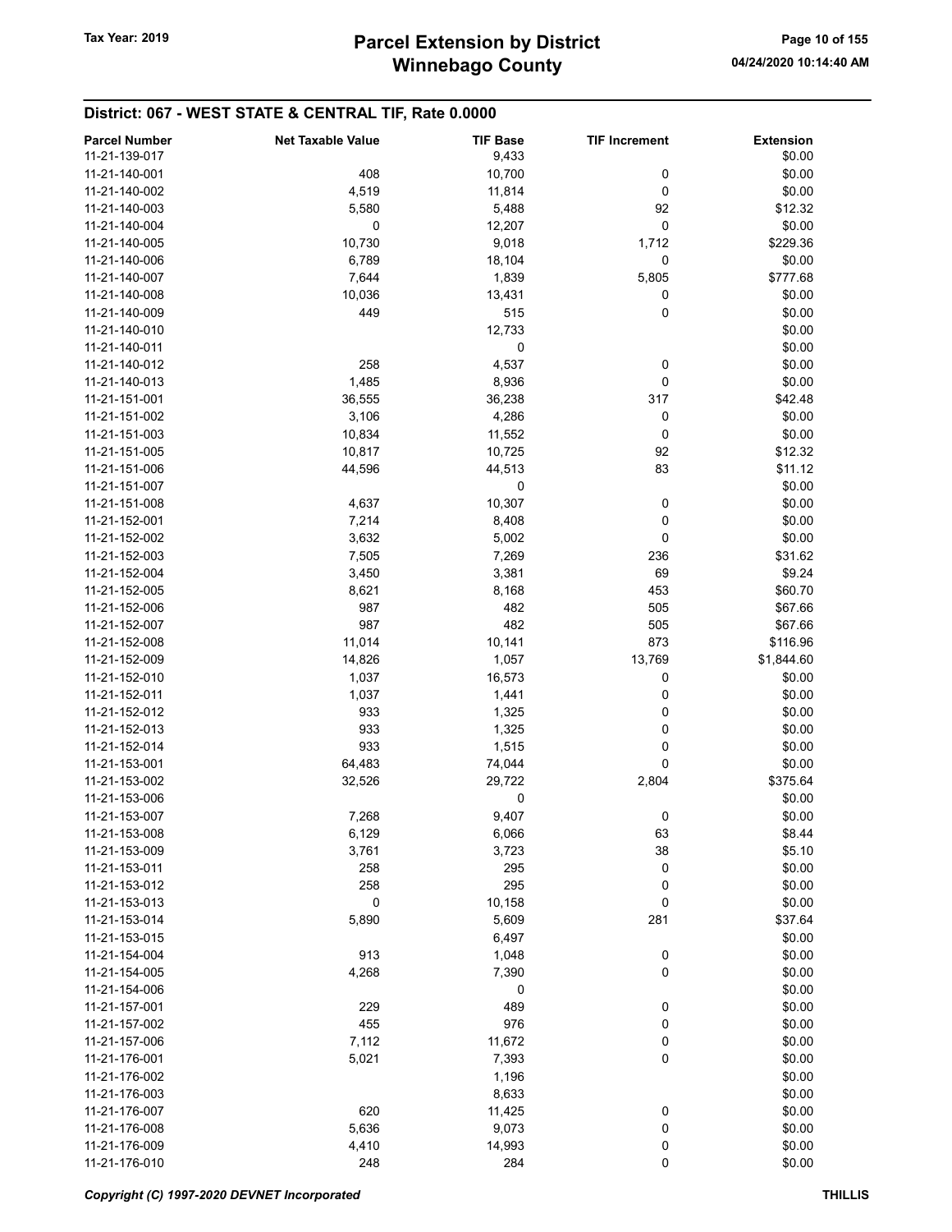| <b>Parcel Number</b><br>11-21-139-017 | <b>Net Taxable Value</b> | <b>TIF Base</b><br>9,433 | <b>TIF Increment</b> | <b>Extension</b><br>\$0.00 |
|---------------------------------------|--------------------------|--------------------------|----------------------|----------------------------|
| 11-21-140-001                         | 408                      | 10,700                   | 0                    | \$0.00                     |
| 11-21-140-002                         | 4,519                    | 11,814                   | 0                    | \$0.00                     |
| 11-21-140-003                         | 5,580                    | 5,488                    | 92                   | \$12.32                    |
| 11-21-140-004                         | 0                        | 12,207                   | 0                    | \$0.00                     |
| 11-21-140-005                         | 10,730                   | 9,018                    | 1,712                | \$229.36                   |
| 11-21-140-006                         | 6,789                    | 18,104                   | 0                    | \$0.00                     |
|                                       |                          |                          | 5,805                |                            |
| 11-21-140-007                         | 7,644                    | 1,839                    |                      | \$777.68                   |
| 11-21-140-008                         | 10,036                   | 13,431                   | 0                    | \$0.00                     |
| 11-21-140-009                         | 449                      | 515                      | 0                    | \$0.00                     |
| 11-21-140-010                         |                          | 12,733                   |                      | \$0.00                     |
| 11-21-140-011                         |                          | 0                        |                      | \$0.00                     |
| 11-21-140-012                         | 258                      | 4,537                    | 0                    | \$0.00                     |
| 11-21-140-013                         | 1,485                    | 8,936                    | 0                    | \$0.00                     |
| 11-21-151-001                         | 36,555                   | 36,238                   | 317                  | \$42.48                    |
| 11-21-151-002                         | 3,106                    | 4,286                    | 0                    | \$0.00                     |
| 11-21-151-003                         | 10,834                   | 11,552                   | 0                    | \$0.00                     |
| 11-21-151-005                         | 10,817                   | 10,725                   | 92                   | \$12.32                    |
| 11-21-151-006                         | 44,596                   | 44,513                   | 83                   | \$11.12                    |
| 11-21-151-007                         |                          | 0                        |                      | \$0.00                     |
| 11-21-151-008                         | 4,637                    | 10,307                   | 0                    | \$0.00                     |
| 11-21-152-001                         | 7,214                    | 8,408                    | 0                    | \$0.00                     |
| 11-21-152-002                         | 3,632                    | 5,002                    | 0                    | \$0.00                     |
| 11-21-152-003                         | 7,505                    | 7,269                    | 236                  | \$31.62                    |
| 11-21-152-004                         | 3,450                    | 3,381                    | 69                   | \$9.24                     |
| 11-21-152-005                         | 8,621                    | 8,168                    | 453                  | \$60.70                    |
| 11-21-152-006                         | 987                      | 482                      | 505                  | \$67.66                    |
| 11-21-152-007                         | 987                      | 482                      | 505                  | \$67.66                    |
| 11-21-152-008                         | 11,014                   | 10,141                   | 873                  | \$116.96                   |
| 11-21-152-009                         | 14,826                   | 1,057                    | 13,769               | \$1,844.60                 |
| 11-21-152-010                         | 1,037                    | 16,573                   | 0                    | \$0.00                     |
| 11-21-152-011                         | 1,037                    | 1,441                    | 0                    | \$0.00                     |
| 11-21-152-012                         | 933                      | 1,325                    | 0                    | \$0.00                     |
| 11-21-152-013                         | 933                      | 1,325                    | 0                    | \$0.00                     |
| 11-21-152-014                         | 933                      | 1,515                    | 0                    | \$0.00                     |
| 11-21-153-001                         | 64,483                   | 74,044                   | 0                    | \$0.00                     |
| 11-21-153-002                         | 32,526                   | 29,722                   | 2,804                | \$375.64                   |
| 11-21-153-006                         |                          | 0                        |                      | \$0.00                     |
| 11-21-153-007                         |                          | 9,407                    |                      | \$0.00                     |
| 11-21-153-008                         | 7,268                    |                          | 0                    | \$8.44                     |
|                                       | 6,129                    | 6,066                    | 63                   |                            |
| 11-21-153-009                         | 3,761                    | 3,723                    | 38                   | \$5.10                     |
| 11-21-153-011                         | 258                      | 295                      | 0                    | \$0.00                     |
| 11-21-153-012                         | 258                      | 295                      | 0                    | \$0.00                     |
| 11-21-153-013                         | 0                        | 10,158                   | 0                    | \$0.00                     |
| 11-21-153-014                         | 5,890                    | 5,609                    | 281                  | \$37.64                    |
| 11-21-153-015                         |                          | 6,497                    |                      | \$0.00                     |
| 11-21-154-004                         | 913                      | 1,048                    | 0                    | \$0.00                     |
| 11-21-154-005                         | 4,268                    | 7,390                    | 0                    | \$0.00                     |
| 11-21-154-006                         |                          | 0                        |                      | \$0.00                     |
| 11-21-157-001                         | 229                      | 489                      | 0                    | \$0.00                     |
| 11-21-157-002                         | 455                      | 976                      | 0                    | \$0.00                     |
| 11-21-157-006                         | 7,112                    | 11,672                   | 0                    | \$0.00                     |
| 11-21-176-001                         | 5,021                    | 7,393                    | $\mathbf 0$          | \$0.00                     |
| 11-21-176-002                         |                          | 1,196                    |                      | \$0.00                     |
| 11-21-176-003                         |                          | 8,633                    |                      | \$0.00                     |
| 11-21-176-007                         | 620                      | 11,425                   | 0                    | \$0.00                     |
| 11-21-176-008                         | 5,636                    | 9,073                    | 0                    | \$0.00                     |
| 11-21-176-009                         | 4,410                    | 14,993                   | 0                    | \$0.00                     |
| 11-21-176-010                         | 248                      | 284                      | 0                    | \$0.00                     |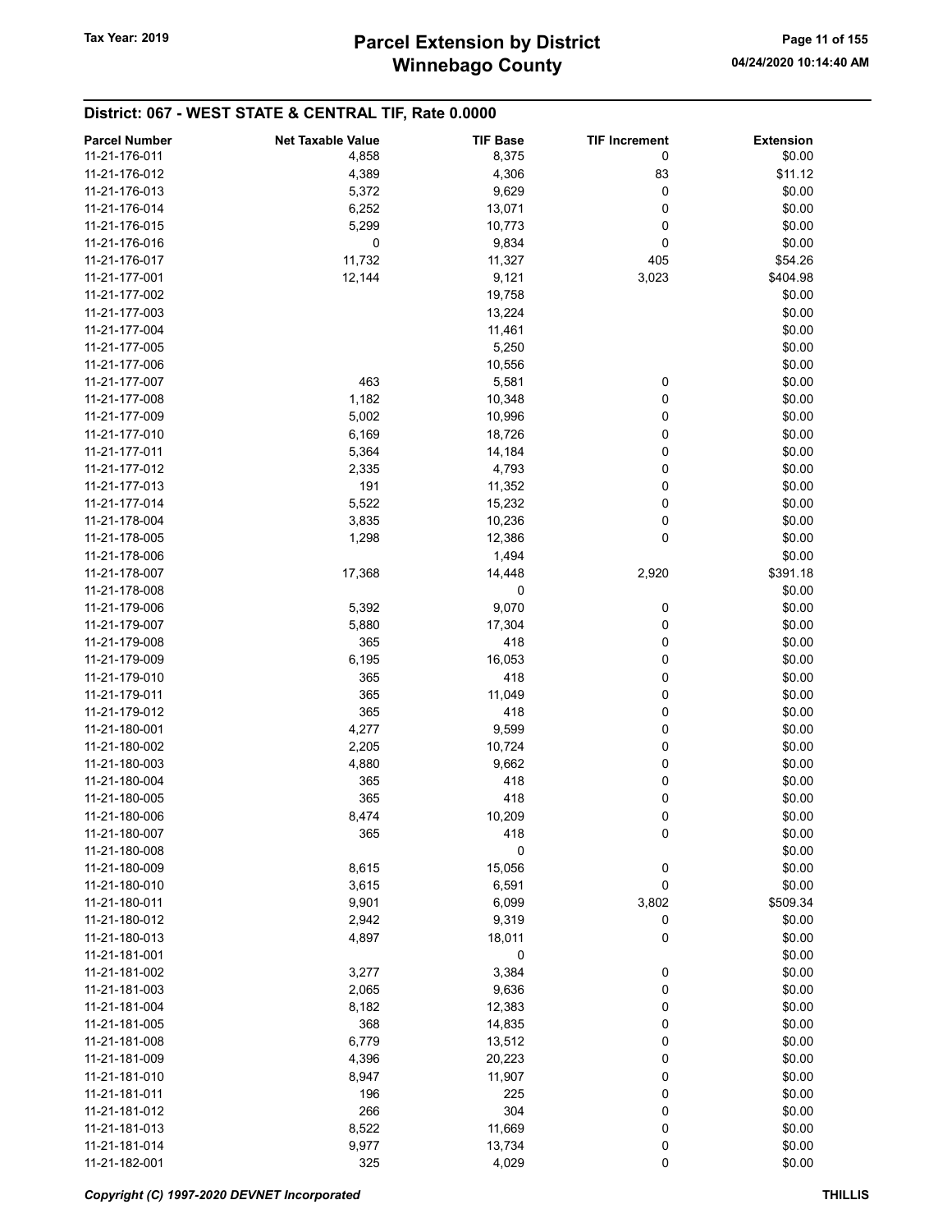| <b>Parcel Number</b> | <b>Net Taxable Value</b> | <b>TIF Base</b> | <b>TIF Increment</b> | <b>Extension</b> |
|----------------------|--------------------------|-----------------|----------------------|------------------|
| 11-21-176-011        | 4,858                    | 8,375           | 0                    | \$0.00           |
| 11-21-176-012        | 4,389                    | 4,306           | 83                   | \$11.12          |
| 11-21-176-013        | 5,372                    | 9,629           | 0                    | \$0.00           |
| 11-21-176-014        | 6,252                    | 13,071          | 0                    | \$0.00           |
| 11-21-176-015        |                          |                 | 0                    | \$0.00           |
|                      | 5,299                    | 10,773          |                      |                  |
| 11-21-176-016        | 0                        | 9,834           | 0                    | \$0.00           |
| 11-21-176-017        | 11,732                   | 11,327          | 405                  | \$54.26          |
| 11-21-177-001        | 12,144                   | 9,121           | 3,023                | \$404.98         |
| 11-21-177-002        |                          | 19,758          |                      | \$0.00           |
| 11-21-177-003        |                          | 13,224          |                      | \$0.00           |
| 11-21-177-004        |                          | 11,461          |                      | \$0.00           |
| 11-21-177-005        |                          | 5,250           |                      | \$0.00           |
| 11-21-177-006        |                          | 10,556          |                      | \$0.00           |
| 11-21-177-007        | 463                      | 5,581           | 0                    | \$0.00           |
| 11-21-177-008        | 1,182                    | 10,348          | 0                    | \$0.00           |
| 11-21-177-009        | 5,002                    | 10,996          | 0                    | \$0.00           |
| 11-21-177-010        | 6,169                    | 18,726          | 0                    | \$0.00           |
| 11-21-177-011        | 5,364                    | 14,184          | 0                    | \$0.00           |
| 11-21-177-012        | 2,335                    | 4,793           | 0                    | \$0.00           |
| 11-21-177-013        | 191                      | 11,352          | 0                    | \$0.00           |
| 11-21-177-014        | 5,522                    | 15,232          | 0                    | \$0.00           |
| 11-21-178-004        | 3,835                    | 10,236          | 0                    | \$0.00           |
| 11-21-178-005        | 1,298                    | 12,386          | 0                    | \$0.00           |
| 11-21-178-006        |                          | 1,494           |                      | \$0.00           |
| 11-21-178-007        | 17,368                   | 14,448          | 2,920                | \$391.18         |
| 11-21-178-008        |                          | 0               |                      | \$0.00           |
| 11-21-179-006        | 5,392                    | 9,070           | 0                    | \$0.00           |
| 11-21-179-007        | 5,880                    | 17,304          | 0                    | \$0.00           |
| 11-21-179-008        | 365                      | 418             | 0                    | \$0.00           |
| 11-21-179-009        | 6,195                    | 16,053          | 0                    | \$0.00           |
| 11-21-179-010        | 365                      | 418             | 0                    | \$0.00           |
| 11-21-179-011        | 365                      | 11,049          | 0                    | \$0.00           |
| 11-21-179-012        | 365                      | 418             | 0                    | \$0.00           |
| 11-21-180-001        | 4,277                    | 9,599           | 0                    | \$0.00           |
| 11-21-180-002        | 2,205                    | 10,724          | 0                    | \$0.00           |
| 11-21-180-003        | 4,880                    | 9,662           | 0                    | \$0.00           |
| 11-21-180-004        | 365                      | 418             | 0                    | \$0.00           |
| 11-21-180-005        | 365                      | 418             | 0                    | \$0.00           |
| 11-21-180-006        | 8,474                    | 10,209          | 0                    | \$0.00           |
| 11-21-180-007        | 365                      | 418             | 0                    | \$0.00           |
| 11-21-180-008        |                          | 0               |                      | \$0.00           |
| 11-21-180-009        | 8,615                    | 15,056          | 0                    | \$0.00           |
| 11-21-180-010        | 3,615                    | 6,591           | 0                    | \$0.00           |
| 11-21-180-011        | 9,901                    | 6,099           | 3,802                | \$509.34         |
| 11-21-180-012        | 2,942                    | 9,319           | 0                    | \$0.00           |
| 11-21-180-013        |                          |                 | 0                    | \$0.00           |
| 11-21-181-001        | 4,897                    | 18,011<br>0     |                      | \$0.00           |
| 11-21-181-002        |                          |                 |                      |                  |
|                      | 3,277                    | 3,384           | 0                    | \$0.00           |
| 11-21-181-003        | 2,065                    | 9,636           | 0                    | \$0.00           |
| 11-21-181-004        | 8,182                    | 12,383          | 0                    | \$0.00           |
| 11-21-181-005        | 368                      | 14,835          | 0                    | \$0.00           |
| 11-21-181-008        | 6,779                    | 13,512          | 0                    | \$0.00           |
| 11-21-181-009        | 4,396                    | 20,223          | 0                    | \$0.00           |
| 11-21-181-010        | 8,947                    | 11,907          | 0                    | \$0.00           |
| 11-21-181-011        | 196                      | 225             | 0                    | \$0.00           |
| 11-21-181-012        | 266                      | 304             | 0                    | \$0.00           |
| 11-21-181-013        | 8,522                    | 11,669          | 0                    | \$0.00           |
| 11-21-181-014        | 9,977                    | 13,734          | 0                    | \$0.00           |
| 11-21-182-001        | 325                      | 4,029           | 0                    | \$0.00           |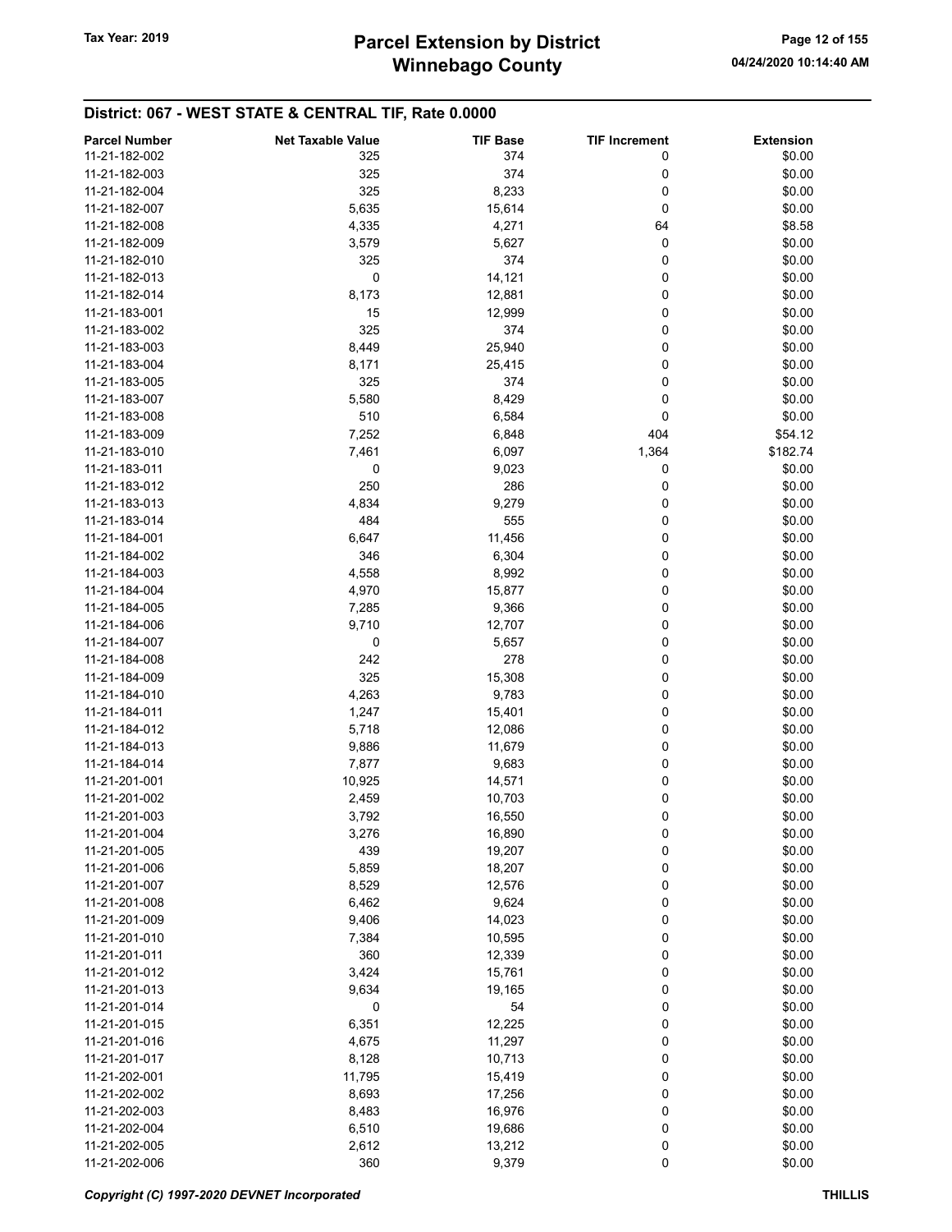| <b>Parcel Number</b> | <b>Net Taxable Value</b> | <b>TIF Base</b> | <b>TIF Increment</b> | <b>Extension</b> |
|----------------------|--------------------------|-----------------|----------------------|------------------|
| 11-21-182-002        | 325                      | 374             | 0                    | \$0.00           |
| 11-21-182-003        | 325                      | 374             | 0                    | \$0.00           |
| 11-21-182-004        | 325                      | 8,233           | 0                    | \$0.00           |
| 11-21-182-007        | 5,635                    | 15,614          | 0                    | \$0.00           |
|                      |                          |                 |                      |                  |
| 11-21-182-008        | 4,335                    | 4,271           | 64                   | \$8.58           |
| 11-21-182-009        | 3,579                    | 5,627           | 0                    | \$0.00           |
| 11-21-182-010        | 325                      | 374             | 0                    | \$0.00           |
| 11-21-182-013        | 0                        | 14,121          | 0                    | \$0.00           |
| 11-21-182-014        | 8,173                    | 12,881          | 0                    | \$0.00           |
| 11-21-183-001        | 15                       | 12,999          | 0                    | \$0.00           |
| 11-21-183-002        | 325                      | 374             | 0                    | \$0.00           |
| 11-21-183-003        | 8,449                    | 25,940          | 0                    | \$0.00           |
| 11-21-183-004        | 8,171                    | 25,415          | 0                    | \$0.00           |
| 11-21-183-005        | 325                      | 374             | 0                    | \$0.00           |
| 11-21-183-007        | 5,580                    | 8,429           | 0                    | \$0.00           |
| 11-21-183-008        | 510                      | 6,584           | 0                    | \$0.00           |
| 11-21-183-009        | 7,252                    | 6,848           | 404                  | \$54.12          |
| 11-21-183-010        | 7,461                    | 6,097           | 1,364                | \$182.74         |
| 11-21-183-011        | 0                        | 9,023           | 0                    | \$0.00           |
|                      |                          |                 |                      |                  |
| 11-21-183-012        | 250                      | 286             | 0                    | \$0.00           |
| 11-21-183-013        | 4,834                    | 9,279           | 0                    | \$0.00           |
| 11-21-183-014        | 484                      | 555             | 0                    | \$0.00           |
| 11-21-184-001        | 6,647                    | 11,456          | 0                    | \$0.00           |
| 11-21-184-002        | 346                      | 6,304           | 0                    | \$0.00           |
| 11-21-184-003        | 4,558                    | 8,992           | 0                    | \$0.00           |
| 11-21-184-004        | 4,970                    | 15,877          | 0                    | \$0.00           |
| 11-21-184-005        | 7,285                    | 9,366           | 0                    | \$0.00           |
| 11-21-184-006        | 9,710                    | 12,707          | 0                    | \$0.00           |
| 11-21-184-007        | 0                        | 5,657           | 0                    | \$0.00           |
| 11-21-184-008        | 242                      | 278             | 0                    | \$0.00           |
| 11-21-184-009        | 325                      | 15,308          | 0                    | \$0.00           |
| 11-21-184-010        | 4,263                    | 9,783           | 0                    | \$0.00           |
| 11-21-184-011        | 1,247                    | 15,401          | 0                    | \$0.00           |
| 11-21-184-012        | 5,718                    | 12,086          | 0                    | \$0.00           |
| 11-21-184-013        | 9,886                    | 11,679          | 0                    | \$0.00           |
| 11-21-184-014        |                          |                 |                      | \$0.00           |
|                      | 7,877                    | 9,683           | 0                    |                  |
| 11-21-201-001        | 10,925                   | 14,571          | 0                    | \$0.00           |
| 11-21-201-002        | 2,459                    | 10,703          | 0                    | \$0.00           |
| 11-21-201-003        | 3,792                    | 16,550          | 0                    | \$0.00           |
| 11-21-201-004        | 3,276                    | 16,890          | 0                    | \$0.00           |
| 11-21-201-005        | 439                      | 19,207          | 0                    | \$0.00           |
| 11-21-201-006        | 5,859                    | 18,207          | 0                    | \$0.00           |
| 11-21-201-007        | 8,529                    | 12,576          | 0                    | \$0.00           |
| 11-21-201-008        | 6,462                    | 9,624           | 0                    | \$0.00           |
| 11-21-201-009        | 9,406                    | 14,023          | 0                    | \$0.00           |
| 11-21-201-010        | 7,384                    | 10,595          | 0                    | \$0.00           |
| 11-21-201-011        | 360                      | 12,339          | 0                    | \$0.00           |
| 11-21-201-012        | 3,424                    | 15,761          | 0                    | \$0.00           |
| 11-21-201-013        | 9,634                    | 19,165          | 0                    | \$0.00           |
| 11-21-201-014        | 0                        | 54              | 0                    | \$0.00           |
| 11-21-201-015        | 6,351                    | 12,225          | 0                    | \$0.00           |
| 11-21-201-016        | 4,675                    | 11,297          | 0                    | \$0.00           |
|                      |                          |                 | 0                    |                  |
| 11-21-201-017        | 8,128                    | 10,713          |                      | \$0.00           |
| 11-21-202-001        | 11,795                   | 15,419          | 0                    | \$0.00           |
| 11-21-202-002        | 8,693                    | 17,256          | 0                    | \$0.00           |
| 11-21-202-003        | 8,483                    | 16,976          | 0                    | \$0.00           |
| 11-21-202-004        | 6,510                    | 19,686          | 0                    | \$0.00           |
| 11-21-202-005        | 2,612                    | 13,212          | 0                    | \$0.00           |
| 11-21-202-006        | 360                      | 9,379           | 0                    | \$0.00           |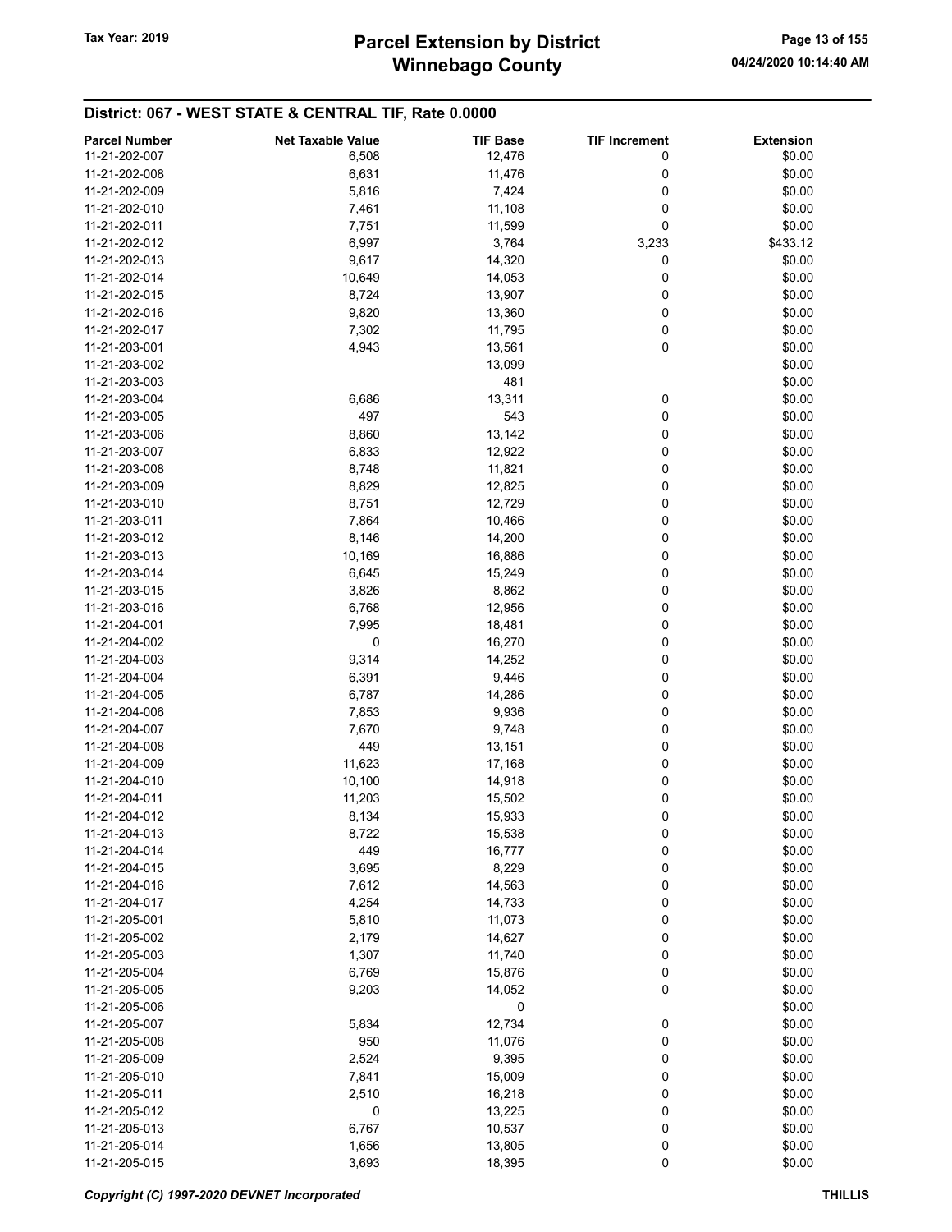| <b>Parcel Number</b> | <b>Net Taxable Value</b> | <b>TIF Base</b> | <b>TIF Increment</b> | <b>Extension</b> |
|----------------------|--------------------------|-----------------|----------------------|------------------|
| 11-21-202-007        | 6,508                    | 12,476          | 0                    | \$0.00           |
| 11-21-202-008        | 6,631                    | 11,476          | 0                    | \$0.00           |
| 11-21-202-009        |                          |                 | 0                    | \$0.00           |
|                      | 5,816                    | 7,424           |                      |                  |
| 11-21-202-010        | 7,461                    | 11,108          | 0                    | \$0.00           |
| 11-21-202-011        | 7,751                    | 11,599          | 0                    | \$0.00           |
| 11-21-202-012        | 6,997                    | 3,764           | 3,233                | \$433.12         |
| 11-21-202-013        | 9,617                    | 14,320          | 0                    | \$0.00           |
| 11-21-202-014        | 10,649                   | 14,053          | 0                    | \$0.00           |
| 11-21-202-015        | 8,724                    | 13,907          | 0                    | \$0.00           |
| 11-21-202-016        | 9,820                    | 13,360          | 0                    | \$0.00           |
| 11-21-202-017        | 7,302                    | 11,795          | 0                    | \$0.00           |
| 11-21-203-001        | 4,943                    | 13,561          | 0                    | \$0.00           |
| 11-21-203-002        |                          | 13,099          |                      | \$0.00           |
| 11-21-203-003        |                          | 481             |                      | \$0.00           |
| 11-21-203-004        | 6,686                    | 13,311          | 0                    | \$0.00           |
| 11-21-203-005        | 497                      | 543             | 0                    | \$0.00           |
| 11-21-203-006        |                          |                 | 0                    | \$0.00           |
|                      | 8,860                    | 13,142          |                      |                  |
| 11-21-203-007        | 6,833                    | 12,922          | 0                    | \$0.00           |
| 11-21-203-008        | 8,748                    | 11,821          | 0                    | \$0.00           |
| 11-21-203-009        | 8,829                    | 12,825          | 0                    | \$0.00           |
| 11-21-203-010        | 8,751                    | 12,729          | 0                    | \$0.00           |
| 11-21-203-011        | 7,864                    | 10,466          | 0                    | \$0.00           |
| 11-21-203-012        | 8,146                    | 14,200          | 0                    | \$0.00           |
| 11-21-203-013        | 10,169                   | 16,886          | 0                    | \$0.00           |
| 11-21-203-014        | 6,645                    | 15,249          | 0                    | \$0.00           |
| 11-21-203-015        | 3,826                    | 8,862           | 0                    | \$0.00           |
| 11-21-203-016        | 6,768                    | 12,956          | 0                    | \$0.00           |
| 11-21-204-001        | 7,995                    | 18,481          | 0                    | \$0.00           |
| 11-21-204-002        | 0                        | 16,270          | 0                    | \$0.00           |
| 11-21-204-003        | 9,314                    | 14,252          | 0                    | \$0.00           |
| 11-21-204-004        | 6,391                    | 9,446           | 0                    | \$0.00           |
|                      |                          |                 | 0                    | \$0.00           |
| 11-21-204-005        | 6,787                    | 14,286          |                      |                  |
| 11-21-204-006        | 7,853                    | 9,936           | 0                    | \$0.00           |
| 11-21-204-007        | 7,670                    | 9,748           | 0                    | \$0.00           |
| 11-21-204-008        | 449                      | 13,151          | 0                    | \$0.00           |
| 11-21-204-009        | 11,623                   | 17,168          | 0                    | \$0.00           |
| 11-21-204-010        | 10,100                   | 14,918          | 0                    | \$0.00           |
| 11-21-204-011        | 11,203                   | 15,502          | 0                    | \$0.00           |
| 11-21-204-012        | 8,134                    | 15,933          | 0                    | \$0.00           |
| 11-21-204-013        | 8,722                    | 15,538          | 0                    | \$0.00           |
| 11-21-204-014        | 449                      | 16,777          | 0                    | \$0.00           |
| 11-21-204-015        | 3,695                    | 8,229           | 0                    | \$0.00           |
| 11-21-204-016        | 7,612                    | 14,563          | 0                    | \$0.00           |
| 11-21-204-017        | 4,254                    | 14,733          | 0                    | \$0.00           |
| 11-21-205-001        | 5,810                    | 11,073          | 0                    | \$0.00           |
| 11-21-205-002        | 2,179                    | 14,627          | 0                    | \$0.00           |
|                      |                          |                 |                      |                  |
| 11-21-205-003        | 1,307                    | 11,740          | 0                    | \$0.00           |
| 11-21-205-004        | 6,769                    | 15,876          | 0                    | \$0.00           |
| 11-21-205-005        | 9,203                    | 14,052          | 0                    | \$0.00           |
| 11-21-205-006        |                          | 0               |                      | \$0.00           |
| 11-21-205-007        | 5,834                    | 12,734          | 0                    | \$0.00           |
| 11-21-205-008        | 950                      | 11,076          | 0                    | \$0.00           |
| 11-21-205-009        | 2,524                    | 9,395           | 0                    | \$0.00           |
| 11-21-205-010        | 7,841                    | 15,009          | 0                    | \$0.00           |
| 11-21-205-011        | 2,510                    | 16,218          | 0                    | \$0.00           |
| 11-21-205-012        | 0                        | 13,225          | 0                    | \$0.00           |
| 11-21-205-013        | 6,767                    | 10,537          | 0                    | \$0.00           |
| 11-21-205-014        | 1,656                    | 13,805          | 0                    | \$0.00           |
| 11-21-205-015        | 3,693                    | 18,395          | 0                    | \$0.00           |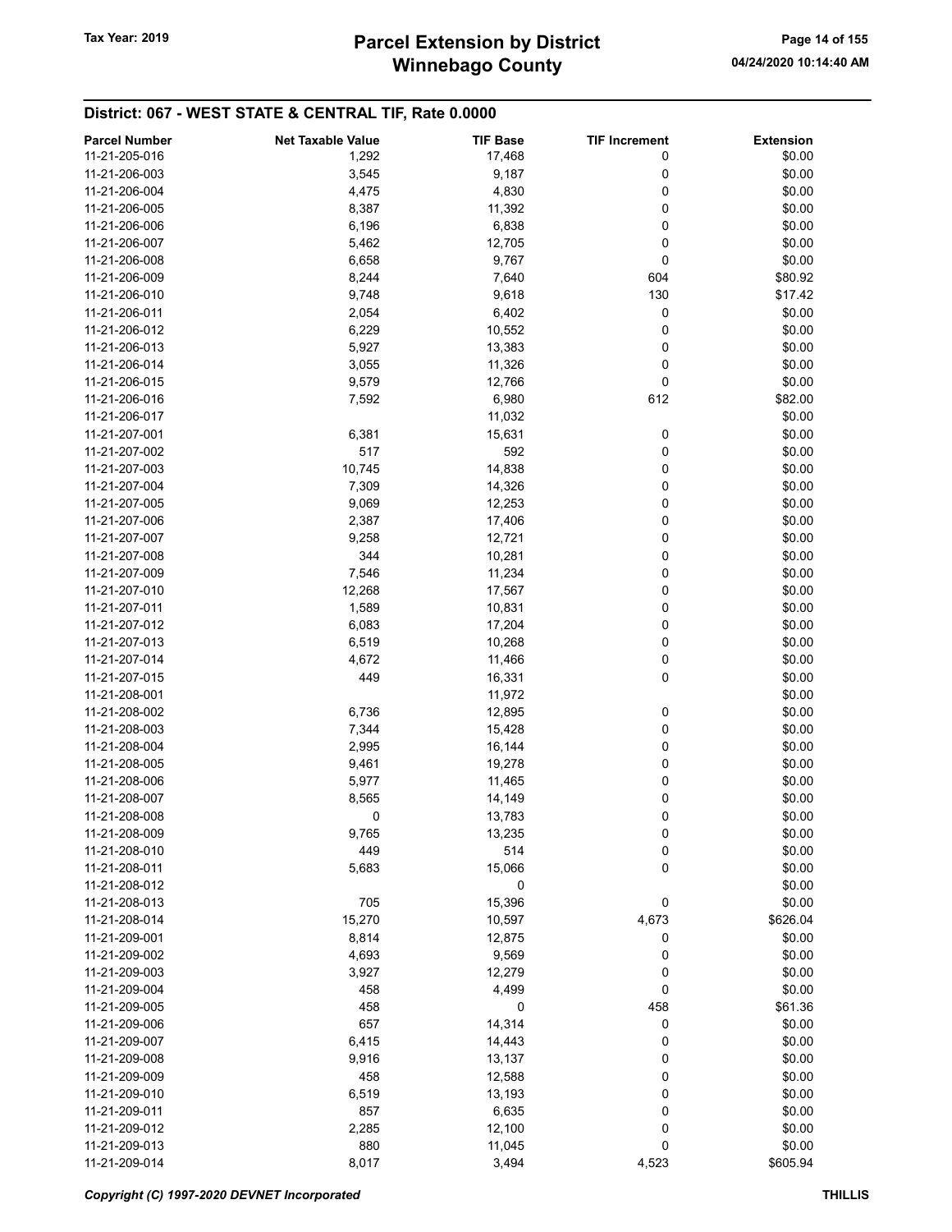# Winnebago County Tax Year: 2019 **Parcel Extension by District** Page 14 of 155

| <b>Parcel Number</b> | <b>Net Taxable Value</b> | <b>TIF Base</b> | <b>TIF Increment</b> | <b>Extension</b> |
|----------------------|--------------------------|-----------------|----------------------|------------------|
| 11-21-205-016        | 1,292                    | 17,468          | 0                    | \$0.00           |
| 11-21-206-003        | 3,545                    | 9,187           | 0                    | \$0.00           |
| 11-21-206-004        | 4,475                    | 4,830           | 0                    | \$0.00           |
| 11-21-206-005        | 8,387                    | 11,392          | 0                    | \$0.00           |
| 11-21-206-006        | 6,196                    | 6,838           | 0                    | \$0.00           |
|                      |                          |                 |                      |                  |
| 11-21-206-007        | 5,462                    | 12,705          | 0                    | \$0.00           |
| 11-21-206-008        | 6,658                    | 9,767           | 0                    | \$0.00           |
| 11-21-206-009        | 8,244                    | 7,640           | 604                  | \$80.92          |
| 11-21-206-010        | 9,748                    | 9,618           | 130                  | \$17.42          |
| 11-21-206-011        | 2,054                    | 6,402           | 0                    | \$0.00           |
| 11-21-206-012        | 6,229                    | 10,552          | 0                    | \$0.00           |
| 11-21-206-013        | 5,927                    | 13,383          | 0                    | \$0.00           |
| 11-21-206-014        | 3,055                    | 11,326          | 0                    | \$0.00           |
| 11-21-206-015        | 9,579                    | 12,766          | 0                    | \$0.00           |
| 11-21-206-016        | 7,592                    | 6,980           | 612                  | \$82.00          |
| 11-21-206-017        |                          | 11,032          |                      | \$0.00           |
| 11-21-207-001        | 6,381                    | 15,631          | 0                    | \$0.00           |
| 11-21-207-002        | 517                      | 592             | 0                    | \$0.00           |
| 11-21-207-003        | 10,745                   | 14,838          | 0                    | \$0.00           |
| 11-21-207-004        | 7,309                    | 14,326          | 0                    | \$0.00           |
|                      |                          |                 |                      |                  |
| 11-21-207-005        | 9,069                    | 12,253          | 0                    | \$0.00           |
| 11-21-207-006        | 2,387                    | 17,406          | 0                    | \$0.00           |
| 11-21-207-007        | 9,258                    | 12,721          | 0                    | \$0.00           |
| 11-21-207-008        | 344                      | 10,281          | 0                    | \$0.00           |
| 11-21-207-009        | 7,546                    | 11,234          | 0                    | \$0.00           |
| 11-21-207-010        | 12,268                   | 17,567          | 0                    | \$0.00           |
| 11-21-207-011        | 1,589                    | 10,831          | 0                    | \$0.00           |
| 11-21-207-012        | 6,083                    | 17,204          | 0                    | \$0.00           |
| 11-21-207-013        | 6,519                    | 10,268          | 0                    | \$0.00           |
| 11-21-207-014        | 4,672                    | 11,466          | 0                    | \$0.00           |
| 11-21-207-015        | 449                      | 16,331          | 0                    | \$0.00           |
| 11-21-208-001        |                          | 11,972          |                      | \$0.00           |
| 11-21-208-002        | 6,736                    | 12,895          | 0                    | \$0.00           |
| 11-21-208-003        | 7,344                    | 15,428          | 0                    | \$0.00           |
| 11-21-208-004        | 2,995                    | 16,144          | 0                    | \$0.00           |
|                      |                          |                 | 0                    |                  |
| 11-21-208-005        | 9,461                    | 19,278          |                      | \$0.00           |
| 11-21-208-006        | 5,977                    | 11,465          | 0                    | \$0.00           |
| 11-21-208-007        | 8,565                    | 14,149          | 0                    | \$0.00           |
| 11-21-208-008        | 0                        | 13,783          | 0                    | \$0.00           |
| 11-21-208-009        | 9,765                    | 13,235          | 0                    | \$0.00           |
| 11-21-208-010        | 449                      | 514             | 0                    | \$0.00           |
| 11-21-208-011        | 5,683                    | 15,066          | 0                    | \$0.00           |
| 11-21-208-012        |                          | 0               |                      | \$0.00           |
| 11-21-208-013        | 705                      | 15,396          | 0                    | \$0.00           |
| 11-21-208-014        | 15,270                   | 10,597          | 4,673                | \$626.04         |
| 11-21-209-001        | 8,814                    | 12,875          | 0                    | \$0.00           |
| 11-21-209-002        | 4,693                    | 9,569           | 0                    | \$0.00           |
| 11-21-209-003        | 3,927                    | 12,279          | 0                    | \$0.00           |
| 11-21-209-004        | 458                      | 4,499           | 0                    | \$0.00           |
| 11-21-209-005        | 458                      | 0               | 458                  | \$61.36          |
|                      |                          |                 |                      |                  |
| 11-21-209-006        | 657                      | 14,314          | 0                    | \$0.00           |
| 11-21-209-007        | 6,415                    | 14,443          | 0                    | \$0.00           |
| 11-21-209-008        | 9,916                    | 13,137          | 0                    | \$0.00           |
| 11-21-209-009        | 458                      | 12,588          | 0                    | \$0.00           |
| 11-21-209-010        | 6,519                    | 13,193          | 0                    | \$0.00           |
| 11-21-209-011        | 857                      | 6,635           | 0                    | \$0.00           |
| 11-21-209-012        | 2,285                    | 12,100          | 0                    | \$0.00           |
| 11-21-209-013        | 880                      | 11,045          | 0                    | \$0.00           |
| 11-21-209-014        | 8,017                    | 3,494           | 4,523                | \$605.94         |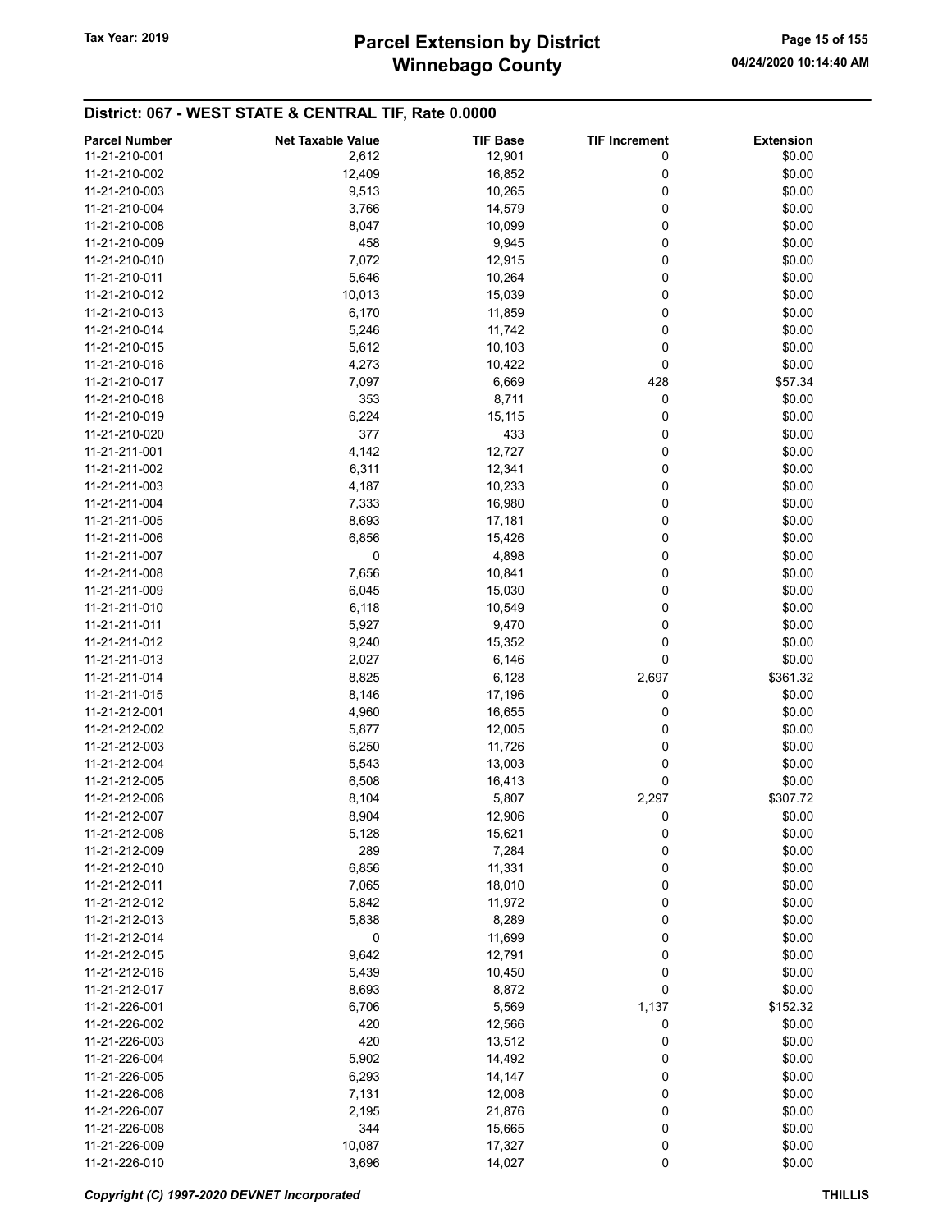# Winnebago County Tax Year: 2019 **Parcel Extension by District** Page 15 of 155

| <b>Parcel Number</b> | <b>Net Taxable Value</b> | <b>TIF Base</b> | <b>TIF Increment</b> | <b>Extension</b> |
|----------------------|--------------------------|-----------------|----------------------|------------------|
| 11-21-210-001        | 2,612                    | 12,901          | 0                    | \$0.00           |
| 11-21-210-002        | 12,409                   | 16,852          | 0                    | \$0.00           |
| 11-21-210-003        | 9,513                    | 10,265          | 0                    | \$0.00           |
| 11-21-210-004        | 3,766                    | 14,579          | 0                    | \$0.00           |
| 11-21-210-008        | 8,047                    | 10,099          | 0                    | \$0.00           |
|                      |                          |                 |                      |                  |
| 11-21-210-009        | 458                      | 9,945           | 0                    | \$0.00           |
| 11-21-210-010        | 7,072                    | 12,915          | 0                    | \$0.00           |
| 11-21-210-011        | 5,646                    | 10,264          | 0                    | \$0.00           |
| 11-21-210-012        | 10,013                   | 15,039          | 0                    | \$0.00           |
| 11-21-210-013        | 6,170                    | 11,859          | 0                    | \$0.00           |
| 11-21-210-014        | 5,246                    | 11,742          | 0                    | \$0.00           |
| 11-21-210-015        | 5,612                    | 10,103          | 0                    | \$0.00           |
| 11-21-210-016        | 4,273                    | 10,422          | 0                    | \$0.00           |
| 11-21-210-017        | 7,097                    | 6,669           | 428                  | \$57.34          |
| 11-21-210-018        | 353                      | 8,711           | 0                    | \$0.00           |
| 11-21-210-019        | 6,224                    | 15,115          | 0                    | \$0.00           |
| 11-21-210-020        | 377                      | 433             | 0                    | \$0.00           |
| 11-21-211-001        | 4,142                    | 12,727          | 0                    | \$0.00           |
| 11-21-211-002        | 6,311                    | 12,341          | 0                    | \$0.00           |
| 11-21-211-003        | 4,187                    | 10,233          | 0                    | \$0.00           |
| 11-21-211-004        | 7,333                    | 16,980          | 0                    | \$0.00           |
| 11-21-211-005        | 8,693                    | 17,181          | 0                    | \$0.00           |
| 11-21-211-006        | 6,856                    | 15,426          | 0                    | \$0.00           |
| 11-21-211-007        | 0                        | 4,898           | 0                    | \$0.00           |
| 11-21-211-008        | 7,656                    | 10,841          | 0                    | \$0.00           |
| 11-21-211-009        | 6,045                    | 15,030          | 0                    | \$0.00           |
| 11-21-211-010        | 6,118                    | 10,549          | 0                    | \$0.00           |
| 11-21-211-011        | 5,927                    | 9,470           | 0                    | \$0.00           |
| 11-21-211-012        | 9,240                    | 15,352          | 0                    | \$0.00           |
| 11-21-211-013        | 2,027                    | 6,146           | 0                    | \$0.00           |
| 11-21-211-014        | 8,825                    | 6,128           | 2,697                | \$361.32         |
| 11-21-211-015        | 8,146                    | 17,196          | 0                    | \$0.00           |
| 11-21-212-001        | 4,960                    | 16,655          | 0                    | \$0.00           |
| 11-21-212-002        | 5,877                    | 12,005          | 0                    | \$0.00           |
| 11-21-212-003        | 6,250                    | 11,726          | 0                    | \$0.00           |
| 11-21-212-004        | 5,543                    | 13,003          | 0                    | \$0.00           |
| 11-21-212-005        | 6,508                    | 16,413          | 0                    | \$0.00           |
| 11-21-212-006        |                          |                 |                      |                  |
|                      | 8,104                    | 5,807           | 2,297                | \$307.72         |
| 11-21-212-007        | 8,904                    | 12,906          | 0                    | \$0.00           |
| 11-21-212-008        | 5,128                    | 15,621          | 0                    | \$0.00           |
| 11-21-212-009        | 289                      | 7,284           | 0                    | \$0.00           |
| 11-21-212-010        | 6,856                    | 11,331          | 0                    | \$0.00           |
| 11-21-212-011        | 7,065                    | 18,010          | 0                    | \$0.00           |
| 11-21-212-012        | 5,842                    | 11,972          | 0                    | \$0.00           |
| 11-21-212-013        | 5,838                    | 8,289           | 0                    | \$0.00           |
| 11-21-212-014        | 0                        | 11,699          | 0                    | \$0.00           |
| 11-21-212-015        | 9,642                    | 12,791          | 0                    | \$0.00           |
| 11-21-212-016        | 5,439                    | 10,450          | 0                    | \$0.00           |
| 11-21-212-017        | 8,693                    | 8,872           | 0                    | \$0.00           |
| 11-21-226-001        | 6,706                    | 5,569           | 1,137                | \$152.32         |
| 11-21-226-002        | 420                      | 12,566          | 0                    | \$0.00           |
| 11-21-226-003        | 420                      | 13,512          | 0                    | \$0.00           |
| 11-21-226-004        | 5,902                    | 14,492          | 0                    | \$0.00           |
| 11-21-226-005        | 6,293                    | 14,147          | 0                    | \$0.00           |
| 11-21-226-006        | 7,131                    | 12,008          | 0                    | \$0.00           |
| 11-21-226-007        | 2,195                    | 21,876          | 0                    | \$0.00           |
| 11-21-226-008        | 344                      | 15,665          | 0                    | \$0.00           |
| 11-21-226-009        | 10,087                   | 17,327          | 0                    | \$0.00           |
| 11-21-226-010        | 3,696                    | 14,027          | 0                    | \$0.00           |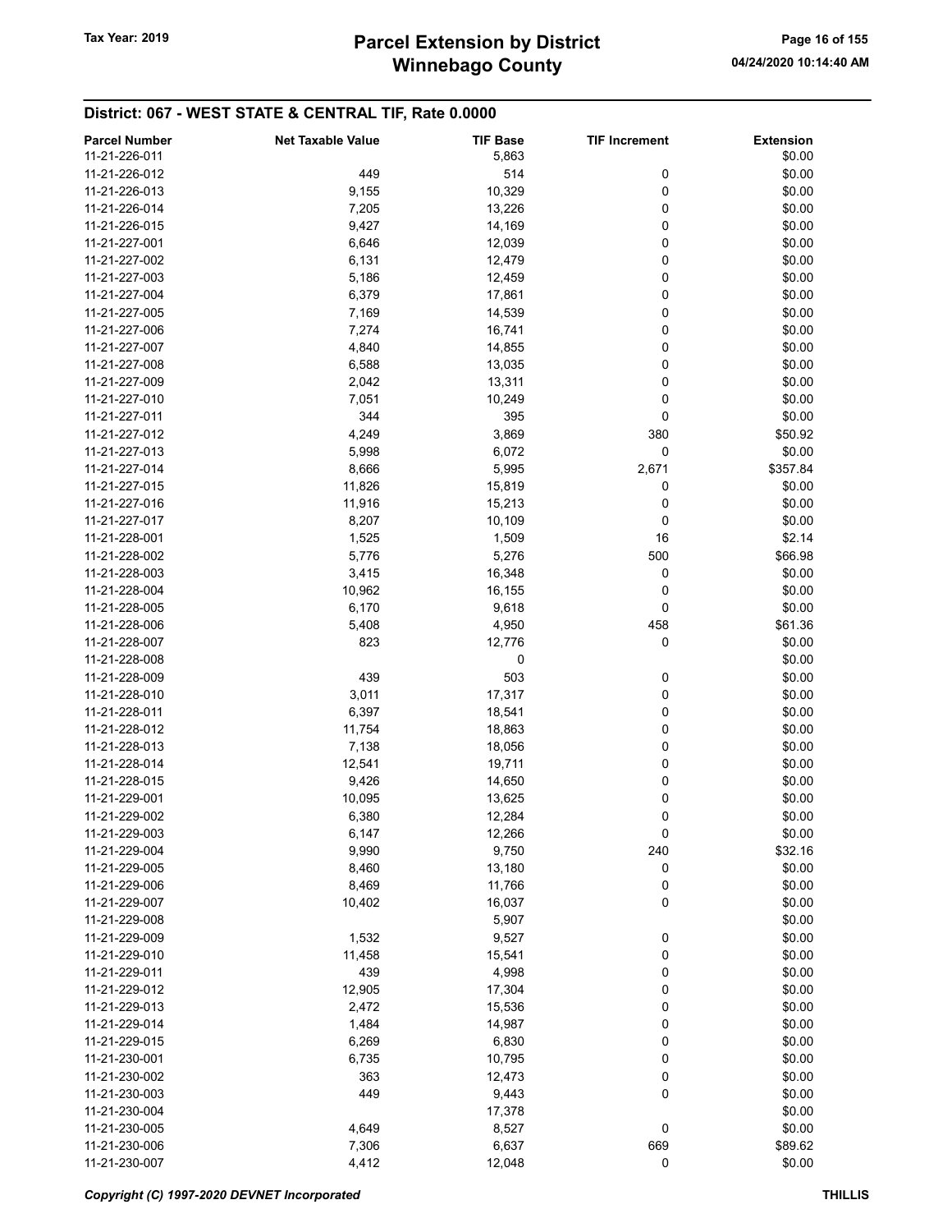| <b>Parcel Number</b> | <b>Net Taxable Value</b> | <b>TIF Base</b> | <b>TIF Increment</b> | <b>Extension</b> |
|----------------------|--------------------------|-----------------|----------------------|------------------|
| 11-21-226-011        |                          | 5,863           |                      | \$0.00           |
| 11-21-226-012        | 449                      | 514             | 0                    | \$0.00           |
| 11-21-226-013        | 9,155                    | 10,329          | 0                    | \$0.00           |
| 11-21-226-014        | 7,205                    | 13,226          | 0                    | \$0.00           |
| 11-21-226-015        |                          |                 |                      | \$0.00           |
|                      | 9,427                    | 14,169          | 0                    |                  |
| 11-21-227-001        | 6,646                    | 12,039          | 0                    | \$0.00           |
| 11-21-227-002        | 6,131                    | 12,479          | 0                    | \$0.00           |
| 11-21-227-003        | 5,186                    | 12,459          | 0                    | \$0.00           |
| 11-21-227-004        | 6,379                    | 17,861          | 0                    | \$0.00           |
| 11-21-227-005        | 7,169                    | 14,539          | 0                    | \$0.00           |
| 11-21-227-006        | 7,274                    | 16,741          | 0                    | \$0.00           |
| 11-21-227-007        | 4,840                    | 14,855          | 0                    | \$0.00           |
| 11-21-227-008        | 6,588                    | 13,035          | 0                    | \$0.00           |
| 11-21-227-009        | 2,042                    | 13,311          | 0                    | \$0.00           |
| 11-21-227-010        | 7,051                    | 10,249          | 0                    | \$0.00           |
| 11-21-227-011        | 344                      | 395             | 0                    | \$0.00           |
| 11-21-227-012        | 4,249                    | 3,869           | 380                  | \$50.92          |
| 11-21-227-013        | 5,998                    | 6,072           | 0                    | \$0.00           |
| 11-21-227-014        | 8,666                    | 5,995           | 2,671                | \$357.84         |
| 11-21-227-015        |                          |                 |                      |                  |
|                      | 11,826                   | 15,819          | 0                    | \$0.00           |
| 11-21-227-016        | 11,916                   | 15,213          | 0                    | \$0.00           |
| 11-21-227-017        | 8,207                    | 10,109          | 0                    | \$0.00           |
| 11-21-228-001        | 1,525                    | 1,509           | 16                   | \$2.14           |
| 11-21-228-002        | 5,776                    | 5,276           | 500                  | \$66.98          |
| 11-21-228-003        | 3,415                    | 16,348          | 0                    | \$0.00           |
| 11-21-228-004        | 10,962                   | 16,155          | 0                    | \$0.00           |
| 11-21-228-005        | 6,170                    | 9,618           | 0                    | \$0.00           |
| 11-21-228-006        | 5,408                    | 4,950           | 458                  | \$61.36          |
| 11-21-228-007        | 823                      | 12,776          | 0                    | \$0.00           |
| 11-21-228-008        |                          | 0               |                      | \$0.00           |
| 11-21-228-009        | 439                      | 503             | 0                    | \$0.00           |
| 11-21-228-010        | 3,011                    | 17,317          | 0                    | \$0.00           |
| 11-21-228-011        | 6,397                    | 18,541          | 0                    | \$0.00           |
| 11-21-228-012        | 11,754                   | 18,863          | 0                    | \$0.00           |
| 11-21-228-013        | 7,138                    | 18,056          | 0                    | \$0.00           |
|                      |                          |                 |                      |                  |
| 11-21-228-014        | 12,541                   | 19,711          | 0                    | \$0.00           |
| 11-21-228-015        | 9,426                    | 14,650          | 0                    | \$0.00           |
| 11-21-229-001        | 10,095                   | 13,625          | 0                    | \$0.00           |
| 11-21-229-002        | 6,380                    | 12,284          | 0                    | \$0.00           |
| 11-21-229-003        | 6,147                    | 12,266          | 0                    | \$0.00           |
| 11-21-229-004        | 9,990                    | 9,750           | 240                  | \$32.16          |
| 11-21-229-005        | 8,460                    | 13,180          | 0                    | \$0.00           |
| 11-21-229-006        | 8,469                    | 11,766          | 0                    | \$0.00           |
| 11-21-229-007        | 10,402                   | 16,037          | 0                    | \$0.00           |
| 11-21-229-008        |                          | 5,907           |                      | \$0.00           |
| 11-21-229-009        | 1,532                    | 9,527           | 0                    | \$0.00           |
| 11-21-229-010        | 11,458                   | 15,541          | 0                    | \$0.00           |
| 11-21-229-011        | 439                      | 4,998           | 0                    | \$0.00           |
| 11-21-229-012        | 12,905                   | 17,304          | 0                    | \$0.00           |
| 11-21-229-013        | 2,472                    | 15,536          | 0                    | \$0.00           |
| 11-21-229-014        |                          |                 | 0                    |                  |
|                      | 1,484                    | 14,987          |                      | \$0.00           |
| 11-21-229-015        | 6,269                    | 6,830           | 0                    | \$0.00           |
| 11-21-230-001        | 6,735                    | 10,795          | 0                    | \$0.00           |
| 11-21-230-002        | 363                      | 12,473          | 0                    | \$0.00           |
| 11-21-230-003        | 449                      | 9,443           | 0                    | \$0.00           |
| 11-21-230-004        |                          | 17,378          |                      | \$0.00           |
| 11-21-230-005        | 4,649                    | 8,527           | 0                    | \$0.00           |
| 11-21-230-006        | 7,306                    | 6,637           | 669                  | \$89.62          |
| 11-21-230-007        | 4,412                    | 12,048          | $\pmb{0}$            | \$0.00           |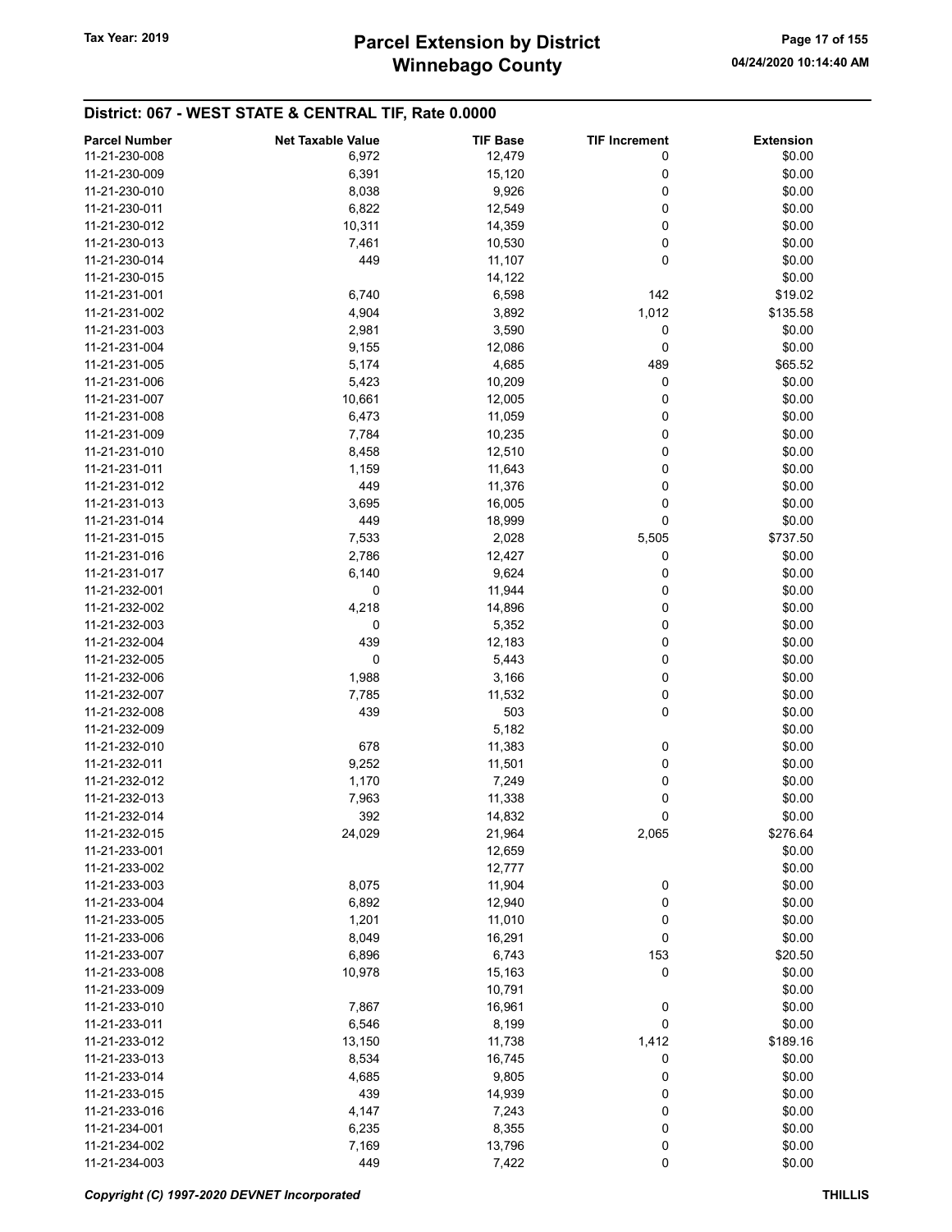| <b>Parcel Number</b> | <b>Net Taxable Value</b> | <b>TIF Base</b> | <b>TIF Increment</b> | <b>Extension</b> |
|----------------------|--------------------------|-----------------|----------------------|------------------|
| 11-21-230-008        | 6,972                    | 12,479          | 0                    | \$0.00           |
| 11-21-230-009        | 6,391                    | 15,120          | 0                    | \$0.00           |
| 11-21-230-010        | 8,038                    | 9,926           | 0                    | \$0.00           |
| 11-21-230-011        | 6,822                    | 12,549          | 0                    | \$0.00           |
| 11-21-230-012        | 10,311                   | 14,359          | 0                    | \$0.00           |
| 11-21-230-013        |                          |                 | 0                    | \$0.00           |
|                      | 7,461                    | 10,530          |                      |                  |
| 11-21-230-014        | 449                      | 11,107          | 0                    | \$0.00           |
| 11-21-230-015        |                          | 14,122          |                      | \$0.00           |
| 11-21-231-001        | 6,740                    | 6,598           | 142                  | \$19.02          |
| 11-21-231-002        | 4,904                    | 3,892           | 1,012                | \$135.58         |
| 11-21-231-003        | 2,981                    | 3,590           | 0                    | \$0.00           |
| 11-21-231-004        | 9,155                    | 12,086          | 0                    | \$0.00           |
| 11-21-231-005        | 5,174                    | 4,685           | 489                  | \$65.52          |
| 11-21-231-006        | 5,423                    | 10,209          | 0                    | \$0.00           |
| 11-21-231-007        | 10,661                   | 12,005          | 0                    | \$0.00           |
| 11-21-231-008        | 6,473                    | 11,059          | 0                    | \$0.00           |
| 11-21-231-009        | 7,784                    | 10,235          | 0                    | \$0.00           |
| 11-21-231-010        | 8,458                    | 12,510          | 0                    | \$0.00           |
| 11-21-231-011        | 1,159                    | 11,643          | 0                    | \$0.00           |
| 11-21-231-012        | 449                      | 11,376          | 0                    | \$0.00           |
| 11-21-231-013        | 3,695                    | 16,005          | 0                    | \$0.00           |
| 11-21-231-014        | 449                      | 18,999          | 0                    | \$0.00           |
| 11-21-231-015        | 7,533                    | 2,028           | 5,505                | \$737.50         |
| 11-21-231-016        | 2,786                    | 12,427          | 0                    | \$0.00           |
| 11-21-231-017        | 6,140                    | 9,624           | 0                    | \$0.00           |
| 11-21-232-001        | 0                        | 11,944          | 0                    | \$0.00           |
| 11-21-232-002        | 4,218                    | 14,896          | 0                    | \$0.00           |
| 11-21-232-003        | 0                        | 5,352           | 0                    | \$0.00           |
| 11-21-232-004        | 439                      | 12,183          | 0                    | \$0.00           |
| 11-21-232-005        | 0                        | 5,443           | 0                    | \$0.00           |
| 11-21-232-006        |                          | 3,166           |                      | \$0.00           |
| 11-21-232-007        | 1,988                    |                 | 0<br>0               | \$0.00           |
|                      | 7,785                    | 11,532          |                      |                  |
| 11-21-232-008        | 439                      | 503             | 0                    | \$0.00           |
| 11-21-232-009        |                          | 5,182           |                      | \$0.00           |
| 11-21-232-010        | 678                      | 11,383          | 0                    | \$0.00           |
| 11-21-232-011        | 9,252                    | 11,501          | 0                    | \$0.00           |
| 11-21-232-012        | 1,170                    | 7,249           | 0                    | \$0.00           |
| 11-21-232-013        | 7,963                    | 11,338          | 0                    | \$0.00           |
| 11-21-232-014        | 392                      | 14,832          | 0                    | \$0.00           |
| 11-21-232-015        | 24,029                   | 21,964          | 2,065                | \$276.64         |
| 11-21-233-001        |                          | 12,659          |                      | \$0.00           |
| 11-21-233-002        |                          | 12,777          |                      | \$0.00           |
| 11-21-233-003        | 8,075                    | 11,904          | 0                    | \$0.00           |
| 11-21-233-004        | 6,892                    | 12,940          | 0                    | \$0.00           |
| 11-21-233-005        | 1,201                    | 11,010          | 0                    | \$0.00           |
| 11-21-233-006        | 8,049                    | 16,291          | 0                    | \$0.00           |
| 11-21-233-007        | 6,896                    | 6,743           | 153                  | \$20.50          |
| 11-21-233-008        | 10,978                   | 15,163          | 0                    | \$0.00           |
| 11-21-233-009        |                          | 10,791          |                      | \$0.00           |
| 11-21-233-010        | 7,867                    | 16,961          | 0                    | \$0.00           |
| 11-21-233-011        | 6,546                    | 8,199           | 0                    | \$0.00           |
| 11-21-233-012        | 13,150                   | 11,738          | 1,412                | \$189.16         |
| 11-21-233-013        | 8,534                    | 16,745          | 0                    | \$0.00           |
| 11-21-233-014        | 4,685                    | 9,805           | 0                    | \$0.00           |
| 11-21-233-015        | 439                      | 14,939          | 0                    | \$0.00           |
| 11-21-233-016        | 4,147                    | 7,243           | 0                    | \$0.00           |
| 11-21-234-001        | 6,235                    | 8,355           | 0                    | \$0.00           |
| 11-21-234-002        | 7,169                    | 13,796          | 0                    | \$0.00           |
| 11-21-234-003        | 449                      | 7,422           | 0                    | \$0.00           |
|                      |                          |                 |                      |                  |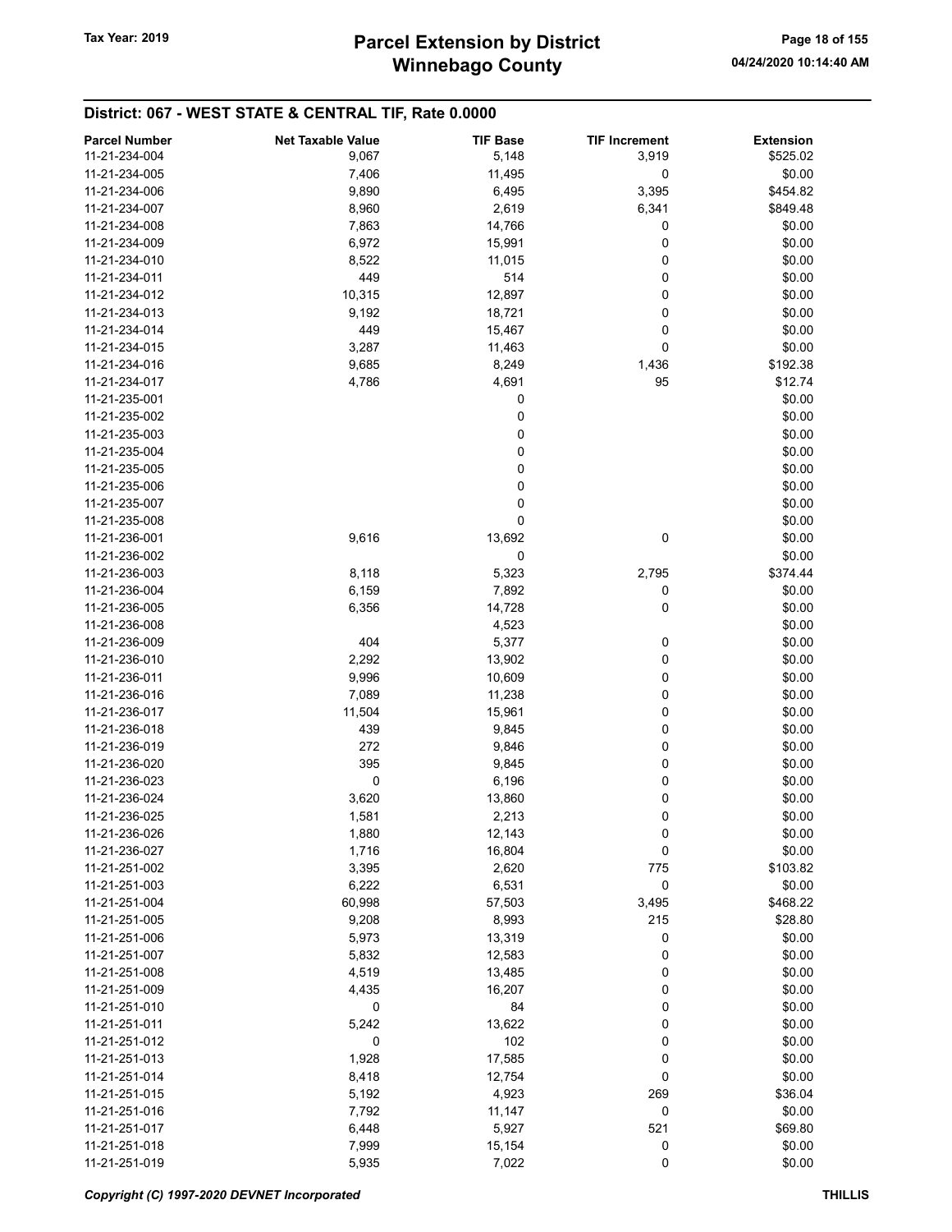# Winnebago County Tax Year: 2019 **Parcel Extension by District** Page 18 of 155

| 11-21-234-004<br>5,148<br>9,067<br>3,919<br>\$525.02<br>0<br>11-21-234-005<br>7,406<br>11,495<br>\$0.00<br>11-21-234-006<br>9,890<br>6,495<br>3,395<br>\$454.82<br>11-21-234-007<br>8,960<br>2,619<br>6,341<br>\$849.48<br>\$0.00<br>11-21-234-008<br>7,863<br>14,766<br>0<br>0<br>\$0.00<br>11-21-234-009<br>6,972<br>15,991<br>11-21-234-010<br>8,522<br>11,015<br>0<br>\$0.00<br>0<br>\$0.00<br>11-21-234-011<br>449<br>514<br>0<br>11-21-234-012<br>10,315<br>12,897<br>\$0.00<br>0<br>\$0.00<br>11-21-234-013<br>9,192<br>18,721<br>0<br>449<br>15,467<br>\$0.00<br>11-21-234-014<br>0<br>\$0.00<br>11-21-234-015<br>3,287<br>11,463<br>11-21-234-016<br>9,685<br>8,249<br>1,436<br>\$192.38<br>4,691<br>\$12.74<br>11-21-234-017<br>4,786<br>95<br>0<br>\$0.00<br>11-21-235-001<br>0<br>\$0.00<br>11-21-235-002<br>0<br>\$0.00<br>11-21-235-003<br>0<br>\$0.00<br>11-21-235-004<br>0<br>\$0.00<br>11-21-235-005<br>0<br>\$0.00<br>11-21-235-006<br>0<br>\$0.00<br>11-21-235-007<br>0<br>\$0.00<br>11-21-235-008<br>9,616<br>13,692<br>\$0.00<br>11-21-236-001<br>0<br>0<br>\$0.00<br>11-21-236-002<br>\$374.44<br>11-21-236-003<br>8,118<br>5,323<br>2,795<br>0<br>\$0.00<br>11-21-236-004<br>6,159<br>7,892<br>$\pmb{0}$<br>\$0.00<br>11-21-236-005<br>6,356<br>14,728<br>\$0.00<br>11-21-236-008<br>4,523<br>\$0.00<br>404<br>5,377<br>0<br>11-21-236-009<br>2,292<br>0<br>\$0.00<br>11-21-236-010<br>13,902<br>0<br>\$0.00<br>11-21-236-011<br>9,996<br>10,609<br>0<br>11-21-236-016<br>7,089<br>11,238<br>\$0.00<br>0<br>\$0.00<br>11,504<br>15,961<br>11-21-236-017<br>0<br>\$0.00<br>11-21-236-018<br>439<br>9,845<br>\$0.00<br>11-21-236-019<br>272<br>9,846<br>0<br>395<br>0<br>\$0.00<br>11-21-236-020<br>9,845<br>0<br>\$0.00<br>11-21-236-023<br>6,196<br>0<br>0<br>\$0.00<br>11-21-236-024<br>3,620<br>13,860<br>0<br>\$0.00<br>11-21-236-025<br>1,581<br>2,213<br>11-21-236-026<br>1,880<br>12,143<br>0<br>\$0.00<br>0<br>\$0.00<br>11-21-236-027<br>1,716<br>16,804<br>\$103.82<br>11-21-251-002<br>3,395<br>2,620<br>775<br>11-21-251-003<br>6,222<br>6,531<br>0<br>\$0.00<br>11-21-251-004<br>60,998<br>57,503<br>3,495<br>\$468.22<br>11-21-251-005<br>9,208<br>8,993<br>215<br>\$28.80<br>11-21-251-006<br>5,973<br>13,319<br>0<br>\$0.00<br>0<br>11-21-251-007<br>5,832<br>12,583<br>\$0.00<br>\$0.00<br>11-21-251-008<br>4,519<br>13,485<br>0<br>\$0.00<br>16,207<br>0<br>11-21-251-009<br>4,435<br>0<br>84<br>0<br>\$0.00<br>11-21-251-010<br>\$0.00<br>11-21-251-011<br>5,242<br>13,622<br>0<br>0<br>102<br>\$0.00<br>11-21-251-012<br>0<br>11-21-251-013<br>1,928<br>17,585<br>0<br>\$0.00<br>0<br>\$0.00<br>8,418<br>12,754<br>11-21-251-014<br>\$36.04<br>11-21-251-015<br>5,192<br>4,923<br>269<br>11-21-251-016<br>7,792<br>11,147<br>0<br>\$0.00<br>5,927<br>521<br>\$69.80<br>11-21-251-017<br>6,448<br>11-21-251-018<br>15,154<br>0<br>\$0.00<br>7,999 | <b>Parcel Number</b> | <b>Net Taxable Value</b> | <b>TIF Base</b> | <b>TIF Increment</b> | <b>Extension</b> |
|--------------------------------------------------------------------------------------------------------------------------------------------------------------------------------------------------------------------------------------------------------------------------------------------------------------------------------------------------------------------------------------------------------------------------------------------------------------------------------------------------------------------------------------------------------------------------------------------------------------------------------------------------------------------------------------------------------------------------------------------------------------------------------------------------------------------------------------------------------------------------------------------------------------------------------------------------------------------------------------------------------------------------------------------------------------------------------------------------------------------------------------------------------------------------------------------------------------------------------------------------------------------------------------------------------------------------------------------------------------------------------------------------------------------------------------------------------------------------------------------------------------------------------------------------------------------------------------------------------------------------------------------------------------------------------------------------------------------------------------------------------------------------------------------------------------------------------------------------------------------------------------------------------------------------------------------------------------------------------------------------------------------------------------------------------------------------------------------------------------------------------------------------------------------------------------------------------------------------------------------------------------------------------------------------------------------------------------------------------------------------------------------------------------------------------------------------------------------------------------------------------------------------------------------------------------------------------------------------------------------------------------------------------------------------------------------------------------------------------------------------------------------------------------------------------------------------------------------------------------------------------------------|----------------------|--------------------------|-----------------|----------------------|------------------|
|                                                                                                                                                                                                                                                                                                                                                                                                                                                                                                                                                                                                                                                                                                                                                                                                                                                                                                                                                                                                                                                                                                                                                                                                                                                                                                                                                                                                                                                                                                                                                                                                                                                                                                                                                                                                                                                                                                                                                                                                                                                                                                                                                                                                                                                                                                                                                                                                                                                                                                                                                                                                                                                                                                                                                                                                                                                                                            |                      |                          |                 |                      |                  |
|                                                                                                                                                                                                                                                                                                                                                                                                                                                                                                                                                                                                                                                                                                                                                                                                                                                                                                                                                                                                                                                                                                                                                                                                                                                                                                                                                                                                                                                                                                                                                                                                                                                                                                                                                                                                                                                                                                                                                                                                                                                                                                                                                                                                                                                                                                                                                                                                                                                                                                                                                                                                                                                                                                                                                                                                                                                                                            |                      |                          |                 |                      |                  |
|                                                                                                                                                                                                                                                                                                                                                                                                                                                                                                                                                                                                                                                                                                                                                                                                                                                                                                                                                                                                                                                                                                                                                                                                                                                                                                                                                                                                                                                                                                                                                                                                                                                                                                                                                                                                                                                                                                                                                                                                                                                                                                                                                                                                                                                                                                                                                                                                                                                                                                                                                                                                                                                                                                                                                                                                                                                                                            |                      |                          |                 |                      |                  |
|                                                                                                                                                                                                                                                                                                                                                                                                                                                                                                                                                                                                                                                                                                                                                                                                                                                                                                                                                                                                                                                                                                                                                                                                                                                                                                                                                                                                                                                                                                                                                                                                                                                                                                                                                                                                                                                                                                                                                                                                                                                                                                                                                                                                                                                                                                                                                                                                                                                                                                                                                                                                                                                                                                                                                                                                                                                                                            |                      |                          |                 |                      |                  |
|                                                                                                                                                                                                                                                                                                                                                                                                                                                                                                                                                                                                                                                                                                                                                                                                                                                                                                                                                                                                                                                                                                                                                                                                                                                                                                                                                                                                                                                                                                                                                                                                                                                                                                                                                                                                                                                                                                                                                                                                                                                                                                                                                                                                                                                                                                                                                                                                                                                                                                                                                                                                                                                                                                                                                                                                                                                                                            |                      |                          |                 |                      |                  |
|                                                                                                                                                                                                                                                                                                                                                                                                                                                                                                                                                                                                                                                                                                                                                                                                                                                                                                                                                                                                                                                                                                                                                                                                                                                                                                                                                                                                                                                                                                                                                                                                                                                                                                                                                                                                                                                                                                                                                                                                                                                                                                                                                                                                                                                                                                                                                                                                                                                                                                                                                                                                                                                                                                                                                                                                                                                                                            |                      |                          |                 |                      |                  |
|                                                                                                                                                                                                                                                                                                                                                                                                                                                                                                                                                                                                                                                                                                                                                                                                                                                                                                                                                                                                                                                                                                                                                                                                                                                                                                                                                                                                                                                                                                                                                                                                                                                                                                                                                                                                                                                                                                                                                                                                                                                                                                                                                                                                                                                                                                                                                                                                                                                                                                                                                                                                                                                                                                                                                                                                                                                                                            |                      |                          |                 |                      |                  |
|                                                                                                                                                                                                                                                                                                                                                                                                                                                                                                                                                                                                                                                                                                                                                                                                                                                                                                                                                                                                                                                                                                                                                                                                                                                                                                                                                                                                                                                                                                                                                                                                                                                                                                                                                                                                                                                                                                                                                                                                                                                                                                                                                                                                                                                                                                                                                                                                                                                                                                                                                                                                                                                                                                                                                                                                                                                                                            |                      |                          |                 |                      |                  |
|                                                                                                                                                                                                                                                                                                                                                                                                                                                                                                                                                                                                                                                                                                                                                                                                                                                                                                                                                                                                                                                                                                                                                                                                                                                                                                                                                                                                                                                                                                                                                                                                                                                                                                                                                                                                                                                                                                                                                                                                                                                                                                                                                                                                                                                                                                                                                                                                                                                                                                                                                                                                                                                                                                                                                                                                                                                                                            |                      |                          |                 |                      |                  |
|                                                                                                                                                                                                                                                                                                                                                                                                                                                                                                                                                                                                                                                                                                                                                                                                                                                                                                                                                                                                                                                                                                                                                                                                                                                                                                                                                                                                                                                                                                                                                                                                                                                                                                                                                                                                                                                                                                                                                                                                                                                                                                                                                                                                                                                                                                                                                                                                                                                                                                                                                                                                                                                                                                                                                                                                                                                                                            |                      |                          |                 |                      |                  |
|                                                                                                                                                                                                                                                                                                                                                                                                                                                                                                                                                                                                                                                                                                                                                                                                                                                                                                                                                                                                                                                                                                                                                                                                                                                                                                                                                                                                                                                                                                                                                                                                                                                                                                                                                                                                                                                                                                                                                                                                                                                                                                                                                                                                                                                                                                                                                                                                                                                                                                                                                                                                                                                                                                                                                                                                                                                                                            |                      |                          |                 |                      |                  |
|                                                                                                                                                                                                                                                                                                                                                                                                                                                                                                                                                                                                                                                                                                                                                                                                                                                                                                                                                                                                                                                                                                                                                                                                                                                                                                                                                                                                                                                                                                                                                                                                                                                                                                                                                                                                                                                                                                                                                                                                                                                                                                                                                                                                                                                                                                                                                                                                                                                                                                                                                                                                                                                                                                                                                                                                                                                                                            |                      |                          |                 |                      |                  |
|                                                                                                                                                                                                                                                                                                                                                                                                                                                                                                                                                                                                                                                                                                                                                                                                                                                                                                                                                                                                                                                                                                                                                                                                                                                                                                                                                                                                                                                                                                                                                                                                                                                                                                                                                                                                                                                                                                                                                                                                                                                                                                                                                                                                                                                                                                                                                                                                                                                                                                                                                                                                                                                                                                                                                                                                                                                                                            |                      |                          |                 |                      |                  |
|                                                                                                                                                                                                                                                                                                                                                                                                                                                                                                                                                                                                                                                                                                                                                                                                                                                                                                                                                                                                                                                                                                                                                                                                                                                                                                                                                                                                                                                                                                                                                                                                                                                                                                                                                                                                                                                                                                                                                                                                                                                                                                                                                                                                                                                                                                                                                                                                                                                                                                                                                                                                                                                                                                                                                                                                                                                                                            |                      |                          |                 |                      |                  |
|                                                                                                                                                                                                                                                                                                                                                                                                                                                                                                                                                                                                                                                                                                                                                                                                                                                                                                                                                                                                                                                                                                                                                                                                                                                                                                                                                                                                                                                                                                                                                                                                                                                                                                                                                                                                                                                                                                                                                                                                                                                                                                                                                                                                                                                                                                                                                                                                                                                                                                                                                                                                                                                                                                                                                                                                                                                                                            |                      |                          |                 |                      |                  |
|                                                                                                                                                                                                                                                                                                                                                                                                                                                                                                                                                                                                                                                                                                                                                                                                                                                                                                                                                                                                                                                                                                                                                                                                                                                                                                                                                                                                                                                                                                                                                                                                                                                                                                                                                                                                                                                                                                                                                                                                                                                                                                                                                                                                                                                                                                                                                                                                                                                                                                                                                                                                                                                                                                                                                                                                                                                                                            |                      |                          |                 |                      |                  |
|                                                                                                                                                                                                                                                                                                                                                                                                                                                                                                                                                                                                                                                                                                                                                                                                                                                                                                                                                                                                                                                                                                                                                                                                                                                                                                                                                                                                                                                                                                                                                                                                                                                                                                                                                                                                                                                                                                                                                                                                                                                                                                                                                                                                                                                                                                                                                                                                                                                                                                                                                                                                                                                                                                                                                                                                                                                                                            |                      |                          |                 |                      |                  |
|                                                                                                                                                                                                                                                                                                                                                                                                                                                                                                                                                                                                                                                                                                                                                                                                                                                                                                                                                                                                                                                                                                                                                                                                                                                                                                                                                                                                                                                                                                                                                                                                                                                                                                                                                                                                                                                                                                                                                                                                                                                                                                                                                                                                                                                                                                                                                                                                                                                                                                                                                                                                                                                                                                                                                                                                                                                                                            |                      |                          |                 |                      |                  |
|                                                                                                                                                                                                                                                                                                                                                                                                                                                                                                                                                                                                                                                                                                                                                                                                                                                                                                                                                                                                                                                                                                                                                                                                                                                                                                                                                                                                                                                                                                                                                                                                                                                                                                                                                                                                                                                                                                                                                                                                                                                                                                                                                                                                                                                                                                                                                                                                                                                                                                                                                                                                                                                                                                                                                                                                                                                                                            |                      |                          |                 |                      |                  |
|                                                                                                                                                                                                                                                                                                                                                                                                                                                                                                                                                                                                                                                                                                                                                                                                                                                                                                                                                                                                                                                                                                                                                                                                                                                                                                                                                                                                                                                                                                                                                                                                                                                                                                                                                                                                                                                                                                                                                                                                                                                                                                                                                                                                                                                                                                                                                                                                                                                                                                                                                                                                                                                                                                                                                                                                                                                                                            |                      |                          |                 |                      |                  |
|                                                                                                                                                                                                                                                                                                                                                                                                                                                                                                                                                                                                                                                                                                                                                                                                                                                                                                                                                                                                                                                                                                                                                                                                                                                                                                                                                                                                                                                                                                                                                                                                                                                                                                                                                                                                                                                                                                                                                                                                                                                                                                                                                                                                                                                                                                                                                                                                                                                                                                                                                                                                                                                                                                                                                                                                                                                                                            |                      |                          |                 |                      |                  |
|                                                                                                                                                                                                                                                                                                                                                                                                                                                                                                                                                                                                                                                                                                                                                                                                                                                                                                                                                                                                                                                                                                                                                                                                                                                                                                                                                                                                                                                                                                                                                                                                                                                                                                                                                                                                                                                                                                                                                                                                                                                                                                                                                                                                                                                                                                                                                                                                                                                                                                                                                                                                                                                                                                                                                                                                                                                                                            |                      |                          |                 |                      |                  |
|                                                                                                                                                                                                                                                                                                                                                                                                                                                                                                                                                                                                                                                                                                                                                                                                                                                                                                                                                                                                                                                                                                                                                                                                                                                                                                                                                                                                                                                                                                                                                                                                                                                                                                                                                                                                                                                                                                                                                                                                                                                                                                                                                                                                                                                                                                                                                                                                                                                                                                                                                                                                                                                                                                                                                                                                                                                                                            |                      |                          |                 |                      |                  |
|                                                                                                                                                                                                                                                                                                                                                                                                                                                                                                                                                                                                                                                                                                                                                                                                                                                                                                                                                                                                                                                                                                                                                                                                                                                                                                                                                                                                                                                                                                                                                                                                                                                                                                                                                                                                                                                                                                                                                                                                                                                                                                                                                                                                                                                                                                                                                                                                                                                                                                                                                                                                                                                                                                                                                                                                                                                                                            |                      |                          |                 |                      |                  |
|                                                                                                                                                                                                                                                                                                                                                                                                                                                                                                                                                                                                                                                                                                                                                                                                                                                                                                                                                                                                                                                                                                                                                                                                                                                                                                                                                                                                                                                                                                                                                                                                                                                                                                                                                                                                                                                                                                                                                                                                                                                                                                                                                                                                                                                                                                                                                                                                                                                                                                                                                                                                                                                                                                                                                                                                                                                                                            |                      |                          |                 |                      |                  |
|                                                                                                                                                                                                                                                                                                                                                                                                                                                                                                                                                                                                                                                                                                                                                                                                                                                                                                                                                                                                                                                                                                                                                                                                                                                                                                                                                                                                                                                                                                                                                                                                                                                                                                                                                                                                                                                                                                                                                                                                                                                                                                                                                                                                                                                                                                                                                                                                                                                                                                                                                                                                                                                                                                                                                                                                                                                                                            |                      |                          |                 |                      |                  |
|                                                                                                                                                                                                                                                                                                                                                                                                                                                                                                                                                                                                                                                                                                                                                                                                                                                                                                                                                                                                                                                                                                                                                                                                                                                                                                                                                                                                                                                                                                                                                                                                                                                                                                                                                                                                                                                                                                                                                                                                                                                                                                                                                                                                                                                                                                                                                                                                                                                                                                                                                                                                                                                                                                                                                                                                                                                                                            |                      |                          |                 |                      |                  |
|                                                                                                                                                                                                                                                                                                                                                                                                                                                                                                                                                                                                                                                                                                                                                                                                                                                                                                                                                                                                                                                                                                                                                                                                                                                                                                                                                                                                                                                                                                                                                                                                                                                                                                                                                                                                                                                                                                                                                                                                                                                                                                                                                                                                                                                                                                                                                                                                                                                                                                                                                                                                                                                                                                                                                                                                                                                                                            |                      |                          |                 |                      |                  |
|                                                                                                                                                                                                                                                                                                                                                                                                                                                                                                                                                                                                                                                                                                                                                                                                                                                                                                                                                                                                                                                                                                                                                                                                                                                                                                                                                                                                                                                                                                                                                                                                                                                                                                                                                                                                                                                                                                                                                                                                                                                                                                                                                                                                                                                                                                                                                                                                                                                                                                                                                                                                                                                                                                                                                                                                                                                                                            |                      |                          |                 |                      |                  |
|                                                                                                                                                                                                                                                                                                                                                                                                                                                                                                                                                                                                                                                                                                                                                                                                                                                                                                                                                                                                                                                                                                                                                                                                                                                                                                                                                                                                                                                                                                                                                                                                                                                                                                                                                                                                                                                                                                                                                                                                                                                                                                                                                                                                                                                                                                                                                                                                                                                                                                                                                                                                                                                                                                                                                                                                                                                                                            |                      |                          |                 |                      |                  |
|                                                                                                                                                                                                                                                                                                                                                                                                                                                                                                                                                                                                                                                                                                                                                                                                                                                                                                                                                                                                                                                                                                                                                                                                                                                                                                                                                                                                                                                                                                                                                                                                                                                                                                                                                                                                                                                                                                                                                                                                                                                                                                                                                                                                                                                                                                                                                                                                                                                                                                                                                                                                                                                                                                                                                                                                                                                                                            |                      |                          |                 |                      |                  |
|                                                                                                                                                                                                                                                                                                                                                                                                                                                                                                                                                                                                                                                                                                                                                                                                                                                                                                                                                                                                                                                                                                                                                                                                                                                                                                                                                                                                                                                                                                                                                                                                                                                                                                                                                                                                                                                                                                                                                                                                                                                                                                                                                                                                                                                                                                                                                                                                                                                                                                                                                                                                                                                                                                                                                                                                                                                                                            |                      |                          |                 |                      |                  |
|                                                                                                                                                                                                                                                                                                                                                                                                                                                                                                                                                                                                                                                                                                                                                                                                                                                                                                                                                                                                                                                                                                                                                                                                                                                                                                                                                                                                                                                                                                                                                                                                                                                                                                                                                                                                                                                                                                                                                                                                                                                                                                                                                                                                                                                                                                                                                                                                                                                                                                                                                                                                                                                                                                                                                                                                                                                                                            |                      |                          |                 |                      |                  |
|                                                                                                                                                                                                                                                                                                                                                                                                                                                                                                                                                                                                                                                                                                                                                                                                                                                                                                                                                                                                                                                                                                                                                                                                                                                                                                                                                                                                                                                                                                                                                                                                                                                                                                                                                                                                                                                                                                                                                                                                                                                                                                                                                                                                                                                                                                                                                                                                                                                                                                                                                                                                                                                                                                                                                                                                                                                                                            |                      |                          |                 |                      |                  |
|                                                                                                                                                                                                                                                                                                                                                                                                                                                                                                                                                                                                                                                                                                                                                                                                                                                                                                                                                                                                                                                                                                                                                                                                                                                                                                                                                                                                                                                                                                                                                                                                                                                                                                                                                                                                                                                                                                                                                                                                                                                                                                                                                                                                                                                                                                                                                                                                                                                                                                                                                                                                                                                                                                                                                                                                                                                                                            |                      |                          |                 |                      |                  |
|                                                                                                                                                                                                                                                                                                                                                                                                                                                                                                                                                                                                                                                                                                                                                                                                                                                                                                                                                                                                                                                                                                                                                                                                                                                                                                                                                                                                                                                                                                                                                                                                                                                                                                                                                                                                                                                                                                                                                                                                                                                                                                                                                                                                                                                                                                                                                                                                                                                                                                                                                                                                                                                                                                                                                                                                                                                                                            |                      |                          |                 |                      |                  |
|                                                                                                                                                                                                                                                                                                                                                                                                                                                                                                                                                                                                                                                                                                                                                                                                                                                                                                                                                                                                                                                                                                                                                                                                                                                                                                                                                                                                                                                                                                                                                                                                                                                                                                                                                                                                                                                                                                                                                                                                                                                                                                                                                                                                                                                                                                                                                                                                                                                                                                                                                                                                                                                                                                                                                                                                                                                                                            |                      |                          |                 |                      |                  |
|                                                                                                                                                                                                                                                                                                                                                                                                                                                                                                                                                                                                                                                                                                                                                                                                                                                                                                                                                                                                                                                                                                                                                                                                                                                                                                                                                                                                                                                                                                                                                                                                                                                                                                                                                                                                                                                                                                                                                                                                                                                                                                                                                                                                                                                                                                                                                                                                                                                                                                                                                                                                                                                                                                                                                                                                                                                                                            |                      |                          |                 |                      |                  |
|                                                                                                                                                                                                                                                                                                                                                                                                                                                                                                                                                                                                                                                                                                                                                                                                                                                                                                                                                                                                                                                                                                                                                                                                                                                                                                                                                                                                                                                                                                                                                                                                                                                                                                                                                                                                                                                                                                                                                                                                                                                                                                                                                                                                                                                                                                                                                                                                                                                                                                                                                                                                                                                                                                                                                                                                                                                                                            |                      |                          |                 |                      |                  |
|                                                                                                                                                                                                                                                                                                                                                                                                                                                                                                                                                                                                                                                                                                                                                                                                                                                                                                                                                                                                                                                                                                                                                                                                                                                                                                                                                                                                                                                                                                                                                                                                                                                                                                                                                                                                                                                                                                                                                                                                                                                                                                                                                                                                                                                                                                                                                                                                                                                                                                                                                                                                                                                                                                                                                                                                                                                                                            |                      |                          |                 |                      |                  |
|                                                                                                                                                                                                                                                                                                                                                                                                                                                                                                                                                                                                                                                                                                                                                                                                                                                                                                                                                                                                                                                                                                                                                                                                                                                                                                                                                                                                                                                                                                                                                                                                                                                                                                                                                                                                                                                                                                                                                                                                                                                                                                                                                                                                                                                                                                                                                                                                                                                                                                                                                                                                                                                                                                                                                                                                                                                                                            |                      |                          |                 |                      |                  |
|                                                                                                                                                                                                                                                                                                                                                                                                                                                                                                                                                                                                                                                                                                                                                                                                                                                                                                                                                                                                                                                                                                                                                                                                                                                                                                                                                                                                                                                                                                                                                                                                                                                                                                                                                                                                                                                                                                                                                                                                                                                                                                                                                                                                                                                                                                                                                                                                                                                                                                                                                                                                                                                                                                                                                                                                                                                                                            |                      |                          |                 |                      |                  |
|                                                                                                                                                                                                                                                                                                                                                                                                                                                                                                                                                                                                                                                                                                                                                                                                                                                                                                                                                                                                                                                                                                                                                                                                                                                                                                                                                                                                                                                                                                                                                                                                                                                                                                                                                                                                                                                                                                                                                                                                                                                                                                                                                                                                                                                                                                                                                                                                                                                                                                                                                                                                                                                                                                                                                                                                                                                                                            |                      |                          |                 |                      |                  |
|                                                                                                                                                                                                                                                                                                                                                                                                                                                                                                                                                                                                                                                                                                                                                                                                                                                                                                                                                                                                                                                                                                                                                                                                                                                                                                                                                                                                                                                                                                                                                                                                                                                                                                                                                                                                                                                                                                                                                                                                                                                                                                                                                                                                                                                                                                                                                                                                                                                                                                                                                                                                                                                                                                                                                                                                                                                                                            |                      |                          |                 |                      |                  |
|                                                                                                                                                                                                                                                                                                                                                                                                                                                                                                                                                                                                                                                                                                                                                                                                                                                                                                                                                                                                                                                                                                                                                                                                                                                                                                                                                                                                                                                                                                                                                                                                                                                                                                                                                                                                                                                                                                                                                                                                                                                                                                                                                                                                                                                                                                                                                                                                                                                                                                                                                                                                                                                                                                                                                                                                                                                                                            |                      |                          |                 |                      |                  |
|                                                                                                                                                                                                                                                                                                                                                                                                                                                                                                                                                                                                                                                                                                                                                                                                                                                                                                                                                                                                                                                                                                                                                                                                                                                                                                                                                                                                                                                                                                                                                                                                                                                                                                                                                                                                                                                                                                                                                                                                                                                                                                                                                                                                                                                                                                                                                                                                                                                                                                                                                                                                                                                                                                                                                                                                                                                                                            |                      |                          |                 |                      |                  |
|                                                                                                                                                                                                                                                                                                                                                                                                                                                                                                                                                                                                                                                                                                                                                                                                                                                                                                                                                                                                                                                                                                                                                                                                                                                                                                                                                                                                                                                                                                                                                                                                                                                                                                                                                                                                                                                                                                                                                                                                                                                                                                                                                                                                                                                                                                                                                                                                                                                                                                                                                                                                                                                                                                                                                                                                                                                                                            |                      |                          |                 |                      |                  |
|                                                                                                                                                                                                                                                                                                                                                                                                                                                                                                                                                                                                                                                                                                                                                                                                                                                                                                                                                                                                                                                                                                                                                                                                                                                                                                                                                                                                                                                                                                                                                                                                                                                                                                                                                                                                                                                                                                                                                                                                                                                                                                                                                                                                                                                                                                                                                                                                                                                                                                                                                                                                                                                                                                                                                                                                                                                                                            |                      |                          |                 |                      |                  |
|                                                                                                                                                                                                                                                                                                                                                                                                                                                                                                                                                                                                                                                                                                                                                                                                                                                                                                                                                                                                                                                                                                                                                                                                                                                                                                                                                                                                                                                                                                                                                                                                                                                                                                                                                                                                                                                                                                                                                                                                                                                                                                                                                                                                                                                                                                                                                                                                                                                                                                                                                                                                                                                                                                                                                                                                                                                                                            |                      |                          |                 |                      |                  |
|                                                                                                                                                                                                                                                                                                                                                                                                                                                                                                                                                                                                                                                                                                                                                                                                                                                                                                                                                                                                                                                                                                                                                                                                                                                                                                                                                                                                                                                                                                                                                                                                                                                                                                                                                                                                                                                                                                                                                                                                                                                                                                                                                                                                                                                                                                                                                                                                                                                                                                                                                                                                                                                                                                                                                                                                                                                                                            |                      |                          |                 |                      |                  |
|                                                                                                                                                                                                                                                                                                                                                                                                                                                                                                                                                                                                                                                                                                                                                                                                                                                                                                                                                                                                                                                                                                                                                                                                                                                                                                                                                                                                                                                                                                                                                                                                                                                                                                                                                                                                                                                                                                                                                                                                                                                                                                                                                                                                                                                                                                                                                                                                                                                                                                                                                                                                                                                                                                                                                                                                                                                                                            |                      |                          |                 |                      |                  |
|                                                                                                                                                                                                                                                                                                                                                                                                                                                                                                                                                                                                                                                                                                                                                                                                                                                                                                                                                                                                                                                                                                                                                                                                                                                                                                                                                                                                                                                                                                                                                                                                                                                                                                                                                                                                                                                                                                                                                                                                                                                                                                                                                                                                                                                                                                                                                                                                                                                                                                                                                                                                                                                                                                                                                                                                                                                                                            |                      |                          |                 |                      |                  |
|                                                                                                                                                                                                                                                                                                                                                                                                                                                                                                                                                                                                                                                                                                                                                                                                                                                                                                                                                                                                                                                                                                                                                                                                                                                                                                                                                                                                                                                                                                                                                                                                                                                                                                                                                                                                                                                                                                                                                                                                                                                                                                                                                                                                                                                                                                                                                                                                                                                                                                                                                                                                                                                                                                                                                                                                                                                                                            |                      |                          |                 |                      |                  |
|                                                                                                                                                                                                                                                                                                                                                                                                                                                                                                                                                                                                                                                                                                                                                                                                                                                                                                                                                                                                                                                                                                                                                                                                                                                                                                                                                                                                                                                                                                                                                                                                                                                                                                                                                                                                                                                                                                                                                                                                                                                                                                                                                                                                                                                                                                                                                                                                                                                                                                                                                                                                                                                                                                                                                                                                                                                                                            |                      |                          |                 |                      |                  |
|                                                                                                                                                                                                                                                                                                                                                                                                                                                                                                                                                                                                                                                                                                                                                                                                                                                                                                                                                                                                                                                                                                                                                                                                                                                                                                                                                                                                                                                                                                                                                                                                                                                                                                                                                                                                                                                                                                                                                                                                                                                                                                                                                                                                                                                                                                                                                                                                                                                                                                                                                                                                                                                                                                                                                                                                                                                                                            |                      |                          |                 |                      |                  |
|                                                                                                                                                                                                                                                                                                                                                                                                                                                                                                                                                                                                                                                                                                                                                                                                                                                                                                                                                                                                                                                                                                                                                                                                                                                                                                                                                                                                                                                                                                                                                                                                                                                                                                                                                                                                                                                                                                                                                                                                                                                                                                                                                                                                                                                                                                                                                                                                                                                                                                                                                                                                                                                                                                                                                                                                                                                                                            |                      |                          |                 |                      |                  |
|                                                                                                                                                                                                                                                                                                                                                                                                                                                                                                                                                                                                                                                                                                                                                                                                                                                                                                                                                                                                                                                                                                                                                                                                                                                                                                                                                                                                                                                                                                                                                                                                                                                                                                                                                                                                                                                                                                                                                                                                                                                                                                                                                                                                                                                                                                                                                                                                                                                                                                                                                                                                                                                                                                                                                                                                                                                                                            |                      |                          |                 |                      |                  |
|                                                                                                                                                                                                                                                                                                                                                                                                                                                                                                                                                                                                                                                                                                                                                                                                                                                                                                                                                                                                                                                                                                                                                                                                                                                                                                                                                                                                                                                                                                                                                                                                                                                                                                                                                                                                                                                                                                                                                                                                                                                                                                                                                                                                                                                                                                                                                                                                                                                                                                                                                                                                                                                                                                                                                                                                                                                                                            |                      |                          |                 |                      |                  |
|                                                                                                                                                                                                                                                                                                                                                                                                                                                                                                                                                                                                                                                                                                                                                                                                                                                                                                                                                                                                                                                                                                                                                                                                                                                                                                                                                                                                                                                                                                                                                                                                                                                                                                                                                                                                                                                                                                                                                                                                                                                                                                                                                                                                                                                                                                                                                                                                                                                                                                                                                                                                                                                                                                                                                                                                                                                                                            |                      |                          |                 |                      |                  |
|                                                                                                                                                                                                                                                                                                                                                                                                                                                                                                                                                                                                                                                                                                                                                                                                                                                                                                                                                                                                                                                                                                                                                                                                                                                                                                                                                                                                                                                                                                                                                                                                                                                                                                                                                                                                                                                                                                                                                                                                                                                                                                                                                                                                                                                                                                                                                                                                                                                                                                                                                                                                                                                                                                                                                                                                                                                                                            |                      |                          |                 |                      |                  |
|                                                                                                                                                                                                                                                                                                                                                                                                                                                                                                                                                                                                                                                                                                                                                                                                                                                                                                                                                                                                                                                                                                                                                                                                                                                                                                                                                                                                                                                                                                                                                                                                                                                                                                                                                                                                                                                                                                                                                                                                                                                                                                                                                                                                                                                                                                                                                                                                                                                                                                                                                                                                                                                                                                                                                                                                                                                                                            |                      |                          |                 |                      |                  |
|                                                                                                                                                                                                                                                                                                                                                                                                                                                                                                                                                                                                                                                                                                                                                                                                                                                                                                                                                                                                                                                                                                                                                                                                                                                                                                                                                                                                                                                                                                                                                                                                                                                                                                                                                                                                                                                                                                                                                                                                                                                                                                                                                                                                                                                                                                                                                                                                                                                                                                                                                                                                                                                                                                                                                                                                                                                                                            |                      |                          |                 |                      |                  |
|                                                                                                                                                                                                                                                                                                                                                                                                                                                                                                                                                                                                                                                                                                                                                                                                                                                                                                                                                                                                                                                                                                                                                                                                                                                                                                                                                                                                                                                                                                                                                                                                                                                                                                                                                                                                                                                                                                                                                                                                                                                                                                                                                                                                                                                                                                                                                                                                                                                                                                                                                                                                                                                                                                                                                                                                                                                                                            |                      |                          |                 |                      |                  |
|                                                                                                                                                                                                                                                                                                                                                                                                                                                                                                                                                                                                                                                                                                                                                                                                                                                                                                                                                                                                                                                                                                                                                                                                                                                                                                                                                                                                                                                                                                                                                                                                                                                                                                                                                                                                                                                                                                                                                                                                                                                                                                                                                                                                                                                                                                                                                                                                                                                                                                                                                                                                                                                                                                                                                                                                                                                                                            | 11-21-251-019        | 5,935                    | 7,022           | 0                    | \$0.00           |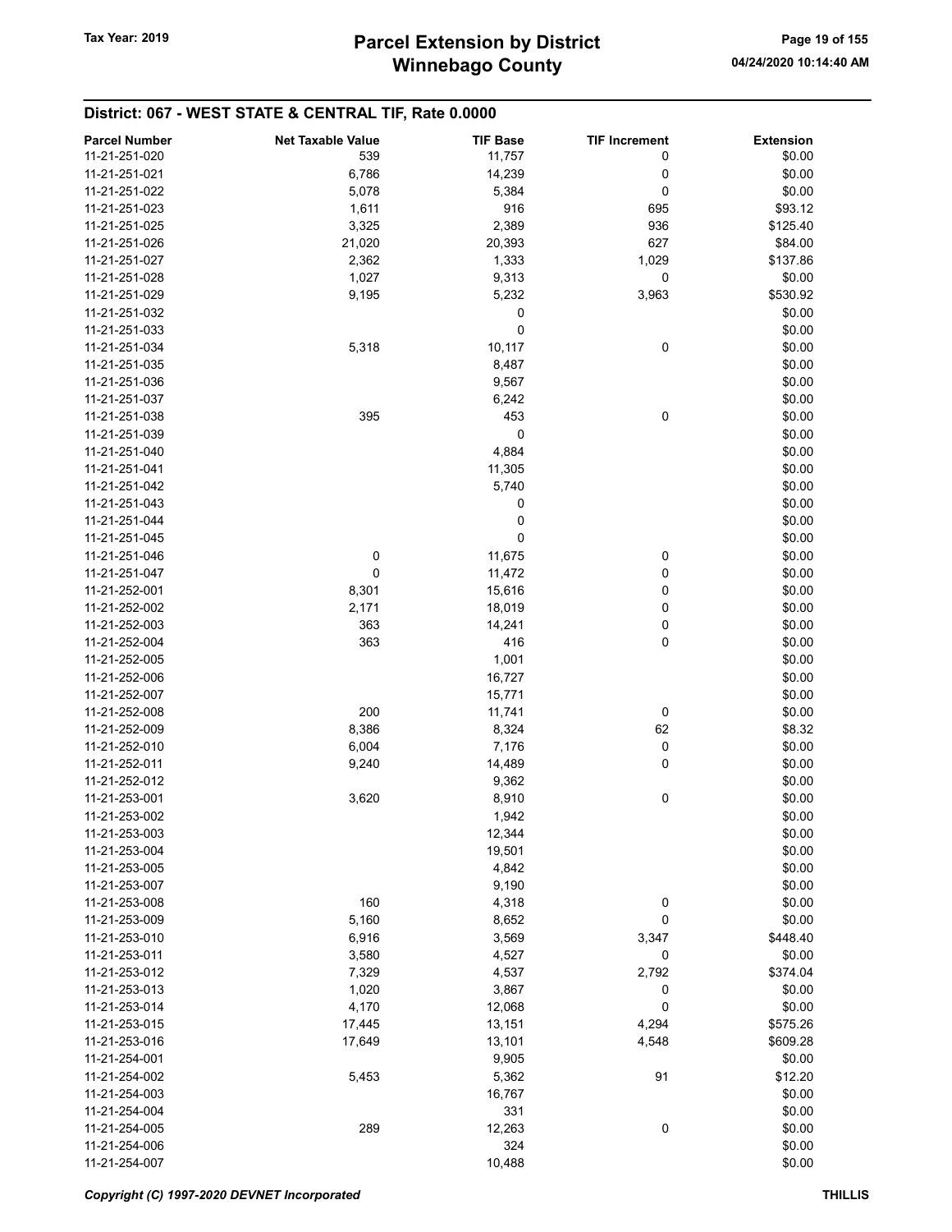| <b>Parcel Number</b> | <b>Net Taxable Value</b> | <b>TIF Base</b> | <b>TIF Increment</b> | <b>Extension</b> |
|----------------------|--------------------------|-----------------|----------------------|------------------|
| 11-21-251-020        | 539                      | 11,757          | 0                    | \$0.00           |
| 11-21-251-021        | 6,786                    | 14,239          | 0                    | \$0.00           |
| 11-21-251-022        | 5,078                    | 5,384           | 0                    | \$0.00           |
| 11-21-251-023        | 1,611                    | 916             | 695                  | \$93.12          |
| 11-21-251-025        | 3,325                    | 2,389           | 936                  | \$125.40         |
| 11-21-251-026        | 21,020                   |                 | 627                  | \$84.00          |
| 11-21-251-027        | 2,362                    | 20,393<br>1,333 | 1,029                | \$137.86         |
|                      |                          |                 |                      |                  |
| 11-21-251-028        | 1,027                    | 9,313           | 0                    | \$0.00           |
| 11-21-251-029        | 9,195                    | 5,232           | 3,963                | \$530.92         |
| 11-21-251-032        |                          | 0               |                      | \$0.00           |
| 11-21-251-033        |                          | 0               |                      | \$0.00           |
| 11-21-251-034        | 5,318                    | 10,117          | 0                    | \$0.00           |
| 11-21-251-035        |                          | 8,487           |                      | \$0.00           |
| 11-21-251-036        |                          | 9,567           |                      | \$0.00           |
| 11-21-251-037        |                          | 6,242           |                      | \$0.00           |
| 11-21-251-038        | 395                      | 453             | $\mathbf 0$          | \$0.00           |
| 11-21-251-039        |                          | 0               |                      | \$0.00           |
| 11-21-251-040        |                          | 4,884           |                      | \$0.00           |
| 11-21-251-041        |                          | 11,305          |                      | \$0.00           |
| 11-21-251-042        |                          | 5,740           |                      | \$0.00           |
| 11-21-251-043        |                          | 0               |                      | \$0.00           |
| 11-21-251-044        |                          | 0               |                      | \$0.00           |
| 11-21-251-045        |                          | 0               |                      | \$0.00           |
| 11-21-251-046        | 0                        | 11,675          | 0                    | \$0.00           |
| 11-21-251-047        | 0                        | 11,472          | 0                    | \$0.00           |
| 11-21-252-001        | 8,301                    | 15,616          | 0                    | \$0.00           |
| 11-21-252-002        | 2,171                    | 18,019          | 0                    | \$0.00           |
| 11-21-252-003        | 363                      | 14,241          | 0                    | \$0.00           |
| 11-21-252-004        | 363                      | 416             | 0                    | \$0.00           |
| 11-21-252-005        |                          | 1,001           |                      | \$0.00           |
| 11-21-252-006        |                          | 16,727          |                      | \$0.00           |
| 11-21-252-007        |                          | 15,771          |                      | \$0.00           |
| 11-21-252-008        | 200                      | 11,741          | 0                    | \$0.00           |
| 11-21-252-009        | 8,386                    | 8,324           | 62                   | \$8.32           |
| 11-21-252-010        | 6,004                    | 7,176           | 0                    | \$0.00           |
| 11-21-252-011        | 9,240                    | 14,489          | 0                    | \$0.00           |
| 11-21-252-012        |                          | 9,362           |                      | \$0.00           |
| 11-21-253-001        | 3,620                    | 8,910           | $\pmb{0}$            | \$0.00           |
| 11-21-253-002        |                          | 1,942           |                      | \$0.00           |
| 11-21-253-003        |                          | 12,344          |                      | \$0.00           |
| 11-21-253-004        |                          | 19,501          |                      | \$0.00           |
| 11-21-253-005        |                          | 4,842           |                      | \$0.00           |
| 11-21-253-007        |                          | 9,190           |                      | \$0.00           |
| 11-21-253-008        | 160                      | 4,318           | 0                    | \$0.00           |
| 11-21-253-009        | 5,160                    | 8,652           | 0                    | \$0.00           |
| 11-21-253-010        | 6,916                    | 3,569           | 3,347                | \$448.40         |
| 11-21-253-011        | 3,580                    | 4,527           | 0                    | \$0.00           |
| 11-21-253-012        | 7,329                    | 4,537           | 2,792                | \$374.04         |
| 11-21-253-013        | 1,020                    | 3,867           | 0                    | \$0.00           |
| 11-21-253-014        | 4,170                    | 12,068          | 0                    | \$0.00           |
| 11-21-253-015        | 17,445                   | 13,151          | 4,294                | \$575.26         |
| 11-21-253-016        | 17,649                   | 13,101          | 4,548                | \$609.28         |
| 11-21-254-001        |                          | 9,905           |                      | \$0.00           |
| 11-21-254-002        | 5,453                    | 5,362           | 91                   | \$12.20          |
| 11-21-254-003        |                          | 16,767          |                      | \$0.00           |
| 11-21-254-004        |                          | 331             |                      | \$0.00           |
| 11-21-254-005        | 289                      | 12,263          | 0                    | \$0.00           |
| 11-21-254-006        |                          | 324             |                      | \$0.00           |
| 11-21-254-007        |                          | 10,488          |                      | \$0.00           |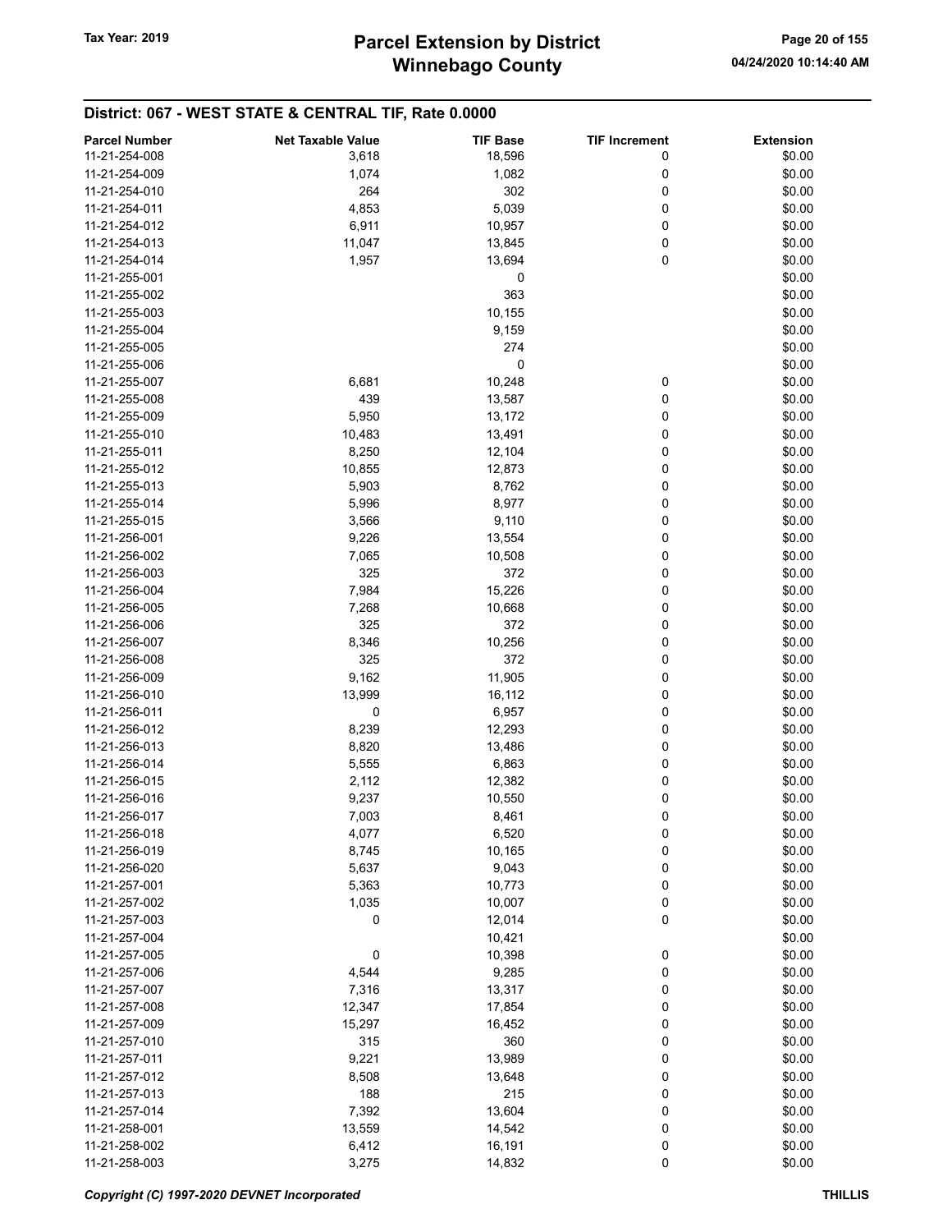| <b>Parcel Number</b> | <b>Net Taxable Value</b> | <b>TIF Base</b> | <b>TIF Increment</b> | <b>Extension</b> |
|----------------------|--------------------------|-----------------|----------------------|------------------|
| 11-21-254-008        | 3,618                    | 18,596          | 0                    | \$0.00           |
| 11-21-254-009        | 1,074                    | 1,082           | 0                    | \$0.00           |
|                      |                          |                 |                      |                  |
| 11-21-254-010        | 264                      | 302             | 0                    | \$0.00           |
| 11-21-254-011        | 4,853                    | 5,039           | 0                    | \$0.00           |
| 11-21-254-012        | 6,911                    | 10,957          | 0                    | \$0.00           |
| 11-21-254-013        | 11,047                   | 13,845          | 0                    | \$0.00           |
| 11-21-254-014        | 1,957                    | 13,694          | 0                    | \$0.00           |
| 11-21-255-001        |                          | 0               |                      | \$0.00           |
| 11-21-255-002        |                          | 363             |                      | \$0.00           |
| 11-21-255-003        |                          | 10,155          |                      | \$0.00           |
| 11-21-255-004        |                          | 9,159           |                      | \$0.00           |
| 11-21-255-005        |                          | 274             |                      | \$0.00           |
| 11-21-255-006        |                          | 0               |                      | \$0.00           |
|                      |                          |                 |                      |                  |
| 11-21-255-007        | 6,681                    | 10,248          | 0                    | \$0.00           |
| 11-21-255-008        | 439                      | 13,587          | 0                    | \$0.00           |
| 11-21-255-009        | 5,950                    | 13,172          | 0                    | \$0.00           |
| 11-21-255-010        | 10,483                   | 13,491          | 0                    | \$0.00           |
| 11-21-255-011        | 8,250                    | 12,104          | 0                    | \$0.00           |
| 11-21-255-012        | 10,855                   | 12,873          | 0                    | \$0.00           |
| 11-21-255-013        | 5,903                    | 8,762           | 0                    | \$0.00           |
| 11-21-255-014        | 5,996                    | 8,977           | 0                    | \$0.00           |
| 11-21-255-015        | 3,566                    | 9,110           | 0                    | \$0.00           |
| 11-21-256-001        | 9,226                    | 13,554          | 0                    | \$0.00           |
|                      |                          |                 | 0                    |                  |
| 11-21-256-002        | 7,065                    | 10,508          |                      | \$0.00           |
| 11-21-256-003        | 325                      | 372             | 0                    | \$0.00           |
| 11-21-256-004        | 7,984                    | 15,226          | 0                    | \$0.00           |
| 11-21-256-005        | 7,268                    | 10,668          | 0                    | \$0.00           |
| 11-21-256-006        | 325                      | 372             | 0                    | \$0.00           |
| 11-21-256-007        | 8,346                    | 10,256          | 0                    | \$0.00           |
| 11-21-256-008        | 325                      | 372             | 0                    | \$0.00           |
| 11-21-256-009        | 9,162                    | 11,905          | 0                    | \$0.00           |
| 11-21-256-010        | 13,999                   | 16,112          | 0                    | \$0.00           |
| 11-21-256-011        | 0                        | 6,957           | 0                    | \$0.00           |
| 11-21-256-012        | 8,239                    | 12,293          | 0                    | \$0.00           |
| 11-21-256-013        | 8,820                    | 13,486          | 0                    | \$0.00           |
|                      |                          |                 |                      |                  |
| 11-21-256-014        | 5,555                    | 6,863           | 0                    | \$0.00           |
| 11-21-256-015        | 2,112                    | 12,382          | 0                    | \$0.00           |
| 11-21-256-016        | 9,237                    | 10,550          | 0                    | \$0.00           |
| 11-21-256-017        | 7,003                    | 8,461           | 0                    | \$0.00           |
| 11-21-256-018        | 4,077                    | 6,520           | 0                    | \$0.00           |
| 11-21-256-019        | 8,745                    | 10,165          | 0                    | \$0.00           |
| 11-21-256-020        | 5,637                    | 9,043           | 0                    | \$0.00           |
| 11-21-257-001        | 5,363                    | 10,773          | 0                    | \$0.00           |
| 11-21-257-002        | 1,035                    | 10,007          | 0                    | \$0.00           |
| 11-21-257-003        | 0                        | 12,014          | 0                    | \$0.00           |
| 11-21-257-004        |                          | 10,421          |                      | \$0.00           |
| 11-21-257-005        | 0                        | 10,398          | 0                    | \$0.00           |
|                      |                          |                 |                      |                  |
| 11-21-257-006        | 4,544                    | 9,285           | 0                    | \$0.00           |
| 11-21-257-007        | 7,316                    | 13,317          | 0                    | \$0.00           |
| 11-21-257-008        | 12,347                   | 17,854          | 0                    | \$0.00           |
| 11-21-257-009        | 15,297                   | 16,452          | 0                    | \$0.00           |
| 11-21-257-010        | 315                      | 360             | 0                    | \$0.00           |
| 11-21-257-011        | 9,221                    | 13,989          | 0                    | \$0.00           |
| 11-21-257-012        | 8,508                    | 13,648          | 0                    | \$0.00           |
| 11-21-257-013        | 188                      | 215             | 0                    | \$0.00           |
| 11-21-257-014        | 7,392                    | 13,604          | 0                    | \$0.00           |
| 11-21-258-001        | 13,559                   | 14,542          | 0                    | \$0.00           |
| 11-21-258-002        | 6,412                    | 16,191          | 0                    | \$0.00           |
| 11-21-258-003        | 3,275                    | 14,832          | $\pmb{0}$            | \$0.00           |
|                      |                          |                 |                      |                  |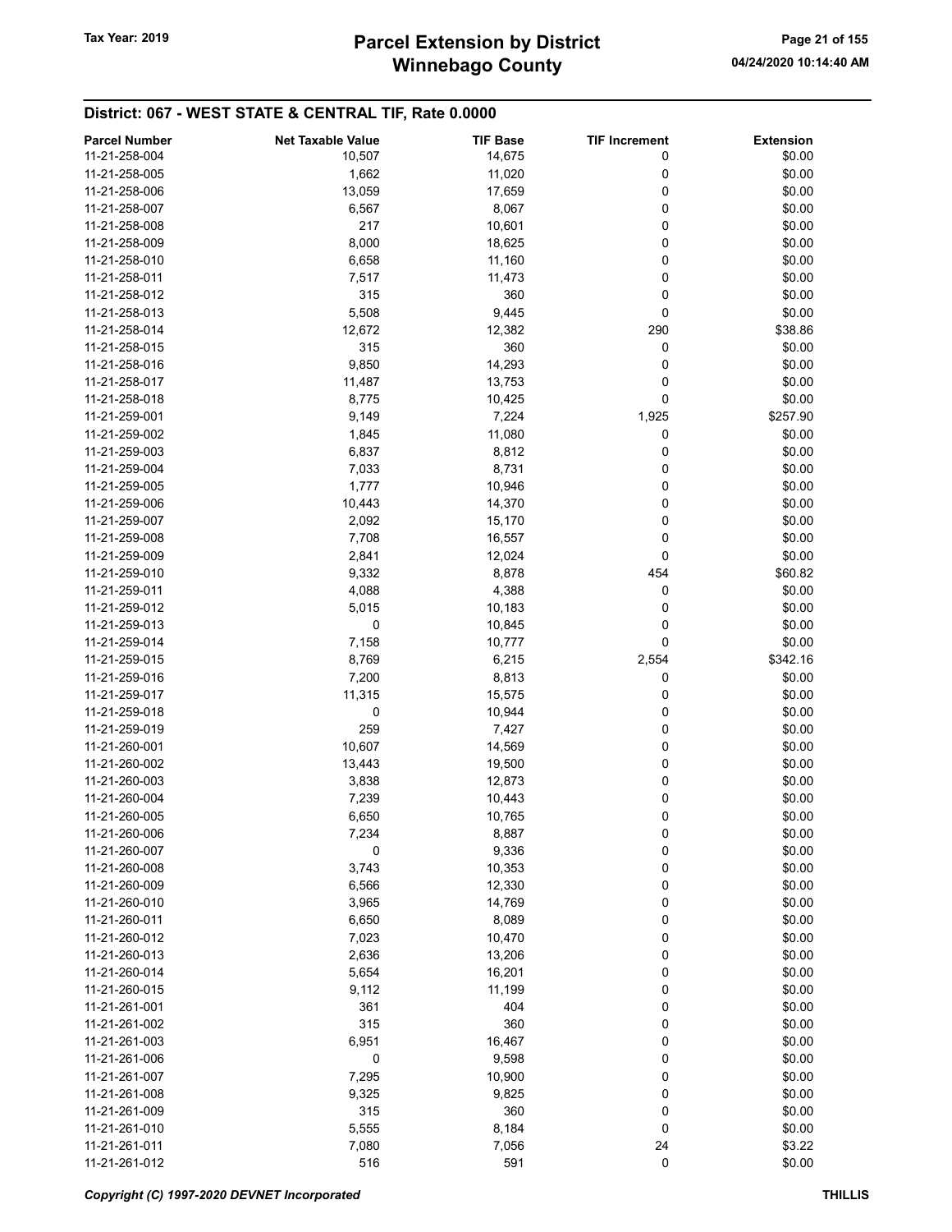# Winnebago County Tax Year: 2019 **Parcel Extension by District** Page 21 of 155

| <b>Parcel Number</b> | <b>Net Taxable Value</b> | <b>TIF Base</b> | <b>TIF Increment</b> | <b>Extension</b> |
|----------------------|--------------------------|-----------------|----------------------|------------------|
| 11-21-258-004        | 10,507                   | 14,675          | 0                    | \$0.00           |
| 11-21-258-005        | 1,662                    | 11,020          | 0                    | \$0.00           |
| 11-21-258-006        | 13,059                   | 17,659          | 0                    | \$0.00           |
| 11-21-258-007        | 6,567                    | 8,067           | 0                    | \$0.00           |
| 11-21-258-008        | 217                      | 10,601          | 0                    | \$0.00           |
| 11-21-258-009        | 8,000                    | 18,625          | 0                    | \$0.00           |
| 11-21-258-010        | 6,658                    | 11,160          | 0                    | \$0.00           |
| 11-21-258-011        | 7,517                    | 11,473          | 0                    | \$0.00           |
| 11-21-258-012        | 315                      | 360             | 0                    | \$0.00           |
| 11-21-258-013        | 5,508                    | 9,445           | 0                    | \$0.00           |
| 11-21-258-014        | 12,672                   | 12,382          | 290                  | \$38.86          |
|                      |                          |                 |                      |                  |
| 11-21-258-015        | 315                      | 360             | 0                    | \$0.00           |
| 11-21-258-016        | 9,850                    | 14,293          | 0                    | \$0.00           |
| 11-21-258-017        | 11,487                   | 13,753          | 0                    | \$0.00           |
| 11-21-258-018        | 8,775                    | 10,425          | 0                    | \$0.00           |
| 11-21-259-001        | 9,149                    | 7,224           | 1,925                | \$257.90         |
| 11-21-259-002        | 1,845                    | 11,080          | 0                    | \$0.00           |
| 11-21-259-003        | 6,837                    | 8,812           | 0                    | \$0.00           |
| 11-21-259-004        | 7,033                    | 8,731           | 0                    | \$0.00           |
| 11-21-259-005        | 1,777                    | 10,946          | 0                    | \$0.00           |
| 11-21-259-006        | 10,443                   | 14,370          | 0                    | \$0.00           |
| 11-21-259-007        | 2,092                    | 15,170          | 0                    | \$0.00           |
| 11-21-259-008        | 7,708                    | 16,557          | 0                    | \$0.00           |
| 11-21-259-009        | 2,841                    | 12,024          | 0                    | \$0.00           |
| 11-21-259-010        | 9,332                    | 8,878           | 454                  | \$60.82          |
| 11-21-259-011        | 4,088                    | 4,388           | 0                    | \$0.00           |
| 11-21-259-012        | 5,015                    | 10,183          | 0                    | \$0.00           |
| 11-21-259-013        | 0                        | 10,845          | 0                    | \$0.00           |
| 11-21-259-014        | 7,158                    | 10,777          | 0                    | \$0.00           |
| 11-21-259-015        | 8,769                    | 6,215           | 2,554                | \$342.16         |
| 11-21-259-016        | 7,200                    | 8,813           | 0                    | \$0.00           |
| 11-21-259-017        | 11,315                   | 15,575          | 0                    | \$0.00           |
| 11-21-259-018        | 0                        | 10,944          | 0                    | \$0.00           |
| 11-21-259-019        | 259                      | 7,427           | 0                    | \$0.00           |
| 11-21-260-001        | 10,607                   | 14,569          | 0                    | \$0.00           |
| 11-21-260-002        | 13,443                   | 19,500          | 0                    | \$0.00           |
| 11-21-260-003        | 3,838                    | 12,873          | 0                    | \$0.00           |
| 11-21-260-004        | 7,239                    | 10,443          | 0                    | \$0.00           |
| 11-21-260-005        |                          | 10,765          | 0                    | \$0.00           |
| 11-21-260-006        | 6,650<br>7,234           | 8,887           |                      | \$0.00           |
|                      |                          |                 | 0                    |                  |
| 11-21-260-007        | 0                        | 9,336           | 0                    | \$0.00           |
| 11-21-260-008        | 3,743                    | 10,353          | 0                    | \$0.00           |
| 11-21-260-009        | 6,566                    | 12,330          | 0                    | \$0.00           |
| 11-21-260-010        | 3,965                    | 14,769          | 0                    | \$0.00           |
| 11-21-260-011        | 6,650                    | 8,089           | 0                    | \$0.00           |
| 11-21-260-012        | 7,023                    | 10,470          | 0                    | \$0.00           |
| 11-21-260-013        | 2,636                    | 13,206          | 0                    | \$0.00           |
| 11-21-260-014        | 5,654                    | 16,201          | 0                    | \$0.00           |
| 11-21-260-015        | 9,112                    | 11,199          | 0                    | \$0.00           |
| 11-21-261-001        | 361                      | 404             | 0                    | \$0.00           |
| 11-21-261-002        | 315                      | 360             | 0                    | \$0.00           |
| 11-21-261-003        | 6,951                    | 16,467          | 0                    | \$0.00           |
| 11-21-261-006        | 0                        | 9,598           | 0                    | \$0.00           |
| 11-21-261-007        | 7,295                    | 10,900          | 0                    | \$0.00           |
| 11-21-261-008        | 9,325                    | 9,825           | 0                    | \$0.00           |
| 11-21-261-009        | 315                      | 360             | 0                    | \$0.00           |
| 11-21-261-010        | 5,555                    | 8,184           | 0                    | \$0.00           |
| 11-21-261-011        | 7,080                    | 7,056           | 24                   | \$3.22           |
| 11-21-261-012        | 516                      | 591             | 0                    | \$0.00           |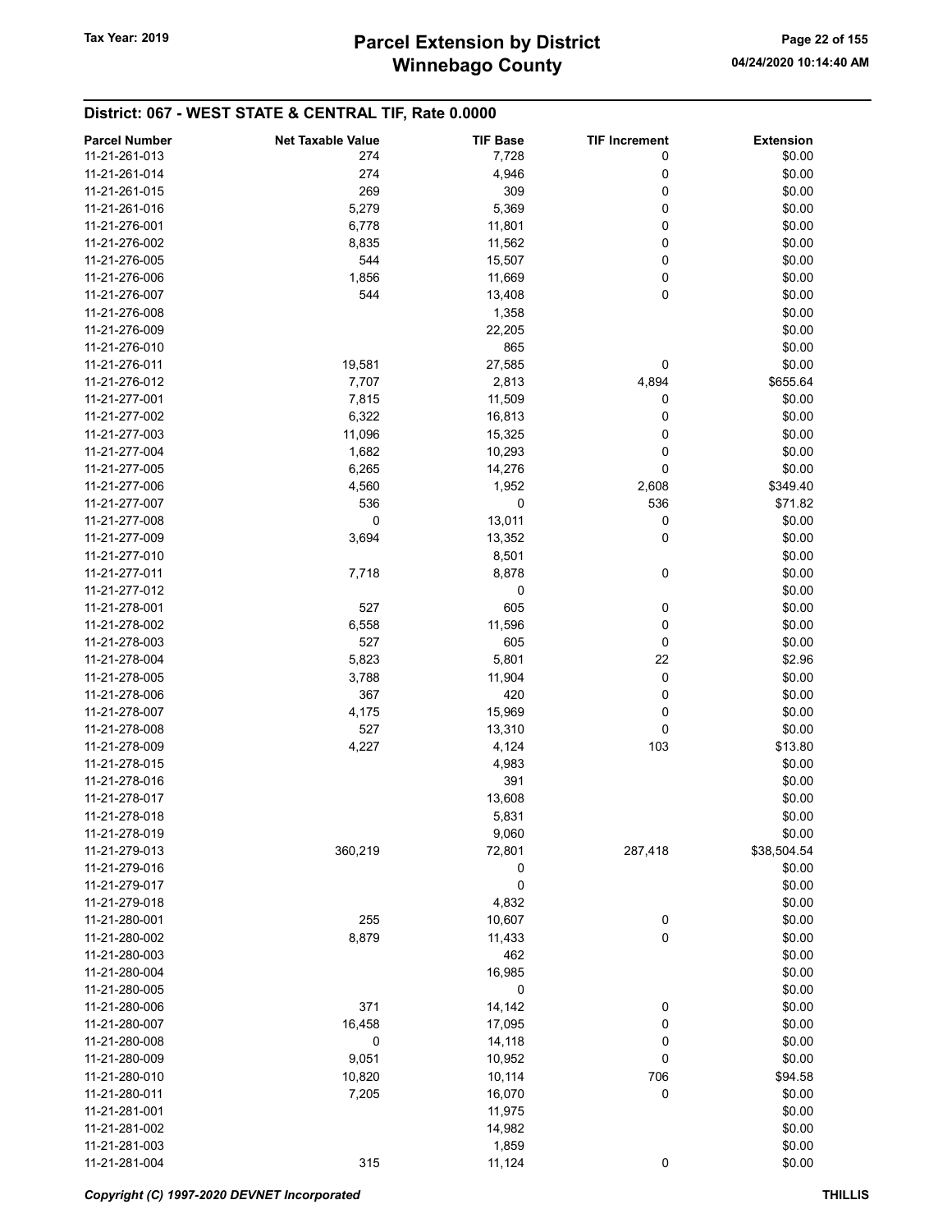| <b>Parcel Number</b> | <b>Net Taxable Value</b> | <b>TIF Base</b> | <b>TIF Increment</b> | <b>Extension</b> |
|----------------------|--------------------------|-----------------|----------------------|------------------|
| 11-21-261-013        | 274                      | 7,728           | 0                    | \$0.00           |
| 11-21-261-014        | 274                      | 4,946           | 0                    | \$0.00           |
| 11-21-261-015        | 269                      | 309             | 0                    | \$0.00           |
| 11-21-261-016        | 5,279                    | 5,369           | 0                    | \$0.00           |
| 11-21-276-001        | 6,778                    | 11,801          | 0                    | \$0.00           |
|                      |                          |                 |                      |                  |
| 11-21-276-002        | 8,835                    | 11,562          | 0                    | \$0.00           |
| 11-21-276-005        | 544                      | 15,507          | 0                    | \$0.00           |
| 11-21-276-006        | 1,856                    | 11,669          | 0                    | \$0.00           |
| 11-21-276-007        | 544                      | 13,408          | 0                    | \$0.00           |
| 11-21-276-008        |                          | 1,358           |                      | \$0.00           |
| 11-21-276-009        |                          | 22,205          |                      | \$0.00           |
| 11-21-276-010        |                          | 865             |                      | \$0.00           |
| 11-21-276-011        | 19,581                   | 27,585          | 0                    | \$0.00           |
| 11-21-276-012        | 7,707                    | 2,813           | 4,894                | \$655.64         |
| 11-21-277-001        | 7,815                    | 11,509          | 0                    | \$0.00           |
| 11-21-277-002        | 6,322                    | 16,813          | 0                    | \$0.00           |
| 11-21-277-003        | 11,096                   | 15,325          | 0                    | \$0.00           |
| 11-21-277-004        | 1,682                    | 10,293          | 0                    | \$0.00           |
| 11-21-277-005        | 6,265                    | 14,276          | 0                    | \$0.00           |
| 11-21-277-006        | 4,560                    |                 | 2,608                | \$349.40         |
|                      |                          | 1,952           |                      |                  |
| 11-21-277-007        | 536                      | 0               | 536                  | \$71.82          |
| 11-21-277-008        | 0                        | 13,011          | 0                    | \$0.00           |
| 11-21-277-009        | 3,694                    | 13,352          | 0                    | \$0.00           |
| 11-21-277-010        |                          | 8,501           |                      | \$0.00           |
| 11-21-277-011        | 7,718                    | 8,878           | 0                    | \$0.00           |
| 11-21-277-012        |                          | 0               |                      | \$0.00           |
| 11-21-278-001        | 527                      | 605             | 0                    | \$0.00           |
| 11-21-278-002        | 6,558                    | 11,596          | 0                    | \$0.00           |
| 11-21-278-003        | 527                      | 605             | 0                    | \$0.00           |
| 11-21-278-004        | 5,823                    | 5,801           | 22                   | \$2.96           |
| 11-21-278-005        | 3,788                    | 11,904          | 0                    | \$0.00           |
| 11-21-278-006        | 367                      | 420             | 0                    | \$0.00           |
| 11-21-278-007        | 4,175                    | 15,969          | 0                    | \$0.00           |
| 11-21-278-008        | 527                      | 13,310          | 0                    | \$0.00           |
| 11-21-278-009        | 4,227                    | 4,124           | 103                  | \$13.80          |
| 11-21-278-015        |                          | 4,983           |                      | \$0.00           |
|                      |                          | 391             |                      |                  |
| 11-21-278-016        |                          |                 |                      | \$0.00           |
| 11-21-278-017        |                          | 13,608          |                      | \$0.00           |
| 11-21-278-018        |                          | 5,831           |                      | \$0.00           |
| 11-21-278-019        |                          | 9,060           |                      | \$0.00           |
| 11-21-279-013        | 360,219                  | 72,801          | 287,418              | \$38,504.54      |
| 11-21-279-016        |                          | 0               |                      | \$0.00           |
| 11-21-279-017        |                          | 0               |                      | \$0.00           |
| 11-21-279-018        |                          | 4,832           |                      | \$0.00           |
| 11-21-280-001        | 255                      | 10,607          | 0                    | \$0.00           |
| 11-21-280-002        | 8,879                    | 11,433          | 0                    | \$0.00           |
| 11-21-280-003        |                          | 462             |                      | \$0.00           |
| 11-21-280-004        |                          | 16,985          |                      | \$0.00           |
| 11-21-280-005        |                          | 0               |                      | \$0.00           |
| 11-21-280-006        | 371                      | 14,142          | 0                    | \$0.00           |
| 11-21-280-007        | 16,458                   | 17,095          | 0                    | \$0.00           |
| 11-21-280-008        | $\pmb{0}$                | 14,118          | 0                    | \$0.00           |
|                      |                          |                 | 0                    | \$0.00           |
| 11-21-280-009        | 9,051                    | 10,952          |                      |                  |
| 11-21-280-010        | 10,820                   | 10,114          | 706                  | \$94.58          |
| 11-21-280-011        | 7,205                    | 16,070          | 0                    | \$0.00           |
| 11-21-281-001        |                          | 11,975          |                      | \$0.00           |
| 11-21-281-002        |                          | 14,982          |                      | \$0.00           |
| 11-21-281-003        |                          | 1,859           |                      | \$0.00           |
| 11-21-281-004        | 315                      | 11,124          | 0                    | \$0.00           |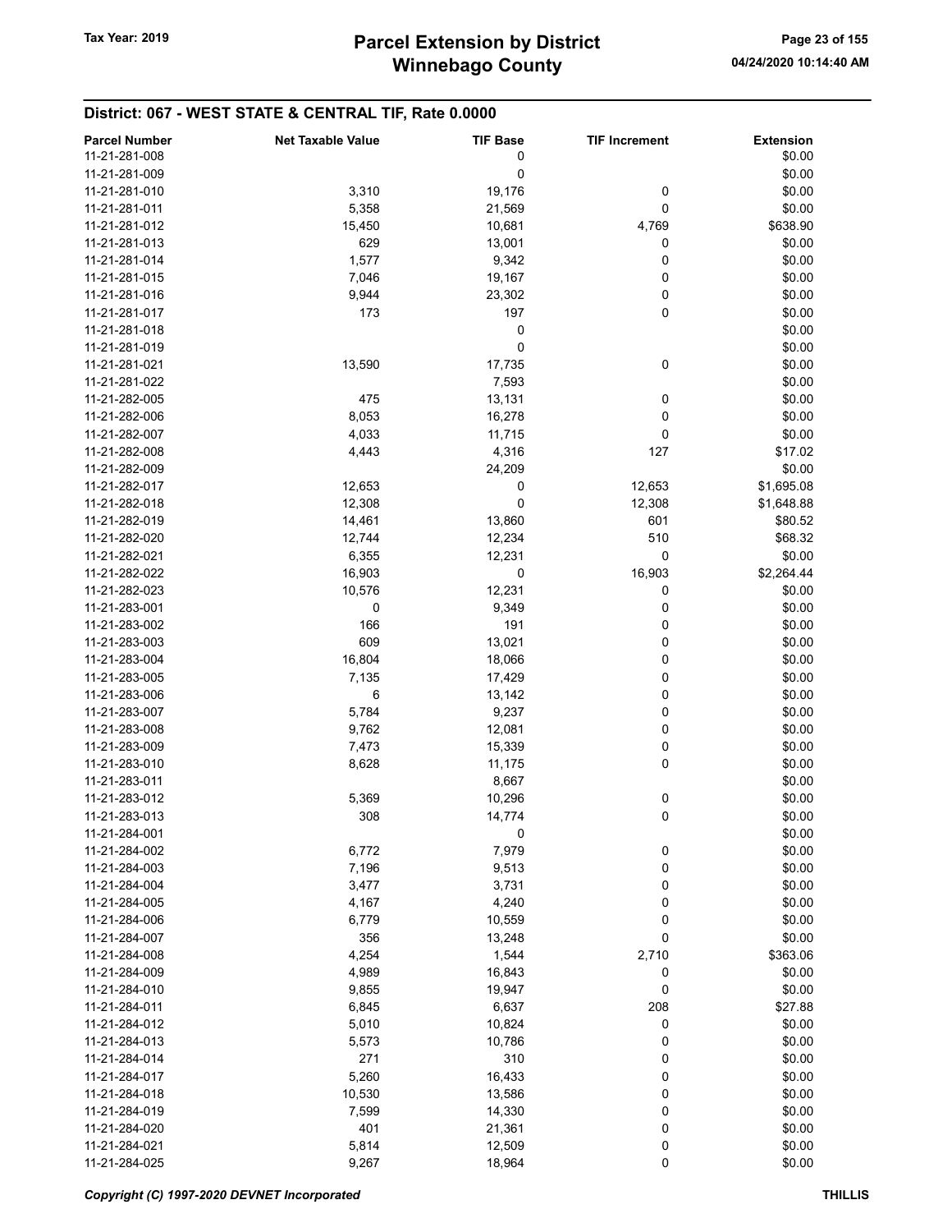| <b>Parcel Number</b> | <b>Net Taxable Value</b> | <b>TIF Base</b> | <b>TIF Increment</b> | <b>Extension</b> |
|----------------------|--------------------------|-----------------|----------------------|------------------|
| 11-21-281-008        |                          | 0               |                      | \$0.00           |
| 11-21-281-009        |                          | 0               |                      | \$0.00           |
|                      |                          |                 |                      |                  |
| 11-21-281-010        | 3,310                    | 19,176          | 0                    | \$0.00           |
| 11-21-281-011        | 5,358                    | 21,569          | 0                    | \$0.00           |
| 11-21-281-012        | 15,450                   | 10,681          | 4,769                | \$638.90         |
| 11-21-281-013        | 629                      | 13,001          | 0                    | \$0.00           |
| 11-21-281-014        | 1,577                    | 9,342           | 0                    | \$0.00           |
| 11-21-281-015        | 7,046                    | 19,167          | 0                    | \$0.00           |
| 11-21-281-016        | 9,944                    | 23,302          | 0                    | \$0.00           |
| 11-21-281-017        | 173                      | 197             | 0                    | \$0.00           |
| 11-21-281-018        |                          | 0               |                      | \$0.00           |
| 11-21-281-019        |                          | 0               |                      | \$0.00           |
| 11-21-281-021        | 13,590                   | 17,735          | 0                    | \$0.00           |
|                      |                          |                 |                      |                  |
| 11-21-281-022        |                          | 7,593           |                      | \$0.00           |
| 11-21-282-005        | 475                      | 13,131          | 0                    | \$0.00           |
| 11-21-282-006        | 8,053                    | 16,278          | 0                    | \$0.00           |
| 11-21-282-007        | 4,033                    | 11,715          | 0                    | \$0.00           |
| 11-21-282-008        | 4,443                    | 4,316           | 127                  | \$17.02          |
| 11-21-282-009        |                          | 24,209          |                      | \$0.00           |
| 11-21-282-017        | 12,653                   | 0               | 12,653               | \$1,695.08       |
| 11-21-282-018        | 12,308                   | 0               | 12,308               | \$1,648.88       |
| 11-21-282-019        | 14,461                   | 13,860          | 601                  | \$80.52          |
| 11-21-282-020        | 12,744                   | 12,234          | 510                  | \$68.32          |
| 11-21-282-021        | 6,355                    | 12,231          | 0                    | \$0.00           |
|                      |                          |                 | 16,903               |                  |
| 11-21-282-022        | 16,903                   | 0               |                      | \$2,264.44       |
| 11-21-282-023        | 10,576                   | 12,231          | 0                    | \$0.00           |
| 11-21-283-001        | 0                        | 9,349           | 0                    | \$0.00           |
| 11-21-283-002        | 166                      | 191             | 0                    | \$0.00           |
| 11-21-283-003        | 609                      | 13,021          | 0                    | \$0.00           |
| 11-21-283-004        | 16,804                   | 18,066          | 0                    | \$0.00           |
| 11-21-283-005        | 7,135                    | 17,429          | 0                    | \$0.00           |
| 11-21-283-006        | 6                        | 13,142          | 0                    | \$0.00           |
| 11-21-283-007        | 5,784                    | 9,237           | 0                    | \$0.00           |
| 11-21-283-008        | 9,762                    | 12,081          | 0                    | \$0.00           |
| 11-21-283-009        | 7,473                    | 15,339          | 0                    | \$0.00           |
| 11-21-283-010        | 8,628                    | 11,175          | 0                    | \$0.00           |
|                      |                          |                 |                      |                  |
| 11-21-283-011        |                          | 8,667           |                      | \$0.00           |
| 11-21-283-012        | 5,369                    | 10,296          | $\bf{0}$             | \$0.00           |
| 11-21-283-013        | 308                      | 14,774          | 0                    | \$0.00           |
| 11-21-284-001        |                          | 0               |                      | \$0.00           |
| 11-21-284-002        | 6,772                    | 7,979           | 0                    | \$0.00           |
| 11-21-284-003        | 7,196                    | 9,513           | 0                    | \$0.00           |
| 11-21-284-004        | 3,477                    | 3,731           | 0                    | \$0.00           |
| 11-21-284-005        | 4,167                    | 4,240           | 0                    | \$0.00           |
| 11-21-284-006        | 6,779                    | 10,559          | 0                    | \$0.00           |
| 11-21-284-007        | 356                      | 13,248          | 0                    | \$0.00           |
| 11-21-284-008        | 4,254                    | 1,544           | 2,710                | \$363.06         |
| 11-21-284-009        | 4,989                    | 16,843          | 0                    | \$0.00           |
| 11-21-284-010        | 9,855                    | 19,947          | 0                    | \$0.00           |
|                      |                          |                 |                      |                  |
| 11-21-284-011        | 6,845                    | 6,637           | 208                  | \$27.88          |
| 11-21-284-012        | 5,010                    | 10,824          | 0                    | \$0.00           |
| 11-21-284-013        | 5,573                    | 10,786          | 0                    | \$0.00           |
| 11-21-284-014        | 271                      | 310             | 0                    | \$0.00           |
| 11-21-284-017        | 5,260                    | 16,433          | 0                    | \$0.00           |
| 11-21-284-018        | 10,530                   | 13,586          | 0                    | \$0.00           |
| 11-21-284-019        | 7,599                    | 14,330          | 0                    | \$0.00           |
| 11-21-284-020        | 401                      | 21,361          | 0                    | \$0.00           |
| 11-21-284-021        | 5,814                    | 12,509          | 0                    | \$0.00           |
| 11-21-284-025        | 9,267                    | 18,964          | 0                    | \$0.00           |
|                      |                          |                 |                      |                  |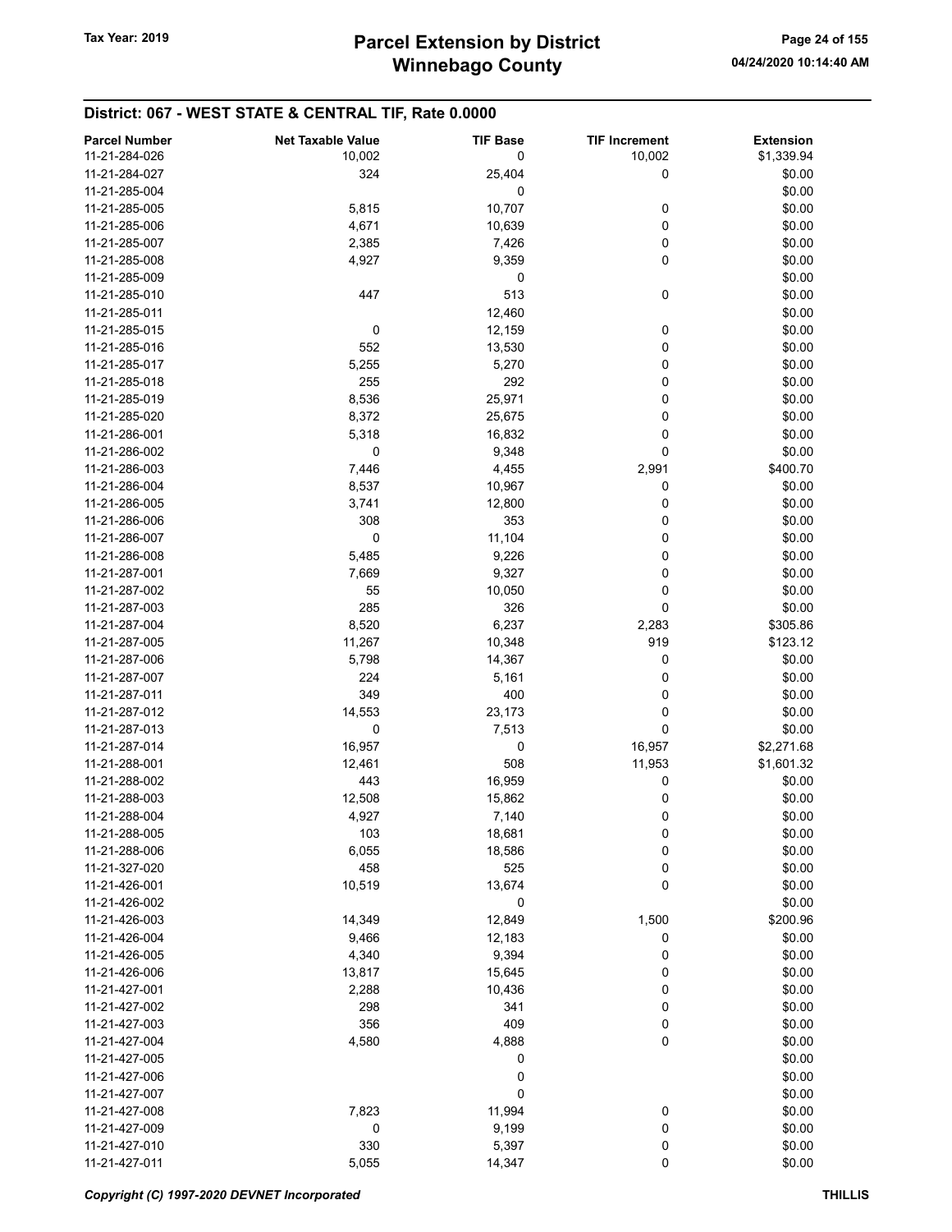| <b>Parcel Number</b> | <b>Net Taxable Value</b> | <b>TIF Base</b> | <b>TIF Increment</b> | <b>Extension</b> |
|----------------------|--------------------------|-----------------|----------------------|------------------|
| 11-21-284-026        | 10,002                   | 0               | 10,002               | \$1,339.94       |
| 11-21-284-027        | 324                      | 25,404          | 0                    | \$0.00           |
| 11-21-285-004        |                          | 0               |                      |                  |
| 11-21-285-005        |                          |                 |                      | \$0.00           |
|                      | 5,815                    | 10,707          | 0                    | \$0.00           |
| 11-21-285-006        | 4,671                    | 10,639          | 0                    | \$0.00           |
| 11-21-285-007        | 2,385                    | 7,426           | 0                    | \$0.00           |
| 11-21-285-008        | 4,927                    | 9,359           | 0                    | \$0.00           |
| 11-21-285-009        |                          | 0               |                      | \$0.00           |
| 11-21-285-010        | 447                      | 513             | 0                    | \$0.00           |
| 11-21-285-011        |                          | 12,460          |                      | \$0.00           |
| 11-21-285-015        | 0                        | 12,159          | 0                    | \$0.00           |
| 11-21-285-016        | 552                      | 13,530          | 0                    | \$0.00           |
| 11-21-285-017        | 5,255                    | 5,270           | 0                    | \$0.00           |
| 11-21-285-018        | 255                      | 292             | 0                    | \$0.00           |
| 11-21-285-019        | 8,536                    | 25,971          | 0                    | \$0.00           |
| 11-21-285-020        | 8,372                    | 25,675          | 0                    | \$0.00           |
| 11-21-286-001        | 5,318                    | 16,832          | 0                    | \$0.00           |
| 11-21-286-002        | 0                        | 9,348           | 0                    | \$0.00           |
| 11-21-286-003        | 7,446                    | 4,455           | 2,991                | \$400.70         |
| 11-21-286-004        | 8,537                    | 10,967          | 0                    | \$0.00           |
| 11-21-286-005        | 3,741                    | 12,800          | 0                    | \$0.00           |
| 11-21-286-006        | 308                      | 353             | 0                    | \$0.00           |
| 11-21-286-007        | 0                        | 11,104          | 0                    | \$0.00           |
| 11-21-286-008        | 5,485                    | 9,226           | 0                    | \$0.00           |
| 11-21-287-001        | 7,669                    | 9,327           | 0                    | \$0.00           |
| 11-21-287-002        | 55                       | 10,050          | 0                    | \$0.00           |
|                      |                          |                 | 0                    |                  |
| 11-21-287-003        | 285                      | 326             |                      | \$0.00           |
| 11-21-287-004        | 8,520                    | 6,237           | 2,283                | \$305.86         |
| 11-21-287-005        | 11,267                   | 10,348          | 919                  | \$123.12         |
| 11-21-287-006        | 5,798                    | 14,367          | 0                    | \$0.00           |
| 11-21-287-007        | 224                      | 5,161           | 0                    | \$0.00           |
| 11-21-287-011        | 349                      | 400             | 0                    | \$0.00           |
| 11-21-287-012        | 14,553                   | 23,173          | 0                    | \$0.00           |
| 11-21-287-013        | 0                        | 7,513           | 0                    | \$0.00           |
| 11-21-287-014        | 16,957                   | 0               | 16,957               | \$2,271.68       |
| 11-21-288-001        | 12,461                   | 508             | 11,953               | \$1,601.32       |
| 11-21-288-002        | 443                      | 16,959          | 0                    | \$0.00           |
| 11-21-288-003        | 12,508                   | 15,862          | 0                    | \$0.00           |
| 11-21-288-004        | 4,927                    | 7,140           | 0                    | \$0.00           |
| 11-21-288-005        | 103                      | 18,681          | 0                    | \$0.00           |
| 11-21-288-006        | 6,055                    | 18,586          | 0                    | \$0.00           |
| 11-21-327-020        | 458                      | 525             | 0                    | \$0.00           |
| 11-21-426-001        | 10,519                   | 13,674          | 0                    | \$0.00           |
| 11-21-426-002        |                          | 0               |                      | \$0.00           |
| 11-21-426-003        | 14,349                   | 12,849          | 1,500                | \$200.96         |
| 11-21-426-004        | 9,466                    | 12,183          | 0                    | \$0.00           |
| 11-21-426-005        | 4,340                    | 9,394           | 0                    | \$0.00           |
| 11-21-426-006        | 13,817                   | 15,645          | 0                    | \$0.00           |
| 11-21-427-001        | 2,288                    | 10,436          | 0                    | \$0.00           |
| 11-21-427-002        | 298                      | 341             | 0                    | \$0.00           |
| 11-21-427-003        | 356                      | 409             | 0                    | \$0.00           |
| 11-21-427-004        | 4,580                    | 4,888           | 0                    | \$0.00           |
| 11-21-427-005        |                          | 0               |                      | \$0.00           |
| 11-21-427-006        |                          | 0               |                      | \$0.00           |
| 11-21-427-007        |                          | 0               |                      | \$0.00           |
| 11-21-427-008        |                          |                 |                      | \$0.00           |
| 11-21-427-009        | 7,823                    | 11,994          | 0                    | \$0.00           |
|                      | 0                        | 9,199           | 0                    |                  |
| 11-21-427-010        | 330                      | 5,397           | 0                    | \$0.00           |
| 11-21-427-011        | 5,055                    | 14,347          | 0                    | \$0.00           |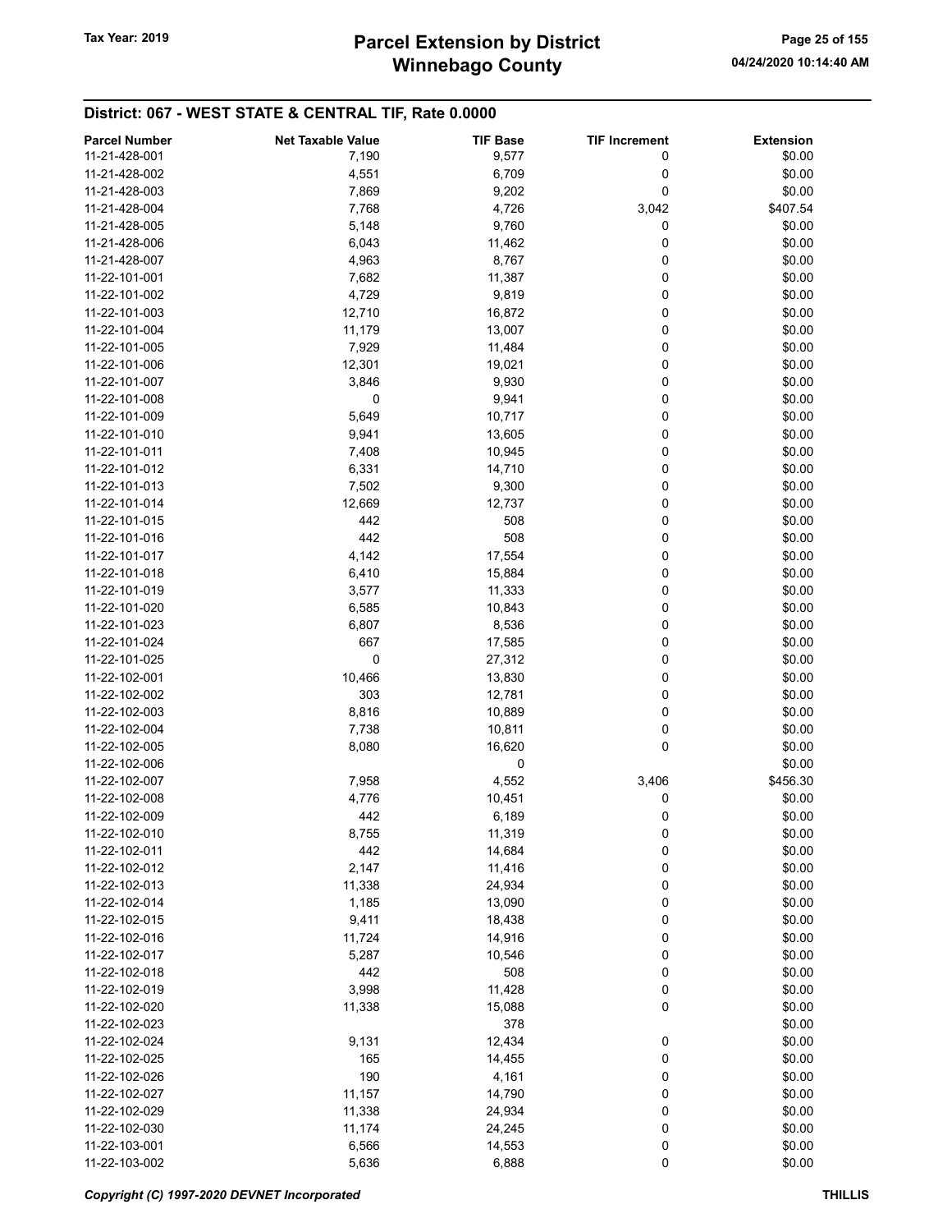# Winnebago County Tax Year: 2019 **Parcel Extension by District** Page 25 of 155

| <b>Parcel Number</b> | <b>Net Taxable Value</b> | <b>TIF Base</b> | <b>TIF Increment</b> | <b>Extension</b> |
|----------------------|--------------------------|-----------------|----------------------|------------------|
| 11-21-428-001        | 7,190                    | 9,577           | 0                    | \$0.00           |
| 11-21-428-002        | 4,551                    | 6,709           | 0                    | \$0.00           |
| 11-21-428-003        | 7,869                    | 9,202           | 0                    | \$0.00           |
| 11-21-428-004        | 7,768                    | 4,726           | 3,042                | \$407.54         |
| 11-21-428-005        | 5,148                    | 9,760           | 0                    | \$0.00           |
|                      |                          |                 |                      |                  |
| 11-21-428-006        | 6,043                    | 11,462          | 0                    | \$0.00           |
| 11-21-428-007        | 4,963                    | 8,767           | 0                    | \$0.00           |
| 11-22-101-001        | 7,682                    | 11,387          | 0                    | \$0.00           |
| 11-22-101-002        | 4,729                    | 9,819           | 0                    | \$0.00           |
| 11-22-101-003        | 12,710                   | 16,872          | 0                    | \$0.00           |
| 11-22-101-004        | 11,179                   | 13,007          | 0                    | \$0.00           |
| 11-22-101-005        | 7,929                    | 11,484          | 0                    | \$0.00           |
| 11-22-101-006        | 12,301                   | 19,021          | 0                    | \$0.00           |
| 11-22-101-007        | 3,846                    | 9,930           | 0                    | \$0.00           |
| 11-22-101-008        | 0                        | 9,941           | 0                    | \$0.00           |
| 11-22-101-009        | 5,649                    | 10,717          | 0                    | \$0.00           |
| 11-22-101-010        | 9,941                    | 13,605          | 0                    | \$0.00           |
| 11-22-101-011        | 7,408                    | 10,945          | 0                    | \$0.00           |
| 11-22-101-012        | 6,331                    | 14,710          | 0                    | \$0.00           |
| 11-22-101-013        | 7,502                    | 9,300           | 0                    | \$0.00           |
| 11-22-101-014        | 12,669                   | 12,737          | 0                    | \$0.00           |
| 11-22-101-015        | 442                      | 508             | 0                    | \$0.00           |
| 11-22-101-016        | 442                      | 508             | 0                    | \$0.00           |
|                      |                          |                 |                      |                  |
| 11-22-101-017        | 4,142                    | 17,554          | 0                    | \$0.00           |
| 11-22-101-018        | 6,410                    | 15,884          | 0                    | \$0.00           |
| 11-22-101-019        | 3,577                    | 11,333          | 0                    | \$0.00           |
| 11-22-101-020        | 6,585                    | 10,843          | 0                    | \$0.00           |
| 11-22-101-023        | 6,807                    | 8,536           | 0                    | \$0.00           |
| 11-22-101-024        | 667                      | 17,585          | 0                    | \$0.00           |
| 11-22-101-025        | 0                        | 27,312          | 0                    | \$0.00           |
| 11-22-102-001        | 10,466                   | 13,830          | 0                    | \$0.00           |
| 11-22-102-002        | 303                      | 12,781          | 0                    | \$0.00           |
| 11-22-102-003        | 8,816                    | 10,889          | 0                    | \$0.00           |
| 11-22-102-004        | 7,738                    | 10,811          | 0                    | \$0.00           |
| 11-22-102-005        | 8,080                    | 16,620          | 0                    | \$0.00           |
| 11-22-102-006        |                          | 0               |                      | \$0.00           |
| 11-22-102-007        | 7,958                    | 4,552           | 3,406                | \$456.30         |
| 11-22-102-008        | 4,776                    | 10,451          | 0                    | \$0.00           |
| 11-22-102-009        | 442                      | 6,189           | 0                    | \$0.00           |
| 11-22-102-010        | 8,755                    | 11,319          | 0                    | \$0.00           |
| 11-22-102-011        | 442                      | 14,684          | 0                    | \$0.00           |
| 11-22-102-012        | 2,147                    | 11,416          | 0                    | \$0.00           |
|                      |                          |                 |                      |                  |
| 11-22-102-013        | 11,338                   | 24,934          | 0                    | \$0.00           |
| 11-22-102-014        | 1,185                    | 13,090          | 0                    | \$0.00           |
| 11-22-102-015        | 9,411                    | 18,438          | 0                    | \$0.00           |
| 11-22-102-016        | 11,724                   | 14,916          | 0                    | \$0.00           |
| 11-22-102-017        | 5,287                    | 10,546          | 0                    | \$0.00           |
| 11-22-102-018        | 442                      | 508             | 0                    | \$0.00           |
| 11-22-102-019        | 3,998                    | 11,428          | 0                    | \$0.00           |
| 11-22-102-020        | 11,338                   | 15,088          | 0                    | \$0.00           |
| 11-22-102-023        |                          | 378             |                      | \$0.00           |
| 11-22-102-024        | 9,131                    | 12,434          | $\boldsymbol{0}$     | \$0.00           |
| 11-22-102-025        | 165                      | 14,455          | 0                    | \$0.00           |
| 11-22-102-026        | 190                      | 4,161           | 0                    | \$0.00           |
| 11-22-102-027        | 11,157                   | 14,790          | 0                    | \$0.00           |
| 11-22-102-029        | 11,338                   | 24,934          | 0                    | \$0.00           |
| 11-22-102-030        | 11,174                   | 24,245          | 0                    | \$0.00           |
|                      |                          |                 |                      |                  |
| 11-22-103-001        | 6,566                    | 14,553          | 0                    | \$0.00           |
| 11-22-103-002        | 5,636                    | 6,888           | 0                    | \$0.00           |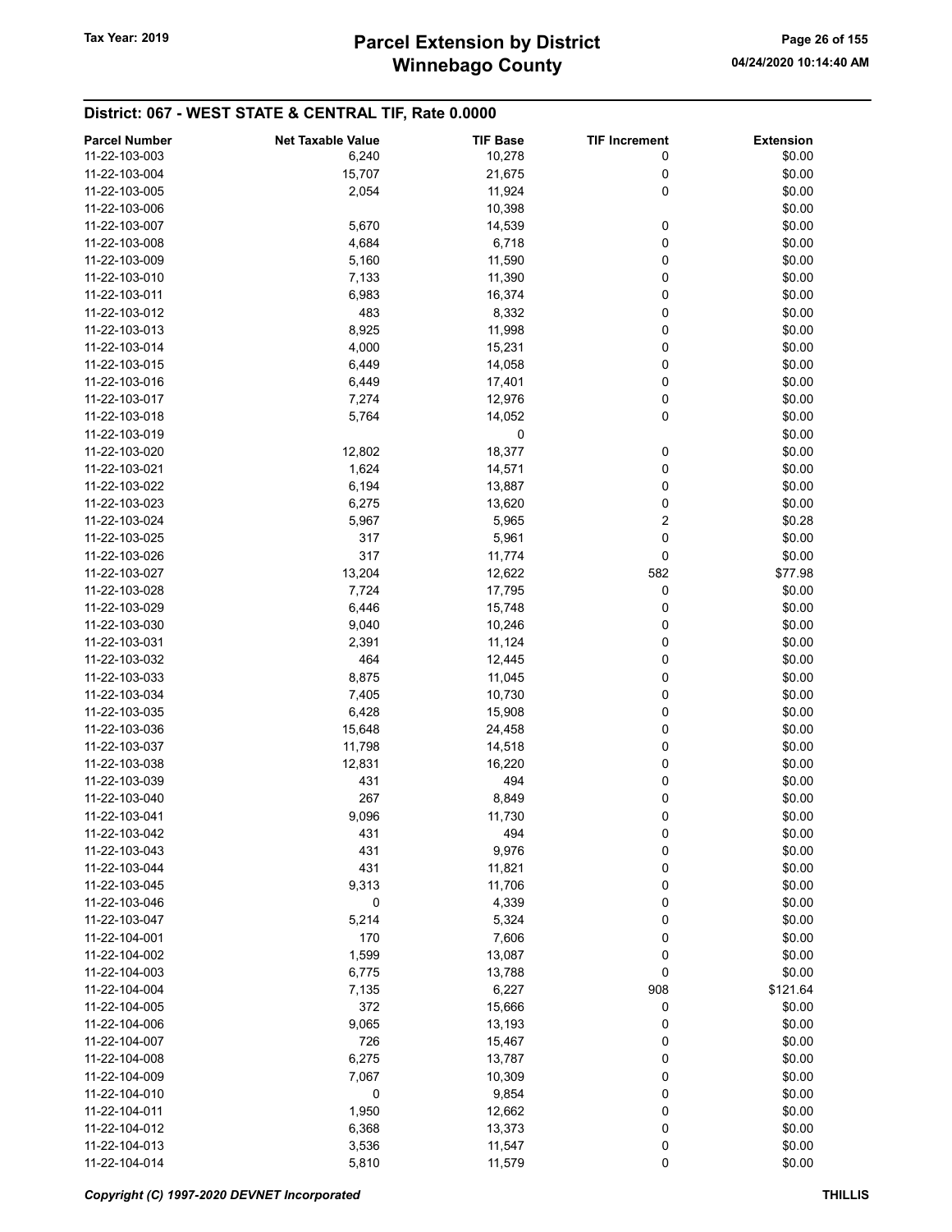| 11-22-103-003<br>10,278<br>6,240<br>0<br>\$0.00<br>15,707<br>21,675<br>\$0.00<br>11-22-103-004<br>0<br>0<br>\$0.00<br>11-22-103-005<br>2,054<br>11,924<br>\$0.00<br>11-22-103-006<br>10,398<br>\$0.00<br>11-22-103-007<br>5,670<br>14,539<br>0<br>\$0.00<br>11-22-103-008<br>4,684<br>6,718<br>0<br>0<br>\$0.00<br>5,160<br>11,590<br>11-22-103-009<br>0<br>11-22-103-010<br>7,133<br>11,390<br>\$0.00<br>0<br>11-22-103-011<br>6,983<br>16,374<br>\$0.00<br>0<br>11-22-103-012<br>483<br>8,332<br>\$0.00<br>8,925<br>0<br>\$0.00<br>11,998<br>11-22-103-013<br>\$0.00<br>4,000<br>15,231<br>0<br>11-22-103-014<br>\$0.00<br>11-22-103-015<br>6,449<br>14,058<br>0<br>0<br>\$0.00<br>11-22-103-016<br>6,449<br>17,401<br>0<br>\$0.00<br>7,274<br>12,976<br>11-22-103-017<br>0<br>\$0.00<br>11-22-103-018<br>5,764<br>14,052<br>0<br>\$0.00<br>11-22-103-019<br>12,802<br>18,377<br>0<br>\$0.00<br>11-22-103-020<br>1,624<br>0<br>\$0.00<br>11-22-103-021<br>14,571<br>0<br>\$0.00<br>6,194<br>13,887<br>11-22-103-022<br>0<br>\$0.00<br>6,275<br>11-22-103-023<br>13,620<br>2<br>\$0.28<br>11-22-103-024<br>5,965<br>5,967<br>0<br>\$0.00<br>11-22-103-025<br>317<br>5,961<br>0<br>11-22-103-026<br>317<br>11,774<br>\$0.00<br>582<br>13,204<br>12,622<br>\$77.98<br>11-22-103-027<br>0<br>\$0.00<br>11-22-103-028<br>7,724<br>17,795<br>\$0.00<br>6,446<br>15,748<br>0<br>11-22-103-029<br>\$0.00<br>0<br>11-22-103-030<br>9,040<br>10,246<br>0<br>\$0.00<br>11-22-103-031<br>2,391<br>11,124<br>464<br>0<br>\$0.00<br>11-22-103-032<br>12,445<br>0<br>\$0.00<br>11-22-103-033<br>8,875<br>11,045<br>0<br>\$0.00<br>7,405<br>10,730<br>11-22-103-034<br>0<br>\$0.00<br>6,428<br>15,908<br>11-22-103-035<br>\$0.00<br>15,648<br>24,458<br>0<br>11-22-103-036<br>\$0.00<br>11-22-103-037<br>11,798<br>14,518<br>0<br>0<br>\$0.00<br>12,831<br>16,220<br>11-22-103-038<br>11-22-103-039<br>431<br>494<br>0<br>\$0.00<br>0<br>11-22-103-040<br>267<br>8,849<br>\$0.00<br>0<br>11-22-103-041<br>9,096<br>11,730<br>\$0.00<br>11-22-103-042<br>\$0.00<br>431<br>494<br>0<br>431<br>9,976<br>0<br>\$0.00<br>11-22-103-043<br>0<br>\$0.00<br>11-22-103-044<br>431<br>11,821<br>9,313<br>0<br>\$0.00<br>11-22-103-045<br>11,706<br>0<br>0<br>\$0.00<br>11-22-103-046<br>4,339<br>5,214<br>0<br>\$0.00<br>11-22-103-047<br>5,324<br>0<br>170<br>7,606<br>\$0.00<br>11-22-104-001<br>1,599<br>0<br>\$0.00<br>11-22-104-002<br>13,087<br>\$0.00<br>11-22-104-003<br>6,775<br>13,788<br>0<br>\$121.64<br>11-22-104-004<br>6,227<br>908<br>7,135<br>0<br>11-22-104-005<br>372<br>15,666<br>\$0.00<br>0<br>\$0.00<br>11-22-104-006<br>9,065<br>13,193<br>726<br>\$0.00<br>11-22-104-007<br>15,467<br>0<br>0<br>\$0.00<br>11-22-104-008<br>6,275<br>13,787<br>0<br>\$0.00<br>11-22-104-009<br>7,067<br>10,309<br>0<br>\$0.00<br>11-22-104-010<br>9,854<br>0<br>\$0.00<br>11-22-104-011<br>1,950<br>12,662<br>0<br>0<br>\$0.00<br>11-22-104-012<br>6,368<br>13,373<br>0<br>\$0.00<br>11-22-104-013<br>3,536<br>11,547<br>0<br>11-22-104-014<br>5,810<br>11,579<br>\$0.00 | <b>Parcel Number</b> | <b>Net Taxable Value</b> | <b>TIF Base</b> | <b>TIF Increment</b> | <b>Extension</b> |
|----------------------------------------------------------------------------------------------------------------------------------------------------------------------------------------------------------------------------------------------------------------------------------------------------------------------------------------------------------------------------------------------------------------------------------------------------------------------------------------------------------------------------------------------------------------------------------------------------------------------------------------------------------------------------------------------------------------------------------------------------------------------------------------------------------------------------------------------------------------------------------------------------------------------------------------------------------------------------------------------------------------------------------------------------------------------------------------------------------------------------------------------------------------------------------------------------------------------------------------------------------------------------------------------------------------------------------------------------------------------------------------------------------------------------------------------------------------------------------------------------------------------------------------------------------------------------------------------------------------------------------------------------------------------------------------------------------------------------------------------------------------------------------------------------------------------------------------------------------------------------------------------------------------------------------------------------------------------------------------------------------------------------------------------------------------------------------------------------------------------------------------------------------------------------------------------------------------------------------------------------------------------------------------------------------------------------------------------------------------------------------------------------------------------------------------------------------------------------------------------------------------------------------------------------------------------------------------------------------------------------------------------------------------------------------------------------------------------------------------------------------------------------------------------------------------------------------------------------------------------------------------------------------------------------------------------------------------------------------------------------------------------------------------------------------|----------------------|--------------------------|-----------------|----------------------|------------------|
|                                                                                                                                                                                                                                                                                                                                                                                                                                                                                                                                                                                                                                                                                                                                                                                                                                                                                                                                                                                                                                                                                                                                                                                                                                                                                                                                                                                                                                                                                                                                                                                                                                                                                                                                                                                                                                                                                                                                                                                                                                                                                                                                                                                                                                                                                                                                                                                                                                                                                                                                                                                                                                                                                                                                                                                                                                                                                                                                                                                                                                                          |                      |                          |                 |                      |                  |
|                                                                                                                                                                                                                                                                                                                                                                                                                                                                                                                                                                                                                                                                                                                                                                                                                                                                                                                                                                                                                                                                                                                                                                                                                                                                                                                                                                                                                                                                                                                                                                                                                                                                                                                                                                                                                                                                                                                                                                                                                                                                                                                                                                                                                                                                                                                                                                                                                                                                                                                                                                                                                                                                                                                                                                                                                                                                                                                                                                                                                                                          |                      |                          |                 |                      |                  |
|                                                                                                                                                                                                                                                                                                                                                                                                                                                                                                                                                                                                                                                                                                                                                                                                                                                                                                                                                                                                                                                                                                                                                                                                                                                                                                                                                                                                                                                                                                                                                                                                                                                                                                                                                                                                                                                                                                                                                                                                                                                                                                                                                                                                                                                                                                                                                                                                                                                                                                                                                                                                                                                                                                                                                                                                                                                                                                                                                                                                                                                          |                      |                          |                 |                      |                  |
|                                                                                                                                                                                                                                                                                                                                                                                                                                                                                                                                                                                                                                                                                                                                                                                                                                                                                                                                                                                                                                                                                                                                                                                                                                                                                                                                                                                                                                                                                                                                                                                                                                                                                                                                                                                                                                                                                                                                                                                                                                                                                                                                                                                                                                                                                                                                                                                                                                                                                                                                                                                                                                                                                                                                                                                                                                                                                                                                                                                                                                                          |                      |                          |                 |                      |                  |
|                                                                                                                                                                                                                                                                                                                                                                                                                                                                                                                                                                                                                                                                                                                                                                                                                                                                                                                                                                                                                                                                                                                                                                                                                                                                                                                                                                                                                                                                                                                                                                                                                                                                                                                                                                                                                                                                                                                                                                                                                                                                                                                                                                                                                                                                                                                                                                                                                                                                                                                                                                                                                                                                                                                                                                                                                                                                                                                                                                                                                                                          |                      |                          |                 |                      |                  |
|                                                                                                                                                                                                                                                                                                                                                                                                                                                                                                                                                                                                                                                                                                                                                                                                                                                                                                                                                                                                                                                                                                                                                                                                                                                                                                                                                                                                                                                                                                                                                                                                                                                                                                                                                                                                                                                                                                                                                                                                                                                                                                                                                                                                                                                                                                                                                                                                                                                                                                                                                                                                                                                                                                                                                                                                                                                                                                                                                                                                                                                          |                      |                          |                 |                      |                  |
|                                                                                                                                                                                                                                                                                                                                                                                                                                                                                                                                                                                                                                                                                                                                                                                                                                                                                                                                                                                                                                                                                                                                                                                                                                                                                                                                                                                                                                                                                                                                                                                                                                                                                                                                                                                                                                                                                                                                                                                                                                                                                                                                                                                                                                                                                                                                                                                                                                                                                                                                                                                                                                                                                                                                                                                                                                                                                                                                                                                                                                                          |                      |                          |                 |                      |                  |
|                                                                                                                                                                                                                                                                                                                                                                                                                                                                                                                                                                                                                                                                                                                                                                                                                                                                                                                                                                                                                                                                                                                                                                                                                                                                                                                                                                                                                                                                                                                                                                                                                                                                                                                                                                                                                                                                                                                                                                                                                                                                                                                                                                                                                                                                                                                                                                                                                                                                                                                                                                                                                                                                                                                                                                                                                                                                                                                                                                                                                                                          |                      |                          |                 |                      |                  |
|                                                                                                                                                                                                                                                                                                                                                                                                                                                                                                                                                                                                                                                                                                                                                                                                                                                                                                                                                                                                                                                                                                                                                                                                                                                                                                                                                                                                                                                                                                                                                                                                                                                                                                                                                                                                                                                                                                                                                                                                                                                                                                                                                                                                                                                                                                                                                                                                                                                                                                                                                                                                                                                                                                                                                                                                                                                                                                                                                                                                                                                          |                      |                          |                 |                      |                  |
|                                                                                                                                                                                                                                                                                                                                                                                                                                                                                                                                                                                                                                                                                                                                                                                                                                                                                                                                                                                                                                                                                                                                                                                                                                                                                                                                                                                                                                                                                                                                                                                                                                                                                                                                                                                                                                                                                                                                                                                                                                                                                                                                                                                                                                                                                                                                                                                                                                                                                                                                                                                                                                                                                                                                                                                                                                                                                                                                                                                                                                                          |                      |                          |                 |                      |                  |
|                                                                                                                                                                                                                                                                                                                                                                                                                                                                                                                                                                                                                                                                                                                                                                                                                                                                                                                                                                                                                                                                                                                                                                                                                                                                                                                                                                                                                                                                                                                                                                                                                                                                                                                                                                                                                                                                                                                                                                                                                                                                                                                                                                                                                                                                                                                                                                                                                                                                                                                                                                                                                                                                                                                                                                                                                                                                                                                                                                                                                                                          |                      |                          |                 |                      |                  |
|                                                                                                                                                                                                                                                                                                                                                                                                                                                                                                                                                                                                                                                                                                                                                                                                                                                                                                                                                                                                                                                                                                                                                                                                                                                                                                                                                                                                                                                                                                                                                                                                                                                                                                                                                                                                                                                                                                                                                                                                                                                                                                                                                                                                                                                                                                                                                                                                                                                                                                                                                                                                                                                                                                                                                                                                                                                                                                                                                                                                                                                          |                      |                          |                 |                      |                  |
|                                                                                                                                                                                                                                                                                                                                                                                                                                                                                                                                                                                                                                                                                                                                                                                                                                                                                                                                                                                                                                                                                                                                                                                                                                                                                                                                                                                                                                                                                                                                                                                                                                                                                                                                                                                                                                                                                                                                                                                                                                                                                                                                                                                                                                                                                                                                                                                                                                                                                                                                                                                                                                                                                                                                                                                                                                                                                                                                                                                                                                                          |                      |                          |                 |                      |                  |
|                                                                                                                                                                                                                                                                                                                                                                                                                                                                                                                                                                                                                                                                                                                                                                                                                                                                                                                                                                                                                                                                                                                                                                                                                                                                                                                                                                                                                                                                                                                                                                                                                                                                                                                                                                                                                                                                                                                                                                                                                                                                                                                                                                                                                                                                                                                                                                                                                                                                                                                                                                                                                                                                                                                                                                                                                                                                                                                                                                                                                                                          |                      |                          |                 |                      |                  |
|                                                                                                                                                                                                                                                                                                                                                                                                                                                                                                                                                                                                                                                                                                                                                                                                                                                                                                                                                                                                                                                                                                                                                                                                                                                                                                                                                                                                                                                                                                                                                                                                                                                                                                                                                                                                                                                                                                                                                                                                                                                                                                                                                                                                                                                                                                                                                                                                                                                                                                                                                                                                                                                                                                                                                                                                                                                                                                                                                                                                                                                          |                      |                          |                 |                      |                  |
|                                                                                                                                                                                                                                                                                                                                                                                                                                                                                                                                                                                                                                                                                                                                                                                                                                                                                                                                                                                                                                                                                                                                                                                                                                                                                                                                                                                                                                                                                                                                                                                                                                                                                                                                                                                                                                                                                                                                                                                                                                                                                                                                                                                                                                                                                                                                                                                                                                                                                                                                                                                                                                                                                                                                                                                                                                                                                                                                                                                                                                                          |                      |                          |                 |                      |                  |
|                                                                                                                                                                                                                                                                                                                                                                                                                                                                                                                                                                                                                                                                                                                                                                                                                                                                                                                                                                                                                                                                                                                                                                                                                                                                                                                                                                                                                                                                                                                                                                                                                                                                                                                                                                                                                                                                                                                                                                                                                                                                                                                                                                                                                                                                                                                                                                                                                                                                                                                                                                                                                                                                                                                                                                                                                                                                                                                                                                                                                                                          |                      |                          |                 |                      |                  |
|                                                                                                                                                                                                                                                                                                                                                                                                                                                                                                                                                                                                                                                                                                                                                                                                                                                                                                                                                                                                                                                                                                                                                                                                                                                                                                                                                                                                                                                                                                                                                                                                                                                                                                                                                                                                                                                                                                                                                                                                                                                                                                                                                                                                                                                                                                                                                                                                                                                                                                                                                                                                                                                                                                                                                                                                                                                                                                                                                                                                                                                          |                      |                          |                 |                      |                  |
|                                                                                                                                                                                                                                                                                                                                                                                                                                                                                                                                                                                                                                                                                                                                                                                                                                                                                                                                                                                                                                                                                                                                                                                                                                                                                                                                                                                                                                                                                                                                                                                                                                                                                                                                                                                                                                                                                                                                                                                                                                                                                                                                                                                                                                                                                                                                                                                                                                                                                                                                                                                                                                                                                                                                                                                                                                                                                                                                                                                                                                                          |                      |                          |                 |                      |                  |
|                                                                                                                                                                                                                                                                                                                                                                                                                                                                                                                                                                                                                                                                                                                                                                                                                                                                                                                                                                                                                                                                                                                                                                                                                                                                                                                                                                                                                                                                                                                                                                                                                                                                                                                                                                                                                                                                                                                                                                                                                                                                                                                                                                                                                                                                                                                                                                                                                                                                                                                                                                                                                                                                                                                                                                                                                                                                                                                                                                                                                                                          |                      |                          |                 |                      |                  |
|                                                                                                                                                                                                                                                                                                                                                                                                                                                                                                                                                                                                                                                                                                                                                                                                                                                                                                                                                                                                                                                                                                                                                                                                                                                                                                                                                                                                                                                                                                                                                                                                                                                                                                                                                                                                                                                                                                                                                                                                                                                                                                                                                                                                                                                                                                                                                                                                                                                                                                                                                                                                                                                                                                                                                                                                                                                                                                                                                                                                                                                          |                      |                          |                 |                      |                  |
|                                                                                                                                                                                                                                                                                                                                                                                                                                                                                                                                                                                                                                                                                                                                                                                                                                                                                                                                                                                                                                                                                                                                                                                                                                                                                                                                                                                                                                                                                                                                                                                                                                                                                                                                                                                                                                                                                                                                                                                                                                                                                                                                                                                                                                                                                                                                                                                                                                                                                                                                                                                                                                                                                                                                                                                                                                                                                                                                                                                                                                                          |                      |                          |                 |                      |                  |
|                                                                                                                                                                                                                                                                                                                                                                                                                                                                                                                                                                                                                                                                                                                                                                                                                                                                                                                                                                                                                                                                                                                                                                                                                                                                                                                                                                                                                                                                                                                                                                                                                                                                                                                                                                                                                                                                                                                                                                                                                                                                                                                                                                                                                                                                                                                                                                                                                                                                                                                                                                                                                                                                                                                                                                                                                                                                                                                                                                                                                                                          |                      |                          |                 |                      |                  |
|                                                                                                                                                                                                                                                                                                                                                                                                                                                                                                                                                                                                                                                                                                                                                                                                                                                                                                                                                                                                                                                                                                                                                                                                                                                                                                                                                                                                                                                                                                                                                                                                                                                                                                                                                                                                                                                                                                                                                                                                                                                                                                                                                                                                                                                                                                                                                                                                                                                                                                                                                                                                                                                                                                                                                                                                                                                                                                                                                                                                                                                          |                      |                          |                 |                      |                  |
|                                                                                                                                                                                                                                                                                                                                                                                                                                                                                                                                                                                                                                                                                                                                                                                                                                                                                                                                                                                                                                                                                                                                                                                                                                                                                                                                                                                                                                                                                                                                                                                                                                                                                                                                                                                                                                                                                                                                                                                                                                                                                                                                                                                                                                                                                                                                                                                                                                                                                                                                                                                                                                                                                                                                                                                                                                                                                                                                                                                                                                                          |                      |                          |                 |                      |                  |
|                                                                                                                                                                                                                                                                                                                                                                                                                                                                                                                                                                                                                                                                                                                                                                                                                                                                                                                                                                                                                                                                                                                                                                                                                                                                                                                                                                                                                                                                                                                                                                                                                                                                                                                                                                                                                                                                                                                                                                                                                                                                                                                                                                                                                                                                                                                                                                                                                                                                                                                                                                                                                                                                                                                                                                                                                                                                                                                                                                                                                                                          |                      |                          |                 |                      |                  |
|                                                                                                                                                                                                                                                                                                                                                                                                                                                                                                                                                                                                                                                                                                                                                                                                                                                                                                                                                                                                                                                                                                                                                                                                                                                                                                                                                                                                                                                                                                                                                                                                                                                                                                                                                                                                                                                                                                                                                                                                                                                                                                                                                                                                                                                                                                                                                                                                                                                                                                                                                                                                                                                                                                                                                                                                                                                                                                                                                                                                                                                          |                      |                          |                 |                      |                  |
|                                                                                                                                                                                                                                                                                                                                                                                                                                                                                                                                                                                                                                                                                                                                                                                                                                                                                                                                                                                                                                                                                                                                                                                                                                                                                                                                                                                                                                                                                                                                                                                                                                                                                                                                                                                                                                                                                                                                                                                                                                                                                                                                                                                                                                                                                                                                                                                                                                                                                                                                                                                                                                                                                                                                                                                                                                                                                                                                                                                                                                                          |                      |                          |                 |                      |                  |
|                                                                                                                                                                                                                                                                                                                                                                                                                                                                                                                                                                                                                                                                                                                                                                                                                                                                                                                                                                                                                                                                                                                                                                                                                                                                                                                                                                                                                                                                                                                                                                                                                                                                                                                                                                                                                                                                                                                                                                                                                                                                                                                                                                                                                                                                                                                                                                                                                                                                                                                                                                                                                                                                                                                                                                                                                                                                                                                                                                                                                                                          |                      |                          |                 |                      |                  |
|                                                                                                                                                                                                                                                                                                                                                                                                                                                                                                                                                                                                                                                                                                                                                                                                                                                                                                                                                                                                                                                                                                                                                                                                                                                                                                                                                                                                                                                                                                                                                                                                                                                                                                                                                                                                                                                                                                                                                                                                                                                                                                                                                                                                                                                                                                                                                                                                                                                                                                                                                                                                                                                                                                                                                                                                                                                                                                                                                                                                                                                          |                      |                          |                 |                      |                  |
|                                                                                                                                                                                                                                                                                                                                                                                                                                                                                                                                                                                                                                                                                                                                                                                                                                                                                                                                                                                                                                                                                                                                                                                                                                                                                                                                                                                                                                                                                                                                                                                                                                                                                                                                                                                                                                                                                                                                                                                                                                                                                                                                                                                                                                                                                                                                                                                                                                                                                                                                                                                                                                                                                                                                                                                                                                                                                                                                                                                                                                                          |                      |                          |                 |                      |                  |
|                                                                                                                                                                                                                                                                                                                                                                                                                                                                                                                                                                                                                                                                                                                                                                                                                                                                                                                                                                                                                                                                                                                                                                                                                                                                                                                                                                                                                                                                                                                                                                                                                                                                                                                                                                                                                                                                                                                                                                                                                                                                                                                                                                                                                                                                                                                                                                                                                                                                                                                                                                                                                                                                                                                                                                                                                                                                                                                                                                                                                                                          |                      |                          |                 |                      |                  |
|                                                                                                                                                                                                                                                                                                                                                                                                                                                                                                                                                                                                                                                                                                                                                                                                                                                                                                                                                                                                                                                                                                                                                                                                                                                                                                                                                                                                                                                                                                                                                                                                                                                                                                                                                                                                                                                                                                                                                                                                                                                                                                                                                                                                                                                                                                                                                                                                                                                                                                                                                                                                                                                                                                                                                                                                                                                                                                                                                                                                                                                          |                      |                          |                 |                      |                  |
|                                                                                                                                                                                                                                                                                                                                                                                                                                                                                                                                                                                                                                                                                                                                                                                                                                                                                                                                                                                                                                                                                                                                                                                                                                                                                                                                                                                                                                                                                                                                                                                                                                                                                                                                                                                                                                                                                                                                                                                                                                                                                                                                                                                                                                                                                                                                                                                                                                                                                                                                                                                                                                                                                                                                                                                                                                                                                                                                                                                                                                                          |                      |                          |                 |                      |                  |
|                                                                                                                                                                                                                                                                                                                                                                                                                                                                                                                                                                                                                                                                                                                                                                                                                                                                                                                                                                                                                                                                                                                                                                                                                                                                                                                                                                                                                                                                                                                                                                                                                                                                                                                                                                                                                                                                                                                                                                                                                                                                                                                                                                                                                                                                                                                                                                                                                                                                                                                                                                                                                                                                                                                                                                                                                                                                                                                                                                                                                                                          |                      |                          |                 |                      |                  |
|                                                                                                                                                                                                                                                                                                                                                                                                                                                                                                                                                                                                                                                                                                                                                                                                                                                                                                                                                                                                                                                                                                                                                                                                                                                                                                                                                                                                                                                                                                                                                                                                                                                                                                                                                                                                                                                                                                                                                                                                                                                                                                                                                                                                                                                                                                                                                                                                                                                                                                                                                                                                                                                                                                                                                                                                                                                                                                                                                                                                                                                          |                      |                          |                 |                      |                  |
|                                                                                                                                                                                                                                                                                                                                                                                                                                                                                                                                                                                                                                                                                                                                                                                                                                                                                                                                                                                                                                                                                                                                                                                                                                                                                                                                                                                                                                                                                                                                                                                                                                                                                                                                                                                                                                                                                                                                                                                                                                                                                                                                                                                                                                                                                                                                                                                                                                                                                                                                                                                                                                                                                                                                                                                                                                                                                                                                                                                                                                                          |                      |                          |                 |                      |                  |
|                                                                                                                                                                                                                                                                                                                                                                                                                                                                                                                                                                                                                                                                                                                                                                                                                                                                                                                                                                                                                                                                                                                                                                                                                                                                                                                                                                                                                                                                                                                                                                                                                                                                                                                                                                                                                                                                                                                                                                                                                                                                                                                                                                                                                                                                                                                                                                                                                                                                                                                                                                                                                                                                                                                                                                                                                                                                                                                                                                                                                                                          |                      |                          |                 |                      |                  |
|                                                                                                                                                                                                                                                                                                                                                                                                                                                                                                                                                                                                                                                                                                                                                                                                                                                                                                                                                                                                                                                                                                                                                                                                                                                                                                                                                                                                                                                                                                                                                                                                                                                                                                                                                                                                                                                                                                                                                                                                                                                                                                                                                                                                                                                                                                                                                                                                                                                                                                                                                                                                                                                                                                                                                                                                                                                                                                                                                                                                                                                          |                      |                          |                 |                      |                  |
|                                                                                                                                                                                                                                                                                                                                                                                                                                                                                                                                                                                                                                                                                                                                                                                                                                                                                                                                                                                                                                                                                                                                                                                                                                                                                                                                                                                                                                                                                                                                                                                                                                                                                                                                                                                                                                                                                                                                                                                                                                                                                                                                                                                                                                                                                                                                                                                                                                                                                                                                                                                                                                                                                                                                                                                                                                                                                                                                                                                                                                                          |                      |                          |                 |                      |                  |
|                                                                                                                                                                                                                                                                                                                                                                                                                                                                                                                                                                                                                                                                                                                                                                                                                                                                                                                                                                                                                                                                                                                                                                                                                                                                                                                                                                                                                                                                                                                                                                                                                                                                                                                                                                                                                                                                                                                                                                                                                                                                                                                                                                                                                                                                                                                                                                                                                                                                                                                                                                                                                                                                                                                                                                                                                                                                                                                                                                                                                                                          |                      |                          |                 |                      |                  |
|                                                                                                                                                                                                                                                                                                                                                                                                                                                                                                                                                                                                                                                                                                                                                                                                                                                                                                                                                                                                                                                                                                                                                                                                                                                                                                                                                                                                                                                                                                                                                                                                                                                                                                                                                                                                                                                                                                                                                                                                                                                                                                                                                                                                                                                                                                                                                                                                                                                                                                                                                                                                                                                                                                                                                                                                                                                                                                                                                                                                                                                          |                      |                          |                 |                      |                  |
|                                                                                                                                                                                                                                                                                                                                                                                                                                                                                                                                                                                                                                                                                                                                                                                                                                                                                                                                                                                                                                                                                                                                                                                                                                                                                                                                                                                                                                                                                                                                                                                                                                                                                                                                                                                                                                                                                                                                                                                                                                                                                                                                                                                                                                                                                                                                                                                                                                                                                                                                                                                                                                                                                                                                                                                                                                                                                                                                                                                                                                                          |                      |                          |                 |                      |                  |
|                                                                                                                                                                                                                                                                                                                                                                                                                                                                                                                                                                                                                                                                                                                                                                                                                                                                                                                                                                                                                                                                                                                                                                                                                                                                                                                                                                                                                                                                                                                                                                                                                                                                                                                                                                                                                                                                                                                                                                                                                                                                                                                                                                                                                                                                                                                                                                                                                                                                                                                                                                                                                                                                                                                                                                                                                                                                                                                                                                                                                                                          |                      |                          |                 |                      |                  |
|                                                                                                                                                                                                                                                                                                                                                                                                                                                                                                                                                                                                                                                                                                                                                                                                                                                                                                                                                                                                                                                                                                                                                                                                                                                                                                                                                                                                                                                                                                                                                                                                                                                                                                                                                                                                                                                                                                                                                                                                                                                                                                                                                                                                                                                                                                                                                                                                                                                                                                                                                                                                                                                                                                                                                                                                                                                                                                                                                                                                                                                          |                      |                          |                 |                      |                  |
|                                                                                                                                                                                                                                                                                                                                                                                                                                                                                                                                                                                                                                                                                                                                                                                                                                                                                                                                                                                                                                                                                                                                                                                                                                                                                                                                                                                                                                                                                                                                                                                                                                                                                                                                                                                                                                                                                                                                                                                                                                                                                                                                                                                                                                                                                                                                                                                                                                                                                                                                                                                                                                                                                                                                                                                                                                                                                                                                                                                                                                                          |                      |                          |                 |                      |                  |
|                                                                                                                                                                                                                                                                                                                                                                                                                                                                                                                                                                                                                                                                                                                                                                                                                                                                                                                                                                                                                                                                                                                                                                                                                                                                                                                                                                                                                                                                                                                                                                                                                                                                                                                                                                                                                                                                                                                                                                                                                                                                                                                                                                                                                                                                                                                                                                                                                                                                                                                                                                                                                                                                                                                                                                                                                                                                                                                                                                                                                                                          |                      |                          |                 |                      |                  |
|                                                                                                                                                                                                                                                                                                                                                                                                                                                                                                                                                                                                                                                                                                                                                                                                                                                                                                                                                                                                                                                                                                                                                                                                                                                                                                                                                                                                                                                                                                                                                                                                                                                                                                                                                                                                                                                                                                                                                                                                                                                                                                                                                                                                                                                                                                                                                                                                                                                                                                                                                                                                                                                                                                                                                                                                                                                                                                                                                                                                                                                          |                      |                          |                 |                      |                  |
|                                                                                                                                                                                                                                                                                                                                                                                                                                                                                                                                                                                                                                                                                                                                                                                                                                                                                                                                                                                                                                                                                                                                                                                                                                                                                                                                                                                                                                                                                                                                                                                                                                                                                                                                                                                                                                                                                                                                                                                                                                                                                                                                                                                                                                                                                                                                                                                                                                                                                                                                                                                                                                                                                                                                                                                                                                                                                                                                                                                                                                                          |                      |                          |                 |                      |                  |
|                                                                                                                                                                                                                                                                                                                                                                                                                                                                                                                                                                                                                                                                                                                                                                                                                                                                                                                                                                                                                                                                                                                                                                                                                                                                                                                                                                                                                                                                                                                                                                                                                                                                                                                                                                                                                                                                                                                                                                                                                                                                                                                                                                                                                                                                                                                                                                                                                                                                                                                                                                                                                                                                                                                                                                                                                                                                                                                                                                                                                                                          |                      |                          |                 |                      |                  |
|                                                                                                                                                                                                                                                                                                                                                                                                                                                                                                                                                                                                                                                                                                                                                                                                                                                                                                                                                                                                                                                                                                                                                                                                                                                                                                                                                                                                                                                                                                                                                                                                                                                                                                                                                                                                                                                                                                                                                                                                                                                                                                                                                                                                                                                                                                                                                                                                                                                                                                                                                                                                                                                                                                                                                                                                                                                                                                                                                                                                                                                          |                      |                          |                 |                      |                  |
|                                                                                                                                                                                                                                                                                                                                                                                                                                                                                                                                                                                                                                                                                                                                                                                                                                                                                                                                                                                                                                                                                                                                                                                                                                                                                                                                                                                                                                                                                                                                                                                                                                                                                                                                                                                                                                                                                                                                                                                                                                                                                                                                                                                                                                                                                                                                                                                                                                                                                                                                                                                                                                                                                                                                                                                                                                                                                                                                                                                                                                                          |                      |                          |                 |                      |                  |
|                                                                                                                                                                                                                                                                                                                                                                                                                                                                                                                                                                                                                                                                                                                                                                                                                                                                                                                                                                                                                                                                                                                                                                                                                                                                                                                                                                                                                                                                                                                                                                                                                                                                                                                                                                                                                                                                                                                                                                                                                                                                                                                                                                                                                                                                                                                                                                                                                                                                                                                                                                                                                                                                                                                                                                                                                                                                                                                                                                                                                                                          |                      |                          |                 |                      |                  |
|                                                                                                                                                                                                                                                                                                                                                                                                                                                                                                                                                                                                                                                                                                                                                                                                                                                                                                                                                                                                                                                                                                                                                                                                                                                                                                                                                                                                                                                                                                                                                                                                                                                                                                                                                                                                                                                                                                                                                                                                                                                                                                                                                                                                                                                                                                                                                                                                                                                                                                                                                                                                                                                                                                                                                                                                                                                                                                                                                                                                                                                          |                      |                          |                 |                      |                  |
|                                                                                                                                                                                                                                                                                                                                                                                                                                                                                                                                                                                                                                                                                                                                                                                                                                                                                                                                                                                                                                                                                                                                                                                                                                                                                                                                                                                                                                                                                                                                                                                                                                                                                                                                                                                                                                                                                                                                                                                                                                                                                                                                                                                                                                                                                                                                                                                                                                                                                                                                                                                                                                                                                                                                                                                                                                                                                                                                                                                                                                                          |                      |                          |                 |                      |                  |
|                                                                                                                                                                                                                                                                                                                                                                                                                                                                                                                                                                                                                                                                                                                                                                                                                                                                                                                                                                                                                                                                                                                                                                                                                                                                                                                                                                                                                                                                                                                                                                                                                                                                                                                                                                                                                                                                                                                                                                                                                                                                                                                                                                                                                                                                                                                                                                                                                                                                                                                                                                                                                                                                                                                                                                                                                                                                                                                                                                                                                                                          |                      |                          |                 |                      |                  |
|                                                                                                                                                                                                                                                                                                                                                                                                                                                                                                                                                                                                                                                                                                                                                                                                                                                                                                                                                                                                                                                                                                                                                                                                                                                                                                                                                                                                                                                                                                                                                                                                                                                                                                                                                                                                                                                                                                                                                                                                                                                                                                                                                                                                                                                                                                                                                                                                                                                                                                                                                                                                                                                                                                                                                                                                                                                                                                                                                                                                                                                          |                      |                          |                 |                      |                  |
|                                                                                                                                                                                                                                                                                                                                                                                                                                                                                                                                                                                                                                                                                                                                                                                                                                                                                                                                                                                                                                                                                                                                                                                                                                                                                                                                                                                                                                                                                                                                                                                                                                                                                                                                                                                                                                                                                                                                                                                                                                                                                                                                                                                                                                                                                                                                                                                                                                                                                                                                                                                                                                                                                                                                                                                                                                                                                                                                                                                                                                                          |                      |                          |                 |                      |                  |
|                                                                                                                                                                                                                                                                                                                                                                                                                                                                                                                                                                                                                                                                                                                                                                                                                                                                                                                                                                                                                                                                                                                                                                                                                                                                                                                                                                                                                                                                                                                                                                                                                                                                                                                                                                                                                                                                                                                                                                                                                                                                                                                                                                                                                                                                                                                                                                                                                                                                                                                                                                                                                                                                                                                                                                                                                                                                                                                                                                                                                                                          |                      |                          |                 |                      |                  |
|                                                                                                                                                                                                                                                                                                                                                                                                                                                                                                                                                                                                                                                                                                                                                                                                                                                                                                                                                                                                                                                                                                                                                                                                                                                                                                                                                                                                                                                                                                                                                                                                                                                                                                                                                                                                                                                                                                                                                                                                                                                                                                                                                                                                                                                                                                                                                                                                                                                                                                                                                                                                                                                                                                                                                                                                                                                                                                                                                                                                                                                          |                      |                          |                 |                      |                  |
|                                                                                                                                                                                                                                                                                                                                                                                                                                                                                                                                                                                                                                                                                                                                                                                                                                                                                                                                                                                                                                                                                                                                                                                                                                                                                                                                                                                                                                                                                                                                                                                                                                                                                                                                                                                                                                                                                                                                                                                                                                                                                                                                                                                                                                                                                                                                                                                                                                                                                                                                                                                                                                                                                                                                                                                                                                                                                                                                                                                                                                                          |                      |                          |                 |                      |                  |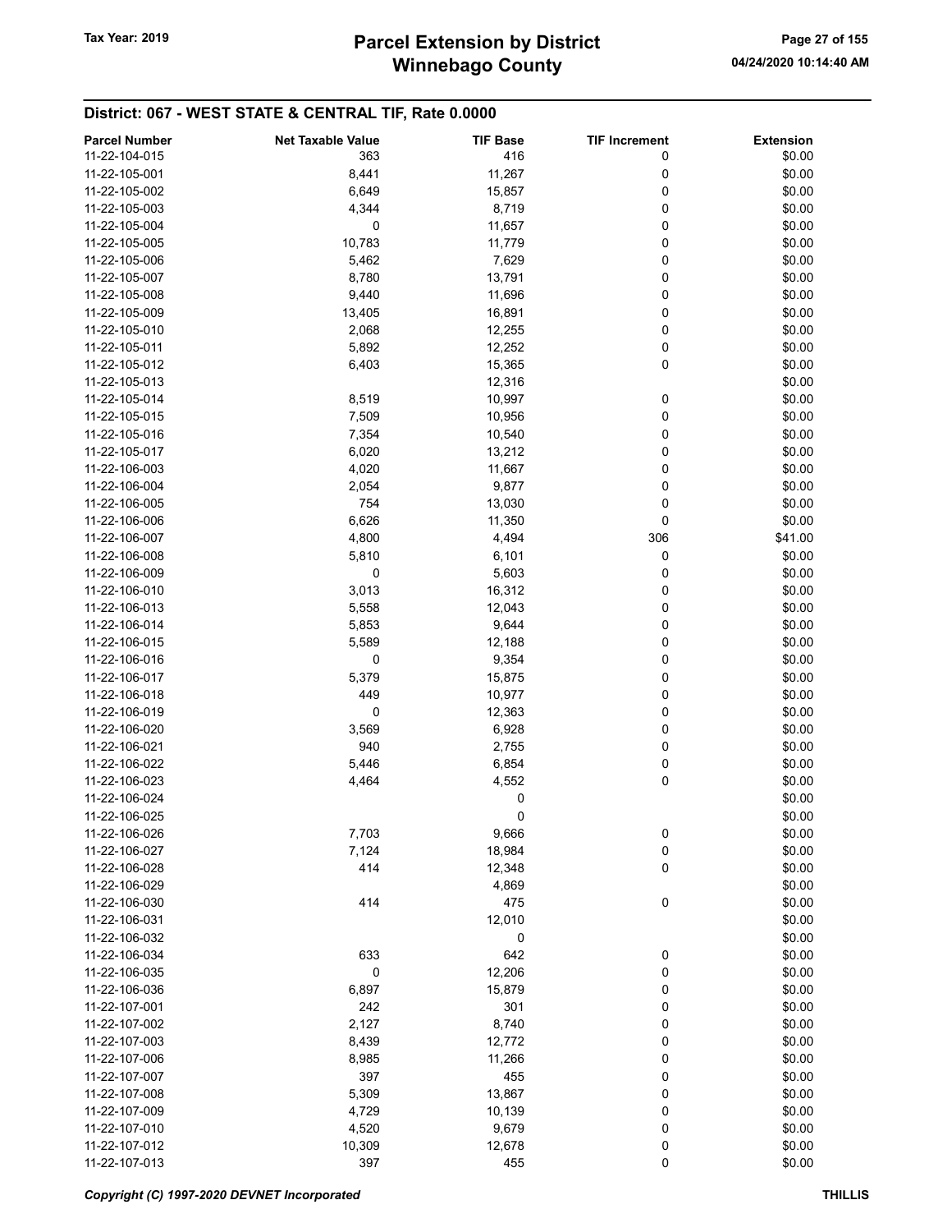| <b>Parcel Number</b> | <b>Net Taxable Value</b> | <b>TIF Base</b> | <b>TIF Increment</b> | <b>Extension</b> |
|----------------------|--------------------------|-----------------|----------------------|------------------|
| 11-22-104-015        | 363                      | 416             | 0                    | \$0.00           |
| 11-22-105-001        | 8,441                    | 11,267          | 0                    | \$0.00           |
| 11-22-105-002        | 6,649                    | 15,857          | 0                    | \$0.00           |
| 11-22-105-003        | 4,344                    | 8,719           | 0                    | \$0.00           |
| 11-22-105-004        | 0                        | 11,657          | 0                    | \$0.00           |
| 11-22-105-005        | 10,783                   | 11,779          | 0                    | \$0.00           |
| 11-22-105-006        | 5,462                    | 7,629           | 0                    | \$0.00           |
| 11-22-105-007        |                          |                 | 0                    | \$0.00           |
| 11-22-105-008        | 8,780                    | 13,791          | 0                    |                  |
|                      | 9,440                    | 11,696          |                      | \$0.00           |
| 11-22-105-009        | 13,405                   | 16,891          | 0                    | \$0.00           |
| 11-22-105-010        | 2,068                    | 12,255          | 0                    | \$0.00           |
| 11-22-105-011        | 5,892                    | 12,252          | 0                    | \$0.00           |
| 11-22-105-012        | 6,403                    | 15,365          | 0                    | \$0.00           |
| 11-22-105-013        |                          | 12,316          |                      | \$0.00           |
| 11-22-105-014        | 8,519                    | 10,997          | 0                    | \$0.00           |
| 11-22-105-015        | 7,509                    | 10,956          | 0                    | \$0.00           |
| 11-22-105-016        | 7,354                    | 10,540          | 0                    | \$0.00           |
| 11-22-105-017        | 6,020                    | 13,212          | 0                    | \$0.00           |
| 11-22-106-003        | 4,020                    | 11,667          | 0                    | \$0.00           |
| 11-22-106-004        | 2,054                    | 9,877           | 0                    | \$0.00           |
| 11-22-106-005        | 754                      | 13,030          | 0                    | \$0.00           |
| 11-22-106-006        | 6,626                    | 11,350          | 0                    | \$0.00           |
| 11-22-106-007        | 4,800                    | 4,494           | 306                  | \$41.00          |
| 11-22-106-008        | 5,810                    | 6,101           | 0                    | \$0.00           |
| 11-22-106-009        | 0                        | 5,603           | 0                    | \$0.00           |
| 11-22-106-010        | 3,013                    | 16,312          | 0                    | \$0.00           |
| 11-22-106-013        | 5,558                    | 12,043          | 0                    | \$0.00           |
| 11-22-106-014        | 5,853                    | 9,644           | 0                    | \$0.00           |
| 11-22-106-015        | 5,589                    | 12,188          | 0                    | \$0.00           |
| 11-22-106-016        | 0                        | 9,354           | 0                    | \$0.00           |
| 11-22-106-017        | 5,379                    | 15,875          | 0                    | \$0.00           |
| 11-22-106-018        | 449                      | 10,977          | 0                    | \$0.00           |
| 11-22-106-019        | 0                        | 12,363          | 0                    | \$0.00           |
| 11-22-106-020        | 3,569                    | 6,928           | 0                    | \$0.00           |
| 11-22-106-021        | 940                      | 2,755           | 0                    | \$0.00           |
| 11-22-106-022        | 5,446                    | 6,854           | 0                    | \$0.00           |
| 11-22-106-023        | 4,464                    | 4,552           | 0                    | \$0.00           |
| 11-22-106-024        |                          | 0               |                      | \$0.00           |
| 11-22-106-025        |                          |                 |                      | \$0.00           |
|                      |                          | 0               |                      |                  |
| 11-22-106-026        | 7,703                    | 9,666           | 0                    | \$0.00           |
| 11-22-106-027        | 7,124                    | 18,984          | 0                    | \$0.00           |
| 11-22-106-028        | 414                      | 12,348          | 0                    | \$0.00           |
| 11-22-106-029        |                          | 4,869           |                      | \$0.00           |
| 11-22-106-030        | 414                      | 475             | $\pmb{0}$            | \$0.00           |
| 11-22-106-031        |                          | 12,010          |                      | \$0.00           |
| 11-22-106-032        |                          | 0               |                      | \$0.00           |
| 11-22-106-034        | 633                      | 642             | 0                    | \$0.00           |
| 11-22-106-035        | 0                        | 12,206          | 0                    | \$0.00           |
| 11-22-106-036        | 6,897                    | 15,879          | 0                    | \$0.00           |
| 11-22-107-001        | 242                      | 301             | 0                    | \$0.00           |
| 11-22-107-002        | 2,127                    | 8,740           | 0                    | \$0.00           |
| 11-22-107-003        | 8,439                    | 12,772          | 0                    | \$0.00           |
| 11-22-107-006        | 8,985                    | 11,266          | 0                    | \$0.00           |
| 11-22-107-007        | 397                      | 455             | 0                    | \$0.00           |
| 11-22-107-008        | 5,309                    | 13,867          | 0                    | \$0.00           |
| 11-22-107-009        | 4,729                    | 10,139          | 0                    | \$0.00           |
| 11-22-107-010        | 4,520                    | 9,679           | 0                    | \$0.00           |
| 11-22-107-012        | 10,309                   | 12,678          | 0                    | \$0.00           |
| 11-22-107-013        | 397                      | 455             | $\pmb{0}$            | \$0.00           |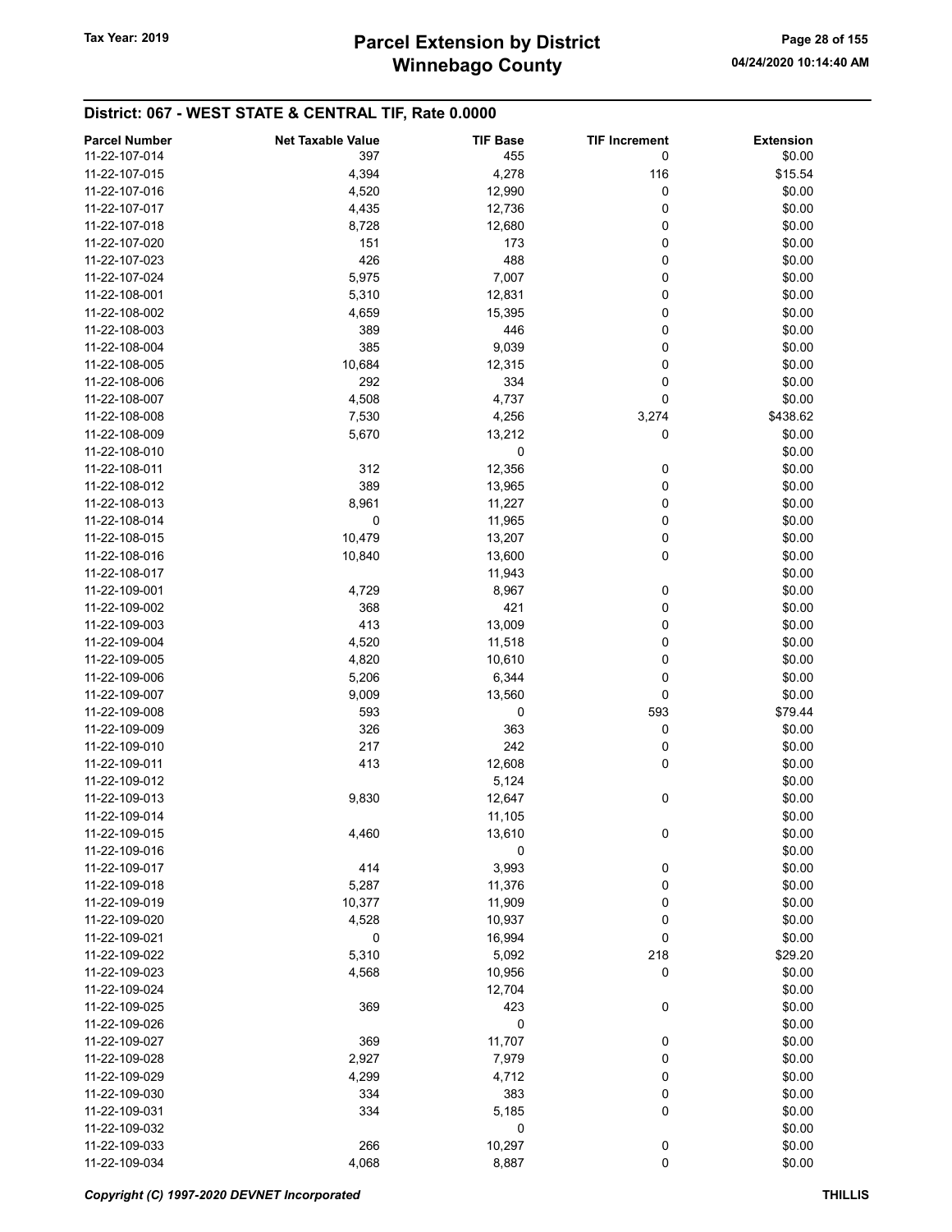| <b>Parcel Number</b> | <b>Net Taxable Value</b> | <b>TIF Base</b> | <b>TIF Increment</b> | <b>Extension</b> |
|----------------------|--------------------------|-----------------|----------------------|------------------|
| 11-22-107-014        | 397                      | 455             | 0                    | \$0.00           |
| 11-22-107-015        | 4,394                    | 4,278           | 116                  | \$15.54          |
| 11-22-107-016        | 4,520                    | 12,990          | 0                    | \$0.00           |
| 11-22-107-017        | 4,435                    | 12,736          | 0                    | \$0.00           |
|                      |                          |                 |                      |                  |
| 11-22-107-018        | 8,728                    | 12,680          | 0                    | \$0.00           |
| 11-22-107-020        | 151                      | 173             | 0                    | \$0.00           |
| 11-22-107-023        | 426                      | 488             | 0                    | \$0.00           |
| 11-22-107-024        | 5,975                    | 7,007           | 0                    | \$0.00           |
| 11-22-108-001        | 5,310                    | 12,831          | 0                    | \$0.00           |
| 11-22-108-002        | 4,659                    | 15,395          | 0                    | \$0.00           |
| 11-22-108-003        | 389                      | 446             | 0                    | \$0.00           |
| 11-22-108-004        | 385                      | 9,039           | 0                    | \$0.00           |
| 11-22-108-005        | 10,684                   | 12,315          | 0                    | \$0.00           |
| 11-22-108-006        | 292                      | 334             | 0                    | \$0.00           |
| 11-22-108-007        | 4,508                    | 4,737           | 0                    | \$0.00           |
| 11-22-108-008        | 7,530                    | 4,256           | 3,274                | \$438.62         |
| 11-22-108-009        | 5,670                    | 13,212          | 0                    | \$0.00           |
| 11-22-108-010        |                          | 0               |                      | \$0.00           |
|                      |                          |                 |                      |                  |
| 11-22-108-011        | 312                      | 12,356          | 0                    | \$0.00           |
| 11-22-108-012        | 389                      | 13,965          | 0                    | \$0.00           |
| 11-22-108-013        | 8,961                    | 11,227          | 0                    | \$0.00           |
| 11-22-108-014        | 0                        | 11,965          | 0                    | \$0.00           |
| 11-22-108-015        | 10,479                   | 13,207          | 0                    | \$0.00           |
| 11-22-108-016        | 10,840                   | 13,600          | 0                    | \$0.00           |
| 11-22-108-017        |                          | 11,943          |                      | \$0.00           |
| 11-22-109-001        | 4,729                    | 8,967           | 0                    | \$0.00           |
| 11-22-109-002        | 368                      | 421             | 0                    | \$0.00           |
| 11-22-109-003        | 413                      | 13,009          | 0                    | \$0.00           |
| 11-22-109-004        | 4,520                    | 11,518          | 0                    | \$0.00           |
| 11-22-109-005        | 4,820                    | 10,610          | 0                    | \$0.00           |
| 11-22-109-006        | 5,206                    | 6,344           | 0                    | \$0.00           |
|                      | 9,009                    |                 | 0                    | \$0.00           |
| 11-22-109-007        |                          | 13,560          |                      |                  |
| 11-22-109-008        | 593                      | 0               | 593                  | \$79.44          |
| 11-22-109-009        | 326                      | 363             | 0                    | \$0.00           |
| 11-22-109-010        | 217                      | 242             | 0                    | \$0.00           |
| 11-22-109-011        | 413                      | 12,608          | 0                    | \$0.00           |
| 11-22-109-012        |                          | 5,124           |                      | \$0.00           |
| 11-22-109-013        | 9,830                    | 12,647          | 0                    | \$0.00           |
| 11-22-109-014        |                          | 11,105          |                      | \$0.00           |
| 11-22-109-015        | 4,460                    | 13,610          | 0                    | \$0.00           |
| 11-22-109-016        |                          | 0               |                      | \$0.00           |
| 11-22-109-017        | 414                      | 3,993           | 0                    | \$0.00           |
| 11-22-109-018        | 5,287                    | 11,376          | 0                    | \$0.00           |
| 11-22-109-019        | 10,377                   | 11,909          | 0                    | \$0.00           |
| 11-22-109-020        | 4,528                    | 10,937          | 0                    | \$0.00           |
| 11-22-109-021        | 0                        | 16,994          | 0                    | \$0.00           |
| 11-22-109-022        | 5,310                    | 5,092           | 218                  | \$29.20          |
|                      |                          |                 |                      |                  |
| 11-22-109-023        | 4,568                    | 10,956          | 0                    | \$0.00           |
| 11-22-109-024        |                          | 12,704          |                      | \$0.00           |
| 11-22-109-025        | 369                      | 423             | 0                    | \$0.00           |
| 11-22-109-026        |                          | 0               |                      | \$0.00           |
| 11-22-109-027        | 369                      | 11,707          | 0                    | \$0.00           |
| 11-22-109-028        | 2,927                    | 7,979           | 0                    | \$0.00           |
| 11-22-109-029        | 4,299                    | 4,712           | 0                    | \$0.00           |
| 11-22-109-030        | 334                      | 383             | 0                    | \$0.00           |
| 11-22-109-031        | 334                      | 5,185           | 0                    | \$0.00           |
| 11-22-109-032        |                          | 0               |                      | \$0.00           |
| 11-22-109-033        | 266                      | 10,297          | 0                    | \$0.00           |
| 11-22-109-034        | 4,068                    | 8,887           | 0                    | \$0.00           |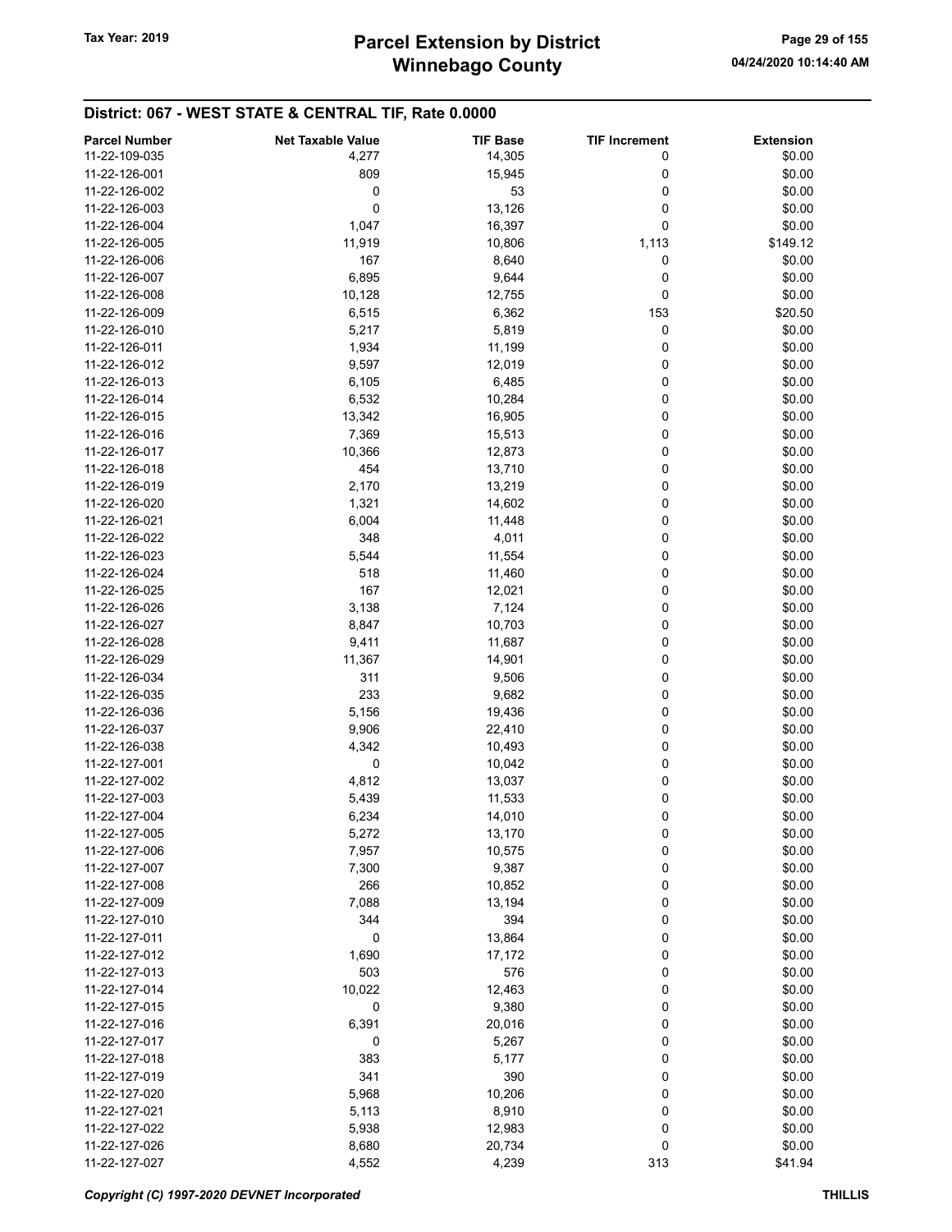# Winnebago County Tax Year: 2019 **Parcel Extension by District** Page 29 of 155

| <b>Parcel Number</b> | <b>Net Taxable Value</b> | <b>TIF Base</b> | <b>TIF Increment</b> | <b>Extension</b> |
|----------------------|--------------------------|-----------------|----------------------|------------------|
| 11-22-109-035        | 4,277                    | 14,305          | 0                    | \$0.00           |
| 11-22-126-001        | 809                      | 15,945          | 0                    | \$0.00           |
| 11-22-126-002        | 0                        | 53              | 0                    | \$0.00           |
| 11-22-126-003        | $\mathbf 0$              | 13,126          | 0                    | \$0.00           |
| 11-22-126-004        | 1,047                    | 16,397          | 0                    | \$0.00           |
| 11-22-126-005        |                          |                 |                      | \$149.12         |
|                      | 11,919                   | 10,806          | 1,113                |                  |
| 11-22-126-006        | 167                      | 8,640           | 0                    | \$0.00           |
| 11-22-126-007        | 6,895                    | 9,644           | 0                    | \$0.00           |
| 11-22-126-008        | 10,128                   | 12,755          | 0                    | \$0.00           |
| 11-22-126-009        | 6,515                    | 6,362           | 153                  | \$20.50          |
| 11-22-126-010        | 5,217                    | 5,819           | 0                    | \$0.00           |
| 11-22-126-011        | 1,934                    | 11,199          | 0                    | \$0.00           |
| 11-22-126-012        | 9,597                    | 12,019          | 0                    | \$0.00           |
| 11-22-126-013        | 6,105                    | 6,485           | 0                    | \$0.00           |
| 11-22-126-014        | 6,532                    | 10,284          | 0                    | \$0.00           |
| 11-22-126-015        | 13,342                   | 16,905          | 0                    | \$0.00           |
| 11-22-126-016        | 7,369                    | 15,513          | 0                    | \$0.00           |
| 11-22-126-017        | 10,366                   | 12,873          | 0                    | \$0.00           |
| 11-22-126-018        | 454                      | 13,710          | 0                    | \$0.00           |
| 11-22-126-019        | 2,170                    | 13,219          | 0                    | \$0.00           |
| 11-22-126-020        | 1,321                    | 14,602          | 0                    | \$0.00           |
| 11-22-126-021        | 6,004                    | 11,448          | 0                    | \$0.00           |
| 11-22-126-022        | 348                      | 4,011           | 0                    | \$0.00           |
| 11-22-126-023        | 5,544                    | 11,554          | 0                    | \$0.00           |
| 11-22-126-024        | 518                      | 11,460          | 0                    | \$0.00           |
| 11-22-126-025        | 167                      | 12,021          | 0                    | \$0.00           |
| 11-22-126-026        | 3,138                    | 7,124           | 0                    | \$0.00           |
| 11-22-126-027        | 8,847                    | 10,703          | 0                    | \$0.00           |
| 11-22-126-028        | 9,411                    | 11,687          | 0                    | \$0.00           |
| 11-22-126-029        | 11,367                   | 14,901          | 0                    | \$0.00           |
| 11-22-126-034        | 311                      | 9,506           | 0                    | \$0.00           |
| 11-22-126-035        | 233                      | 9,682           | 0                    | \$0.00           |
|                      |                          |                 | 0                    |                  |
| 11-22-126-036        | 5,156                    | 19,436          |                      | \$0.00           |
| 11-22-126-037        | 9,906                    | 22,410          | 0                    | \$0.00           |
| 11-22-126-038        | 4,342                    | 10,493          | 0                    | \$0.00           |
| 11-22-127-001        | 0                        | 10,042          | 0                    | \$0.00           |
| 11-22-127-002        | 4,812                    | 13,037          | 0                    | \$0.00           |
| 11-22-127-003        | 5,439                    | 11,533          | 0                    | \$0.00           |
| 11-22-127-004        | 6,234                    | 14,010          | 0                    | \$0.00           |
| 11-22-127-005        | 5,272                    | 13,170          | 0                    | \$0.00           |
| 11-22-127-006        | 7,957                    | 10,575          | 0                    | \$0.00           |
| 11-22-127-007        | 7,300                    | 9,387           | 0                    | \$0.00           |
| 11-22-127-008        | 266                      | 10,852          | 0                    | \$0.00           |
| 11-22-127-009        | 7,088                    | 13,194          | 0                    | \$0.00           |
| 11-22-127-010        | 344                      | 394             | 0                    | \$0.00           |
| 11-22-127-011        | 0                        | 13,864          | 0                    | \$0.00           |
| 11-22-127-012        | 1,690                    | 17,172          | 0                    | \$0.00           |
| 11-22-127-013        | 503                      | 576             | 0                    | \$0.00           |
| 11-22-127-014        | 10,022                   | 12,463          | 0                    | \$0.00           |
| 11-22-127-015        | 0                        | 9,380           | 0                    | \$0.00           |
| 11-22-127-016        | 6,391                    | 20,016          | 0                    | \$0.00           |
| 11-22-127-017        | 0                        | 5,267           | 0                    | \$0.00           |
| 11-22-127-018        | 383                      | 5,177           | 0                    | \$0.00           |
| 11-22-127-019        | 341                      | 390             | 0                    | \$0.00           |
| 11-22-127-020        | 5,968                    | 10,206          | 0                    | \$0.00           |
| 11-22-127-021        | 5,113                    | 8,910           | 0                    | \$0.00           |
| 11-22-127-022        | 5,938                    | 12,983          | 0                    | \$0.00           |
| 11-22-127-026        | 8,680                    | 20,734          | 0                    | \$0.00           |
| 11-22-127-027        | 4,552                    | 4,239           | 313                  | \$41.94          |
|                      |                          |                 |                      |                  |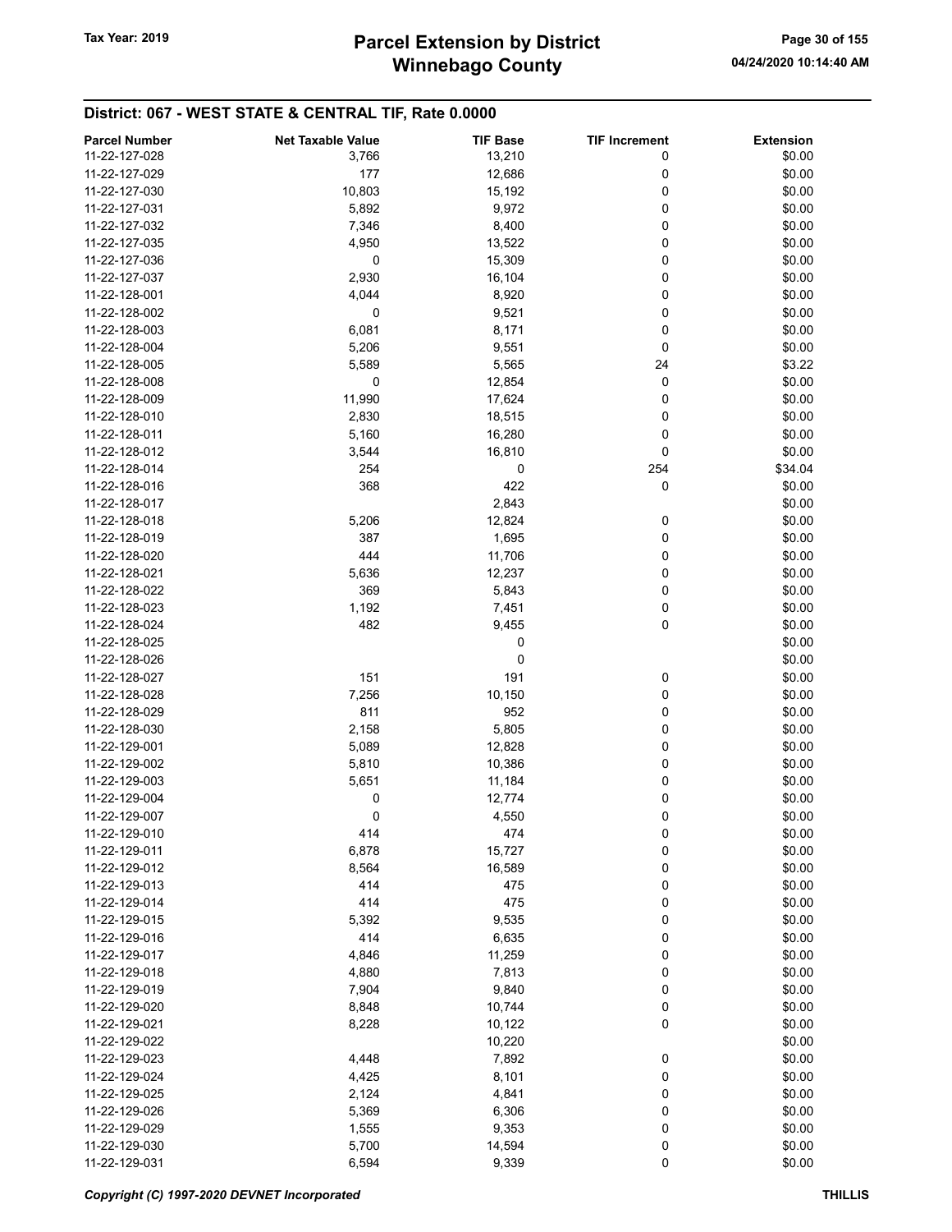# Winnebago County Tax Year: 2019 **Parcel Extension by District** Page 30 of 155

| <b>Parcel Number</b> | <b>Net Taxable Value</b> | <b>TIF Base</b> | <b>TIF Increment</b> | <b>Extension</b> |
|----------------------|--------------------------|-----------------|----------------------|------------------|
| 11-22-127-028        | 3,766                    | 13,210          | 0                    | \$0.00           |
| 11-22-127-029        | 177                      | 12,686          | 0                    | \$0.00           |
|                      |                          |                 |                      |                  |
| 11-22-127-030        | 10,803                   | 15,192          | 0                    | \$0.00           |
| 11-22-127-031        | 5,892                    | 9,972           | 0                    | \$0.00           |
| 11-22-127-032        | 7,346                    | 8,400           | 0                    | \$0.00           |
| 11-22-127-035        | 4,950                    | 13,522          | 0                    | \$0.00           |
| 11-22-127-036        | 0                        | 15,309          | 0                    | \$0.00           |
| 11-22-127-037        | 2,930                    | 16,104          | 0                    | \$0.00           |
| 11-22-128-001        | 4,044                    | 8,920           | 0                    | \$0.00           |
| 11-22-128-002        | 0                        | 9,521           | 0                    | \$0.00           |
| 11-22-128-003        | 6,081                    | 8,171           | 0                    | \$0.00           |
|                      |                          |                 |                      |                  |
| 11-22-128-004        | 5,206                    | 9,551           | 0                    | \$0.00           |
| 11-22-128-005        | 5,589                    | 5,565           | 24                   | \$3.22           |
| 11-22-128-008        | 0                        | 12,854          | 0                    | \$0.00           |
| 11-22-128-009        | 11,990                   | 17,624          | 0                    | \$0.00           |
| 11-22-128-010        | 2,830                    | 18,515          | 0                    | \$0.00           |
| 11-22-128-011        | 5,160                    | 16,280          | 0                    | \$0.00           |
| 11-22-128-012        | 3,544                    | 16,810          | 0                    | \$0.00           |
| 11-22-128-014        | 254                      | 0               | 254                  | \$34.04          |
| 11-22-128-016        | 368                      | 422             | 0                    | \$0.00           |
|                      |                          |                 |                      |                  |
| 11-22-128-017        |                          | 2,843           |                      | \$0.00           |
| 11-22-128-018        | 5,206                    | 12,824          | 0                    | \$0.00           |
| 11-22-128-019        | 387                      | 1,695           | 0                    | \$0.00           |
| 11-22-128-020        | 444                      | 11,706          | 0                    | \$0.00           |
| 11-22-128-021        | 5,636                    | 12,237          | 0                    | \$0.00           |
| 11-22-128-022        | 369                      | 5,843           | 0                    | \$0.00           |
| 11-22-128-023        | 1,192                    | 7,451           | 0                    | \$0.00           |
| 11-22-128-024        | 482                      | 9,455           | 0                    | \$0.00           |
| 11-22-128-025        |                          | 0               |                      | \$0.00           |
| 11-22-128-026        |                          | 0               |                      | \$0.00           |
|                      |                          |                 |                      |                  |
| 11-22-128-027        | 151                      | 191             | 0                    | \$0.00           |
| 11-22-128-028        | 7,256                    | 10,150          | 0                    | \$0.00           |
| 11-22-128-029        | 811                      | 952             | 0                    | \$0.00           |
| 11-22-128-030        | 2,158                    | 5,805           | 0                    | \$0.00           |
| 11-22-129-001        | 5,089                    | 12,828          | 0                    | \$0.00           |
| 11-22-129-002        | 5,810                    | 10,386          | 0                    | \$0.00           |
| 11-22-129-003        | 5,651                    | 11,184          | 0                    | \$0.00           |
| 11-22-129-004        | 0                        | 12,774          | 0                    | \$0.00           |
| 11-22-129-007        | 0                        | 4,550           | 0                    | \$0.00           |
| 11-22-129-010        | 414                      | 474             | 0                    | \$0.00           |
| 11-22-129-011        |                          |                 |                      |                  |
|                      | 6,878                    | 15,727          | 0                    | \$0.00           |
| 11-22-129-012        | 8,564                    | 16,589          | 0                    | \$0.00           |
| 11-22-129-013        | 414                      | 475             | 0                    | \$0.00           |
| 11-22-129-014        | 414                      | 475             | 0                    | \$0.00           |
| 11-22-129-015        | 5,392                    | 9,535           | 0                    | \$0.00           |
| 11-22-129-016        | 414                      | 6,635           | 0                    | \$0.00           |
| 11-22-129-017        | 4,846                    | 11,259          | 0                    | \$0.00           |
| 11-22-129-018        | 4,880                    | 7,813           | 0                    | \$0.00           |
| 11-22-129-019        | 7,904                    | 9,840           | 0                    | \$0.00           |
| 11-22-129-020        | 8,848                    | 10,744          | 0                    | \$0.00           |
| 11-22-129-021        |                          |                 | 0                    |                  |
|                      | 8,228                    | 10,122          |                      | \$0.00           |
| 11-22-129-022        |                          | 10,220          |                      | \$0.00           |
| 11-22-129-023        | 4,448                    | 7,892           | 0                    | \$0.00           |
| 11-22-129-024        | 4,425                    | 8,101           | 0                    | \$0.00           |
| 11-22-129-025        | 2,124                    | 4,841           | 0                    | \$0.00           |
| 11-22-129-026        | 5,369                    | 6,306           | 0                    | \$0.00           |
| 11-22-129-029        | 1,555                    | 9,353           | 0                    | \$0.00           |
| 11-22-129-030        | 5,700                    | 14,594          | 0                    | \$0.00           |
| 11-22-129-031        | 6,594                    | 9,339           | $\pmb{0}$            | \$0.00           |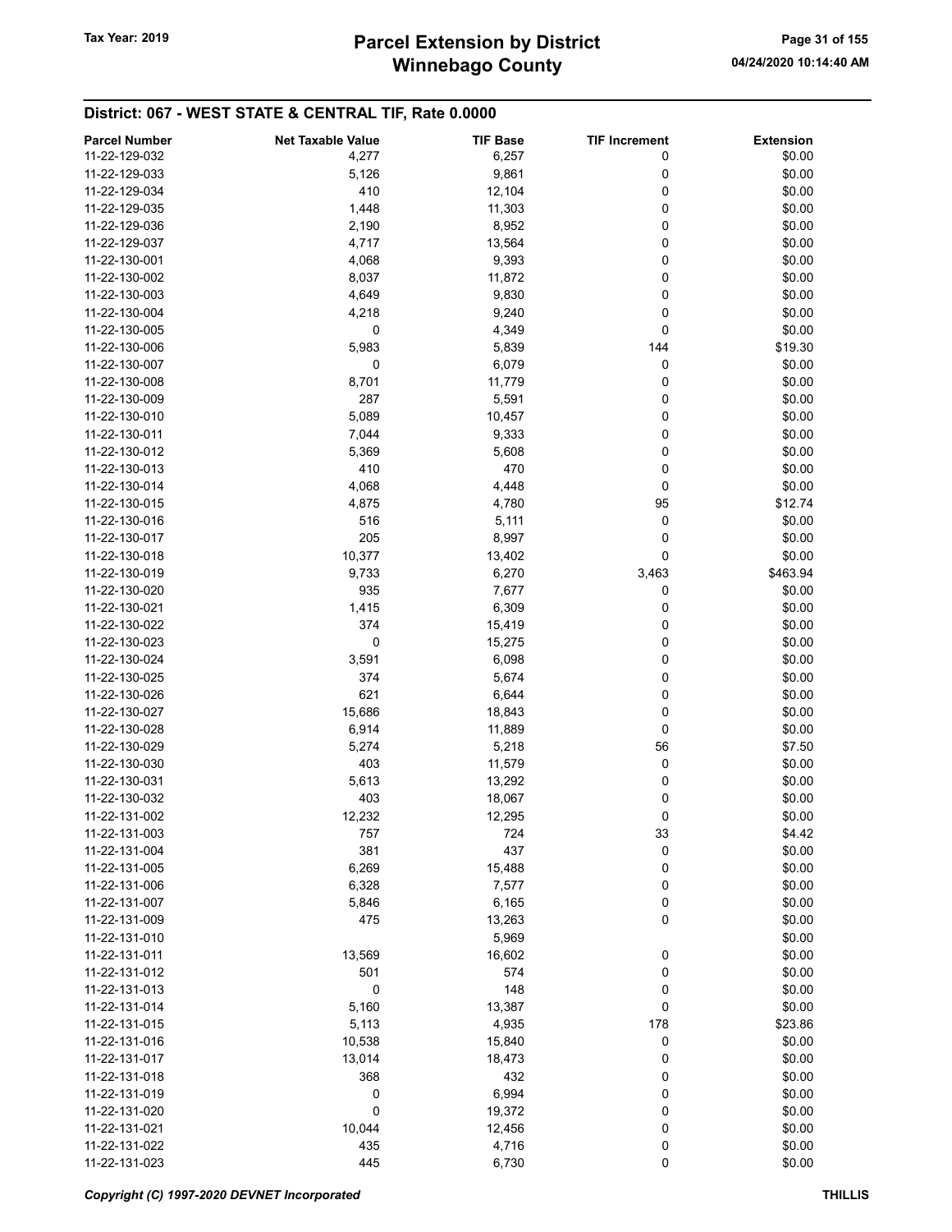# Winnebago County Tax Year: 2019 **Parcel Extension by District** Page 31 of 155

| <b>Parcel Number</b> | <b>Net Taxable Value</b> | <b>TIF Base</b> | <b>TIF Increment</b> | <b>Extension</b> |
|----------------------|--------------------------|-----------------|----------------------|------------------|
| 11-22-129-032        | 4,277                    | 6,257           | 0                    | \$0.00           |
| 11-22-129-033        | 5,126                    | 9,861           | 0                    | \$0.00           |
|                      |                          |                 |                      |                  |
| 11-22-129-034        | 410                      | 12,104          | 0                    | \$0.00           |
| 11-22-129-035        | 1,448                    | 11,303          | 0                    | \$0.00           |
| 11-22-129-036        | 2,190                    | 8,952           | 0                    | \$0.00           |
| 11-22-129-037        | 4,717                    | 13,564          | 0                    | \$0.00           |
| 11-22-130-001        | 4,068                    | 9,393           | 0                    | \$0.00           |
| 11-22-130-002        | 8,037                    | 11,872          | 0                    | \$0.00           |
| 11-22-130-003        | 4,649                    | 9,830           | 0                    | \$0.00           |
| 11-22-130-004        | 4,218                    | 9,240           | 0                    | \$0.00           |
| 11-22-130-005        | 0                        | 4,349           | 0                    | \$0.00           |
| 11-22-130-006        | 5,983                    | 5,839           | 144                  | \$19.30          |
|                      |                          |                 |                      |                  |
| 11-22-130-007        | 0                        | 6,079           | 0                    | \$0.00           |
| 11-22-130-008        | 8,701                    | 11,779          | 0                    | \$0.00           |
| 11-22-130-009        | 287                      | 5,591           | 0                    | \$0.00           |
| 11-22-130-010        | 5,089                    | 10,457          | 0                    | \$0.00           |
| 11-22-130-011        | 7,044                    | 9,333           | 0                    | \$0.00           |
| 11-22-130-012        | 5,369                    | 5,608           | 0                    | \$0.00           |
| 11-22-130-013        | 410                      | 470             | 0                    | \$0.00           |
| 11-22-130-014        | 4,068                    | 4,448           | 0                    | \$0.00           |
| 11-22-130-015        | 4,875                    | 4,780           | 95                   | \$12.74          |
| 11-22-130-016        | 516                      | 5,111           | 0                    | \$0.00           |
|                      |                          |                 |                      |                  |
| 11-22-130-017        | 205                      | 8,997           | 0                    | \$0.00           |
| 11-22-130-018        | 10,377                   | 13,402          | 0                    | \$0.00           |
| 11-22-130-019        | 9,733                    | 6,270           | 3,463                | \$463.94         |
| 11-22-130-020        | 935                      | 7,677           | 0                    | \$0.00           |
| 11-22-130-021        | 1,415                    | 6,309           | 0                    | \$0.00           |
| 11-22-130-022        | 374                      | 15,419          | 0                    | \$0.00           |
| 11-22-130-023        | 0                        | 15,275          | 0                    | \$0.00           |
| 11-22-130-024        | 3,591                    | 6,098           | 0                    | \$0.00           |
| 11-22-130-025        | 374                      | 5,674           | 0                    | \$0.00           |
| 11-22-130-026        | 621                      | 6,644           | 0                    | \$0.00           |
| 11-22-130-027        | 15,686                   | 18,843          | 0                    | \$0.00           |
|                      |                          |                 |                      |                  |
| 11-22-130-028        | 6,914                    | 11,889          | 0                    | \$0.00           |
| 11-22-130-029        | 5,274                    | 5,218           | 56                   | \$7.50           |
| 11-22-130-030        | 403                      | 11,579          | 0                    | \$0.00           |
| 11-22-130-031        | 5,613                    | 13,292          | 0                    | \$0.00           |
| 11-22-130-032        | 403                      | 18,067          | 0                    | \$0.00           |
| 11-22-131-002        | 12,232                   | 12,295          | 0                    | \$0.00           |
| 11-22-131-003        | 757                      | 724             | 33                   | \$4.42           |
| 11-22-131-004        | 381                      | 437             | 0                    | \$0.00           |
| 11-22-131-005        | 6,269                    | 15,488          | 0                    | \$0.00           |
| 11-22-131-006        | 6,328                    | 7,577           | 0                    | \$0.00           |
| 11-22-131-007        |                          |                 |                      | \$0.00           |
|                      | 5,846                    | 6,165           | 0                    |                  |
| 11-22-131-009        | 475                      | 13,263          | 0                    | \$0.00           |
| 11-22-131-010        |                          | 5,969           |                      | \$0.00           |
| 11-22-131-011        | 13,569                   | 16,602          | 0                    | \$0.00           |
| 11-22-131-012        | 501                      | 574             | 0                    | \$0.00           |
| 11-22-131-013        | 0                        | 148             | 0                    | \$0.00           |
| 11-22-131-014        | 5,160                    | 13,387          | 0                    | \$0.00           |
| 11-22-131-015        | 5,113                    | 4,935           | 178                  | \$23.86          |
| 11-22-131-016        | 10,538                   | 15,840          | 0                    | \$0.00           |
| 11-22-131-017        | 13,014                   | 18,473          | 0                    | \$0.00           |
| 11-22-131-018        | 368                      | 432             | 0                    | \$0.00           |
| 11-22-131-019        | 0                        | 6,994           | 0                    | \$0.00           |
|                      |                          |                 |                      |                  |
| 11-22-131-020        | 0                        | 19,372          | 0                    | \$0.00           |
| 11-22-131-021        | 10,044                   | 12,456          | 0                    | \$0.00           |
| 11-22-131-022        | 435                      | 4,716           | 0                    | \$0.00           |
| 11-22-131-023        | 445                      | 6,730           | 0                    | \$0.00           |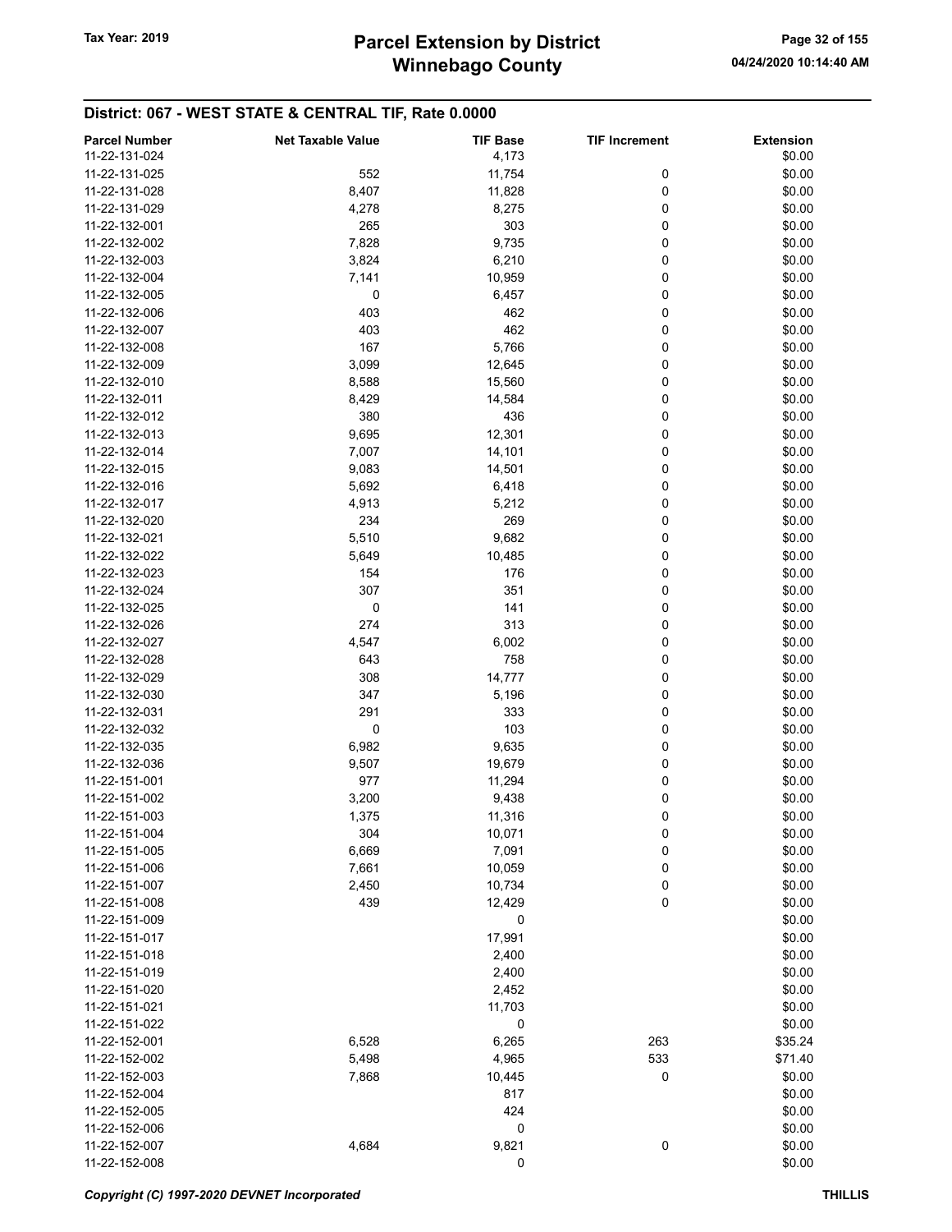| <b>Parcel Number</b> | <b>Net Taxable Value</b> | <b>TIF Base</b> | <b>TIF Increment</b> | <b>Extension</b> |
|----------------------|--------------------------|-----------------|----------------------|------------------|
| 11-22-131-024        |                          | 4,173           |                      | \$0.00           |
| 11-22-131-025        | 552                      | 11,754          | 0                    | \$0.00           |
| 11-22-131-028        | 8,407                    | 11,828          | 0                    | \$0.00           |
| 11-22-131-029        | 4,278                    | 8,275           | 0                    | \$0.00           |
| 11-22-132-001        | 265                      | 303             | 0                    | \$0.00           |
| 11-22-132-002        | 7,828                    | 9,735           | 0                    | \$0.00           |
| 11-22-132-003        | 3,824                    | 6,210           | 0                    | \$0.00           |
| 11-22-132-004        | 7,141                    | 10,959          | 0                    | \$0.00           |
| 11-22-132-005        | 0                        | 6,457           | 0                    | \$0.00           |
| 11-22-132-006        | 403                      | 462             | 0                    | \$0.00           |
| 11-22-132-007        | 403                      | 462             | 0                    | \$0.00           |
| 11-22-132-008        | 167                      | 5,766           | 0                    | \$0.00           |
| 11-22-132-009        | 3,099                    | 12,645          | 0                    | \$0.00           |
| 11-22-132-010        | 8,588                    | 15,560          | 0                    | \$0.00           |
| 11-22-132-011        | 8,429                    | 14,584          | 0                    | \$0.00           |
| 11-22-132-012        | 380                      | 436             | 0                    | \$0.00           |
| 11-22-132-013        | 9,695                    | 12,301          | 0                    | \$0.00           |
| 11-22-132-014        | 7,007                    | 14,101          | 0                    | \$0.00           |
| 11-22-132-015        | 9,083                    | 14,501          | 0                    | \$0.00           |
| 11-22-132-016        | 5,692                    | 6,418           | 0                    | \$0.00           |
| 11-22-132-017        | 4,913                    | 5,212           | 0                    | \$0.00           |
| 11-22-132-020        | 234                      | 269             | 0                    | \$0.00           |
| 11-22-132-021        | 5,510                    | 9,682           | 0                    | \$0.00           |
| 11-22-132-022        | 5,649                    | 10,485          | 0                    | \$0.00           |
| 11-22-132-023        | 154                      | 176             | 0                    | \$0.00           |
| 11-22-132-024        | 307                      | 351             | 0                    | \$0.00           |
| 11-22-132-025        | 0                        | 141             | 0                    | \$0.00           |
| 11-22-132-026        | 274                      | 313             | 0                    | \$0.00           |
| 11-22-132-027        | 4,547                    | 6,002           | 0                    | \$0.00           |
| 11-22-132-028        | 643                      | 758             | 0                    | \$0.00           |
| 11-22-132-029        | 308                      | 14,777          | 0                    | \$0.00           |
| 11-22-132-030        | 347                      | 5,196           | 0                    | \$0.00           |
| 11-22-132-031        | 291                      | 333             | 0                    | \$0.00           |
| 11-22-132-032        | 0                        | 103             | 0                    | \$0.00           |
| 11-22-132-035        | 6,982                    | 9,635           | 0                    | \$0.00           |
| 11-22-132-036        | 9,507                    | 19,679          | 0                    | \$0.00           |
| 11-22-151-001        | 977                      | 11,294          | 0                    | \$0.00           |
| 11-22-151-002        | 3,200                    | 9,438           | 0                    | \$0.00           |
| 11-22-151-003        | 1,375                    | 11,316          | 0                    | \$0.00           |
| 11-22-151-004        | 304                      | 10,071          | 0                    | \$0.00           |
| 11-22-151-005        | 6,669                    | 7,091           | 0                    | \$0.00           |
| 11-22-151-006        | 7,661                    | 10,059          | 0                    | \$0.00           |
| 11-22-151-007        | 2,450                    | 10,734          | 0                    | \$0.00           |
| 11-22-151-008        | 439                      | 12,429          | 0                    | \$0.00           |
| 11-22-151-009        |                          | 0               |                      | \$0.00           |
| 11-22-151-017        |                          | 17,991          |                      | \$0.00           |
| 11-22-151-018        |                          | 2,400           |                      | \$0.00           |
| 11-22-151-019        |                          | 2,400           |                      | \$0.00           |
| 11-22-151-020        |                          | 2,452           |                      | \$0.00           |
| 11-22-151-021        |                          | 11,703          |                      | \$0.00           |
| 11-22-151-022        |                          | 0               |                      | \$0.00           |
| 11-22-152-001        | 6,528                    | 6,265           | 263                  | \$35.24          |
| 11-22-152-002        | 5,498                    | 4,965           | 533                  | \$71.40          |
| 11-22-152-003        | 7,868                    | 10,445          | 0                    | \$0.00           |
| 11-22-152-004        |                          | 817             |                      | \$0.00           |
| 11-22-152-005        |                          | 424             |                      | \$0.00           |
| 11-22-152-006        |                          | 0               |                      | \$0.00           |
| 11-22-152-007        | 4,684                    | 9,821           | 0                    | \$0.00           |
| 11-22-152-008        |                          | 0               |                      | \$0.00           |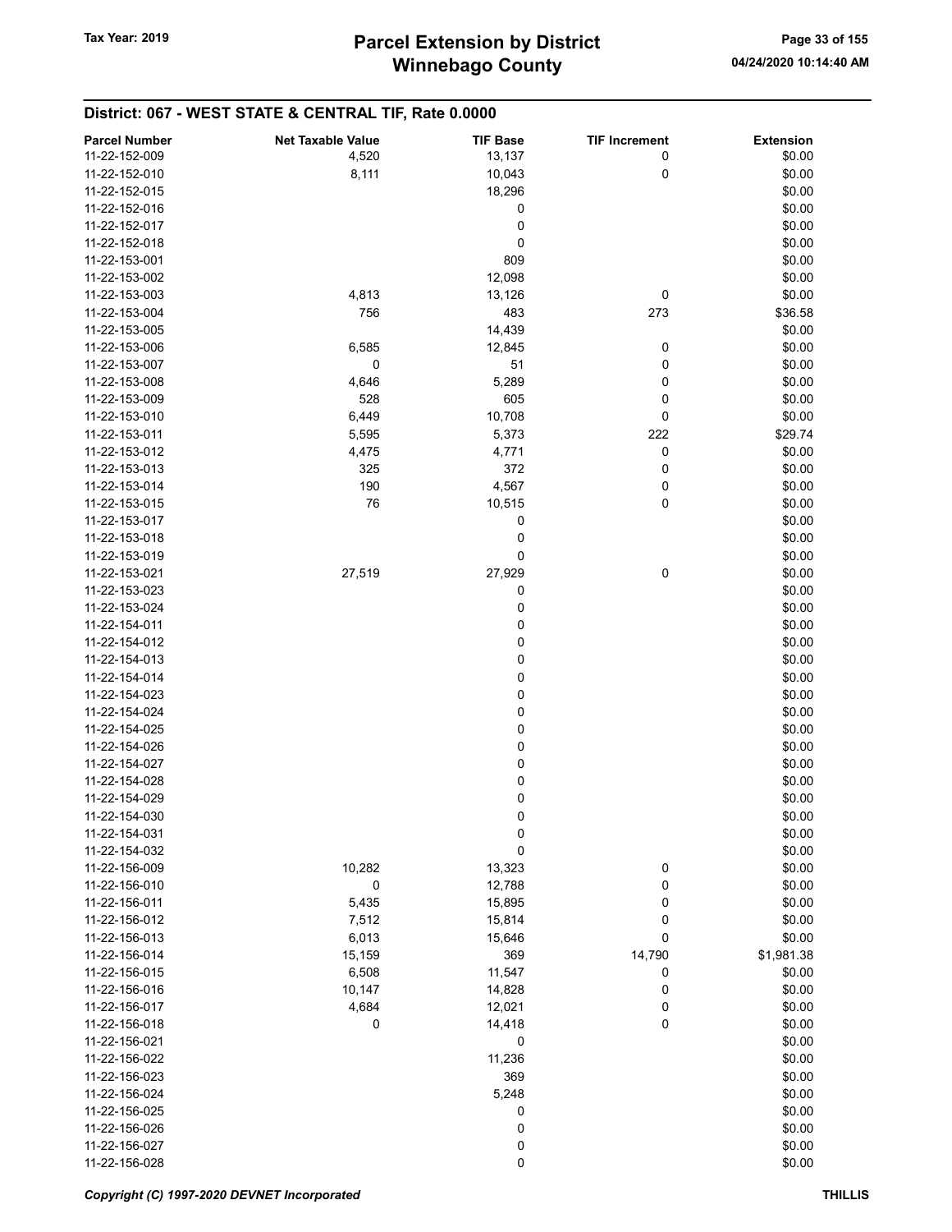#### District: 067 - WEST STATE & CENTRAL TIF, Rate 0.0000 Parcel Number **Net Taxable Value** TIF Base TIF Increment Extension 11-22-152-009 **4,520** 13,137 0 \$0.00 11-22-152-010 8,111 10,043 0 \$0.00 11-22-152-015 18,296 \$0.00  $11-22-152-016$  \$0.00  $11-22-152-017$  \$0.00  $11-22-152-018$  \$0.00 11-22-153-001 809 \$0.00 11-22-153-002 12,098 \$0.00 11-22-153-003 **4,813** 4,813 13,126 0 \$0.00 11-22-153-004 756 483 273 \$36.58 11-22-153-005 14,439 \$0.00 11-22-153-006 6,585 12,845 0 \$0.00 11-22-153-007 0 0 51 0 \$0.00 11-22-153-008 **4,646** 5,289 0 \$0.00 11-22-153-009 528 605 0 \$0.00 11-22-153-010 6,449 10,708 0 \$0.00 11-22-153-011 5,595 5,595 5,373 222 \$29.74 11-22-153-012 **4,475** 4,475 4,771 0 \$0.00 11-22-153-013 325 372 0 \$0.00 11-22-153-014 190 4,567 0 \$0.00 11-22-153-015 **10.515** 0 \$0.00  $11-22-153-017$  \$0.00  $11-22-153-018$  \$0.00  $11-22-153-019$  \$0.00 11-22-153-021 27,519 27,929 0 \$0.00  $11-22-153-023$  \$0.00  $11-22-153-024$  \$0.00  $11-22-154-011$  \$0.00  $11-22-154-012$  \$0.00  $11-22-154-013$  \$0.00  $11-22-154-014$  \$0.00  $11-22-154-023$  \$0.00  $11-22-154-024$  \$0.00  $11-22-154-025$  \$0.00  $11-22-154-026$  \$0.00  $11-22-154-027$  \$0.00  $11-22-154-028$  \$0.00  $11-22-154-029$  \$0.00  $11-22-154-030$  \$0.00  $11-22-154-031$  \$0.00  $11-22-154-032$  \$0.00 11-22-156-009 10,282 13,323 0 \$0.00 11-22-156-010 0 12,788 0 \$0.00 11-22-156-011 5,435 15,895 0 \$0.00 11-22-156-012 7,512 15,814 0 \$0.00 11-22-156-013 6,013 6,013 15,646 0 \$0.00 11-22-156-014 **15,159** 15,159 369 14,790 \$1,981.38 11-22-156-015 6,508 11,547 0 \$0.00 11-22-156-016 10,147 14,828 0 \$0.00 11-22-156-017 **4,684** 12,021 0 \$0.00 11-22-156-018 **0** 0 14,418 0 \$0.00  $11-22-156-021$  \$0.00 11-22-156-022 11,236 \$0.00 11-22-156-023 \$0.00 11-22-156-024 \$0.00  $11-22-156-025$  \$0.00 11-22-156-026 0 \$0.00 11-22-156-027 0 \$0.00  $11-22-156-028$  \$0.00

#### Copyright (C) 1997-2020 DEVNET Incorporated **THILLIS**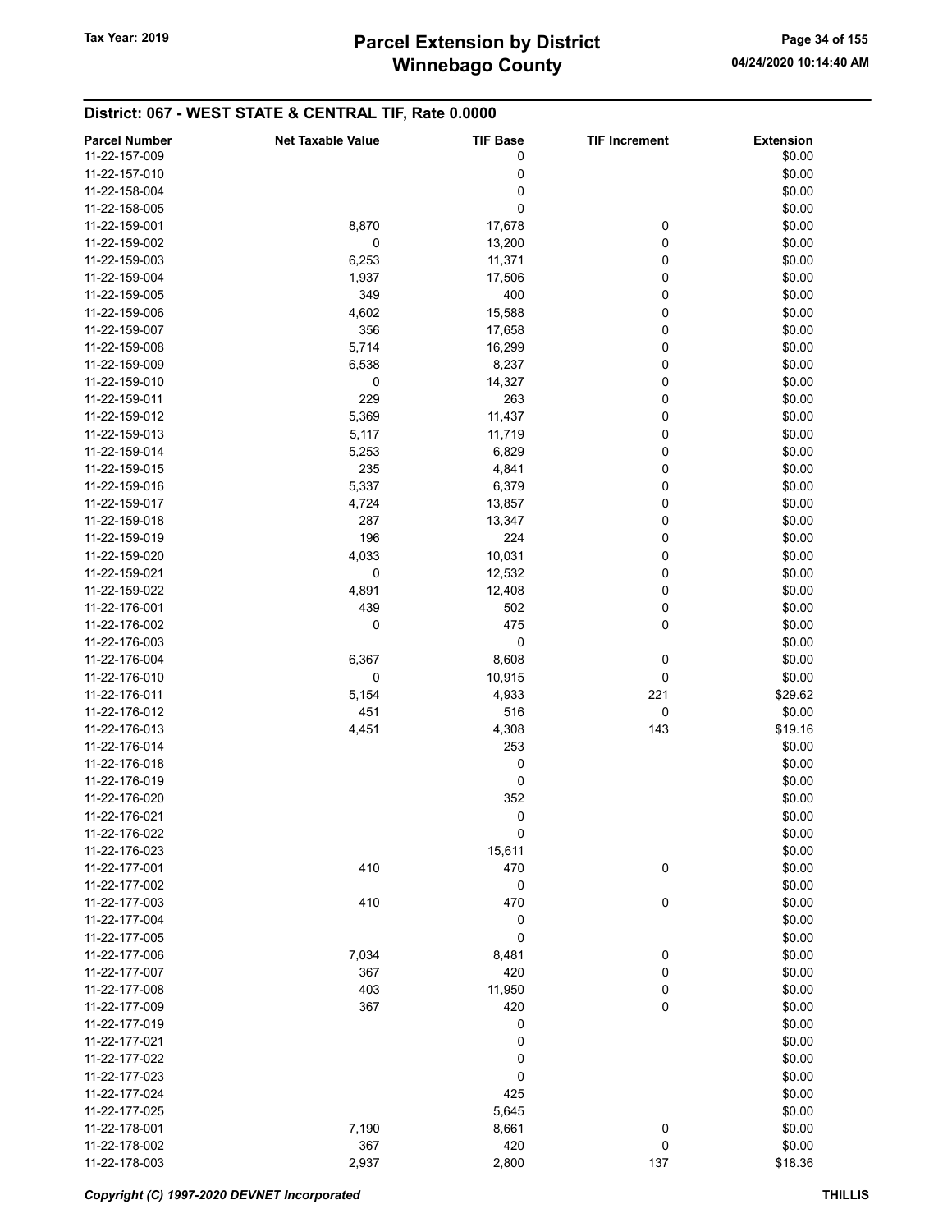# Winnebago County Tax Year: 2019 **Parcel Extension by District** Page 34 of 155

| <b>Parcel Number</b> | <b>Net Taxable Value</b> | <b>TIF Base</b> | <b>TIF Increment</b> | <b>Extension</b> |
|----------------------|--------------------------|-----------------|----------------------|------------------|
| 11-22-157-009        |                          | 0               |                      | \$0.00           |
|                      |                          |                 |                      |                  |
| 11-22-157-010        |                          | 0               |                      | \$0.00           |
| 11-22-158-004        |                          | 0               |                      | \$0.00           |
| 11-22-158-005        |                          | 0               |                      | \$0.00           |
| 11-22-159-001        | 8,870                    | 17,678          | 0                    | \$0.00           |
| 11-22-159-002        | 0                        | 13,200          | 0                    | \$0.00           |
| 11-22-159-003        | 6,253                    | 11,371          | 0                    | \$0.00           |
| 11-22-159-004        | 1,937                    | 17,506          | 0                    | \$0.00           |
| 11-22-159-005        | 349                      | 400             | 0                    | \$0.00           |
| 11-22-159-006        | 4,602                    | 15,588          | 0                    | \$0.00           |
| 11-22-159-007        | 356                      | 17,658          | 0                    | \$0.00           |
| 11-22-159-008        |                          |                 | 0                    |                  |
|                      | 5,714                    | 16,299          |                      | \$0.00           |
| 11-22-159-009        | 6,538                    | 8,237           | 0                    | \$0.00           |
| 11-22-159-010        | 0                        | 14,327          | 0                    | \$0.00           |
| 11-22-159-011        | 229                      | 263             | 0                    | \$0.00           |
| 11-22-159-012        | 5,369                    | 11,437          | 0                    | \$0.00           |
| 11-22-159-013        | 5,117                    | 11,719          | 0                    | \$0.00           |
| 11-22-159-014        | 5,253                    | 6,829           | 0                    | \$0.00           |
| 11-22-159-015        | 235                      | 4,841           | 0                    | \$0.00           |
| 11-22-159-016        | 5,337                    | 6,379           | 0                    | \$0.00           |
| 11-22-159-017        | 4,724                    | 13,857          | 0                    | \$0.00           |
| 11-22-159-018        |                          |                 | 0                    |                  |
|                      | 287                      | 13,347          |                      | \$0.00           |
| 11-22-159-019        | 196                      | 224             | 0                    | \$0.00           |
| 11-22-159-020        | 4,033                    | 10,031          | 0                    | \$0.00           |
| 11-22-159-021        | 0                        | 12,532          | 0                    | \$0.00           |
| 11-22-159-022        | 4,891                    | 12,408          | 0                    | \$0.00           |
| 11-22-176-001        | 439                      | 502             | 0                    | \$0.00           |
| 11-22-176-002        | 0                        | 475             | 0                    | \$0.00           |
| 11-22-176-003        |                          | 0               |                      | \$0.00           |
| 11-22-176-004        | 6,367                    | 8,608           | 0                    | \$0.00           |
| 11-22-176-010        | 0                        | 10,915          | 0                    | \$0.00           |
| 11-22-176-011        | 5,154                    | 4,933           | 221                  | \$29.62          |
| 11-22-176-012        | 451                      | 516             | 0                    | \$0.00           |
|                      |                          |                 |                      |                  |
| 11-22-176-013        | 4,451                    | 4,308           | 143                  | \$19.16          |
| 11-22-176-014        |                          | 253             |                      | \$0.00           |
| 11-22-176-018        |                          | 0               |                      | \$0.00           |
| 11-22-176-019        |                          | 0               |                      | \$0.00           |
| 11-22-176-020        |                          | 352             |                      | \$0.00           |
| 11-22-176-021        |                          | 0               |                      | \$0.00           |
| 11-22-176-022        |                          | 0               |                      | \$0.00           |
| 11-22-176-023        |                          | 15,611          |                      | \$0.00           |
| 11-22-177-001        | 410                      | 470             | 0                    | \$0.00           |
| 11-22-177-002        |                          | 0               |                      | \$0.00           |
| 11-22-177-003        | 410                      | 470             | 0                    | \$0.00           |
| 11-22-177-004        |                          | 0               |                      | \$0.00           |
|                      |                          |                 |                      |                  |
| 11-22-177-005        |                          | 0               |                      | \$0.00           |
| 11-22-177-006        | 7,034                    | 8,481           | 0                    | \$0.00           |
| 11-22-177-007        | 367                      | 420             | 0                    | \$0.00           |
| 11-22-177-008        | 403                      | 11,950          | 0                    | \$0.00           |
| 11-22-177-009        | 367                      | 420             | 0                    | \$0.00           |
| 11-22-177-019        |                          | 0               |                      | \$0.00           |
| 11-22-177-021        |                          | 0               |                      | \$0.00           |
| 11-22-177-022        |                          | 0               |                      | \$0.00           |
| 11-22-177-023        |                          | 0               |                      | \$0.00           |
| 11-22-177-024        |                          | 425             |                      | \$0.00           |
| 11-22-177-025        |                          | 5,645           |                      | \$0.00           |
|                      |                          |                 |                      |                  |
| 11-22-178-001        | 7,190                    | 8,661           | 0                    | \$0.00           |
| 11-22-178-002        | 367                      | 420             | 0                    | \$0.00           |
| 11-22-178-003        | 2,937                    | 2,800           | 137                  | \$18.36          |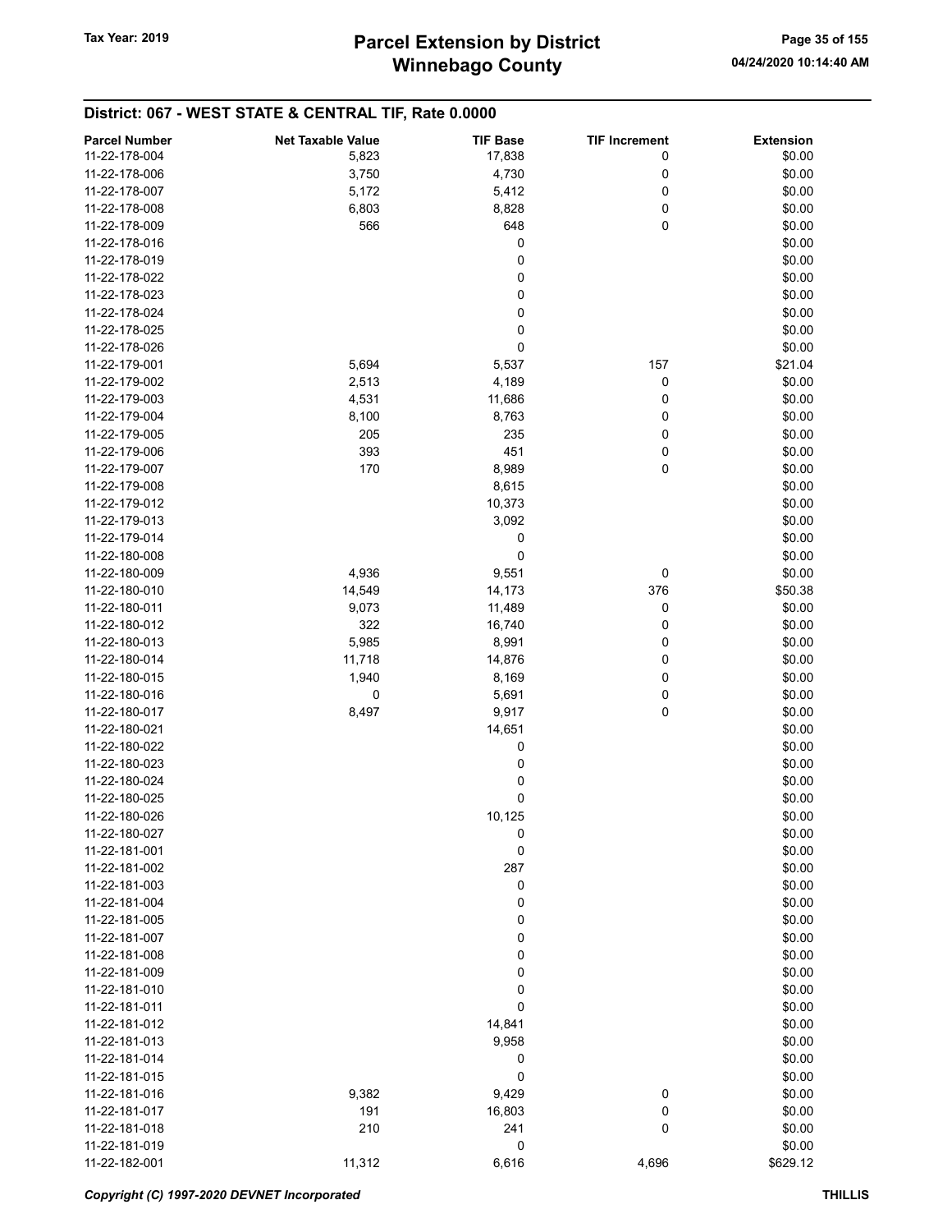| <b>Parcel Number</b> | <b>Net Taxable Value</b> | <b>TIF Base</b> | <b>TIF Increment</b> | <b>Extension</b> |
|----------------------|--------------------------|-----------------|----------------------|------------------|
| 11-22-178-004        | 5,823                    | 17,838          | 0                    | \$0.00           |
| 11-22-178-006        | 3,750                    | 4,730           | 0                    | \$0.00           |
| 11-22-178-007        | 5,172                    | 5,412           | 0                    | \$0.00           |
| 11-22-178-008        | 6,803                    | 8,828           | 0                    | \$0.00           |
| 11-22-178-009        | 566                      | 648             | 0                    | \$0.00           |
|                      |                          |                 |                      |                  |
| 11-22-178-016        |                          | 0               |                      | \$0.00           |
| 11-22-178-019        |                          | 0               |                      | \$0.00           |
| 11-22-178-022        |                          | 0               |                      | \$0.00           |
| 11-22-178-023        |                          | $\pmb{0}$       |                      | \$0.00           |
| 11-22-178-024        |                          | 0               |                      | \$0.00           |
| 11-22-178-025        |                          | 0               |                      | \$0.00           |
| 11-22-178-026        |                          | 0               |                      | \$0.00           |
| 11-22-179-001        | 5,694                    | 5,537           | 157                  | \$21.04          |
| 11-22-179-002        | 2,513                    | 4,189           | 0                    | \$0.00           |
| 11-22-179-003        | 4,531                    | 11,686          | 0                    | \$0.00           |
| 11-22-179-004        | 8,100                    | 8,763           | 0                    | \$0.00           |
| 11-22-179-005        | 205                      | 235             | 0                    | \$0.00           |
| 11-22-179-006        | 393                      | 451             | 0                    | \$0.00           |
| 11-22-179-007        | 170                      | 8,989           | $\mathbf 0$          | \$0.00           |
| 11-22-179-008        |                          | 8,615           |                      | \$0.00           |
| 11-22-179-012        |                          | 10,373          |                      | \$0.00           |
| 11-22-179-013        |                          | 3,092           |                      | \$0.00           |
| 11-22-179-014        |                          | 0               |                      | \$0.00           |
| 11-22-180-008        |                          | 0               |                      | \$0.00           |
| 11-22-180-009        | 4,936                    | 9,551           | 0                    | \$0.00           |
| 11-22-180-010        | 14,549                   | 14,173          | 376                  | \$50.38          |
| 11-22-180-011        | 9,073                    | 11,489          | 0                    | \$0.00           |
| 11-22-180-012        | 322                      | 16,740          | 0                    | \$0.00           |
| 11-22-180-013        | 5,985                    | 8,991           | 0                    | \$0.00           |
| 11-22-180-014        | 11,718                   | 14,876          | 0                    | \$0.00           |
| 11-22-180-015        | 1,940                    | 8,169           | 0                    | \$0.00           |
| 11-22-180-016        | 0                        | 5,691           | 0                    | \$0.00           |
| 11-22-180-017        | 8,497                    | 9,917           | $\pmb{0}$            | \$0.00           |
| 11-22-180-021        |                          | 14,651          |                      | \$0.00           |
| 11-22-180-022        |                          | 0               |                      | \$0.00           |
| 11-22-180-023        |                          | 0               |                      | \$0.00           |
| 11-22-180-024        |                          | 0               |                      | \$0.00           |
| 11-22-180-025        |                          | 0               |                      | \$0.00           |
| 11-22-180-026        |                          | 10,125          |                      | \$0.00           |
| 11-22-180-027        |                          | $\mathbf 0$     |                      | \$0.00           |
| 11-22-181-001        |                          | $\mathbf 0$     |                      | \$0.00           |
| 11-22-181-002        |                          | 287             |                      | \$0.00           |
| 11-22-181-003        |                          | 0               |                      | \$0.00           |
| 11-22-181-004        |                          | 0               |                      | \$0.00           |
| 11-22-181-005        |                          | 0               |                      | \$0.00           |
| 11-22-181-007        |                          |                 |                      | \$0.00           |
|                      |                          | 0               |                      |                  |
| 11-22-181-008        |                          | 0               |                      | \$0.00           |
| 11-22-181-009        |                          | 0               |                      | \$0.00           |
| 11-22-181-010        |                          | 0               |                      | \$0.00           |
| 11-22-181-011        |                          | 0               |                      | \$0.00           |
| 11-22-181-012        |                          | 14,841          |                      | \$0.00           |
| 11-22-181-013        |                          | 9,958           |                      | \$0.00           |
| 11-22-181-014        |                          | 0               |                      | \$0.00           |
| 11-22-181-015        |                          | $\pmb{0}$       |                      | \$0.00           |
| 11-22-181-016        | 9,382                    | 9,429           | 0                    | \$0.00           |
| 11-22-181-017        | 191                      | 16,803          | 0                    | \$0.00           |
| 11-22-181-018        | 210                      | 241             | 0                    | \$0.00           |
| 11-22-181-019        |                          | 0               |                      | \$0.00           |
| 11-22-182-001        | 11,312                   | 6,616           | 4,696                | \$629.12         |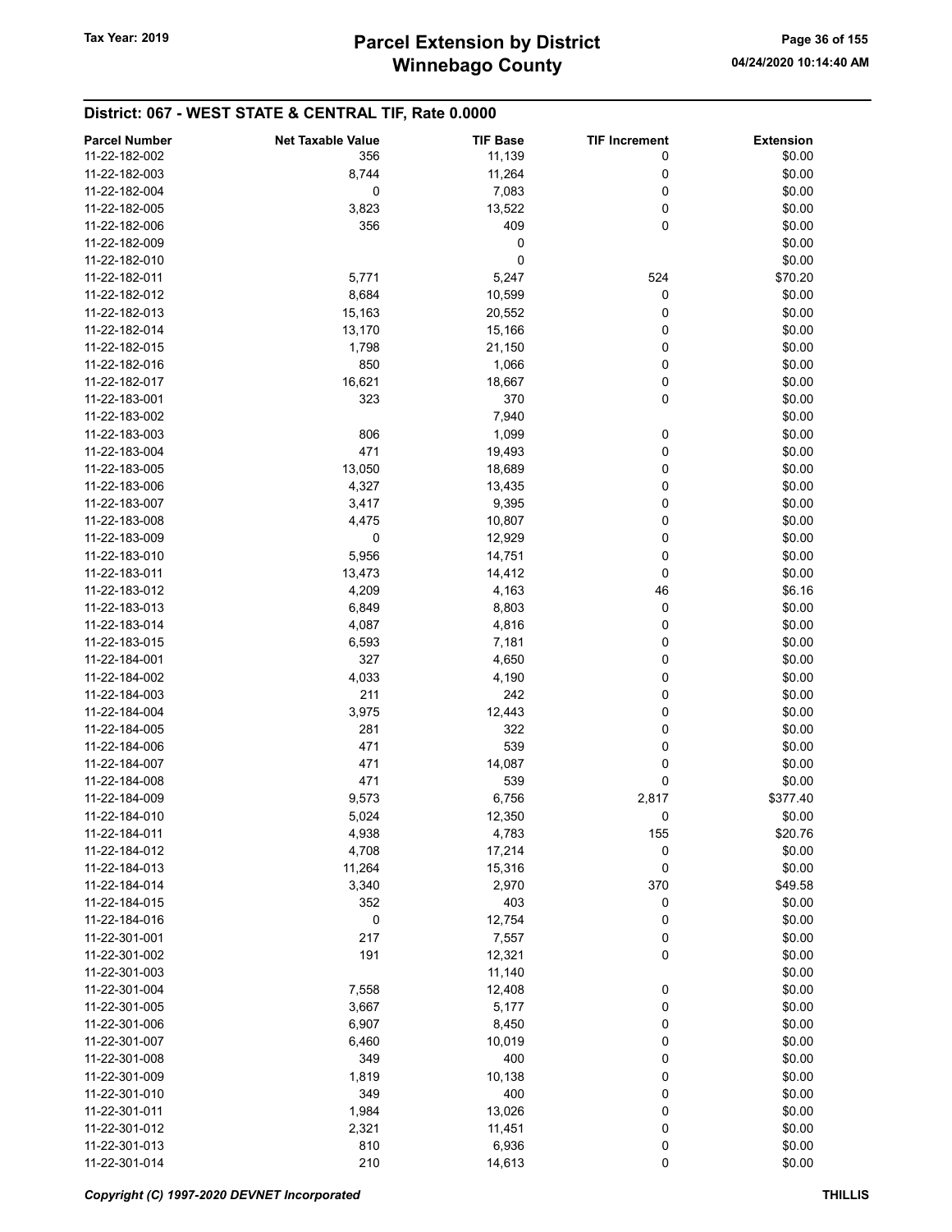| <b>Parcel Number</b> | <b>Net Taxable Value</b> | <b>TIF Base</b> | <b>TIF Increment</b> | <b>Extension</b> |
|----------------------|--------------------------|-----------------|----------------------|------------------|
| 11-22-182-002        | 356                      | 11,139          | 0                    | \$0.00           |
| 11-22-182-003        | 8,744                    | 11,264          | 0                    | \$0.00           |
| 11-22-182-004        | 0                        |                 |                      |                  |
|                      |                          | 7,083           | 0                    | \$0.00           |
| 11-22-182-005        | 3,823                    | 13,522          | 0                    | \$0.00           |
| 11-22-182-006        | 356                      | 409             | 0                    | \$0.00           |
| 11-22-182-009        |                          | 0               |                      | \$0.00           |
| 11-22-182-010        |                          | 0               |                      | \$0.00           |
| 11-22-182-011        | 5,771                    | 5,247           | 524                  | \$70.20          |
| 11-22-182-012        | 8,684                    | 10,599          | 0                    | \$0.00           |
| 11-22-182-013        | 15,163                   | 20,552          | 0                    | \$0.00           |
| 11-22-182-014        | 13,170                   | 15,166          | 0                    | \$0.00           |
| 11-22-182-015        | 1,798                    | 21,150          | 0                    | \$0.00           |
| 11-22-182-016        | 850                      | 1,066           | 0                    | \$0.00           |
| 11-22-182-017        | 16,621                   | 18,667          | 0                    | \$0.00           |
| 11-22-183-001        | 323                      | 370             | 0                    | \$0.00           |
| 11-22-183-002        |                          | 7,940           |                      | \$0.00           |
| 11-22-183-003        | 806                      | 1,099           | 0                    | \$0.00           |
| 11-22-183-004        | 471                      | 19,493          | 0                    | \$0.00           |
| 11-22-183-005        | 13,050                   | 18,689          | 0                    | \$0.00           |
| 11-22-183-006        | 4,327                    | 13,435          | 0                    | \$0.00           |
| 11-22-183-007        | 3,417                    | 9,395           | 0                    | \$0.00           |
| 11-22-183-008        |                          |                 | 0                    | \$0.00           |
|                      | 4,475                    | 10,807          |                      |                  |
| 11-22-183-009        | 0                        | 12,929          | 0                    | \$0.00           |
| 11-22-183-010        | 5,956                    | 14,751          | 0                    | \$0.00           |
| 11-22-183-011        | 13,473                   | 14,412          | 0                    | \$0.00           |
| 11-22-183-012        | 4,209                    | 4,163           | 46                   | \$6.16           |
| 11-22-183-013        | 6,849                    | 8,803           | 0                    | \$0.00           |
| 11-22-183-014        | 4,087                    | 4,816           | 0                    | \$0.00           |
| 11-22-183-015        | 6,593                    | 7,181           | 0                    | \$0.00           |
| 11-22-184-001        | 327                      | 4,650           | 0                    | \$0.00           |
| 11-22-184-002        | 4,033                    | 4,190           | 0                    | \$0.00           |
| 11-22-184-003        | 211                      | 242             | 0                    | \$0.00           |
| 11-22-184-004        | 3,975                    | 12,443          | 0                    | \$0.00           |
| 11-22-184-005        | 281                      | 322             | 0                    | \$0.00           |
| 11-22-184-006        | 471                      | 539             | 0                    | \$0.00           |
| 11-22-184-007        | 471                      | 14,087          | 0                    | \$0.00           |
| 11-22-184-008        | 471                      | 539             | 0                    | \$0.00           |
| 11-22-184-009        | 9,573                    | 6,756           | 2,817                | \$377.40         |
| 11-22-184-010        | 5,024                    | 12,350          | 0                    | \$0.00           |
| 11-22-184-011        | 4,938                    | 4,783           | 155                  | \$20.76          |
| 11-22-184-012        | 4,708                    | 17,214          | 0                    | \$0.00           |
| 11-22-184-013        | 11,264                   | 15,316          | 0                    | \$0.00           |
| 11-22-184-014        | 3,340                    | 2,970           | 370                  | \$49.58          |
| 11-22-184-015        | 352                      | 403             |                      |                  |
|                      |                          |                 | 0                    | \$0.00           |
| 11-22-184-016        | 0                        | 12,754          | 0                    | \$0.00           |
| 11-22-301-001        | 217                      | 7,557           | 0                    | \$0.00           |
| 11-22-301-002        | 191                      | 12,321          | 0                    | \$0.00           |
| 11-22-301-003        |                          | 11,140          |                      | \$0.00           |
| 11-22-301-004        | 7,558                    | 12,408          | 0                    | \$0.00           |
| 11-22-301-005        | 3,667                    | 5,177           | 0                    | \$0.00           |
| 11-22-301-006        | 6,907                    | 8,450           | 0                    | \$0.00           |
| 11-22-301-007        | 6,460                    | 10,019          | 0                    | \$0.00           |
| 11-22-301-008        | 349                      | 400             | 0                    | \$0.00           |
| 11-22-301-009        | 1,819                    | 10,138          | 0                    | \$0.00           |
| 11-22-301-010        | 349                      | 400             | 0                    | \$0.00           |
| 11-22-301-011        | 1,984                    | 13,026          | 0                    | \$0.00           |
| 11-22-301-012        | 2,321                    | 11,451          | 0                    | \$0.00           |
| 11-22-301-013        | 810                      | 6,936           | 0                    | \$0.00           |
| 11-22-301-014        | 210                      | 14,613          | 0                    | \$0.00           |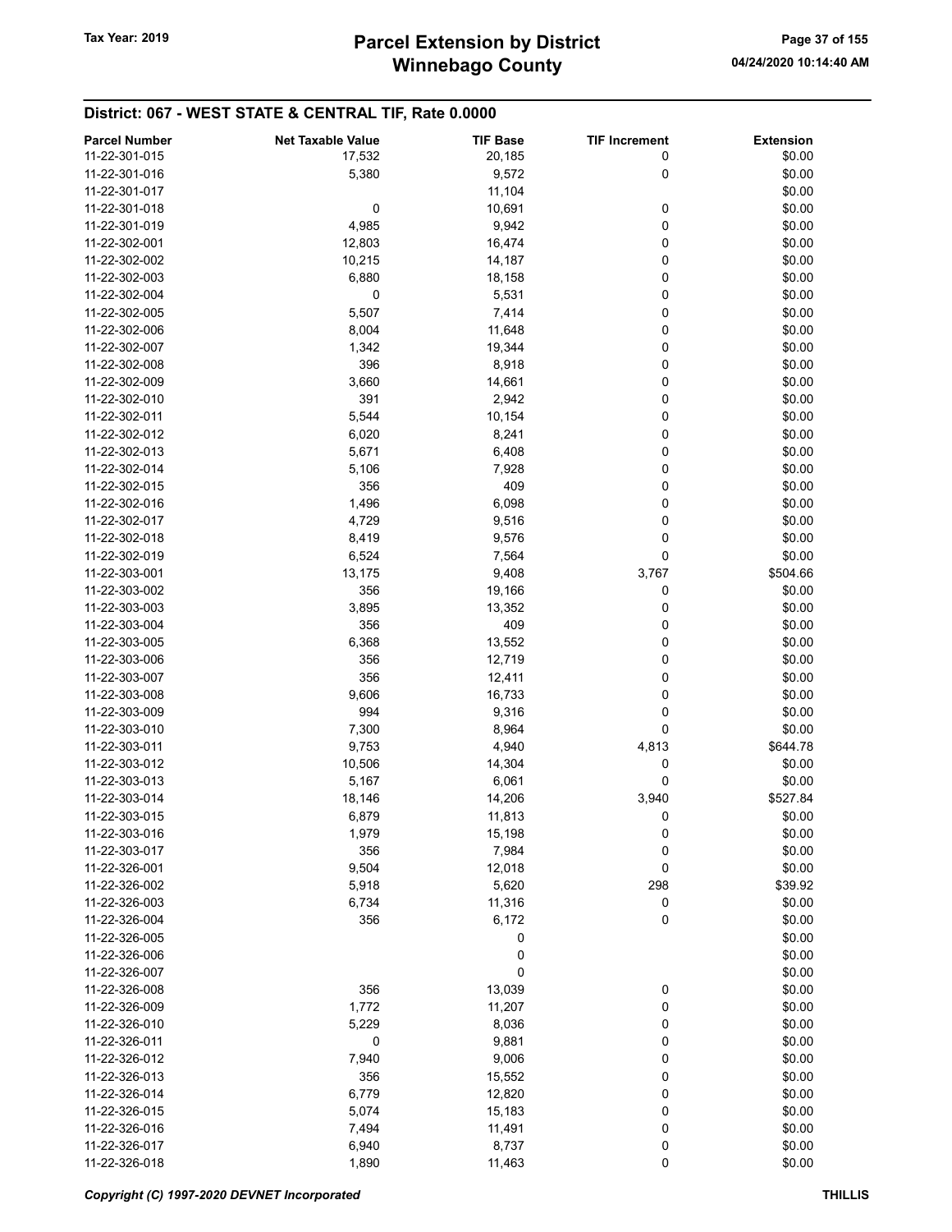## District: 067 - WEST STATE & CENTRAL TIF, Rate 0.0000

| <b>Parcel Number</b> | <b>Net Taxable Value</b> | <b>TIF Base</b> | <b>TIF Increment</b> | <b>Extension</b> |
|----------------------|--------------------------|-----------------|----------------------|------------------|
| 11-22-301-015        | 17,532                   | 20,185          | 0                    | \$0.00           |
| 11-22-301-016        | 5,380                    | 9,572           | 0                    | \$0.00           |
| 11-22-301-017        |                          | 11,104          |                      | \$0.00           |
| 11-22-301-018        | 0                        | 10,691          | 0                    | \$0.00           |
|                      |                          |                 |                      |                  |
| 11-22-301-019        | 4,985                    | 9,942           | 0                    | \$0.00           |
| 11-22-302-001        | 12,803                   | 16,474          | 0                    | \$0.00           |
| 11-22-302-002        | 10,215                   | 14,187          | 0                    | \$0.00           |
| 11-22-302-003        | 6,880                    | 18,158          | 0                    | \$0.00           |
| 11-22-302-004        | 0                        | 5,531           | 0                    | \$0.00           |
| 11-22-302-005        | 5,507                    | 7,414           | 0                    | \$0.00           |
| 11-22-302-006        | 8,004                    | 11,648          | 0                    | \$0.00           |
| 11-22-302-007        | 1,342                    | 19,344          | 0                    | \$0.00           |
| 11-22-302-008        | 396                      | 8,918           | 0                    | \$0.00           |
| 11-22-302-009        | 3,660                    | 14,661          | 0                    | \$0.00           |
| 11-22-302-010        | 391                      | 2,942           | 0                    | \$0.00           |
| 11-22-302-011        | 5,544                    | 10,154          | 0                    | \$0.00           |
| 11-22-302-012        | 6,020                    | 8,241           | 0                    | \$0.00           |
| 11-22-302-013        | 5,671                    | 6,408           | 0                    | \$0.00           |
| 11-22-302-014        | 5,106                    | 7,928           | 0                    | \$0.00           |
|                      |                          |                 |                      |                  |
| 11-22-302-015        | 356                      | 409             | 0                    | \$0.00           |
| 11-22-302-016        | 1,496                    | 6,098           | 0                    | \$0.00           |
| 11-22-302-017        | 4,729                    | 9,516           | 0                    | \$0.00           |
| 11-22-302-018        | 8,419                    | 9,576           | 0                    | \$0.00           |
| 11-22-302-019        | 6,524                    | 7,564           | 0                    | \$0.00           |
| 11-22-303-001        | 13,175                   | 9,408           | 3,767                | \$504.66         |
| 11-22-303-002        | 356                      | 19,166          | 0                    | \$0.00           |
| 11-22-303-003        | 3,895                    | 13,352          | 0                    | \$0.00           |
| 11-22-303-004        | 356                      | 409             | 0                    | \$0.00           |
| 11-22-303-005        | 6,368                    | 13,552          | 0                    | \$0.00           |
| 11-22-303-006        | 356                      | 12,719          | 0                    | \$0.00           |
| 11-22-303-007        | 356                      | 12,411          | 0                    | \$0.00           |
| 11-22-303-008        | 9,606                    | 16,733          | 0                    | \$0.00           |
| 11-22-303-009        | 994                      | 9,316           | 0                    | \$0.00           |
| 11-22-303-010        | 7,300                    | 8,964           | 0                    | \$0.00           |
| 11-22-303-011        |                          |                 |                      | \$644.78         |
|                      | 9,753                    | 4,940           | 4,813                |                  |
| 11-22-303-012        | 10,506                   | 14,304          | 0                    | \$0.00           |
| 11-22-303-013        | 5,167                    | 6,061           | 0                    | \$0.00           |
| 11-22-303-014        | 18,146                   | 14,206          | 3,940                | \$527.84         |
| 11-22-303-015        | 6,879                    | 11,813          | 0                    | \$0.00           |
| 11-22-303-016        | 1,979                    | 15,198          | 0                    | \$0.00           |
| 11-22-303-017        | 356                      | 7,984           | 0                    | \$0.00           |
| 11-22-326-001        | 9,504                    | 12,018          | 0                    | \$0.00           |
| 11-22-326-002        | 5,918                    | 5,620           | 298                  | \$39.92          |
| 11-22-326-003        | 6,734                    | 11,316          | 0                    | \$0.00           |
| 11-22-326-004        | 356                      | 6,172           | 0                    | \$0.00           |
| 11-22-326-005        |                          | 0               |                      | \$0.00           |
| 11-22-326-006        |                          | 0               |                      | \$0.00           |
| 11-22-326-007        |                          | 0               |                      | \$0.00           |
| 11-22-326-008        | 356                      | 13,039          | $\boldsymbol{0}$     | \$0.00           |
| 11-22-326-009        | 1,772                    | 11,207          | 0                    | \$0.00           |
| 11-22-326-010        |                          |                 |                      |                  |
|                      | 5,229                    | 8,036           | 0                    | \$0.00           |
| 11-22-326-011        | $\mathbf 0$              | 9,881           | 0                    | \$0.00           |
| 11-22-326-012        | 7,940                    | 9,006           | 0                    | \$0.00           |
| 11-22-326-013        | 356                      | 15,552          | 0                    | \$0.00           |
| 11-22-326-014        | 6,779                    | 12,820          | 0                    | \$0.00           |
| 11-22-326-015        | 5,074                    | 15,183          | 0                    | \$0.00           |
| 11-22-326-016        | 7,494                    | 11,491          | 0                    | \$0.00           |
| 11-22-326-017        | 6,940                    | 8,737           | 0                    | \$0.00           |
| 11-22-326-018        | 1,890                    | 11,463          | $\pmb{0}$            | \$0.00           |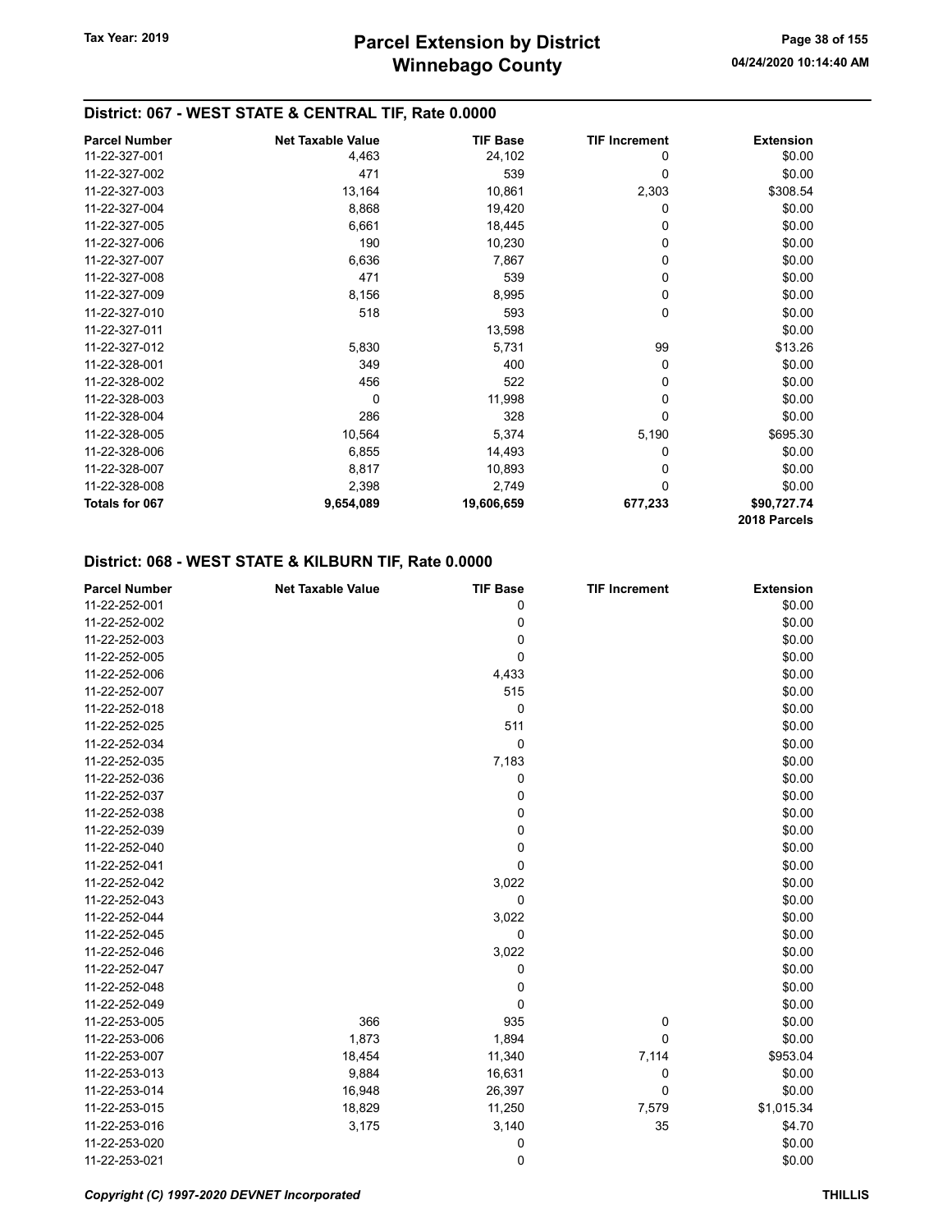## District: 067 - WEST STATE & CENTRAL TIF, Rate 0.0000

| <b>Parcel Number</b> | <b>Net Taxable Value</b> | <b>TIF Base</b> | <b>TIF Increment</b> | <b>Extension</b> |
|----------------------|--------------------------|-----------------|----------------------|------------------|
| 11-22-327-001        | 4,463                    | 24,102          | 0                    | \$0.00           |
| 11-22-327-002        | 471                      | 539             | 0                    | \$0.00           |
| 11-22-327-003        | 13,164                   | 10,861          | 2,303                | \$308.54         |
| 11-22-327-004        | 8,868                    | 19,420          | 0                    | \$0.00           |
| 11-22-327-005        | 6,661                    | 18,445          | 0                    | \$0.00           |
| 11-22-327-006        | 190                      | 10,230          | 0                    | \$0.00           |
| 11-22-327-007        | 6,636                    | 7,867           | 0                    | \$0.00           |
| 11-22-327-008        | 471                      | 539             | 0                    | \$0.00           |
| 11-22-327-009        | 8,156                    | 8,995           | 0                    | \$0.00           |
| 11-22-327-010        | 518                      | 593             | 0                    | \$0.00           |
| 11-22-327-011        |                          | 13,598          |                      | \$0.00           |
| 11-22-327-012        | 5,830                    | 5,731           | 99                   | \$13.26          |
| 11-22-328-001        | 349                      | 400             | 0                    | \$0.00           |
| 11-22-328-002        | 456                      | 522             | 0                    | \$0.00           |
| 11-22-328-003        | 0                        | 11,998          | 0                    | \$0.00           |
| 11-22-328-004        | 286                      | 328             | 0                    | \$0.00           |
| 11-22-328-005        | 10,564                   | 5,374           | 5,190                | \$695.30         |
| 11-22-328-006        | 6,855                    | 14,493          | 0                    | \$0.00           |
| 11-22-328-007        | 8,817                    | 10,893          | 0                    | \$0.00           |
| 11-22-328-008        | 2,398                    | 2,749           | 0                    | \$0.00           |
| Totals for 067       | 9,654,089                | 19,606,659      | 677,233              | \$90,727.74      |
|                      |                          |                 |                      | 2018 Parcels     |

## District: 068 - WEST STATE & KILBURN TIF, Rate 0.0000

| <b>Parcel Number</b> | <b>Net Taxable Value</b> | <b>TIF Base</b> | <b>TIF Increment</b> | <b>Extension</b> |
|----------------------|--------------------------|-----------------|----------------------|------------------|
| 11-22-252-001        |                          | 0               |                      | \$0.00           |
| 11-22-252-002        |                          | 0               |                      | \$0.00           |
| 11-22-252-003        |                          | 0               |                      | \$0.00           |
| 11-22-252-005        |                          | 0               |                      | \$0.00           |
| 11-22-252-006        |                          | 4,433           |                      | \$0.00           |
| 11-22-252-007        |                          | 515             |                      | \$0.00           |
| 11-22-252-018        |                          | 0               |                      | \$0.00           |
| 11-22-252-025        |                          | 511             |                      | \$0.00           |
| 11-22-252-034        |                          | 0               |                      | \$0.00           |
| 11-22-252-035        |                          | 7,183           |                      | \$0.00           |
| 11-22-252-036        |                          | 0               |                      | \$0.00           |
| 11-22-252-037        |                          | 0               |                      | \$0.00           |
| 11-22-252-038        |                          | 0               |                      | \$0.00           |
| 11-22-252-039        |                          | 0               |                      | \$0.00           |
| 11-22-252-040        |                          | 0               |                      | \$0.00           |
| 11-22-252-041        |                          | 0               |                      | \$0.00           |
| 11-22-252-042        |                          | 3,022           |                      | \$0.00           |
| 11-22-252-043        |                          | 0               |                      | \$0.00           |
| 11-22-252-044        |                          | 3,022           |                      | \$0.00           |
| 11-22-252-045        |                          | 0               |                      | \$0.00           |
| 11-22-252-046        |                          | 3,022           |                      | \$0.00           |
| 11-22-252-047        |                          | 0               |                      | \$0.00           |
| 11-22-252-048        |                          | 0               |                      | \$0.00           |
| 11-22-252-049        |                          | 0               |                      | \$0.00           |
| 11-22-253-005        | 366                      | 935             | 0                    | \$0.00           |
| 11-22-253-006        | 1,873                    | 1,894           | 0                    | \$0.00           |
| 11-22-253-007        | 18,454                   | 11,340          | 7,114                | \$953.04         |
| 11-22-253-013        | 9,884                    | 16,631          | 0                    | \$0.00           |
| 11-22-253-014        | 16,948                   | 26,397          | 0                    | \$0.00           |
| 11-22-253-015        | 18,829                   | 11,250          | 7,579                | \$1,015.34       |
| 11-22-253-016        | 3,175                    | 3,140           | 35                   | \$4.70           |
| 11-22-253-020        |                          | 0               |                      | \$0.00           |
| 11-22-253-021        |                          | 0               |                      | \$0.00           |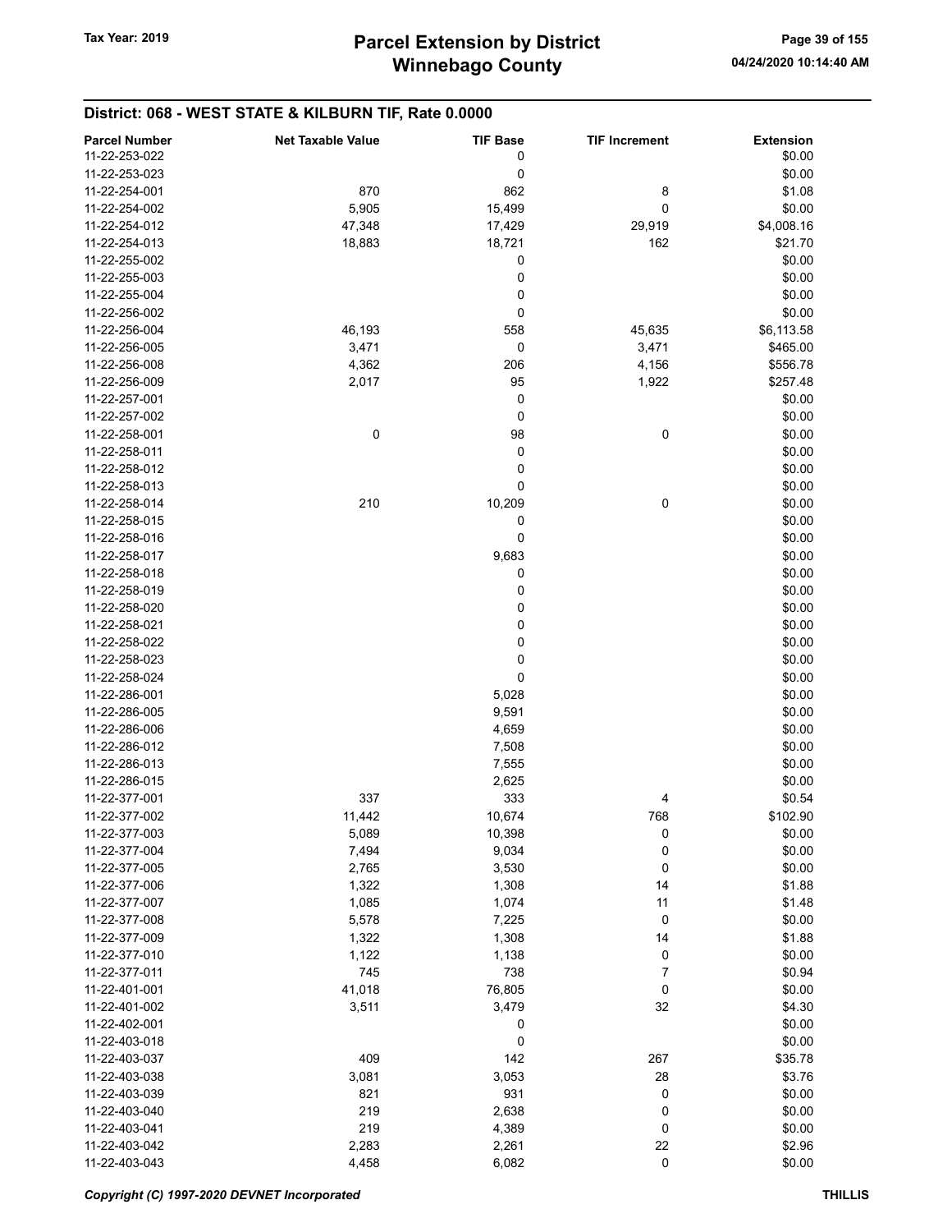## District: 068 - WEST STATE & KILBURN TIF, Rate 0.0000

| <b>Parcel Number</b> | <b>Net Taxable Value</b> | <b>TIF Base</b> | <b>TIF Increment</b> | <b>Extension</b> |
|----------------------|--------------------------|-----------------|----------------------|------------------|
| 11-22-253-022        |                          | 0               |                      | \$0.00           |
| 11-22-253-023        |                          | 0               |                      | \$0.00           |
| 11-22-254-001        | 870                      | 862             | 8                    | \$1.08           |
| 11-22-254-002        | 5,905                    | 15,499          | 0                    | \$0.00           |
| 11-22-254-012        | 47,348                   |                 |                      | \$4,008.16       |
|                      |                          | 17,429          | 29,919               |                  |
| 11-22-254-013        | 18,883                   | 18,721          | 162                  | \$21.70          |
| 11-22-255-002        |                          | 0               |                      | \$0.00           |
| 11-22-255-003        |                          | 0               |                      | \$0.00           |
| 11-22-255-004        |                          | 0               |                      | \$0.00           |
| 11-22-256-002        |                          | 0               |                      | \$0.00           |
| 11-22-256-004        | 46,193                   | 558             | 45,635               | \$6,113.58       |
| 11-22-256-005        | 3,471                    | 0               | 3,471                | \$465.00         |
| 11-22-256-008        | 4,362                    | 206             | 4,156                | \$556.78         |
| 11-22-256-009        | 2,017                    | 95              | 1,922                | \$257.48         |
| 11-22-257-001        |                          | 0               |                      | \$0.00           |
| 11-22-257-002        |                          | 0               |                      | \$0.00           |
| 11-22-258-001        | 0                        | 98              | 0                    | \$0.00           |
| 11-22-258-011        |                          | 0               |                      | \$0.00           |
| 11-22-258-012        |                          | 0               |                      | \$0.00           |
| 11-22-258-013        |                          | 0               |                      | \$0.00           |
|                      |                          |                 |                      |                  |
| 11-22-258-014        | 210                      | 10,209          | 0                    | \$0.00           |
| 11-22-258-015        |                          | 0               |                      | \$0.00           |
| 11-22-258-016        |                          | 0               |                      | \$0.00           |
| 11-22-258-017        |                          | 9,683           |                      | \$0.00           |
| 11-22-258-018        |                          | 0               |                      | \$0.00           |
| 11-22-258-019        |                          | 0               |                      | \$0.00           |
| 11-22-258-020        |                          | 0               |                      | \$0.00           |
| 11-22-258-021        |                          | 0               |                      | \$0.00           |
| 11-22-258-022        |                          | 0               |                      | \$0.00           |
| 11-22-258-023        |                          | 0               |                      | \$0.00           |
| 11-22-258-024        |                          | 0               |                      | \$0.00           |
| 11-22-286-001        |                          | 5,028           |                      | \$0.00           |
| 11-22-286-005        |                          | 9,591           |                      | \$0.00           |
| 11-22-286-006        |                          | 4,659           |                      | \$0.00           |
| 11-22-286-012        |                          | 7,508           |                      | \$0.00           |
| 11-22-286-013        |                          | 7,555           |                      | \$0.00           |
|                      |                          |                 |                      |                  |
| 11-22-286-015        |                          | 2,625           |                      | \$0.00           |
| 11-22-377-001        | 337                      | 333             | 4                    | \$0.54           |
| 11-22-377-002        | 11,442                   | 10,674          | 768                  | \$102.90         |
| 11-22-377-003        | 5,089                    | 10,398          | 0                    | \$0.00           |
| 11-22-377-004        | 7,494                    | 9,034           | 0                    | \$0.00           |
| 11-22-377-005        | 2,765                    | 3,530           | 0                    | \$0.00           |
| 11-22-377-006        | 1,322                    | 1,308           | 14                   | \$1.88           |
| 11-22-377-007        | 1,085                    | 1,074           | 11                   | \$1.48           |
| 11-22-377-008        | 5,578                    | 7,225           | 0                    | \$0.00           |
| 11-22-377-009        | 1,322                    | 1,308           | 14                   | \$1.88           |
| 11-22-377-010        | 1,122                    | 1,138           | 0                    | \$0.00           |
| 11-22-377-011        | 745                      | 738             | 7                    | \$0.94           |
| 11-22-401-001        | 41,018                   | 76,805          | 0                    | \$0.00           |
| 11-22-401-002        | 3,511                    | 3,479           | 32                   | \$4.30           |
| 11-22-402-001        |                          | 0               |                      | \$0.00           |
|                      |                          |                 |                      |                  |
| 11-22-403-018        |                          | 0               |                      | \$0.00           |
| 11-22-403-037        | 409                      | 142             | 267                  | \$35.78          |
| 11-22-403-038        | 3,081                    | 3,053           | 28                   | \$3.76           |
| 11-22-403-039        | 821                      | 931             | 0                    | \$0.00           |
| 11-22-403-040        | 219                      | 2,638           | 0                    | \$0.00           |
| 11-22-403-041        | 219                      | 4,389           | 0                    | \$0.00           |
| 11-22-403-042        | 2,283                    | 2,261           | 22                   | \$2.96           |
| 11-22-403-043        | 4,458                    | 6,082           | $\pmb{0}$            | \$0.00           |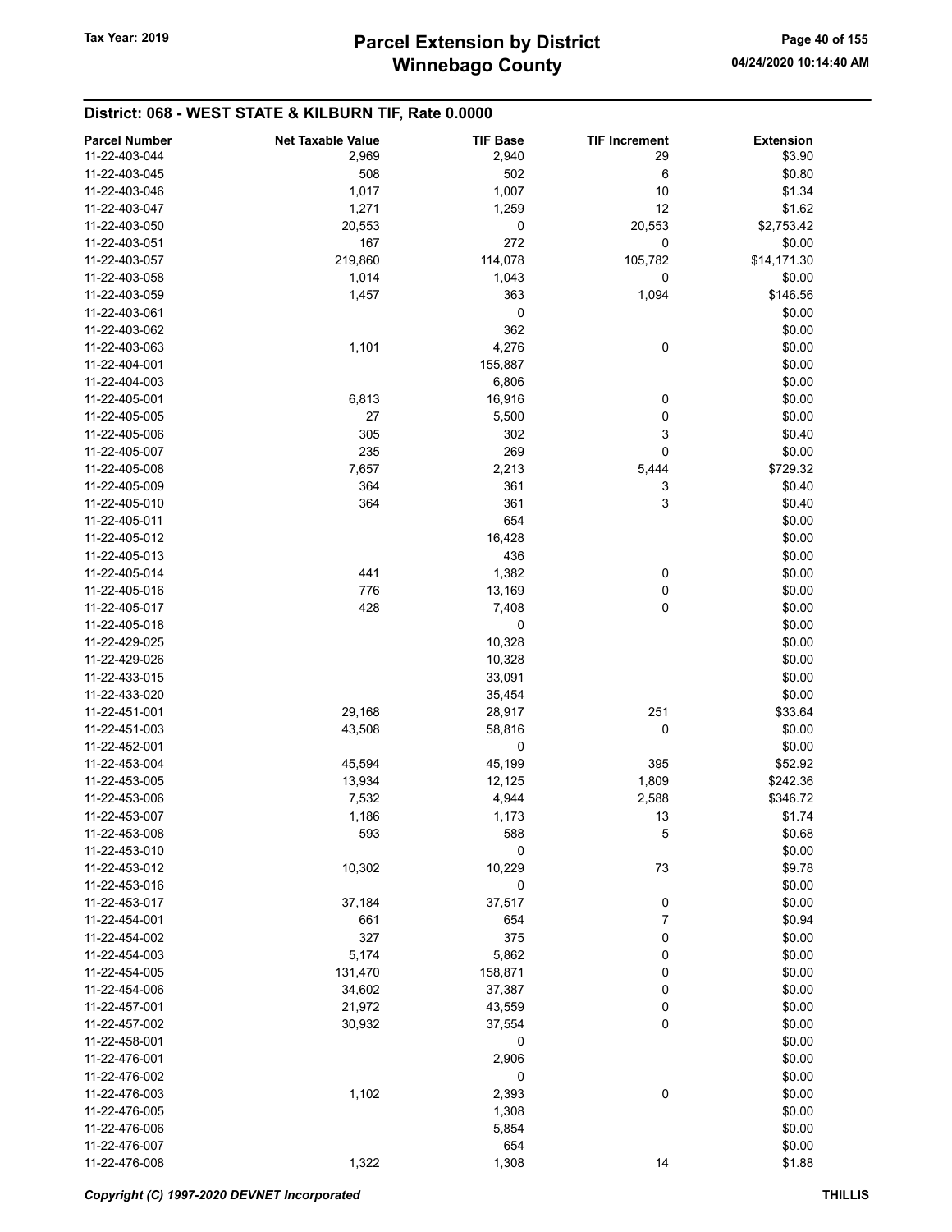## District: 068 - WEST STATE & KILBURN TIF, Rate 0.0000

| <b>Parcel Number</b> | <b>Net Taxable Value</b> | <b>TIF Base</b> | <b>TIF Increment</b> | <b>Extension</b> |
|----------------------|--------------------------|-----------------|----------------------|------------------|
| 11-22-403-044        | 2,969                    | 2,940           | 29                   | \$3.90           |
| 11-22-403-045        | 508                      | 502             | 6                    | \$0.80           |
| 11-22-403-046        | 1,017                    | 1,007           | 10                   | \$1.34           |
| 11-22-403-047        | 1,271                    | 1,259           | 12                   | \$1.62           |
| 11-22-403-050        |                          | 0               |                      | \$2,753.42       |
|                      | 20,553                   |                 | 20,553               |                  |
| 11-22-403-051        | 167                      | 272             | 0                    | \$0.00           |
| 11-22-403-057        | 219,860                  | 114,078         | 105,782              | \$14,171.30      |
| 11-22-403-058        | 1,014                    | 1,043           | 0                    | \$0.00           |
| 11-22-403-059        | 1,457                    | 363             | 1,094                | \$146.56         |
| 11-22-403-061        |                          | 0               |                      | \$0.00           |
| 11-22-403-062        |                          | 362             |                      | \$0.00           |
| 11-22-403-063        | 1,101                    | 4,276           | 0                    | \$0.00           |
| 11-22-404-001        |                          | 155,887         |                      | \$0.00           |
| 11-22-404-003        |                          | 6,806           |                      | \$0.00           |
| 11-22-405-001        | 6,813                    | 16,916          | 0                    | \$0.00           |
| 11-22-405-005        | 27                       | 5,500           | 0                    | \$0.00           |
| 11-22-405-006        | 305                      | 302             | 3                    | \$0.40           |
| 11-22-405-007        | 235                      | 269             | 0                    | \$0.00           |
| 11-22-405-008        | 7,657                    | 2,213           | 5,444                | \$729.32         |
| 11-22-405-009        | 364                      | 361             |                      |                  |
|                      |                          |                 | 3                    | \$0.40           |
| 11-22-405-010        | 364                      | 361             | 3                    | \$0.40           |
| 11-22-405-011        |                          | 654             |                      | \$0.00           |
| 11-22-405-012        |                          | 16,428          |                      | \$0.00           |
| 11-22-405-013        |                          | 436             |                      | \$0.00           |
| 11-22-405-014        | 441                      | 1,382           | 0                    | \$0.00           |
| 11-22-405-016        | 776                      | 13,169          | 0                    | \$0.00           |
| 11-22-405-017        | 428                      | 7,408           | 0                    | \$0.00           |
| 11-22-405-018        |                          | 0               |                      | \$0.00           |
| 11-22-429-025        |                          | 10,328          |                      | \$0.00           |
| 11-22-429-026        |                          | 10,328          |                      | \$0.00           |
| 11-22-433-015        |                          | 33,091          |                      | \$0.00           |
| 11-22-433-020        |                          | 35,454          |                      | \$0.00           |
| 11-22-451-001        | 29,168                   | 28,917          | 251                  | \$33.64          |
| 11-22-451-003        | 43,508                   | 58,816          | 0                    | \$0.00           |
| 11-22-452-001        |                          | 0               |                      | \$0.00           |
| 11-22-453-004        | 45,594                   | 45,199          | 395                  | \$52.92          |
|                      | 13,934                   |                 |                      |                  |
| 11-22-453-005        |                          | 12,125          | 1,809                | \$242.36         |
| 11-22-453-006        | 7,532                    | 4,944           | 2,588                | \$346.72         |
| 11-22-453-007        | 1,186                    | 1,173           | 13                   | \$1.74           |
| 11-22-453-008        | 593                      | 588             | 5                    | \$0.68           |
| 11-22-453-010        |                          | 0               |                      | \$0.00           |
| 11-22-453-012        | 10,302                   | 10,229          | 73                   | \$9.78           |
| 11-22-453-016        |                          | 0               |                      | \$0.00           |
| 11-22-453-017        | 37,184                   | 37,517          | 0                    | \$0.00           |
| 11-22-454-001        | 661                      | 654             | $\boldsymbol{7}$     | \$0.94           |
| 11-22-454-002        | 327                      | 375             | 0                    | \$0.00           |
| 11-22-454-003        | 5,174                    | 5,862           | 0                    | \$0.00           |
| 11-22-454-005        | 131,470                  | 158,871         | 0                    | \$0.00           |
| 11-22-454-006        | 34,602                   | 37,387          | 0                    | \$0.00           |
| 11-22-457-001        | 21,972                   | 43,559          | 0                    | \$0.00           |
| 11-22-457-002        | 30,932                   | 37,554          | $\pmb{0}$            | \$0.00           |
|                      |                          |                 |                      |                  |
| 11-22-458-001        |                          | 0               |                      | \$0.00           |
| 11-22-476-001        |                          | 2,906           |                      | \$0.00           |
| 11-22-476-002        |                          | 0               |                      | \$0.00           |
| 11-22-476-003        | 1,102                    | 2,393           | 0                    | \$0.00           |
| 11-22-476-005        |                          | 1,308           |                      | \$0.00           |
| 11-22-476-006        |                          | 5,854           |                      | \$0.00           |
| 11-22-476-007        |                          | 654             |                      | \$0.00           |
| 11-22-476-008        | 1,322                    | 1,308           | 14                   | \$1.88           |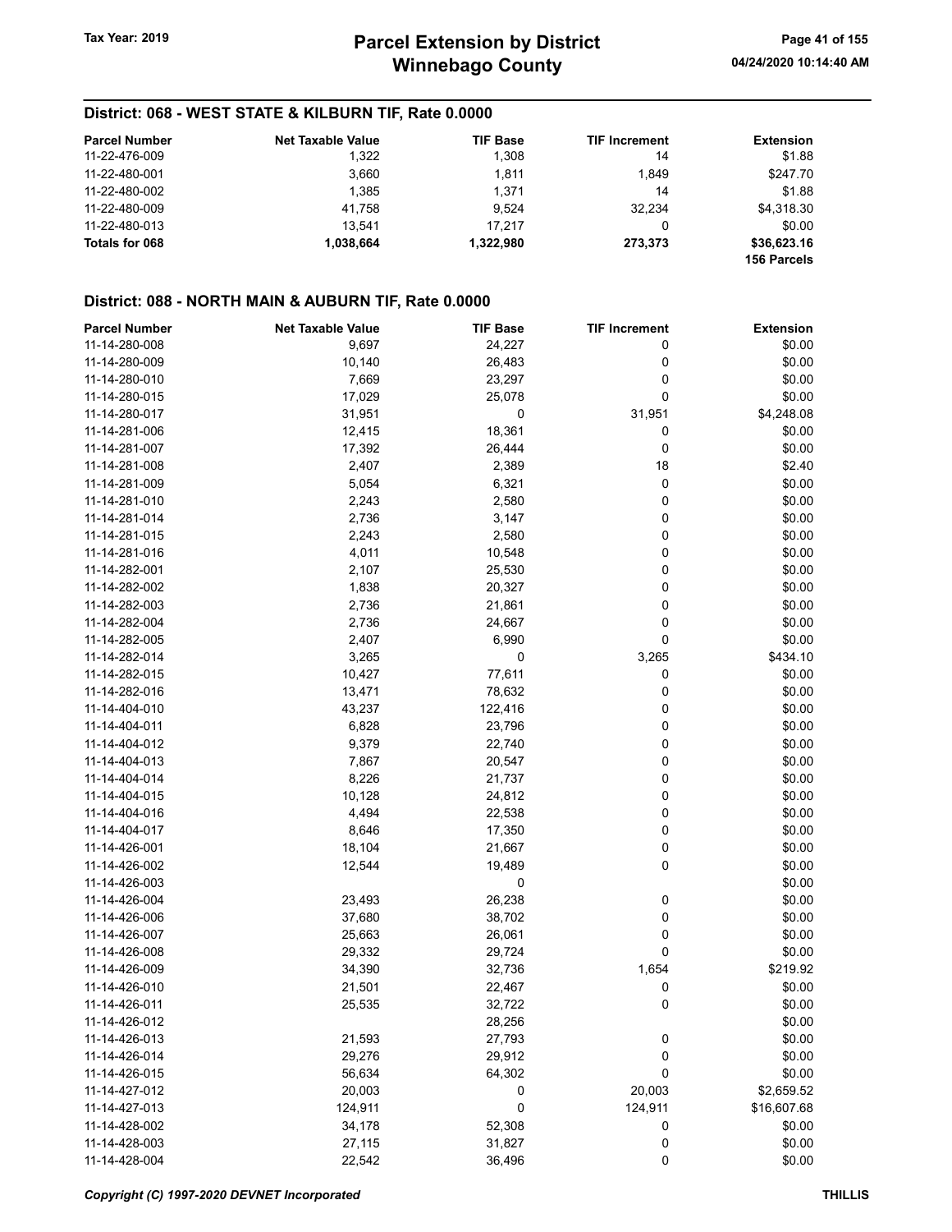## District: 068 - WEST STATE & KILBURN TIF, Rate 0.0000

| <b>Parcel Number</b> | <b>Net Taxable Value</b> | <b>TIF Base</b> | <b>TIF Increment</b> | <b>Extension</b>           |
|----------------------|--------------------------|-----------------|----------------------|----------------------------|
| 11-22-476-009        | 1,322                    | 1,308           | 14                   | \$1.88                     |
| 11-22-480-001        | 3,660                    | 1.811           | 1.849                | \$247.70                   |
| 11-22-480-002        | 1.385                    | 1.371           | 14                   | \$1.88                     |
| 11-22-480-009        | 41.758                   | 9.524           | 32.234               | \$4,318.30                 |
| 11-22-480-013        | 13.541                   | 17.217          | 0                    | \$0.00                     |
| Totals for 068       | 1.038.664                | 1,322,980       | 273.373              | \$36,623.16<br>156 Parcels |

## District: 088 - NORTH MAIN & AUBURN TIF, Rate 0.0000

| <b>Parcel Number</b> | <b>Net Taxable Value</b> | <b>TIF Base</b> | <b>TIF Increment</b> | <b>Extension</b> |
|----------------------|--------------------------|-----------------|----------------------|------------------|
| 11-14-280-008        | 9,697                    | 24,227          | 0                    | \$0.00           |
| 11-14-280-009        | 10,140                   | 26,483          | 0                    | \$0.00           |
| 11-14-280-010        | 7,669                    | 23,297          | 0                    | \$0.00           |
| 11-14-280-015        | 17,029                   | 25,078          | 0                    | \$0.00           |
| 11-14-280-017        | 31,951                   | 0               | 31,951               | \$4,248.08       |
| 11-14-281-006        | 12,415                   | 18,361          | 0                    | \$0.00           |
| 11-14-281-007        | 17,392                   | 26,444          | 0                    | \$0.00           |
| 11-14-281-008        | 2,407                    | 2,389           | 18                   | \$2.40           |
| 11-14-281-009        | 5,054                    | 6,321           | 0                    | \$0.00           |
| 11-14-281-010        | 2,243                    | 2,580           | 0                    | \$0.00           |
| 11-14-281-014        | 2,736                    | 3,147           | 0                    | \$0.00           |
| 11-14-281-015        | 2,243                    | 2,580           | 0                    | \$0.00           |
| 11-14-281-016        | 4,011                    | 10,548          | 0                    | \$0.00           |
| 11-14-282-001        | 2,107                    | 25,530          | 0                    | \$0.00           |
| 11-14-282-002        | 1,838                    | 20,327          | 0                    | \$0.00           |
| 11-14-282-003        | 2,736                    | 21,861          | 0                    | \$0.00           |
| 11-14-282-004        | 2,736                    | 24,667          | 0                    | \$0.00           |
| 11-14-282-005        | 2,407                    | 6,990           | 0                    | \$0.00           |
| 11-14-282-014        | 3,265                    | 0               | 3,265                | \$434.10         |
| 11-14-282-015        | 10,427                   | 77,611          | 0                    | \$0.00           |
| 11-14-282-016        | 13,471                   | 78,632          | 0                    | \$0.00           |
| 11-14-404-010        | 43,237                   | 122,416         | 0                    | \$0.00           |
| 11-14-404-011        | 6,828                    | 23,796          | 0                    | \$0.00           |
| 11-14-404-012        | 9,379                    | 22,740          | 0                    | \$0.00           |
| 11-14-404-013        | 7,867                    | 20,547          | 0                    | \$0.00           |
| 11-14-404-014        | 8,226                    | 21,737          | 0                    | \$0.00           |
| 11-14-404-015        | 10,128                   | 24,812          | 0                    | \$0.00           |
| 11-14-404-016        | 4,494                    | 22,538          | 0                    | \$0.00           |
| 11-14-404-017        | 8,646                    | 17,350          | 0                    | \$0.00           |
| 11-14-426-001        | 18,104                   | 21,667          | 0                    | \$0.00           |
| 11-14-426-002        | 12,544                   | 19,489          | 0                    | \$0.00           |
| 11-14-426-003        |                          | 0               |                      | \$0.00           |
| 11-14-426-004        | 23,493                   | 26,238          | 0                    | \$0.00           |
| 11-14-426-006        | 37,680                   | 38,702          | 0                    | \$0.00           |
| 11-14-426-007        | 25,663                   | 26,061          | 0                    | \$0.00           |
| 11-14-426-008        | 29,332                   | 29,724          | 0                    | \$0.00           |
| 11-14-426-009        | 34,390                   | 32,736          | 1,654                | \$219.92         |
| 11-14-426-010        | 21,501                   | 22,467          | 0                    | \$0.00           |
| 11-14-426-011        | 25,535                   | 32,722          | 0                    | \$0.00           |
| 11-14-426-012        |                          | 28,256          |                      | \$0.00           |
| 11-14-426-013        | 21,593                   | 27,793          | 0                    | \$0.00           |
| 11-14-426-014        | 29,276                   | 29,912          | 0                    | \$0.00           |
| 11-14-426-015        | 56,634                   | 64,302          | 0                    | \$0.00           |
| 11-14-427-012        | 20,003                   | 0               | 20,003               | \$2,659.52       |
| 11-14-427-013        | 124,911                  | 0               | 124,911              | \$16,607.68      |
| 11-14-428-002        | 34,178                   | 52,308          | 0                    | \$0.00           |
| 11-14-428-003        | 27,115                   | 31,827          | $\boldsymbol{0}$     | \$0.00           |
| 11-14-428-004        | 22,542                   | 36,496          | $\pmb{0}$            | \$0.00           |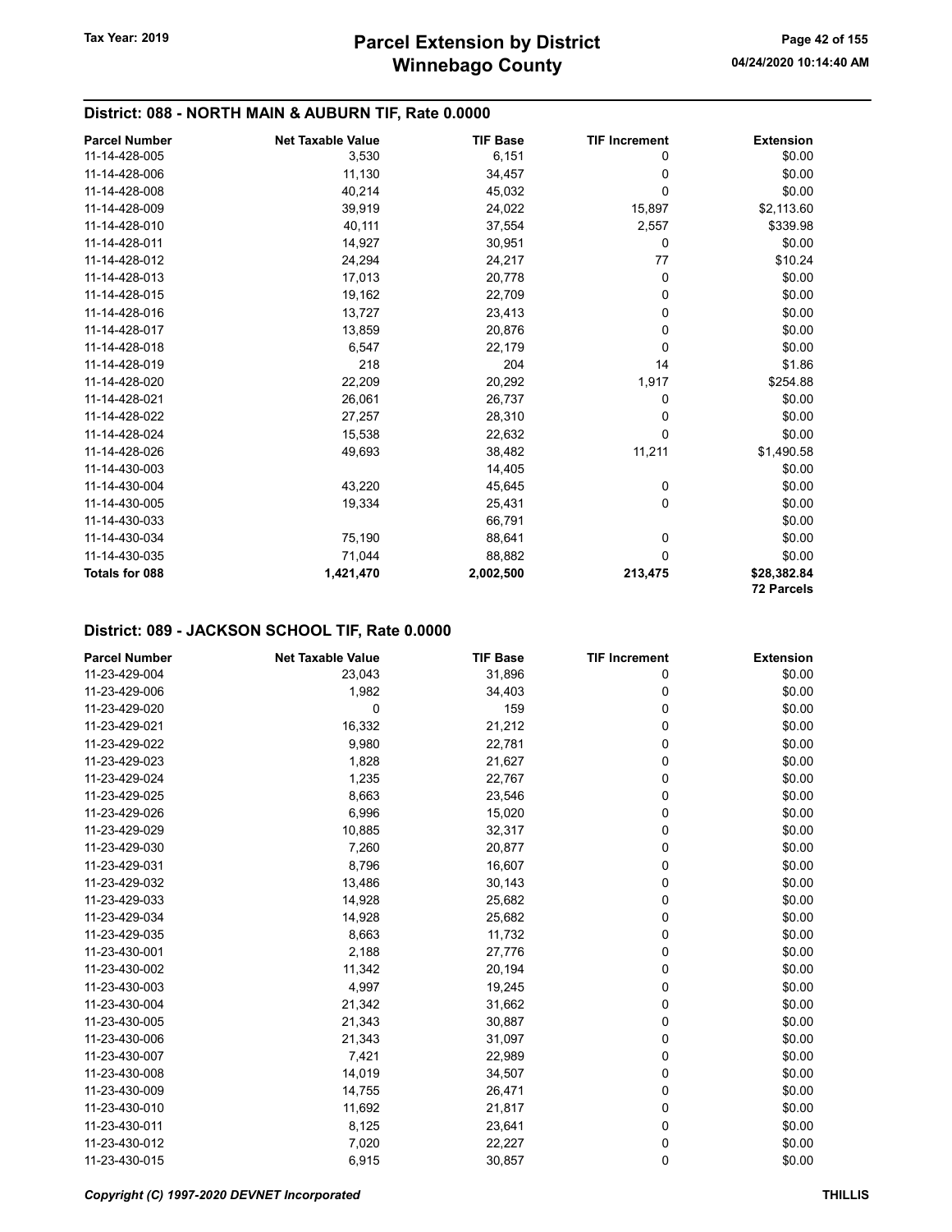## District: 088 - NORTH MAIN & AUBURN TIF, Rate 0.0000

| <b>Parcel Number</b>  | <b>Net Taxable Value</b> | <b>TIF Base</b> | <b>TIF Increment</b> | <b>Extension</b>  |
|-----------------------|--------------------------|-----------------|----------------------|-------------------|
| 11-14-428-005         | 3,530                    | 6,151           | 0                    | \$0.00            |
| 11-14-428-006         | 11,130                   | 34,457          | 0                    | \$0.00            |
| 11-14-428-008         | 40,214                   | 45,032          | 0                    | \$0.00            |
| 11-14-428-009         | 39,919                   | 24,022          | 15,897               | \$2,113.60        |
| 11-14-428-010         | 40,111                   | 37,554          | 2,557                | \$339.98          |
| 11-14-428-011         | 14,927                   | 30,951          | 0                    | \$0.00            |
| 11-14-428-012         | 24,294                   | 24,217          | 77                   | \$10.24           |
| 11-14-428-013         | 17,013                   | 20,778          | 0                    | \$0.00            |
| 11-14-428-015         | 19,162                   | 22,709          | 0                    | \$0.00            |
| 11-14-428-016         | 13,727                   | 23,413          | 0                    | \$0.00            |
| 11-14-428-017         | 13,859                   | 20,876          | 0                    | \$0.00            |
| 11-14-428-018         | 6,547                    | 22,179          | 0                    | \$0.00            |
| 11-14-428-019         | 218                      | 204             | 14                   | \$1.86            |
| 11-14-428-020         | 22,209                   | 20,292          | 1,917                | \$254.88          |
| 11-14-428-021         | 26,061                   | 26,737          | 0                    | \$0.00            |
| 11-14-428-022         | 27,257                   | 28,310          | 0                    | \$0.00            |
| 11-14-428-024         | 15,538                   | 22,632          | 0                    | \$0.00            |
| 11-14-428-026         | 49,693                   | 38,482          | 11,211               | \$1,490.58        |
| 11-14-430-003         |                          | 14,405          |                      | \$0.00            |
| 11-14-430-004         | 43,220                   | 45,645          | 0                    | \$0.00            |
| 11-14-430-005         | 19,334                   | 25,431          | 0                    | \$0.00            |
| 11-14-430-033         |                          | 66,791          |                      | \$0.00            |
| 11-14-430-034         | 75,190                   | 88,641          | 0                    | \$0.00            |
| 11-14-430-035         | 71,044                   | 88,882          | 0                    | \$0.00            |
| <b>Totals for 088</b> | 1,421,470                | 2,002,500       | 213,475              | \$28,382.84       |
|                       |                          |                 |                      | <b>72 Parcels</b> |

| <b>Parcel Number</b> | <b>Net Taxable Value</b> | <b>TIF Base</b> | <b>TIF Increment</b> | <b>Extension</b> |
|----------------------|--------------------------|-----------------|----------------------|------------------|
| 11-23-429-004        | 23,043                   | 31,896          | 0                    | \$0.00           |
| 11-23-429-006        | 1,982                    | 34,403          | 0                    | \$0.00           |
| 11-23-429-020        | $\mathbf 0$              | 159             | 0                    | \$0.00           |
| 11-23-429-021        | 16,332                   | 21,212          | 0                    | \$0.00           |
| 11-23-429-022        | 9,980                    | 22,781          | 0                    | \$0.00           |
| 11-23-429-023        | 1,828                    | 21,627          | 0                    | \$0.00           |
| 11-23-429-024        | 1,235                    | 22,767          | 0                    | \$0.00           |
| 11-23-429-025        | 8,663                    | 23,546          | 0                    | \$0.00           |
| 11-23-429-026        | 6,996                    | 15,020          | 0                    | \$0.00           |
| 11-23-429-029        | 10,885                   | 32,317          | 0                    | \$0.00           |
| 11-23-429-030        | 7,260                    | 20,877          | 0                    | \$0.00           |
| 11-23-429-031        | 8,796                    | 16,607          | 0                    | \$0.00           |
| 11-23-429-032        | 13,486                   | 30,143          | 0                    | \$0.00           |
| 11-23-429-033        | 14,928                   | 25,682          | 0                    | \$0.00           |
| 11-23-429-034        | 14,928                   | 25,682          | 0                    | \$0.00           |
| 11-23-429-035        | 8,663                    | 11,732          | 0                    | \$0.00           |
| 11-23-430-001        | 2,188                    | 27,776          | 0                    | \$0.00           |
| 11-23-430-002        | 11,342                   | 20,194          | 0                    | \$0.00           |
| 11-23-430-003        | 4,997                    | 19,245          | 0                    | \$0.00           |
| 11-23-430-004        | 21,342                   | 31,662          | 0                    | \$0.00           |
| 11-23-430-005        | 21,343                   | 30,887          | 0                    | \$0.00           |
| 11-23-430-006        | 21,343                   | 31,097          | 0                    | \$0.00           |
| 11-23-430-007        | 7,421                    | 22,989          | 0                    | \$0.00           |
| 11-23-430-008        | 14,019                   | 34,507          | 0                    | \$0.00           |
| 11-23-430-009        | 14,755                   | 26,471          | 0                    | \$0.00           |
| 11-23-430-010        | 11,692                   | 21,817          | 0                    | \$0.00           |
| 11-23-430-011        | 8,125                    | 23,641          | 0                    | \$0.00           |
| 11-23-430-012        | 7,020                    | 22,227          | 0                    | \$0.00           |
| 11-23-430-015        | 6,915                    | 30,857          | 0                    | \$0.00           |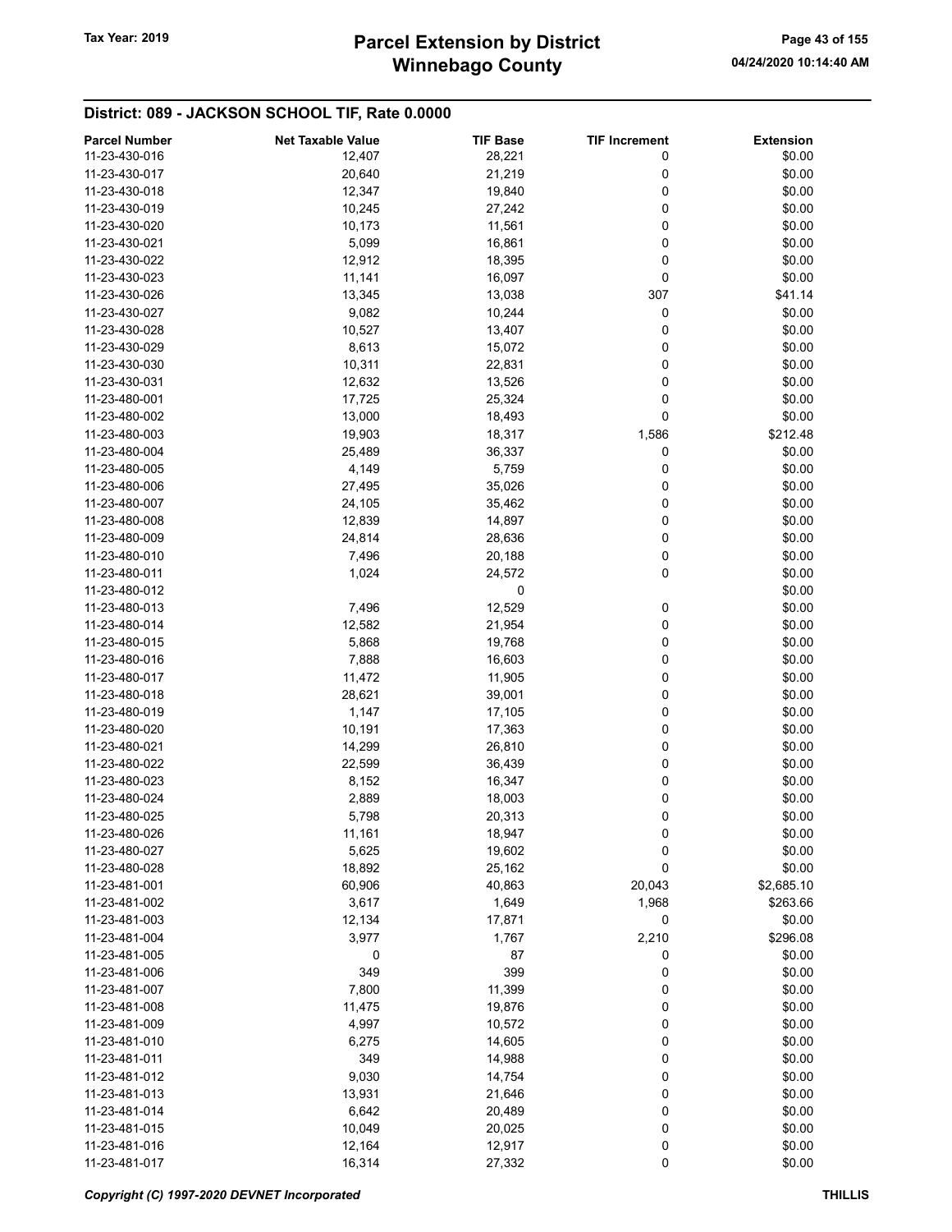# Winnebago County Tax Year: 2019 **Parcel Extension by District** Page 43 of 155

| <b>Parcel Number</b> | <b>Net Taxable Value</b> | <b>TIF Base</b> | <b>TIF Increment</b> | <b>Extension</b> |
|----------------------|--------------------------|-----------------|----------------------|------------------|
| 11-23-430-016        | 12,407                   | 28,221          | 0                    | \$0.00           |
| 11-23-430-017        | 20,640                   | 21,219          | 0                    | \$0.00           |
| 11-23-430-018        | 12,347                   | 19,840          | 0                    | \$0.00           |
| 11-23-430-019        | 10,245                   | 27,242          | 0                    | \$0.00           |
| 11-23-430-020        |                          |                 | 0                    | \$0.00           |
| 11-23-430-021        | 10,173                   | 11,561          |                      |                  |
|                      | 5,099                    | 16,861          | 0                    | \$0.00           |
| 11-23-430-022        | 12,912                   | 18,395          | 0                    | \$0.00           |
| 11-23-430-023        | 11,141                   | 16,097          | 0                    | \$0.00           |
| 11-23-430-026        | 13,345                   | 13,038          | 307                  | \$41.14          |
| 11-23-430-027        | 9,082                    | 10,244          | 0                    | \$0.00           |
| 11-23-430-028        | 10,527                   | 13,407          | 0                    | \$0.00           |
| 11-23-430-029        | 8,613                    | 15,072          | 0                    | \$0.00           |
| 11-23-430-030        | 10,311                   | 22,831          | 0                    | \$0.00           |
| 11-23-430-031        | 12,632                   | 13,526          | 0                    | \$0.00           |
| 11-23-480-001        | 17,725                   | 25,324          | 0                    | \$0.00           |
| 11-23-480-002        | 13,000                   | 18,493          | 0                    | \$0.00           |
| 11-23-480-003        | 19,903                   | 18,317          | 1,586                | \$212.48         |
| 11-23-480-004        | 25,489                   | 36,337          | 0                    | \$0.00           |
| 11-23-480-005        | 4,149                    | 5,759           | 0                    | \$0.00           |
| 11-23-480-006        | 27,495                   | 35,026          | 0                    | \$0.00           |
| 11-23-480-007        | 24,105                   | 35,462          | 0                    | \$0.00           |
| 11-23-480-008        | 12,839                   | 14,897          | 0                    | \$0.00           |
| 11-23-480-009        | 24,814                   | 28,636          | 0                    | \$0.00           |
| 11-23-480-010        | 7,496                    | 20,188          | 0                    | \$0.00           |
| 11-23-480-011        | 1,024                    | 24,572          | 0                    | \$0.00           |
| 11-23-480-012        |                          | 0               |                      | \$0.00           |
|                      |                          |                 |                      |                  |
| 11-23-480-013        | 7,496                    | 12,529          | 0                    | \$0.00           |
| 11-23-480-014        | 12,582                   | 21,954          | 0                    | \$0.00           |
| 11-23-480-015        | 5,868                    | 19,768          | 0                    | \$0.00           |
| 11-23-480-016        | 7,888                    | 16,603          | 0                    | \$0.00           |
| 11-23-480-017        | 11,472                   | 11,905          | 0                    | \$0.00           |
| 11-23-480-018        | 28,621                   | 39,001          | 0                    | \$0.00           |
| 11-23-480-019        | 1,147                    | 17,105          | 0                    | \$0.00           |
| 11-23-480-020        | 10,191                   | 17,363          | 0                    | \$0.00           |
| 11-23-480-021        | 14,299                   | 26,810          | 0                    | \$0.00           |
| 11-23-480-022        | 22,599                   | 36,439          | 0                    | \$0.00           |
| 11-23-480-023        | 8,152                    | 16,347          | 0                    | \$0.00           |
| 11-23-480-024        | 2,889                    | 18,003          | 0                    | \$0.00           |
| 11-23-480-025        | 5,798                    | 20,313          | 0                    | \$0.00           |
| 11-23-480-026        | 11,161                   | 18,947          | 0                    | \$0.00           |
| 11-23-480-027        | 5,625                    | 19,602          | 0                    | \$0.00           |
| 11-23-480-028        | 18,892                   | 25,162          | 0                    | \$0.00           |
| 11-23-481-001        | 60,906                   | 40,863          | 20,043               | \$2,685.10       |
| 11-23-481-002        | 3,617                    | 1,649           | 1,968                | \$263.66         |
| 11-23-481-003        | 12,134                   | 17,871          | 0                    | \$0.00           |
| 11-23-481-004        | 3,977                    | 1,767           | 2,210                | \$296.08         |
| 11-23-481-005        | 0                        | 87              | 0                    | \$0.00           |
| 11-23-481-006        | 349                      | 399             | 0                    | \$0.00           |
| 11-23-481-007        | 7,800                    | 11,399          | 0                    | \$0.00           |
| 11-23-481-008        |                          |                 |                      | \$0.00           |
|                      | 11,475                   | 19,876          | 0                    |                  |
| 11-23-481-009        | 4,997                    | 10,572          | 0                    | \$0.00           |
| 11-23-481-010        | 6,275                    | 14,605          | 0                    | \$0.00           |
| 11-23-481-011        | 349                      | 14,988          | 0                    | \$0.00           |
| 11-23-481-012        | 9,030                    | 14,754          | 0                    | \$0.00           |
| 11-23-481-013        | 13,931                   | 21,646          | 0                    | \$0.00           |
| 11-23-481-014        | 6,642                    | 20,489          | 0                    | \$0.00           |
| 11-23-481-015        | 10,049                   | 20,025          | 0                    | \$0.00           |
| 11-23-481-016        | 12,164                   | 12,917          | 0                    | \$0.00           |
| 11-23-481-017        | 16,314                   | 27,332          | 0                    | \$0.00           |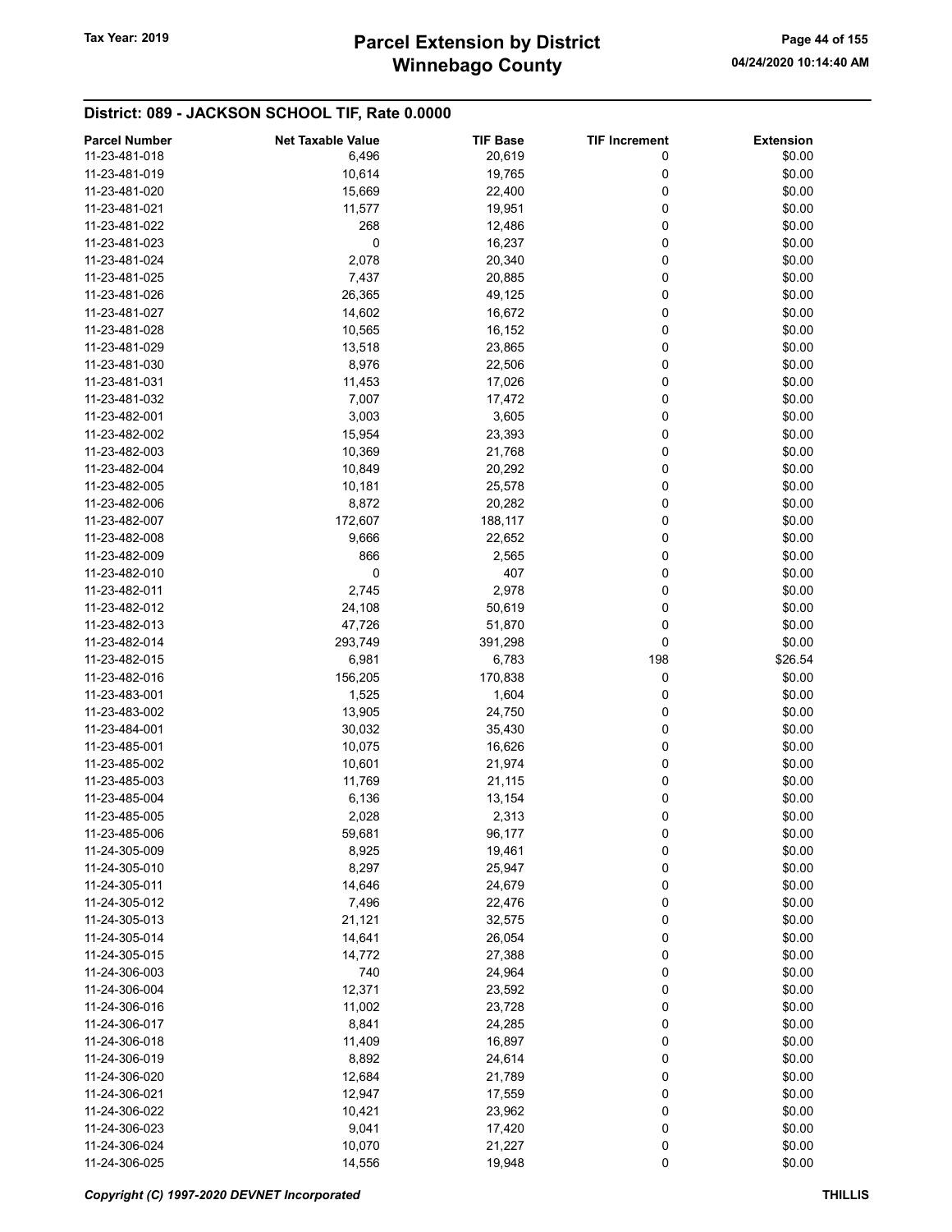# Winnebago County Tax Year: 2019 **Parcel Extension by District** Page 44 of 155

| <b>Parcel Number</b> | <b>Net Taxable Value</b> | <b>TIF Base</b> | <b>TIF Increment</b> | <b>Extension</b> |
|----------------------|--------------------------|-----------------|----------------------|------------------|
| 11-23-481-018        | 6,496                    | 20,619          | 0                    | \$0.00           |
| 11-23-481-019        | 10,614                   | 19,765          | 0                    | \$0.00           |
| 11-23-481-020        | 15,669                   | 22,400          | 0                    | \$0.00           |
| 11-23-481-021        | 11,577                   | 19,951          | 0                    | \$0.00           |
| 11-23-481-022        | 268                      |                 | 0                    | \$0.00           |
|                      |                          | 12,486          |                      |                  |
| 11-23-481-023        | 0                        | 16,237          | 0                    | \$0.00           |
| 11-23-481-024        | 2,078                    | 20,340          | 0                    | \$0.00           |
| 11-23-481-025        | 7,437                    | 20,885          | 0                    | \$0.00           |
| 11-23-481-026        | 26,365                   | 49,125          | 0                    | \$0.00           |
| 11-23-481-027        | 14,602                   | 16,672          | 0                    | \$0.00           |
| 11-23-481-028        | 10,565                   | 16,152          | 0                    | \$0.00           |
| 11-23-481-029        | 13,518                   | 23,865          | 0                    | \$0.00           |
| 11-23-481-030        | 8,976                    | 22,506          | 0                    | \$0.00           |
| 11-23-481-031        | 11,453                   | 17,026          | 0                    | \$0.00           |
| 11-23-481-032        | 7,007                    | 17,472          | 0                    | \$0.00           |
| 11-23-482-001        | 3,003                    | 3,605           | 0                    | \$0.00           |
| 11-23-482-002        | 15,954                   | 23,393          | 0                    | \$0.00           |
| 11-23-482-003        | 10,369                   | 21,768          | 0                    | \$0.00           |
| 11-23-482-004        | 10,849                   | 20,292          | 0                    | \$0.00           |
| 11-23-482-005        |                          |                 |                      |                  |
|                      | 10,181                   | 25,578          | 0                    | \$0.00           |
| 11-23-482-006        | 8,872                    | 20,282          | 0                    | \$0.00           |
| 11-23-482-007        | 172,607                  | 188,117         | 0                    | \$0.00           |
| 11-23-482-008        | 9,666                    | 22,652          | 0                    | \$0.00           |
| 11-23-482-009        | 866                      | 2,565           | 0                    | \$0.00           |
| 11-23-482-010        | 0                        | 407             | 0                    | \$0.00           |
| 11-23-482-011        | 2,745                    | 2,978           | 0                    | \$0.00           |
| 11-23-482-012        | 24,108                   | 50,619          | 0                    | \$0.00           |
| 11-23-482-013        | 47,726                   | 51,870          | 0                    | \$0.00           |
| 11-23-482-014        | 293,749                  | 391,298         | 0                    | \$0.00           |
| 11-23-482-015        | 6,981                    | 6,783           | 198                  | \$26.54          |
| 11-23-482-016        | 156,205                  | 170,838         | 0                    | \$0.00           |
| 11-23-483-001        | 1,525                    | 1,604           | 0                    | \$0.00           |
| 11-23-483-002        | 13,905                   | 24,750          | 0                    | \$0.00           |
| 11-23-484-001        | 30,032                   | 35,430          | 0                    | \$0.00           |
| 11-23-485-001        | 10,075                   | 16,626          | 0                    | \$0.00           |
|                      |                          |                 |                      |                  |
| 11-23-485-002        | 10,601                   | 21,974          | 0                    | \$0.00           |
| 11-23-485-003        | 11,769                   | 21,115          | 0                    | \$0.00           |
| 11-23-485-004        | 6,136                    | 13,154          | 0                    | \$0.00           |
| 11-23-485-005        | 2,028                    | 2,313           | 0                    | \$0.00           |
| 11-23-485-006        | 59,681                   | 96,177          | 0                    | \$0.00           |
| 11-24-305-009        | 8,925                    | 19,461          | 0                    | \$0.00           |
| 11-24-305-010        | 8,297                    | 25,947          | 0                    | \$0.00           |
| 11-24-305-011        | 14,646                   | 24,679          | 0                    | \$0.00           |
| 11-24-305-012        | 7,496                    | 22,476          | 0                    | \$0.00           |
| 11-24-305-013        | 21,121                   | 32,575          | 0                    | \$0.00           |
| 11-24-305-014        | 14,641                   | 26,054          | 0                    | \$0.00           |
| 11-24-305-015        | 14,772                   | 27,388          | 0                    | \$0.00           |
| 11-24-306-003        | 740                      | 24,964          | 0                    | \$0.00           |
| 11-24-306-004        | 12,371                   | 23,592          | 0                    | \$0.00           |
| 11-24-306-016        | 11,002                   | 23,728          | 0                    | \$0.00           |
| 11-24-306-017        |                          |                 |                      |                  |
|                      | 8,841                    | 24,285          | 0                    | \$0.00           |
| 11-24-306-018        | 11,409                   | 16,897          | 0                    | \$0.00           |
| 11-24-306-019        | 8,892                    | 24,614          | 0                    | \$0.00           |
| 11-24-306-020        | 12,684                   | 21,789          | 0                    | \$0.00           |
| 11-24-306-021        | 12,947                   | 17,559          | 0                    | \$0.00           |
| 11-24-306-022        | 10,421                   | 23,962          | 0                    | \$0.00           |
| 11-24-306-023        | 9,041                    | 17,420          | 0                    | \$0.00           |
| 11-24-306-024        | 10,070                   | 21,227          | 0                    | \$0.00           |
| 11-24-306-025        | 14,556                   | 19,948          | 0                    | \$0.00           |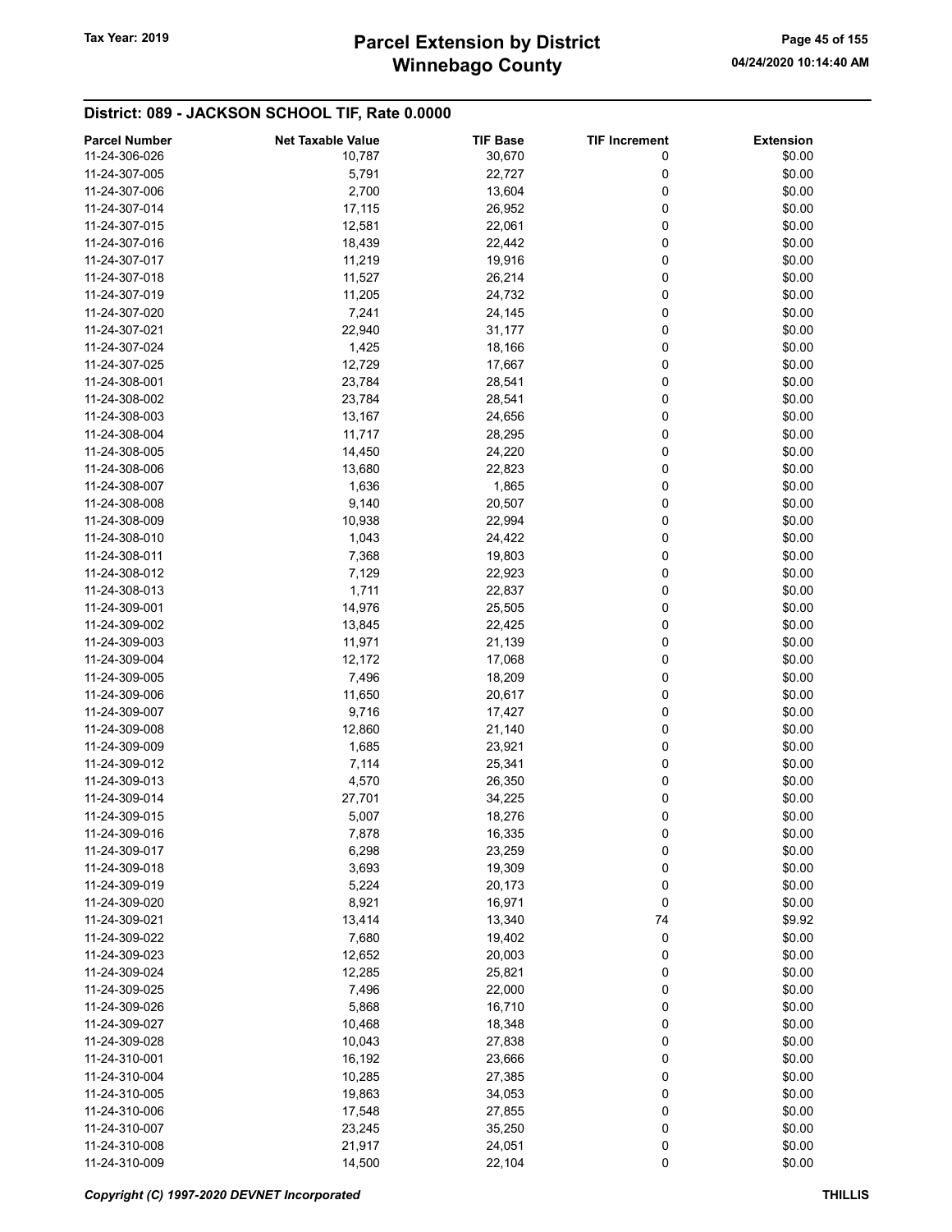# Winnebago County Tax Year: 2019 **Parcel Extension by District** Page 45 of 155

| <b>Parcel Number</b> | <b>Net Taxable Value</b> | <b>TIF Base</b> | <b>TIF Increment</b> | <b>Extension</b> |
|----------------------|--------------------------|-----------------|----------------------|------------------|
| 11-24-306-026        | 10,787                   | 30,670          | 0                    | \$0.00           |
| 11-24-307-005        | 5,791                    | 22,727          | 0                    | \$0.00           |
| 11-24-307-006        | 2,700                    | 13,604          | 0                    | \$0.00           |
| 11-24-307-014        | 17,115                   | 26,952          | 0                    | \$0.00           |
| 11-24-307-015        | 12,581                   | 22,061          | 0                    | \$0.00           |
| 11-24-307-016        | 18,439                   | 22,442          | 0                    | \$0.00           |
| 11-24-307-017        | 11,219                   | 19,916          | 0                    | \$0.00           |
| 11-24-307-018        |                          |                 | 0                    | \$0.00           |
|                      | 11,527                   | 26,214          |                      |                  |
| 11-24-307-019        | 11,205                   | 24,732          | 0                    | \$0.00           |
| 11-24-307-020        | 7,241                    | 24,145          | 0                    | \$0.00           |
| 11-24-307-021        | 22,940                   | 31,177          | 0                    | \$0.00           |
| 11-24-307-024        | 1,425                    | 18,166          | 0                    | \$0.00           |
| 11-24-307-025        | 12,729                   | 17,667          | 0                    | \$0.00           |
| 11-24-308-001        | 23,784                   | 28,541          | 0                    | \$0.00           |
| 11-24-308-002        | 23,784                   | 28,541          | 0                    | \$0.00           |
| 11-24-308-003        | 13,167                   | 24,656          | 0                    | \$0.00           |
| 11-24-308-004        | 11,717                   | 28,295          | 0                    | \$0.00           |
| 11-24-308-005        | 14,450                   | 24,220          | 0                    | \$0.00           |
| 11-24-308-006        | 13,680                   | 22,823          | 0                    | \$0.00           |
| 11-24-308-007        | 1,636                    | 1,865           | 0                    | \$0.00           |
| 11-24-308-008        | 9,140                    | 20,507          | 0                    | \$0.00           |
| 11-24-308-009        | 10,938                   | 22,994          | 0                    | \$0.00           |
| 11-24-308-010        | 1,043                    | 24,422          | 0                    | \$0.00           |
| 11-24-308-011        | 7,368                    | 19,803          | 0                    | \$0.00           |
| 11-24-308-012        | 7,129                    | 22,923          | 0                    | \$0.00           |
| 11-24-308-013        | 1,711                    | 22,837          | 0                    | \$0.00           |
|                      |                          |                 |                      |                  |
| 11-24-309-001        | 14,976                   | 25,505          | 0                    | \$0.00           |
| 11-24-309-002        | 13,845                   | 22,425          | 0                    | \$0.00           |
| 11-24-309-003        | 11,971                   | 21,139          | 0                    | \$0.00           |
| 11-24-309-004        | 12,172                   | 17,068          | 0                    | \$0.00           |
| 11-24-309-005        | 7,496                    | 18,209          | 0                    | \$0.00           |
| 11-24-309-006        | 11,650                   | 20,617          | 0                    | \$0.00           |
| 11-24-309-007        | 9,716                    | 17,427          | 0                    | \$0.00           |
| 11-24-309-008        | 12,860                   | 21,140          | 0                    | \$0.00           |
| 11-24-309-009        | 1,685                    | 23,921          | 0                    | \$0.00           |
| 11-24-309-012        | 7,114                    | 25,341          | 0                    | \$0.00           |
| 11-24-309-013        | 4,570                    | 26,350          | 0                    | \$0.00           |
| 11-24-309-014        | 27,701                   | 34,225          | 0                    | \$0.00           |
| 11-24-309-015        | 5,007                    | 18,276          | 0                    | \$0.00           |
| 11-24-309-016        | 7,878                    | 16,335          | 0                    | \$0.00           |
| 11-24-309-017        | 6,298                    | 23,259          | 0                    | \$0.00           |
| 11-24-309-018        | 3,693                    | 19,309          | 0                    | \$0.00           |
| 11-24-309-019        | 5,224                    | 20,173          | 0                    | \$0.00           |
| 11-24-309-020        | 8,921                    | 16,971          | 0                    | \$0.00           |
| 11-24-309-021        | 13,414                   | 13,340          | 74                   | \$9.92           |
| 11-24-309-022        | 7,680                    | 19,402          | 0                    | \$0.00           |
| 11-24-309-023        |                          |                 |                      | \$0.00           |
|                      | 12,652                   | 20,003          | 0                    |                  |
| 11-24-309-024        | 12,285                   | 25,821          | 0                    | \$0.00           |
| 11-24-309-025        | 7,496                    | 22,000          | 0                    | \$0.00           |
| 11-24-309-026        | 5,868                    | 16,710          | 0                    | \$0.00           |
| 11-24-309-027        | 10,468                   | 18,348          | 0                    | \$0.00           |
| 11-24-309-028        | 10,043                   | 27,838          | 0                    | \$0.00           |
| 11-24-310-001        | 16,192                   | 23,666          | 0                    | \$0.00           |
| 11-24-310-004        | 10,285                   | 27,385          | 0                    | \$0.00           |
| 11-24-310-005        | 19,863                   | 34,053          | 0                    | \$0.00           |
| 11-24-310-006        | 17,548                   | 27,855          | 0                    | \$0.00           |
| 11-24-310-007        | 23,245                   | 35,250          | 0                    | \$0.00           |
| 11-24-310-008        | 21,917                   | 24,051          | 0                    | \$0.00           |
| 11-24-310-009        | 14,500                   | 22,104          | 0                    | \$0.00           |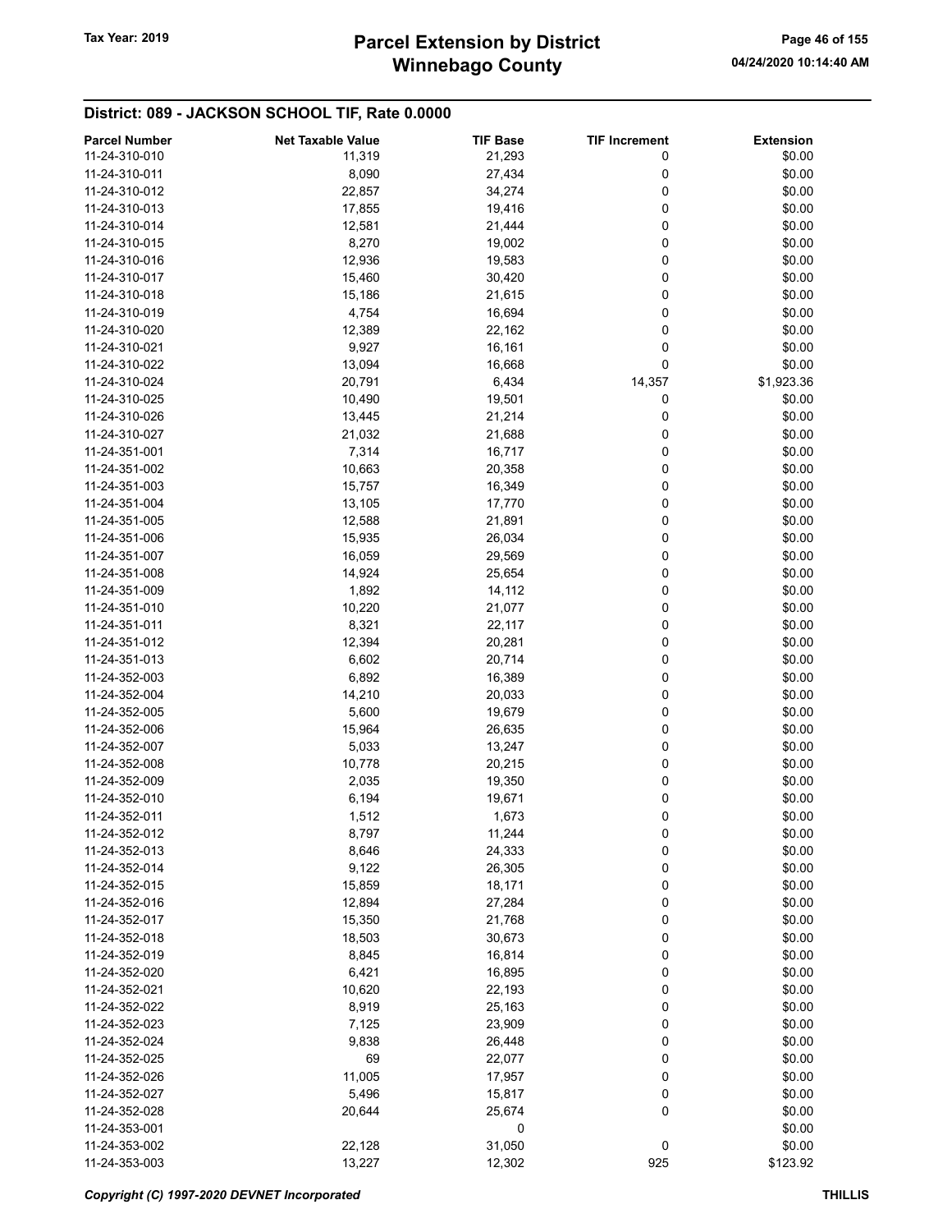# Winnebago County Tax Year: 2019 **Parcel Extension by District** Page 46 of 155

| <b>Parcel Number</b> | <b>Net Taxable Value</b> | <b>TIF Base</b> | <b>TIF Increment</b> | <b>Extension</b> |
|----------------------|--------------------------|-----------------|----------------------|------------------|
| 11-24-310-010        | 11,319                   | 21,293          | 0                    | \$0.00           |
| 11-24-310-011        | 8,090                    | 27,434          | 0                    | \$0.00           |
| 11-24-310-012        | 22,857                   | 34,274          | 0                    | \$0.00           |
| 11-24-310-013        | 17,855                   | 19,416          | 0                    | \$0.00           |
| 11-24-310-014        |                          |                 | 0                    | \$0.00           |
|                      | 12,581                   | 21,444          |                      |                  |
| 11-24-310-015        | 8,270                    | 19,002          | 0                    | \$0.00           |
| 11-24-310-016        | 12,936                   | 19,583          | 0                    | \$0.00           |
| 11-24-310-017        | 15,460                   | 30,420          | 0                    | \$0.00           |
| 11-24-310-018        | 15,186                   | 21,615          | 0                    | \$0.00           |
| 11-24-310-019        | 4,754                    | 16,694          | 0                    | \$0.00           |
| 11-24-310-020        | 12,389                   | 22,162          | 0                    | \$0.00           |
| 11-24-310-021        | 9,927                    | 16,161          | 0                    | \$0.00           |
| 11-24-310-022        | 13,094                   | 16,668          | 0                    | \$0.00           |
| 11-24-310-024        | 20,791                   | 6,434           | 14,357               | \$1,923.36       |
| 11-24-310-025        | 10,490                   | 19,501          | 0                    | \$0.00           |
| 11-24-310-026        | 13,445                   | 21,214          | 0                    | \$0.00           |
| 11-24-310-027        | 21,032                   | 21,688          | 0                    | \$0.00           |
| 11-24-351-001        | 7,314                    | 16,717          | 0                    | \$0.00           |
| 11-24-351-002        | 10,663                   | 20,358          | 0                    | \$0.00           |
| 11-24-351-003        | 15,757                   | 16,349          | 0                    | \$0.00           |
| 11-24-351-004        | 13,105                   | 17,770          | 0                    | \$0.00           |
| 11-24-351-005        | 12,588                   | 21,891          | 0                    | \$0.00           |
| 11-24-351-006        | 15,935                   | 26,034          | 0                    | \$0.00           |
| 11-24-351-007        | 16,059                   | 29,569          | 0                    | \$0.00           |
| 11-24-351-008        | 14,924                   | 25,654          | 0                    | \$0.00           |
|                      |                          |                 | 0                    |                  |
| 11-24-351-009        | 1,892                    | 14,112          |                      | \$0.00           |
| 11-24-351-010        | 10,220                   | 21,077          | 0                    | \$0.00           |
| 11-24-351-011        | 8,321                    | 22,117          | 0                    | \$0.00           |
| 11-24-351-012        | 12,394                   | 20,281          | 0                    | \$0.00           |
| 11-24-351-013        | 6,602                    | 20,714          | 0                    | \$0.00           |
| 11-24-352-003        | 6,892                    | 16,389          | 0                    | \$0.00           |
| 11-24-352-004        | 14,210                   | 20,033          | 0                    | \$0.00           |
| 11-24-352-005        | 5,600                    | 19,679          | 0                    | \$0.00           |
| 11-24-352-006        | 15,964                   | 26,635          | 0                    | \$0.00           |
| 11-24-352-007        | 5,033                    | 13,247          | 0                    | \$0.00           |
| 11-24-352-008        | 10,778                   | 20,215          | 0                    | \$0.00           |
| 11-24-352-009        | 2,035                    | 19,350          | 0                    | \$0.00           |
| 11-24-352-010        | 6,194                    | 19,671          | 0                    | \$0.00           |
| 11-24-352-011        | 1,512                    | 1,673           | 0                    | \$0.00           |
| 11-24-352-012        | 8,797                    | 11,244          | 0                    | \$0.00           |
| 11-24-352-013        | 8,646                    | 24,333          | 0                    | \$0.00           |
| 11-24-352-014        | 9,122                    | 26,305          | 0                    | \$0.00           |
| 11-24-352-015        | 15,859                   | 18,171          | 0                    | \$0.00           |
| 11-24-352-016        | 12,894                   | 27,284          | 0                    | \$0.00           |
| 11-24-352-017        | 15,350                   | 21,768          | 0                    | \$0.00           |
| 11-24-352-018        | 18,503                   | 30,673          | 0                    | \$0.00           |
| 11-24-352-019        | 8,845                    | 16,814          | 0                    | \$0.00           |
| 11-24-352-020        | 6,421                    | 16,895          | 0                    | \$0.00           |
| 11-24-352-021        |                          |                 | 0                    | \$0.00           |
|                      | 10,620                   | 22,193          |                      |                  |
| 11-24-352-022        | 8,919                    | 25,163          | 0                    | \$0.00           |
| 11-24-352-023        | 7,125                    | 23,909          | 0                    | \$0.00           |
| 11-24-352-024        | 9,838                    | 26,448          | 0                    | \$0.00           |
| 11-24-352-025        | 69                       | 22,077          | 0                    | \$0.00           |
| 11-24-352-026        | 11,005                   | 17,957          | 0                    | \$0.00           |
| 11-24-352-027        | 5,496                    | 15,817          | 0                    | \$0.00           |
| 11-24-352-028        | 20,644                   | 25,674          | 0                    | \$0.00           |
| 11-24-353-001        |                          | 0               |                      | \$0.00           |
| 11-24-353-002        | 22,128                   | 31,050          | 0                    | \$0.00           |
| 11-24-353-003        | 13,227                   | 12,302          | 925                  | \$123.92         |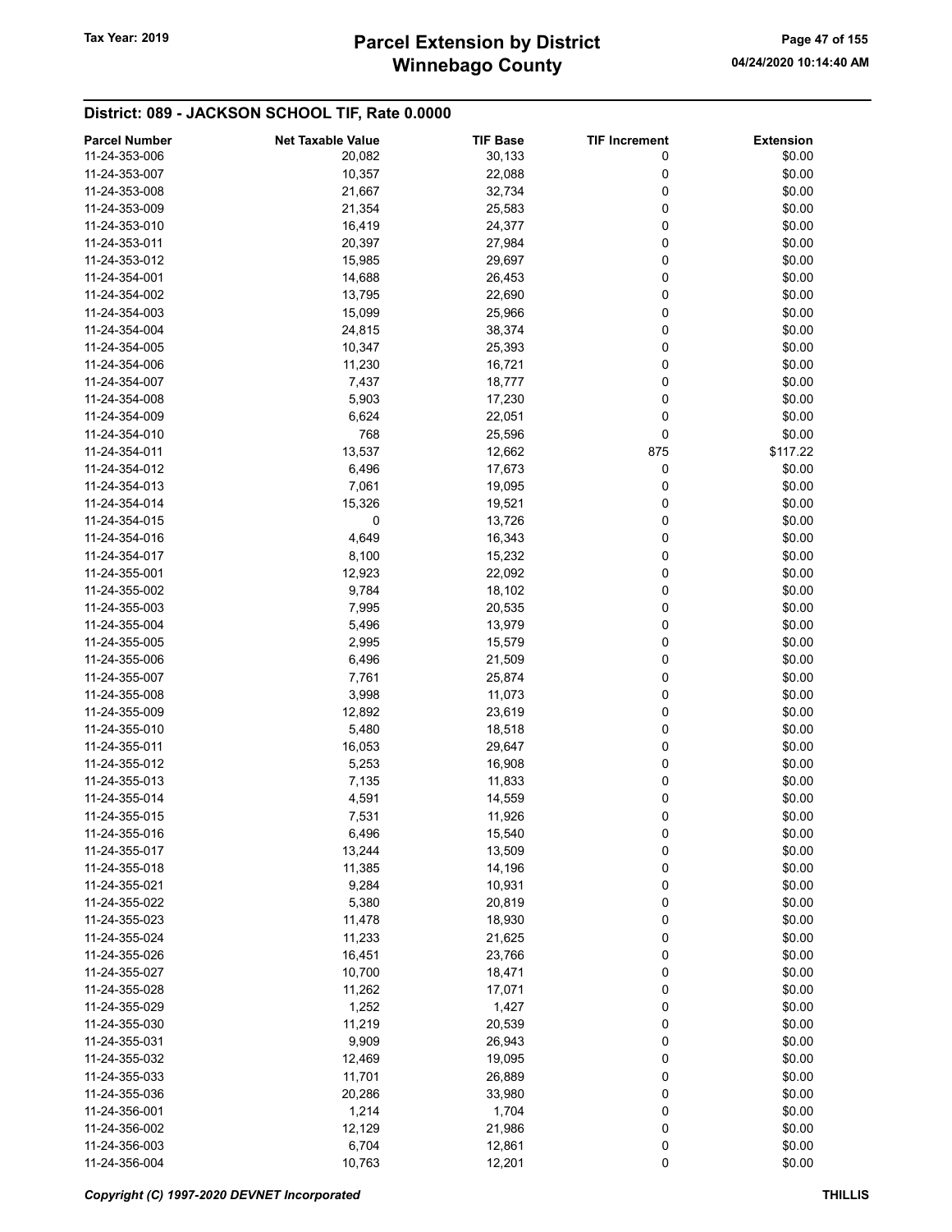| 11-24-353-006<br>30,133<br>20,082<br>0<br>\$0.00<br>11-24-353-007<br>10,357<br>22,088<br>\$0.00<br>0<br>0<br>\$0.00<br>11-24-353-008<br>21,667<br>32,734<br>0<br>\$0.00<br>11-24-353-009<br>21,354<br>25,583<br>\$0.00<br>11-24-353-010<br>16,419<br>24,377<br>0<br>\$0.00<br>11-24-353-011<br>20,397<br>27,984<br>0<br>0<br>\$0.00<br>15,985<br>29,697<br>11-24-353-012<br>0<br>11-24-354-001<br>14,688<br>26,453<br>\$0.00<br>0<br>\$0.00<br>11-24-354-002<br>13,795<br>22,690<br>0<br>\$0.00<br>11-24-354-003<br>15,099<br>25,966<br>0<br>\$0.00<br>11-24-354-004<br>24,815<br>38,374<br>\$0.00<br>10,347<br>25,393<br>0<br>11-24-354-005<br>\$0.00<br>11-24-354-006<br>11,230<br>16,721<br>0<br>0<br>\$0.00<br>11-24-354-007<br>7,437<br>18,777<br>0<br>\$0.00<br>11-24-354-008<br>5,903<br>17,230<br>0<br>\$0.00<br>11-24-354-009<br>6,624<br>22,051<br>768<br>0<br>\$0.00<br>11-24-354-010<br>25,596<br>13,537<br>\$117.22<br>11-24-354-011<br>12,662<br>875<br>6,496<br>0<br>\$0.00<br>11-24-354-012<br>17,673<br>\$0.00<br>11-24-354-013<br>7,061<br>19,095<br>0<br>\$0.00<br>15,326<br>0<br>11-24-354-014<br>19,521<br>0<br>\$0.00<br>11-24-354-015<br>0<br>13,726<br>0<br>\$0.00<br>11-24-354-016<br>4,649<br>16,343<br>0<br>8,100<br>15,232<br>\$0.00<br>11-24-354-017<br>0<br>\$0.00<br>12,923<br>22,092<br>11-24-355-001<br>0<br>\$0.00<br>11-24-355-002<br>9,784<br>18,102<br>\$0.00<br>11-24-355-003<br>7,995<br>20,535<br>0<br>0<br>\$0.00<br>11-24-355-004<br>5,496<br>13,979<br>0<br>\$0.00<br>11-24-355-005<br>2,995<br>15,579<br>0<br>\$0.00<br>11-24-355-006<br>6,496<br>21,509<br>0<br>\$0.00<br>11-24-355-007<br>7,761<br>25,874<br>0<br>\$0.00<br>3,998<br>11,073<br>11-24-355-008<br>0<br>\$0.00<br>11-24-355-009<br>12,892<br>23,619<br>\$0.00<br>11-24-355-010<br>5,480<br>18,518<br>0<br>\$0.00<br>11-24-355-011<br>16,053<br>29,647<br>0<br>0<br>\$0.00<br>5,253<br>16,908<br>11-24-355-012<br>\$0.00<br>11-24-355-013<br>7,135<br>11,833<br>0<br>\$0.00<br>11-24-355-014<br>4,591<br>14,559<br>0<br>0<br>\$0.00<br>7,531<br>11-24-355-015<br>11,926<br>11-24-355-016<br>\$0.00<br>6,496<br>15,540<br>0<br>13,244<br>0<br>\$0.00<br>11-24-355-017<br>13,509<br>0<br>11-24-355-018<br>11,385<br>14,196<br>\$0.00<br>0<br>\$0.00<br>11-24-355-021<br>9,284<br>10,931<br>0<br>\$0.00<br>11-24-355-022<br>5,380<br>20,819<br>\$0.00<br>11-24-355-023<br>11,478<br>18,930<br>0<br>0<br>\$0.00<br>11,233<br>21,625<br>11-24-355-024<br>\$0.00<br>11-24-355-026<br>16,451<br>23,766<br>0<br>10,700<br>\$0.00<br>11-24-355-027<br>18,471<br>0<br>11-24-355-028<br>11,262<br>0<br>\$0.00<br>17,071<br>\$0.00<br>1,252<br>1,427<br>0<br>11-24-355-029<br>0<br>\$0.00<br>11-24-355-030<br>11,219<br>20,539<br>9,909<br>26,943<br>\$0.00<br>11-24-355-031<br>0<br>0<br>\$0.00<br>12,469<br>19,095<br>11-24-355-032<br>\$0.00<br>11-24-355-033<br>11,701<br>26,889<br>0<br>\$0.00<br>11-24-355-036<br>20,286<br>33,980<br>0<br>\$0.00<br>11-24-356-001<br>1,214<br>1,704<br>0<br>\$0.00<br>12,129<br>21,986<br>0<br>11-24-356-002<br>0<br>11-24-356-003<br>6,704<br>12,861<br>\$0.00 | <b>Parcel Number</b> | <b>Net Taxable Value</b> | <b>TIF Base</b> | <b>TIF Increment</b> | <b>Extension</b> |
|------------------------------------------------------------------------------------------------------------------------------------------------------------------------------------------------------------------------------------------------------------------------------------------------------------------------------------------------------------------------------------------------------------------------------------------------------------------------------------------------------------------------------------------------------------------------------------------------------------------------------------------------------------------------------------------------------------------------------------------------------------------------------------------------------------------------------------------------------------------------------------------------------------------------------------------------------------------------------------------------------------------------------------------------------------------------------------------------------------------------------------------------------------------------------------------------------------------------------------------------------------------------------------------------------------------------------------------------------------------------------------------------------------------------------------------------------------------------------------------------------------------------------------------------------------------------------------------------------------------------------------------------------------------------------------------------------------------------------------------------------------------------------------------------------------------------------------------------------------------------------------------------------------------------------------------------------------------------------------------------------------------------------------------------------------------------------------------------------------------------------------------------------------------------------------------------------------------------------------------------------------------------------------------------------------------------------------------------------------------------------------------------------------------------------------------------------------------------------------------------------------------------------------------------------------------------------------------------------------------------------------------------------------------------------------------------------------------------------------------------------------------------------------------------------------------------------------------------------------------------------------------------------------------------------------------------------------------------------------------------------------------------------------------------------------------------------------------------------|----------------------|--------------------------|-----------------|----------------------|------------------|
|                                                                                                                                                                                                                                                                                                                                                                                                                                                                                                                                                                                                                                                                                                                                                                                                                                                                                                                                                                                                                                                                                                                                                                                                                                                                                                                                                                                                                                                                                                                                                                                                                                                                                                                                                                                                                                                                                                                                                                                                                                                                                                                                                                                                                                                                                                                                                                                                                                                                                                                                                                                                                                                                                                                                                                                                                                                                                                                                                                                                                                                                                                      |                      |                          |                 |                      |                  |
|                                                                                                                                                                                                                                                                                                                                                                                                                                                                                                                                                                                                                                                                                                                                                                                                                                                                                                                                                                                                                                                                                                                                                                                                                                                                                                                                                                                                                                                                                                                                                                                                                                                                                                                                                                                                                                                                                                                                                                                                                                                                                                                                                                                                                                                                                                                                                                                                                                                                                                                                                                                                                                                                                                                                                                                                                                                                                                                                                                                                                                                                                                      |                      |                          |                 |                      |                  |
|                                                                                                                                                                                                                                                                                                                                                                                                                                                                                                                                                                                                                                                                                                                                                                                                                                                                                                                                                                                                                                                                                                                                                                                                                                                                                                                                                                                                                                                                                                                                                                                                                                                                                                                                                                                                                                                                                                                                                                                                                                                                                                                                                                                                                                                                                                                                                                                                                                                                                                                                                                                                                                                                                                                                                                                                                                                                                                                                                                                                                                                                                                      |                      |                          |                 |                      |                  |
|                                                                                                                                                                                                                                                                                                                                                                                                                                                                                                                                                                                                                                                                                                                                                                                                                                                                                                                                                                                                                                                                                                                                                                                                                                                                                                                                                                                                                                                                                                                                                                                                                                                                                                                                                                                                                                                                                                                                                                                                                                                                                                                                                                                                                                                                                                                                                                                                                                                                                                                                                                                                                                                                                                                                                                                                                                                                                                                                                                                                                                                                                                      |                      |                          |                 |                      |                  |
|                                                                                                                                                                                                                                                                                                                                                                                                                                                                                                                                                                                                                                                                                                                                                                                                                                                                                                                                                                                                                                                                                                                                                                                                                                                                                                                                                                                                                                                                                                                                                                                                                                                                                                                                                                                                                                                                                                                                                                                                                                                                                                                                                                                                                                                                                                                                                                                                                                                                                                                                                                                                                                                                                                                                                                                                                                                                                                                                                                                                                                                                                                      |                      |                          |                 |                      |                  |
|                                                                                                                                                                                                                                                                                                                                                                                                                                                                                                                                                                                                                                                                                                                                                                                                                                                                                                                                                                                                                                                                                                                                                                                                                                                                                                                                                                                                                                                                                                                                                                                                                                                                                                                                                                                                                                                                                                                                                                                                                                                                                                                                                                                                                                                                                                                                                                                                                                                                                                                                                                                                                                                                                                                                                                                                                                                                                                                                                                                                                                                                                                      |                      |                          |                 |                      |                  |
|                                                                                                                                                                                                                                                                                                                                                                                                                                                                                                                                                                                                                                                                                                                                                                                                                                                                                                                                                                                                                                                                                                                                                                                                                                                                                                                                                                                                                                                                                                                                                                                                                                                                                                                                                                                                                                                                                                                                                                                                                                                                                                                                                                                                                                                                                                                                                                                                                                                                                                                                                                                                                                                                                                                                                                                                                                                                                                                                                                                                                                                                                                      |                      |                          |                 |                      |                  |
|                                                                                                                                                                                                                                                                                                                                                                                                                                                                                                                                                                                                                                                                                                                                                                                                                                                                                                                                                                                                                                                                                                                                                                                                                                                                                                                                                                                                                                                                                                                                                                                                                                                                                                                                                                                                                                                                                                                                                                                                                                                                                                                                                                                                                                                                                                                                                                                                                                                                                                                                                                                                                                                                                                                                                                                                                                                                                                                                                                                                                                                                                                      |                      |                          |                 |                      |                  |
|                                                                                                                                                                                                                                                                                                                                                                                                                                                                                                                                                                                                                                                                                                                                                                                                                                                                                                                                                                                                                                                                                                                                                                                                                                                                                                                                                                                                                                                                                                                                                                                                                                                                                                                                                                                                                                                                                                                                                                                                                                                                                                                                                                                                                                                                                                                                                                                                                                                                                                                                                                                                                                                                                                                                                                                                                                                                                                                                                                                                                                                                                                      |                      |                          |                 |                      |                  |
|                                                                                                                                                                                                                                                                                                                                                                                                                                                                                                                                                                                                                                                                                                                                                                                                                                                                                                                                                                                                                                                                                                                                                                                                                                                                                                                                                                                                                                                                                                                                                                                                                                                                                                                                                                                                                                                                                                                                                                                                                                                                                                                                                                                                                                                                                                                                                                                                                                                                                                                                                                                                                                                                                                                                                                                                                                                                                                                                                                                                                                                                                                      |                      |                          |                 |                      |                  |
|                                                                                                                                                                                                                                                                                                                                                                                                                                                                                                                                                                                                                                                                                                                                                                                                                                                                                                                                                                                                                                                                                                                                                                                                                                                                                                                                                                                                                                                                                                                                                                                                                                                                                                                                                                                                                                                                                                                                                                                                                                                                                                                                                                                                                                                                                                                                                                                                                                                                                                                                                                                                                                                                                                                                                                                                                                                                                                                                                                                                                                                                                                      |                      |                          |                 |                      |                  |
|                                                                                                                                                                                                                                                                                                                                                                                                                                                                                                                                                                                                                                                                                                                                                                                                                                                                                                                                                                                                                                                                                                                                                                                                                                                                                                                                                                                                                                                                                                                                                                                                                                                                                                                                                                                                                                                                                                                                                                                                                                                                                                                                                                                                                                                                                                                                                                                                                                                                                                                                                                                                                                                                                                                                                                                                                                                                                                                                                                                                                                                                                                      |                      |                          |                 |                      |                  |
|                                                                                                                                                                                                                                                                                                                                                                                                                                                                                                                                                                                                                                                                                                                                                                                                                                                                                                                                                                                                                                                                                                                                                                                                                                                                                                                                                                                                                                                                                                                                                                                                                                                                                                                                                                                                                                                                                                                                                                                                                                                                                                                                                                                                                                                                                                                                                                                                                                                                                                                                                                                                                                                                                                                                                                                                                                                                                                                                                                                                                                                                                                      |                      |                          |                 |                      |                  |
|                                                                                                                                                                                                                                                                                                                                                                                                                                                                                                                                                                                                                                                                                                                                                                                                                                                                                                                                                                                                                                                                                                                                                                                                                                                                                                                                                                                                                                                                                                                                                                                                                                                                                                                                                                                                                                                                                                                                                                                                                                                                                                                                                                                                                                                                                                                                                                                                                                                                                                                                                                                                                                                                                                                                                                                                                                                                                                                                                                                                                                                                                                      |                      |                          |                 |                      |                  |
|                                                                                                                                                                                                                                                                                                                                                                                                                                                                                                                                                                                                                                                                                                                                                                                                                                                                                                                                                                                                                                                                                                                                                                                                                                                                                                                                                                                                                                                                                                                                                                                                                                                                                                                                                                                                                                                                                                                                                                                                                                                                                                                                                                                                                                                                                                                                                                                                                                                                                                                                                                                                                                                                                                                                                                                                                                                                                                                                                                                                                                                                                                      |                      |                          |                 |                      |                  |
|                                                                                                                                                                                                                                                                                                                                                                                                                                                                                                                                                                                                                                                                                                                                                                                                                                                                                                                                                                                                                                                                                                                                                                                                                                                                                                                                                                                                                                                                                                                                                                                                                                                                                                                                                                                                                                                                                                                                                                                                                                                                                                                                                                                                                                                                                                                                                                                                                                                                                                                                                                                                                                                                                                                                                                                                                                                                                                                                                                                                                                                                                                      |                      |                          |                 |                      |                  |
|                                                                                                                                                                                                                                                                                                                                                                                                                                                                                                                                                                                                                                                                                                                                                                                                                                                                                                                                                                                                                                                                                                                                                                                                                                                                                                                                                                                                                                                                                                                                                                                                                                                                                                                                                                                                                                                                                                                                                                                                                                                                                                                                                                                                                                                                                                                                                                                                                                                                                                                                                                                                                                                                                                                                                                                                                                                                                                                                                                                                                                                                                                      |                      |                          |                 |                      |                  |
|                                                                                                                                                                                                                                                                                                                                                                                                                                                                                                                                                                                                                                                                                                                                                                                                                                                                                                                                                                                                                                                                                                                                                                                                                                                                                                                                                                                                                                                                                                                                                                                                                                                                                                                                                                                                                                                                                                                                                                                                                                                                                                                                                                                                                                                                                                                                                                                                                                                                                                                                                                                                                                                                                                                                                                                                                                                                                                                                                                                                                                                                                                      |                      |                          |                 |                      |                  |
|                                                                                                                                                                                                                                                                                                                                                                                                                                                                                                                                                                                                                                                                                                                                                                                                                                                                                                                                                                                                                                                                                                                                                                                                                                                                                                                                                                                                                                                                                                                                                                                                                                                                                                                                                                                                                                                                                                                                                                                                                                                                                                                                                                                                                                                                                                                                                                                                                                                                                                                                                                                                                                                                                                                                                                                                                                                                                                                                                                                                                                                                                                      |                      |                          |                 |                      |                  |
|                                                                                                                                                                                                                                                                                                                                                                                                                                                                                                                                                                                                                                                                                                                                                                                                                                                                                                                                                                                                                                                                                                                                                                                                                                                                                                                                                                                                                                                                                                                                                                                                                                                                                                                                                                                                                                                                                                                                                                                                                                                                                                                                                                                                                                                                                                                                                                                                                                                                                                                                                                                                                                                                                                                                                                                                                                                                                                                                                                                                                                                                                                      |                      |                          |                 |                      |                  |
|                                                                                                                                                                                                                                                                                                                                                                                                                                                                                                                                                                                                                                                                                                                                                                                                                                                                                                                                                                                                                                                                                                                                                                                                                                                                                                                                                                                                                                                                                                                                                                                                                                                                                                                                                                                                                                                                                                                                                                                                                                                                                                                                                                                                                                                                                                                                                                                                                                                                                                                                                                                                                                                                                                                                                                                                                                                                                                                                                                                                                                                                                                      |                      |                          |                 |                      |                  |
|                                                                                                                                                                                                                                                                                                                                                                                                                                                                                                                                                                                                                                                                                                                                                                                                                                                                                                                                                                                                                                                                                                                                                                                                                                                                                                                                                                                                                                                                                                                                                                                                                                                                                                                                                                                                                                                                                                                                                                                                                                                                                                                                                                                                                                                                                                                                                                                                                                                                                                                                                                                                                                                                                                                                                                                                                                                                                                                                                                                                                                                                                                      |                      |                          |                 |                      |                  |
|                                                                                                                                                                                                                                                                                                                                                                                                                                                                                                                                                                                                                                                                                                                                                                                                                                                                                                                                                                                                                                                                                                                                                                                                                                                                                                                                                                                                                                                                                                                                                                                                                                                                                                                                                                                                                                                                                                                                                                                                                                                                                                                                                                                                                                                                                                                                                                                                                                                                                                                                                                                                                                                                                                                                                                                                                                                                                                                                                                                                                                                                                                      |                      |                          |                 |                      |                  |
|                                                                                                                                                                                                                                                                                                                                                                                                                                                                                                                                                                                                                                                                                                                                                                                                                                                                                                                                                                                                                                                                                                                                                                                                                                                                                                                                                                                                                                                                                                                                                                                                                                                                                                                                                                                                                                                                                                                                                                                                                                                                                                                                                                                                                                                                                                                                                                                                                                                                                                                                                                                                                                                                                                                                                                                                                                                                                                                                                                                                                                                                                                      |                      |                          |                 |                      |                  |
|                                                                                                                                                                                                                                                                                                                                                                                                                                                                                                                                                                                                                                                                                                                                                                                                                                                                                                                                                                                                                                                                                                                                                                                                                                                                                                                                                                                                                                                                                                                                                                                                                                                                                                                                                                                                                                                                                                                                                                                                                                                                                                                                                                                                                                                                                                                                                                                                                                                                                                                                                                                                                                                                                                                                                                                                                                                                                                                                                                                                                                                                                                      |                      |                          |                 |                      |                  |
|                                                                                                                                                                                                                                                                                                                                                                                                                                                                                                                                                                                                                                                                                                                                                                                                                                                                                                                                                                                                                                                                                                                                                                                                                                                                                                                                                                                                                                                                                                                                                                                                                                                                                                                                                                                                                                                                                                                                                                                                                                                                                                                                                                                                                                                                                                                                                                                                                                                                                                                                                                                                                                                                                                                                                                                                                                                                                                                                                                                                                                                                                                      |                      |                          |                 |                      |                  |
|                                                                                                                                                                                                                                                                                                                                                                                                                                                                                                                                                                                                                                                                                                                                                                                                                                                                                                                                                                                                                                                                                                                                                                                                                                                                                                                                                                                                                                                                                                                                                                                                                                                                                                                                                                                                                                                                                                                                                                                                                                                                                                                                                                                                                                                                                                                                                                                                                                                                                                                                                                                                                                                                                                                                                                                                                                                                                                                                                                                                                                                                                                      |                      |                          |                 |                      |                  |
|                                                                                                                                                                                                                                                                                                                                                                                                                                                                                                                                                                                                                                                                                                                                                                                                                                                                                                                                                                                                                                                                                                                                                                                                                                                                                                                                                                                                                                                                                                                                                                                                                                                                                                                                                                                                                                                                                                                                                                                                                                                                                                                                                                                                                                                                                                                                                                                                                                                                                                                                                                                                                                                                                                                                                                                                                                                                                                                                                                                                                                                                                                      |                      |                          |                 |                      |                  |
|                                                                                                                                                                                                                                                                                                                                                                                                                                                                                                                                                                                                                                                                                                                                                                                                                                                                                                                                                                                                                                                                                                                                                                                                                                                                                                                                                                                                                                                                                                                                                                                                                                                                                                                                                                                                                                                                                                                                                                                                                                                                                                                                                                                                                                                                                                                                                                                                                                                                                                                                                                                                                                                                                                                                                                                                                                                                                                                                                                                                                                                                                                      |                      |                          |                 |                      |                  |
|                                                                                                                                                                                                                                                                                                                                                                                                                                                                                                                                                                                                                                                                                                                                                                                                                                                                                                                                                                                                                                                                                                                                                                                                                                                                                                                                                                                                                                                                                                                                                                                                                                                                                                                                                                                                                                                                                                                                                                                                                                                                                                                                                                                                                                                                                                                                                                                                                                                                                                                                                                                                                                                                                                                                                                                                                                                                                                                                                                                                                                                                                                      |                      |                          |                 |                      |                  |
|                                                                                                                                                                                                                                                                                                                                                                                                                                                                                                                                                                                                                                                                                                                                                                                                                                                                                                                                                                                                                                                                                                                                                                                                                                                                                                                                                                                                                                                                                                                                                                                                                                                                                                                                                                                                                                                                                                                                                                                                                                                                                                                                                                                                                                                                                                                                                                                                                                                                                                                                                                                                                                                                                                                                                                                                                                                                                                                                                                                                                                                                                                      |                      |                          |                 |                      |                  |
|                                                                                                                                                                                                                                                                                                                                                                                                                                                                                                                                                                                                                                                                                                                                                                                                                                                                                                                                                                                                                                                                                                                                                                                                                                                                                                                                                                                                                                                                                                                                                                                                                                                                                                                                                                                                                                                                                                                                                                                                                                                                                                                                                                                                                                                                                                                                                                                                                                                                                                                                                                                                                                                                                                                                                                                                                                                                                                                                                                                                                                                                                                      |                      |                          |                 |                      |                  |
|                                                                                                                                                                                                                                                                                                                                                                                                                                                                                                                                                                                                                                                                                                                                                                                                                                                                                                                                                                                                                                                                                                                                                                                                                                                                                                                                                                                                                                                                                                                                                                                                                                                                                                                                                                                                                                                                                                                                                                                                                                                                                                                                                                                                                                                                                                                                                                                                                                                                                                                                                                                                                                                                                                                                                                                                                                                                                                                                                                                                                                                                                                      |                      |                          |                 |                      |                  |
|                                                                                                                                                                                                                                                                                                                                                                                                                                                                                                                                                                                                                                                                                                                                                                                                                                                                                                                                                                                                                                                                                                                                                                                                                                                                                                                                                                                                                                                                                                                                                                                                                                                                                                                                                                                                                                                                                                                                                                                                                                                                                                                                                                                                                                                                                                                                                                                                                                                                                                                                                                                                                                                                                                                                                                                                                                                                                                                                                                                                                                                                                                      |                      |                          |                 |                      |                  |
|                                                                                                                                                                                                                                                                                                                                                                                                                                                                                                                                                                                                                                                                                                                                                                                                                                                                                                                                                                                                                                                                                                                                                                                                                                                                                                                                                                                                                                                                                                                                                                                                                                                                                                                                                                                                                                                                                                                                                                                                                                                                                                                                                                                                                                                                                                                                                                                                                                                                                                                                                                                                                                                                                                                                                                                                                                                                                                                                                                                                                                                                                                      |                      |                          |                 |                      |                  |
|                                                                                                                                                                                                                                                                                                                                                                                                                                                                                                                                                                                                                                                                                                                                                                                                                                                                                                                                                                                                                                                                                                                                                                                                                                                                                                                                                                                                                                                                                                                                                                                                                                                                                                                                                                                                                                                                                                                                                                                                                                                                                                                                                                                                                                                                                                                                                                                                                                                                                                                                                                                                                                                                                                                                                                                                                                                                                                                                                                                                                                                                                                      |                      |                          |                 |                      |                  |
|                                                                                                                                                                                                                                                                                                                                                                                                                                                                                                                                                                                                                                                                                                                                                                                                                                                                                                                                                                                                                                                                                                                                                                                                                                                                                                                                                                                                                                                                                                                                                                                                                                                                                                                                                                                                                                                                                                                                                                                                                                                                                                                                                                                                                                                                                                                                                                                                                                                                                                                                                                                                                                                                                                                                                                                                                                                                                                                                                                                                                                                                                                      |                      |                          |                 |                      |                  |
|                                                                                                                                                                                                                                                                                                                                                                                                                                                                                                                                                                                                                                                                                                                                                                                                                                                                                                                                                                                                                                                                                                                                                                                                                                                                                                                                                                                                                                                                                                                                                                                                                                                                                                                                                                                                                                                                                                                                                                                                                                                                                                                                                                                                                                                                                                                                                                                                                                                                                                                                                                                                                                                                                                                                                                                                                                                                                                                                                                                                                                                                                                      |                      |                          |                 |                      |                  |
|                                                                                                                                                                                                                                                                                                                                                                                                                                                                                                                                                                                                                                                                                                                                                                                                                                                                                                                                                                                                                                                                                                                                                                                                                                                                                                                                                                                                                                                                                                                                                                                                                                                                                                                                                                                                                                                                                                                                                                                                                                                                                                                                                                                                                                                                                                                                                                                                                                                                                                                                                                                                                                                                                                                                                                                                                                                                                                                                                                                                                                                                                                      |                      |                          |                 |                      |                  |
|                                                                                                                                                                                                                                                                                                                                                                                                                                                                                                                                                                                                                                                                                                                                                                                                                                                                                                                                                                                                                                                                                                                                                                                                                                                                                                                                                                                                                                                                                                                                                                                                                                                                                                                                                                                                                                                                                                                                                                                                                                                                                                                                                                                                                                                                                                                                                                                                                                                                                                                                                                                                                                                                                                                                                                                                                                                                                                                                                                                                                                                                                                      |                      |                          |                 |                      |                  |
|                                                                                                                                                                                                                                                                                                                                                                                                                                                                                                                                                                                                                                                                                                                                                                                                                                                                                                                                                                                                                                                                                                                                                                                                                                                                                                                                                                                                                                                                                                                                                                                                                                                                                                                                                                                                                                                                                                                                                                                                                                                                                                                                                                                                                                                                                                                                                                                                                                                                                                                                                                                                                                                                                                                                                                                                                                                                                                                                                                                                                                                                                                      |                      |                          |                 |                      |                  |
|                                                                                                                                                                                                                                                                                                                                                                                                                                                                                                                                                                                                                                                                                                                                                                                                                                                                                                                                                                                                                                                                                                                                                                                                                                                                                                                                                                                                                                                                                                                                                                                                                                                                                                                                                                                                                                                                                                                                                                                                                                                                                                                                                                                                                                                                                                                                                                                                                                                                                                                                                                                                                                                                                                                                                                                                                                                                                                                                                                                                                                                                                                      |                      |                          |                 |                      |                  |
|                                                                                                                                                                                                                                                                                                                                                                                                                                                                                                                                                                                                                                                                                                                                                                                                                                                                                                                                                                                                                                                                                                                                                                                                                                                                                                                                                                                                                                                                                                                                                                                                                                                                                                                                                                                                                                                                                                                                                                                                                                                                                                                                                                                                                                                                                                                                                                                                                                                                                                                                                                                                                                                                                                                                                                                                                                                                                                                                                                                                                                                                                                      |                      |                          |                 |                      |                  |
|                                                                                                                                                                                                                                                                                                                                                                                                                                                                                                                                                                                                                                                                                                                                                                                                                                                                                                                                                                                                                                                                                                                                                                                                                                                                                                                                                                                                                                                                                                                                                                                                                                                                                                                                                                                                                                                                                                                                                                                                                                                                                                                                                                                                                                                                                                                                                                                                                                                                                                                                                                                                                                                                                                                                                                                                                                                                                                                                                                                                                                                                                                      |                      |                          |                 |                      |                  |
|                                                                                                                                                                                                                                                                                                                                                                                                                                                                                                                                                                                                                                                                                                                                                                                                                                                                                                                                                                                                                                                                                                                                                                                                                                                                                                                                                                                                                                                                                                                                                                                                                                                                                                                                                                                                                                                                                                                                                                                                                                                                                                                                                                                                                                                                                                                                                                                                                                                                                                                                                                                                                                                                                                                                                                                                                                                                                                                                                                                                                                                                                                      |                      |                          |                 |                      |                  |
|                                                                                                                                                                                                                                                                                                                                                                                                                                                                                                                                                                                                                                                                                                                                                                                                                                                                                                                                                                                                                                                                                                                                                                                                                                                                                                                                                                                                                                                                                                                                                                                                                                                                                                                                                                                                                                                                                                                                                                                                                                                                                                                                                                                                                                                                                                                                                                                                                                                                                                                                                                                                                                                                                                                                                                                                                                                                                                                                                                                                                                                                                                      |                      |                          |                 |                      |                  |
|                                                                                                                                                                                                                                                                                                                                                                                                                                                                                                                                                                                                                                                                                                                                                                                                                                                                                                                                                                                                                                                                                                                                                                                                                                                                                                                                                                                                                                                                                                                                                                                                                                                                                                                                                                                                                                                                                                                                                                                                                                                                                                                                                                                                                                                                                                                                                                                                                                                                                                                                                                                                                                                                                                                                                                                                                                                                                                                                                                                                                                                                                                      |                      |                          |                 |                      |                  |
|                                                                                                                                                                                                                                                                                                                                                                                                                                                                                                                                                                                                                                                                                                                                                                                                                                                                                                                                                                                                                                                                                                                                                                                                                                                                                                                                                                                                                                                                                                                                                                                                                                                                                                                                                                                                                                                                                                                                                                                                                                                                                                                                                                                                                                                                                                                                                                                                                                                                                                                                                                                                                                                                                                                                                                                                                                                                                                                                                                                                                                                                                                      |                      |                          |                 |                      |                  |
|                                                                                                                                                                                                                                                                                                                                                                                                                                                                                                                                                                                                                                                                                                                                                                                                                                                                                                                                                                                                                                                                                                                                                                                                                                                                                                                                                                                                                                                                                                                                                                                                                                                                                                                                                                                                                                                                                                                                                                                                                                                                                                                                                                                                                                                                                                                                                                                                                                                                                                                                                                                                                                                                                                                                                                                                                                                                                                                                                                                                                                                                                                      |                      |                          |                 |                      |                  |
|                                                                                                                                                                                                                                                                                                                                                                                                                                                                                                                                                                                                                                                                                                                                                                                                                                                                                                                                                                                                                                                                                                                                                                                                                                                                                                                                                                                                                                                                                                                                                                                                                                                                                                                                                                                                                                                                                                                                                                                                                                                                                                                                                                                                                                                                                                                                                                                                                                                                                                                                                                                                                                                                                                                                                                                                                                                                                                                                                                                                                                                                                                      |                      |                          |                 |                      |                  |
|                                                                                                                                                                                                                                                                                                                                                                                                                                                                                                                                                                                                                                                                                                                                                                                                                                                                                                                                                                                                                                                                                                                                                                                                                                                                                                                                                                                                                                                                                                                                                                                                                                                                                                                                                                                                                                                                                                                                                                                                                                                                                                                                                                                                                                                                                                                                                                                                                                                                                                                                                                                                                                                                                                                                                                                                                                                                                                                                                                                                                                                                                                      |                      |                          |                 |                      |                  |
|                                                                                                                                                                                                                                                                                                                                                                                                                                                                                                                                                                                                                                                                                                                                                                                                                                                                                                                                                                                                                                                                                                                                                                                                                                                                                                                                                                                                                                                                                                                                                                                                                                                                                                                                                                                                                                                                                                                                                                                                                                                                                                                                                                                                                                                                                                                                                                                                                                                                                                                                                                                                                                                                                                                                                                                                                                                                                                                                                                                                                                                                                                      |                      |                          |                 |                      |                  |
|                                                                                                                                                                                                                                                                                                                                                                                                                                                                                                                                                                                                                                                                                                                                                                                                                                                                                                                                                                                                                                                                                                                                                                                                                                                                                                                                                                                                                                                                                                                                                                                                                                                                                                                                                                                                                                                                                                                                                                                                                                                                                                                                                                                                                                                                                                                                                                                                                                                                                                                                                                                                                                                                                                                                                                                                                                                                                                                                                                                                                                                                                                      |                      |                          |                 |                      |                  |
|                                                                                                                                                                                                                                                                                                                                                                                                                                                                                                                                                                                                                                                                                                                                                                                                                                                                                                                                                                                                                                                                                                                                                                                                                                                                                                                                                                                                                                                                                                                                                                                                                                                                                                                                                                                                                                                                                                                                                                                                                                                                                                                                                                                                                                                                                                                                                                                                                                                                                                                                                                                                                                                                                                                                                                                                                                                                                                                                                                                                                                                                                                      |                      |                          |                 |                      |                  |
|                                                                                                                                                                                                                                                                                                                                                                                                                                                                                                                                                                                                                                                                                                                                                                                                                                                                                                                                                                                                                                                                                                                                                                                                                                                                                                                                                                                                                                                                                                                                                                                                                                                                                                                                                                                                                                                                                                                                                                                                                                                                                                                                                                                                                                                                                                                                                                                                                                                                                                                                                                                                                                                                                                                                                                                                                                                                                                                                                                                                                                                                                                      |                      |                          |                 |                      |                  |
|                                                                                                                                                                                                                                                                                                                                                                                                                                                                                                                                                                                                                                                                                                                                                                                                                                                                                                                                                                                                                                                                                                                                                                                                                                                                                                                                                                                                                                                                                                                                                                                                                                                                                                                                                                                                                                                                                                                                                                                                                                                                                                                                                                                                                                                                                                                                                                                                                                                                                                                                                                                                                                                                                                                                                                                                                                                                                                                                                                                                                                                                                                      |                      |                          |                 |                      |                  |
|                                                                                                                                                                                                                                                                                                                                                                                                                                                                                                                                                                                                                                                                                                                                                                                                                                                                                                                                                                                                                                                                                                                                                                                                                                                                                                                                                                                                                                                                                                                                                                                                                                                                                                                                                                                                                                                                                                                                                                                                                                                                                                                                                                                                                                                                                                                                                                                                                                                                                                                                                                                                                                                                                                                                                                                                                                                                                                                                                                                                                                                                                                      |                      |                          |                 |                      |                  |
|                                                                                                                                                                                                                                                                                                                                                                                                                                                                                                                                                                                                                                                                                                                                                                                                                                                                                                                                                                                                                                                                                                                                                                                                                                                                                                                                                                                                                                                                                                                                                                                                                                                                                                                                                                                                                                                                                                                                                                                                                                                                                                                                                                                                                                                                                                                                                                                                                                                                                                                                                                                                                                                                                                                                                                                                                                                                                                                                                                                                                                                                                                      |                      |                          |                 |                      |                  |
|                                                                                                                                                                                                                                                                                                                                                                                                                                                                                                                                                                                                                                                                                                                                                                                                                                                                                                                                                                                                                                                                                                                                                                                                                                                                                                                                                                                                                                                                                                                                                                                                                                                                                                                                                                                                                                                                                                                                                                                                                                                                                                                                                                                                                                                                                                                                                                                                                                                                                                                                                                                                                                                                                                                                                                                                                                                                                                                                                                                                                                                                                                      |                      |                          |                 |                      |                  |
|                                                                                                                                                                                                                                                                                                                                                                                                                                                                                                                                                                                                                                                                                                                                                                                                                                                                                                                                                                                                                                                                                                                                                                                                                                                                                                                                                                                                                                                                                                                                                                                                                                                                                                                                                                                                                                                                                                                                                                                                                                                                                                                                                                                                                                                                                                                                                                                                                                                                                                                                                                                                                                                                                                                                                                                                                                                                                                                                                                                                                                                                                                      |                      |                          |                 |                      |                  |
|                                                                                                                                                                                                                                                                                                                                                                                                                                                                                                                                                                                                                                                                                                                                                                                                                                                                                                                                                                                                                                                                                                                                                                                                                                                                                                                                                                                                                                                                                                                                                                                                                                                                                                                                                                                                                                                                                                                                                                                                                                                                                                                                                                                                                                                                                                                                                                                                                                                                                                                                                                                                                                                                                                                                                                                                                                                                                                                                                                                                                                                                                                      | 11-24-356-004        | 10,763                   | 12,201          | 0                    | \$0.00           |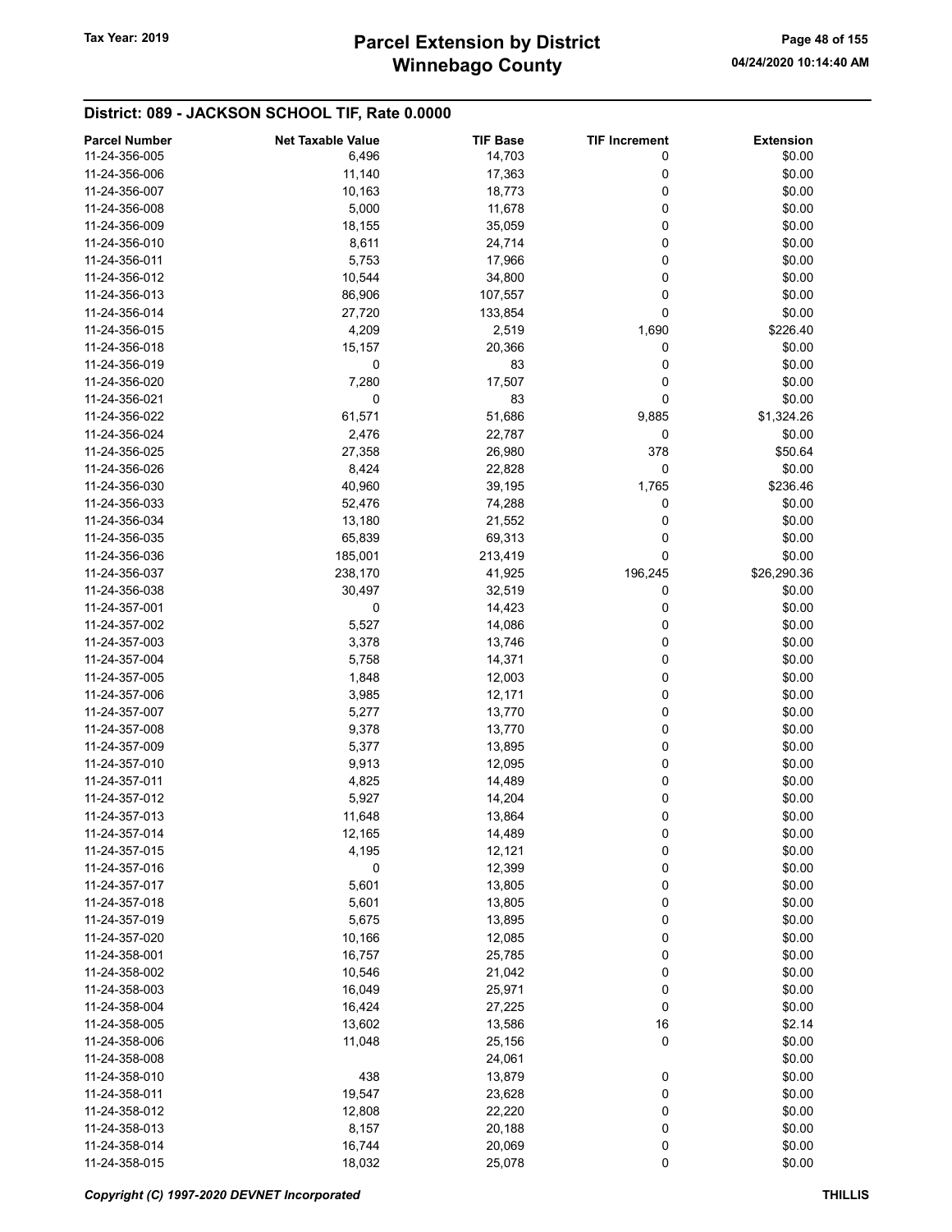# Winnebago County Tax Year: 2019 **Parcel Extension by District** Page 48 of 155

| <b>Parcel Number</b> | <b>Net Taxable Value</b> | <b>TIF Base</b> | <b>TIF Increment</b> | <b>Extension</b> |
|----------------------|--------------------------|-----------------|----------------------|------------------|
| 11-24-356-005        | 6,496                    | 14,703          | 0                    | \$0.00           |
| 11-24-356-006        | 11,140                   | 17,363          | 0                    | \$0.00           |
| 11-24-356-007        | 10,163                   | 18,773          | 0                    | \$0.00           |
| 11-24-356-008        | 5,000                    | 11,678          | 0                    | \$0.00           |
| 11-24-356-009        | 18,155                   | 35,059          | 0                    | \$0.00           |
| 11-24-356-010        |                          |                 | 0                    | \$0.00           |
|                      | 8,611                    | 24,714          |                      |                  |
| 11-24-356-011        | 5,753                    | 17,966          | 0                    | \$0.00           |
| 11-24-356-012        | 10,544                   | 34,800          | 0                    | \$0.00           |
| 11-24-356-013        | 86,906                   | 107,557         | 0                    | \$0.00           |
| 11-24-356-014        | 27,720                   | 133,854         | 0                    | \$0.00           |
| 11-24-356-015        | 4,209                    | 2,519           | 1,690                | \$226.40         |
| 11-24-356-018        | 15,157                   | 20,366          | 0                    | \$0.00           |
| 11-24-356-019        | 0                        | 83              | 0                    | \$0.00           |
| 11-24-356-020        | 7,280                    | 17,507          | 0                    | \$0.00           |
| 11-24-356-021        | 0                        | 83              | 0                    | \$0.00           |
| 11-24-356-022        | 61,571                   | 51,686          | 9,885                | \$1,324.26       |
| 11-24-356-024        | 2,476                    | 22,787          | 0                    | \$0.00           |
| 11-24-356-025        | 27,358                   | 26,980          | 378                  | \$50.64          |
| 11-24-356-026        | 8,424                    | 22,828          | 0                    | \$0.00           |
| 11-24-356-030        | 40,960                   | 39,195          | 1,765                | \$236.46         |
|                      |                          |                 |                      |                  |
| 11-24-356-033        | 52,476                   | 74,288          | 0                    | \$0.00           |
| 11-24-356-034        | 13,180                   | 21,552          | 0                    | \$0.00           |
| 11-24-356-035        | 65,839                   | 69,313          | 0                    | \$0.00           |
| 11-24-356-036        | 185,001                  | 213,419         | 0                    | \$0.00           |
| 11-24-356-037        | 238,170                  | 41,925          | 196,245              | \$26,290.36      |
| 11-24-356-038        | 30,497                   | 32,519          | 0                    | \$0.00           |
| 11-24-357-001        | 0                        | 14,423          | 0                    | \$0.00           |
| 11-24-357-002        | 5,527                    | 14,086          | 0                    | \$0.00           |
| 11-24-357-003        | 3,378                    | 13,746          | 0                    | \$0.00           |
| 11-24-357-004        | 5,758                    | 14,371          | 0                    | \$0.00           |
| 11-24-357-005        | 1,848                    | 12,003          | 0                    | \$0.00           |
| 11-24-357-006        | 3,985                    | 12,171          | 0                    | \$0.00           |
| 11-24-357-007        | 5,277                    | 13,770          | 0                    | \$0.00           |
| 11-24-357-008        | 9,378                    | 13,770          | 0                    | \$0.00           |
| 11-24-357-009        | 5,377                    | 13,895          | 0                    | \$0.00           |
| 11-24-357-010        | 9,913                    | 12,095          | 0                    | \$0.00           |
|                      |                          |                 |                      |                  |
| 11-24-357-011        | 4,825                    | 14,489          | 0                    | \$0.00           |
| 11-24-357-012        | 5,927                    | 14,204          | 0                    | \$0.00           |
| 11-24-357-013        | 11,648                   | 13,864          | 0                    | \$0.00           |
| 11-24-357-014        | 12,165                   | 14,489          | 0                    | \$0.00           |
| 11-24-357-015        | 4,195                    | 12,121          | 0                    | \$0.00           |
| 11-24-357-016        | $\mathbf 0$              | 12,399          | 0                    | \$0.00           |
| 11-24-357-017        | 5,601                    | 13,805          | 0                    | \$0.00           |
| 11-24-357-018        | 5,601                    | 13,805          | 0                    | \$0.00           |
| 11-24-357-019        | 5,675                    | 13,895          | 0                    | \$0.00           |
| 11-24-357-020        | 10,166                   | 12,085          | 0                    | \$0.00           |
| 11-24-358-001        | 16,757                   | 25,785          | 0                    | \$0.00           |
| 11-24-358-002        | 10,546                   | 21,042          | 0                    | \$0.00           |
| 11-24-358-003        | 16,049                   | 25,971          | 0                    | \$0.00           |
| 11-24-358-004        | 16,424                   | 27,225          | 0                    | \$0.00           |
| 11-24-358-005        | 13,602                   | 13,586          | 16                   | \$2.14           |
| 11-24-358-006        |                          |                 | 0                    | \$0.00           |
|                      | 11,048                   | 25,156          |                      |                  |
| 11-24-358-008        |                          | 24,061          |                      | \$0.00           |
| 11-24-358-010        | 438                      | 13,879          | 0                    | \$0.00           |
| 11-24-358-011        | 19,547                   | 23,628          | 0                    | \$0.00           |
| 11-24-358-012        | 12,808                   | 22,220          | 0                    | \$0.00           |
| 11-24-358-013        | 8,157                    | 20,188          | 0                    | \$0.00           |
| 11-24-358-014        | 16,744                   | 20,069          | 0                    | \$0.00           |
| 11-24-358-015        | 18,032                   | 25,078          | $\pmb{0}$            | \$0.00           |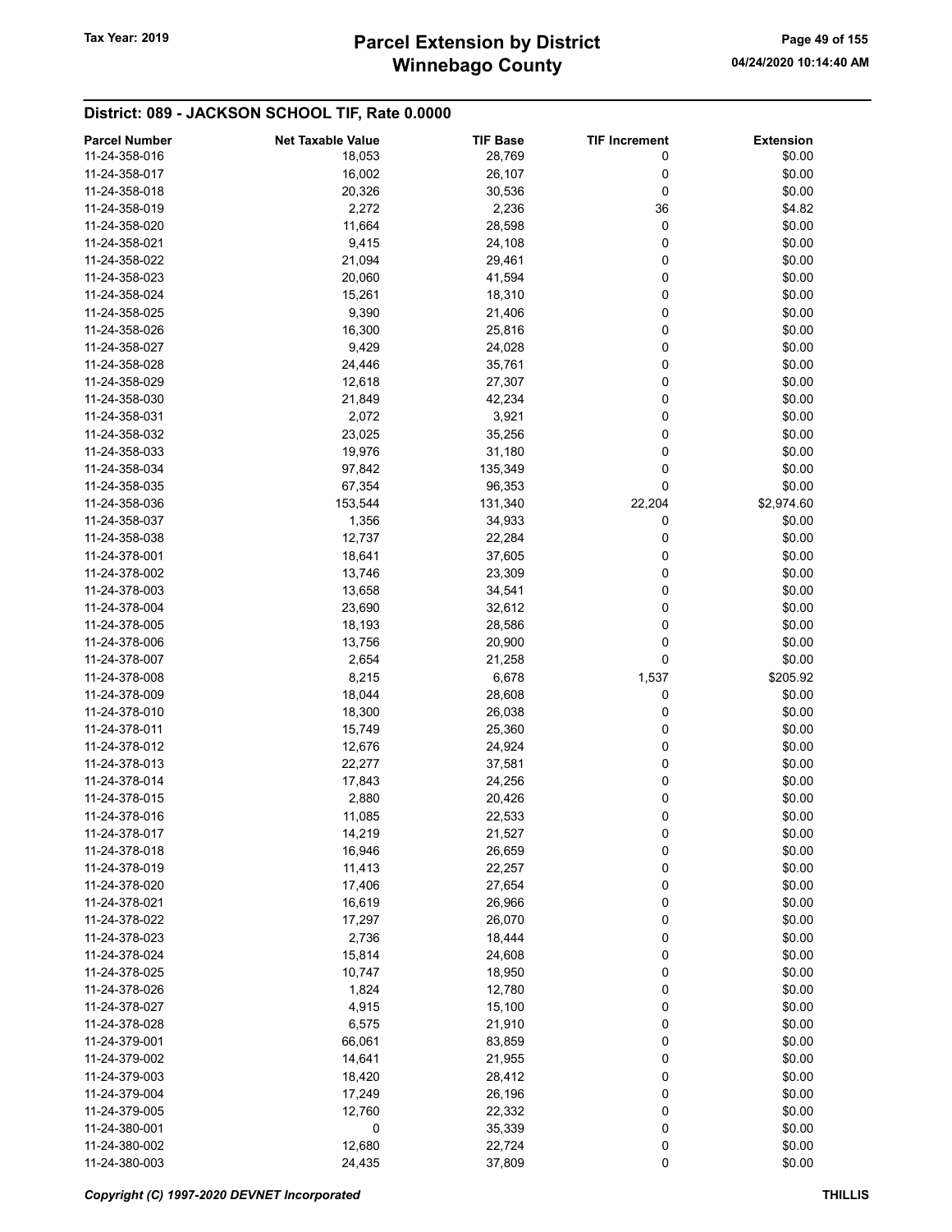| <b>Parcel Number</b> | <b>Net Taxable Value</b> | <b>TIF Base</b> | <b>TIF Increment</b> | <b>Extension</b> |
|----------------------|--------------------------|-----------------|----------------------|------------------|
| 11-24-358-016        | 18,053                   | 28,769          | 0                    | \$0.00           |
| 11-24-358-017        | 16,002                   | 26,107          | 0                    | \$0.00           |
| 11-24-358-018        | 20,326                   | 30,536          | 0                    | \$0.00           |
| 11-24-358-019        | 2,272                    | 2,236           | 36                   | \$4.82           |
| 11-24-358-020        | 11,664                   | 28,598          | 0                    | \$0.00           |
|                      |                          |                 |                      |                  |
| 11-24-358-021        | 9,415                    | 24,108          | 0                    | \$0.00           |
| 11-24-358-022        | 21,094                   | 29,461          | 0                    | \$0.00           |
| 11-24-358-023        | 20,060                   | 41,594          | 0                    | \$0.00           |
| 11-24-358-024        | 15,261                   | 18,310          | 0                    | \$0.00           |
| 11-24-358-025        | 9,390                    | 21,406          | 0                    | \$0.00           |
| 11-24-358-026        | 16,300                   | 25,816          | 0                    | \$0.00           |
| 11-24-358-027        | 9,429                    | 24,028          | 0                    | \$0.00           |
| 11-24-358-028        | 24,446                   | 35,761          | 0                    | \$0.00           |
| 11-24-358-029        | 12,618                   | 27,307          | 0                    | \$0.00           |
| 11-24-358-030        | 21,849                   | 42,234          | 0                    | \$0.00           |
| 11-24-358-031        | 2,072                    | 3,921           | 0                    | \$0.00           |
| 11-24-358-032        | 23,025                   | 35,256          | 0                    | \$0.00           |
| 11-24-358-033        | 19,976                   | 31,180          | 0                    | \$0.00           |
| 11-24-358-034        | 97,842                   | 135,349         | 0                    | \$0.00           |
| 11-24-358-035        | 67,354                   | 96,353          | 0                    | \$0.00           |
|                      |                          |                 |                      |                  |
| 11-24-358-036        | 153,544                  | 131,340         | 22,204               | \$2,974.60       |
| 11-24-358-037        | 1,356                    | 34,933          | 0                    | \$0.00           |
| 11-24-358-038        | 12,737                   | 22,284          | 0                    | \$0.00           |
| 11-24-378-001        | 18,641                   | 37,605          | 0                    | \$0.00           |
| 11-24-378-002        | 13,746                   | 23,309          | 0                    | \$0.00           |
| 11-24-378-003        | 13,658                   | 34,541          | 0                    | \$0.00           |
| 11-24-378-004        | 23,690                   | 32,612          | 0                    | \$0.00           |
| 11-24-378-005        | 18,193                   | 28,586          | 0                    | \$0.00           |
| 11-24-378-006        | 13,756                   | 20,900          | 0                    | \$0.00           |
| 11-24-378-007        | 2,654                    | 21,258          | $\mathbf 0$          | \$0.00           |
| 11-24-378-008        | 8,215                    | 6,678           | 1,537                | \$205.92         |
| 11-24-378-009        | 18,044                   | 28,608          | 0                    | \$0.00           |
| 11-24-378-010        | 18,300                   | 26,038          | 0                    | \$0.00           |
| 11-24-378-011        | 15,749                   | 25,360          | 0                    | \$0.00           |
| 11-24-378-012        | 12,676                   | 24,924          | 0                    | \$0.00           |
| 11-24-378-013        | 22,277                   |                 | 0                    | \$0.00           |
|                      |                          | 37,581          |                      |                  |
| 11-24-378-014        | 17,843                   | 24,256          | 0                    | \$0.00           |
| 11-24-378-015        | 2,880                    | 20,426          | 0                    | \$0.00           |
| 11-24-378-016        | 11,085                   | 22,533          | 0                    | \$0.00           |
| 11-24-378-017        | 14,219                   | 21,527          | 0                    | \$0.00           |
| 11-24-378-018        | 16,946                   | 26,659          | 0                    | \$0.00           |
| 11-24-378-019        | 11,413                   | 22,257          | 0                    | \$0.00           |
| 11-24-378-020        | 17,406                   | 27,654          | 0                    | \$0.00           |
| 11-24-378-021        | 16,619                   | 26,966          | 0                    | \$0.00           |
| 11-24-378-022        | 17,297                   | 26,070          | 0                    | \$0.00           |
| 11-24-378-023        | 2,736                    | 18,444          | 0                    | \$0.00           |
| 11-24-378-024        | 15,814                   | 24,608          | 0                    | \$0.00           |
| 11-24-378-025        | 10,747                   | 18,950          | 0                    | \$0.00           |
| 11-24-378-026        | 1,824                    | 12,780          | 0                    | \$0.00           |
| 11-24-378-027        | 4,915                    | 15,100          | 0                    | \$0.00           |
| 11-24-378-028        | 6,575                    | 21,910          | 0                    | \$0.00           |
| 11-24-379-001        | 66,061                   | 83,859          | 0                    | \$0.00           |
|                      |                          |                 | 0                    | \$0.00           |
| 11-24-379-002        | 14,641                   | 21,955          |                      |                  |
| 11-24-379-003        | 18,420                   | 28,412          | 0                    | \$0.00           |
| 11-24-379-004        | 17,249                   | 26,196          | 0                    | \$0.00           |
| 11-24-379-005        | 12,760                   | 22,332          | 0                    | \$0.00           |
| 11-24-380-001        | 0                        | 35,339          | 0                    | \$0.00           |
| 11-24-380-002        | 12,680                   | 22,724          | 0                    | \$0.00           |
| 11-24-380-003        | 24,435                   | 37,809          | 0                    | \$0.00           |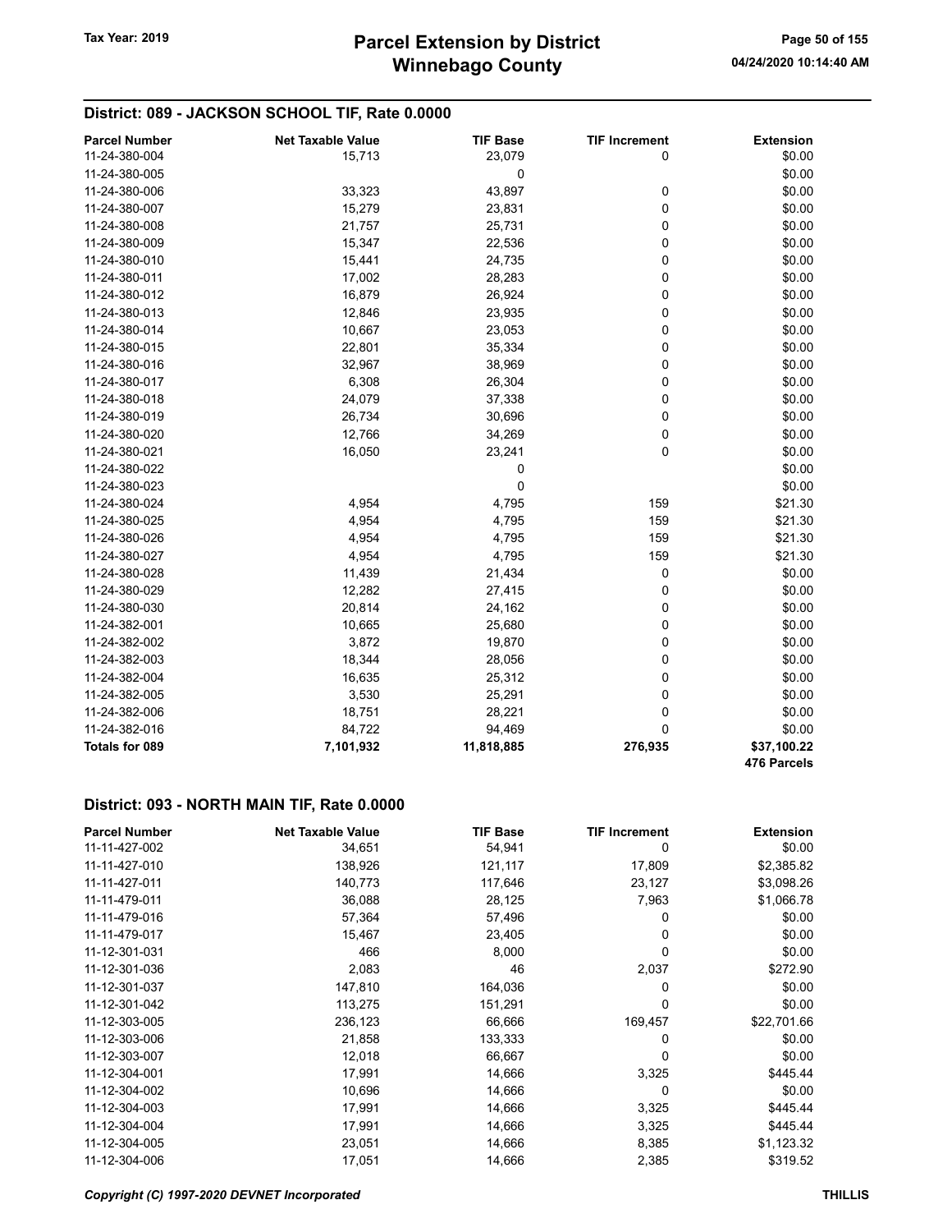## District: 089 - JACKSON SCHOOL TIF, Rate 0.0000

| <b>Parcel Number</b> | <b>Net Taxable Value</b> | <b>TIF Base</b> | <b>TIF Increment</b> | <b>Extension</b>           |
|----------------------|--------------------------|-----------------|----------------------|----------------------------|
| 11-24-380-004        | 15,713                   | 23,079          | 0                    | \$0.00                     |
| 11-24-380-005        |                          | 0               |                      | \$0.00                     |
| 11-24-380-006        | 33,323                   | 43,897          | 0                    | \$0.00                     |
| 11-24-380-007        | 15,279                   | 23,831          | 0                    | \$0.00                     |
| 11-24-380-008        | 21,757                   | 25,731          | 0                    | \$0.00                     |
| 11-24-380-009        | 15,347                   | 22,536          | 0                    | \$0.00                     |
| 11-24-380-010        | 15,441                   | 24,735          | 0                    | \$0.00                     |
| 11-24-380-011        | 17,002                   | 28,283          | 0                    | \$0.00                     |
| 11-24-380-012        | 16,879                   | 26,924          | 0                    | \$0.00                     |
| 11-24-380-013        | 12,846                   | 23,935          | 0                    | \$0.00                     |
| 11-24-380-014        | 10,667                   | 23,053          | 0                    | \$0.00                     |
| 11-24-380-015        | 22,801                   | 35,334          | 0                    | \$0.00                     |
| 11-24-380-016        | 32,967                   | 38,969          | 0                    | \$0.00                     |
| 11-24-380-017        | 6,308                    | 26,304          | 0                    | \$0.00                     |
| 11-24-380-018        | 24,079                   | 37,338          | 0                    | \$0.00                     |
| 11-24-380-019        | 26,734                   | 30,696          | 0                    | \$0.00                     |
| 11-24-380-020        | 12,766                   | 34,269          | 0                    | \$0.00                     |
| 11-24-380-021        | 16,050                   | 23,241          | 0                    | \$0.00                     |
| 11-24-380-022        |                          | $\pmb{0}$       |                      | \$0.00                     |
| 11-24-380-023        |                          | 0               |                      | \$0.00                     |
| 11-24-380-024        | 4,954                    | 4,795           | 159                  | \$21.30                    |
| 11-24-380-025        | 4,954                    | 4,795           | 159                  | \$21.30                    |
| 11-24-380-026        | 4,954                    | 4,795           | 159                  | \$21.30                    |
| 11-24-380-027        | 4,954                    | 4,795           | 159                  | \$21.30                    |
| 11-24-380-028        | 11,439                   | 21,434          | 0                    | \$0.00                     |
| 11-24-380-029        | 12,282                   | 27,415          | 0                    | \$0.00                     |
| 11-24-380-030        | 20,814                   | 24,162          | 0                    | \$0.00                     |
| 11-24-382-001        | 10,665                   | 25,680          | 0                    | \$0.00                     |
| 11-24-382-002        | 3,872                    | 19,870          | 0                    | \$0.00                     |
| 11-24-382-003        | 18,344                   | 28,056          | 0                    | \$0.00                     |
| 11-24-382-004        | 16,635                   | 25,312          | 0                    | \$0.00                     |
| 11-24-382-005        | 3,530                    | 25,291          | 0                    | \$0.00                     |
| 11-24-382-006        | 18,751                   | 28,221          | $\mathbf 0$          | \$0.00                     |
| 11-24-382-016        | 84,722                   | 94,469          | 0                    | \$0.00                     |
| Totals for 089       | 7,101,932                | 11,818,885      | 276,935              | \$37,100.22<br>476 Parcels |

#### District: 093 - NORTH MAIN TIF, Rate 0.0000

| <b>Parcel Number</b> | <b>Net Taxable Value</b> | <b>TIF Base</b> | <b>TIF Increment</b> | <b>Extension</b> |
|----------------------|--------------------------|-----------------|----------------------|------------------|
| 11-11-427-002        | 34,651                   | 54,941          | 0                    | \$0.00           |
| 11-11-427-010        | 138,926                  | 121,117         | 17,809               | \$2,385.82       |
| 11-11-427-011        | 140,773                  | 117,646         | 23,127               | \$3,098.26       |
| 11-11-479-011        | 36,088                   | 28,125          | 7,963                | \$1,066.78       |
| 11-11-479-016        | 57,364                   | 57,496          | 0                    | \$0.00           |
| 11-11-479-017        | 15,467                   | 23,405          | 0                    | \$0.00           |
| 11-12-301-031        | 466                      | 8,000           | 0                    | \$0.00           |
| 11-12-301-036        | 2,083                    | 46              | 2,037                | \$272.90         |
| 11-12-301-037        | 147,810                  | 164,036         | 0                    | \$0.00           |
| 11-12-301-042        | 113,275                  | 151,291         | 0                    | \$0.00           |
| 11-12-303-005        | 236,123                  | 66,666          | 169,457              | \$22,701.66      |
| 11-12-303-006        | 21,858                   | 133,333         | 0                    | \$0.00           |
| 11-12-303-007        | 12,018                   | 66,667          | 0                    | \$0.00           |
| 11-12-304-001        | 17,991                   | 14,666          | 3,325                | \$445.44         |
| 11-12-304-002        | 10,696                   | 14,666          | 0                    | \$0.00           |
| 11-12-304-003        | 17,991                   | 14,666          | 3,325                | \$445.44         |
| 11-12-304-004        | 17,991                   | 14,666          | 3,325                | \$445.44         |
| 11-12-304-005        | 23,051                   | 14,666          | 8,385                | \$1,123.32       |
| 11-12-304-006        | 17,051                   | 14,666          | 2,385                | \$319.52         |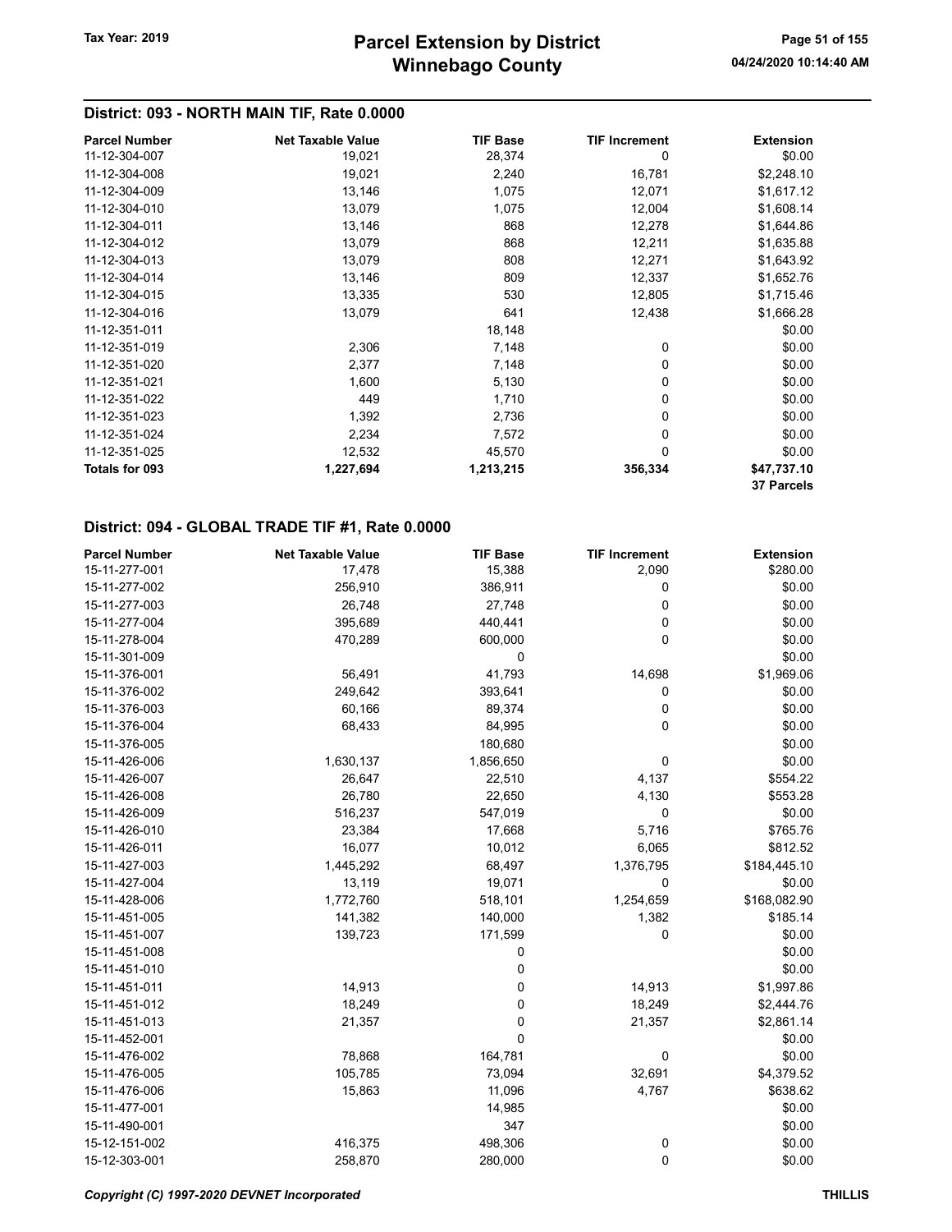## District: 093 - NORTH MAIN TIF, Rate 0.0000

| <b>Parcel Number</b>  | <b>Net Taxable Value</b> | <b>TIF Base</b> | <b>TIF Increment</b> | <b>Extension</b>  |
|-----------------------|--------------------------|-----------------|----------------------|-------------------|
| 11-12-304-007         | 19,021                   | 28,374          | 0                    | \$0.00            |
| 11-12-304-008         | 19,021                   | 2,240           | 16,781               | \$2,248.10        |
| 11-12-304-009         | 13,146                   | 1,075           | 12,071               | \$1,617.12        |
| 11-12-304-010         | 13,079                   | 1,075           | 12,004               | \$1,608.14        |
| 11-12-304-011         | 13,146                   | 868             | 12,278               | \$1,644.86        |
| 11-12-304-012         | 13,079                   | 868             | 12,211               | \$1,635.88        |
| 11-12-304-013         | 13,079                   | 808             | 12,271               | \$1,643.92        |
| 11-12-304-014         | 13,146                   | 809             | 12,337               | \$1,652.76        |
| 11-12-304-015         | 13,335                   | 530             | 12,805               | \$1,715.46        |
| 11-12-304-016         | 13,079                   | 641             | 12,438               | \$1,666.28        |
| 11-12-351-011         |                          | 18,148          |                      | \$0.00            |
| 11-12-351-019         | 2,306                    | 7,148           | 0                    | \$0.00            |
| 11-12-351-020         | 2,377                    | 7,148           | 0                    | \$0.00            |
| 11-12-351-021         | 1,600                    | 5,130           | 0                    | \$0.00            |
| 11-12-351-022         | 449                      | 1,710           | 0                    | \$0.00            |
| 11-12-351-023         | 1,392                    | 2,736           | 0                    | \$0.00            |
| 11-12-351-024         | 2,234                    | 7,572           | 0                    | \$0.00            |
| 11-12-351-025         | 12,532                   | 45,570          | 0                    | \$0.00            |
| <b>Totals for 093</b> | 1,227,694                | 1,213,215       | 356,334              | \$47,737.10       |
|                       |                          |                 |                      | <b>37 Parcels</b> |

| <b>Parcel Number</b> | <b>Net Taxable Value</b> | <b>TIF Base</b> | <b>TIF Increment</b> | <b>Extension</b> |
|----------------------|--------------------------|-----------------|----------------------|------------------|
| 15-11-277-001        | 17,478                   | 15,388          | 2,090                | \$280.00         |
| 15-11-277-002        | 256,910                  | 386,911         | 0                    | \$0.00           |
| 15-11-277-003        | 26,748                   | 27,748          | 0                    | \$0.00           |
| 15-11-277-004        | 395,689                  | 440,441         | 0                    | \$0.00           |
| 15-11-278-004        | 470,289                  | 600,000         | 0                    | \$0.00           |
| 15-11-301-009        |                          | 0               |                      | \$0.00           |
| 15-11-376-001        | 56,491                   | 41,793          | 14,698               | \$1,969.06       |
| 15-11-376-002        | 249,642                  | 393,641         | 0                    | \$0.00           |
| 15-11-376-003        | 60,166                   | 89,374          | $\mathbf 0$          | \$0.00           |
| 15-11-376-004        | 68,433                   | 84,995          | 0                    | \$0.00           |
| 15-11-376-005        |                          | 180,680         |                      | \$0.00           |
| 15-11-426-006        | 1,630,137                | 1,856,650       | 0                    | \$0.00           |
| 15-11-426-007        | 26,647                   | 22,510          | 4,137                | \$554.22         |
| 15-11-426-008        | 26,780                   | 22,650          | 4,130                | \$553.28         |
| 15-11-426-009        | 516,237                  | 547,019         | 0                    | \$0.00           |
| 15-11-426-010        | 23,384                   | 17,668          | 5,716                | \$765.76         |
| 15-11-426-011        | 16,077                   | 10,012          | 6,065                | \$812.52         |
| 15-11-427-003        | 1,445,292                | 68,497          | 1,376,795            | \$184,445.10     |
| 15-11-427-004        | 13,119                   | 19,071          | 0                    | \$0.00           |
| 15-11-428-006        | 1,772,760                | 518,101         | 1,254,659            | \$168,082.90     |
| 15-11-451-005        | 141,382                  | 140,000         | 1,382                | \$185.14         |
| 15-11-451-007        | 139,723                  | 171,599         | $\mathbf 0$          | \$0.00           |
| 15-11-451-008        |                          | 0               |                      | \$0.00           |
| 15-11-451-010        |                          | 0               |                      | \$0.00           |
| 15-11-451-011        | 14,913                   | 0               | 14,913               | \$1,997.86       |
| 15-11-451-012        | 18,249                   | 0               | 18,249               | \$2,444.76       |
| 15-11-451-013        | 21,357                   | 0               | 21,357               | \$2,861.14       |
| 15-11-452-001        |                          | 0               |                      | \$0.00           |
| 15-11-476-002        | 78,868                   | 164,781         | 0                    | \$0.00           |
| 15-11-476-005        | 105,785                  | 73,094          | 32,691               | \$4,379.52       |
| 15-11-476-006        | 15,863                   | 11,096          | 4,767                | \$638.62         |
| 15-11-477-001        |                          | 14,985          |                      | \$0.00           |
| 15-11-490-001        |                          | 347             |                      | \$0.00           |
| 15-12-151-002        | 416,375                  | 498,306         | 0                    | \$0.00           |
| 15-12-303-001        | 258,870                  | 280,000         | $\mathbf 0$          | \$0.00           |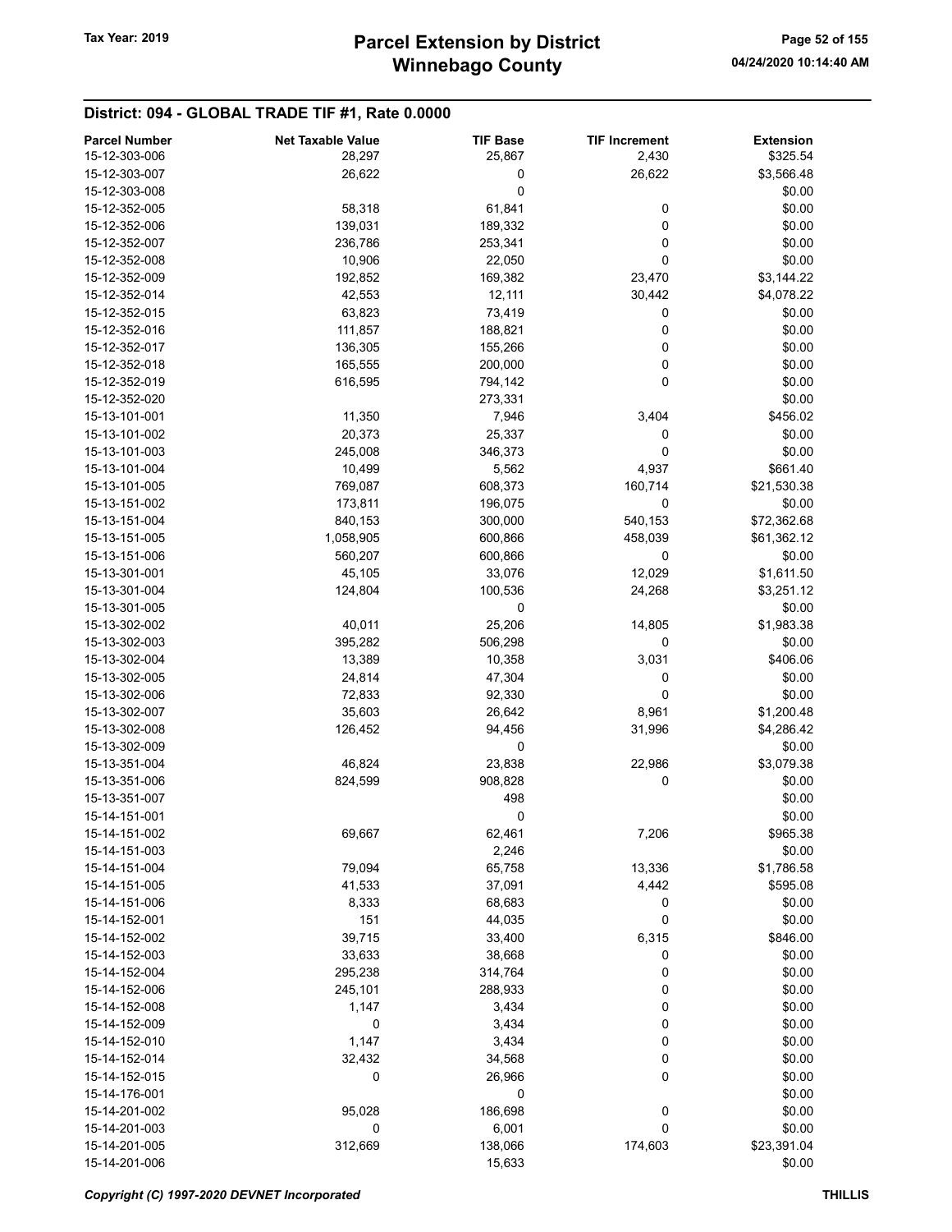| <b>Parcel Number</b> | <b>Net Taxable Value</b> | <b>TIF Base</b> | <b>TIF Increment</b> | <b>Extension</b> |
|----------------------|--------------------------|-----------------|----------------------|------------------|
| 15-12-303-006        | 28,297                   | 25,867          | 2,430                | \$325.54         |
| 15-12-303-007        | 26,622                   | 0               | 26,622               | \$3,566.48       |
| 15-12-303-008        |                          | 0               |                      | \$0.00           |
| 15-12-352-005        | 58,318                   | 61,841          | 0                    | \$0.00           |
| 15-12-352-006        | 139,031                  | 189,332         | 0                    | \$0.00           |
| 15-12-352-007        | 236,786                  |                 | 0                    | \$0.00           |
|                      |                          | 253,341         | 0                    |                  |
| 15-12-352-008        | 10,906                   | 22,050          |                      | \$0.00           |
| 15-12-352-009        | 192,852                  | 169,382         | 23,470               | \$3,144.22       |
| 15-12-352-014        | 42,553                   | 12,111          | 30,442               | \$4,078.22       |
| 15-12-352-015        | 63,823                   | 73,419          | 0                    | \$0.00           |
| 15-12-352-016        | 111,857                  | 188,821         | 0                    | \$0.00           |
| 15-12-352-017        | 136,305                  | 155,266         | 0                    | \$0.00           |
| 15-12-352-018        | 165,555                  | 200,000         | 0                    | \$0.00           |
| 15-12-352-019        | 616,595                  | 794,142         | $\mathbf 0$          | \$0.00           |
| 15-12-352-020        |                          | 273,331         |                      | \$0.00           |
| 15-13-101-001        | 11,350                   | 7,946           | 3,404                | \$456.02         |
| 15-13-101-002        | 20,373                   | 25,337          | 0                    | \$0.00           |
| 15-13-101-003        | 245,008                  | 346,373         | 0                    | \$0.00           |
| 15-13-101-004        | 10,499                   | 5,562           | 4,937                | \$661.40         |
| 15-13-101-005        | 769,087                  | 608,373         | 160,714              | \$21,530.38      |
| 15-13-151-002        | 173,811                  | 196,075         | 0                    | \$0.00           |
| 15-13-151-004        | 840,153                  | 300,000         | 540,153              | \$72,362.68      |
| 15-13-151-005        | 1,058,905                | 600,866         | 458,039              | \$61,362.12      |
| 15-13-151-006        | 560,207                  | 600,866         | 0                    | \$0.00           |
| 15-13-301-001        | 45,105                   | 33,076          | 12,029               | \$1,611.50       |
| 15-13-301-004        | 124,804                  | 100,536         | 24,268               | \$3,251.12       |
| 15-13-301-005        |                          | 0               |                      | \$0.00           |
| 15-13-302-002        | 40,011                   | 25,206          | 14,805               | \$1,983.38       |
| 15-13-302-003        |                          |                 | 0                    |                  |
|                      | 395,282                  | 506,298         |                      | \$0.00           |
| 15-13-302-004        | 13,389                   | 10,358          | 3,031                | \$406.06         |
| 15-13-302-005        | 24,814                   | 47,304          | 0                    | \$0.00           |
| 15-13-302-006        | 72,833                   | 92,330          | 0                    | \$0.00           |
| 15-13-302-007        | 35,603                   | 26,642          | 8,961                | \$1,200.48       |
| 15-13-302-008        | 126,452                  | 94,456          | 31,996               | \$4,286.42       |
| 15-13-302-009        |                          | 0               |                      | \$0.00           |
| 15-13-351-004        | 46,824                   | 23,838          | 22,986               | \$3,079.38       |
| 15-13-351-006        | 824,599                  | 908,828         | 0                    | \$0.00           |
| 15-13-351-007        |                          | 498             |                      | \$0.00           |
| 15-14-151-001        |                          | 0               |                      | \$0.00           |
| 15-14-151-002        | 69,667                   | 62,461          | 7,206                | \$965.38         |
| 15-14-151-003        |                          | 2,246           |                      | \$0.00           |
| 15-14-151-004        | 79,094                   | 65,758          | 13,336               | \$1,786.58       |
| 15-14-151-005        | 41,533                   | 37,091          | 4,442                | \$595.08         |
| 15-14-151-006        | 8,333                    | 68,683          | 0                    | \$0.00           |
| 15-14-152-001        | 151                      | 44,035          | 0                    | \$0.00           |
| 15-14-152-002        | 39,715                   | 33,400          | 6,315                | \$846.00         |
| 15-14-152-003        | 33,633                   | 38,668          | 0                    | \$0.00           |
| 15-14-152-004        | 295,238                  | 314,764         | 0                    | \$0.00           |
| 15-14-152-006        | 245,101                  | 288,933         | 0                    | \$0.00           |
| 15-14-152-008        | 1,147                    | 3,434           | 0                    | \$0.00           |
| 15-14-152-009        | $\pmb{0}$                | 3,434           | 0                    | \$0.00           |
| 15-14-152-010        | 1,147                    | 3,434           | 0                    | \$0.00           |
| 15-14-152-014        | 32,432                   | 34,568          | 0                    | \$0.00           |
| 15-14-152-015        | 0                        | 26,966          | 0                    | \$0.00           |
| 15-14-176-001        |                          | 0               |                      | \$0.00           |
| 15-14-201-002        | 95,028                   | 186,698         | 0                    | \$0.00           |
|                      | 0                        |                 | 0                    | \$0.00           |
| 15-14-201-003        |                          | 6,001           |                      |                  |
| 15-14-201-005        | 312,669                  | 138,066         | 174,603              | \$23,391.04      |
| 15-14-201-006        |                          | 15,633          |                      | \$0.00           |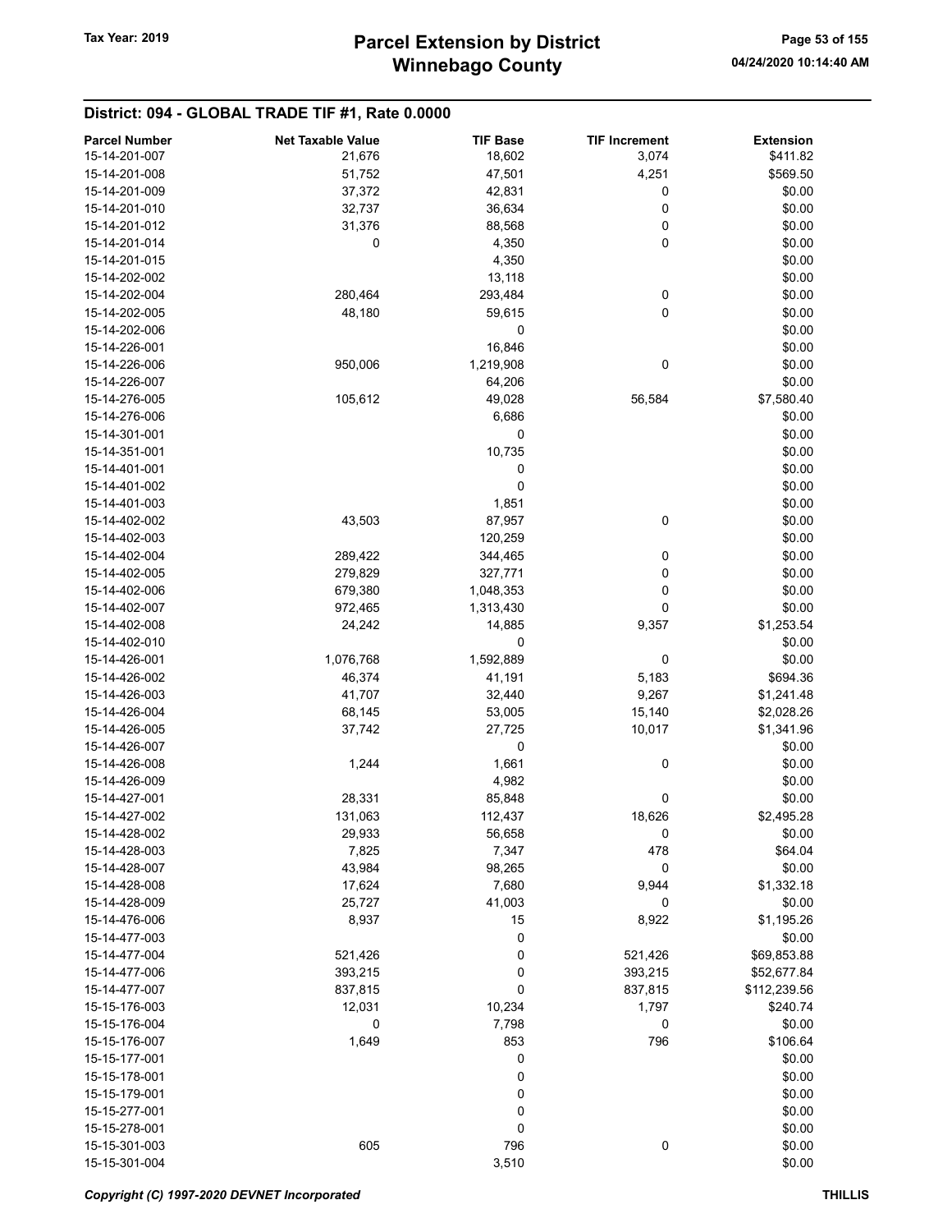| <b>Parcel Number</b>           | <b>Net Taxable Value</b> | <b>TIF Base</b> | <b>TIF Increment</b> | <b>Extension</b> |
|--------------------------------|--------------------------|-----------------|----------------------|------------------|
| 15-14-201-007                  | 21,676                   | 18,602          | 3,074                | \$411.82         |
| 15-14-201-008                  | 51,752                   | 47,501          | 4,251                | \$569.50         |
| 15-14-201-009                  | 37,372                   | 42,831          | 0                    | \$0.00           |
| 15-14-201-010                  | 32,737                   | 36,634          | 0                    | \$0.00           |
| 15-14-201-012                  | 31,376                   | 88,568          | 0                    | \$0.00           |
| 15-14-201-014                  | 0                        | 4,350           | 0                    | \$0.00           |
| 15-14-201-015                  |                          | 4,350           |                      | \$0.00           |
| 15-14-202-002                  |                          | 13,118          |                      | \$0.00           |
| 15-14-202-004                  | 280,464                  | 293,484         | 0                    | \$0.00           |
| 15-14-202-005                  | 48,180                   | 59,615          | 0                    | \$0.00           |
| 15-14-202-006                  |                          | 0               |                      | \$0.00           |
| 15-14-226-001                  |                          | 16,846          |                      | \$0.00           |
| 15-14-226-006                  | 950,006                  | 1,219,908       | 0                    | \$0.00           |
| 15-14-226-007                  |                          | 64,206          |                      | \$0.00           |
| 15-14-276-005                  | 105,612                  | 49,028          | 56,584               | \$7,580.40       |
| 15-14-276-006                  |                          | 6,686           |                      | \$0.00           |
| 15-14-301-001                  |                          | 0               |                      | \$0.00           |
| 15-14-351-001                  |                          | 10,735          |                      | \$0.00           |
| 15-14-401-001                  |                          | 0               |                      | \$0.00           |
| 15-14-401-002                  |                          | 0               |                      | \$0.00           |
| 15-14-401-003                  |                          | 1,851           |                      | \$0.00           |
| 15-14-402-002                  | 43,503                   | 87,957          | 0                    | \$0.00           |
| 15-14-402-003                  |                          | 120,259         |                      | \$0.00           |
| 15-14-402-004                  | 289,422                  | 344,465         | 0                    | \$0.00           |
| 15-14-402-005                  | 279,829                  | 327,771         | 0                    | \$0.00           |
| 15-14-402-006                  | 679,380                  | 1,048,353       | 0                    | \$0.00           |
| 15-14-402-007                  | 972,465                  | 1,313,430       | 0                    | \$0.00           |
| 15-14-402-008                  | 24,242                   | 14,885          | 9,357                | \$1,253.54       |
| 15-14-402-010                  |                          | 0               |                      | \$0.00           |
| 15-14-426-001                  |                          |                 | 0                    |                  |
|                                | 1,076,768                | 1,592,889       |                      | \$0.00           |
| 15-14-426-002<br>15-14-426-003 | 46,374                   | 41,191          | 5,183                | \$694.36         |
|                                | 41,707                   | 32,440          | 9,267                | \$1,241.48       |
| 15-14-426-004                  | 68,145                   | 53,005          | 15,140               | \$2,028.26       |
| 15-14-426-005                  | 37,742                   | 27,725          | 10,017               | \$1,341.96       |
| 15-14-426-007                  |                          | 0               |                      | \$0.00           |
| 15-14-426-008                  | 1,244                    | 1,661           | 0                    | \$0.00           |
| 15-14-426-009                  |                          | 4,982           |                      | \$0.00           |
| 15-14-427-001                  | 28,331                   | 85,848          | 0                    | \$0.00           |
| 15-14-427-002                  | 131,063                  | 112,437         | 18,626               | \$2,495.28       |
| 15-14-428-002                  | 29,933                   | 56,658          | 0                    | \$0.00           |
| 15-14-428-003                  | 7,825                    | 7,347           | 478                  | \$64.04          |
| 15-14-428-007                  | 43,984                   | 98,265          | 0                    | \$0.00           |
| 15-14-428-008                  | 17,624                   | 7,680           | 9,944                | \$1,332.18       |
| 15-14-428-009                  | 25,727                   | 41,003          | 0                    | \$0.00           |
| 15-14-476-006                  | 8,937                    | 15              | 8,922                | \$1,195.26       |
| 15-14-477-003                  |                          | 0               |                      | \$0.00           |
| 15-14-477-004                  | 521,426                  | 0               | 521,426              | \$69,853.88      |
| 15-14-477-006                  | 393,215                  | 0               | 393,215              | \$52,677.84      |
| 15-14-477-007                  | 837,815                  | 0               | 837,815              | \$112,239.56     |
| 15-15-176-003                  | 12,031                   | 10,234          | 1,797                | \$240.74         |
| 15-15-176-004                  | 0                        | 7,798           | 0                    | \$0.00           |
| 15-15-176-007                  | 1,649                    | 853             | 796                  | \$106.64         |
| 15-15-177-001                  |                          | 0               |                      | \$0.00           |
| 15-15-178-001                  |                          | 0               |                      | \$0.00           |
| 15-15-179-001                  |                          | 0               |                      | \$0.00           |
| 15-15-277-001                  |                          | 0               |                      | \$0.00           |
| 15-15-278-001                  |                          | 0               |                      | \$0.00           |
| 15-15-301-003                  | 605                      | 796             | 0                    | \$0.00           |
| 15-15-301-004                  |                          | 3,510           |                      | \$0.00           |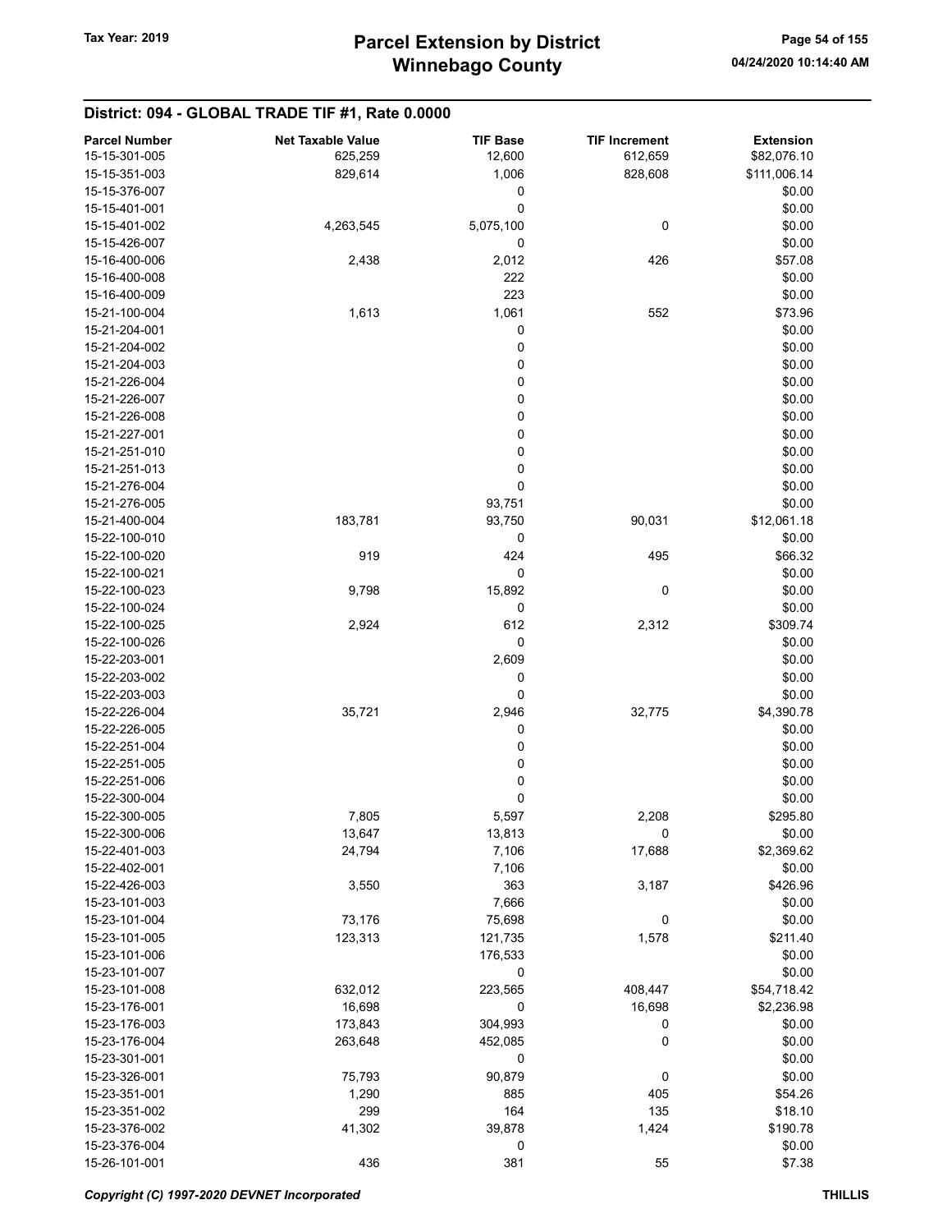| 15-15-301-005<br>12,600<br>612,659<br>\$82,076.10<br>625,259<br>15-15-351-003<br>829,614<br>1,006<br>828,608<br>\$111,006.14<br>15-15-376-007<br>0<br>\$0.00<br>0<br>\$0.00<br>15-15-401-001<br>5,075,100<br>0<br>\$0.00<br>15-15-401-002<br>4,263,545<br>0<br>\$0.00<br>15-15-426-007<br>426<br>\$57.08<br>2,438<br>2,012<br>15-16-400-006<br>222<br>\$0.00<br>15-16-400-008<br>223<br>\$0.00<br>15-16-400-009<br>1,613<br>1,061<br>\$73.96<br>15-21-100-004<br>552<br>0<br>\$0.00<br>15-21-204-001<br>0<br>\$0.00<br>15-21-204-002<br>0<br>\$0.00<br>15-21-204-003<br>$\mathbf 0$<br>\$0.00<br>15-21-226-004<br>0<br>\$0.00<br>15-21-226-007<br>0<br>\$0.00<br>15-21-226-008<br>0<br>\$0.00<br>15-21-227-001<br>$\mathbf 0$<br>\$0.00<br>15-21-251-010<br>0<br>\$0.00<br>15-21-251-013<br>0<br>\$0.00<br>15-21-276-004<br>93,751<br>\$0.00<br>15-21-276-005<br>\$12,061.18<br>15-21-400-004<br>183,781<br>93,750<br>90,031<br>15-22-100-010<br>0<br>\$0.00<br>919<br>424<br>495<br>\$66.32<br>15-22-100-020<br>0<br>15-22-100-021<br>\$0.00<br>15,892<br>0<br>\$0.00<br>15-22-100-023<br>9,798<br>0<br>\$0.00<br>15-22-100-024<br>2,924<br>612<br>2,312<br>\$309.74<br>15-22-100-025<br>0<br>\$0.00<br>15-22-100-026<br>\$0.00<br>15-22-203-001<br>2,609<br>\$0.00<br>15-22-203-002<br>0<br>0<br>\$0.00<br>15-22-203-003<br>2,946<br>\$4,390.78<br>15-22-226-004<br>35,721<br>32,775<br>0<br>\$0.00<br>15-22-226-005<br>0<br>\$0.00<br>15-22-251-004<br>0<br>\$0.00<br>15-22-251-005<br>0<br>\$0.00<br>15-22-251-006<br>0<br>\$0.00<br>15-22-300-004<br>5,597<br>15-22-300-005<br>7,805<br>2,208<br>\$295.80<br>0<br>15-22-300-006<br>13,647<br>13,813<br>\$0.00<br>17,688<br>15-22-401-003<br>24,794<br>7,106<br>\$2,369.62<br>15-22-402-001<br>7,106<br>\$0.00<br>15-22-426-003<br>3,550<br>363<br>3,187<br>\$426.96<br>15-23-101-003<br>7,666<br>\$0.00<br>73,176<br>0<br>\$0.00<br>15-23-101-004<br>75,698<br>15-23-101-005<br>123,313<br>121,735<br>1,578<br>\$211.40<br>15-23-101-006<br>176,533<br>\$0.00<br>\$0.00<br>15-23-101-007<br>0<br>223,565<br>408,447<br>632,012<br>\$54,718.42<br>15-23-101-008<br>15-23-176-001<br>16,698<br>0<br>16,698<br>\$2,236.98<br>15-23-176-003<br>173,843<br>304,993<br>0<br>\$0.00<br>15-23-176-004<br>263,648<br>452,085<br>0<br>\$0.00<br>15-23-301-001<br>0<br>\$0.00<br>\$0.00<br>15-23-326-001<br>90,879<br>0<br>75,793<br>15-23-351-001<br>1,290<br>885<br>405<br>\$54.26<br>164<br>15-23-351-002<br>299<br>135<br>\$18.10<br>41,302<br>39,878<br>1,424<br>\$190.78<br>15-23-376-002<br>15-23-376-004<br>0<br>\$0.00<br>15-26-101-001<br>436<br>381<br>55<br>\$7.38 | <b>Parcel Number</b> | <b>Net Taxable Value</b> | <b>TIF Base</b> | <b>TIF Increment</b> | <b>Extension</b> |
|--------------------------------------------------------------------------------------------------------------------------------------------------------------------------------------------------------------------------------------------------------------------------------------------------------------------------------------------------------------------------------------------------------------------------------------------------------------------------------------------------------------------------------------------------------------------------------------------------------------------------------------------------------------------------------------------------------------------------------------------------------------------------------------------------------------------------------------------------------------------------------------------------------------------------------------------------------------------------------------------------------------------------------------------------------------------------------------------------------------------------------------------------------------------------------------------------------------------------------------------------------------------------------------------------------------------------------------------------------------------------------------------------------------------------------------------------------------------------------------------------------------------------------------------------------------------------------------------------------------------------------------------------------------------------------------------------------------------------------------------------------------------------------------------------------------------------------------------------------------------------------------------------------------------------------------------------------------------------------------------------------------------------------------------------------------------------------------------------------------------------------------------------------------------------------------------------------------------------------------------------------------------------------------------------------------------------------------------------------------------------------------------------------------------------------------------------------------------------------------------------------------------------------------------------------------------------------------------------------------------------|----------------------|--------------------------|-----------------|----------------------|------------------|
|                                                                                                                                                                                                                                                                                                                                                                                                                                                                                                                                                                                                                                                                                                                                                                                                                                                                                                                                                                                                                                                                                                                                                                                                                                                                                                                                                                                                                                                                                                                                                                                                                                                                                                                                                                                                                                                                                                                                                                                                                                                                                                                                                                                                                                                                                                                                                                                                                                                                                                                                                                                                                          |                      |                          |                 |                      |                  |
|                                                                                                                                                                                                                                                                                                                                                                                                                                                                                                                                                                                                                                                                                                                                                                                                                                                                                                                                                                                                                                                                                                                                                                                                                                                                                                                                                                                                                                                                                                                                                                                                                                                                                                                                                                                                                                                                                                                                                                                                                                                                                                                                                                                                                                                                                                                                                                                                                                                                                                                                                                                                                          |                      |                          |                 |                      |                  |
|                                                                                                                                                                                                                                                                                                                                                                                                                                                                                                                                                                                                                                                                                                                                                                                                                                                                                                                                                                                                                                                                                                                                                                                                                                                                                                                                                                                                                                                                                                                                                                                                                                                                                                                                                                                                                                                                                                                                                                                                                                                                                                                                                                                                                                                                                                                                                                                                                                                                                                                                                                                                                          |                      |                          |                 |                      |                  |
|                                                                                                                                                                                                                                                                                                                                                                                                                                                                                                                                                                                                                                                                                                                                                                                                                                                                                                                                                                                                                                                                                                                                                                                                                                                                                                                                                                                                                                                                                                                                                                                                                                                                                                                                                                                                                                                                                                                                                                                                                                                                                                                                                                                                                                                                                                                                                                                                                                                                                                                                                                                                                          |                      |                          |                 |                      |                  |
|                                                                                                                                                                                                                                                                                                                                                                                                                                                                                                                                                                                                                                                                                                                                                                                                                                                                                                                                                                                                                                                                                                                                                                                                                                                                                                                                                                                                                                                                                                                                                                                                                                                                                                                                                                                                                                                                                                                                                                                                                                                                                                                                                                                                                                                                                                                                                                                                                                                                                                                                                                                                                          |                      |                          |                 |                      |                  |
|                                                                                                                                                                                                                                                                                                                                                                                                                                                                                                                                                                                                                                                                                                                                                                                                                                                                                                                                                                                                                                                                                                                                                                                                                                                                                                                                                                                                                                                                                                                                                                                                                                                                                                                                                                                                                                                                                                                                                                                                                                                                                                                                                                                                                                                                                                                                                                                                                                                                                                                                                                                                                          |                      |                          |                 |                      |                  |
|                                                                                                                                                                                                                                                                                                                                                                                                                                                                                                                                                                                                                                                                                                                                                                                                                                                                                                                                                                                                                                                                                                                                                                                                                                                                                                                                                                                                                                                                                                                                                                                                                                                                                                                                                                                                                                                                                                                                                                                                                                                                                                                                                                                                                                                                                                                                                                                                                                                                                                                                                                                                                          |                      |                          |                 |                      |                  |
|                                                                                                                                                                                                                                                                                                                                                                                                                                                                                                                                                                                                                                                                                                                                                                                                                                                                                                                                                                                                                                                                                                                                                                                                                                                                                                                                                                                                                                                                                                                                                                                                                                                                                                                                                                                                                                                                                                                                                                                                                                                                                                                                                                                                                                                                                                                                                                                                                                                                                                                                                                                                                          |                      |                          |                 |                      |                  |
|                                                                                                                                                                                                                                                                                                                                                                                                                                                                                                                                                                                                                                                                                                                                                                                                                                                                                                                                                                                                                                                                                                                                                                                                                                                                                                                                                                                                                                                                                                                                                                                                                                                                                                                                                                                                                                                                                                                                                                                                                                                                                                                                                                                                                                                                                                                                                                                                                                                                                                                                                                                                                          |                      |                          |                 |                      |                  |
|                                                                                                                                                                                                                                                                                                                                                                                                                                                                                                                                                                                                                                                                                                                                                                                                                                                                                                                                                                                                                                                                                                                                                                                                                                                                                                                                                                                                                                                                                                                                                                                                                                                                                                                                                                                                                                                                                                                                                                                                                                                                                                                                                                                                                                                                                                                                                                                                                                                                                                                                                                                                                          |                      |                          |                 |                      |                  |
|                                                                                                                                                                                                                                                                                                                                                                                                                                                                                                                                                                                                                                                                                                                                                                                                                                                                                                                                                                                                                                                                                                                                                                                                                                                                                                                                                                                                                                                                                                                                                                                                                                                                                                                                                                                                                                                                                                                                                                                                                                                                                                                                                                                                                                                                                                                                                                                                                                                                                                                                                                                                                          |                      |                          |                 |                      |                  |
|                                                                                                                                                                                                                                                                                                                                                                                                                                                                                                                                                                                                                                                                                                                                                                                                                                                                                                                                                                                                                                                                                                                                                                                                                                                                                                                                                                                                                                                                                                                                                                                                                                                                                                                                                                                                                                                                                                                                                                                                                                                                                                                                                                                                                                                                                                                                                                                                                                                                                                                                                                                                                          |                      |                          |                 |                      |                  |
|                                                                                                                                                                                                                                                                                                                                                                                                                                                                                                                                                                                                                                                                                                                                                                                                                                                                                                                                                                                                                                                                                                                                                                                                                                                                                                                                                                                                                                                                                                                                                                                                                                                                                                                                                                                                                                                                                                                                                                                                                                                                                                                                                                                                                                                                                                                                                                                                                                                                                                                                                                                                                          |                      |                          |                 |                      |                  |
|                                                                                                                                                                                                                                                                                                                                                                                                                                                                                                                                                                                                                                                                                                                                                                                                                                                                                                                                                                                                                                                                                                                                                                                                                                                                                                                                                                                                                                                                                                                                                                                                                                                                                                                                                                                                                                                                                                                                                                                                                                                                                                                                                                                                                                                                                                                                                                                                                                                                                                                                                                                                                          |                      |                          |                 |                      |                  |
|                                                                                                                                                                                                                                                                                                                                                                                                                                                                                                                                                                                                                                                                                                                                                                                                                                                                                                                                                                                                                                                                                                                                                                                                                                                                                                                                                                                                                                                                                                                                                                                                                                                                                                                                                                                                                                                                                                                                                                                                                                                                                                                                                                                                                                                                                                                                                                                                                                                                                                                                                                                                                          |                      |                          |                 |                      |                  |
|                                                                                                                                                                                                                                                                                                                                                                                                                                                                                                                                                                                                                                                                                                                                                                                                                                                                                                                                                                                                                                                                                                                                                                                                                                                                                                                                                                                                                                                                                                                                                                                                                                                                                                                                                                                                                                                                                                                                                                                                                                                                                                                                                                                                                                                                                                                                                                                                                                                                                                                                                                                                                          |                      |                          |                 |                      |                  |
|                                                                                                                                                                                                                                                                                                                                                                                                                                                                                                                                                                                                                                                                                                                                                                                                                                                                                                                                                                                                                                                                                                                                                                                                                                                                                                                                                                                                                                                                                                                                                                                                                                                                                                                                                                                                                                                                                                                                                                                                                                                                                                                                                                                                                                                                                                                                                                                                                                                                                                                                                                                                                          |                      |                          |                 |                      |                  |
|                                                                                                                                                                                                                                                                                                                                                                                                                                                                                                                                                                                                                                                                                                                                                                                                                                                                                                                                                                                                                                                                                                                                                                                                                                                                                                                                                                                                                                                                                                                                                                                                                                                                                                                                                                                                                                                                                                                                                                                                                                                                                                                                                                                                                                                                                                                                                                                                                                                                                                                                                                                                                          |                      |                          |                 |                      |                  |
|                                                                                                                                                                                                                                                                                                                                                                                                                                                                                                                                                                                                                                                                                                                                                                                                                                                                                                                                                                                                                                                                                                                                                                                                                                                                                                                                                                                                                                                                                                                                                                                                                                                                                                                                                                                                                                                                                                                                                                                                                                                                                                                                                                                                                                                                                                                                                                                                                                                                                                                                                                                                                          |                      |                          |                 |                      |                  |
|                                                                                                                                                                                                                                                                                                                                                                                                                                                                                                                                                                                                                                                                                                                                                                                                                                                                                                                                                                                                                                                                                                                                                                                                                                                                                                                                                                                                                                                                                                                                                                                                                                                                                                                                                                                                                                                                                                                                                                                                                                                                                                                                                                                                                                                                                                                                                                                                                                                                                                                                                                                                                          |                      |                          |                 |                      |                  |
|                                                                                                                                                                                                                                                                                                                                                                                                                                                                                                                                                                                                                                                                                                                                                                                                                                                                                                                                                                                                                                                                                                                                                                                                                                                                                                                                                                                                                                                                                                                                                                                                                                                                                                                                                                                                                                                                                                                                                                                                                                                                                                                                                                                                                                                                                                                                                                                                                                                                                                                                                                                                                          |                      |                          |                 |                      |                  |
|                                                                                                                                                                                                                                                                                                                                                                                                                                                                                                                                                                                                                                                                                                                                                                                                                                                                                                                                                                                                                                                                                                                                                                                                                                                                                                                                                                                                                                                                                                                                                                                                                                                                                                                                                                                                                                                                                                                                                                                                                                                                                                                                                                                                                                                                                                                                                                                                                                                                                                                                                                                                                          |                      |                          |                 |                      |                  |
|                                                                                                                                                                                                                                                                                                                                                                                                                                                                                                                                                                                                                                                                                                                                                                                                                                                                                                                                                                                                                                                                                                                                                                                                                                                                                                                                                                                                                                                                                                                                                                                                                                                                                                                                                                                                                                                                                                                                                                                                                                                                                                                                                                                                                                                                                                                                                                                                                                                                                                                                                                                                                          |                      |                          |                 |                      |                  |
|                                                                                                                                                                                                                                                                                                                                                                                                                                                                                                                                                                                                                                                                                                                                                                                                                                                                                                                                                                                                                                                                                                                                                                                                                                                                                                                                                                                                                                                                                                                                                                                                                                                                                                                                                                                                                                                                                                                                                                                                                                                                                                                                                                                                                                                                                                                                                                                                                                                                                                                                                                                                                          |                      |                          |                 |                      |                  |
|                                                                                                                                                                                                                                                                                                                                                                                                                                                                                                                                                                                                                                                                                                                                                                                                                                                                                                                                                                                                                                                                                                                                                                                                                                                                                                                                                                                                                                                                                                                                                                                                                                                                                                                                                                                                                                                                                                                                                                                                                                                                                                                                                                                                                                                                                                                                                                                                                                                                                                                                                                                                                          |                      |                          |                 |                      |                  |
|                                                                                                                                                                                                                                                                                                                                                                                                                                                                                                                                                                                                                                                                                                                                                                                                                                                                                                                                                                                                                                                                                                                                                                                                                                                                                                                                                                                                                                                                                                                                                                                                                                                                                                                                                                                                                                                                                                                                                                                                                                                                                                                                                                                                                                                                                                                                                                                                                                                                                                                                                                                                                          |                      |                          |                 |                      |                  |
|                                                                                                                                                                                                                                                                                                                                                                                                                                                                                                                                                                                                                                                                                                                                                                                                                                                                                                                                                                                                                                                                                                                                                                                                                                                                                                                                                                                                                                                                                                                                                                                                                                                                                                                                                                                                                                                                                                                                                                                                                                                                                                                                                                                                                                                                                                                                                                                                                                                                                                                                                                                                                          |                      |                          |                 |                      |                  |
|                                                                                                                                                                                                                                                                                                                                                                                                                                                                                                                                                                                                                                                                                                                                                                                                                                                                                                                                                                                                                                                                                                                                                                                                                                                                                                                                                                                                                                                                                                                                                                                                                                                                                                                                                                                                                                                                                                                                                                                                                                                                                                                                                                                                                                                                                                                                                                                                                                                                                                                                                                                                                          |                      |                          |                 |                      |                  |
|                                                                                                                                                                                                                                                                                                                                                                                                                                                                                                                                                                                                                                                                                                                                                                                                                                                                                                                                                                                                                                                                                                                                                                                                                                                                                                                                                                                                                                                                                                                                                                                                                                                                                                                                                                                                                                                                                                                                                                                                                                                                                                                                                                                                                                                                                                                                                                                                                                                                                                                                                                                                                          |                      |                          |                 |                      |                  |
|                                                                                                                                                                                                                                                                                                                                                                                                                                                                                                                                                                                                                                                                                                                                                                                                                                                                                                                                                                                                                                                                                                                                                                                                                                                                                                                                                                                                                                                                                                                                                                                                                                                                                                                                                                                                                                                                                                                                                                                                                                                                                                                                                                                                                                                                                                                                                                                                                                                                                                                                                                                                                          |                      |                          |                 |                      |                  |
|                                                                                                                                                                                                                                                                                                                                                                                                                                                                                                                                                                                                                                                                                                                                                                                                                                                                                                                                                                                                                                                                                                                                                                                                                                                                                                                                                                                                                                                                                                                                                                                                                                                                                                                                                                                                                                                                                                                                                                                                                                                                                                                                                                                                                                                                                                                                                                                                                                                                                                                                                                                                                          |                      |                          |                 |                      |                  |
|                                                                                                                                                                                                                                                                                                                                                                                                                                                                                                                                                                                                                                                                                                                                                                                                                                                                                                                                                                                                                                                                                                                                                                                                                                                                                                                                                                                                                                                                                                                                                                                                                                                                                                                                                                                                                                                                                                                                                                                                                                                                                                                                                                                                                                                                                                                                                                                                                                                                                                                                                                                                                          |                      |                          |                 |                      |                  |
|                                                                                                                                                                                                                                                                                                                                                                                                                                                                                                                                                                                                                                                                                                                                                                                                                                                                                                                                                                                                                                                                                                                                                                                                                                                                                                                                                                                                                                                                                                                                                                                                                                                                                                                                                                                                                                                                                                                                                                                                                                                                                                                                                                                                                                                                                                                                                                                                                                                                                                                                                                                                                          |                      |                          |                 |                      |                  |
|                                                                                                                                                                                                                                                                                                                                                                                                                                                                                                                                                                                                                                                                                                                                                                                                                                                                                                                                                                                                                                                                                                                                                                                                                                                                                                                                                                                                                                                                                                                                                                                                                                                                                                                                                                                                                                                                                                                                                                                                                                                                                                                                                                                                                                                                                                                                                                                                                                                                                                                                                                                                                          |                      |                          |                 |                      |                  |
|                                                                                                                                                                                                                                                                                                                                                                                                                                                                                                                                                                                                                                                                                                                                                                                                                                                                                                                                                                                                                                                                                                                                                                                                                                                                                                                                                                                                                                                                                                                                                                                                                                                                                                                                                                                                                                                                                                                                                                                                                                                                                                                                                                                                                                                                                                                                                                                                                                                                                                                                                                                                                          |                      |                          |                 |                      |                  |
|                                                                                                                                                                                                                                                                                                                                                                                                                                                                                                                                                                                                                                                                                                                                                                                                                                                                                                                                                                                                                                                                                                                                                                                                                                                                                                                                                                                                                                                                                                                                                                                                                                                                                                                                                                                                                                                                                                                                                                                                                                                                                                                                                                                                                                                                                                                                                                                                                                                                                                                                                                                                                          |                      |                          |                 |                      |                  |
|                                                                                                                                                                                                                                                                                                                                                                                                                                                                                                                                                                                                                                                                                                                                                                                                                                                                                                                                                                                                                                                                                                                                                                                                                                                                                                                                                                                                                                                                                                                                                                                                                                                                                                                                                                                                                                                                                                                                                                                                                                                                                                                                                                                                                                                                                                                                                                                                                                                                                                                                                                                                                          |                      |                          |                 |                      |                  |
|                                                                                                                                                                                                                                                                                                                                                                                                                                                                                                                                                                                                                                                                                                                                                                                                                                                                                                                                                                                                                                                                                                                                                                                                                                                                                                                                                                                                                                                                                                                                                                                                                                                                                                                                                                                                                                                                                                                                                                                                                                                                                                                                                                                                                                                                                                                                                                                                                                                                                                                                                                                                                          |                      |                          |                 |                      |                  |
|                                                                                                                                                                                                                                                                                                                                                                                                                                                                                                                                                                                                                                                                                                                                                                                                                                                                                                                                                                                                                                                                                                                                                                                                                                                                                                                                                                                                                                                                                                                                                                                                                                                                                                                                                                                                                                                                                                                                                                                                                                                                                                                                                                                                                                                                                                                                                                                                                                                                                                                                                                                                                          |                      |                          |                 |                      |                  |
|                                                                                                                                                                                                                                                                                                                                                                                                                                                                                                                                                                                                                                                                                                                                                                                                                                                                                                                                                                                                                                                                                                                                                                                                                                                                                                                                                                                                                                                                                                                                                                                                                                                                                                                                                                                                                                                                                                                                                                                                                                                                                                                                                                                                                                                                                                                                                                                                                                                                                                                                                                                                                          |                      |                          |                 |                      |                  |
|                                                                                                                                                                                                                                                                                                                                                                                                                                                                                                                                                                                                                                                                                                                                                                                                                                                                                                                                                                                                                                                                                                                                                                                                                                                                                                                                                                                                                                                                                                                                                                                                                                                                                                                                                                                                                                                                                                                                                                                                                                                                                                                                                                                                                                                                                                                                                                                                                                                                                                                                                                                                                          |                      |                          |                 |                      |                  |
|                                                                                                                                                                                                                                                                                                                                                                                                                                                                                                                                                                                                                                                                                                                                                                                                                                                                                                                                                                                                                                                                                                                                                                                                                                                                                                                                                                                                                                                                                                                                                                                                                                                                                                                                                                                                                                                                                                                                                                                                                                                                                                                                                                                                                                                                                                                                                                                                                                                                                                                                                                                                                          |                      |                          |                 |                      |                  |
|                                                                                                                                                                                                                                                                                                                                                                                                                                                                                                                                                                                                                                                                                                                                                                                                                                                                                                                                                                                                                                                                                                                                                                                                                                                                                                                                                                                                                                                                                                                                                                                                                                                                                                                                                                                                                                                                                                                                                                                                                                                                                                                                                                                                                                                                                                                                                                                                                                                                                                                                                                                                                          |                      |                          |                 |                      |                  |
|                                                                                                                                                                                                                                                                                                                                                                                                                                                                                                                                                                                                                                                                                                                                                                                                                                                                                                                                                                                                                                                                                                                                                                                                                                                                                                                                                                                                                                                                                                                                                                                                                                                                                                                                                                                                                                                                                                                                                                                                                                                                                                                                                                                                                                                                                                                                                                                                                                                                                                                                                                                                                          |                      |                          |                 |                      |                  |
|                                                                                                                                                                                                                                                                                                                                                                                                                                                                                                                                                                                                                                                                                                                                                                                                                                                                                                                                                                                                                                                                                                                                                                                                                                                                                                                                                                                                                                                                                                                                                                                                                                                                                                                                                                                                                                                                                                                                                                                                                                                                                                                                                                                                                                                                                                                                                                                                                                                                                                                                                                                                                          |                      |                          |                 |                      |                  |
|                                                                                                                                                                                                                                                                                                                                                                                                                                                                                                                                                                                                                                                                                                                                                                                                                                                                                                                                                                                                                                                                                                                                                                                                                                                                                                                                                                                                                                                                                                                                                                                                                                                                                                                                                                                                                                                                                                                                                                                                                                                                                                                                                                                                                                                                                                                                                                                                                                                                                                                                                                                                                          |                      |                          |                 |                      |                  |
|                                                                                                                                                                                                                                                                                                                                                                                                                                                                                                                                                                                                                                                                                                                                                                                                                                                                                                                                                                                                                                                                                                                                                                                                                                                                                                                                                                                                                                                                                                                                                                                                                                                                                                                                                                                                                                                                                                                                                                                                                                                                                                                                                                                                                                                                                                                                                                                                                                                                                                                                                                                                                          |                      |                          |                 |                      |                  |
|                                                                                                                                                                                                                                                                                                                                                                                                                                                                                                                                                                                                                                                                                                                                                                                                                                                                                                                                                                                                                                                                                                                                                                                                                                                                                                                                                                                                                                                                                                                                                                                                                                                                                                                                                                                                                                                                                                                                                                                                                                                                                                                                                                                                                                                                                                                                                                                                                                                                                                                                                                                                                          |                      |                          |                 |                      |                  |
|                                                                                                                                                                                                                                                                                                                                                                                                                                                                                                                                                                                                                                                                                                                                                                                                                                                                                                                                                                                                                                                                                                                                                                                                                                                                                                                                                                                                                                                                                                                                                                                                                                                                                                                                                                                                                                                                                                                                                                                                                                                                                                                                                                                                                                                                                                                                                                                                                                                                                                                                                                                                                          |                      |                          |                 |                      |                  |
|                                                                                                                                                                                                                                                                                                                                                                                                                                                                                                                                                                                                                                                                                                                                                                                                                                                                                                                                                                                                                                                                                                                                                                                                                                                                                                                                                                                                                                                                                                                                                                                                                                                                                                                                                                                                                                                                                                                                                                                                                                                                                                                                                                                                                                                                                                                                                                                                                                                                                                                                                                                                                          |                      |                          |                 |                      |                  |
|                                                                                                                                                                                                                                                                                                                                                                                                                                                                                                                                                                                                                                                                                                                                                                                                                                                                                                                                                                                                                                                                                                                                                                                                                                                                                                                                                                                                                                                                                                                                                                                                                                                                                                                                                                                                                                                                                                                                                                                                                                                                                                                                                                                                                                                                                                                                                                                                                                                                                                                                                                                                                          |                      |                          |                 |                      |                  |
|                                                                                                                                                                                                                                                                                                                                                                                                                                                                                                                                                                                                                                                                                                                                                                                                                                                                                                                                                                                                                                                                                                                                                                                                                                                                                                                                                                                                                                                                                                                                                                                                                                                                                                                                                                                                                                                                                                                                                                                                                                                                                                                                                                                                                                                                                                                                                                                                                                                                                                                                                                                                                          |                      |                          |                 |                      |                  |
|                                                                                                                                                                                                                                                                                                                                                                                                                                                                                                                                                                                                                                                                                                                                                                                                                                                                                                                                                                                                                                                                                                                                                                                                                                                                                                                                                                                                                                                                                                                                                                                                                                                                                                                                                                                                                                                                                                                                                                                                                                                                                                                                                                                                                                                                                                                                                                                                                                                                                                                                                                                                                          |                      |                          |                 |                      |                  |
|                                                                                                                                                                                                                                                                                                                                                                                                                                                                                                                                                                                                                                                                                                                                                                                                                                                                                                                                                                                                                                                                                                                                                                                                                                                                                                                                                                                                                                                                                                                                                                                                                                                                                                                                                                                                                                                                                                                                                                                                                                                                                                                                                                                                                                                                                                                                                                                                                                                                                                                                                                                                                          |                      |                          |                 |                      |                  |
|                                                                                                                                                                                                                                                                                                                                                                                                                                                                                                                                                                                                                                                                                                                                                                                                                                                                                                                                                                                                                                                                                                                                                                                                                                                                                                                                                                                                                                                                                                                                                                                                                                                                                                                                                                                                                                                                                                                                                                                                                                                                                                                                                                                                                                                                                                                                                                                                                                                                                                                                                                                                                          |                      |                          |                 |                      |                  |
|                                                                                                                                                                                                                                                                                                                                                                                                                                                                                                                                                                                                                                                                                                                                                                                                                                                                                                                                                                                                                                                                                                                                                                                                                                                                                                                                                                                                                                                                                                                                                                                                                                                                                                                                                                                                                                                                                                                                                                                                                                                                                                                                                                                                                                                                                                                                                                                                                                                                                                                                                                                                                          |                      |                          |                 |                      |                  |
|                                                                                                                                                                                                                                                                                                                                                                                                                                                                                                                                                                                                                                                                                                                                                                                                                                                                                                                                                                                                                                                                                                                                                                                                                                                                                                                                                                                                                                                                                                                                                                                                                                                                                                                                                                                                                                                                                                                                                                                                                                                                                                                                                                                                                                                                                                                                                                                                                                                                                                                                                                                                                          |                      |                          |                 |                      |                  |
|                                                                                                                                                                                                                                                                                                                                                                                                                                                                                                                                                                                                                                                                                                                                                                                                                                                                                                                                                                                                                                                                                                                                                                                                                                                                                                                                                                                                                                                                                                                                                                                                                                                                                                                                                                                                                                                                                                                                                                                                                                                                                                                                                                                                                                                                                                                                                                                                                                                                                                                                                                                                                          |                      |                          |                 |                      |                  |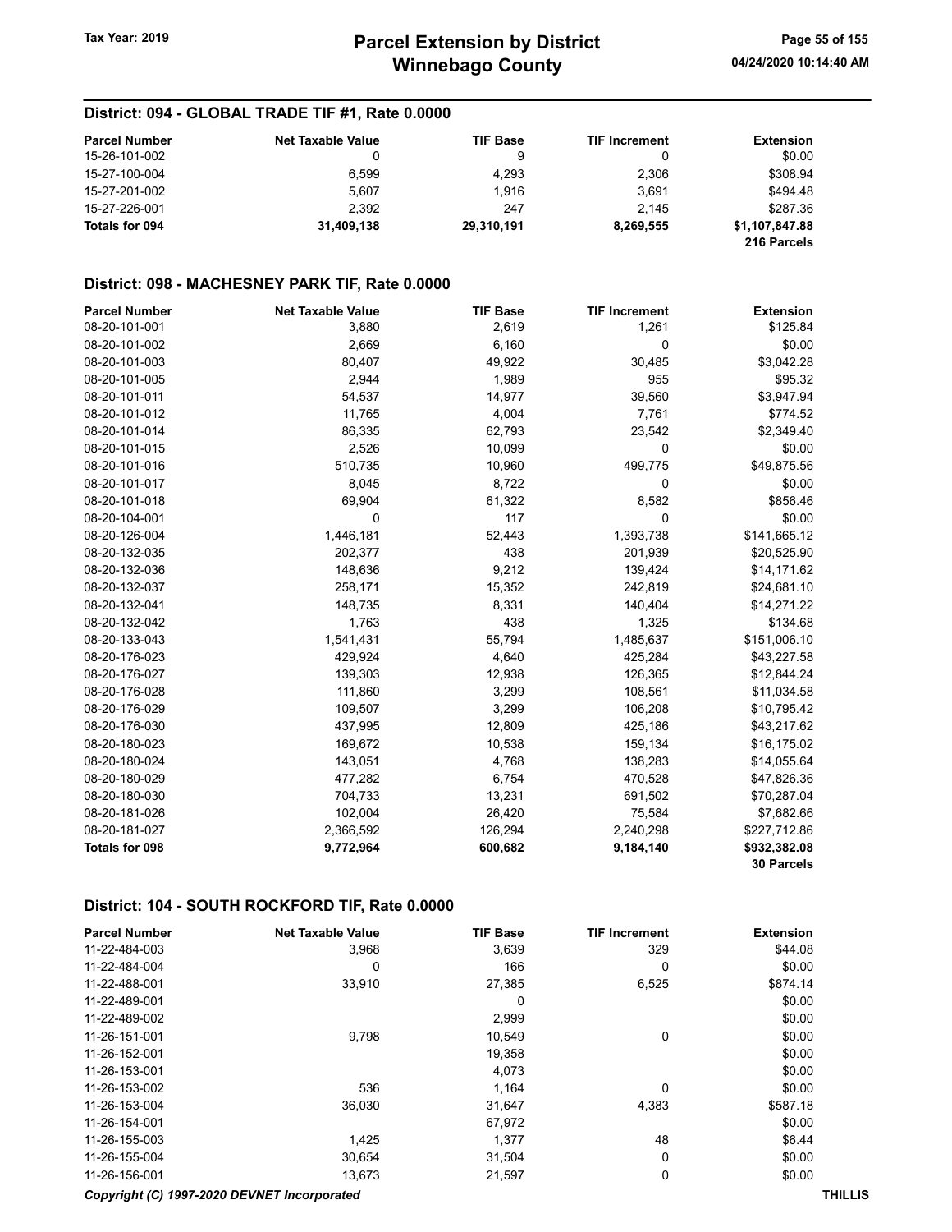| <b>Parcel Number</b> | <b>Net Taxable Value</b> | <b>TIF Base</b> | <b>TIF Increment</b> | <b>Extension</b> |
|----------------------|--------------------------|-----------------|----------------------|------------------|
| 15-26-101-002        | 0                        | 9               | 0                    | \$0.00           |
| 15-27-100-004        | 6.599                    | 4,293           | 2,306                | \$308.94         |
| 15-27-201-002        | 5.607                    | 1.916           | 3.691                | \$494.48         |
| 15-27-226-001        | 2.392                    | 247             | 2.145                | \$287.36         |
| Totals for 094       | 31,409,138               | 29,310,191      | 8,269,555            | \$1,107,847.88   |
|                      |                          |                 |                      | 216 Parcels      |

## District: 098 - MACHESNEY PARK TIF, Rate 0.0000

| <b>Parcel Number</b>  | <b>Net Taxable Value</b> | <b>TIF Base</b> | <b>TIF Increment</b> | <b>Extension</b>  |
|-----------------------|--------------------------|-----------------|----------------------|-------------------|
| 08-20-101-001         | 3,880                    | 2,619           | 1,261                | \$125.84          |
| 08-20-101-002         | 2,669                    | 6,160           | 0                    | \$0.00            |
| 08-20-101-003         | 80,407                   | 49,922          | 30,485               | \$3,042.28        |
| 08-20-101-005         | 2,944                    | 1,989           | 955                  | \$95.32           |
| 08-20-101-011         | 54,537                   | 14,977          | 39,560               | \$3,947.94        |
| 08-20-101-012         | 11,765                   | 4,004           | 7,761                | \$774.52          |
| 08-20-101-014         | 86,335                   | 62,793          | 23,542               | \$2,349.40        |
| 08-20-101-015         | 2,526                    | 10,099          | 0                    | \$0.00            |
| 08-20-101-016         | 510,735                  | 10,960          | 499,775              | \$49,875.56       |
| 08-20-101-017         | 8,045                    | 8,722           | 0                    | \$0.00            |
| 08-20-101-018         | 69,904                   | 61,322          | 8,582                | \$856.46          |
| 08-20-104-001         | 0                        | 117             | 0                    | \$0.00            |
| 08-20-126-004         | 1,446,181                | 52,443          | 1,393,738            | \$141,665.12      |
| 08-20-132-035         | 202,377                  | 438             | 201,939              | \$20,525.90       |
| 08-20-132-036         | 148,636                  | 9,212           | 139,424              | \$14,171.62       |
| 08-20-132-037         | 258,171                  | 15,352          | 242,819              | \$24,681.10       |
| 08-20-132-041         | 148,735                  | 8,331           | 140,404              | \$14,271.22       |
| 08-20-132-042         | 1,763                    | 438             | 1,325                | \$134.68          |
| 08-20-133-043         | 1,541,431                | 55,794          | 1,485,637            | \$151,006.10      |
| 08-20-176-023         | 429,924                  | 4,640           | 425,284              | \$43,227.58       |
| 08-20-176-027         | 139,303                  | 12,938          | 126,365              | \$12,844.24       |
| 08-20-176-028         | 111,860                  | 3,299           | 108,561              | \$11,034.58       |
| 08-20-176-029         | 109,507                  | 3,299           | 106,208              | \$10,795.42       |
| 08-20-176-030         | 437,995                  | 12,809          | 425,186              | \$43,217.62       |
| 08-20-180-023         | 169,672                  | 10,538          | 159,134              | \$16,175.02       |
| 08-20-180-024         | 143,051                  | 4,768           | 138,283              | \$14,055.64       |
| 08-20-180-029         | 477,282                  | 6,754           | 470,528              | \$47,826.36       |
| 08-20-180-030         | 704,733                  | 13,231          | 691,502              | \$70,287.04       |
| 08-20-181-026         | 102,004                  | 26,420          | 75,584               | \$7,682.66        |
| 08-20-181-027         | 2,366,592                | 126,294         | 2,240,298            | \$227,712.86      |
| <b>Totals for 098</b> | 9,772,964                | 600,682         | 9,184,140            | \$932,382.08      |
|                       |                          |                 |                      | <b>30 Parcels</b> |

#### District: 104 - SOUTH ROCKFORD TIF, Rate 0.0000

| <b>Parcel Number</b> | <b>Net Taxable Value</b> | <b>TIF Base</b> | <b>TIF Increment</b> | <b>Extension</b> |
|----------------------|--------------------------|-----------------|----------------------|------------------|
| 11-22-484-003        | 3,968                    | 3,639           | 329                  | \$44.08          |
| 11-22-484-004        | 0                        | 166             | 0                    | \$0.00           |
| 11-22-488-001        | 33,910                   | 27,385          | 6,525                | \$874.14         |
| 11-22-489-001        |                          | 0               |                      | \$0.00           |
| 11-22-489-002        |                          | 2,999           |                      | \$0.00           |
| 11-26-151-001        | 9,798                    | 10,549          | 0                    | \$0.00           |
| 11-26-152-001        |                          | 19,358          |                      | \$0.00           |
| 11-26-153-001        |                          | 4,073           |                      | \$0.00           |
| 11-26-153-002        | 536                      | 1,164           | 0                    | \$0.00           |
| 11-26-153-004        | 36,030                   | 31,647          | 4,383                | \$587.18         |
| 11-26-154-001        |                          | 67,972          |                      | \$0.00           |
| 11-26-155-003        | 1,425                    | 1,377           | 48                   | \$6.44           |
| 11-26-155-004        | 30,654                   | 31,504          | 0                    | \$0.00           |
| 11-26-156-001        | 13,673                   | 21,597          | 0                    | \$0.00           |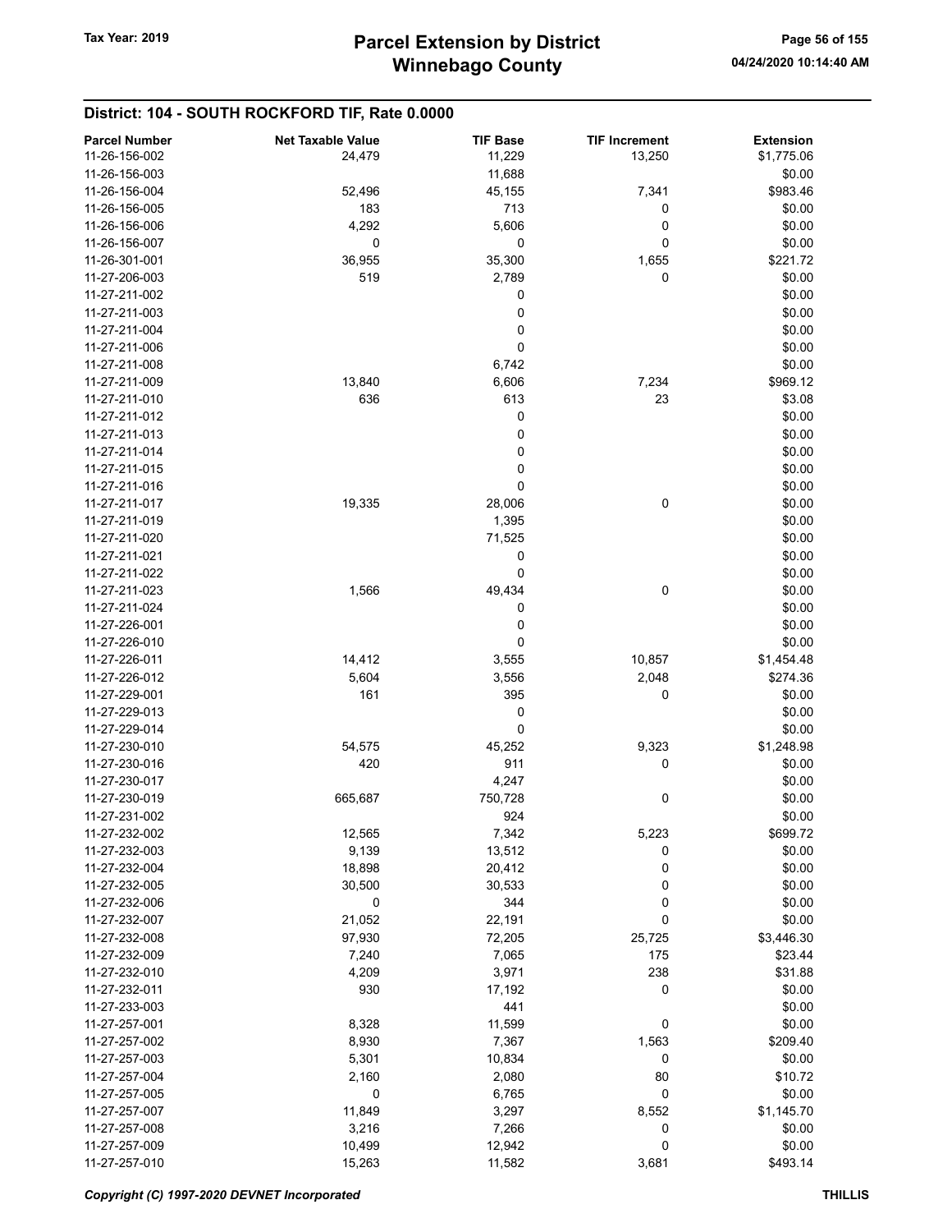## District: 104 - SOUTH ROCKFORD TIF, Rate 0.0000

| <b>Parcel Number</b> | <b>Net Taxable Value</b> | <b>TIF Base</b> | <b>TIF Increment</b> | <b>Extension</b> |
|----------------------|--------------------------|-----------------|----------------------|------------------|
| 11-26-156-002        | 24,479                   | 11,229          | 13,250               | \$1,775.06       |
| 11-26-156-003        |                          | 11,688          |                      | \$0.00           |
| 11-26-156-004        | 52,496                   | 45,155          | 7,341                | \$983.46         |
| 11-26-156-005        | 183                      | 713             | 0                    | \$0.00           |
|                      |                          |                 |                      |                  |
| 11-26-156-006        | 4,292                    | 5,606           | 0                    | \$0.00           |
| 11-26-156-007        | 0                        | 0               | 0                    | \$0.00           |
| 11-26-301-001        | 36,955                   | 35,300          | 1,655                | \$221.72         |
| 11-27-206-003        | 519                      | 2,789           | 0                    | \$0.00           |
| 11-27-211-002        |                          | 0               |                      | \$0.00           |
| 11-27-211-003        |                          | 0               |                      | \$0.00           |
| 11-27-211-004        |                          | 0               |                      | \$0.00           |
| 11-27-211-006        |                          | $\mathbf 0$     |                      | \$0.00           |
| 11-27-211-008        |                          | 6,742           |                      | \$0.00           |
| 11-27-211-009        | 13,840                   | 6,606           | 7,234                | \$969.12         |
| 11-27-211-010        | 636                      | 613             | 23                   | \$3.08           |
| 11-27-211-012        |                          | 0               |                      | \$0.00           |
| 11-27-211-013        |                          | 0               |                      | \$0.00           |
| 11-27-211-014        |                          | 0               |                      | \$0.00           |
| 11-27-211-015        |                          | 0               |                      | \$0.00           |
| 11-27-211-016        |                          | 0               |                      | \$0.00           |
|                      |                          |                 |                      |                  |
| 11-27-211-017        | 19,335                   | 28,006          | 0                    | \$0.00           |
| 11-27-211-019        |                          | 1,395           |                      | \$0.00           |
| 11-27-211-020        |                          | 71,525          |                      | \$0.00           |
| 11-27-211-021        |                          | 0               |                      | \$0.00           |
| 11-27-211-022        |                          | 0               |                      | \$0.00           |
| 11-27-211-023        | 1,566                    | 49,434          | 0                    | \$0.00           |
| 11-27-211-024        |                          | 0               |                      | \$0.00           |
| 11-27-226-001        |                          | 0               |                      | \$0.00           |
| 11-27-226-010        |                          | 0               |                      | \$0.00           |
| 11-27-226-011        | 14,412                   | 3,555           | 10,857               | \$1,454.48       |
| 11-27-226-012        | 5,604                    | 3,556           | 2,048                | \$274.36         |
| 11-27-229-001        | 161                      | 395             | 0                    | \$0.00           |
| 11-27-229-013        |                          | 0               |                      | \$0.00           |
| 11-27-229-014        |                          | 0               |                      | \$0.00           |
| 11-27-230-010        | 54,575                   | 45,252          | 9,323                | \$1,248.98       |
| 11-27-230-016        | 420                      | 911             | 0                    | \$0.00           |
|                      |                          |                 |                      |                  |
| 11-27-230-017        |                          | 4,247           |                      | \$0.00           |
| 11-27-230-019        | 665,687                  | 750,728         | 0                    | \$0.00           |
| 11-27-231-002        |                          | 924             |                      | \$0.00           |
| 11-27-232-002        | 12,565                   | 7,342           | 5,223                | \$699.72         |
| 11-27-232-003        | 9,139                    | 13,512          | 0                    | \$0.00           |
| 11-27-232-004        | 18,898                   | 20,412          | 0                    | \$0.00           |
| 11-27-232-005        | 30,500                   | 30,533          | 0                    | \$0.00           |
| 11-27-232-006        | 0                        | 344             | 0                    | \$0.00           |
| 11-27-232-007        | 21,052                   | 22,191          | 0                    | \$0.00           |
| 11-27-232-008        | 97,930                   | 72,205          | 25,725               | \$3,446.30       |
| 11-27-232-009        | 7,240                    | 7,065           | 175                  | \$23.44          |
| 11-27-232-010        | 4,209                    | 3,971           | 238                  | \$31.88          |
| 11-27-232-011        | 930                      | 17,192          | 0                    | \$0.00           |
| 11-27-233-003        |                          | 441             |                      | \$0.00           |
| 11-27-257-001        | 8,328                    | 11,599          | 0                    | \$0.00           |
| 11-27-257-002        | 8,930                    | 7,367           | 1,563                | \$209.40         |
| 11-27-257-003        |                          |                 | 0                    | \$0.00           |
|                      | 5,301                    | 10,834          |                      |                  |
| 11-27-257-004        | 2,160                    | 2,080           | 80                   | \$10.72          |
| 11-27-257-005        | $\pmb{0}$                | 6,765           | $\mathbf 0$          | \$0.00           |
| 11-27-257-007        | 11,849                   | 3,297           | 8,552                | \$1,145.70       |
| 11-27-257-008        | 3,216                    | 7,266           | 0                    | \$0.00           |
| 11-27-257-009        | 10,499                   | 12,942          | 0                    | \$0.00           |
| 11-27-257-010        | 15,263                   | 11,582          | 3,681                | \$493.14         |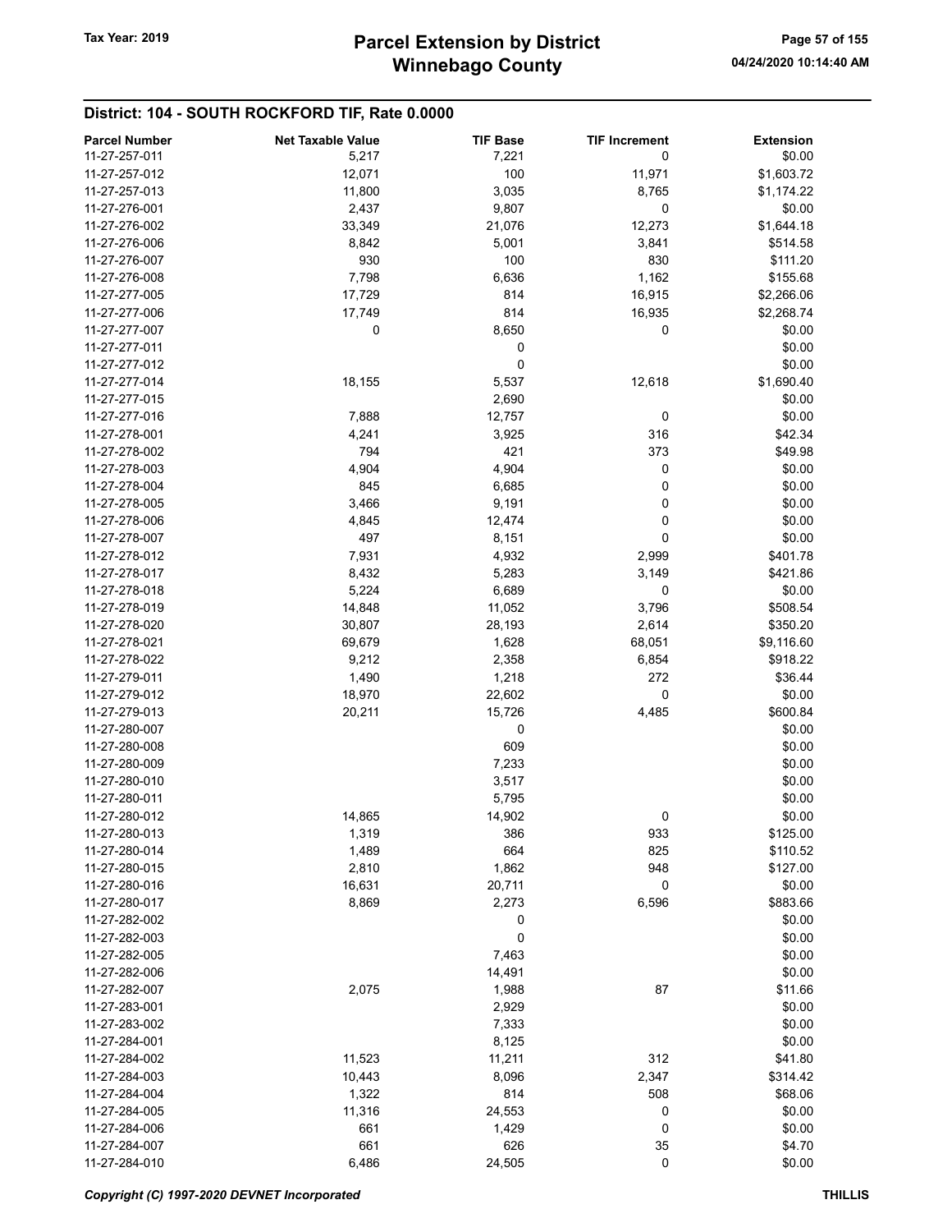## District: 104 - SOUTH ROCKFORD TIF, Rate 0.0000

| <b>Parcel Number</b> | <b>Net Taxable Value</b> | <b>TIF Base</b> | <b>TIF Increment</b> | <b>Extension</b> |
|----------------------|--------------------------|-----------------|----------------------|------------------|
| 11-27-257-011        | 5,217                    | 7,221           | 0                    | \$0.00           |
| 11-27-257-012        | 12,071                   | 100             | 11,971               | \$1,603.72       |
| 11-27-257-013        | 11,800                   | 3,035           | 8,765                | \$1,174.22       |
| 11-27-276-001        | 2,437                    | 9,807           | 0                    | \$0.00           |
| 11-27-276-002        | 33,349                   | 21,076          | 12,273               | \$1,644.18       |
| 11-27-276-006        | 8,842                    | 5,001           | 3,841                | \$514.58         |
| 11-27-276-007        | 930                      | 100             | 830                  | \$111.20         |
| 11-27-276-008        | 7,798                    | 6,636           | 1,162                | \$155.68         |
| 11-27-277-005        | 17,729                   | 814             | 16,915               | \$2,266.06       |
| 11-27-277-006        | 17,749                   | 814             | 16,935               | \$2,268.74       |
| 11-27-277-007        | 0                        | 8,650           | 0                    | \$0.00           |
| 11-27-277-011        |                          | 0               |                      | \$0.00           |
| 11-27-277-012        |                          | 0               |                      | \$0.00           |
| 11-27-277-014        | 18,155                   | 5,537           | 12,618               | \$1,690.40       |
| 11-27-277-015        |                          | 2,690           |                      | \$0.00           |
| 11-27-277-016        | 7,888                    | 12,757          | 0                    | \$0.00           |
| 11-27-278-001        | 4,241                    | 3,925           | 316                  | \$42.34          |
| 11-27-278-002        | 794                      | 421             | 373                  | \$49.98          |
| 11-27-278-003        | 4,904                    | 4,904           | 0                    | \$0.00           |
| 11-27-278-004        | 845                      | 6,685           | 0                    | \$0.00           |
| 11-27-278-005        | 3,466                    | 9,191           | 0                    | \$0.00           |
| 11-27-278-006        | 4,845                    | 12,474          | 0                    | \$0.00           |
| 11-27-278-007        | 497                      | 8,151           | 0                    | \$0.00           |
| 11-27-278-012        | 7,931                    | 4,932           | 2,999                | \$401.78         |
| 11-27-278-017        | 8,432                    | 5,283           | 3,149                | \$421.86         |
| 11-27-278-018        | 5,224                    | 6,689           | 0                    | \$0.00           |
| 11-27-278-019        | 14,848                   | 11,052          | 3,796                | \$508.54         |
| 11-27-278-020        | 30,807                   | 28,193          | 2,614                | \$350.20         |
| 11-27-278-021        | 69,679                   | 1,628           | 68,051               | \$9,116.60       |
| 11-27-278-022        | 9,212                    | 2,358           | 6,854                | \$918.22         |
| 11-27-279-011        | 1,490                    | 1,218           | 272                  | \$36.44          |
| 11-27-279-012        | 18,970                   | 22,602          | 0                    | \$0.00           |
| 11-27-279-013        | 20,211                   | 15,726          | 4,485                | \$600.84         |
| 11-27-280-007        |                          | 0               |                      | \$0.00           |
| 11-27-280-008        |                          | 609             |                      | \$0.00           |
| 11-27-280-009        |                          | 7,233           |                      | \$0.00           |
| 11-27-280-010        |                          | 3,517           |                      | \$0.00           |
| 11-27-280-011        |                          | 5,795           |                      | \$0.00           |
| 11-27-280-012        | 14,865                   | 14,902          | 0                    | \$0.00           |
| 11-27-280-013        | 1,319                    | 386             | 933                  | \$125.00         |
| 11-27-280-014        | 1,489                    | 664             | 825                  | \$110.52         |
| 11-27-280-015        | 2,810                    | 1,862           | 948                  | \$127.00         |
| 11-27-280-016        | 16,631                   | 20,711          | 0                    | \$0.00           |
| 11-27-280-017        | 8,869                    | 2,273           | 6,596                | \$883.66         |
| 11-27-282-002        |                          | 0               |                      | \$0.00           |
| 11-27-282-003        |                          | 0               |                      | \$0.00           |
| 11-27-282-005        |                          | 7,463           |                      | \$0.00           |
| 11-27-282-006        |                          | 14,491          |                      | \$0.00           |
| 11-27-282-007        | 2,075                    | 1,988           | 87                   | \$11.66          |
| 11-27-283-001        |                          | 2,929           |                      | \$0.00           |
| 11-27-283-002        |                          | 7,333           |                      | \$0.00           |
| 11-27-284-001        |                          | 8,125           |                      | \$0.00           |
| 11-27-284-002        | 11,523                   | 11,211          | 312                  | \$41.80          |
| 11-27-284-003        | 10,443                   | 8,096           | 2,347                | \$314.42         |
| 11-27-284-004        | 1,322                    | 814             | 508                  | \$68.06          |
| 11-27-284-005        | 11,316                   | 24,553          | 0                    | \$0.00           |
| 11-27-284-006        | 661                      | 1,429           | 0                    | \$0.00           |
| 11-27-284-007        | 661                      | 626             | 35                   | \$4.70           |
| 11-27-284-010        | 6,486                    | 24,505          | $\mathbf 0$          | \$0.00           |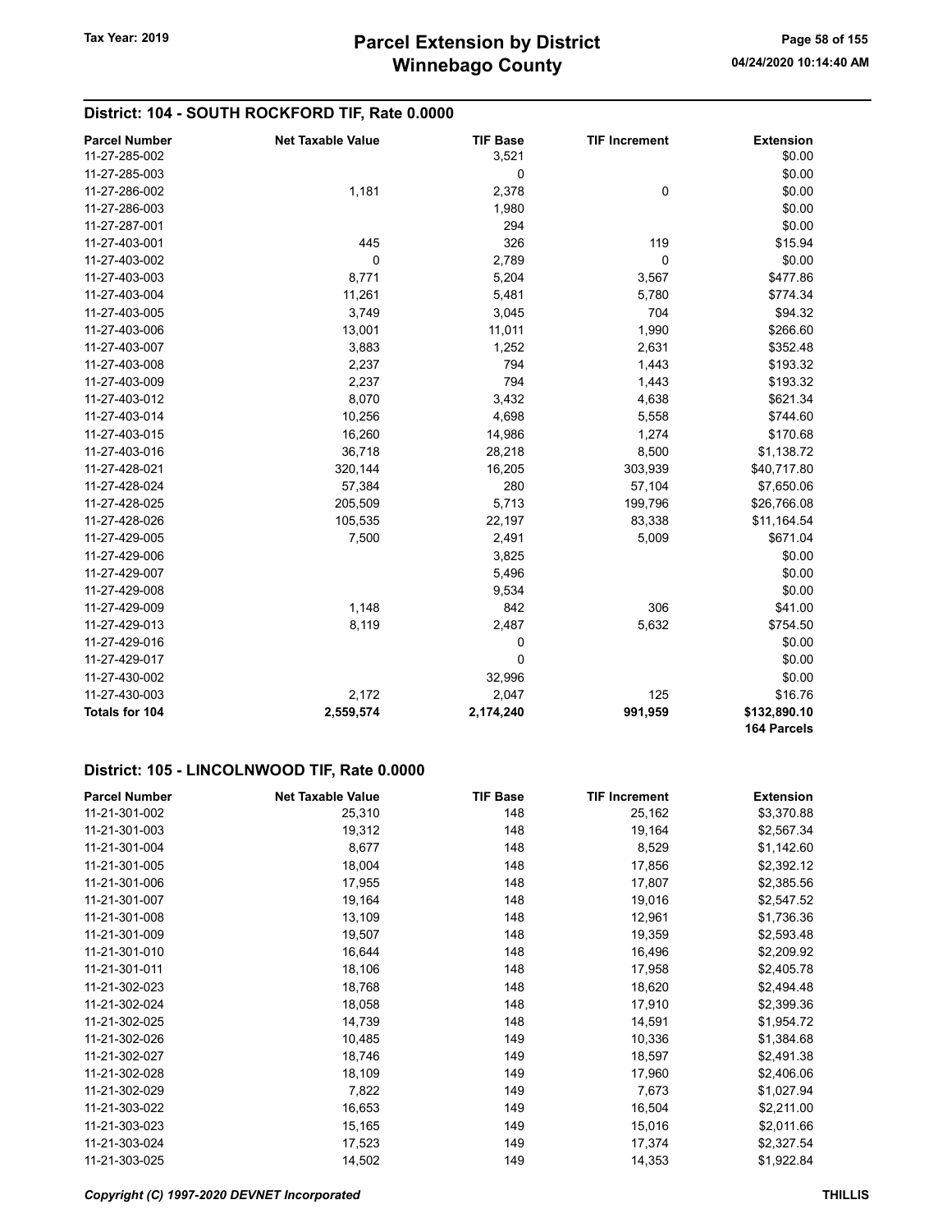## District: 104 - SOUTH ROCKFORD TIF, Rate 0.0000

| <b>Parcel Number</b> | <b>Net Taxable Value</b> | <b>TIF Base</b> | <b>TIF Increment</b> | <b>Extension</b>            |
|----------------------|--------------------------|-----------------|----------------------|-----------------------------|
| 11-27-285-002        |                          | 3,521           |                      | \$0.00                      |
| 11-27-285-003        |                          | 0               |                      | \$0.00                      |
| 11-27-286-002        | 1,181                    | 2,378           | $\mathbf 0$          | \$0.00                      |
| 11-27-286-003        |                          | 1,980           |                      | \$0.00                      |
| 11-27-287-001        |                          | 294             |                      | \$0.00                      |
| 11-27-403-001        | 445                      | 326             | 119                  | \$15.94                     |
| 11-27-403-002        | 0                        | 2,789           | $\mathbf 0$          | \$0.00                      |
| 11-27-403-003        | 8,771                    | 5,204           | 3,567                | \$477.86                    |
| 11-27-403-004        | 11,261                   | 5,481           | 5,780                | \$774.34                    |
| 11-27-403-005        | 3,749                    | 3,045           | 704                  | \$94.32                     |
| 11-27-403-006        | 13,001                   | 11,011          | 1,990                | \$266.60                    |
| 11-27-403-007        | 3,883                    | 1,252           | 2,631                | \$352.48                    |
| 11-27-403-008        | 2,237                    | 794             | 1,443                | \$193.32                    |
| 11-27-403-009        | 2,237                    | 794             | 1,443                | \$193.32                    |
| 11-27-403-012        | 8,070                    | 3,432           | 4,638                | \$621.34                    |
| 11-27-403-014        | 10,256                   | 4,698           | 5,558                | \$744.60                    |
| 11-27-403-015        | 16,260                   | 14,986          | 1,274                | \$170.68                    |
| 11-27-403-016        | 36,718                   | 28,218          | 8,500                | \$1,138.72                  |
| 11-27-428-021        | 320,144                  | 16,205          | 303,939              | \$40,717.80                 |
| 11-27-428-024        | 57,384                   | 280             | 57,104               | \$7,650.06                  |
| 11-27-428-025        | 205,509                  | 5,713           | 199,796              | \$26,766.08                 |
| 11-27-428-026        | 105,535                  | 22,197          | 83,338               | \$11,164.54                 |
| 11-27-429-005        | 7,500                    | 2,491           | 5,009                | \$671.04                    |
| 11-27-429-006        |                          | 3,825           |                      | \$0.00                      |
| 11-27-429-007        |                          | 5,496           |                      | \$0.00                      |
| 11-27-429-008        |                          | 9,534           |                      | \$0.00                      |
| 11-27-429-009        | 1,148                    | 842             | 306                  | \$41.00                     |
| 11-27-429-013        | 8,119                    | 2,487           | 5,632                | \$754.50                    |
| 11-27-429-016        |                          | 0               |                      | \$0.00                      |
| 11-27-429-017        |                          | $\mathbf 0$     |                      | \$0.00                      |
| 11-27-430-002        |                          | 32,996          |                      | \$0.00                      |
| 11-27-430-003        | 2,172                    | 2,047           | 125                  | \$16.76                     |
| Totals for 104       | 2,559,574                | 2,174,240       | 991,959              | \$132,890.10<br>164 Parcels |

#### District: 105 - LINCOLNWOOD TIF, Rate 0.0000

| <b>Parcel Number</b> | <b>Net Taxable Value</b> | <b>TIF Base</b> | <b>TIF Increment</b> | <b>Extension</b> |
|----------------------|--------------------------|-----------------|----------------------|------------------|
| 11-21-301-002        | 25,310                   | 148             | 25,162               | \$3,370.88       |
| 11-21-301-003        | 19,312                   | 148             | 19,164               | \$2,567.34       |
| 11-21-301-004        | 8,677                    | 148             | 8,529                | \$1,142.60       |
| 11-21-301-005        | 18,004                   | 148             | 17,856               | \$2,392.12       |
| 11-21-301-006        | 17,955                   | 148             | 17,807               | \$2,385.56       |
| 11-21-301-007        | 19,164                   | 148             | 19,016               | \$2,547.52       |
| 11-21-301-008        | 13,109                   | 148             | 12,961               | \$1,736.36       |
| 11-21-301-009        | 19,507                   | 148             | 19,359               | \$2,593.48       |
| 11-21-301-010        | 16,644                   | 148             | 16,496               | \$2,209.92       |
| 11-21-301-011        | 18,106                   | 148             | 17,958               | \$2,405.78       |
| 11-21-302-023        | 18,768                   | 148             | 18,620               | \$2,494.48       |
| 11-21-302-024        | 18,058                   | 148             | 17,910               | \$2,399.36       |
| 11-21-302-025        | 14,739                   | 148             | 14,591               | \$1,954.72       |
| 11-21-302-026        | 10,485                   | 149             | 10,336               | \$1,384.68       |
| 11-21-302-027        | 18,746                   | 149             | 18,597               | \$2,491.38       |
| 11-21-302-028        | 18,109                   | 149             | 17,960               | \$2,406.06       |
| 11-21-302-029        | 7,822                    | 149             | 7,673                | \$1,027.94       |
| 11-21-303-022        | 16,653                   | 149             | 16,504               | \$2,211.00       |
| 11-21-303-023        | 15,165                   | 149             | 15,016               | \$2,011.66       |
| 11-21-303-024        | 17,523                   | 149             | 17,374               | \$2,327.54       |
| 11-21-303-025        | 14,502                   | 149             | 14,353               | \$1,922.84       |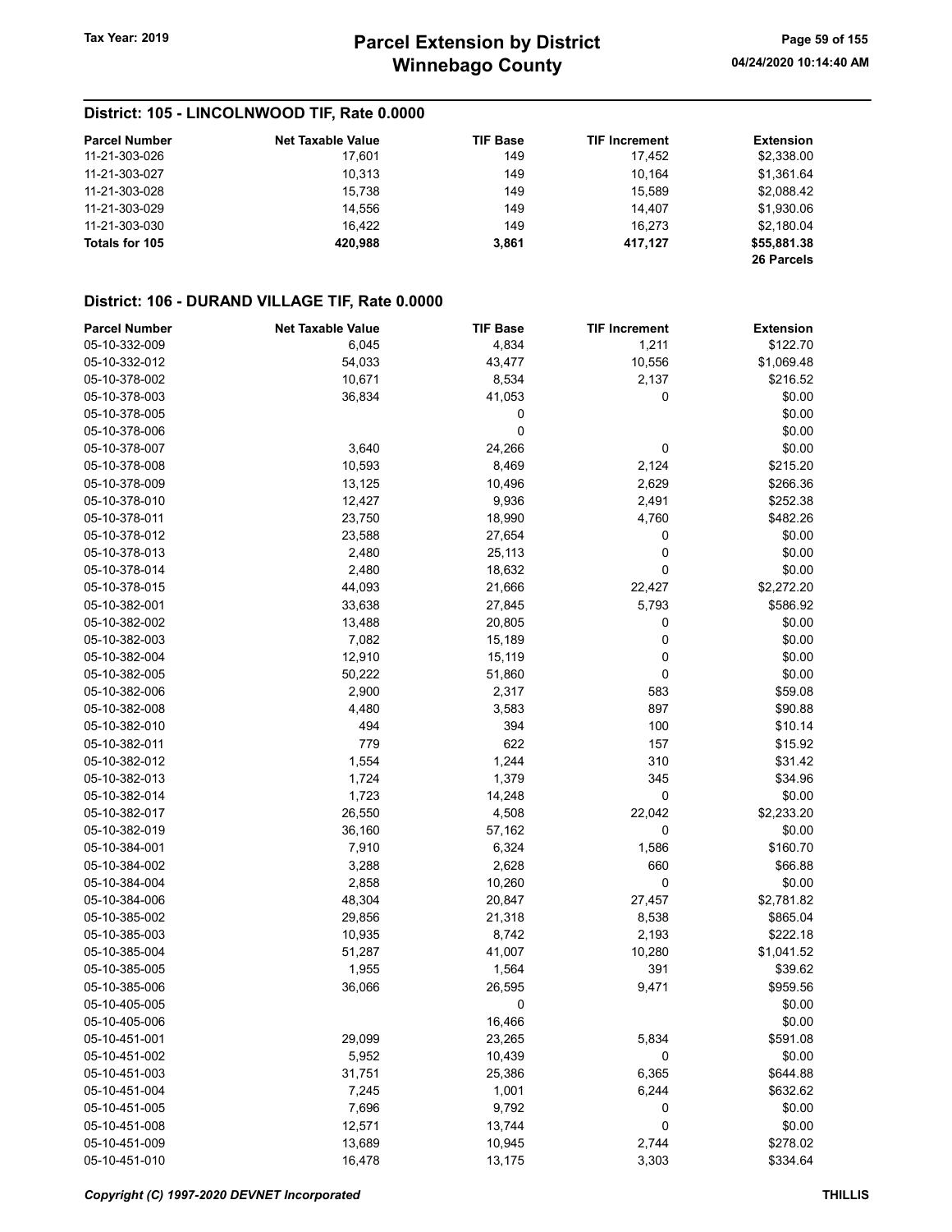## District: 105 - LINCOLNWOOD TIF, Rate 0.0000

| <b>Parcel Number</b> | <b>Net Taxable Value</b> | <b>TIF Base</b> | <b>TIF Increment</b> | Extension   |
|----------------------|--------------------------|-----------------|----------------------|-------------|
| 11-21-303-026        | 17.601                   | 149             | 17.452               | \$2,338.00  |
| 11-21-303-027        | 10.313                   | 149             | 10.164               | \$1,361.64  |
| 11-21-303-028        | 15.738                   | 149             | 15.589               | \$2,088.42  |
| 11-21-303-029        | 14.556                   | 149             | 14.407               | \$1,930.06  |
| 11-21-303-030        | 16.422                   | 149             | 16.273               | \$2,180.04  |
| Totals for 105       | 420.988                  | 3,861           | 417.127              | \$55,881.38 |
|                      |                          |                 |                      | 26 Parcels  |

## District: 106 - DURAND VILLAGE TIF, Rate 0.0000

| <b>Parcel Number</b> | <b>Net Taxable Value</b> | <b>TIF Base</b> | <b>TIF Increment</b> | <b>Extension</b> |
|----------------------|--------------------------|-----------------|----------------------|------------------|
| 05-10-332-009        | 6,045                    | 4,834           | 1,211                | \$122.70         |
| 05-10-332-012        | 54,033                   | 43,477          | 10,556               | \$1,069.48       |
| 05-10-378-002        | 10,671                   | 8,534           | 2,137                | \$216.52         |
| 05-10-378-003        | 36,834                   | 41,053          | 0                    | \$0.00           |
| 05-10-378-005        |                          | 0               |                      | \$0.00           |
| 05-10-378-006        |                          | 0               |                      | \$0.00           |
| 05-10-378-007        | 3,640                    | 24,266          | 0                    | \$0.00           |
| 05-10-378-008        | 10,593                   | 8,469           | 2,124                | \$215.20         |
| 05-10-378-009        | 13,125                   | 10,496          | 2,629                | \$266.36         |
| 05-10-378-010        | 12,427                   | 9,936           | 2,491                | \$252.38         |
| 05-10-378-011        | 23,750                   | 18,990          | 4,760                | \$482.26         |
| 05-10-378-012        | 23,588                   | 27,654          | 0                    | \$0.00           |
| 05-10-378-013        | 2,480                    | 25,113          | 0                    | \$0.00           |
| 05-10-378-014        | 2,480                    | 18,632          | 0                    | \$0.00           |
| 05-10-378-015        | 44,093                   | 21,666          | 22,427               | \$2,272.20       |
| 05-10-382-001        | 33,638                   | 27,845          | 5,793                | \$586.92         |
| 05-10-382-002        | 13,488                   | 20,805          | 0                    | \$0.00           |
| 05-10-382-003        | 7,082                    | 15,189          | 0                    | \$0.00           |
| 05-10-382-004        | 12,910                   | 15,119          | 0                    | \$0.00           |
| 05-10-382-005        | 50,222                   | 51,860          | 0                    | \$0.00           |
| 05-10-382-006        | 2,900                    | 2,317           | 583                  | \$59.08          |
| 05-10-382-008        | 4,480                    | 3,583           | 897                  | \$90.88          |
| 05-10-382-010        | 494                      | 394             | 100                  | \$10.14          |
| 05-10-382-011        | 779                      | 622             | 157                  | \$15.92          |
| 05-10-382-012        | 1,554                    | 1,244           | 310                  | \$31.42          |
| 05-10-382-013        | 1,724                    | 1,379           | 345                  | \$34.96          |
| 05-10-382-014        | 1,723                    | 14,248          | 0                    | \$0.00           |
| 05-10-382-017        | 26,550                   | 4,508           | 22,042               | \$2,233.20       |
| 05-10-382-019        | 36,160                   | 57,162          | 0                    | \$0.00           |
| 05-10-384-001        | 7,910                    | 6,324           | 1,586                | \$160.70         |
| 05-10-384-002        | 3,288                    | 2,628           | 660                  | \$66.88          |
| 05-10-384-004        | 2,858                    | 10,260          | 0                    | \$0.00           |
| 05-10-384-006        | 48,304                   | 20,847          | 27,457               | \$2,781.82       |
| 05-10-385-002        | 29,856                   | 21,318          | 8,538                | \$865.04         |
| 05-10-385-003        | 10,935                   | 8,742           | 2,193                | \$222.18         |
| 05-10-385-004        | 51,287                   | 41,007          | 10,280               | \$1,041.52       |
| 05-10-385-005        | 1,955                    | 1,564           | 391                  | \$39.62          |
| 05-10-385-006        | 36,066                   | 26,595          | 9,471                | \$959.56         |
| 05-10-405-005        |                          | 0               |                      | \$0.00           |
| 05-10-405-006        |                          | 16,466          |                      | \$0.00           |
| 05-10-451-001        | 29,099                   | 23,265          | 5,834                | \$591.08         |
| 05-10-451-002        | 5,952                    | 10,439          | 0                    | \$0.00           |
| 05-10-451-003        | 31,751                   | 25,386          | 6,365                | \$644.88         |
| 05-10-451-004        | 7,245                    | 1,001           | 6,244                | \$632.62         |
| 05-10-451-005        | 7,696                    | 9,792           | 0                    | \$0.00           |
| 05-10-451-008        | 12,571                   | 13,744          | 0                    | \$0.00           |
| 05-10-451-009        | 13,689                   | 10,945          | 2,744                | \$278.02         |
| 05-10-451-010        | 16,478                   | 13,175          | 3,303                | \$334.64         |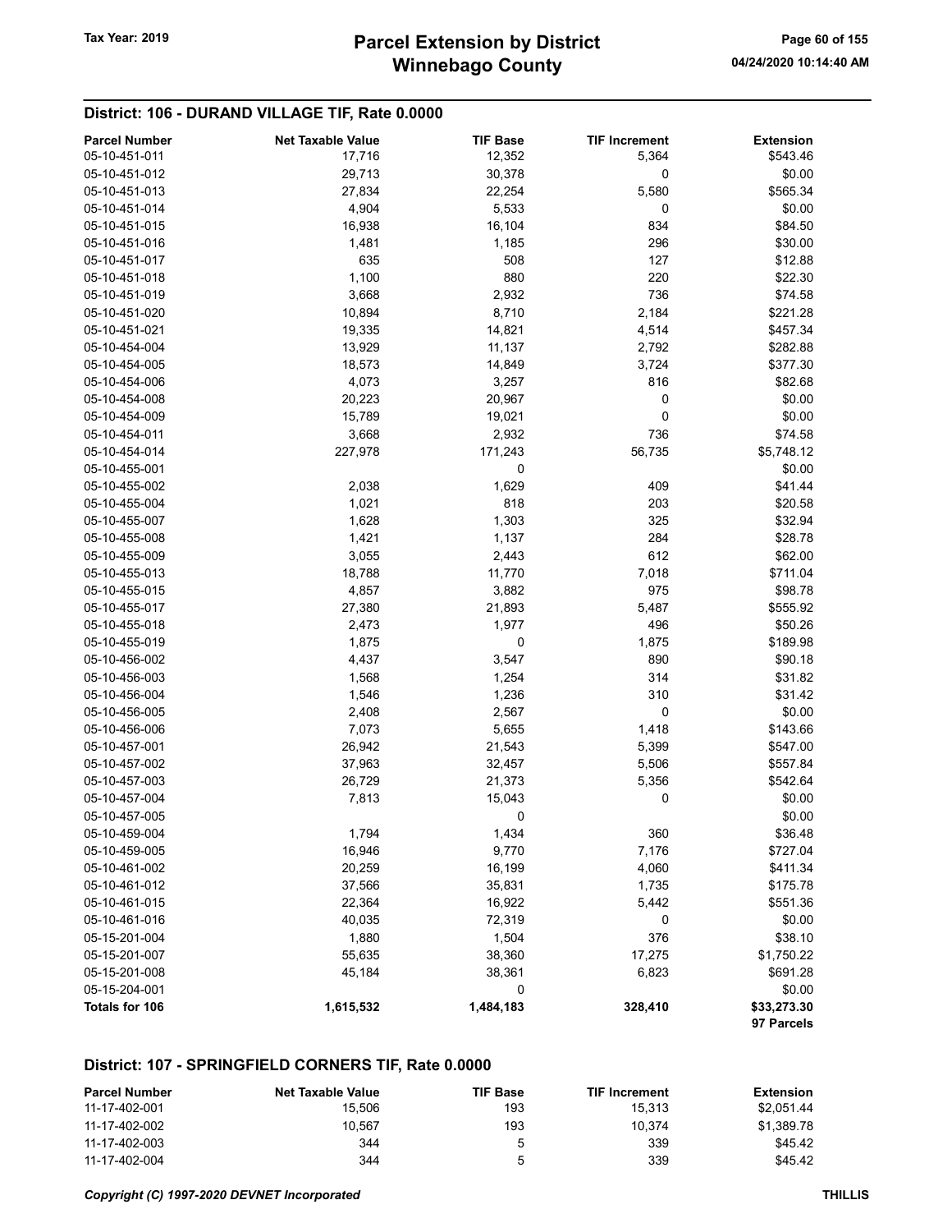## District: 106 - DURAND VILLAGE TIF, Rate 0.0000

| <b>Parcel Number</b> | <b>Net Taxable Value</b> | <b>TIF Base</b> | <b>TIF Increment</b> | <b>Extension</b>          |
|----------------------|--------------------------|-----------------|----------------------|---------------------------|
| 05-10-451-011        | 17,716                   | 12,352          | 5,364                | \$543.46                  |
| 05-10-451-012        | 29,713                   | 30,378          | 0                    | \$0.00                    |
| 05-10-451-013        | 27,834                   | 22,254          | 5,580                | \$565.34                  |
| 05-10-451-014        | 4,904                    | 5,533           | 0                    | \$0.00                    |
| 05-10-451-015        | 16,938                   | 16,104          | 834                  | \$84.50                   |
| 05-10-451-016        | 1,481                    | 1,185           | 296                  | \$30.00                   |
| 05-10-451-017        | 635                      | 508             | 127                  | \$12.88                   |
| 05-10-451-018        | 1,100                    | 880             | 220                  | \$22.30                   |
| 05-10-451-019        | 3,668                    | 2,932           | 736                  | \$74.58                   |
| 05-10-451-020        | 10,894                   | 8,710           | 2,184                | \$221.28                  |
| 05-10-451-021        | 19,335                   | 14,821          | 4,514                | \$457.34                  |
| 05-10-454-004        | 13,929                   | 11,137          | 2,792                | \$282.88                  |
| 05-10-454-005        | 18,573                   | 14,849          | 3,724                | \$377.30                  |
| 05-10-454-006        | 4,073                    | 3,257           | 816                  | \$82.68                   |
| 05-10-454-008        | 20,223                   | 20,967          | 0                    | \$0.00                    |
| 05-10-454-009        | 15,789                   | 19,021          | 0                    | \$0.00                    |
| 05-10-454-011        | 3,668                    | 2,932           | 736                  | \$74.58                   |
| 05-10-454-014        | 227,978                  | 171,243         | 56,735               | \$5,748.12                |
| 05-10-455-001        |                          | 0               |                      | \$0.00                    |
| 05-10-455-002        | 2,038                    | 1,629           | 409                  | \$41.44                   |
| 05-10-455-004        | 1,021                    | 818             | 203                  | \$20.58                   |
| 05-10-455-007        | 1,628                    | 1,303           | 325                  | \$32.94                   |
| 05-10-455-008        | 1,421                    | 1,137           | 284                  | \$28.78                   |
| 05-10-455-009        | 3,055                    | 2,443           | 612                  | \$62.00                   |
| 05-10-455-013        | 18,788                   | 11,770          | 7,018                | \$711.04                  |
| 05-10-455-015        | 4,857                    | 3,882           | 975                  | \$98.78                   |
| 05-10-455-017        | 27,380                   | 21,893          | 5,487                | \$555.92                  |
| 05-10-455-018        | 2,473                    | 1,977           | 496                  | \$50.26                   |
| 05-10-455-019        | 1,875                    | 0               | 1,875                | \$189.98                  |
| 05-10-456-002        |                          |                 | 890                  |                           |
| 05-10-456-003        | 4,437                    | 3,547           | 314                  | \$90.18<br>\$31.82        |
| 05-10-456-004        | 1,568                    | 1,254           | 310                  |                           |
| 05-10-456-005        | 1,546                    | 1,236           | $\pmb{0}$            | \$31.42<br>\$0.00         |
| 05-10-456-006        | 2,408                    | 2,567           | 1,418                | \$143.66                  |
| 05-10-457-001        | 7,073                    | 5,655           |                      |                           |
|                      | 26,942                   | 21,543          | 5,399                | \$547.00                  |
| 05-10-457-002        | 37,963                   | 32,457          | 5,506                | \$557.84                  |
| 05-10-457-003        | 26,729                   | 21,373          | 5,356                | \$542.64                  |
| 05-10-457-004        | 7,813                    | 15,043          | 0                    | \$0.00                    |
| 05-10-457-005        |                          | 0               |                      | \$0.00                    |
| 05-10-459-004        | 1,794                    | 1,434           | 360                  | \$36.48                   |
| 05-10-459-005        | 16,946                   | 9,770           | 7,176                | \$727.04                  |
| 05-10-461-002        | 20,259                   | 16,199          | 4,060                | \$411.34                  |
| 05-10-461-012        | 37,566                   | 35,831          | 1,735                | \$175.78                  |
| 05-10-461-015        | 22,364                   | 16,922          | 5,442                | \$551.36                  |
| 05-10-461-016        | 40,035                   | 72,319          | 0                    | \$0.00                    |
| 05-15-201-004        | 1,880                    | 1,504           | 376                  | \$38.10                   |
| 05-15-201-007        | 55,635                   | 38,360          | 17,275               | \$1,750.22                |
| 05-15-201-008        | 45,184                   | 38,361          | 6,823                | \$691.28                  |
| 05-15-204-001        |                          | 0               |                      | \$0.00                    |
| Totals for 106       | 1,615,532                | 1,484,183       | 328,410              | \$33,273.30<br>97 Parcels |

#### District: 107 - SPRINGFIELD CORNERS TIF, Rate 0.0000

| <b>Parcel Number</b> | Net Taxable Value | TIF Base | <b>TIF Increment</b> | Extension  |
|----------------------|-------------------|----------|----------------------|------------|
| 11-17-402-001        | 15.506            | 193      | 15.313               | \$2.051.44 |
| 11-17-402-002        | 10.567            | 193      | 10.374               | \$1.389.78 |
| 11-17-402-003        | 344               | 5        | 339                  | \$45.42    |
| 11-17-402-004        | 344               | 5        | 339                  | \$45.42    |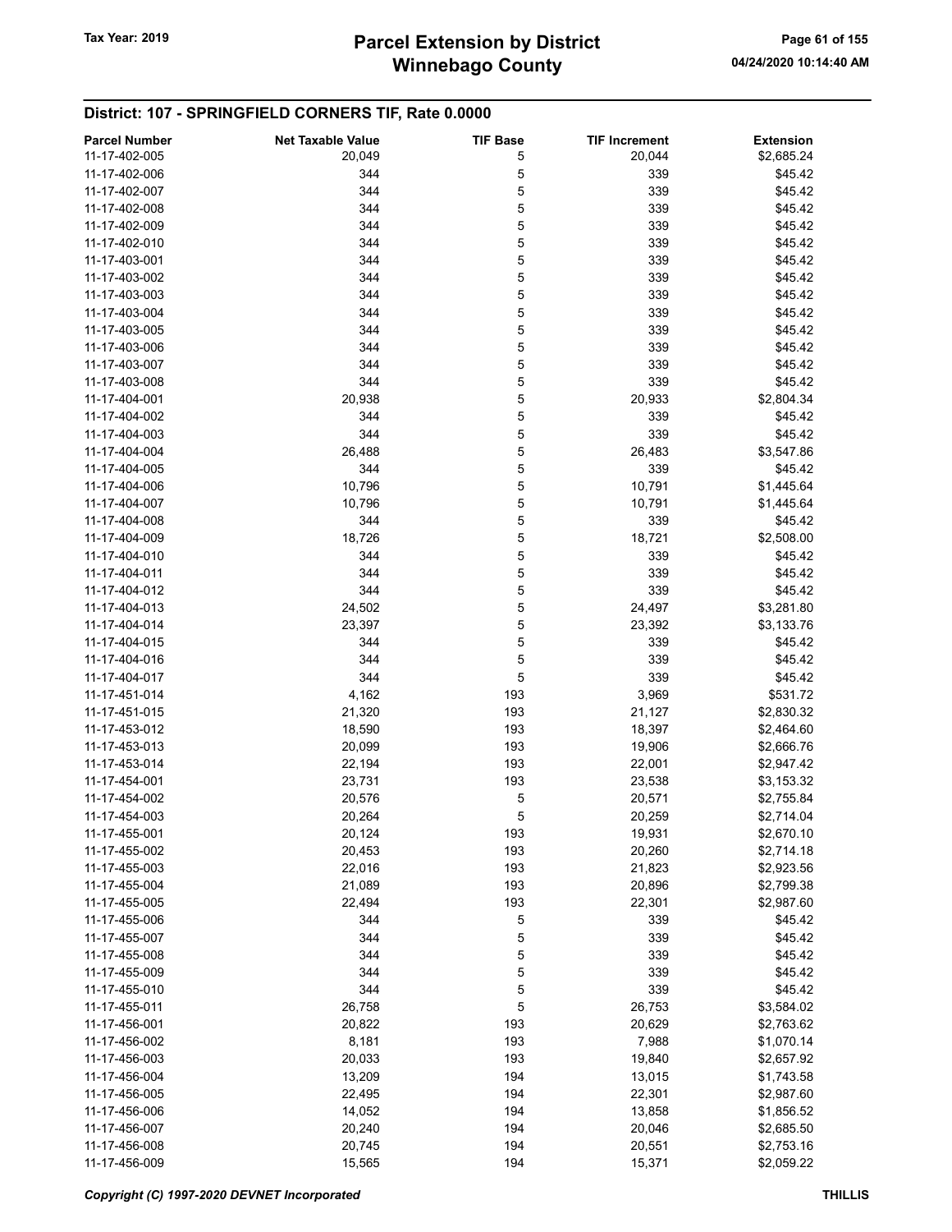## District: 107 - SPRINGFIELD CORNERS TIF, Rate 0.0000

| <b>Parcel Number</b> | <b>Net Taxable Value</b> | <b>TIF Base</b> | <b>TIF Increment</b> | <b>Extension</b> |
|----------------------|--------------------------|-----------------|----------------------|------------------|
| 11-17-402-005        | 20,049                   | 5               | 20,044               | \$2,685.24       |
| 11-17-402-006        | 344                      | 5               | 339                  | \$45.42          |
| 11-17-402-007        | 344                      | 5               | 339                  | \$45.42          |
| 11-17-402-008        | 344                      | 5               | 339                  | \$45.42          |
| 11-17-402-009        | 344                      | 5               | 339                  | \$45.42          |
|                      |                          |                 |                      |                  |
| 11-17-402-010        | 344                      | 5               | 339                  | \$45.42          |
| 11-17-403-001        | 344                      | 5               | 339                  | \$45.42          |
| 11-17-403-002        | 344                      | 5               | 339                  | \$45.42          |
| 11-17-403-003        | 344                      | 5               | 339                  | \$45.42          |
| 11-17-403-004        | 344                      | 5               | 339                  | \$45.42          |
| 11-17-403-005        | 344                      | 5               | 339                  | \$45.42          |
| 11-17-403-006        | 344                      | 5               | 339                  | \$45.42          |
| 11-17-403-007        | 344                      | 5               | 339                  | \$45.42          |
| 11-17-403-008        | 344                      | 5               | 339                  | \$45.42          |
| 11-17-404-001        | 20,938                   | 5               | 20,933               | \$2,804.34       |
| 11-17-404-002        | 344                      | 5               | 339                  | \$45.42          |
| 11-17-404-003        | 344                      | 5               | 339                  | \$45.42          |
|                      |                          |                 |                      |                  |
| 11-17-404-004        | 26,488                   | 5               | 26,483               | \$3,547.86       |
| 11-17-404-005        | 344                      | 5               | 339                  | \$45.42          |
| 11-17-404-006        | 10,796                   | 5               | 10,791               | \$1,445.64       |
| 11-17-404-007        | 10,796                   | 5               | 10,791               | \$1,445.64       |
| 11-17-404-008        | 344                      | 5               | 339                  | \$45.42          |
| 11-17-404-009        | 18,726                   | 5               | 18,721               | \$2,508.00       |
| 11-17-404-010        | 344                      | 5               | 339                  | \$45.42          |
| 11-17-404-011        | 344                      | 5               | 339                  | \$45.42          |
| 11-17-404-012        | 344                      | 5               | 339                  | \$45.42          |
| 11-17-404-013        | 24,502                   | 5               | 24,497               | \$3,281.80       |
| 11-17-404-014        | 23,397                   | 5               | 23,392               | \$3,133.76       |
| 11-17-404-015        | 344                      | 5               | 339                  | \$45.42          |
|                      |                          |                 |                      |                  |
| 11-17-404-016        | 344                      | 5               | 339                  | \$45.42          |
| 11-17-404-017        | 344                      | 5               | 339                  | \$45.42          |
| 11-17-451-014        | 4,162                    | 193             | 3,969                | \$531.72         |
| 11-17-451-015        | 21,320                   | 193             | 21,127               | \$2,830.32       |
| 11-17-453-012        | 18,590                   | 193             | 18,397               | \$2,464.60       |
| 11-17-453-013        | 20,099                   | 193             | 19,906               | \$2,666.76       |
| 11-17-453-014        | 22,194                   | 193             | 22,001               | \$2,947.42       |
| 11-17-454-001        | 23,731                   | 193             | 23,538               | \$3,153.32       |
| 11-17-454-002        | 20,576                   | 5               | 20,571               | \$2,755.84       |
| 11-17-454-003        | 20,264                   | 5               | 20,259               | \$2,714.04       |
| 11-17-455-001        | 20,124                   | 193             | 19,931               | \$2,670.10       |
| 11-17-455-002        | 20,453                   | 193             | 20,260               | \$2,714.18       |
| 11-17-455-003        |                          | 193             |                      |                  |
|                      | 22,016                   |                 | 21,823               | \$2,923.56       |
| 11-17-455-004        | 21,089                   | 193             | 20,896               | \$2,799.38       |
| 11-17-455-005        | 22,494                   | 193             | 22,301               | \$2,987.60       |
| 11-17-455-006        | 344                      | 5               | 339                  | \$45.42          |
| 11-17-455-007        | 344                      | 5               | 339                  | \$45.42          |
| 11-17-455-008        | 344                      | 5               | 339                  | \$45.42          |
| 11-17-455-009        | 344                      | 5               | 339                  | \$45.42          |
| 11-17-455-010        | 344                      | 5               | 339                  | \$45.42          |
| 11-17-455-011        | 26,758                   | 5               | 26,753               | \$3,584.02       |
| 11-17-456-001        | 20,822                   | 193             | 20,629               | \$2,763.62       |
| 11-17-456-002        | 8,181                    | 193             | 7,988                | \$1,070.14       |
| 11-17-456-003        | 20,033                   | 193             | 19,840               | \$2,657.92       |
| 11-17-456-004        | 13,209                   | 194             | 13,015               | \$1,743.58       |
| 11-17-456-005        | 22,495                   | 194             | 22,301               | \$2,987.60       |
|                      |                          | 194             |                      |                  |
| 11-17-456-006        | 14,052                   |                 | 13,858               | \$1,856.52       |
| 11-17-456-007        | 20,240                   | 194             | 20,046               | \$2,685.50       |
| 11-17-456-008        | 20,745                   | 194             | 20,551               | \$2,753.16       |
| 11-17-456-009        | 15,565                   | 194             | 15,371               | \$2,059.22       |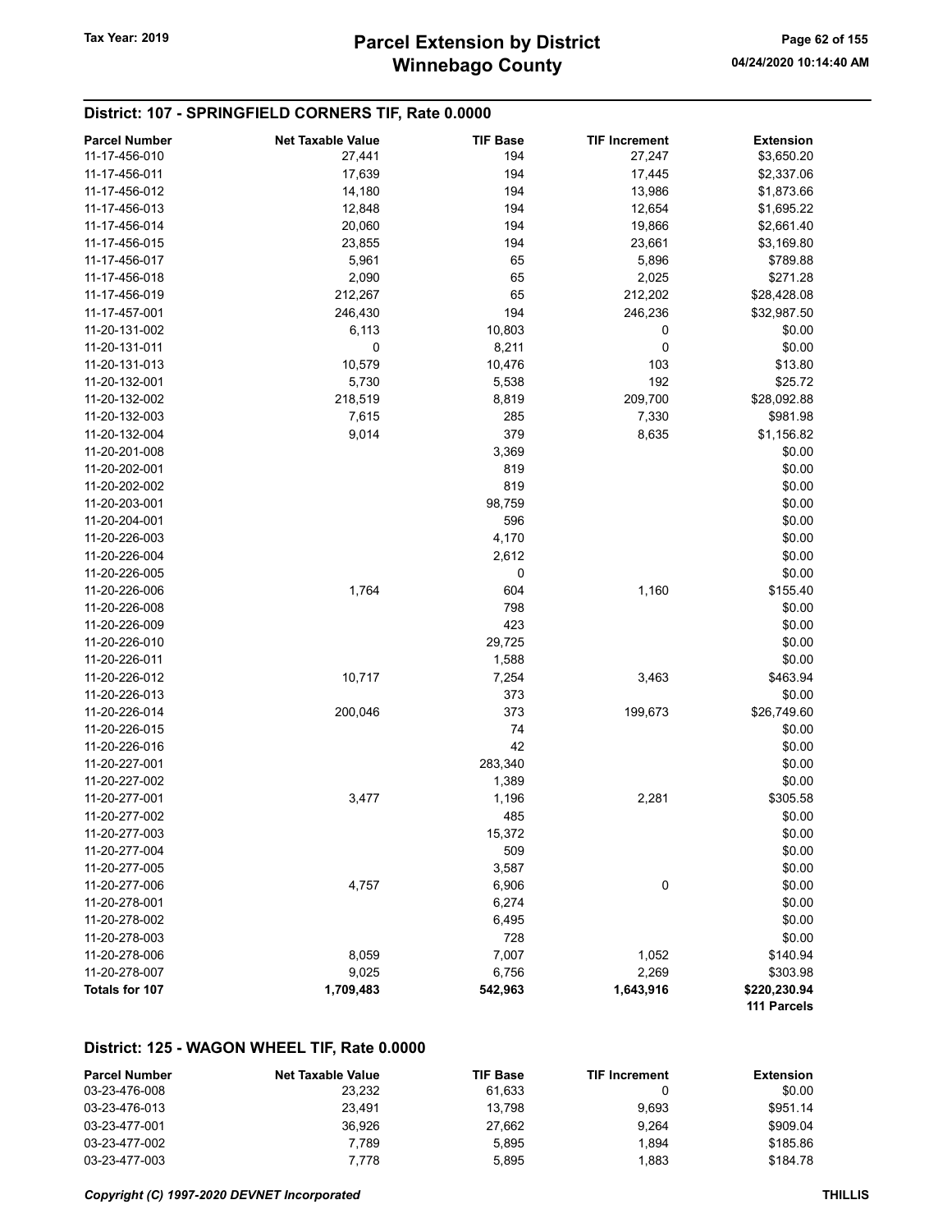# Winnebago County Tax Year: 2019 **Parcel Extension by District** Page 62 of 155

#### District: 107 - SPRINGFIELD CORNERS TIF, Rate 0.0000

| <b>Parcel Number</b> | <b>Net Taxable Value</b> | <b>TIF Base</b> | <b>TIF Increment</b> | <b>Extension</b> |
|----------------------|--------------------------|-----------------|----------------------|------------------|
| 11-17-456-010        | 27,441                   | 194             | 27,247               | \$3,650.20       |
| 11-17-456-011        | 17,639                   | 194             | 17,445               | \$2,337.06       |
| 11-17-456-012        | 14,180                   | 194             | 13,986               | \$1,873.66       |
| 11-17-456-013        | 12,848                   | 194             | 12,654               | \$1,695.22       |
| 11-17-456-014        | 20,060                   | 194             | 19,866               | \$2,661.40       |
| 11-17-456-015        | 23,855                   | 194             | 23,661               | \$3,169.80       |
| 11-17-456-017        | 5,961                    | 65              | 5,896                | \$789.88         |
| 11-17-456-018        | 2,090                    | 65              | 2,025                | \$271.28         |
| 11-17-456-019        | 212,267                  | 65              | 212,202              | \$28,428.08      |
| 11-17-457-001        | 246,430                  | 194             | 246,236              | \$32,987.50      |
| 11-20-131-002        | 6,113                    | 10,803          | 0                    | \$0.00           |
| 11-20-131-011        | 0                        | 8,211           | 0                    | \$0.00           |
| 11-20-131-013        | 10,579                   | 10,476          | 103                  | \$13.80          |
| 11-20-132-001        | 5,730                    | 5,538           | 192                  | \$25.72          |
| 11-20-132-002        | 218,519                  | 8,819           | 209,700              | \$28,092.88      |
| 11-20-132-003        | 7,615                    | 285             | 7,330                | \$981.98         |
| 11-20-132-004        | 9,014                    | 379             | 8,635                | \$1,156.82       |
| 11-20-201-008        |                          | 3,369           |                      | \$0.00           |
| 11-20-202-001        |                          | 819             |                      | \$0.00           |
| 11-20-202-002        |                          | 819             |                      | \$0.00           |
| 11-20-203-001        |                          | 98,759          |                      | \$0.00           |
| 11-20-204-001        |                          | 596             |                      | \$0.00           |
| 11-20-226-003        |                          | 4,170           |                      | \$0.00           |
| 11-20-226-004        |                          | 2,612           |                      | \$0.00           |
| 11-20-226-005        |                          | 0               |                      | \$0.00           |
| 11-20-226-006        | 1,764                    | 604             | 1,160                | \$155.40         |
| 11-20-226-008        |                          | 798             |                      | \$0.00           |
| 11-20-226-009        |                          | 423             |                      | \$0.00           |
| 11-20-226-010        |                          | 29,725          |                      | \$0.00           |
| 11-20-226-011        |                          | 1,588           |                      | \$0.00           |
| 11-20-226-012        | 10,717                   | 7,254           | 3,463                | \$463.94         |
| 11-20-226-013        |                          | 373             |                      | \$0.00           |
| 11-20-226-014        | 200,046                  | 373             | 199,673              | \$26,749.60      |
| 11-20-226-015        |                          | 74              |                      | \$0.00           |
| 11-20-226-016        |                          | 42              |                      | \$0.00           |
| 11-20-227-001        |                          | 283,340         |                      | \$0.00           |
| 11-20-227-002        |                          | 1,389           |                      | \$0.00           |
| 11-20-277-001        | 3,477                    | 1,196           | 2,281                | \$305.58         |
| 11-20-277-002        |                          | 485             |                      | \$0.00           |
| 11-20-277-003        |                          | 15,372          |                      | \$0.00           |
| 11-20-277-004        |                          | 509             |                      | \$0.00           |
| 11-20-277-005        |                          | 3,587           |                      | \$0.00           |
| 11-20-277-006        | 4,757                    | 6,906           | 0                    | \$0.00           |
| 11-20-278-001        |                          | 6,274           |                      | \$0.00           |
| 11-20-278-002        |                          | 6,495           |                      | \$0.00           |
| 11-20-278-003        |                          | 728             |                      | \$0.00           |
| 11-20-278-006        | 8,059                    | 7,007           | 1,052                | \$140.94         |
| 11-20-278-007        | 9,025                    | 6,756           | 2,269                | \$303.98         |
| Totals for 107       | 1,709,483                | 542,963         | 1,643,916            | \$220,230.94     |
|                      |                          |                 |                      | 111 Parcels      |

#### District: 125 - WAGON WHEEL TIF, Rate 0.0000

| <b>Parcel Number</b> | <b>Net Taxable Value</b> | <b>TIF Base</b> | <b>TIF Increment</b> | Extension |
|----------------------|--------------------------|-----------------|----------------------|-----------|
| 03-23-476-008        | 23.232                   | 61.633          |                      | \$0.00    |
| 03-23-476-013        | 23.491                   | 13.798          | 9.693                | \$951.14  |
| 03-23-477-001        | 36.926                   | 27.662          | 9.264                | \$909.04  |
| 03-23-477-002        | 7.789                    | 5.895           | 1.894                | \$185.86  |
| 03-23-477-003        | 7.778                    | 5.895           | 1.883                | \$184.78  |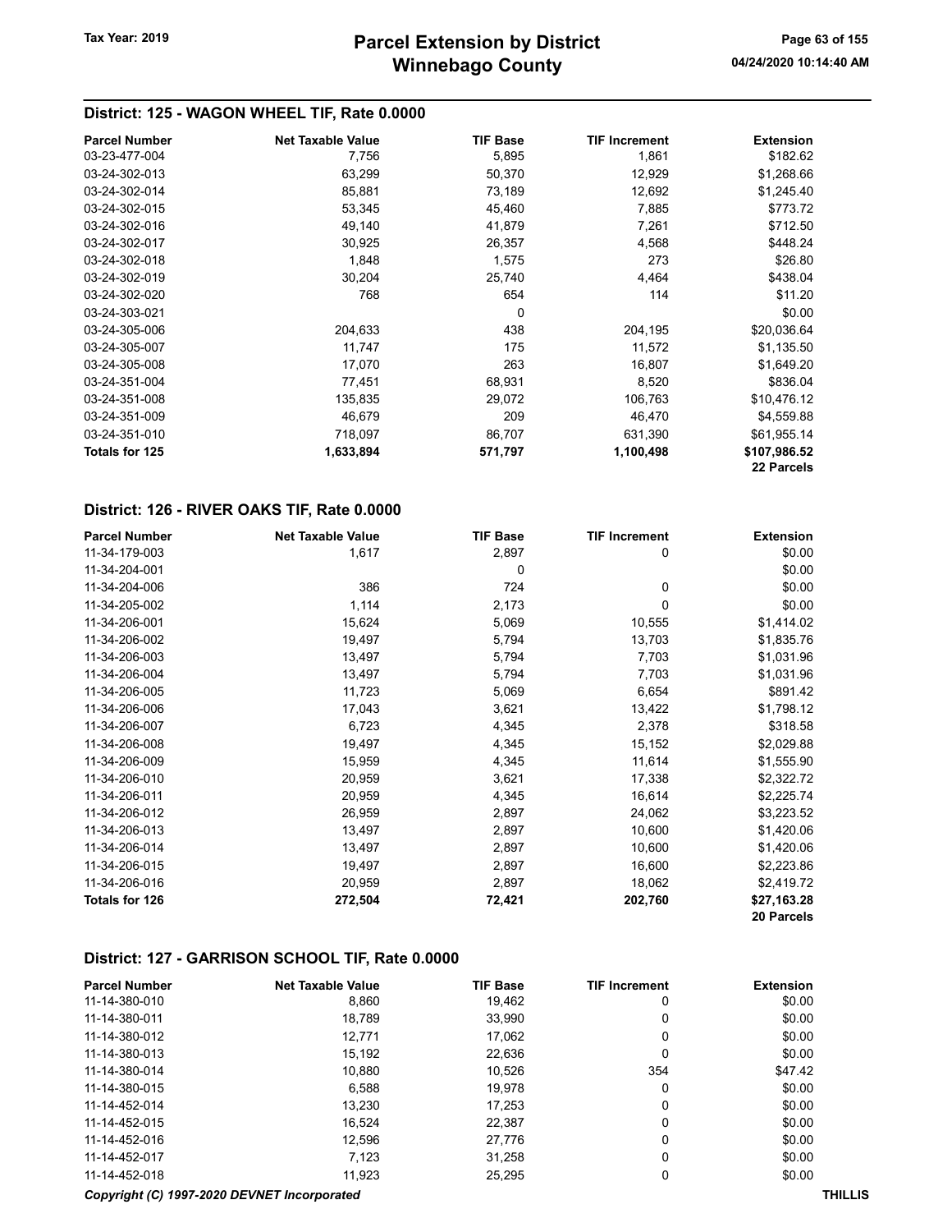## District: 125 - WAGON WHEEL TIF, Rate 0.0000

| <b>Parcel Number</b>  | <b>Net Taxable Value</b> | <b>TIF Base</b> | <b>TIF Increment</b> | <b>Extension</b> |
|-----------------------|--------------------------|-----------------|----------------------|------------------|
| 03-23-477-004         | 7,756                    | 5,895           | 1,861                | \$182.62         |
| 03-24-302-013         | 63,299                   | 50,370          | 12,929               | \$1,268.66       |
| 03-24-302-014         | 85,881                   | 73,189          | 12,692               | \$1,245.40       |
| 03-24-302-015         | 53,345                   | 45,460          | 7,885                | \$773.72         |
| 03-24-302-016         | 49,140                   | 41,879          | 7,261                | \$712.50         |
| 03-24-302-017         | 30.925                   | 26,357          | 4,568                | \$448.24         |
| 03-24-302-018         | 1,848                    | 1,575           | 273                  | \$26.80          |
| 03-24-302-019         | 30,204                   | 25,740          | 4,464                | \$438.04         |
| 03-24-302-020         | 768                      | 654             | 114                  | \$11.20          |
| 03-24-303-021         |                          | 0               |                      | \$0.00           |
| 03-24-305-006         | 204,633                  | 438             | 204,195              | \$20,036.64      |
| 03-24-305-007         | 11,747                   | 175             | 11,572               | \$1,135.50       |
| 03-24-305-008         | 17,070                   | 263             | 16,807               | \$1,649.20       |
| 03-24-351-004         | 77,451                   | 68,931          | 8,520                | \$836.04         |
| 03-24-351-008         | 135,835                  | 29,072          | 106,763              | \$10,476.12      |
| 03-24-351-009         | 46,679                   | 209             | 46,470               | \$4,559.88       |
| 03-24-351-010         | 718,097                  | 86,707          | 631,390              | \$61,955.14      |
| <b>Totals for 125</b> | 1,633,894                | 571,797         | 1,100,498            | \$107,986.52     |
|                       |                          |                 |                      | 22 Parcels       |

#### District: 126 - RIVER OAKS TIF, Rate 0.0000

| <b>Parcel Number</b>  | <b>Net Taxable Value</b> | <b>TIF Base</b> | <b>TIF Increment</b> | <b>Extension</b> |
|-----------------------|--------------------------|-----------------|----------------------|------------------|
| 11-34-179-003         | 1,617                    | 2,897           | 0                    | \$0.00           |
| 11-34-204-001         |                          | 0               |                      | \$0.00           |
| 11-34-204-006         | 386                      | 724             | 0                    | \$0.00           |
| 11-34-205-002         | 1,114                    | 2,173           | 0                    | \$0.00           |
| 11-34-206-001         | 15,624                   | 5,069           | 10,555               | \$1,414.02       |
| 11-34-206-002         | 19,497                   | 5,794           | 13,703               | \$1,835.76       |
| 11-34-206-003         | 13,497                   | 5,794           | 7,703                | \$1,031.96       |
| 11-34-206-004         | 13,497                   | 5,794           | 7,703                | \$1,031.96       |
| 11-34-206-005         | 11,723                   | 5,069           | 6,654                | \$891.42         |
| 11-34-206-006         | 17,043                   | 3,621           | 13,422               | \$1,798.12       |
| 11-34-206-007         | 6,723                    | 4,345           | 2,378                | \$318.58         |
| 11-34-206-008         | 19,497                   | 4,345           | 15,152               | \$2,029.88       |
| 11-34-206-009         | 15,959                   | 4,345           | 11,614               | \$1,555.90       |
| 11-34-206-010         | 20,959                   | 3,621           | 17,338               | \$2,322.72       |
| 11-34-206-011         | 20,959                   | 4,345           | 16,614               | \$2,225.74       |
| 11-34-206-012         | 26,959                   | 2,897           | 24,062               | \$3,223.52       |
| 11-34-206-013         | 13,497                   | 2,897           | 10,600               | \$1,420.06       |
| 11-34-206-014         | 13,497                   | 2,897           | 10,600               | \$1,420.06       |
| 11-34-206-015         | 19,497                   | 2,897           | 16,600               | \$2,223.86       |
| 11-34-206-016         | 20,959                   | 2,897           | 18,062               | \$2,419.72       |
| <b>Totals for 126</b> | 272,504                  | 72,421          | 202,760              | \$27,163.28      |
|                       |                          |                 |                      | 20 Parcels       |

#### District: 127 - GARRISON SCHOOL TIF, Rate 0.0000

| <b>Parcel Number</b> | <b>Net Taxable Value</b>                    | <b>TIF Base</b> | <b>TIF Increment</b> | <b>Extension</b> |
|----------------------|---------------------------------------------|-----------------|----------------------|------------------|
| 11-14-380-010        | 8,860                                       | 19.462          | 0                    | \$0.00           |
| 11-14-380-011        | 18.789                                      | 33,990          | 0                    | \$0.00           |
| 11-14-380-012        | 12.771                                      | 17,062          | 0                    | \$0.00           |
| 11-14-380-013        | 15,192                                      | 22,636          | 0                    | \$0.00           |
| 11-14-380-014        | 10.880                                      | 10.526          | 354                  | \$47.42          |
| 11-14-380-015        | 6,588                                       | 19,978          | 0                    | \$0.00           |
| 11-14-452-014        | 13.230                                      | 17,253          | $\mathbf{0}$         | \$0.00           |
| 11-14-452-015        | 16.524                                      | 22.387          | $\mathbf{0}$         | \$0.00           |
| 11-14-452-016        | 12.596                                      | 27,776          | $\mathbf{0}$         | \$0.00           |
| 11-14-452-017        | 7.123                                       | 31,258          | 0                    | \$0.00           |
| 11-14-452-018        | 11.923                                      | 25,295          | 0                    | \$0.00           |
|                      | Copyright (C) 1997-2020 DEVNET Incorporated |                 |                      | <b>THILLIS</b>   |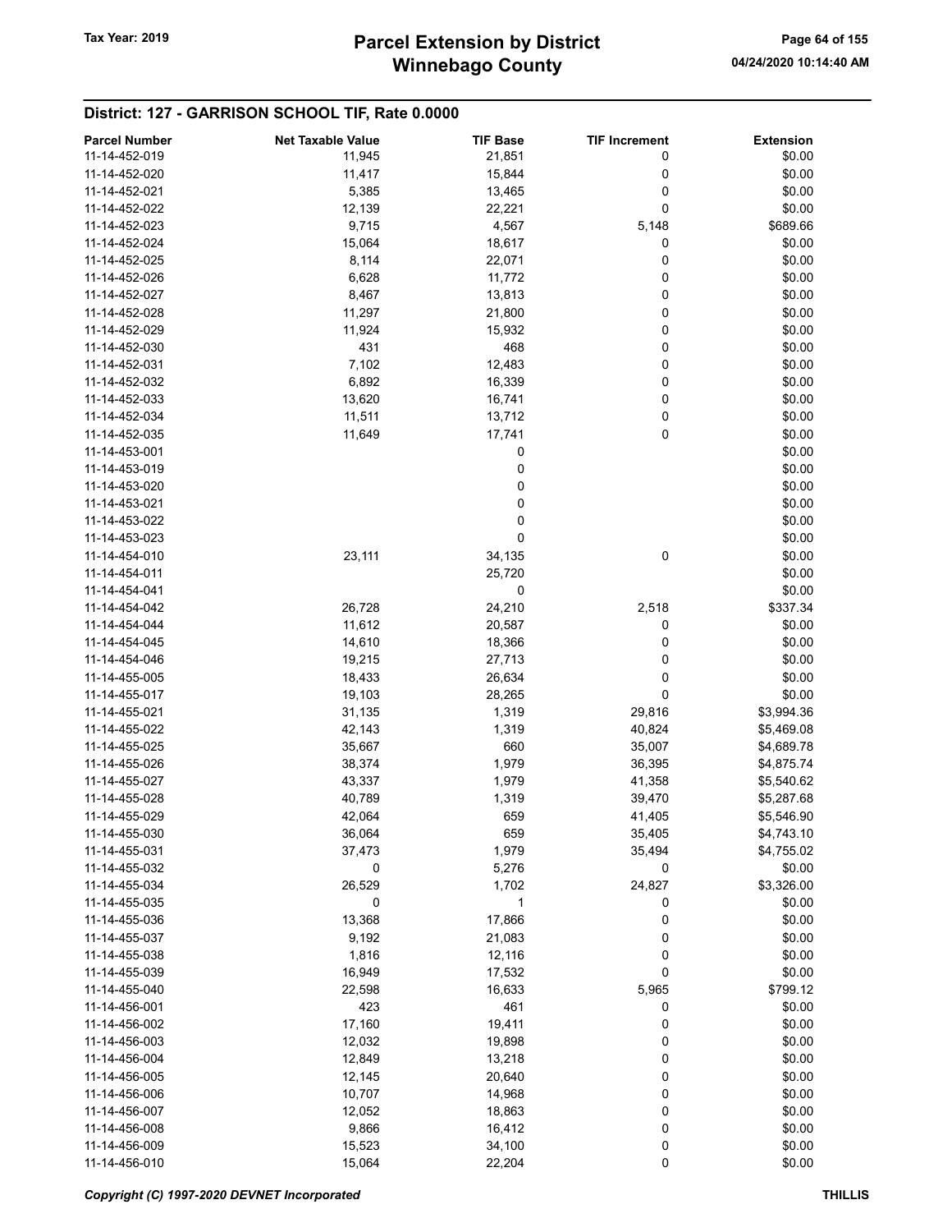#### District: 127 - GARRISON SCHOOL TIF, Rate 0.0000

| <b>Parcel Number</b> | <b>Net Taxable Value</b> | <b>TIF Base</b> | <b>TIF Increment</b> | <b>Extension</b> |
|----------------------|--------------------------|-----------------|----------------------|------------------|
| 11-14-452-019        | 11,945                   | 21,851          | 0                    | \$0.00           |
| 11-14-452-020        | 11,417                   | 15,844          | 0                    | \$0.00           |
| 11-14-452-021        | 5,385                    | 13,465          | 0                    | \$0.00           |
| 11-14-452-022        | 12,139                   | 22,221          | 0                    | \$0.00           |
| 11-14-452-023        |                          |                 |                      |                  |
|                      | 9,715                    | 4,567           | 5,148                | \$689.66         |
| 11-14-452-024        | 15,064                   | 18,617          | 0                    | \$0.00           |
| 11-14-452-025        | 8,114                    | 22,071          | 0                    | \$0.00           |
| 11-14-452-026        | 6,628                    | 11,772          | 0                    | \$0.00           |
| 11-14-452-027        | 8,467                    | 13,813          | 0                    | \$0.00           |
| 11-14-452-028        | 11,297                   | 21,800          | 0                    | \$0.00           |
| 11-14-452-029        | 11,924                   | 15,932          | 0                    | \$0.00           |
| 11-14-452-030        | 431                      | 468             | 0                    | \$0.00           |
| 11-14-452-031        | 7,102                    | 12,483          | 0                    | \$0.00           |
| 11-14-452-032        | 6,892                    | 16,339          | 0                    | \$0.00           |
| 11-14-452-033        | 13,620                   | 16,741          | 0                    | \$0.00           |
| 11-14-452-034        | 11,511                   | 13,712          | 0                    | \$0.00           |
| 11-14-452-035        | 11,649                   | 17,741          | 0                    | \$0.00           |
| 11-14-453-001        |                          | 0               |                      | \$0.00           |
| 11-14-453-019        |                          | 0               |                      | \$0.00           |
| 11-14-453-020        |                          | 0               |                      | \$0.00           |
| 11-14-453-021        |                          | 0               |                      | \$0.00           |
| 11-14-453-022        |                          | 0               |                      | \$0.00           |
| 11-14-453-023        |                          | 0               |                      | \$0.00           |
| 11-14-454-010        | 23,111                   | 34,135          | 0                    | \$0.00           |
| 11-14-454-011        |                          | 25,720          |                      | \$0.00           |
| 11-14-454-041        |                          | 0               |                      | \$0.00           |
| 11-14-454-042        | 26,728                   | 24,210          | 2,518                | \$337.34         |
| 11-14-454-044        | 11,612                   | 20,587          | 0                    | \$0.00           |
| 11-14-454-045        | 14,610                   | 18,366          | 0                    | \$0.00           |
| 11-14-454-046        | 19,215                   | 27,713          | 0                    | \$0.00           |
| 11-14-455-005        | 18,433                   | 26,634          | 0                    | \$0.00           |
| 11-14-455-017        | 19,103                   | 28,265          | 0                    | \$0.00           |
| 11-14-455-021        | 31,135                   | 1,319           | 29,816               | \$3,994.36       |
| 11-14-455-022        | 42,143                   | 1,319           | 40,824               | \$5,469.08       |
| 11-14-455-025        | 35,667                   | 660             | 35,007               | \$4,689.78       |
| 11-14-455-026        | 38,374                   | 1,979           | 36,395               | \$4,875.74       |
|                      |                          |                 |                      |                  |
| 11-14-455-027        | 43,337                   | 1,979           | 41,358               | \$5,540.62       |
| 11-14-455-028        | 40,789                   | 1,319           | 39,470               | \$5,287.68       |
| 11-14-455-029        | 42,064                   | 659             | 41,405               | \$5,546.90       |
| 11-14-455-030        | 36,064                   | 659             | 35,405               | \$4,743.10       |
| 11-14-455-031        | 37,473                   | 1,979           | 35,494               | \$4,755.02       |
| 11-14-455-032        | 0                        | 5,276           | 0                    | \$0.00           |
| 11-14-455-034        | 26,529                   | 1,702           | 24,827               | \$3,326.00       |
| 11-14-455-035        | 0                        | 1               | 0                    | \$0.00           |
| 11-14-455-036        | 13,368                   | 17,866          | 0                    | \$0.00           |
| 11-14-455-037        | 9,192                    | 21,083          | 0                    | \$0.00           |
| 11-14-455-038        | 1,816                    | 12,116          | 0                    | \$0.00           |
| 11-14-455-039        | 16,949                   | 17,532          | 0                    | \$0.00           |
| 11-14-455-040        | 22,598                   | 16,633          | 5,965                | \$799.12         |
| 11-14-456-001        | 423                      | 461             | 0                    | \$0.00           |
| 11-14-456-002        | 17,160                   | 19,411          | 0                    | \$0.00           |
| 11-14-456-003        | 12,032                   | 19,898          | 0                    | \$0.00           |
| 11-14-456-004        | 12,849                   | 13,218          | 0                    | \$0.00           |
| 11-14-456-005        | 12,145                   | 20,640          | 0                    | \$0.00           |
| 11-14-456-006        | 10,707                   | 14,968          | 0                    | \$0.00           |
| 11-14-456-007        | 12,052                   | 18,863          | 0                    | \$0.00           |
| 11-14-456-008        | 9,866                    | 16,412          | 0                    | \$0.00           |
| 11-14-456-009        | 15,523                   | 34,100          | 0                    | \$0.00           |
| 11-14-456-010        | 15,064                   | 22,204          | 0                    | \$0.00           |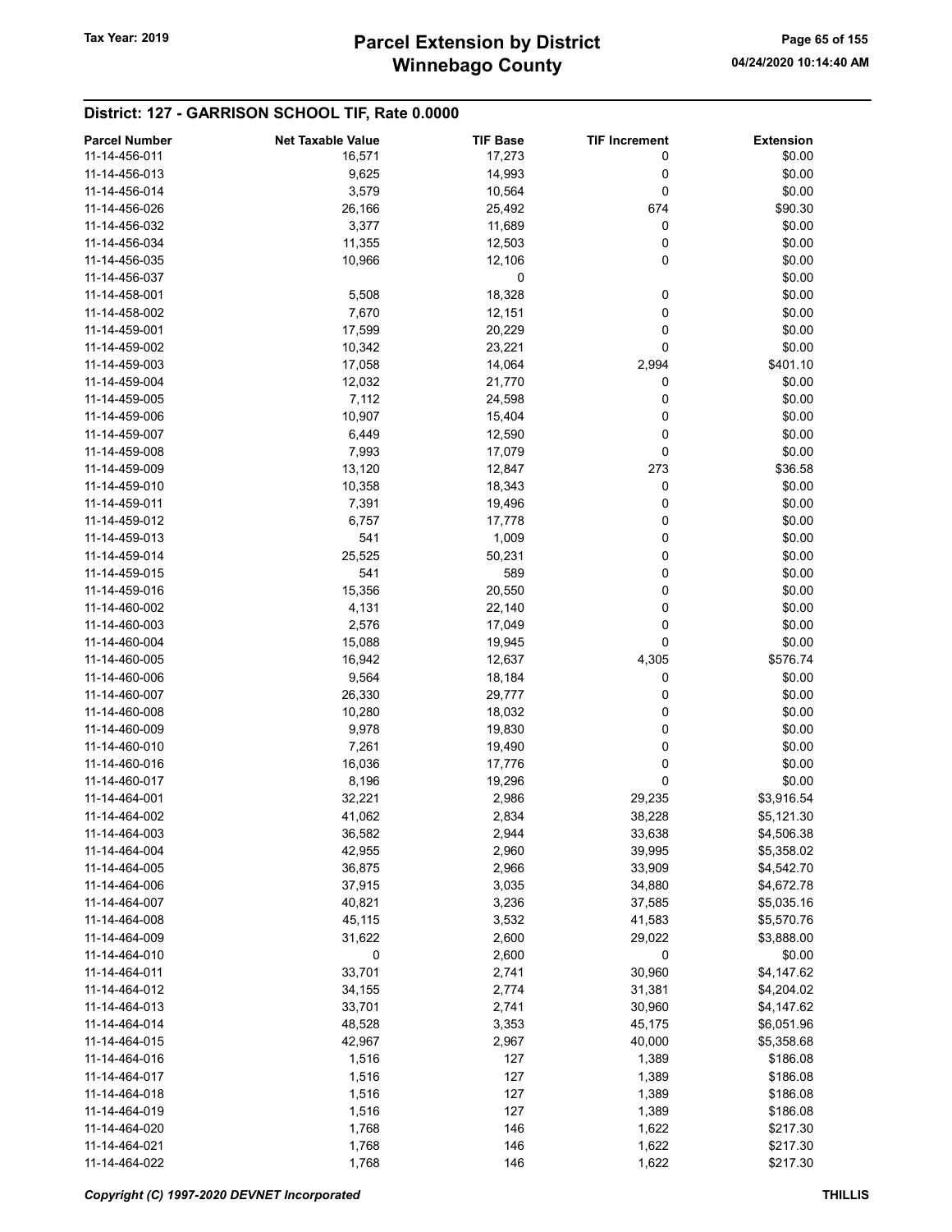## District: 127 - GARRISON SCHOOL TIF, Rate 0.0000

| <b>Parcel Number</b> | <b>Net Taxable Value</b> | <b>TIF Base</b> | <b>TIF Increment</b> | <b>Extension</b> |
|----------------------|--------------------------|-----------------|----------------------|------------------|
| 11-14-456-011        | 16,571                   | 17,273          | 0                    | \$0.00           |
| 11-14-456-013        | 9,625                    | 14,993          | 0                    | \$0.00           |
| 11-14-456-014        | 3,579                    | 10,564          | 0                    | \$0.00           |
| 11-14-456-026        | 26,166                   | 25,492          | 674                  | \$90.30          |
| 11-14-456-032        | 3,377                    | 11,689          | 0                    | \$0.00           |
| 11-14-456-034        | 11,355                   | 12,503          | 0                    | \$0.00           |
| 11-14-456-035        | 10,966                   | 12,106          | 0                    | \$0.00           |
| 11-14-456-037        |                          | 0               |                      | \$0.00           |
| 11-14-458-001        | 5,508                    | 18,328          | 0                    | \$0.00           |
|                      |                          |                 |                      |                  |
| 11-14-458-002        | 7,670                    | 12,151          | 0                    | \$0.00           |
| 11-14-459-001        | 17,599                   | 20,229          | 0                    | \$0.00           |
| 11-14-459-002        | 10,342                   | 23,221          | 0                    | \$0.00           |
| 11-14-459-003        | 17,058                   | 14,064          | 2,994                | \$401.10         |
| 11-14-459-004        | 12,032                   | 21,770          | 0                    | \$0.00           |
| 11-14-459-005        | 7,112                    | 24,598          | 0                    | \$0.00           |
| 11-14-459-006        | 10,907                   | 15,404          | 0                    | \$0.00           |
| 11-14-459-007        | 6,449                    | 12,590          | 0                    | \$0.00           |
| 11-14-459-008        | 7,993                    | 17,079          | 0                    | \$0.00           |
| 11-14-459-009        | 13,120                   | 12,847          | 273                  | \$36.58          |
| 11-14-459-010        | 10,358                   | 18,343          | 0                    | \$0.00           |
| 11-14-459-011        | 7,391                    | 19,496          | 0                    | \$0.00           |
| 11-14-459-012        | 6,757                    | 17,778          | 0                    | \$0.00           |
| 11-14-459-013        | 541                      | 1,009           | 0                    | \$0.00           |
| 11-14-459-014        | 25,525                   | 50,231          | 0                    | \$0.00           |
| 11-14-459-015        | 541                      | 589             | 0                    | \$0.00           |
| 11-14-459-016        | 15,356                   | 20,550          | 0                    | \$0.00           |
| 11-14-460-002        | 4,131                    | 22,140          | 0                    | \$0.00           |
| 11-14-460-003        | 2,576                    | 17,049          | 0                    | \$0.00           |
| 11-14-460-004        | 15,088                   | 19,945          | 0                    | \$0.00           |
| 11-14-460-005        | 16,942                   | 12,637          | 4,305                | \$576.74         |
| 11-14-460-006        | 9,564                    | 18,184          | 0                    | \$0.00           |
| 11-14-460-007        | 26,330                   | 29,777          | 0                    | \$0.00           |
| 11-14-460-008        | 10,280                   | 18,032          | 0                    | \$0.00           |
| 11-14-460-009        | 9,978                    | 19,830          | 0                    | \$0.00           |
| 11-14-460-010        | 7,261                    | 19,490          | 0                    | \$0.00           |
| 11-14-460-016        | 16,036                   | 17,776          | 0                    | \$0.00           |
| 11-14-460-017        | 8,196                    | 19,296          | 0                    | \$0.00           |
| 11-14-464-001        | 32,221                   | 2,986           | 29,235               | \$3,916.54       |
| 11-14-464-002        | 41,062                   | 2,834           | 38,228               | \$5,121.30       |
| 11-14-464-003        | 36,582                   | 2,944           | 33,638               | \$4,506.38       |
| 11-14-464-004        | 42,955                   | 2,960           | 39,995               | \$5,358.02       |
| 11-14-464-005        | 36,875                   |                 | 33,909               | \$4,542.70       |
|                      |                          | 2,966           |                      |                  |
| 11-14-464-006        | 37,915                   | 3,035           | 34,880               | \$4,672.78       |
| 11-14-464-007        | 40,821                   | 3,236           | 37,585               | \$5,035.16       |
| 11-14-464-008        | 45,115                   | 3,532           | 41,583               | \$5,570.76       |
| 11-14-464-009        | 31,622                   | 2,600           | 29,022               | \$3,888.00       |
| 11-14-464-010        | 0                        | 2,600           | 0                    | \$0.00           |
| 11-14-464-011        | 33,701                   | 2,741           | 30,960               | \$4,147.62       |
| 11-14-464-012        | 34,155                   | 2,774           | 31,381               | \$4,204.02       |
| 11-14-464-013        | 33,701                   | 2,741           | 30,960               | \$4,147.62       |
| 11-14-464-014        | 48,528                   | 3,353           | 45,175               | \$6,051.96       |
| 11-14-464-015        | 42,967                   | 2,967           | 40,000               | \$5,358.68       |
| 11-14-464-016        | 1,516                    | 127             | 1,389                | \$186.08         |
| 11-14-464-017        | 1,516                    | 127             | 1,389                | \$186.08         |
| 11-14-464-018        | 1,516                    | 127             | 1,389                | \$186.08         |
| 11-14-464-019        | 1,516                    | 127             | 1,389                | \$186.08         |
| 11-14-464-020        | 1,768                    | 146             | 1,622                | \$217.30         |
| 11-14-464-021        | 1,768                    | 146             | 1,622                | \$217.30         |
| 11-14-464-022        | 1,768                    | 146             | 1,622                | \$217.30         |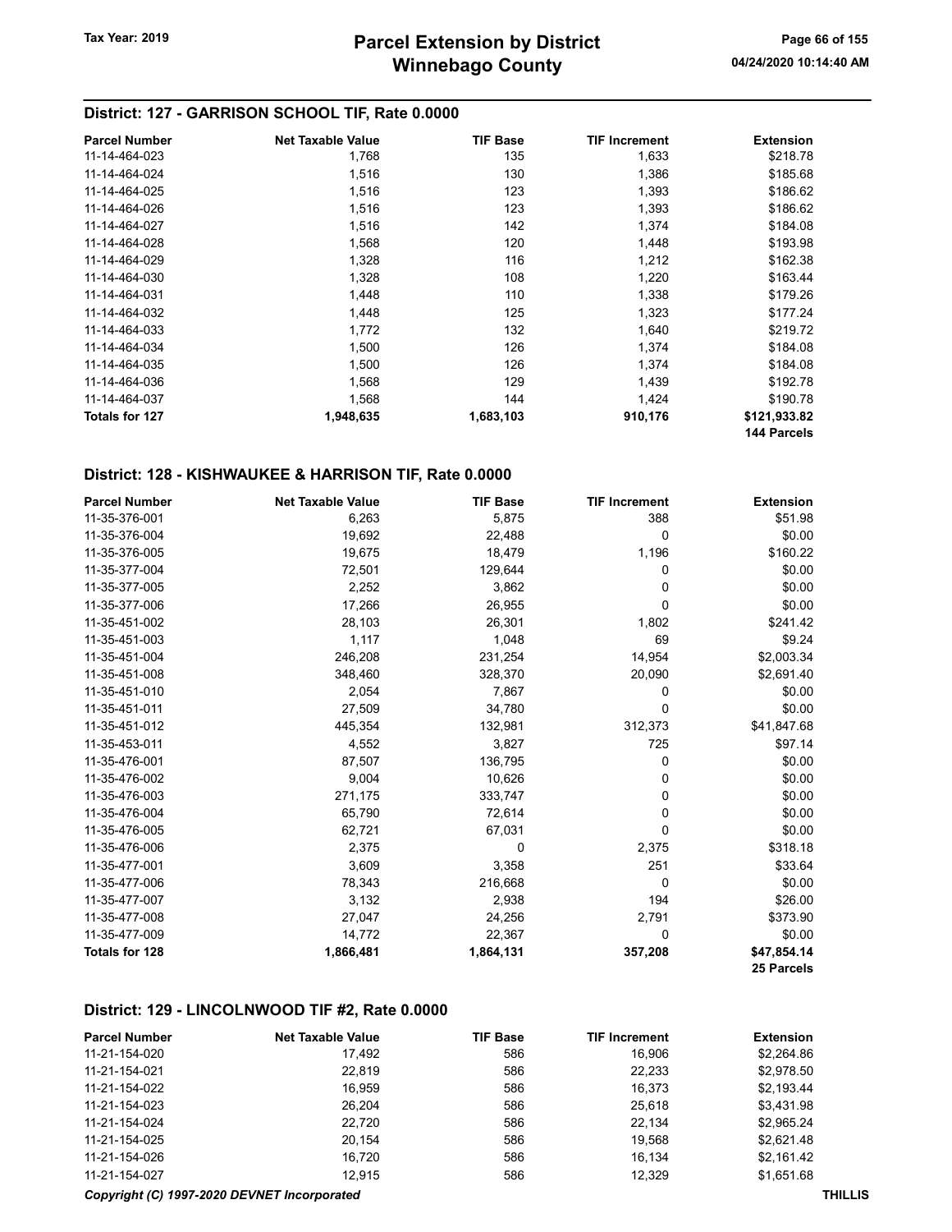#### District: 127 - GARRISON SCHOOL TIF, Rate 0.0000

| <b>Parcel Number</b>  | <b>Net Taxable Value</b> | <b>TIF Base</b> | <b>TIF Increment</b> | <b>Extension</b> |
|-----------------------|--------------------------|-----------------|----------------------|------------------|
| 11-14-464-023         | 1,768                    | 135             | 1,633                | \$218.78         |
| 11-14-464-024         | 1,516                    | 130             | 1,386                | \$185.68         |
| 11-14-464-025         | 1,516                    | 123             | 1,393                | \$186.62         |
| 11-14-464-026         | 1,516                    | 123             | 1,393                | \$186.62         |
| 11-14-464-027         | 1,516                    | 142             | 1,374                | \$184.08         |
| 11-14-464-028         | 1,568                    | 120             | 1,448                | \$193.98         |
| 11-14-464-029         | 1,328                    | 116             | 1,212                | \$162.38         |
| 11-14-464-030         | 1,328                    | 108             | 1,220                | \$163.44         |
| 11-14-464-031         | 1,448                    | 110             | 1,338                | \$179.26         |
| 11-14-464-032         | 1,448                    | 125             | 1,323                | \$177.24         |
| 11-14-464-033         | 1,772                    | 132             | 1,640                | \$219.72         |
| 11-14-464-034         | 1,500                    | 126             | 1,374                | \$184.08         |
| 11-14-464-035         | 1,500                    | 126             | 1,374                | \$184.08         |
| 11-14-464-036         | 1,568                    | 129             | 1,439                | \$192.78         |
| 11-14-464-037         | 1,568                    | 144             | 1,424                | \$190.78         |
| <b>Totals for 127</b> | 1,948,635                | 1,683,103       | 910,176              | \$121,933.82     |
|                       |                          |                 |                      | 144 Parcels      |

## District: 128 - KISHWAUKEE & HARRISON TIF, Rate 0.0000

| <b>Parcel Number</b>  | <b>Net Taxable Value</b> | <b>TIF Base</b> | <b>TIF Increment</b> | <b>Extension</b> |
|-----------------------|--------------------------|-----------------|----------------------|------------------|
| 11-35-376-001         | 6,263                    | 5,875           | 388                  | \$51.98          |
| 11-35-376-004         | 19,692                   | 22,488          | 0                    | \$0.00           |
| 11-35-376-005         | 19,675                   | 18,479          | 1,196                | \$160.22         |
| 11-35-377-004         | 72,501                   | 129,644         | 0                    | \$0.00           |
| 11-35-377-005         | 2,252                    | 3,862           | 0                    | \$0.00           |
| 11-35-377-006         | 17,266                   | 26,955          | 0                    | \$0.00           |
| 11-35-451-002         | 28,103                   | 26,301          | 1,802                | \$241.42         |
| 11-35-451-003         | 1,117                    | 1,048           | 69                   | \$9.24           |
| 11-35-451-004         | 246,208                  | 231,254         | 14,954               | \$2,003.34       |
| 11-35-451-008         | 348,460                  | 328,370         | 20,090               | \$2,691.40       |
| 11-35-451-010         | 2,054                    | 7,867           | 0                    | \$0.00           |
| 11-35-451-011         | 27,509                   | 34,780          | 0                    | \$0.00           |
| 11-35-451-012         | 445,354                  | 132,981         | 312,373              | \$41,847.68      |
| 11-35-453-011         | 4,552                    | 3,827           | 725                  | \$97.14          |
| 11-35-476-001         | 87,507                   | 136,795         | 0                    | \$0.00           |
| 11-35-476-002         | 9,004                    | 10,626          | 0                    | \$0.00           |
| 11-35-476-003         | 271,175                  | 333,747         | 0                    | \$0.00           |
| 11-35-476-004         | 65,790                   | 72,614          | 0                    | \$0.00           |
| 11-35-476-005         | 62,721                   | 67,031          | 0                    | \$0.00           |
| 11-35-476-006         | 2,375                    | 0               | 2,375                | \$318.18         |
| 11-35-477-001         | 3,609                    | 3,358           | 251                  | \$33.64          |
| 11-35-477-006         | 78,343                   | 216,668         | 0                    | \$0.00           |
| 11-35-477-007         | 3,132                    | 2,938           | 194                  | \$26.00          |
| 11-35-477-008         | 27,047                   | 24,256          | 2,791                | \$373.90         |
| 11-35-477-009         | 14,772                   | 22,367          | $\mathbf 0$          | \$0.00           |
| <b>Totals for 128</b> | 1,866,481                | 1,864,131       | 357,208              | \$47,854.14      |
|                       |                          |                 |                      | 25 Parcels       |

#### District: 129 - LINCOLNWOOD TIF #2, Rate 0.0000

| <b>Parcel Number</b> | <b>Net Taxable Value</b> | <b>TIF Base</b> | <b>TIF Increment</b> | <b>Extension</b> |
|----------------------|--------------------------|-----------------|----------------------|------------------|
| 11-21-154-020        | 17.492                   | 586             | 16.906               | \$2,264.86       |
| 11-21-154-021        | 22,819                   | 586             | 22,233               | \$2,978.50       |
| 11-21-154-022        | 16.959                   | 586             | 16,373               | \$2,193.44       |
| 11-21-154-023        | 26.204                   | 586             | 25,618               | \$3.431.98       |
| 11-21-154-024        | 22.720                   | 586             | 22.134               | \$2.965.24       |
| 11-21-154-025        | 20.154                   | 586             | 19.568               | \$2,621.48       |
| 11-21-154-026        | 16.720                   | 586             | 16.134               | \$2.161.42       |
| 11-21-154-027        | 12.915                   | 586             | 12.329               | \$1,651.68       |

#### Copyright (C) 1997-2020 DEVNET Incorporated THILLIS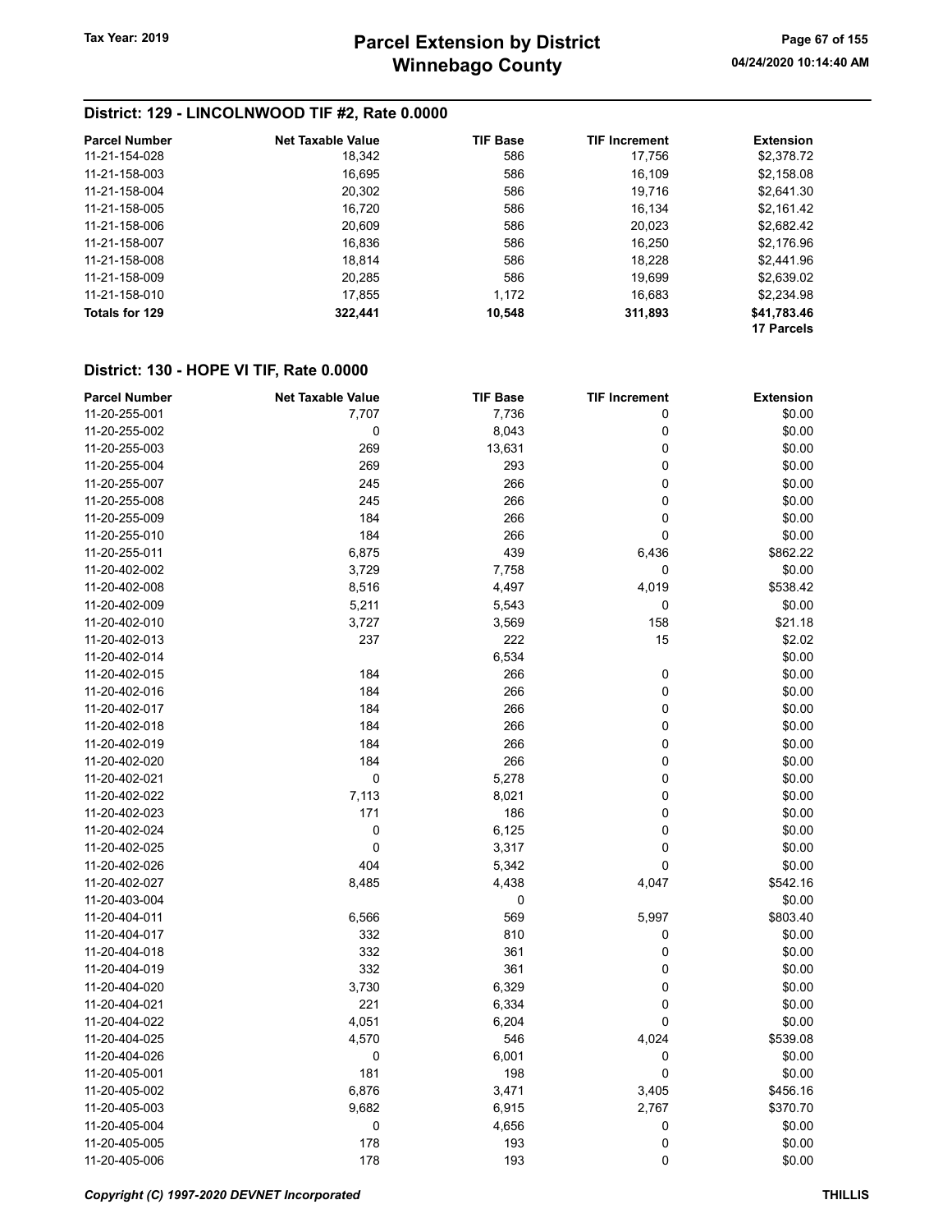## District: 129 - LINCOLNWOOD TIF #2, Rate 0.0000

| <b>Parcel Number</b> | <b>Net Taxable Value</b> | <b>TIF Base</b> | <b>TIF Increment</b> | <b>Extension</b> |
|----------------------|--------------------------|-----------------|----------------------|------------------|
| 11-21-154-028        | 18,342                   | 586             | 17.756               | \$2,378.72       |
| 11-21-158-003        | 16,695                   | 586             | 16,109               | \$2,158.08       |
| 11-21-158-004        | 20,302                   | 586             | 19,716               | \$2,641.30       |
| 11-21-158-005        | 16.720                   | 586             | 16,134               | \$2,161.42       |
| 11-21-158-006        | 20,609                   | 586             | 20,023               | \$2,682.42       |
| 11-21-158-007        | 16,836                   | 586             | 16,250               | \$2,176.96       |
| 11-21-158-008        | 18,814                   | 586             | 18,228               | \$2,441.96       |
| 11-21-158-009        | 20,285                   | 586             | 19,699               | \$2,639.02       |
| 11-21-158-010        | 17,855                   | 1.172           | 16,683               | \$2,234.98       |
| Totals for 129       | 322,441                  | 10,548          | 311,893              | \$41,783.46      |
|                      |                          |                 |                      | 17 Parcels       |

| <b>Parcel Number</b> | <b>Net Taxable Value</b> | <b>TIF Base</b> | <b>TIF Increment</b> | <b>Extension</b> |
|----------------------|--------------------------|-----------------|----------------------|------------------|
| 11-20-255-001        | 7,707                    | 7,736           | 0                    | \$0.00           |
| 11-20-255-002        | 0                        | 8,043           | 0                    | \$0.00           |
| 11-20-255-003        | 269                      | 13,631          | 0                    | \$0.00           |
| 11-20-255-004        | 269                      | 293             | 0                    | \$0.00           |
| 11-20-255-007        | 245                      | 266             | 0                    | \$0.00           |
| 11-20-255-008        | 245                      | 266             | 0                    | \$0.00           |
| 11-20-255-009        | 184                      | 266             | 0                    | \$0.00           |
| 11-20-255-010        | 184                      | 266             | 0                    | \$0.00           |
| 11-20-255-011        | 6,875                    | 439             | 6,436                | \$862.22         |
| 11-20-402-002        | 3,729                    | 7,758           | 0                    | \$0.00           |
| 11-20-402-008        | 8,516                    | 4,497           | 4,019                | \$538.42         |
| 11-20-402-009        | 5,211                    | 5,543           | 0                    | \$0.00           |
| 11-20-402-010        | 3,727                    | 3,569           | 158                  | \$21.18          |
| 11-20-402-013        | 237                      | 222             | 15                   | \$2.02           |
| 11-20-402-014        |                          | 6,534           |                      | \$0.00           |
| 11-20-402-015        | 184                      | 266             | 0                    | \$0.00           |
| 11-20-402-016        | 184                      | 266             | 0                    | \$0.00           |
| 11-20-402-017        | 184                      | 266             | 0                    | \$0.00           |
| 11-20-402-018        | 184                      | 266             | 0                    | \$0.00           |
| 11-20-402-019        | 184                      | 266             | 0                    | \$0.00           |
| 11-20-402-020        | 184                      | 266             | 0                    | \$0.00           |
| 11-20-402-021        | 0                        | 5,278           | 0                    | \$0.00           |
| 11-20-402-022        | 7,113                    | 8,021           | 0                    | \$0.00           |
| 11-20-402-023        | 171                      | 186             | 0                    | \$0.00           |
| 11-20-402-024        | 0                        | 6,125           | 0                    | \$0.00           |
| 11-20-402-025        | $\mathbf 0$              | 3,317           | 0                    | \$0.00           |
| 11-20-402-026        | 404                      | 5,342           | 0                    | \$0.00           |
| 11-20-402-027        | 8,485                    | 4,438           | 4,047                | \$542.16         |
| 11-20-403-004        |                          | 0               |                      | \$0.00           |
| 11-20-404-011        | 6,566                    | 569             | 5,997                | \$803.40         |
| 11-20-404-017        | 332                      | 810             | 0                    | \$0.00           |
| 11-20-404-018        | 332                      | 361             | 0                    | \$0.00           |
| 11-20-404-019        | 332                      | 361             | 0                    | \$0.00           |
| 11-20-404-020        | 3,730                    | 6,329           | 0                    | \$0.00           |
| 11-20-404-021        | 221                      | 6,334           | 0                    | \$0.00           |
| 11-20-404-022        | 4,051                    | 6,204           | 0                    | \$0.00           |
| 11-20-404-025        | 4,570                    | 546             | 4,024                | \$539.08         |
| 11-20-404-026        | 0                        | 6,001           | 0                    | \$0.00           |
| 11-20-405-001        | 181                      | 198             | 0                    | \$0.00           |
| 11-20-405-002        | 6,876                    | 3,471           | 3,405                | \$456.16         |
| 11-20-405-003        | 9,682                    | 6,915           | 2,767                | \$370.70         |
| 11-20-405-004        | 0                        | 4,656           | 0                    | \$0.00           |
| 11-20-405-005        | 178                      | 193             | 0                    | \$0.00           |
| 11-20-405-006        | 178                      | 193             | 0                    | \$0.00           |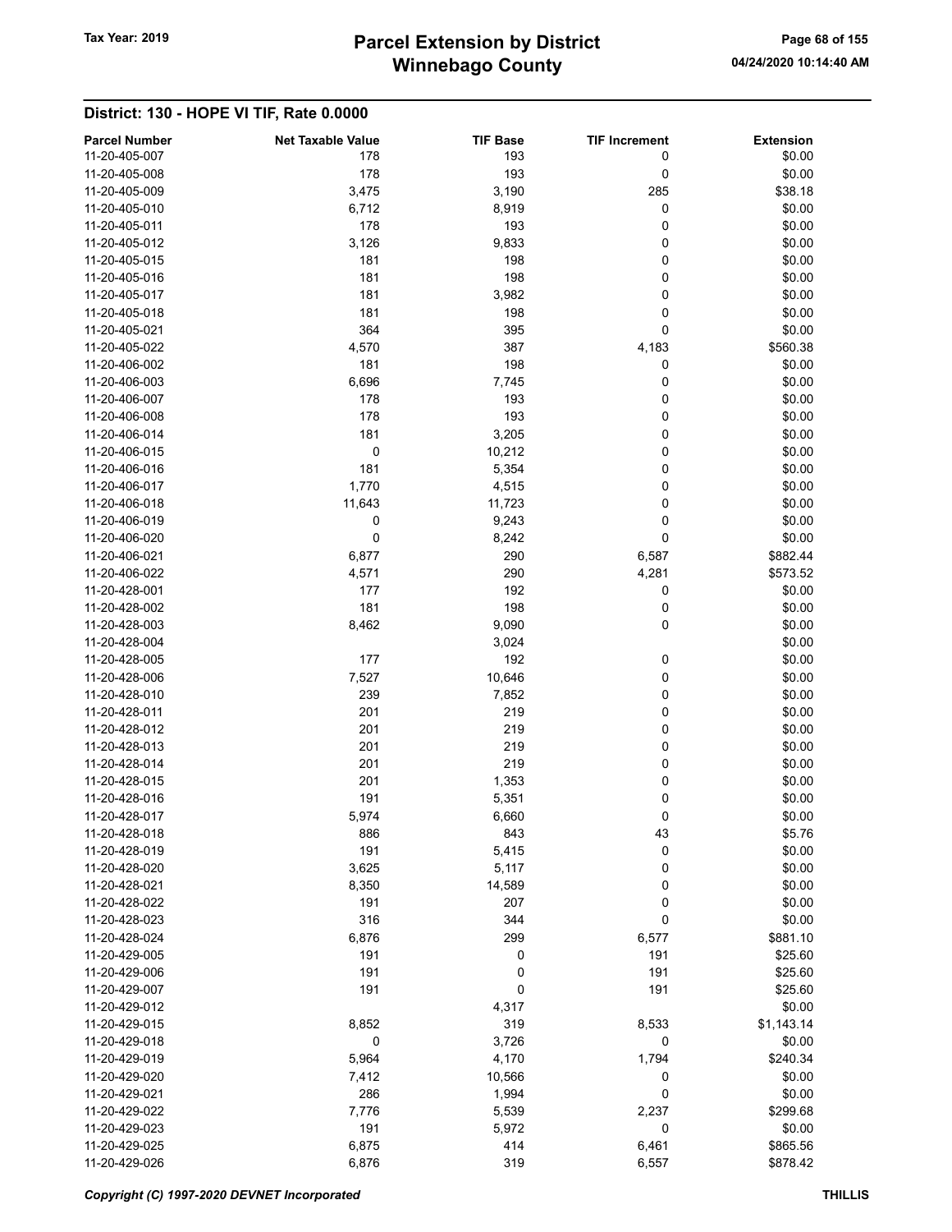# Winnebago County Tax Year: 2019 **Parcel Extension by District** Page 68 of 155

| <b>Parcel Number</b> | <b>Net Taxable Value</b> | <b>TIF Base</b> | <b>TIF Increment</b> | <b>Extension</b> |
|----------------------|--------------------------|-----------------|----------------------|------------------|
| 11-20-405-007        | 178                      | 193             | 0                    | \$0.00           |
| 11-20-405-008        | 178                      | 193             | 0                    | \$0.00           |
| 11-20-405-009        | 3,475                    | 3,190           | 285                  | \$38.18          |
| 11-20-405-010        | 6,712                    | 8,919           | 0                    | \$0.00           |
| 11-20-405-011        | 178                      | 193             | 0                    | \$0.00           |
| 11-20-405-012        | 3,126                    | 9,833           | 0                    | \$0.00           |
| 11-20-405-015        | 181                      | 198             | 0                    | \$0.00           |
| 11-20-405-016        | 181                      | 198             | 0                    | \$0.00           |
| 11-20-405-017        | 181                      | 3,982           | 0                    | \$0.00           |
| 11-20-405-018        | 181                      | 198             | 0                    | \$0.00           |
| 11-20-405-021        | 364                      | 395             | 0                    | \$0.00           |
| 11-20-405-022        | 4,570                    | 387             | 4,183                | \$560.38         |
| 11-20-406-002        | 181                      | 198             | 0                    | \$0.00           |
| 11-20-406-003        | 6,696                    | 7,745           | 0                    | \$0.00           |
| 11-20-406-007        | 178                      | 193             | 0                    | \$0.00           |
| 11-20-406-008        | 178                      | 193             | 0                    | \$0.00           |
| 11-20-406-014        | 181                      | 3,205           | 0                    | \$0.00           |
| 11-20-406-015        | 0                        | 10,212          | 0                    | \$0.00           |
| 11-20-406-016        | 181                      | 5,354           | 0                    | \$0.00           |
| 11-20-406-017        | 1,770                    | 4,515           | 0                    | \$0.00           |
| 11-20-406-018        | 11,643                   | 11,723          | 0                    | \$0.00           |
| 11-20-406-019        | 0                        | 9,243           | $\pmb{0}$            | \$0.00           |
| 11-20-406-020        | $\mathbf 0$              | 8,242           | 0                    | \$0.00           |
| 11-20-406-021        | 6,877                    | 290             | 6,587                | \$882.44         |
| 11-20-406-022        | 4,571                    | 290             | 4,281                | \$573.52         |
| 11-20-428-001        | 177                      | 192             | 0                    | \$0.00           |
| 11-20-428-002        | 181                      | 198             | 0                    | \$0.00           |
| 11-20-428-003        | 8,462                    | 9,090           | 0                    | \$0.00           |
| 11-20-428-004        |                          | 3,024           |                      | \$0.00           |
| 11-20-428-005        | 177                      | 192             | 0                    | \$0.00           |
| 11-20-428-006        | 7,527                    | 10,646          | 0                    | \$0.00           |
| 11-20-428-010        | 239                      | 7,852           | 0                    | \$0.00           |
| 11-20-428-011        | 201                      | 219             | 0                    | \$0.00           |
| 11-20-428-012        | 201                      | 219             | 0                    | \$0.00           |
| 11-20-428-013        | 201                      | 219             | 0                    | \$0.00           |
| 11-20-428-014        | 201                      | 219             | 0                    | \$0.00           |
| 11-20-428-015        | 201                      | 1,353           | 0                    | \$0.00           |
| 11-20-428-016        | 191                      | 5,351           | 0                    | \$0.00           |
| 11-20-428-017        | 5,974                    | 6,660           | 0                    | \$0.00           |
| 11-20-428-018        | 886                      | 843             | 43                   | \$5.76           |
| 11-20-428-019        | 191                      | 5,415           | 0                    | \$0.00           |
| 11-20-428-020        | 3,625                    | 5,117           | 0                    | \$0.00           |
| 11-20-428-021        | 8,350                    | 14,589          | 0                    | \$0.00           |
| 11-20-428-022        | 191                      | 207             | 0                    | \$0.00           |
| 11-20-428-023        | 316                      | 344             | 0                    | \$0.00           |
| 11-20-428-024        | 6,876                    | 299             | 6,577                | \$881.10         |
| 11-20-429-005        | 191                      | 0               | 191                  | \$25.60          |
| 11-20-429-006        | 191                      | 0               | 191                  | \$25.60          |
| 11-20-429-007        | 191                      | 0               | 191                  | \$25.60          |
| 11-20-429-012        |                          | 4,317           |                      | \$0.00           |
| 11-20-429-015        | 8,852                    | 319             | 8,533                | \$1,143.14       |
| 11-20-429-018        | 0                        | 3,726           | 0                    | \$0.00           |
| 11-20-429-019        | 5,964                    | 4,170           | 1,794                | \$240.34         |
| 11-20-429-020        | 7,412                    | 10,566          | 0                    | \$0.00           |
| 11-20-429-021        | 286                      | 1,994           | 0                    | \$0.00           |
| 11-20-429-022        | 7,776                    | 5,539           | 2,237                | \$299.68         |
| 11-20-429-023        | 191                      | 5,972           | 0                    | \$0.00           |
| 11-20-429-025        | 6,875                    | 414             | 6,461                | \$865.56         |
| 11-20-429-026        | 6,876                    | 319             | 6,557                | \$878.42         |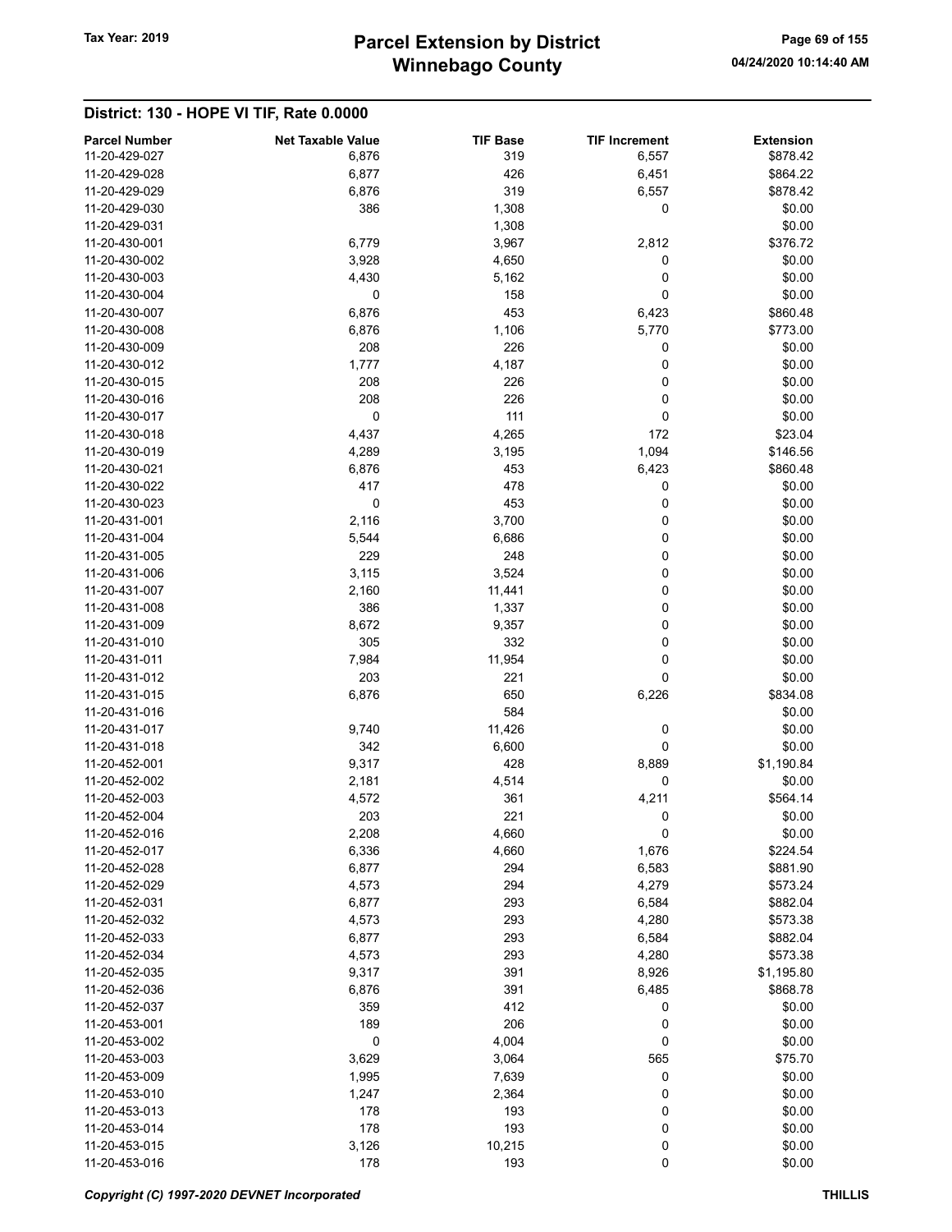# Winnebago County Tax Year: 2019 **Parcel Extension by District** Page 69 of 155

| <b>Parcel Number</b>           | <b>Net Taxable Value</b> | <b>TIF Base</b> | <b>TIF Increment</b> | <b>Extension</b> |
|--------------------------------|--------------------------|-----------------|----------------------|------------------|
| 11-20-429-027                  | 6,876                    | 319             | 6,557                | \$878.42         |
| 11-20-429-028                  | 6,877                    | 426             | 6,451                | \$864.22         |
| 11-20-429-029                  | 6,876                    | 319             | 6,557                | \$878.42         |
| 11-20-429-030                  | 386                      | 1,308           | 0                    | \$0.00           |
| 11-20-429-031                  |                          | 1,308           |                      | \$0.00           |
| 11-20-430-001                  | 6,779                    | 3,967           | 2,812                | \$376.72         |
| 11-20-430-002                  | 3,928                    | 4,650           | 0                    | \$0.00           |
| 11-20-430-003                  | 4,430                    | 5,162           | 0                    | \$0.00           |
| 11-20-430-004                  | 0                        | 158             | 0                    | \$0.00           |
| 11-20-430-007                  | 6,876                    | 453             | 6,423                | \$860.48         |
| 11-20-430-008                  | 6,876                    | 1,106           | 5,770                | \$773.00         |
| 11-20-430-009                  | 208                      | 226             | 0                    | \$0.00           |
| 11-20-430-012                  | 1,777                    | 4,187           | 0                    | \$0.00           |
| 11-20-430-015                  | 208                      | 226             | 0                    | \$0.00           |
| 11-20-430-016                  | 208                      | 226             | 0                    | \$0.00           |
| 11-20-430-017                  | 0                        | 111             | 0                    | \$0.00           |
| 11-20-430-018                  | 4,437                    | 4,265           | 172                  | \$23.04          |
| 11-20-430-019                  | 4,289                    | 3,195           | 1,094                | \$146.56         |
| 11-20-430-021                  | 6,876                    | 453             | 6,423                | \$860.48         |
| 11-20-430-022                  | 417                      | 478             | 0                    | \$0.00           |
| 11-20-430-023<br>11-20-431-001 | 0                        | 453             | 0                    | \$0.00           |
| 11-20-431-004                  | 2,116                    | 3,700           | 0                    | \$0.00           |
| 11-20-431-005                  | 5,544<br>229             | 6,686<br>248    | 0<br>0               | \$0.00<br>\$0.00 |
| 11-20-431-006                  | 3,115                    | 3,524           | 0                    | \$0.00           |
| 11-20-431-007                  |                          |                 | 0                    | \$0.00           |
| 11-20-431-008                  | 2,160<br>386             | 11,441          | 0                    | \$0.00           |
| 11-20-431-009                  |                          | 1,337           | 0                    | \$0.00           |
| 11-20-431-010                  | 8,672<br>305             | 9,357<br>332    | 0                    | \$0.00           |
| 11-20-431-011                  | 7,984                    | 11,954          | 0                    | \$0.00           |
| 11-20-431-012                  | 203                      | 221             | 0                    | \$0.00           |
| 11-20-431-015                  | 6,876                    | 650             | 6,226                | \$834.08         |
| 11-20-431-016                  |                          | 584             |                      | \$0.00           |
| 11-20-431-017                  | 9,740                    | 11,426          | 0                    | \$0.00           |
| 11-20-431-018                  | 342                      | 6,600           | 0                    | \$0.00           |
| 11-20-452-001                  | 9,317                    | 428             | 8,889                | \$1,190.84       |
| 11-20-452-002                  | 2,181                    | 4,514           | 0                    | \$0.00           |
| 11-20-452-003                  | 4,572                    | 361             | 4,211                | \$564.14         |
| 11-20-452-004                  | 203                      | 221             | 0                    | \$0.00           |
| 11-20-452-016                  | 2,208                    | 4,660           | 0                    | \$0.00           |
| 11-20-452-017                  | 6,336                    | 4,660           | 1,676                | \$224.54         |
| 11-20-452-028                  | 6,877                    | 294             | 6,583                | \$881.90         |
| 11-20-452-029                  | 4,573                    | 294             | 4,279                | \$573.24         |
| 11-20-452-031                  | 6,877                    | 293             | 6,584                | \$882.04         |
| 11-20-452-032                  | 4,573                    | 293             | 4,280                | \$573.38         |
| 11-20-452-033                  | 6,877                    | 293             | 6,584                | \$882.04         |
| 11-20-452-034                  | 4,573                    | 293             | 4,280                | \$573.38         |
| 11-20-452-035                  | 9,317                    | 391             | 8,926                | \$1,195.80       |
| 11-20-452-036                  | 6,876                    | 391             | 6,485                | \$868.78         |
| 11-20-452-037                  | 359                      | 412             | 0                    | \$0.00           |
| 11-20-453-001                  | 189                      | 206             | 0                    | \$0.00           |
| 11-20-453-002                  | 0                        | 4,004           | 0                    | \$0.00           |
| 11-20-453-003                  | 3,629                    | 3,064           | 565                  | \$75.70          |
| 11-20-453-009                  | 1,995                    | 7,639           | 0                    | \$0.00           |
| 11-20-453-010                  | 1,247                    | 2,364           | 0                    | \$0.00           |
| 11-20-453-013                  | 178                      | 193             | 0                    | \$0.00           |
| 11-20-453-014                  | 178                      | 193             | 0                    | \$0.00           |
| 11-20-453-015                  | 3,126                    | 10,215          | 0                    | \$0.00           |
| 11-20-453-016                  | 178                      | 193             | 0                    | \$0.00           |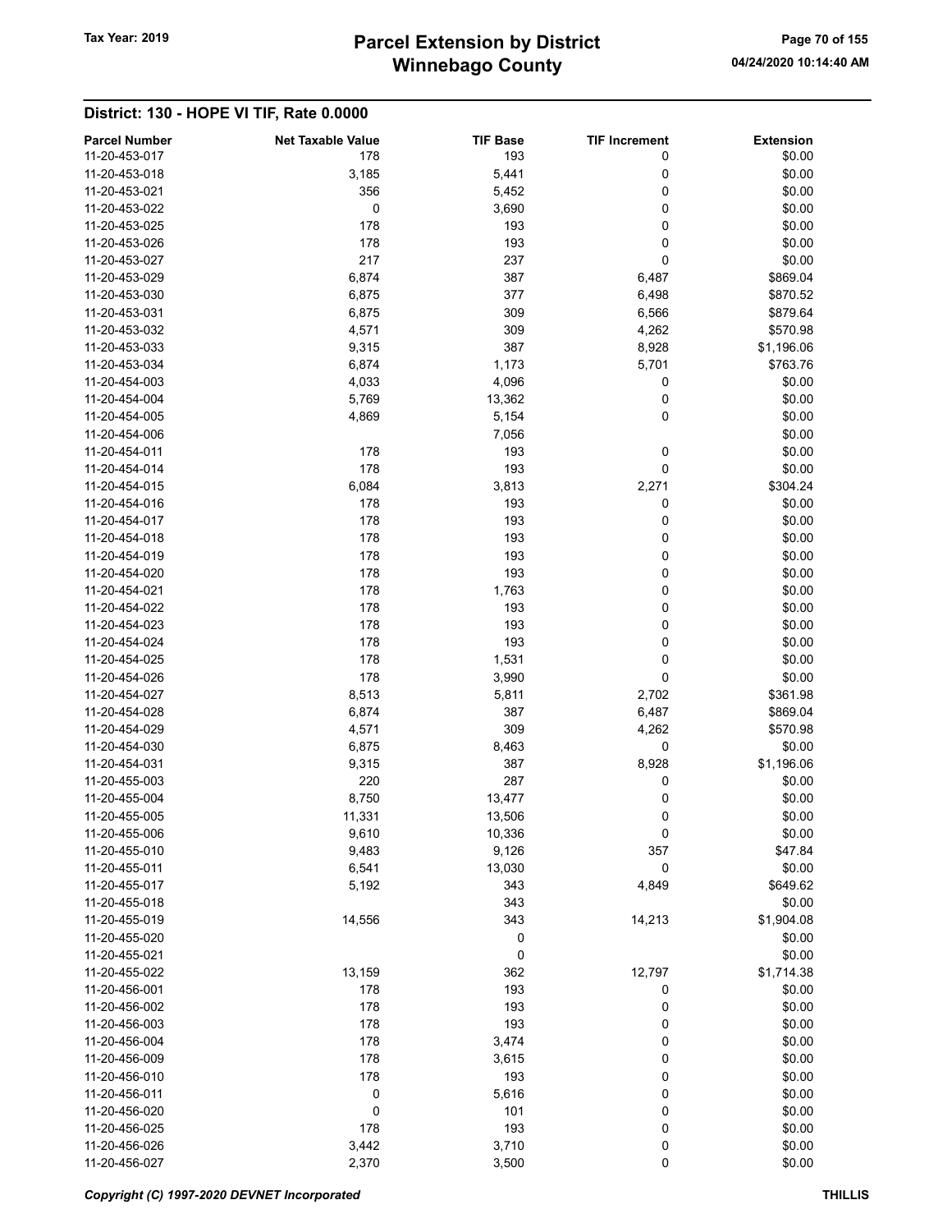# Winnebago County Tax Year: 2019 **Parcel Extension by District** Page 70 of 155

| <b>Parcel Number</b>           | <b>Net Taxable Value</b> | <b>TIF Base</b> | <b>TIF Increment</b> | <b>Extension</b> |
|--------------------------------|--------------------------|-----------------|----------------------|------------------|
| 11-20-453-017                  | 178                      | 193             | 0                    | \$0.00           |
| 11-20-453-018                  | 3,185                    | 5,441           | 0                    | \$0.00           |
| 11-20-453-021                  | 356                      | 5,452           | 0                    | \$0.00           |
| 11-20-453-022                  | 0                        | 3,690           | 0                    | \$0.00           |
| 11-20-453-025                  | 178                      | 193             | 0                    | \$0.00           |
| 11-20-453-026                  | 178                      | 193             | 0                    | \$0.00           |
| 11-20-453-027                  | 217                      | 237             | 0                    | \$0.00           |
| 11-20-453-029                  | 6,874                    | 387             | 6,487                | \$869.04         |
| 11-20-453-030                  | 6,875                    | 377             | 6,498                | \$870.52         |
| 11-20-453-031                  | 6,875                    | 309             | 6,566                | \$879.64         |
| 11-20-453-032                  | 4,571                    | 309             | 4,262                | \$570.98         |
| 11-20-453-033                  | 9,315                    | 387             | 8,928                | \$1,196.06       |
| 11-20-453-034                  | 6,874                    | 1,173           | 5,701                | \$763.76         |
| 11-20-454-003                  | 4,033                    | 4,096           | 0                    | \$0.00           |
| 11-20-454-004                  | 5,769                    | 13,362          | 0                    | \$0.00           |
| 11-20-454-005                  | 4,869                    | 5,154           | 0                    | \$0.00           |
| 11-20-454-006                  |                          | 7,056           |                      | \$0.00           |
| 11-20-454-011                  | 178                      | 193             | 0                    | \$0.00           |
| 11-20-454-014                  | 178                      | 193             | 0                    | \$0.00           |
| 11-20-454-015                  | 6,084                    | 3,813           | 2,271                | \$304.24         |
| 11-20-454-016                  | 178                      | 193             | 0                    | \$0.00           |
| 11-20-454-017                  | 178                      | 193             | 0                    | \$0.00           |
| 11-20-454-018                  | 178                      | 193             | 0                    | \$0.00           |
| 11-20-454-019                  | 178                      | 193             | 0                    | \$0.00           |
| 11-20-454-020                  | 178                      | 193             | 0                    | \$0.00           |
| 11-20-454-021                  | 178                      | 1,763           | 0                    | \$0.00           |
| 11-20-454-022                  | 178                      | 193             | 0                    | \$0.00           |
| 11-20-454-023                  | 178                      | 193             | 0                    | \$0.00           |
| 11-20-454-024                  | 178                      | 193             | 0                    | \$0.00           |
| 11-20-454-025                  | 178                      | 1,531           | 0                    | \$0.00           |
| 11-20-454-026                  | 178                      | 3,990           | 0                    | \$0.00           |
| 11-20-454-027                  | 8,513                    | 5,811           | 2,702                | \$361.98         |
| 11-20-454-028                  | 6,874                    | 387             | 6,487                | \$869.04         |
| 11-20-454-029                  | 4,571                    | 309             | 4,262                | \$570.98         |
| 11-20-454-030                  | 6,875                    | 8,463           | 0                    | \$0.00           |
| 11-20-454-031                  | 9,315                    | 387             | 8,928                | \$1,196.06       |
| 11-20-455-003                  | 220                      | 287             | 0                    | \$0.00           |
| 11-20-455-004                  |                          |                 |                      |                  |
|                                | 8,750                    | 13,477          | 0                    | \$0.00           |
| 11-20-455-005                  | 11,331                   | 13,506          | 0                    | \$0.00           |
| 11-20-455-006<br>11-20-455-010 | 9,610                    | 10,336          | 0                    | \$0.00           |
|                                | 9,483                    | 9,126           | 357                  | \$47.84          |
| 11-20-455-011                  | 6,541                    | 13,030          | 0                    | \$0.00           |
| 11-20-455-017                  | 5,192                    | 343             | 4,849                | \$649.62         |
| 11-20-455-018                  |                          | 343             |                      | \$0.00           |
| 11-20-455-019                  | 14,556                   | 343             | 14,213               | \$1,904.08       |
| 11-20-455-020                  |                          | 0               |                      | \$0.00           |
| 11-20-455-021                  |                          | 0               |                      | \$0.00           |
| 11-20-455-022                  | 13,159                   | 362             | 12,797               | \$1,714.38       |
| 11-20-456-001                  | 178                      | 193             | 0                    | \$0.00           |
| 11-20-456-002                  | 178                      | 193             | 0                    | \$0.00           |
| 11-20-456-003                  | 178                      | 193             | 0                    | \$0.00           |
| 11-20-456-004                  | 178                      | 3,474           | 0                    | \$0.00           |
| 11-20-456-009                  | 178                      | 3,615           | 0                    | \$0.00           |
| 11-20-456-010                  | 178                      | 193             | 0                    | \$0.00           |
| 11-20-456-011                  | 0                        | 5,616           | 0                    | \$0.00           |
| 11-20-456-020                  | 0                        | 101             | 0                    | \$0.00           |
| 11-20-456-025                  | 178                      | 193             | 0                    | \$0.00           |
| 11-20-456-026                  | 3,442                    | 3,710           | 0                    | \$0.00           |
| 11-20-456-027                  | 2,370                    | 3,500           | 0                    | \$0.00           |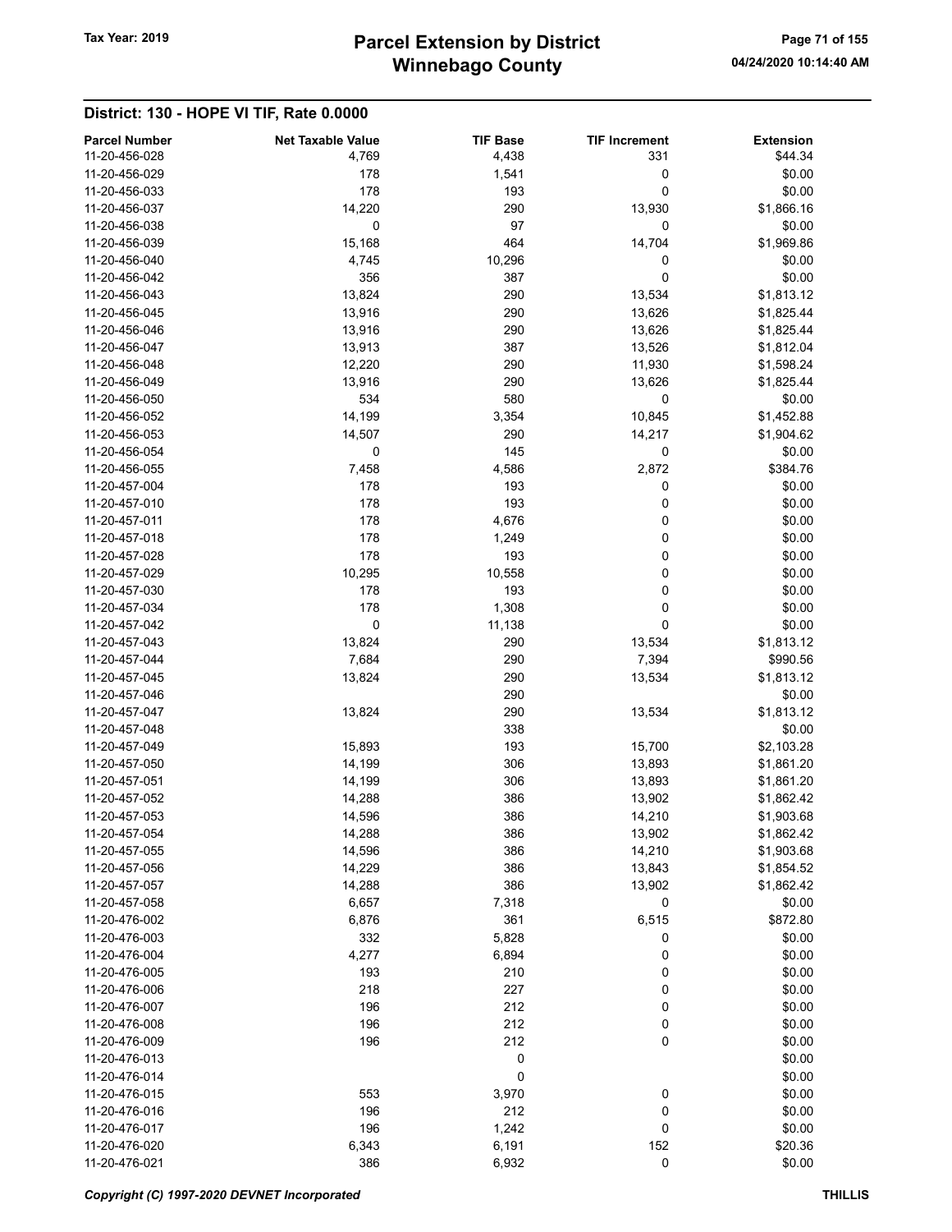| <b>Parcel Number</b> | <b>Net Taxable Value</b> | <b>TIF Base</b> | <b>TIF Increment</b> | <b>Extension</b> |
|----------------------|--------------------------|-----------------|----------------------|------------------|
| 11-20-456-028        | 4,769                    | 4,438           | 331                  | \$44.34          |
| 11-20-456-029        | 178                      | 1,541           | 0                    | \$0.00           |
| 11-20-456-033        | 178                      | 193             | 0                    | \$0.00           |
| 11-20-456-037        | 14,220                   | 290             | 13,930               | \$1,866.16       |
| 11-20-456-038        | 0                        | 97              | 0                    | \$0.00           |
| 11-20-456-039        | 15,168                   | 464             | 14,704               | \$1,969.86       |
| 11-20-456-040        | 4,745                    | 10,296          | 0                    | \$0.00           |
| 11-20-456-042        | 356                      | 387             | 0                    | \$0.00           |
| 11-20-456-043        | 13,824                   | 290             | 13,534               | \$1,813.12       |
| 11-20-456-045        | 13,916                   | 290             | 13,626               | \$1,825.44       |
| 11-20-456-046        | 13,916                   | 290             | 13,626               | \$1,825.44       |
| 11-20-456-047        | 13,913                   | 387             | 13,526               | \$1,812.04       |
| 11-20-456-048        | 12,220                   | 290             | 11,930               | \$1,598.24       |
| 11-20-456-049        | 13,916                   | 290             | 13,626               | \$1,825.44       |
| 11-20-456-050        | 534                      | 580             | 0                    |                  |
|                      |                          |                 |                      | \$0.00           |
| 11-20-456-052        | 14,199                   | 3,354           | 10,845               | \$1,452.88       |
| 11-20-456-053        | 14,507                   | 290             | 14,217               | \$1,904.62       |
| 11-20-456-054        | 0                        | 145             | 0                    | \$0.00           |
| 11-20-456-055        | 7,458                    | 4,586           | 2,872                | \$384.76         |
| 11-20-457-004        | 178                      | 193             | 0                    | \$0.00           |
| 11-20-457-010        | 178                      | 193             | 0                    | \$0.00           |
| 11-20-457-011        | 178                      | 4,676           | 0                    | \$0.00           |
| 11-20-457-018        | 178                      | 1,249           | 0                    | \$0.00           |
| 11-20-457-028        | 178                      | 193             | 0                    | \$0.00           |
| 11-20-457-029        | 10,295                   | 10,558          | 0                    | \$0.00           |
| 11-20-457-030        | 178                      | 193             | 0                    | \$0.00           |
| 11-20-457-034        | 178                      | 1,308           | 0                    | \$0.00           |
| 11-20-457-042        | 0                        | 11,138          | 0                    | \$0.00           |
| 11-20-457-043        | 13,824                   | 290             | 13,534               | \$1,813.12       |
| 11-20-457-044        | 7,684                    | 290             | 7,394                | \$990.56         |
|                      |                          |                 |                      |                  |
| 11-20-457-045        | 13,824                   | 290             | 13,534               | \$1,813.12       |
| 11-20-457-046        |                          | 290             |                      | \$0.00           |
| 11-20-457-047        | 13,824                   | 290             | 13,534               | \$1,813.12       |
| 11-20-457-048        |                          | 338             |                      | \$0.00           |
| 11-20-457-049        | 15,893                   | 193             | 15,700               | \$2,103.28       |
| 11-20-457-050        | 14,199                   | 306             | 13,893               | \$1,861.20       |
| 11-20-457-051        | 14,199                   | 306             | 13,893               | \$1,861.20       |
| 11-20-457-052        | 14,288                   | 386             | 13,902               | \$1,862.42       |
| 11-20-457-053        | 14,596                   | 386             | 14,210               | \$1,903.68       |
| 11-20-457-054        | 14,288                   | 386             | 13,902               | \$1,862.42       |
| 11-20-457-055        | 14,596                   | 386             | 14,210               | \$1,903.68       |
| 11-20-457-056        | 14,229                   | 386             | 13,843               | \$1,854.52       |
| 11-20-457-057        | 14,288                   | 386             | 13,902               | \$1,862.42       |
| 11-20-457-058        | 6,657                    | 7,318           | 0                    | \$0.00           |
| 11-20-476-002        | 6,876                    | 361             | 6,515                | \$872.80         |
| 11-20-476-003        | 332                      | 5,828           | 0                    | \$0.00           |
| 11-20-476-004        | 4,277                    | 6,894           | 0                    | \$0.00           |
| 11-20-476-005        | 193                      | 210             | 0                    | \$0.00           |
| 11-20-476-006        |                          | 227             |                      |                  |
|                      | 218                      |                 | 0                    | \$0.00           |
| 11-20-476-007        | 196                      | 212             | 0                    | \$0.00           |
| 11-20-476-008        | 196                      | 212             | 0                    | \$0.00           |
| 11-20-476-009        | 196                      | 212             | 0                    | \$0.00           |
| 11-20-476-013        |                          | 0               |                      | \$0.00           |
| 11-20-476-014        |                          | 0               |                      | \$0.00           |
| 11-20-476-015        | 553                      | 3,970           | 0                    | \$0.00           |
| 11-20-476-016        | 196                      | 212             | 0                    | \$0.00           |
| 11-20-476-017        | 196                      | 1,242           | 0                    | \$0.00           |
| 11-20-476-020        | 6,343                    | 6,191           | 152                  | \$20.36          |
| 11-20-476-021        | 386                      | 6,932           | $\pmb{0}$            | \$0.00           |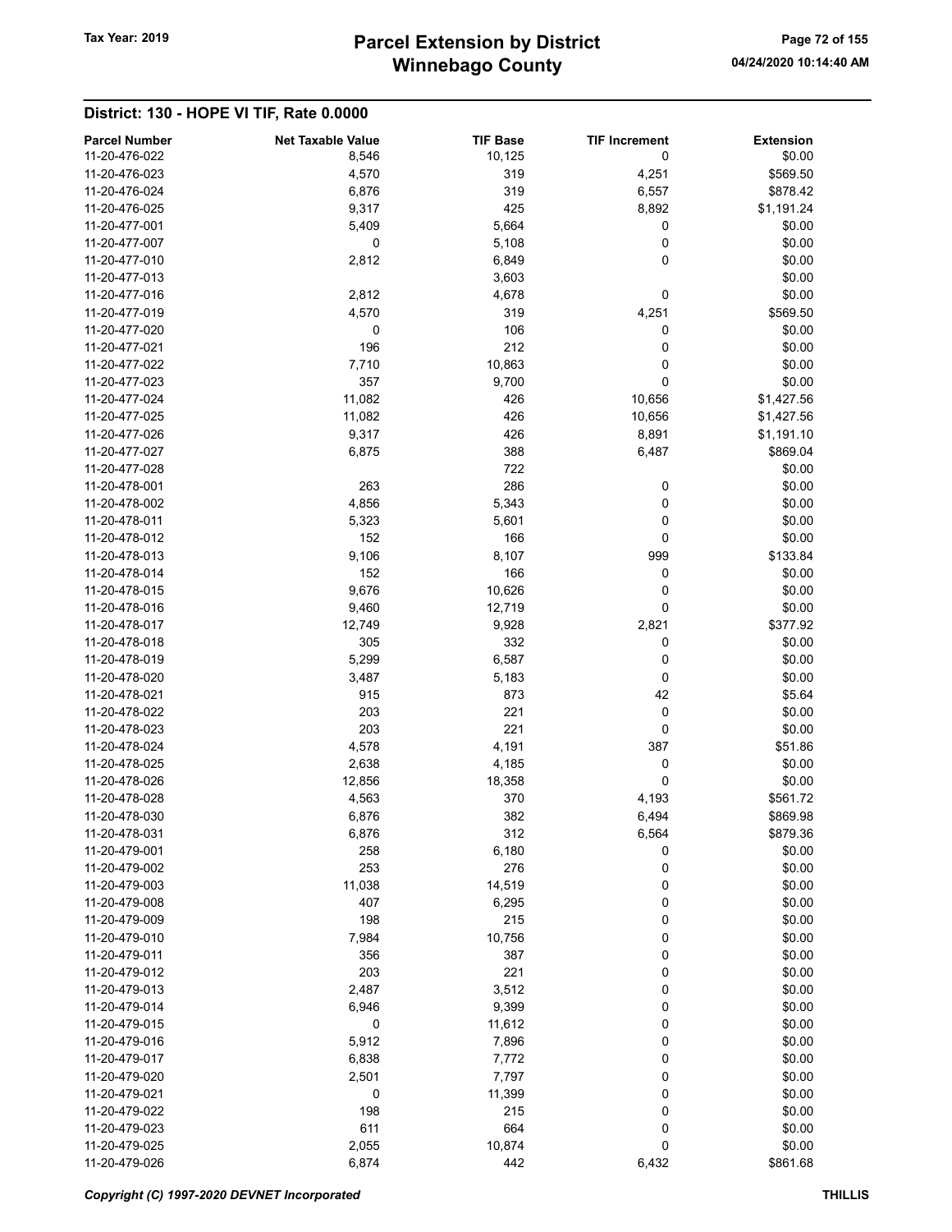# Winnebago County Tax Year: 2019 **Parcel Extension by District** Page 72 of 155

| <b>Parcel Number</b><br>11-20-476-022 | <b>Net Taxable Value</b><br>8,546 | <b>TIF Base</b> | <b>TIF Increment</b><br>0 | <b>Extension</b><br>\$0.00 |
|---------------------------------------|-----------------------------------|-----------------|---------------------------|----------------------------|
| 11-20-476-023                         | 4,570                             | 10,125<br>319   |                           |                            |
| 11-20-476-024                         | 6,876                             | 319             | 4,251<br>6,557            | \$569.50<br>\$878.42       |
| 11-20-476-025                         | 9,317                             | 425             | 8,892                     | \$1,191.24                 |
| 11-20-477-001                         | 5,409                             | 5,664           | 0                         | \$0.00                     |
| 11-20-477-007                         | 0                                 | 5,108           | 0                         | \$0.00                     |
| 11-20-477-010                         | 2,812                             | 6,849           | 0                         | \$0.00                     |
| 11-20-477-013                         |                                   | 3,603           |                           | \$0.00                     |
| 11-20-477-016                         | 2,812                             | 4,678           | 0                         | \$0.00                     |
| 11-20-477-019                         | 4,570                             | 319             | 4,251                     | \$569.50                   |
| 11-20-477-020                         | 0                                 | 106             | 0                         | \$0.00                     |
| 11-20-477-021                         | 196                               | 212             | 0                         | \$0.00                     |
| 11-20-477-022                         | 7,710                             | 10,863          | 0                         | \$0.00                     |
| 11-20-477-023                         | 357                               | 9,700           | 0                         | \$0.00                     |
| 11-20-477-024                         | 11,082                            | 426             | 10,656                    | \$1,427.56                 |
| 11-20-477-025                         | 11,082                            | 426             | 10,656                    | \$1,427.56                 |
| 11-20-477-026                         | 9,317                             | 426             | 8,891                     | \$1,191.10                 |
| 11-20-477-027                         | 6,875                             | 388             | 6,487                     | \$869.04                   |
| 11-20-477-028                         |                                   | 722             |                           | \$0.00                     |
| 11-20-478-001                         | 263                               | 286             | 0                         | \$0.00                     |
| 11-20-478-002                         | 4,856                             | 5,343           | 0                         | \$0.00                     |
| 11-20-478-011                         | 5,323                             | 5,601           | 0                         | \$0.00                     |
| 11-20-478-012                         | 152                               | 166             | 0                         | \$0.00                     |
| 11-20-478-013                         | 9,106                             | 8,107           | 999                       | \$133.84                   |
| 11-20-478-014                         | 152                               | 166             | 0                         | \$0.00                     |
| 11-20-478-015                         | 9,676                             | 10,626          | 0                         | \$0.00                     |
| 11-20-478-016                         | 9,460                             | 12,719          | 0                         | \$0.00                     |
| 11-20-478-017                         | 12,749                            | 9,928           | 2,821                     | \$377.92                   |
| 11-20-478-018                         | 305                               | 332             | 0                         | \$0.00                     |
| 11-20-478-019                         | 5,299                             | 6,587           | 0                         | \$0.00                     |
| 11-20-478-020                         | 3,487                             | 5,183           | 0                         | \$0.00                     |
| 11-20-478-021                         | 915                               | 873             | 42                        | \$5.64                     |
| 11-20-478-022                         | 203                               | 221             | 0                         | \$0.00                     |
| 11-20-478-023                         | 203                               | 221             | 0                         | \$0.00                     |
| 11-20-478-024                         | 4,578                             | 4,191           | 387                       | \$51.86                    |
| 11-20-478-025                         | 2,638                             | 4,185           | 0                         | \$0.00                     |
| 11-20-478-026                         | 12,856                            | 18,358          | 0                         | \$0.00                     |
| 11-20-478-028                         | 4,563                             | 370             | 4,193                     | \$561.72                   |
| 11-20-478-030                         | 6,876                             | 382             | 6,494                     | \$869.98                   |
| 11-20-478-031                         | 6,876                             | 312             | 6,564                     | \$879.36                   |
| 11-20-479-001                         | 258                               | 6,180           | 0                         | \$0.00                     |
| 11-20-479-002                         | 253                               | 276             | 0                         | \$0.00                     |
| 11-20-479-003                         | 11,038                            | 14,519          | 0                         | \$0.00                     |
| 11-20-479-008                         | 407                               | 6,295           | 0                         | \$0.00                     |
| 11-20-479-009                         | 198                               | 215             | 0                         | \$0.00                     |
| 11-20-479-010                         | 7,984                             | 10,756          | 0                         | \$0.00                     |
| 11-20-479-011                         | 356                               | 387             | 0                         | \$0.00                     |
| 11-20-479-012                         | 203                               | 221             | 0                         | \$0.00                     |
| 11-20-479-013                         | 2,487                             | 3,512           | 0                         | \$0.00                     |
| 11-20-479-014                         | 6,946                             | 9,399           | 0                         | \$0.00                     |
| 11-20-479-015                         | 0                                 | 11,612          | 0                         | \$0.00                     |
| 11-20-479-016                         | 5,912                             | 7,896           | 0                         | \$0.00                     |
| 11-20-479-017                         | 6,838                             | 7,772           | 0                         | \$0.00                     |
| 11-20-479-020                         | 2,501                             | 7,797           | 0                         | \$0.00                     |
| 11-20-479-021                         | 0                                 | 11,399          | 0                         | \$0.00                     |
| 11-20-479-022                         | 198                               | 215             | 0                         | \$0.00                     |
| 11-20-479-023                         | 611                               | 664             | 0                         | \$0.00                     |
| 11-20-479-025                         | 2,055                             | 10,874          | 0                         | \$0.00                     |
| 11-20-479-026                         | 6,874                             | 442             | 6,432                     | \$861.68                   |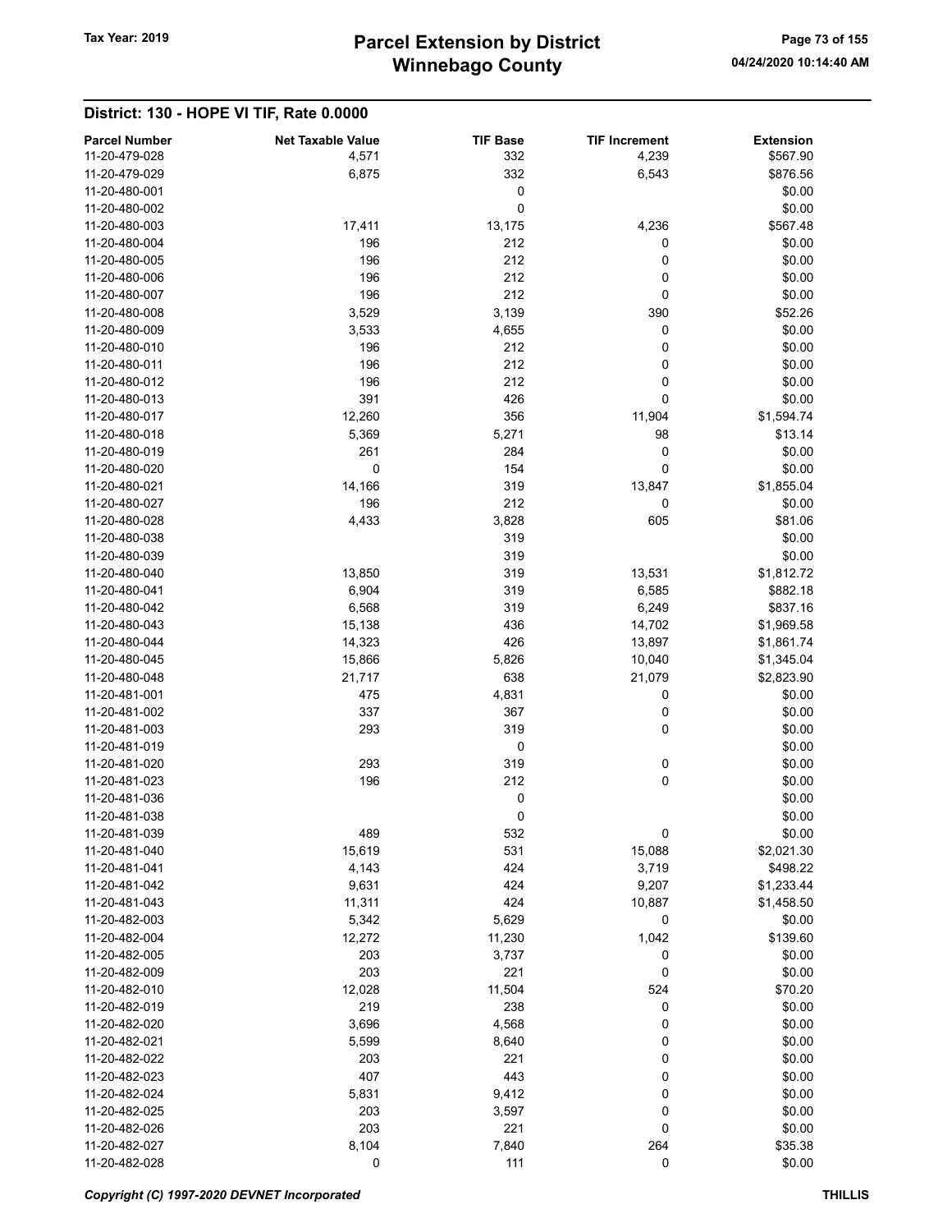#### District: 130 - HOPE VI TIF, Rate 0.0000

| <b>Parcel Number</b><br>11-20-479-028 | <b>Net Taxable Value</b><br>4,571 | <b>TIF Base</b><br>332 | <b>TIF Increment</b><br>4,239 | <b>Extension</b><br>\$567.90 |
|---------------------------------------|-----------------------------------|------------------------|-------------------------------|------------------------------|
| 11-20-479-029                         | 6,875                             | 332                    | 6,543                         | \$876.56                     |
| 11-20-480-001                         |                                   | 0                      |                               | \$0.00                       |
| 11-20-480-002                         |                                   | 0                      |                               | \$0.00                       |
| 11-20-480-003                         | 17,411                            | 13,175                 | 4,236                         | \$567.48                     |
| 11-20-480-004                         | 196                               | 212                    | 0                             | \$0.00                       |
| 11-20-480-005                         | 196                               | 212                    | 0                             | \$0.00                       |
| 11-20-480-006                         | 196                               | 212                    | 0                             | \$0.00                       |
| 11-20-480-007                         | 196                               | 212                    | 0                             | \$0.00                       |
| 11-20-480-008                         | 3,529                             | 3,139                  | 390                           | \$52.26                      |
| 11-20-480-009                         | 3,533                             | 4,655                  | 0                             | \$0.00                       |
| 11-20-480-010                         | 196                               | 212                    | 0                             | \$0.00                       |
| 11-20-480-011                         | 196                               | 212                    | 0                             | \$0.00                       |
| 11-20-480-012                         | 196                               | 212                    | 0                             | \$0.00                       |
| 11-20-480-013                         | 391                               | 426                    | 0                             | \$0.00                       |
| 11-20-480-017                         | 12,260                            | 356                    | 11,904                        | \$1,594.74                   |
| 11-20-480-018                         | 5,369                             | 5,271                  | 98                            | \$13.14                      |
| 11-20-480-019                         | 261                               | 284                    | 0                             | \$0.00                       |
| 11-20-480-020                         | 0                                 | 154                    | 0                             | \$0.00                       |
| 11-20-480-021                         | 14,166                            | 319                    | 13,847                        | \$1,855.04                   |
| 11-20-480-027                         | 196                               | 212                    |                               |                              |
|                                       |                                   |                        | 0                             | \$0.00                       |
| 11-20-480-028                         | 4,433                             | 3,828                  | 605                           | \$81.06                      |
| 11-20-480-038                         |                                   | 319                    |                               | \$0.00                       |
| 11-20-480-039                         |                                   | 319                    |                               | \$0.00                       |
| 11-20-480-040                         | 13,850                            | 319                    | 13,531                        | \$1,812.72                   |
| 11-20-480-041                         | 6,904                             | 319                    | 6,585                         | \$882.18                     |
| 11-20-480-042                         | 6,568                             | 319                    | 6,249                         | \$837.16                     |
| 11-20-480-043                         | 15,138                            | 436                    | 14,702                        | \$1,969.58                   |
| 11-20-480-044                         | 14,323                            | 426                    | 13,897                        | \$1,861.74                   |
| 11-20-480-045                         | 15,866                            | 5,826                  | 10,040                        | \$1,345.04                   |
| 11-20-480-048                         | 21,717                            | 638                    | 21,079                        | \$2,823.90                   |
| 11-20-481-001                         | 475                               | 4,831                  | 0                             | \$0.00                       |
| 11-20-481-002                         | 337                               | 367                    | 0                             | \$0.00                       |
| 11-20-481-003                         | 293                               | 319                    | 0                             | \$0.00                       |
| 11-20-481-019                         |                                   | 0                      |                               | \$0.00                       |
| 11-20-481-020                         | 293                               | 319                    | 0                             | \$0.00                       |
| 11-20-481-023                         | 196                               | 212                    | 0                             | \$0.00                       |
| 11-20-481-036                         |                                   | 0                      |                               | \$0.00                       |
| 11-20-481-038                         |                                   | 0                      |                               | \$0.00                       |
| 11-20-481-039                         | 489                               | 532                    | 0                             | \$0.00                       |
| 11-20-481-040                         | 15,619                            | 531                    | 15,088                        | \$2,021.30                   |
| 11-20-481-041                         | 4,143                             | 424                    | 3,719                         | \$498.22                     |
| 11-20-481-042                         | 9,631                             | 424                    | 9,207                         | \$1,233.44                   |
| 11-20-481-043                         | 11,311                            | 424                    | 10,887                        | \$1,458.50                   |
| 11-20-482-003                         | 5,342                             | 5,629                  | 0                             | \$0.00                       |
| 11-20-482-004                         | 12,272                            | 11,230                 | 1,042                         | \$139.60                     |
| 11-20-482-005                         | 203                               | 3,737                  | 0                             | \$0.00                       |
| 11-20-482-009                         | 203                               | 221                    | 0                             | \$0.00                       |
| 11-20-482-010                         | 12,028                            | 11,504                 | 524                           | \$70.20                      |
| 11-20-482-019                         | 219                               | 238                    | 0                             | \$0.00                       |
| 11-20-482-020                         | 3,696                             | 4,568                  | 0                             | \$0.00                       |
| 11-20-482-021                         | 5,599                             | 8,640                  | 0                             | \$0.00                       |
| 11-20-482-022                         | 203                               | 221                    | 0                             | \$0.00                       |
| 11-20-482-023                         | 407                               | 443                    | 0                             | \$0.00                       |
| 11-20-482-024                         | 5,831                             | 9,412                  | 0                             | \$0.00                       |
| 11-20-482-025                         | 203                               | 3,597                  | 0                             | \$0.00                       |
| 11-20-482-026                         | 203                               | 221                    | 0                             | \$0.00                       |
| 11-20-482-027                         | 8,104                             | 7,840                  | 264                           | \$35.38                      |
| 11-20-482-028                         | 0                                 | 111                    | $\mathbf 0$                   | \$0.00                       |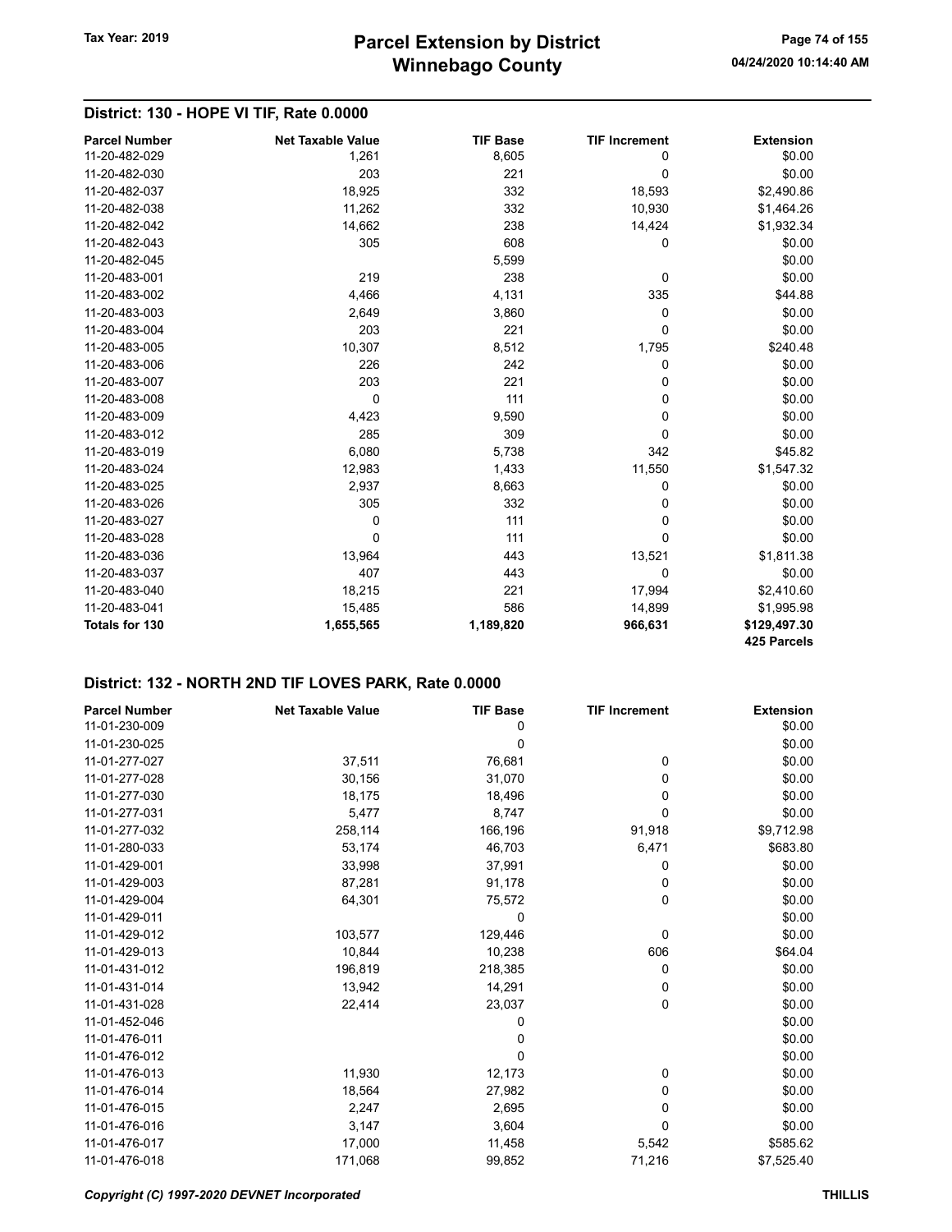## District: 130 - HOPE VI TIF, Rate 0.0000

| <b>Parcel Number</b>  | <b>Net Taxable Value</b> | <b>TIF Base</b> | <b>TIF Increment</b> | <b>Extension</b> |
|-----------------------|--------------------------|-----------------|----------------------|------------------|
| 11-20-482-029         | 1,261                    | 8,605           | 0                    | \$0.00           |
| 11-20-482-030         | 203                      | 221             | 0                    | \$0.00           |
| 11-20-482-037         | 18,925                   | 332             | 18,593               | \$2,490.86       |
| 11-20-482-038         | 11,262                   | 332             | 10,930               | \$1,464.26       |
| 11-20-482-042         | 14,662                   | 238             | 14,424               | \$1,932.34       |
| 11-20-482-043         | 305                      | 608             | 0                    | \$0.00           |
| 11-20-482-045         |                          | 5,599           |                      | \$0.00           |
| 11-20-483-001         | 219                      | 238             | 0                    | \$0.00           |
| 11-20-483-002         | 4,466                    | 4,131           | 335                  | \$44.88          |
| 11-20-483-003         | 2,649                    | 3,860           | 0                    | \$0.00           |
| 11-20-483-004         | 203                      | 221             | $\mathbf{0}$         | \$0.00           |
| 11-20-483-005         | 10,307                   | 8,512           | 1,795                | \$240.48         |
| 11-20-483-006         | 226                      | 242             | 0                    | \$0.00           |
| 11-20-483-007         | 203                      | 221             | 0                    | \$0.00           |
| 11-20-483-008         | $\Omega$                 | 111             | $\Omega$             | \$0.00           |
| 11-20-483-009         | 4,423                    | 9,590           | 0                    | \$0.00           |
| 11-20-483-012         | 285                      | 309             | $\Omega$             | \$0.00           |
| 11-20-483-019         | 6,080                    | 5,738           | 342                  | \$45.82          |
| 11-20-483-024         | 12,983                   | 1,433           | 11,550               | \$1,547.32       |
| 11-20-483-025         | 2,937                    | 8,663           | 0                    | \$0.00           |
| 11-20-483-026         | 305                      | 332             | 0                    | \$0.00           |
| 11-20-483-027         | 0                        | 111             | 0                    | \$0.00           |
| 11-20-483-028         | $\Omega$                 | 111             | 0                    | \$0.00           |
| 11-20-483-036         | 13,964                   | 443             | 13,521               | \$1,811.38       |
| 11-20-483-037         | 407                      | 443             | $\mathbf 0$          | \$0.00           |
| 11-20-483-040         | 18,215                   | 221             | 17,994               | \$2,410.60       |
| 11-20-483-041         | 15,485                   | 586             | 14,899               | \$1,995.98       |
| <b>Totals for 130</b> | 1,655,565                | 1,189,820       | 966,631              | \$129,497.30     |
|                       |                          |                 |                      | 425 Parcels      |

| <b>Parcel Number</b> | <b>Net Taxable Value</b> | <b>TIF Base</b> | <b>TIF Increment</b> | <b>Extension</b> |
|----------------------|--------------------------|-----------------|----------------------|------------------|
| 11-01-230-009        |                          | 0               |                      | \$0.00           |
| 11-01-230-025        |                          | 0               |                      | \$0.00           |
| 11-01-277-027        | 37,511                   | 76,681          | 0                    | \$0.00           |
| 11-01-277-028        | 30,156                   | 31,070          | 0                    | \$0.00           |
| 11-01-277-030        | 18,175                   | 18,496          | 0                    | \$0.00           |
| 11-01-277-031        | 5,477                    | 8,747           | 0                    | \$0.00           |
| 11-01-277-032        | 258,114                  | 166,196         | 91,918               | \$9,712.98       |
| 11-01-280-033        | 53,174                   | 46,703          | 6,471                | \$683.80         |
| 11-01-429-001        | 33,998                   | 37,991          | 0                    | \$0.00           |
| 11-01-429-003        | 87,281                   | 91,178          | 0                    | \$0.00           |
| 11-01-429-004        | 64,301                   | 75,572          | 0                    | \$0.00           |
| 11-01-429-011        |                          | 0               |                      | \$0.00           |
| 11-01-429-012        | 103,577                  | 129,446         | 0                    | \$0.00           |
| 11-01-429-013        | 10,844                   | 10,238          | 606                  | \$64.04          |
| 11-01-431-012        | 196,819                  | 218,385         | 0                    | \$0.00           |
| 11-01-431-014        | 13,942                   | 14,291          | 0                    | \$0.00           |
| 11-01-431-028        | 22,414                   | 23,037          | 0                    | \$0.00           |
| 11-01-452-046        |                          | 0               |                      | \$0.00           |
| 11-01-476-011        |                          | 0               |                      | \$0.00           |
| 11-01-476-012        |                          | 0               |                      | \$0.00           |
| 11-01-476-013        | 11,930                   | 12,173          | 0                    | \$0.00           |
| 11-01-476-014        | 18,564                   | 27,982          | 0                    | \$0.00           |
| 11-01-476-015        | 2,247                    | 2,695           | 0                    | \$0.00           |
| 11-01-476-016        | 3,147                    | 3,604           | 0                    | \$0.00           |
| 11-01-476-017        | 17,000                   | 11,458          | 5,542                | \$585.62         |
| 11-01-476-018        | 171,068                  | 99,852          | 71,216               | \$7,525.40       |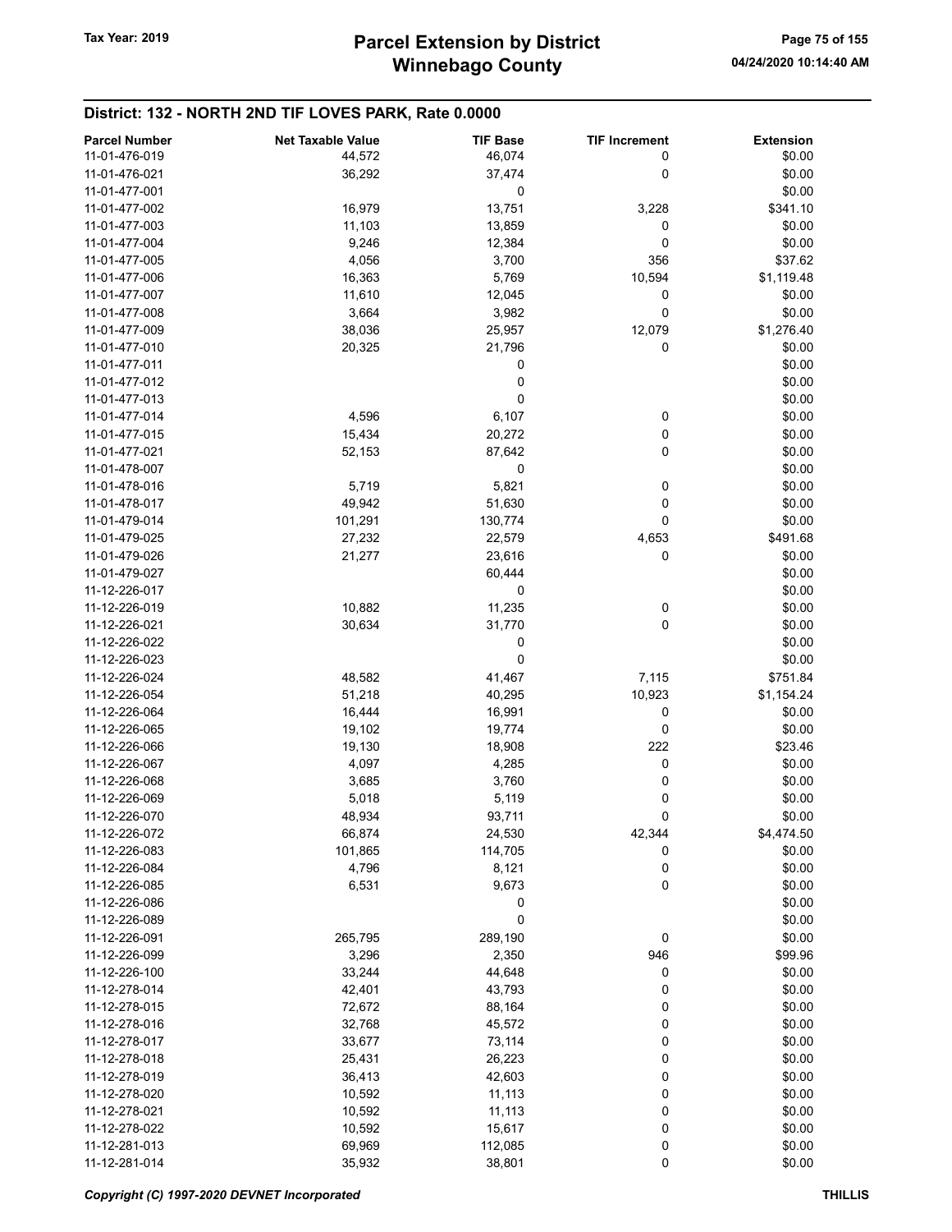| <b>Parcel Number</b> | <b>Net Taxable Value</b> | <b>TIF Base</b> | <b>TIF Increment</b> | <b>Extension</b> |
|----------------------|--------------------------|-----------------|----------------------|------------------|
| 11-01-476-019        | 44,572                   | 46,074          | 0                    | \$0.00           |
| 11-01-476-021        | 36,292                   | 37,474          | 0                    | \$0.00           |
| 11-01-477-001        |                          | 0               |                      | \$0.00           |
| 11-01-477-002        | 16,979                   | 13,751          | 3,228                | \$341.10         |
| 11-01-477-003        | 11,103                   | 13,859          | 0                    | \$0.00           |
| 11-01-477-004        |                          |                 |                      |                  |
|                      | 9,246                    | 12,384          | 0                    | \$0.00           |
| 11-01-477-005        | 4,056                    | 3,700           | 356                  | \$37.62          |
| 11-01-477-006        | 16,363                   | 5,769           | 10,594               | \$1,119.48       |
| 11-01-477-007        | 11,610                   | 12,045          | 0                    | \$0.00           |
| 11-01-477-008        | 3,664                    | 3,982           | 0                    | \$0.00           |
| 11-01-477-009        | 38,036                   | 25,957          | 12,079               | \$1,276.40       |
| 11-01-477-010        | 20,325                   | 21,796          | 0                    | \$0.00           |
| 11-01-477-011        |                          | 0               |                      | \$0.00           |
| 11-01-477-012        |                          | 0               |                      | \$0.00           |
| 11-01-477-013        |                          | 0               |                      | \$0.00           |
| 11-01-477-014        | 4,596                    | 6,107           | 0                    | \$0.00           |
| 11-01-477-015        | 15,434                   | 20,272          | 0                    | \$0.00           |
| 11-01-477-021        | 52,153                   | 87,642          | 0                    | \$0.00           |
| 11-01-478-007        |                          | 0               |                      | \$0.00           |
| 11-01-478-016        | 5,719                    | 5,821           | 0                    | \$0.00           |
| 11-01-478-017        | 49,942                   | 51,630          | 0                    | \$0.00           |
| 11-01-479-014        | 101,291                  | 130,774         | 0                    | \$0.00           |
| 11-01-479-025        | 27,232                   | 22,579          | 4,653                | \$491.68         |
| 11-01-479-026        | 21,277                   | 23,616          | 0                    | \$0.00           |
| 11-01-479-027        |                          | 60,444          |                      | \$0.00           |
| 11-12-226-017        |                          | 0               |                      | \$0.00           |
| 11-12-226-019        | 10,882                   |                 |                      | \$0.00           |
| 11-12-226-021        | 30,634                   | 11,235          | 0<br>0               |                  |
|                      |                          | 31,770          |                      | \$0.00           |
| 11-12-226-022        |                          | 0               |                      | \$0.00           |
| 11-12-226-023        |                          | 0               |                      | \$0.00           |
| 11-12-226-024        | 48,582                   | 41,467          | 7,115                | \$751.84         |
| 11-12-226-054        | 51,218                   | 40,295          | 10,923               | \$1,154.24       |
| 11-12-226-064        | 16,444                   | 16,991          | 0                    | \$0.00           |
| 11-12-226-065        | 19,102                   | 19,774          | 0                    | \$0.00           |
| 11-12-226-066        | 19,130                   | 18,908          | 222                  | \$23.46          |
| 11-12-226-067        | 4,097                    | 4,285           | 0                    | \$0.00           |
| 11-12-226-068        | 3,685                    | 3,760           | 0                    | \$0.00           |
| 11-12-226-069        | 5,018                    | 5,119           | 0                    | \$0.00           |
| 11-12-226-070        | 48,934                   | 93,711          | 0                    | \$0.00           |
| 11-12-226-072        | 66,874                   | 24,530          | 42,344               | \$4,474.50       |
| 11-12-226-083        | 101,865                  | 114,705         | 0                    | \$0.00           |
| 11-12-226-084        | 4,796                    | 8,121           | 0                    | \$0.00           |
| 11-12-226-085        | 6,531                    | 9,673           | 0                    | \$0.00           |
| 11-12-226-086        |                          | 0               |                      | \$0.00           |
| 11-12-226-089        |                          | 0               |                      | \$0.00           |
| 11-12-226-091        | 265,795                  | 289,190         | 0                    | \$0.00           |
| 11-12-226-099        | 3,296                    | 2,350           | 946                  | \$99.96          |
| 11-12-226-100        | 33,244                   | 44,648          | 0                    | \$0.00           |
| 11-12-278-014        | 42,401                   | 43,793          | 0                    | \$0.00           |
| 11-12-278-015        | 72,672                   | 88,164          | 0                    | \$0.00           |
| 11-12-278-016        | 32,768                   | 45,572          | 0                    | \$0.00           |
| 11-12-278-017        | 33,677                   | 73,114          | 0                    | \$0.00           |
| 11-12-278-018        |                          |                 | 0                    |                  |
|                      | 25,431                   | 26,223          |                      | \$0.00           |
| 11-12-278-019        | 36,413                   | 42,603          | 0                    | \$0.00           |
| 11-12-278-020        | 10,592                   | 11,113          | 0                    | \$0.00           |
| 11-12-278-021        | 10,592                   | 11,113          | 0                    | \$0.00           |
| 11-12-278-022        | 10,592                   | 15,617          | 0                    | \$0.00           |
| 11-12-281-013        | 69,969                   | 112,085         | 0                    | \$0.00           |
| 11-12-281-014        | 35,932                   | 38,801          | 0                    | \$0.00           |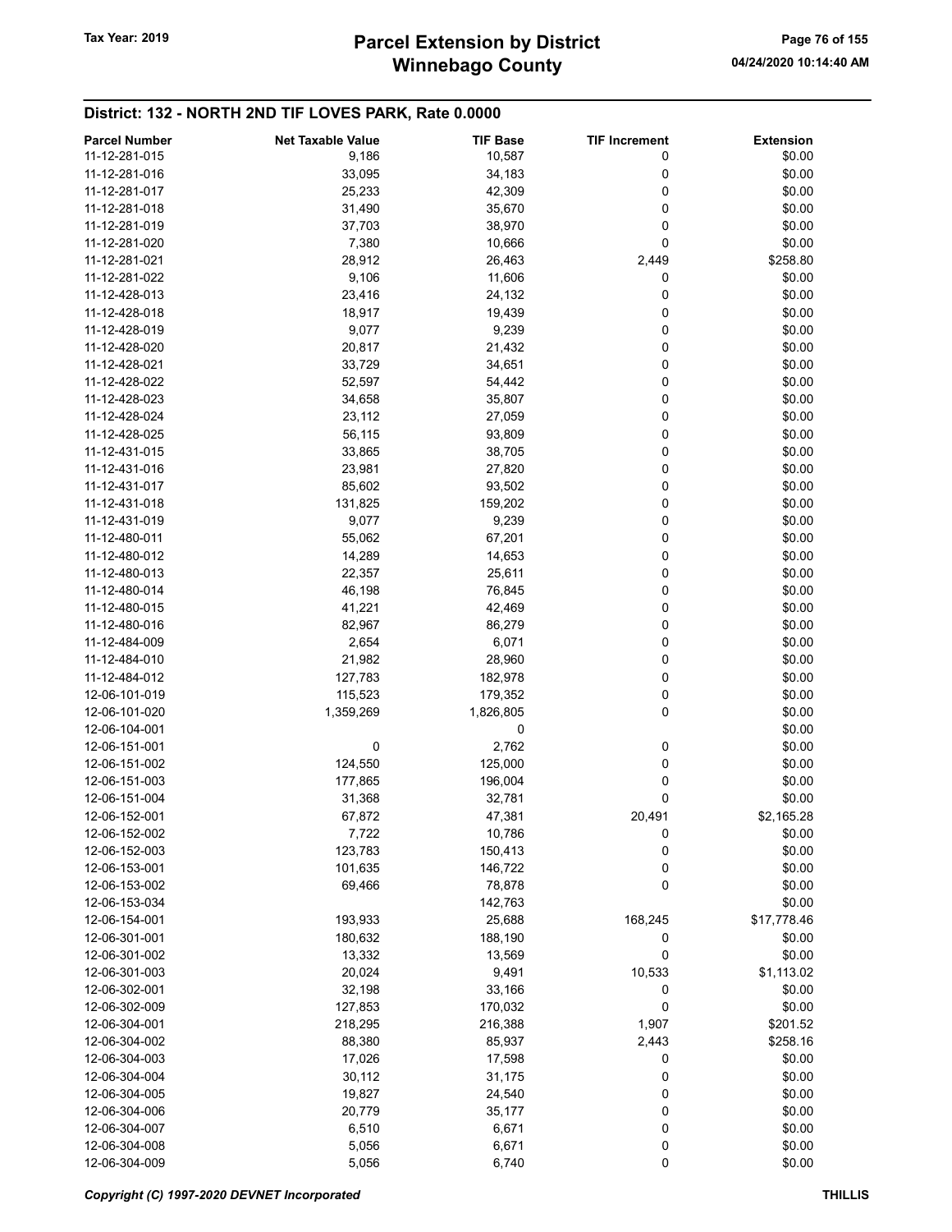# Winnebago County Tax Year: 2019 **Parcel Extension by District** Page 76 of 155

| <b>Parcel Number</b> | <b>Net Taxable Value</b> | <b>TIF Base</b>   | <b>TIF Increment</b> | <b>Extension</b>     |
|----------------------|--------------------------|-------------------|----------------------|----------------------|
| 11-12-281-015        | 9,186                    | 10,587            | 0                    | \$0.00               |
| 11-12-281-016        | 33,095                   | 34,183            | 0                    | \$0.00               |
| 11-12-281-017        | 25,233                   | 42,309            | 0                    | \$0.00               |
| 11-12-281-018        | 31,490                   | 35,670            | 0                    | \$0.00               |
|                      |                          |                   | 0                    | \$0.00               |
| 11-12-281-019        | 37,703                   | 38,970            |                      |                      |
| 11-12-281-020        | 7,380                    | 10,666            | 0                    | \$0.00               |
| 11-12-281-021        | 28,912                   | 26,463            | 2,449                | \$258.80             |
| 11-12-281-022        | 9,106                    | 11,606            | 0                    | \$0.00               |
| 11-12-428-013        | 23,416                   | 24,132            | 0                    | \$0.00               |
| 11-12-428-018        | 18,917                   | 19,439            | 0                    | \$0.00               |
| 11-12-428-019        | 9,077                    | 9,239             | 0                    | \$0.00               |
| 11-12-428-020        | 20,817                   | 21,432            | 0                    | \$0.00               |
| 11-12-428-021        | 33,729                   | 34,651            | 0                    | \$0.00               |
| 11-12-428-022        | 52,597                   | 54,442            | 0                    | \$0.00               |
| 11-12-428-023        | 34,658                   | 35,807            | 0                    | \$0.00               |
| 11-12-428-024        | 23,112                   | 27,059            | 0                    | \$0.00               |
| 11-12-428-025        | 56,115                   | 93,809            | 0                    | \$0.00               |
| 11-12-431-015        | 33,865                   | 38,705            | 0                    | \$0.00               |
| 11-12-431-016        | 23,981                   | 27,820            | 0                    | \$0.00               |
| 11-12-431-017        | 85,602                   | 93,502            | 0                    | \$0.00               |
| 11-12-431-018        | 131,825                  | 159,202           | 0                    | \$0.00               |
| 11-12-431-019        | 9,077                    | 9,239             | 0                    | \$0.00               |
| 11-12-480-011        | 55,062                   | 67,201            | 0                    | \$0.00               |
| 11-12-480-012        | 14,289                   | 14,653            | 0                    | \$0.00               |
| 11-12-480-013        | 22,357                   | 25,611            | 0                    | \$0.00               |
| 11-12-480-014        | 46,198                   | 76,845            | 0                    | \$0.00               |
| 11-12-480-015        | 41,221                   |                   | 0                    | \$0.00               |
|                      |                          | 42,469            | 0                    |                      |
| 11-12-480-016        | 82,967                   | 86,279            |                      | \$0.00               |
| 11-12-484-009        | 2,654                    | 6,071             | 0                    | \$0.00               |
| 11-12-484-010        | 21,982                   | 28,960            | 0                    | \$0.00               |
| 11-12-484-012        | 127,783                  | 182,978           | 0                    | \$0.00               |
| 12-06-101-019        | 115,523                  | 179,352           | 0                    | \$0.00               |
| 12-06-101-020        | 1,359,269                | 1,826,805         | 0                    | \$0.00               |
| 12-06-104-001        |                          | 0                 |                      | \$0.00               |
| 12-06-151-001        | 0                        | 2,762             | 0                    | \$0.00               |
| 12-06-151-002        | 124,550                  | 125,000           | 0                    | \$0.00               |
| 12-06-151-003        | 177,865                  | 196,004           | 0                    | \$0.00               |
| 12-06-151-004        | 31,368                   | 32,781            | 0                    | \$0.00               |
| 12-06-152-001        | 67,872                   | 47,381            | 20,491               | \$2,165.28           |
| 12-06-152-002        | 7,722                    | 10,786            | 0                    | \$0.00               |
| 12-06-152-003        | 123,783                  | 150,413           | 0                    | \$0.00               |
| 12-06-153-001        | 101,635                  | 146,722           | 0                    | \$0.00               |
| 12-06-153-002        | 69,466                   | 78,878            | 0                    | \$0.00               |
| 12-06-153-034        |                          | 142,763           |                      | \$0.00               |
| 12-06-154-001        | 193,933                  | 25,688            | 168,245              | \$17,778.46          |
| 12-06-301-001        | 180,632                  | 188,190           | 0                    | \$0.00               |
| 12-06-301-002        | 13,332                   | 13,569            | 0                    | \$0.00               |
| 12-06-301-003        | 20,024                   | 9,491             | 10,533               | \$1,113.02           |
| 12-06-302-001        | 32,198                   | 33,166            | 0                    | \$0.00               |
| 12-06-302-009        | 127,853                  | 170,032           | 0                    | \$0.00               |
| 12-06-304-001        |                          |                   |                      |                      |
| 12-06-304-002        | 218,295<br>88,380        | 216,388<br>85,937 | 1,907                | \$201.52<br>\$258.16 |
|                      |                          |                   | 2,443                |                      |
| 12-06-304-003        | 17,026                   | 17,598            | 0                    | \$0.00               |
| 12-06-304-004        | 30,112                   | 31,175            | 0                    | \$0.00               |
| 12-06-304-005        | 19,827                   | 24,540            | 0                    | \$0.00               |
| 12-06-304-006        | 20,779                   | 35,177            | 0                    | \$0.00               |
| 12-06-304-007        | 6,510                    | 6,671             | 0                    | \$0.00               |
| 12-06-304-008        | 5,056                    | 6,671             | 0                    | \$0.00               |
| 12-06-304-009        | 5,056                    | 6,740             | 0                    | \$0.00               |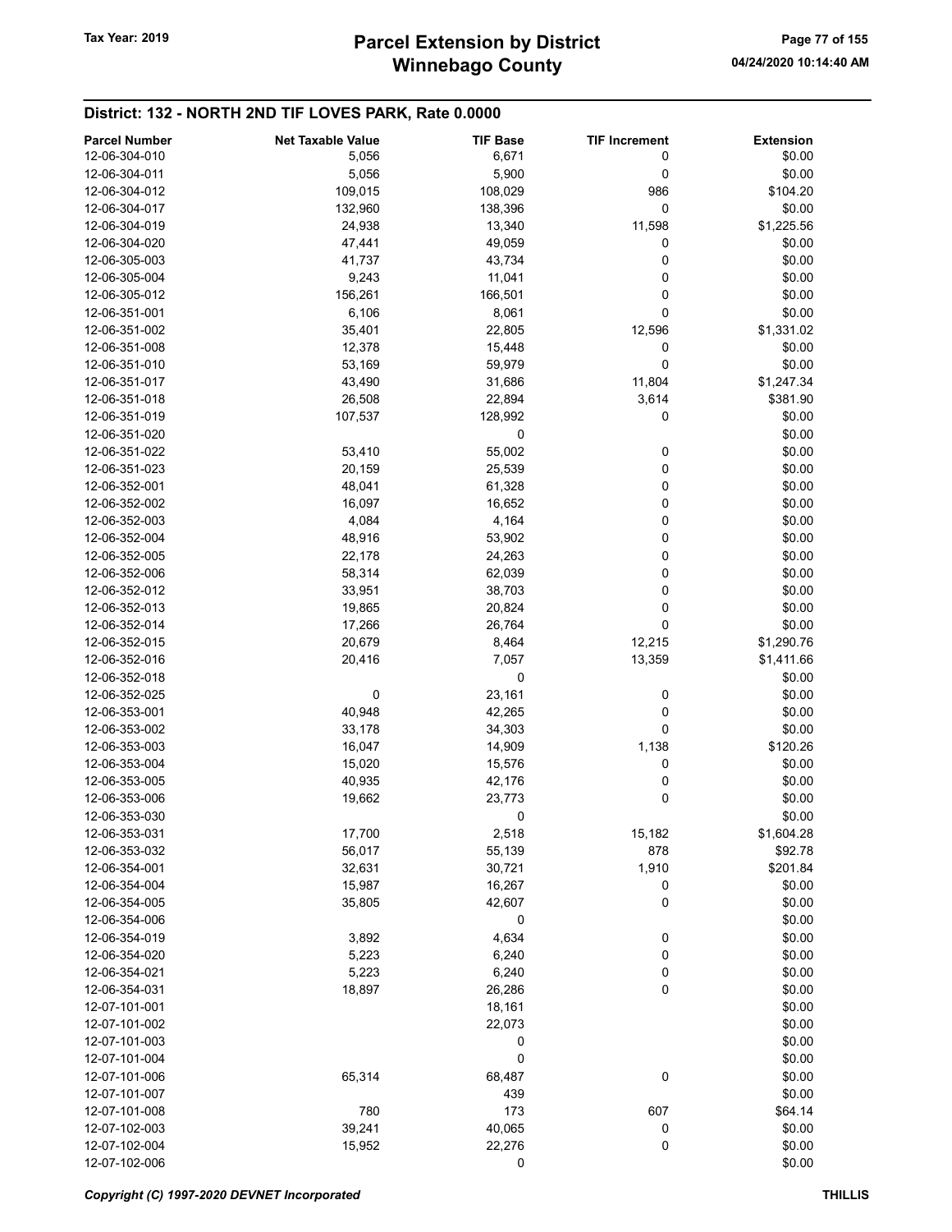| <b>Parcel Number</b> | <b>Net Taxable Value</b> | <b>TIF Base</b> | <b>TIF Increment</b> | <b>Extension</b> |
|----------------------|--------------------------|-----------------|----------------------|------------------|
| 12-06-304-010        | 5,056                    | 6,671           | 0                    | \$0.00           |
| 12-06-304-011        | 5,056                    | 5,900           | 0                    | \$0.00           |
| 12-06-304-012        | 109,015                  | 108,029         | 986                  | \$104.20         |
| 12-06-304-017        | 132,960                  | 138,396         | 0                    | \$0.00           |
| 12-06-304-019        |                          |                 |                      | \$1,225.56       |
|                      | 24,938                   | 13,340          | 11,598               |                  |
| 12-06-304-020        | 47,441                   | 49,059          | 0                    | \$0.00           |
| 12-06-305-003        | 41,737                   | 43,734          | 0                    | \$0.00           |
| 12-06-305-004        | 9,243                    | 11,041          | 0                    | \$0.00           |
| 12-06-305-012        | 156,261                  | 166,501         | 0                    | \$0.00           |
| 12-06-351-001        | 6,106                    | 8,061           | 0                    | \$0.00           |
| 12-06-351-002        | 35,401                   | 22,805          | 12,596               | \$1,331.02       |
| 12-06-351-008        | 12,378                   | 15,448          | 0                    | \$0.00           |
| 12-06-351-010        | 53,169                   | 59,979          | 0                    | \$0.00           |
| 12-06-351-017        | 43,490                   | 31,686          | 11,804               | \$1,247.34       |
| 12-06-351-018        | 26,508                   | 22,894          | 3,614                | \$381.90         |
| 12-06-351-019        | 107,537                  | 128,992         | 0                    | \$0.00           |
| 12-06-351-020        |                          | 0               |                      | \$0.00           |
| 12-06-351-022        | 53,410                   | 55,002          | 0                    | \$0.00           |
| 12-06-351-023        | 20,159                   | 25,539          | 0                    | \$0.00           |
|                      |                          |                 |                      |                  |
| 12-06-352-001        | 48,041                   | 61,328          | 0                    | \$0.00           |
| 12-06-352-002        | 16,097                   | 16,652          | 0                    | \$0.00           |
| 12-06-352-003        | 4,084                    | 4,164           | 0                    | \$0.00           |
| 12-06-352-004        | 48,916                   | 53,902          | 0                    | \$0.00           |
| 12-06-352-005        | 22,178                   | 24,263          | 0                    | \$0.00           |
| 12-06-352-006        | 58,314                   | 62,039          | 0                    | \$0.00           |
| 12-06-352-012        | 33,951                   | 38,703          | 0                    | \$0.00           |
| 12-06-352-013        | 19,865                   | 20,824          | 0                    | \$0.00           |
| 12-06-352-014        | 17,266                   | 26,764          | 0                    | \$0.00           |
| 12-06-352-015        | 20,679                   | 8,464           | 12,215               | \$1,290.76       |
| 12-06-352-016        | 20,416                   | 7,057           | 13,359               | \$1,411.66       |
| 12-06-352-018        |                          | 0               |                      | \$0.00           |
| 12-06-352-025        | 0                        | 23,161          | 0                    | \$0.00           |
| 12-06-353-001        | 40,948                   | 42,265          | 0                    | \$0.00           |
| 12-06-353-002        | 33,178                   | 34,303          | 0                    | \$0.00           |
| 12-06-353-003        |                          |                 |                      |                  |
|                      | 16,047                   | 14,909          | 1,138                | \$120.26         |
| 12-06-353-004        | 15,020                   | 15,576          | 0                    | \$0.00           |
| 12-06-353-005        | 40,935                   | 42,176          | 0                    | \$0.00           |
| 12-06-353-006        | 19,662                   | 23,773          | 0                    | \$0.00           |
| 12-06-353-030        |                          | 0               |                      | \$0.00           |
| 12-06-353-031        | 17,700                   | 2,518           | 15,182               | \$1,604.28       |
| 12-06-353-032        | 56,017                   | 55,139          | 878                  | \$92.78          |
| 12-06-354-001        | 32,631                   | 30,721          | 1,910                | \$201.84         |
| 12-06-354-004        | 15,987                   | 16,267          | 0                    | \$0.00           |
| 12-06-354-005        | 35,805                   | 42,607          | 0                    | \$0.00           |
| 12-06-354-006        |                          | 0               |                      | \$0.00           |
| 12-06-354-019        | 3,892                    | 4,634           | 0                    | \$0.00           |
| 12-06-354-020        | 5,223                    | 6,240           | 0                    | \$0.00           |
| 12-06-354-021        | 5,223                    | 6,240           | 0                    | \$0.00           |
| 12-06-354-031        | 18,897                   | 26,286          | 0                    | \$0.00           |
| 12-07-101-001        |                          | 18,161          |                      | \$0.00           |
| 12-07-101-002        |                          |                 |                      |                  |
|                      |                          | 22,073          |                      | \$0.00           |
| 12-07-101-003        |                          | 0               |                      | \$0.00           |
| 12-07-101-004        |                          | 0               |                      | \$0.00           |
| 12-07-101-006        | 65,314                   | 68,487          | 0                    | \$0.00           |
| 12-07-101-007        |                          | 439             |                      | \$0.00           |
| 12-07-101-008        | 780                      | 173             | 607                  | \$64.14          |
| 12-07-102-003        | 39,241                   | 40,065          | 0                    | \$0.00           |
| 12-07-102-004        | 15,952                   | 22,276          | 0                    | \$0.00           |
| 12-07-102-006        |                          | 0               |                      | \$0.00           |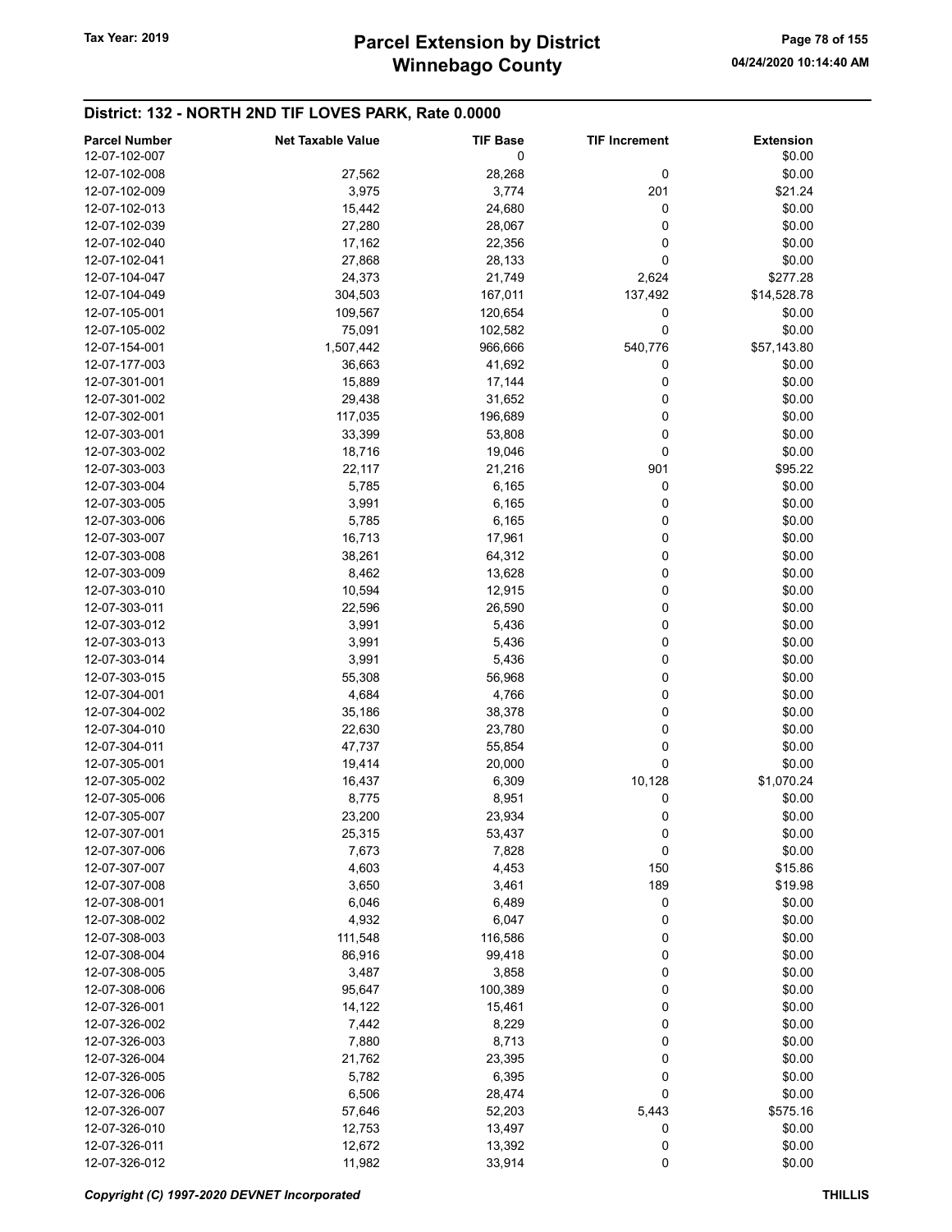| <b>Parcel Number</b><br>12-07-102-007 | <b>Net Taxable Value</b> | <b>TIF Base</b><br>0 | <b>TIF Increment</b> | <b>Extension</b><br>\$0.00 |
|---------------------------------------|--------------------------|----------------------|----------------------|----------------------------|
| 12-07-102-008                         | 27,562                   | 28,268               | 0                    | \$0.00                     |
| 12-07-102-009                         | 3,975                    | 3,774                | 201                  | \$21.24                    |
| 12-07-102-013                         | 15,442                   | 24,680               | 0                    | \$0.00                     |
| 12-07-102-039                         | 27,280                   | 28,067               | 0                    | \$0.00                     |
| 12-07-102-040                         | 17,162                   | 22,356               | 0                    | \$0.00                     |
| 12-07-102-041                         | 27,868                   | 28,133               | 0                    | \$0.00                     |
| 12-07-104-047                         | 24,373                   | 21,749               | 2,624                | \$277.28                   |
| 12-07-104-049                         | 304,503                  | 167,011              | 137,492              | \$14,528.78                |
| 12-07-105-001                         | 109,567                  | 120,654              | 0                    | \$0.00                     |
| 12-07-105-002                         | 75,091                   | 102,582              | 0                    | \$0.00                     |
| 12-07-154-001                         | 1,507,442                | 966,666              | 540,776              | \$57,143.80                |
| 12-07-177-003                         | 36,663                   | 41,692               | 0                    | \$0.00                     |
| 12-07-301-001                         | 15,889                   | 17,144               | 0                    | \$0.00                     |
| 12-07-301-002                         | 29,438                   | 31,652               | 0                    | \$0.00                     |
| 12-07-302-001                         | 117,035                  | 196,689              | 0                    | \$0.00                     |
| 12-07-303-001                         | 33,399                   | 53,808               | 0                    | \$0.00                     |
| 12-07-303-002                         | 18,716                   | 19,046               | 0                    | \$0.00                     |
| 12-07-303-003                         | 22,117                   | 21,216               | 901                  | \$95.22                    |
| 12-07-303-004                         | 5,785                    | 6,165                | 0                    | \$0.00                     |
| 12-07-303-005                         | 3,991                    | 6,165                | 0                    | \$0.00                     |
| 12-07-303-006                         | 5,785                    | 6,165                | 0                    | \$0.00                     |
| 12-07-303-007                         | 16,713                   | 17,961               | 0                    | \$0.00                     |
| 12-07-303-008                         | 38,261                   | 64,312               | 0                    | \$0.00                     |
| 12-07-303-009                         | 8,462                    | 13,628               | 0                    | \$0.00                     |
| 12-07-303-010                         | 10,594                   | 12,915               | 0                    | \$0.00                     |
| 12-07-303-011                         | 22,596                   | 26,590               | 0                    | \$0.00                     |
| 12-07-303-012                         | 3,991                    | 5,436                | 0                    | \$0.00                     |
| 12-07-303-013                         | 3,991                    | 5,436                | 0                    | \$0.00                     |
| 12-07-303-014                         | 3,991                    | 5,436                | 0                    | \$0.00                     |
| 12-07-303-015                         | 55,308                   | 56,968               | 0                    | \$0.00                     |
| 12-07-304-001                         | 4,684                    | 4,766                | 0                    | \$0.00                     |
| 12-07-304-002                         | 35,186                   | 38,378               | 0                    | \$0.00                     |
| 12-07-304-010                         | 22,630                   | 23,780               | 0                    | \$0.00                     |
| 12-07-304-011                         | 47,737                   | 55,854               | 0                    | \$0.00                     |
| 12-07-305-001                         | 19,414                   | 20,000               | 0                    | \$0.00                     |
| 12-07-305-002                         | 16,437                   | 6,309                | 10,128               | \$1,070.24                 |
| 12-07-305-006                         | 8,775                    | 8,951                | 0                    | \$0.00                     |
| 12-07-305-007                         | 23,200                   | 23,934               | 0                    | \$0.00                     |
| 12-07-307-001                         | 25,315                   | 53,437               | 0                    | \$0.00                     |
| 12-07-307-006                         | 7,673                    | 7,828                | 0                    | \$0.00                     |
| 12-07-307-007                         | 4,603                    | 4,453                | 150                  | \$15.86                    |
| 12-07-307-008                         | 3,650                    | 3,461                | 189                  | \$19.98                    |
| 12-07-308-001                         | 6,046                    | 6,489                | 0                    | \$0.00                     |
| 12-07-308-002                         | 4,932                    | 6,047                | 0                    | \$0.00                     |
| 12-07-308-003                         | 111,548                  | 116,586              | 0                    | \$0.00                     |
| 12-07-308-004                         | 86,916                   | 99,418               | 0                    | \$0.00                     |
| 12-07-308-005                         | 3,487                    | 3,858                | 0                    | \$0.00                     |
| 12-07-308-006                         | 95,647                   | 100,389              | 0                    | \$0.00                     |
| 12-07-326-001                         | 14,122                   | 15,461               | 0                    | \$0.00                     |
| 12-07-326-002<br>12-07-326-003        | 7,442                    | 8,229<br>8,713       | 0                    | \$0.00<br>\$0.00           |
| 12-07-326-004                         | 7,880<br>21,762          | 23,395               | 0<br>0               | \$0.00                     |
| 12-07-326-005                         | 5,782                    | 6,395                | 0                    | \$0.00                     |
| 12-07-326-006                         | 6,506                    | 28,474               | 0                    | \$0.00                     |
| 12-07-326-007                         | 57,646                   | 52,203               | 5,443                | \$575.16                   |
| 12-07-326-010                         | 12,753                   | 13,497               | 0                    | \$0.00                     |
| 12-07-326-011                         | 12,672                   | 13,392               | 0                    | \$0.00                     |
| 12-07-326-012                         | 11,982                   | 33,914               | 0                    | \$0.00                     |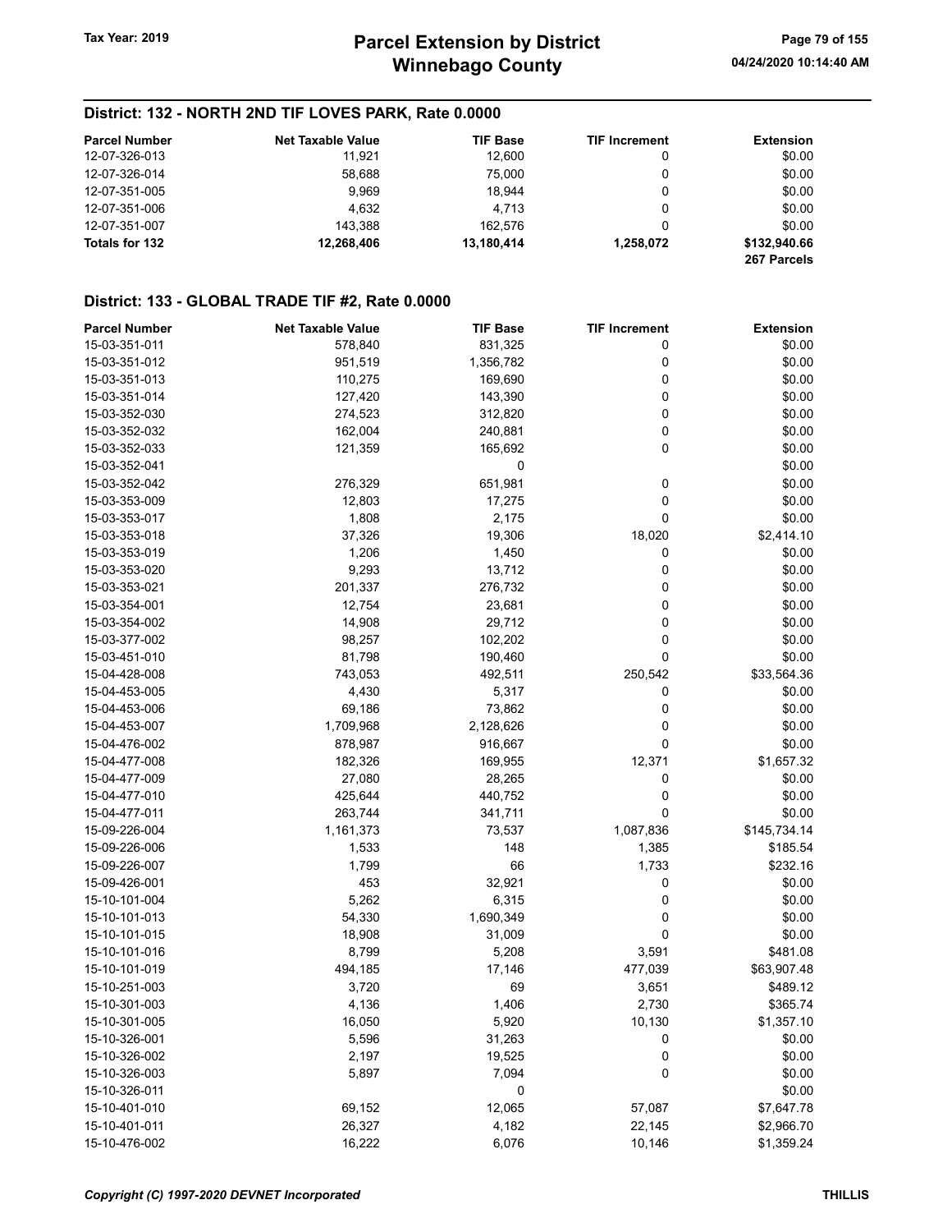| <b>Parcel Number</b> | <b>Net Taxable Value</b> | <b>TIF Base</b> | <b>TIF Increment</b> | Extension                   |
|----------------------|--------------------------|-----------------|----------------------|-----------------------------|
| 12-07-326-013        | 11.921                   | 12.600          | 0                    | \$0.00                      |
| 12-07-326-014        | 58.688                   | 75.000          | 0                    | \$0.00                      |
| 12-07-351-005        | 9.969                    | 18.944          |                      | \$0.00                      |
| 12-07-351-006        | 4.632                    | 4.713           | 0                    | \$0.00                      |
| 12-07-351-007        | 143.388                  | 162.576         |                      | \$0.00                      |
| Totals for 132       | 12.268.406               | 13.180.414      | 1.258.072            | \$132,940.66<br>267 Parcels |

## District: 133 - GLOBAL TRADE TIF #2, Rate 0.0000

| <b>Parcel Number</b> | <b>Net Taxable Value</b> | <b>TIF Base</b> | <b>TIF Increment</b> | <b>Extension</b> |
|----------------------|--------------------------|-----------------|----------------------|------------------|
| 15-03-351-011        | 578,840                  | 831,325         | 0                    | \$0.00           |
| 15-03-351-012        | 951,519                  | 1,356,782       | 0                    | \$0.00           |
| 15-03-351-013        | 110,275                  | 169,690         | 0                    | \$0.00           |
| 15-03-351-014        | 127,420                  | 143,390         | 0                    | \$0.00           |
| 15-03-352-030        | 274,523                  | 312,820         | 0                    | \$0.00           |
| 15-03-352-032        | 162,004                  | 240,881         | 0                    | \$0.00           |
| 15-03-352-033        | 121,359                  | 165,692         | 0                    | \$0.00           |
| 15-03-352-041        |                          | 0               |                      | \$0.00           |
| 15-03-352-042        | 276,329                  | 651,981         | 0                    | \$0.00           |
| 15-03-353-009        | 12,803                   | 17,275          | 0                    | \$0.00           |
| 15-03-353-017        | 1,808                    | 2,175           | 0                    | \$0.00           |
| 15-03-353-018        | 37,326                   | 19,306          | 18,020               | \$2,414.10       |
| 15-03-353-019        | 1,206                    | 1,450           | 0                    | \$0.00           |
| 15-03-353-020        | 9,293                    | 13,712          | 0                    | \$0.00           |
|                      |                          |                 | 0                    |                  |
| 15-03-353-021        | 201,337                  | 276,732         |                      | \$0.00           |
| 15-03-354-001        | 12,754                   | 23,681          | 0                    | \$0.00           |
| 15-03-354-002        | 14,908                   | 29,712          | 0                    | \$0.00           |
| 15-03-377-002        | 98,257                   | 102,202         | 0                    | \$0.00           |
| 15-03-451-010        | 81,798                   | 190,460         | 0                    | \$0.00           |
| 15-04-428-008        | 743,053                  | 492,511         | 250,542              | \$33,564.36      |
| 15-04-453-005        | 4,430                    | 5,317           | 0                    | \$0.00           |
| 15-04-453-006        | 69,186                   | 73,862          | 0                    | \$0.00           |
| 15-04-453-007        | 1,709,968                | 2,128,626       | 0                    | \$0.00           |
| 15-04-476-002        | 878,987                  | 916,667         | 0                    | \$0.00           |
| 15-04-477-008        | 182,326                  | 169,955         | 12,371               | \$1,657.32       |
| 15-04-477-009        | 27,080                   | 28,265          | 0                    | \$0.00           |
| 15-04-477-010        | 425,644                  | 440,752         | 0                    | \$0.00           |
| 15-04-477-011        | 263,744                  | 341,711         | 0                    | \$0.00           |
| 15-09-226-004        | 1,161,373                | 73,537          | 1,087,836            | \$145,734.14     |
| 15-09-226-006        | 1,533                    | 148             | 1,385                | \$185.54         |
| 15-09-226-007        | 1,799                    | 66              | 1,733                | \$232.16         |
| 15-09-426-001        | 453                      | 32,921          | 0                    | \$0.00           |
| 15-10-101-004        | 5,262                    | 6,315           | 0                    | \$0.00           |
| 15-10-101-013        | 54,330                   | 1,690,349       | 0                    | \$0.00           |
| 15-10-101-015        | 18,908                   | 31,009          | 0                    | \$0.00           |
| 15-10-101-016        | 8,799                    | 5,208           | 3,591                | \$481.08         |
| 15-10-101-019        | 494,185                  | 17,146          | 477,039              | \$63,907.48      |
| 15-10-251-003        | 3,720                    | 69              | 3,651                | \$489.12         |
| 15-10-301-003        | 4,136                    | 1,406           | 2,730                | \$365.74         |
| 15-10-301-005        | 16,050                   | 5,920           | 10,130               | \$1,357.10       |
| 15-10-326-001        | 5,596                    | 31,263          | 0                    | \$0.00           |
| 15-10-326-002        | 2,197                    | 19,525          | 0                    | \$0.00           |
| 15-10-326-003        | 5,897                    | 7,094           | $\pmb{0}$            | \$0.00           |
| 15-10-326-011        |                          | 0               |                      | \$0.00           |
| 15-10-401-010        | 69,152                   | 12,065          | 57,087               | \$7,647.78       |
| 15-10-401-011        | 26,327                   | 4,182           | 22,145               | \$2,966.70       |
| 15-10-476-002        | 16,222                   | 6,076           | 10,146               | \$1,359.24       |
|                      |                          |                 |                      |                  |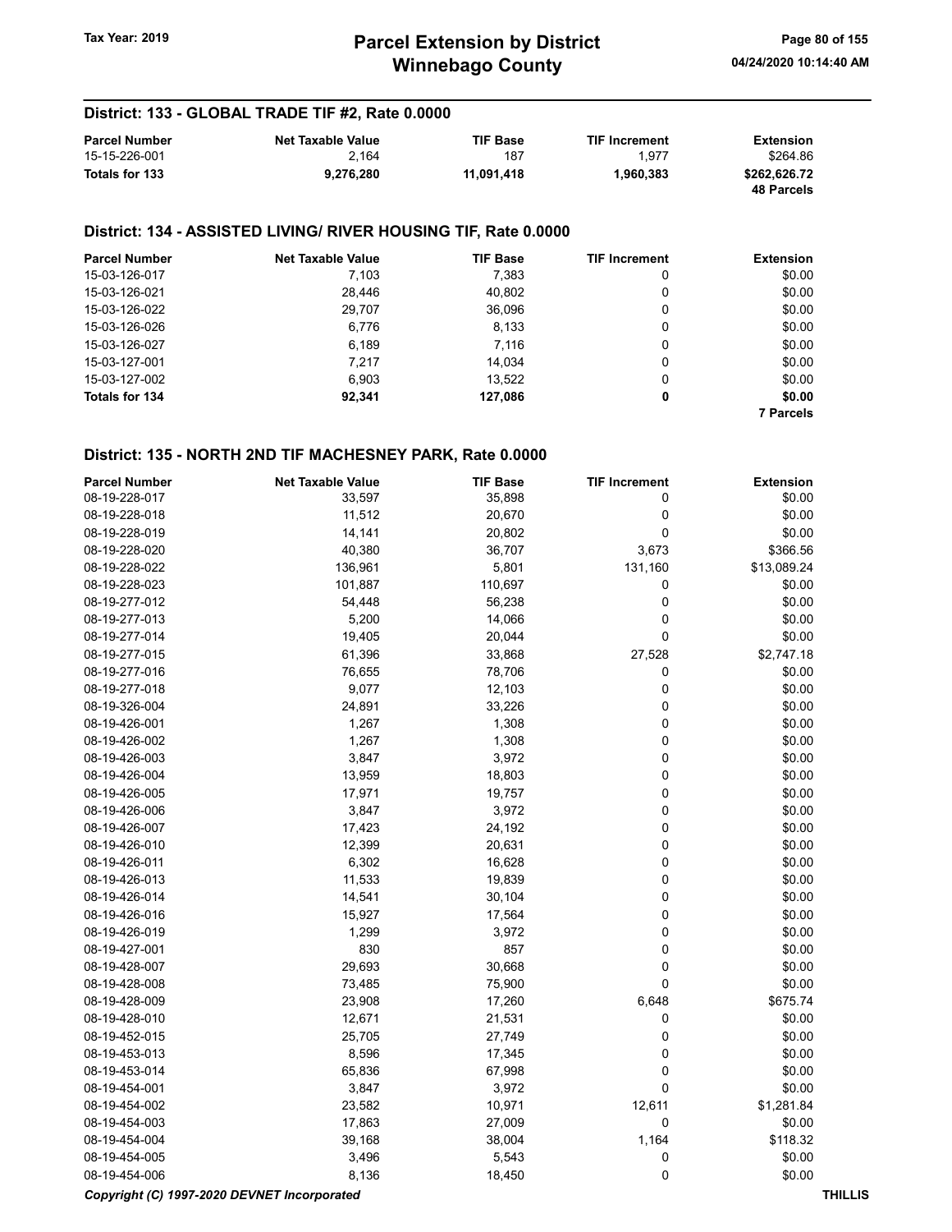# Winnebago County Tax Year: 2019 **Parcel Extension by District** Page 80 of 155

## District: 133 - GLOBAL TRADE TIF #2, Rate 0.0000

| <b>Parcel Number</b> | <b>Net Taxable Value</b> | <b>TIF Base</b> | <b>TIF Increment</b> | Extension                  |
|----------------------|--------------------------|-----------------|----------------------|----------------------------|
| 15-15-226-001        | 2.164                    | 187             | 1.977                | \$264.86                   |
| Totals for 133       | 9.276.280                | 11.091.418      | 1.960.383            | \$262.626.72<br>48 Parcels |

#### District: 134 - ASSISTED LIVING/ RIVER HOUSING TIF, Rate 0.0000

| <b>Parcel Number</b> | <b>Net Taxable Value</b> | <b>TIF Base</b> | <b>TIF Increment</b> | <b>Extension</b> |
|----------------------|--------------------------|-----------------|----------------------|------------------|
| 15-03-126-017        | 7,103                    | 7,383           | 0                    | \$0.00           |
| 15-03-126-021        | 28,446                   | 40,802          | 0                    | \$0.00           |
| 15-03-126-022        | 29,707                   | 36,096          | 0                    | \$0.00           |
| 15-03-126-026        | 6,776                    | 8,133           | 0                    | \$0.00           |
| 15-03-126-027        | 6.189                    | 7.116           | 0                    | \$0.00           |
| 15-03-127-001        | 7.217                    | 14.034          | 0                    | \$0.00           |
| 15-03-127-002        | 6.903                    | 13.522          | 0                    | \$0.00           |
| Totals for 134       | 92,341                   | 127,086         | 0                    | \$0.00           |
|                      |                          |                 |                      | <b>7 Parcels</b> |

| <b>Parcel Number</b>                        | <b>Net Taxable Value</b> | <b>TIF Base</b> | <b>TIF Increment</b> | <b>Extension</b> |
|---------------------------------------------|--------------------------|-----------------|----------------------|------------------|
| 08-19-228-017                               | 33,597                   | 35,898          | 0                    | \$0.00           |
| 08-19-228-018                               | 11,512                   | 20,670          | $\mathbf 0$          | \$0.00           |
| 08-19-228-019                               | 14,141                   | 20,802          | $\mathbf 0$          | \$0.00           |
| 08-19-228-020                               | 40,380                   | 36,707          | 3,673                | \$366.56         |
| 08-19-228-022                               | 136,961                  | 5,801           | 131,160              | \$13,089.24      |
| 08-19-228-023                               | 101,887                  | 110,697         | 0                    | \$0.00           |
| 08-19-277-012                               | 54,448                   | 56,238          | $\mathbf 0$          | \$0.00           |
| 08-19-277-013                               | 5,200                    | 14,066          | 0                    | \$0.00           |
| 08-19-277-014                               | 19,405                   | 20,044          | $\mathbf 0$          | \$0.00           |
| 08-19-277-015                               | 61,396                   | 33,868          | 27,528               | \$2,747.18       |
| 08-19-277-016                               | 76,655                   | 78,706          | 0                    | \$0.00           |
| 08-19-277-018                               | 9,077                    | 12,103          | $\mathbf 0$          | \$0.00           |
| 08-19-326-004                               | 24,891                   | 33,226          | $\mathbf 0$          | \$0.00           |
| 08-19-426-001                               | 1,267                    | 1,308           | 0                    | \$0.00           |
| 08-19-426-002                               | 1,267                    | 1,308           | 0                    | \$0.00           |
| 08-19-426-003                               | 3,847                    | 3,972           | $\mathbf 0$          | \$0.00           |
| 08-19-426-004                               | 13,959                   | 18,803          | $\mathbf 0$          | \$0.00           |
| 08-19-426-005                               | 17,971                   | 19,757          | $\mathbf 0$          | \$0.00           |
| 08-19-426-006                               | 3,847                    | 3,972           | $\mathbf 0$          | \$0.00           |
| 08-19-426-007                               | 17,423                   | 24,192          | $\mathbf 0$          | \$0.00           |
| 08-19-426-010                               | 12,399                   | 20,631          | $\mathbf 0$          | \$0.00           |
| 08-19-426-011                               | 6,302                    | 16,628          | $\mathbf 0$          | \$0.00           |
| 08-19-426-013                               | 11,533                   | 19,839          | 0                    | \$0.00           |
| 08-19-426-014                               | 14,541                   | 30,104          | 0                    | \$0.00           |
| 08-19-426-016                               | 15,927                   | 17,564          | 0                    | \$0.00           |
| 08-19-426-019                               | 1,299                    | 3,972           | 0                    | \$0.00           |
| 08-19-427-001                               | 830                      | 857             | 0                    | \$0.00           |
| 08-19-428-007                               | 29,693                   | 30,668          | 0                    | \$0.00           |
| 08-19-428-008                               | 73,485                   | 75,900          | $\mathbf 0$          | \$0.00           |
| 08-19-428-009                               | 23,908                   | 17,260          | 6,648                | \$675.74         |
| 08-19-428-010                               | 12,671                   | 21,531          | 0                    | \$0.00           |
| 08-19-452-015                               | 25,705                   | 27,749          | $\mathbf 0$          | \$0.00           |
| 08-19-453-013                               | 8,596                    | 17,345          | $\mathbf 0$          | \$0.00           |
| 08-19-453-014                               | 65,836                   | 67,998          | $\mathbf 0$          | \$0.00           |
| 08-19-454-001                               | 3,847                    | 3,972           | 0                    | \$0.00           |
| 08-19-454-002                               | 23,582                   | 10,971          | 12,611               | \$1,281.84       |
| 08-19-454-003                               | 17,863                   | 27,009          | $\mathbf 0$          | \$0.00           |
| 08-19-454-004                               | 39,168                   | 38,004          | 1,164                | \$118.32         |
| 08-19-454-005                               | 3,496                    | 5,543           | 0                    | \$0.00           |
| 08-19-454-006                               | 8,136                    | 18,450          | $\mathbf 0$          | \$0.00           |
| Copyright (C) 1997-2020 DEVNET Incorporated |                          |                 |                      | <b>THILLIS</b>   |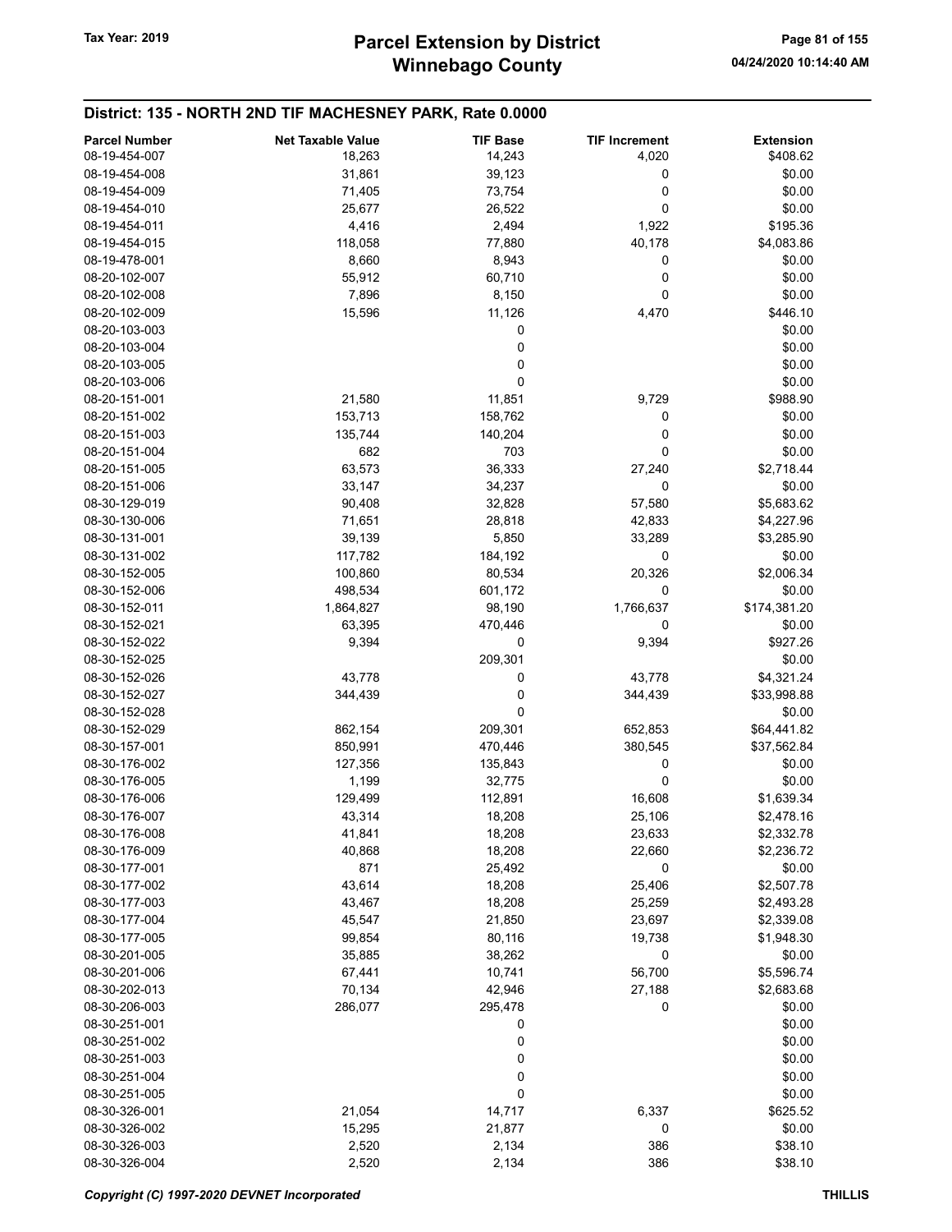| <b>Parcel Number</b> | <b>Net Taxable Value</b> | <b>TIF Base</b> | <b>TIF Increment</b> | <b>Extension</b> |
|----------------------|--------------------------|-----------------|----------------------|------------------|
| 08-19-454-007        | 18,263                   | 14,243          | 4,020                | \$408.62         |
| 08-19-454-008        | 31,861                   | 39,123          | 0                    | \$0.00           |
| 08-19-454-009        | 71,405                   | 73,754          | 0                    | \$0.00           |
| 08-19-454-010        | 25,677                   | 26,522          | 0                    | \$0.00           |
| 08-19-454-011        | 4,416                    | 2,494           | 1,922                | \$195.36         |
| 08-19-454-015        | 118,058                  | 77,880          | 40,178               | \$4,083.86       |
| 08-19-478-001        | 8,660                    | 8,943           | 0                    | \$0.00           |
| 08-20-102-007        | 55,912                   | 60,710          | 0                    | \$0.00           |
| 08-20-102-008        | 7,896                    | 8,150           | 0                    | \$0.00           |
| 08-20-102-009        | 15,596                   | 11,126          | 4,470                | \$446.10         |
| 08-20-103-003        |                          | 0               |                      | \$0.00           |
| 08-20-103-004        |                          | 0               |                      | \$0.00           |
| 08-20-103-005        |                          | 0               |                      | \$0.00           |
| 08-20-103-006        |                          | 0               |                      | \$0.00           |
| 08-20-151-001        | 21,580                   | 11,851          | 9,729                | \$988.90         |
| 08-20-151-002        | 153,713                  | 158,762         | 0                    | \$0.00           |
| 08-20-151-003        | 135,744                  | 140,204         | 0                    | \$0.00           |
| 08-20-151-004        | 682                      | 703             | 0                    | \$0.00           |
| 08-20-151-005        | 63,573                   | 36,333          | 27,240               | \$2,718.44       |
| 08-20-151-006        | 33,147                   | 34,237          | 0                    | \$0.00           |
| 08-30-129-019        | 90,408                   | 32,828          | 57,580               | \$5,683.62       |
| 08-30-130-006        | 71,651                   | 28,818          | 42,833               | \$4,227.96       |
| 08-30-131-001        | 39,139                   | 5,850           | 33,289               | \$3,285.90       |
| 08-30-131-002        | 117,782                  | 184,192         | 0                    | \$0.00           |
| 08-30-152-005        | 100,860                  | 80,534          | 20,326               | \$2,006.34       |
| 08-30-152-006        | 498,534                  | 601,172         | 0                    | \$0.00           |
| 08-30-152-011        | 1,864,827                | 98,190          | 1,766,637            | \$174,381.20     |
| 08-30-152-021        | 63,395                   | 470,446         | 0                    | \$0.00           |
| 08-30-152-022        | 9,394                    | 0               | 9,394                | \$927.26         |
| 08-30-152-025        |                          | 209,301         |                      | \$0.00           |
| 08-30-152-026        | 43,778                   | 0               | 43,778               | \$4,321.24       |
| 08-30-152-027        | 344,439                  | 0               | 344,439              | \$33,998.88      |
| 08-30-152-028        |                          | $\mathbf 0$     |                      | \$0.00           |
| 08-30-152-029        | 862,154                  | 209,301         | 652,853              | \$64,441.82      |
| 08-30-157-001        | 850,991                  | 470,446         | 380,545              | \$37,562.84      |
| 08-30-176-002        | 127,356                  | 135,843         | 0                    | \$0.00           |
| 08-30-176-005        | 1,199                    | 32,775          | 0                    | \$0.00           |
| 08-30-176-006        | 129,499                  | 112,891         | 16,608               | \$1,639.34       |
| 08-30-176-007        | 43,314                   | 18,208          | 25,106               | \$2,478.16       |
| 08-30-176-008        | 41,841                   | 18,208          | 23,633               | \$2,332.78       |
| 08-30-176-009        | 40,868                   | 18,208          | 22,660               | \$2,236.72       |
| 08-30-177-001        | 871                      | 25,492          | 0                    | \$0.00           |
| 08-30-177-002        | 43,614                   | 18,208          | 25,406               | \$2,507.78       |
| 08-30-177-003        | 43,467                   | 18,208          | 25,259               | \$2,493.28       |
| 08-30-177-004        | 45,547                   | 21,850          | 23,697               | \$2,339.08       |
| 08-30-177-005        | 99,854                   | 80,116          | 19,738               | \$1,948.30       |
| 08-30-201-005        | 35,885                   | 38,262          | 0                    | \$0.00           |
| 08-30-201-006        | 67,441                   | 10,741          | 56,700               | \$5,596.74       |
| 08-30-202-013        | 70,134                   | 42,946          | 27,188               | \$2,683.68       |
| 08-30-206-003        | 286,077                  | 295,478         | 0                    | \$0.00           |
| 08-30-251-001        |                          | 0               |                      | \$0.00           |
| 08-30-251-002        |                          | 0               |                      | \$0.00           |
| 08-30-251-003        |                          | 0               |                      | \$0.00           |
| 08-30-251-004        |                          | 0               |                      | \$0.00           |
| 08-30-251-005        |                          | $\pmb{0}$       |                      | \$0.00           |
| 08-30-326-001        | 21,054                   | 14,717          | 6,337                | \$625.52         |
| 08-30-326-002        | 15,295                   | 21,877          | 0                    | \$0.00           |
| 08-30-326-003        | 2,520                    | 2,134           | 386                  | \$38.10          |
| 08-30-326-004        | 2,520                    | 2,134           | 386                  | \$38.10          |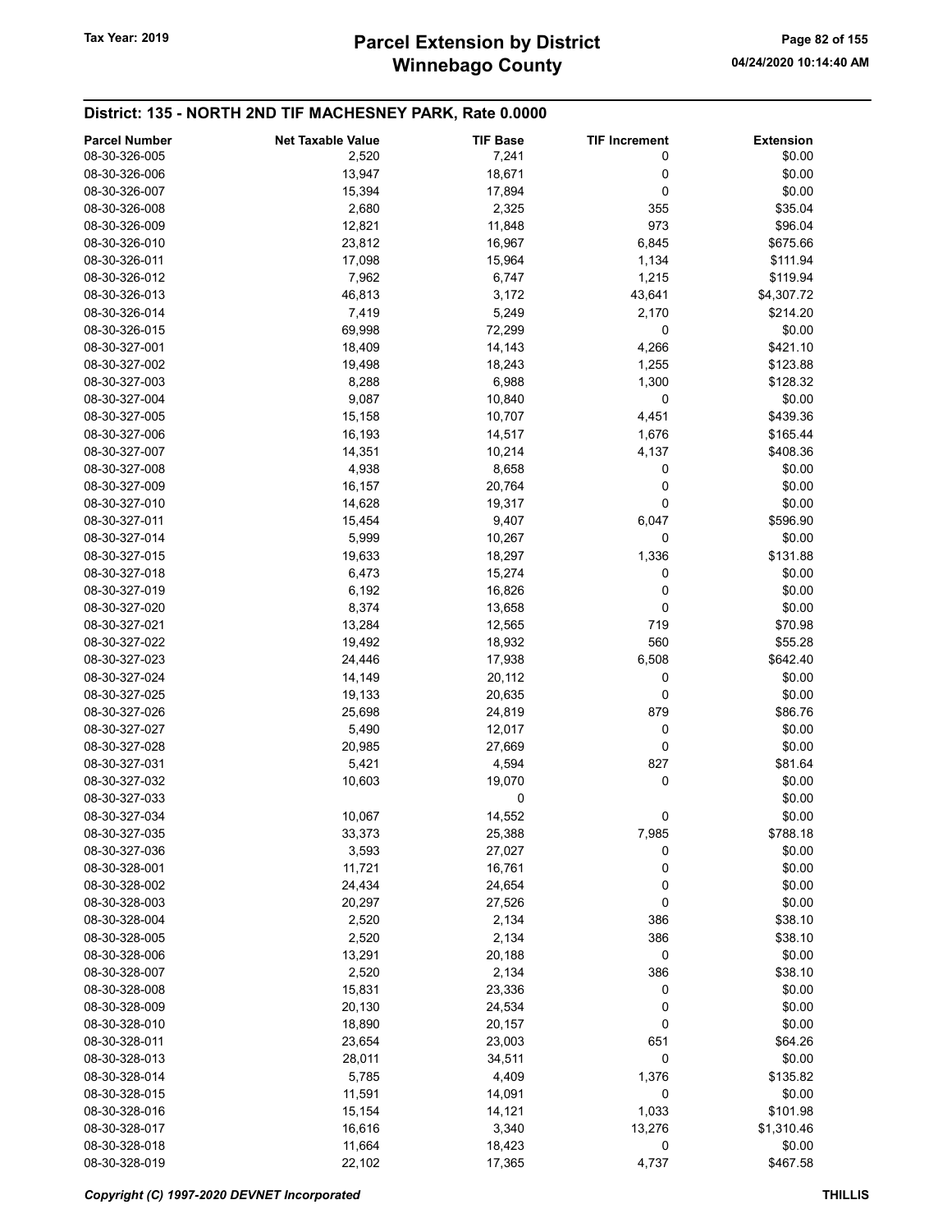| <b>Parcel Number</b> | <b>Net Taxable Value</b> | <b>TIF Base</b> | <b>TIF Increment</b> | <b>Extension</b> |
|----------------------|--------------------------|-----------------|----------------------|------------------|
| 08-30-326-005        | 2,520                    | 7,241           | 0                    | \$0.00           |
| 08-30-326-006        | 13,947                   | 18,671          | 0                    | \$0.00           |
| 08-30-326-007        | 15,394                   | 17,894          | 0                    | \$0.00           |
| 08-30-326-008        | 2,680                    | 2,325           | 355                  | \$35.04          |
| 08-30-326-009        | 12,821                   | 11,848          | 973                  | \$96.04          |
| 08-30-326-010        | 23,812                   | 16,967          | 6,845                | \$675.66         |
| 08-30-326-011        | 17,098                   | 15,964          | 1,134                | \$111.94         |
| 08-30-326-012        | 7,962                    | 6,747           | 1,215                | \$119.94         |
| 08-30-326-013        | 46,813                   | 3,172           | 43,641               | \$4,307.72       |
| 08-30-326-014        | 7,419                    | 5,249           | 2,170                | \$214.20         |
| 08-30-326-015        | 69,998                   | 72,299          | 0                    | \$0.00           |
| 08-30-327-001        | 18,409                   | 14,143          | 4,266                | \$421.10         |
| 08-30-327-002        | 19,498                   | 18,243          | 1,255                | \$123.88         |
| 08-30-327-003        | 8,288                    | 6,988           | 1,300                | \$128.32         |
| 08-30-327-004        | 9,087                    | 10,840          | 0                    | \$0.00           |
| 08-30-327-005        | 15,158                   | 10,707          | 4,451                | \$439.36         |
| 08-30-327-006        | 16,193                   | 14,517          | 1,676                | \$165.44         |
| 08-30-327-007        | 14,351                   | 10,214          | 4,137                | \$408.36         |
| 08-30-327-008        | 4,938                    | 8,658           | 0                    | \$0.00           |
| 08-30-327-009        | 16,157                   | 20,764          | 0                    | \$0.00           |
| 08-30-327-010        | 14,628                   | 19,317          | 0                    | \$0.00           |
| 08-30-327-011        | 15,454                   | 9,407           | 6,047                | \$596.90         |
| 08-30-327-014        | 5,999                    | 10,267          | 0                    | \$0.00           |
| 08-30-327-015        | 19,633                   | 18,297          | 1,336                | \$131.88         |
| 08-30-327-018        | 6,473                    | 15,274          | 0                    | \$0.00           |
| 08-30-327-019        | 6,192                    | 16,826          | 0                    | \$0.00           |
| 08-30-327-020        | 8,374                    | 13,658          | 0                    | \$0.00           |
| 08-30-327-021        | 13,284                   | 12,565          | 719                  | \$70.98          |
| 08-30-327-022        | 19,492                   | 18,932          | 560                  | \$55.28          |
| 08-30-327-023        | 24,446                   | 17,938          | 6,508                | \$642.40         |
| 08-30-327-024        | 14,149                   | 20,112          | 0                    | \$0.00           |
| 08-30-327-025        | 19,133                   | 20,635          | 0                    | \$0.00           |
| 08-30-327-026        | 25,698                   | 24,819          | 879                  | \$86.76          |
| 08-30-327-027        | 5,490                    | 12,017          | 0                    | \$0.00           |
| 08-30-327-028        | 20,985                   | 27,669          | 0                    | \$0.00           |
| 08-30-327-031        | 5,421                    | 4,594           | 827                  | \$81.64          |
| 08-30-327-032        | 10,603                   | 19,070          | 0                    | \$0.00           |
| 08-30-327-033        |                          | 0               |                      | \$0.00           |
| 08-30-327-034        | 10,067                   | 14,552          | 0                    | \$0.00           |
| 08-30-327-035        | 33,373                   | 25,388          | 7,985                | \$788.18         |
| 08-30-327-036        | 3,593                    | 27,027          | 0                    | \$0.00           |
| 08-30-328-001        | 11,721                   | 16,761          | 0                    | \$0.00           |
| 08-30-328-002        | 24,434                   | 24,654          | 0                    | \$0.00           |
| 08-30-328-003        | 20,297                   | 27,526          | 0                    | \$0.00           |
| 08-30-328-004        | 2,520                    | 2,134           | 386                  | \$38.10          |
| 08-30-328-005        | 2,520                    | 2,134           | 386                  | \$38.10          |
| 08-30-328-006        | 13,291                   | 20,188          | 0                    | \$0.00           |
| 08-30-328-007        | 2,520                    | 2,134           | 386                  | \$38.10          |
| 08-30-328-008        | 15,831                   | 23,336          | 0                    | \$0.00           |
| 08-30-328-009        | 20,130                   | 24,534          | 0                    | \$0.00           |
| 08-30-328-010        | 18,890                   | 20,157          | 0                    | \$0.00           |
| 08-30-328-011        | 23,654                   | 23,003          | 651                  | \$64.26          |
| 08-30-328-013        | 28,011                   | 34,511          | 0                    | \$0.00           |
| 08-30-328-014        | 5,785                    | 4,409           | 1,376                | \$135.82         |
| 08-30-328-015        | 11,591                   | 14,091          | 0                    | \$0.00           |
| 08-30-328-016        | 15,154                   | 14,121          | 1,033                | \$101.98         |
| 08-30-328-017        | 16,616                   | 3,340           | 13,276               | \$1,310.46       |
| 08-30-328-018        | 11,664                   | 18,423          | 0                    | \$0.00           |
| 08-30-328-019        | 22,102                   | 17,365          | 4,737                | \$467.58         |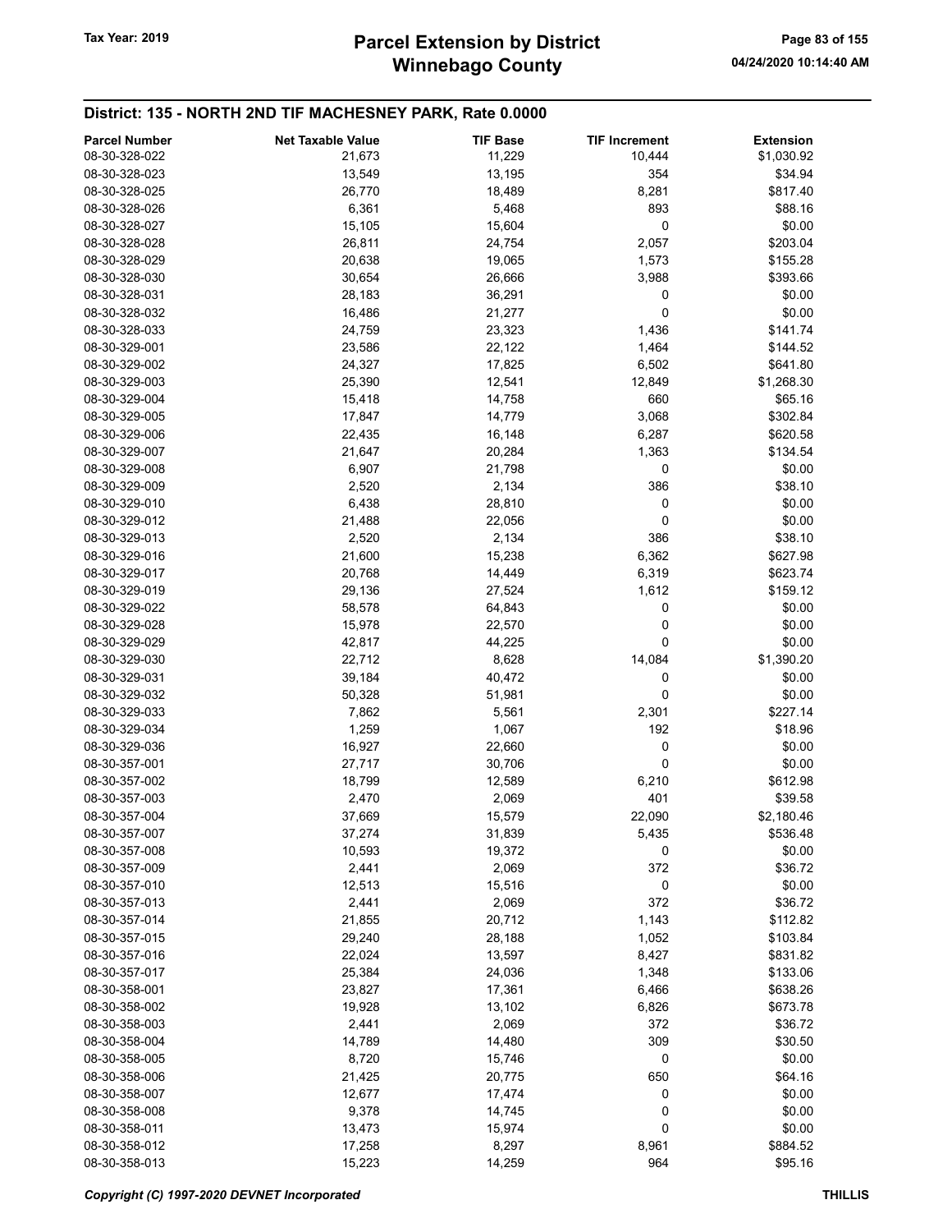| <b>Parcel Number</b> | <b>Net Taxable Value</b> | <b>TIF Base</b> | <b>TIF Increment</b> | <b>Extension</b> |
|----------------------|--------------------------|-----------------|----------------------|------------------|
| 08-30-328-022        | 21,673                   | 11,229          | 10,444               | \$1,030.92       |
| 08-30-328-023        | 13,549                   | 13,195          | 354                  | \$34.94          |
| 08-30-328-025        | 26,770                   | 18,489          | 8,281                | \$817.40         |
| 08-30-328-026        | 6,361                    | 5,468           | 893                  | \$88.16          |
| 08-30-328-027        | 15,105                   | 15,604          | 0                    | \$0.00           |
|                      |                          |                 |                      |                  |
| 08-30-328-028        | 26,811                   | 24,754          | 2,057                | \$203.04         |
| 08-30-328-029        | 20,638                   | 19,065          | 1,573                | \$155.28         |
| 08-30-328-030        | 30,654                   | 26,666          | 3,988                | \$393.66         |
| 08-30-328-031        | 28,183                   | 36,291          | 0                    | \$0.00           |
| 08-30-328-032        | 16,486                   | 21,277          | 0                    | \$0.00           |
| 08-30-328-033        | 24,759                   | 23,323          | 1,436                | \$141.74         |
| 08-30-329-001        | 23,586                   | 22,122          | 1,464                | \$144.52         |
| 08-30-329-002        | 24,327                   | 17,825          | 6,502                | \$641.80         |
| 08-30-329-003        | 25,390                   | 12,541          | 12,849               | \$1,268.30       |
| 08-30-329-004        | 15,418                   | 14,758          | 660                  | \$65.16          |
| 08-30-329-005        | 17,847                   | 14,779          | 3,068                | \$302.84         |
| 08-30-329-006        | 22,435                   | 16,148          | 6,287                | \$620.58         |
| 08-30-329-007        | 21,647                   | 20,284          | 1,363                | \$134.54         |
| 08-30-329-008        | 6,907                    | 21,798          | 0                    | \$0.00           |
| 08-30-329-009        | 2,520                    | 2,134           | 386                  | \$38.10          |
| 08-30-329-010        | 6,438                    | 28,810          | 0                    | \$0.00           |
| 08-30-329-012        | 21,488                   | 22,056          | 0                    | \$0.00           |
| 08-30-329-013        | 2,520                    | 2,134           | 386                  | \$38.10          |
| 08-30-329-016        | 21,600                   | 15,238          | 6,362                | \$627.98         |
| 08-30-329-017        | 20,768                   | 14,449          | 6,319                | \$623.74         |
| 08-30-329-019        | 29,136                   | 27,524          | 1,612                | \$159.12         |
| 08-30-329-022        | 58,578                   | 64,843          | 0                    | \$0.00           |
| 08-30-329-028        | 15,978                   | 22,570          | 0                    | \$0.00           |
| 08-30-329-029        | 42,817                   | 44,225          | 0                    | \$0.00           |
| 08-30-329-030        | 22,712                   | 8,628           | 14,084               | \$1,390.20       |
| 08-30-329-031        | 39,184                   | 40,472          | 0                    | \$0.00           |
| 08-30-329-032        | 50,328                   | 51,981          | 0                    | \$0.00           |
| 08-30-329-033        | 7,862                    | 5,561           | 2,301                | \$227.14         |
| 08-30-329-034        | 1,259                    | 1,067           | 192                  | \$18.96          |
| 08-30-329-036        | 16,927                   | 22,660          | 0                    | \$0.00           |
| 08-30-357-001        | 27,717                   | 30,706          | 0                    | \$0.00           |
| 08-30-357-002        | 18,799                   | 12,589          | 6,210                | \$612.98         |
| 08-30-357-003        | 2,470                    | 2,069           | 401                  | \$39.58          |
| 08-30-357-004        | 37,669                   | 15,579          | 22,090               | \$2,180.46       |
| 08-30-357-007        | 37,274                   | 31,839          | 5,435                | \$536.48         |
| 08-30-357-008        | 10,593                   | 19,372          | 0                    | \$0.00           |
| 08-30-357-009        | 2,441                    | 2,069           | 372                  | \$36.72          |
| 08-30-357-010        | 12,513                   | 15,516          | 0                    | \$0.00           |
| 08-30-357-013        | 2,441                    | 2,069           | 372                  | \$36.72          |
| 08-30-357-014        | 21,855                   | 20,712          | 1,143                | \$112.82         |
| 08-30-357-015        | 29,240                   | 28,188          | 1,052                | \$103.84         |
| 08-30-357-016        | 22,024                   | 13,597          | 8,427                | \$831.82         |
| 08-30-357-017        | 25,384                   | 24,036          | 1,348                | \$133.06         |
| 08-30-358-001        | 23,827                   | 17,361          | 6,466                | \$638.26         |
| 08-30-358-002        | 19,928                   | 13,102          | 6,826                | \$673.78         |
| 08-30-358-003        | 2,441                    | 2,069           | 372                  | \$36.72          |
| 08-30-358-004        | 14,789                   | 14,480          | 309                  | \$30.50          |
| 08-30-358-005        | 8,720                    | 15,746          | $\mathbf 0$          | \$0.00           |
| 08-30-358-006        | 21,425                   | 20,775          | 650                  | \$64.16          |
| 08-30-358-007        | 12,677                   | 17,474          | 0                    | \$0.00           |
| 08-30-358-008        | 9,378                    | 14,745          | 0                    | \$0.00           |
| 08-30-358-011        | 13,473                   | 15,974          | 0                    | \$0.00           |
| 08-30-358-012        | 17,258                   | 8,297           | 8,961                | \$884.52         |
| 08-30-358-013        | 15,223                   | 14,259          | 964                  | \$95.16          |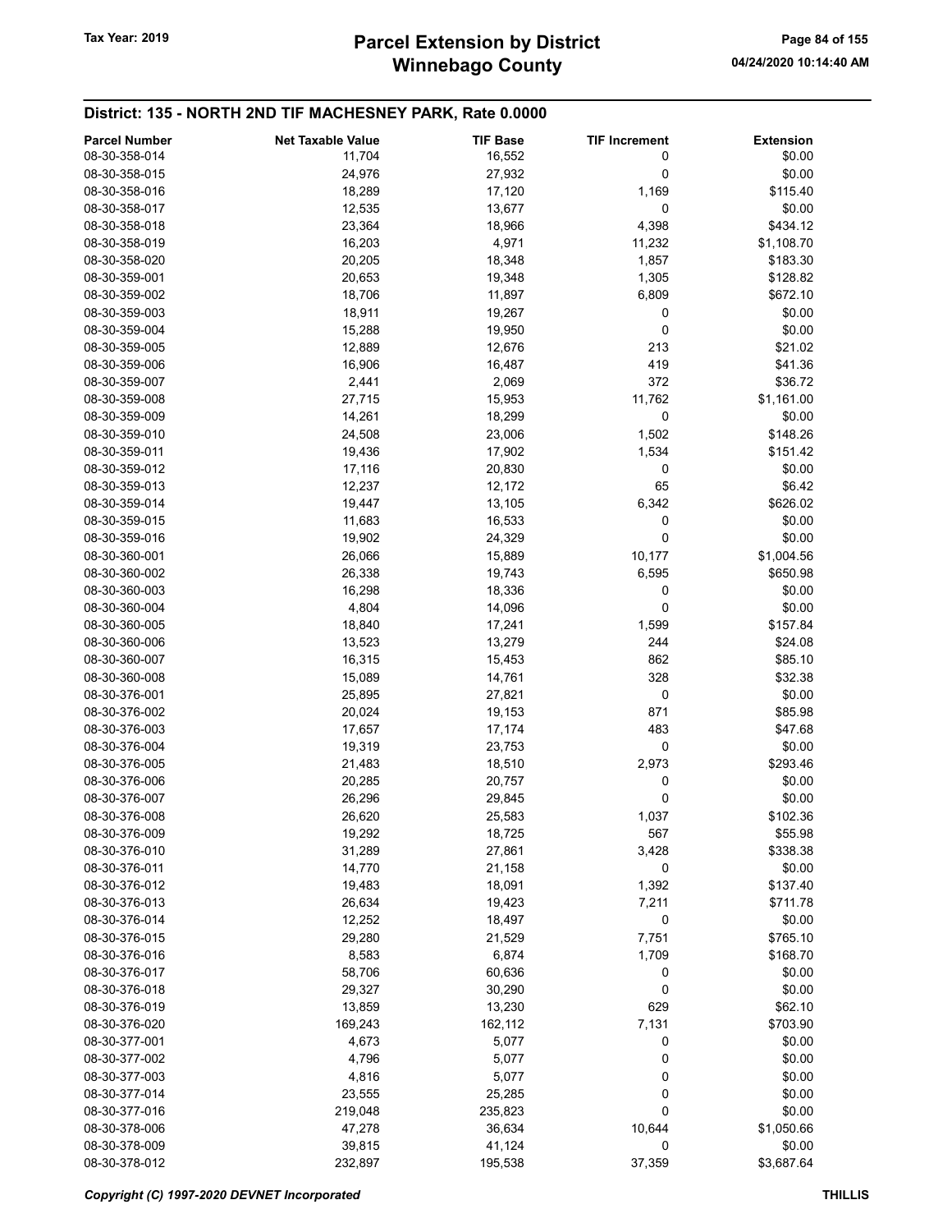| <b>Parcel Number</b> | <b>Net Taxable Value</b> | <b>TIF Base</b> | <b>TIF Increment</b> | <b>Extension</b> |
|----------------------|--------------------------|-----------------|----------------------|------------------|
| 08-30-358-014        | 11,704                   | 16,552          | 0                    | \$0.00           |
| 08-30-358-015        | 24,976                   | 27,932          | 0                    | \$0.00           |
| 08-30-358-016        | 18,289                   | 17,120          | 1,169                | \$115.40         |
| 08-30-358-017        | 12,535                   | 13,677          | 0                    | \$0.00           |
| 08-30-358-018        | 23,364                   | 18,966          | 4,398                | \$434.12         |
| 08-30-358-019        | 16,203                   | 4,971           | 11,232               | \$1,108.70       |
| 08-30-358-020        | 20,205                   | 18,348          | 1,857                | \$183.30         |
| 08-30-359-001        | 20,653                   | 19,348          | 1,305                | \$128.82         |
| 08-30-359-002        | 18,706                   | 11,897          | 6,809                | \$672.10         |
| 08-30-359-003        | 18,911                   | 19,267          | 0                    | \$0.00           |
| 08-30-359-004        | 15,288                   | 19,950          | 0                    | \$0.00           |
| 08-30-359-005        | 12,889                   | 12,676          | 213                  | \$21.02          |
| 08-30-359-006        | 16,906                   | 16,487          | 419                  | \$41.36          |
| 08-30-359-007        | 2,441                    | 2,069           | 372                  | \$36.72          |
| 08-30-359-008        | 27,715                   | 15,953          | 11,762               | \$1,161.00       |
| 08-30-359-009        | 14,261                   | 18,299          | 0                    | \$0.00           |
| 08-30-359-010        | 24,508                   | 23,006          | 1,502                | \$148.26         |
| 08-30-359-011        | 19,436                   | 17,902          | 1,534                | \$151.42         |
| 08-30-359-012        | 17,116                   | 20,830          | 0                    | \$0.00           |
| 08-30-359-013        | 12,237                   | 12,172          | 65                   | \$6.42           |
| 08-30-359-014        | 19,447                   | 13,105          | 6,342                | \$626.02         |
| 08-30-359-015        | 11,683                   | 16,533          | 0                    | \$0.00           |
| 08-30-359-016        | 19,902                   | 24,329          | 0                    | \$0.00           |
| 08-30-360-001        | 26,066                   | 15,889          | 10,177               | \$1,004.56       |
| 08-30-360-002        |                          |                 |                      | \$650.98         |
| 08-30-360-003        | 26,338<br>16,298         | 19,743          | 6,595<br>0           | \$0.00           |
|                      |                          | 18,336          |                      |                  |
| 08-30-360-004        | 4,804                    | 14,096          | 0                    | \$0.00           |
| 08-30-360-005        | 18,840                   | 17,241          | 1,599                | \$157.84         |
| 08-30-360-006        | 13,523                   | 13,279          | 244                  | \$24.08          |
| 08-30-360-007        | 16,315                   | 15,453          | 862                  | \$85.10          |
| 08-30-360-008        | 15,089                   | 14,761          | 328                  | \$32.38          |
| 08-30-376-001        | 25,895                   | 27,821          | $\pmb{0}$            | \$0.00           |
| 08-30-376-002        | 20,024                   | 19,153          | 871                  | \$85.98          |
| 08-30-376-003        | 17,657                   | 17,174          | 483                  | \$47.68          |
| 08-30-376-004        | 19,319                   | 23,753          | 0                    | \$0.00           |
| 08-30-376-005        | 21,483                   | 18,510          | 2,973                | \$293.46         |
| 08-30-376-006        | 20,285                   | 20,757          | 0                    | \$0.00           |
| 08-30-376-007        | 26,296                   | 29,845          | 0                    | \$0.00           |
| 08-30-376-008        | 26,620                   | 25,583          | 1,037                | \$102.36         |
| 08-30-376-009        | 19,292                   | 18,725          | 567                  | \$55.98          |
| 08-30-376-010        | 31,289                   | 27,861          | 3,428                | \$338.38         |
| 08-30-376-011        | 14,770                   | 21,158          | 0                    | \$0.00           |
| 08-30-376-012        | 19,483                   | 18,091          | 1,392                | \$137.40         |
| 08-30-376-013        | 26,634                   | 19,423          | 7,211                | \$711.78         |
| 08-30-376-014        | 12,252                   | 18,497          | 0                    | \$0.00           |
| 08-30-376-015        | 29,280                   | 21,529          | 7,751                | \$765.10         |
| 08-30-376-016        | 8,583                    | 6,874           | 1,709                | \$168.70         |
| 08-30-376-017        | 58,706                   | 60,636          | 0                    | \$0.00           |
| 08-30-376-018        | 29,327                   | 30,290          | 0                    | \$0.00           |
| 08-30-376-019        | 13,859                   | 13,230          | 629                  | \$62.10          |
| 08-30-376-020        | 169,243                  | 162,112         | 7,131                | \$703.90         |
| 08-30-377-001        | 4,673                    | 5,077           | 0                    | \$0.00           |
| 08-30-377-002        | 4,796                    | 5,077           | 0                    | \$0.00           |
| 08-30-377-003        | 4,816                    | 5,077           | 0                    | \$0.00           |
| 08-30-377-014        | 23,555                   | 25,285          | 0                    | \$0.00           |
| 08-30-377-016        | 219,048                  | 235,823         | 0                    | \$0.00           |
| 08-30-378-006        | 47,278                   | 36,634          | 10,644               | \$1,050.66       |
| 08-30-378-009        | 39,815                   | 41,124          | 0                    | \$0.00           |
| 08-30-378-012        | 232,897                  | 195,538         | 37,359               | \$3,687.64       |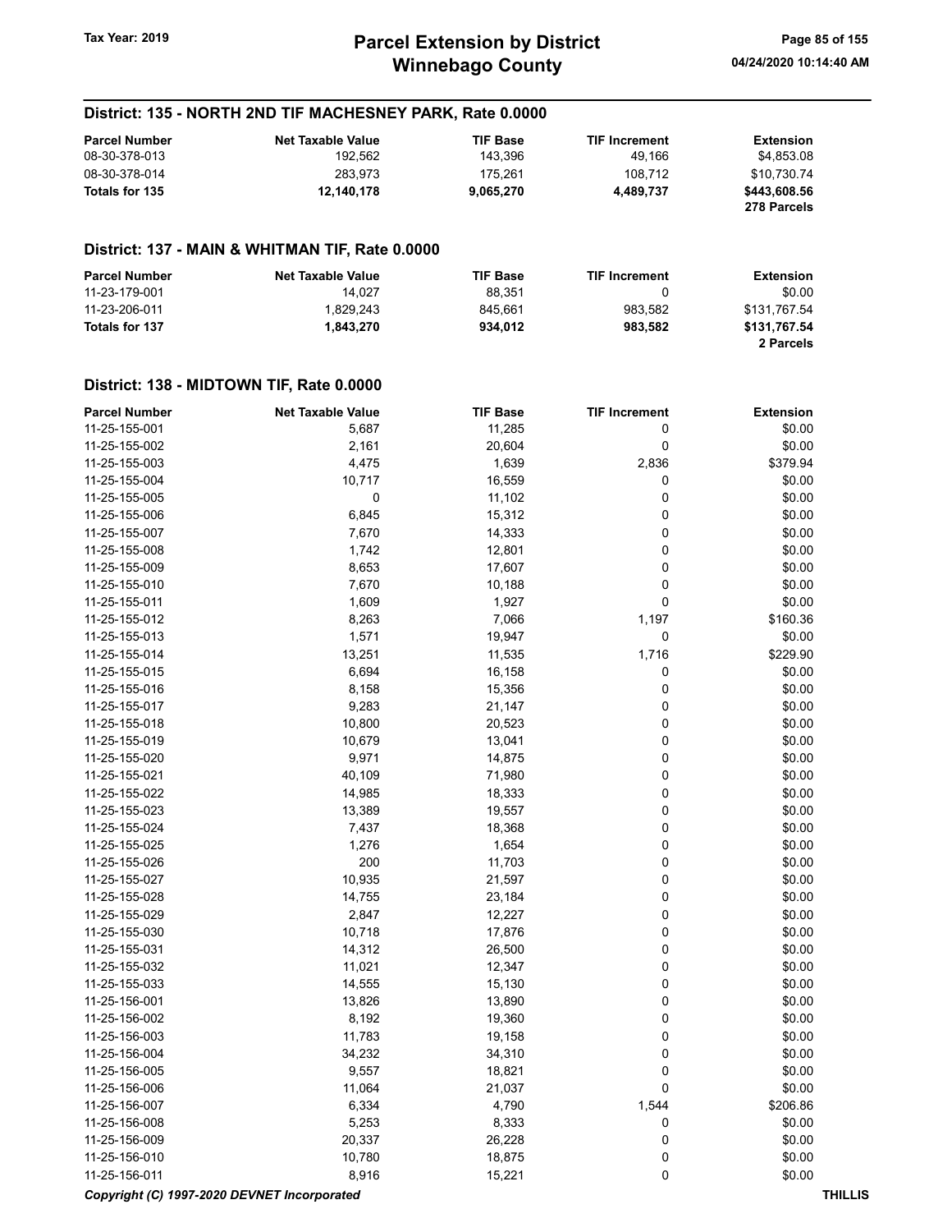| <b>Parcel Number</b> | <b>Net Taxable Value</b> | <b>TIF Base</b> | <b>TIF Increment</b> | Extension    |
|----------------------|--------------------------|-----------------|----------------------|--------------|
| 08-30-378-013        | 192.562                  | 143.396         | 49.166               | \$4.853.08   |
| 08-30-378-014        | 283.973                  | 175.261         | 108.712              | \$10.730.74  |
| Totals for 135       | 12.140.178               | 9.065.270       | 4.489.737            | \$443,608.56 |
|                      |                          |                 |                      | 278 Parcels  |

#### District: 137 - MAIN & WHITMAN TIF, Rate 0.0000

| <b>Parcel Number</b> | <b>Net Taxable Value</b> | <b>TIF Base</b> | <b>TIF Increment</b> | <b>Extension</b> |
|----------------------|--------------------------|-----------------|----------------------|------------------|
| 11-23-179-001        | 14.027                   | 88.351          |                      | \$0.00           |
| 11-23-206-011        | 1.829.243                | 845.661         | 983.582              | \$131.767.54     |
| Totals for 137       | 1.843.270                | 934.012         | 983.582              | \$131.767.54     |
|                      |                          |                 |                      | 2 Parcels        |

| <b>Parcel Number</b>                        | <b>Net Taxable Value</b> | <b>TIF Base</b> | <b>TIF Increment</b> | <b>Extension</b> |
|---------------------------------------------|--------------------------|-----------------|----------------------|------------------|
| 11-25-155-001                               | 5,687                    | 11,285          | 0                    | \$0.00           |
| 11-25-155-002                               | 2,161                    | 20,604          | 0                    | \$0.00           |
| 11-25-155-003                               | 4,475                    | 1,639           | 2,836                | \$379.94         |
| 11-25-155-004                               | 10,717                   | 16,559          | 0                    | \$0.00           |
| 11-25-155-005                               | 0                        | 11,102          | 0                    | \$0.00           |
| 11-25-155-006                               | 6,845                    | 15,312          | 0                    | \$0.00           |
| 11-25-155-007                               | 7,670                    | 14,333          | $\mathbf 0$          | \$0.00           |
| 11-25-155-008                               | 1,742                    | 12,801          | 0                    | \$0.00           |
| 11-25-155-009                               | 8,653                    | 17,607          | 0                    | \$0.00           |
| 11-25-155-010                               | 7,670                    | 10,188          | $\mathbf 0$          | \$0.00           |
| 11-25-155-011                               | 1,609                    | 1,927           | $\mathbf 0$          | \$0.00           |
| 11-25-155-012                               | 8,263                    | 7,066           | 1,197                | \$160.36         |
| 11-25-155-013                               | 1,571                    | 19,947          | $\mathbf 0$          | \$0.00           |
| 11-25-155-014                               | 13,251                   | 11,535          | 1,716                | \$229.90         |
| 11-25-155-015                               | 6,694                    | 16,158          | 0                    | \$0.00           |
| 11-25-155-016                               | 8,158                    | 15,356          | $\pmb{0}$            | \$0.00           |
| 11-25-155-017                               | 9,283                    | 21,147          | $\mathbf 0$          | \$0.00           |
| 11-25-155-018                               | 10,800                   | 20,523          | 0                    | \$0.00           |
| 11-25-155-019                               | 10,679                   | 13,041          | 0                    | \$0.00           |
| 11-25-155-020                               | 9,971                    | 14,875          | $\mathbf 0$          | \$0.00           |
| 11-25-155-021                               | 40,109                   | 71,980          | $\pmb{0}$            | \$0.00           |
| 11-25-155-022                               | 14,985                   | 18,333          | 0                    | \$0.00           |
| 11-25-155-023                               | 13,389                   | 19,557          | 0                    | \$0.00           |
| 11-25-155-024                               | 7,437                    | 18,368          | 0                    | \$0.00           |
| 11-25-155-025                               | 1,276                    | 1,654           | $\mathbf 0$          | \$0.00           |
| 11-25-155-026                               | 200                      | 11,703          | 0                    | \$0.00           |
| 11-25-155-027                               | 10,935                   | 21,597          | 0                    | \$0.00           |
| 11-25-155-028                               | 14,755                   | 23,184          | 0                    | \$0.00           |
| 11-25-155-029                               | 2,847                    | 12,227          | $\mathbf 0$          | \$0.00           |
| 11-25-155-030                               | 10,718                   | 17,876          | 0                    | \$0.00           |
| 11-25-155-031                               | 14,312                   | 26,500          | 0                    | \$0.00           |
| 11-25-155-032                               | 11,021                   | 12,347          | 0                    | \$0.00           |
| 11-25-155-033                               | 14,555                   | 15,130          | $\mathbf 0$          | \$0.00           |
| 11-25-156-001                               | 13,826                   | 13,890          | 0                    | \$0.00           |
| 11-25-156-002                               | 8,192                    | 19,360          | $\mathbf 0$          | \$0.00           |
| 11-25-156-003                               | 11,783                   | 19,158          | 0                    | \$0.00           |
| 11-25-156-004                               | 34,232                   | 34,310          | 0                    | \$0.00           |
| 11-25-156-005                               | 9,557                    | 18,821          | 0                    | \$0.00           |
| 11-25-156-006                               | 11,064                   | 21,037          | $\mathbf 0$          | \$0.00           |
| 11-25-156-007                               | 6,334                    | 4,790           | 1,544                | \$206.86         |
| 11-25-156-008                               | 5,253                    | 8,333           | $\mathbf 0$          | \$0.00           |
| 11-25-156-009                               | 20,337                   | 26,228          | $\mathbf 0$          | \$0.00           |
| 11-25-156-010                               | 10,780                   | 18,875          | $\pmb{0}$            | \$0.00           |
| 11-25-156-011                               | 8,916                    | 15,221          | $\mathbf 0$          | \$0.00           |
| Copyright (C) 1997-2020 DEVNET Incorporated |                          |                 |                      | <b>THILLIS</b>   |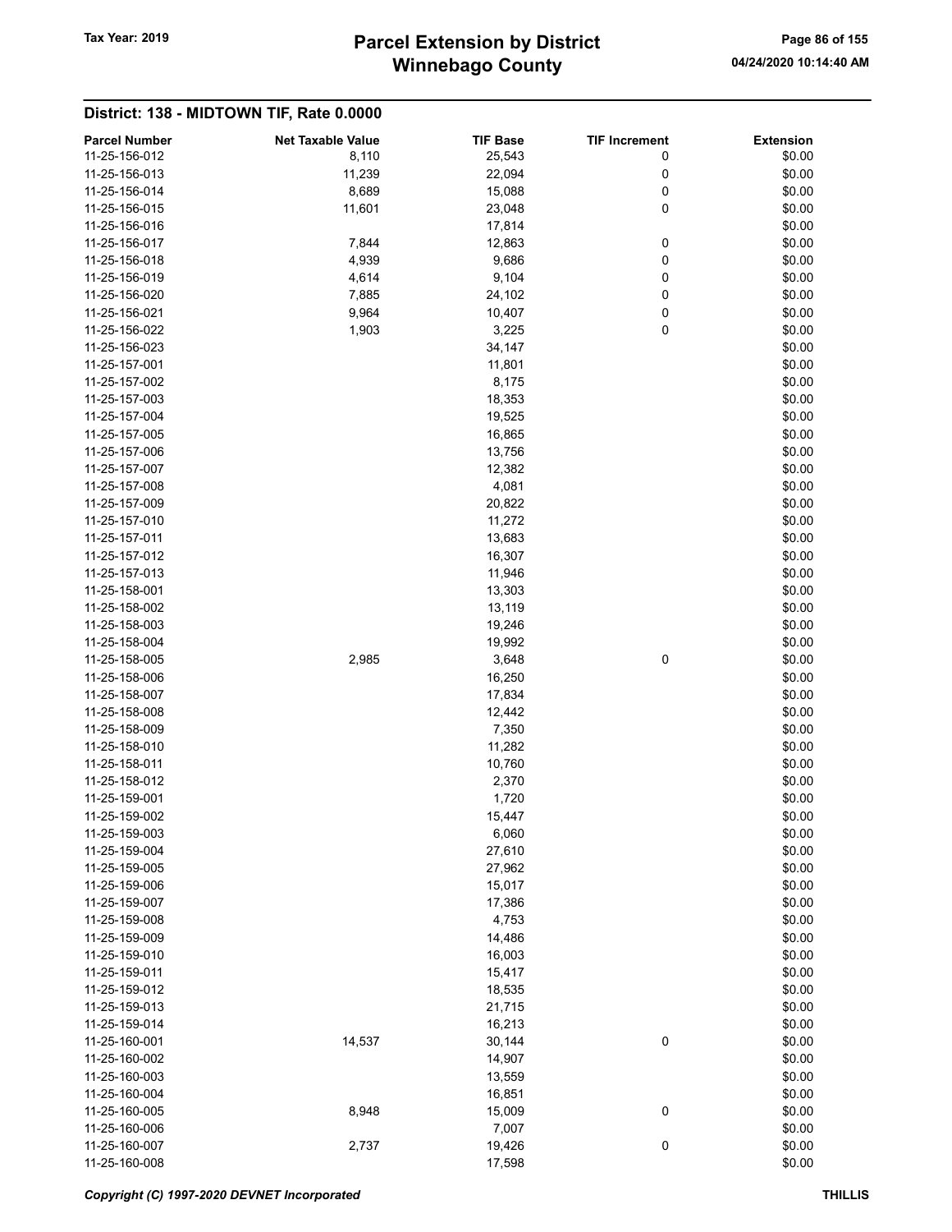# Winnebago County Tax Year: 2019 **Parcel Extension by District** Page 86 of 155

# District: 138 - MIDTOWN TIF, Rate 0.0000 Parcel Number **Net Taxable Value** TIF Base TIF Increment Extension 11-25-156-012 8,110 8,110 25,543 0 \$0.00 11-25-156-013 11,239 22,094 0 \$0.00 11-25-156-014 8,689 15,088 0 \$0.00 11-25-156-015 **11,601** 11,601 **23,048** 0 \$0.00 11-25-156-016 \$0.00 11-25-156-017 7,844 12,863 0 \$0.00 11-25-156-018 4,939 9,686 0 \$0.00 11-25-156-019 4,614 9,104 0 \$0.00 11-25-156-020 **80.00** 7,885 24,102 0 \$0.00 11-25-156-021 9,964 9,964 10,407 0 \$0.00 11-25-156-022 1,903 3,225 0 \$0.00 11-25-156-023 34,147 \$0.00 11-25-157-001 \$0.00 11-25-157-002 \$0.00 11-25-157-003 18,353 \$0.00 11-25-157-004 19,525 \$0.00 11-25-157-005 \$0.00 11-25-157-006 \$0.00 11-25-157-007 12,382 \$0.00 11-25-157-008 4,081 \$0.00

| 11-25-157-008 |        | 4,081  |             | \$0.00 |
|---------------|--------|--------|-------------|--------|
| 11-25-157-009 |        | 20,822 |             | \$0.00 |
| 11-25-157-010 |        | 11,272 |             | \$0.00 |
| 11-25-157-011 |        | 13,683 |             | \$0.00 |
| 11-25-157-012 |        | 16,307 |             | \$0.00 |
| 11-25-157-013 |        | 11,946 |             | \$0.00 |
| 11-25-158-001 |        | 13,303 |             | \$0.00 |
| 11-25-158-002 |        | 13,119 |             | \$0.00 |
| 11-25-158-003 |        | 19,246 |             | \$0.00 |
| 11-25-158-004 |        | 19,992 |             | \$0.00 |
| 11-25-158-005 | 2,985  | 3,648  | 0           | \$0.00 |
| 11-25-158-006 |        | 16,250 |             | \$0.00 |
| 11-25-158-007 |        | 17,834 |             | \$0.00 |
| 11-25-158-008 |        | 12,442 |             | \$0.00 |
| 11-25-158-009 |        | 7,350  |             | \$0.00 |
| 11-25-158-010 |        | 11,282 |             | \$0.00 |
| 11-25-158-011 |        | 10,760 |             | \$0.00 |
| 11-25-158-012 |        | 2,370  |             | \$0.00 |
| 11-25-159-001 |        | 1,720  |             | \$0.00 |
| 11-25-159-002 |        | 15,447 |             | \$0.00 |
| 11-25-159-003 |        | 6,060  |             | \$0.00 |
| 11-25-159-004 |        | 27,610 |             | \$0.00 |
| 11-25-159-005 |        | 27,962 |             | \$0.00 |
| 11-25-159-006 |        | 15,017 |             | \$0.00 |
| 11-25-159-007 |        | 17,386 |             | \$0.00 |
| 11-25-159-008 |        | 4,753  |             | \$0.00 |
| 11-25-159-009 |        | 14,486 |             | \$0.00 |
| 11-25-159-010 |        | 16,003 |             | \$0.00 |
| 11-25-159-011 |        | 15,417 |             | \$0.00 |
| 11-25-159-012 |        | 18,535 |             | \$0.00 |
| 11-25-159-013 |        | 21,715 |             | \$0.00 |
| 11-25-159-014 |        | 16,213 |             | \$0.00 |
| 11-25-160-001 | 14,537 | 30,144 | $\mathbf 0$ | \$0.00 |
| 11-25-160-002 |        | 14,907 |             | \$0.00 |
| 11-25-160-003 |        | 13,559 |             | \$0.00 |
| 11-25-160-004 |        | 16,851 |             | \$0.00 |
| 11-25-160-005 | 8,948  | 15,009 | 0           | \$0.00 |
| 11-25-160-006 |        | 7,007  |             | \$0.00 |
| 11-25-160-007 | 2,737  | 19,426 | 0           | \$0.00 |
| 11-25-160-008 |        | 17,598 |             | \$0.00 |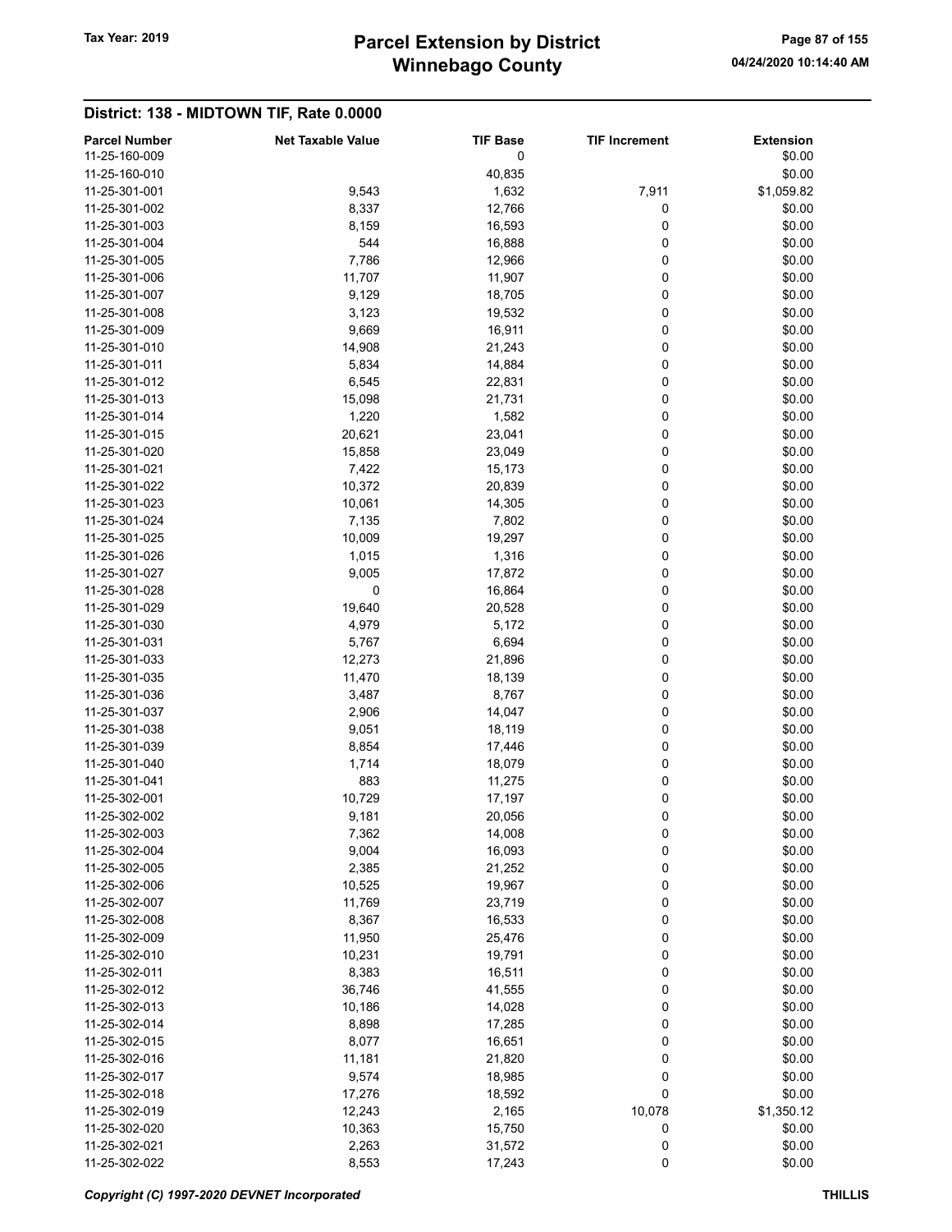# Winnebago County Tax Year: 2019 **Parcel Extension by District** Page 87 of 155

| <b>Parcel Number</b><br>11-25-160-009 | <b>Net Taxable Value</b> | <b>TIF Base</b><br>0 | <b>TIF Increment</b> | Extension<br>\$0.00 |
|---------------------------------------|--------------------------|----------------------|----------------------|---------------------|
| 11-25-160-010                         |                          | 40,835               |                      | \$0.00              |
| 11-25-301-001                         | 9,543                    | 1,632                | 7,911                | \$1,059.82          |
| 11-25-301-002                         | 8,337                    | 12,766               | 0                    | \$0.00              |
| 11-25-301-003                         | 8,159                    | 16,593               | 0                    | \$0.00              |
| 11-25-301-004                         | 544                      | 16,888               | 0                    | \$0.00              |
| 11-25-301-005                         | 7,786                    | 12,966               | 0                    | \$0.00              |
| 11-25-301-006                         | 11,707                   | 11,907               | 0                    | \$0.00              |
| 11-25-301-007                         | 9,129                    | 18,705               | 0                    | \$0.00              |
| 11-25-301-008                         | 3,123                    | 19,532               | 0                    | \$0.00              |
| 11-25-301-009                         | 9,669                    | 16,911               | 0                    | \$0.00              |
| 11-25-301-010                         | 14,908                   | 21,243               | 0                    | \$0.00              |
| 11-25-301-011                         | 5,834                    | 14,884               | 0                    | \$0.00              |
| 11-25-301-012                         | 6,545                    | 22,831               | 0                    | \$0.00              |
| 11-25-301-013                         | 15,098                   | 21,731               | 0                    | \$0.00              |
| 11-25-301-014                         | 1,220                    | 1,582                | 0                    | \$0.00              |
| 11-25-301-015                         | 20,621                   | 23,041               | 0                    | \$0.00              |
| 11-25-301-020                         | 15,858                   | 23,049               | 0                    | \$0.00              |
| 11-25-301-021                         | 7,422                    | 15,173               | 0                    | \$0.00              |
| 11-25-301-022                         | 10,372                   | 20,839               | 0                    | \$0.00              |
| 11-25-301-023                         | 10,061                   | 14,305               | 0                    | \$0.00              |
| 11-25-301-024                         | 7,135                    | 7,802                | 0                    | \$0.00              |
| 11-25-301-025                         | 10,009                   | 19,297               | 0                    | \$0.00              |
| 11-25-301-026                         | 1,015                    | 1,316                | 0                    | \$0.00              |
| 11-25-301-027                         | 9,005                    | 17,872               | 0                    | \$0.00              |
| 11-25-301-028                         | 0                        | 16,864               | 0                    | \$0.00              |
| 11-25-301-029                         | 19,640                   | 20,528               | 0                    | \$0.00              |
| 11-25-301-030                         | 4,979                    | 5,172                | 0                    | \$0.00              |
| 11-25-301-031                         | 5,767                    | 6,694                | 0                    | \$0.00              |
| 11-25-301-033                         | 12,273                   | 21,896               | 0                    | \$0.00              |
| 11-25-301-035                         | 11,470                   | 18,139               | 0                    | \$0.00              |
| 11-25-301-036                         | 3,487                    | 8,767                | 0                    | \$0.00              |
| 11-25-301-037                         | 2,906                    | 14,047               | 0                    | \$0.00              |
| 11-25-301-038                         | 9,051                    | 18,119               | 0                    | \$0.00              |
| 11-25-301-039                         | 8,854                    | 17,446               | 0                    | \$0.00              |
| 11-25-301-040                         | 1,714                    | 18,079               | 0                    | \$0.00              |
| 11-25-301-041                         | 883                      | 11,275               | 0                    | \$0.00              |
| 11-25-302-001                         | 10,729                   | 17,197               | 0                    | \$0.00              |
| 11-25-302-002                         | 9,181                    | 20,056               | 0                    | \$0.00              |
| 11-25-302-003                         | 7,362                    | 14,008               | 0                    | \$0.00              |
| 11-25-302-004                         | 9,004                    | 16,093               | 0                    | \$0.00              |
| 11-25-302-005                         | 2,385                    | 21,252               | 0                    | \$0.00              |
| 11-25-302-006                         | 10,525                   | 19,967               | 0                    | \$0.00              |
| 11-25-302-007                         | 11,769                   | 23,719               | 0                    | \$0.00              |
| 11-25-302-008                         | 8,367                    | 16,533               | 0                    | \$0.00              |
| 11-25-302-009                         | 11,950                   | 25,476               | 0                    | \$0.00              |
| 11-25-302-010                         | 10,231                   | 19,791               | 0                    | \$0.00              |
| 11-25-302-011                         | 8,383                    | 16,511               | 0                    | \$0.00              |
| 11-25-302-012                         | 36,746                   | 41,555               | 0                    | \$0.00              |
| 11-25-302-013                         | 10,186                   | 14,028               | 0                    | \$0.00              |
| 11-25-302-014                         | 8,898                    | 17,285               | 0                    | \$0.00              |
| 11-25-302-015                         | 8,077                    | 16,651               | 0                    | \$0.00              |
| 11-25-302-016                         | 11,181                   | 21,820               | 0                    | \$0.00              |
| 11-25-302-017                         | 9,574                    | 18,985               | 0                    | \$0.00              |
| 11-25-302-018                         | 17,276                   | 18,592               | 0                    | \$0.00              |
| 11-25-302-019                         | 12,243                   | 2,165                | 10,078               | \$1,350.12          |
| 11-25-302-020                         | 10,363                   | 15,750               | 0                    | \$0.00              |
| 11-25-302-021                         | 2,263                    | 31,572               | 0                    | \$0.00              |
| 11-25-302-022                         | 8,553                    | 17,243               | 0                    | \$0.00              |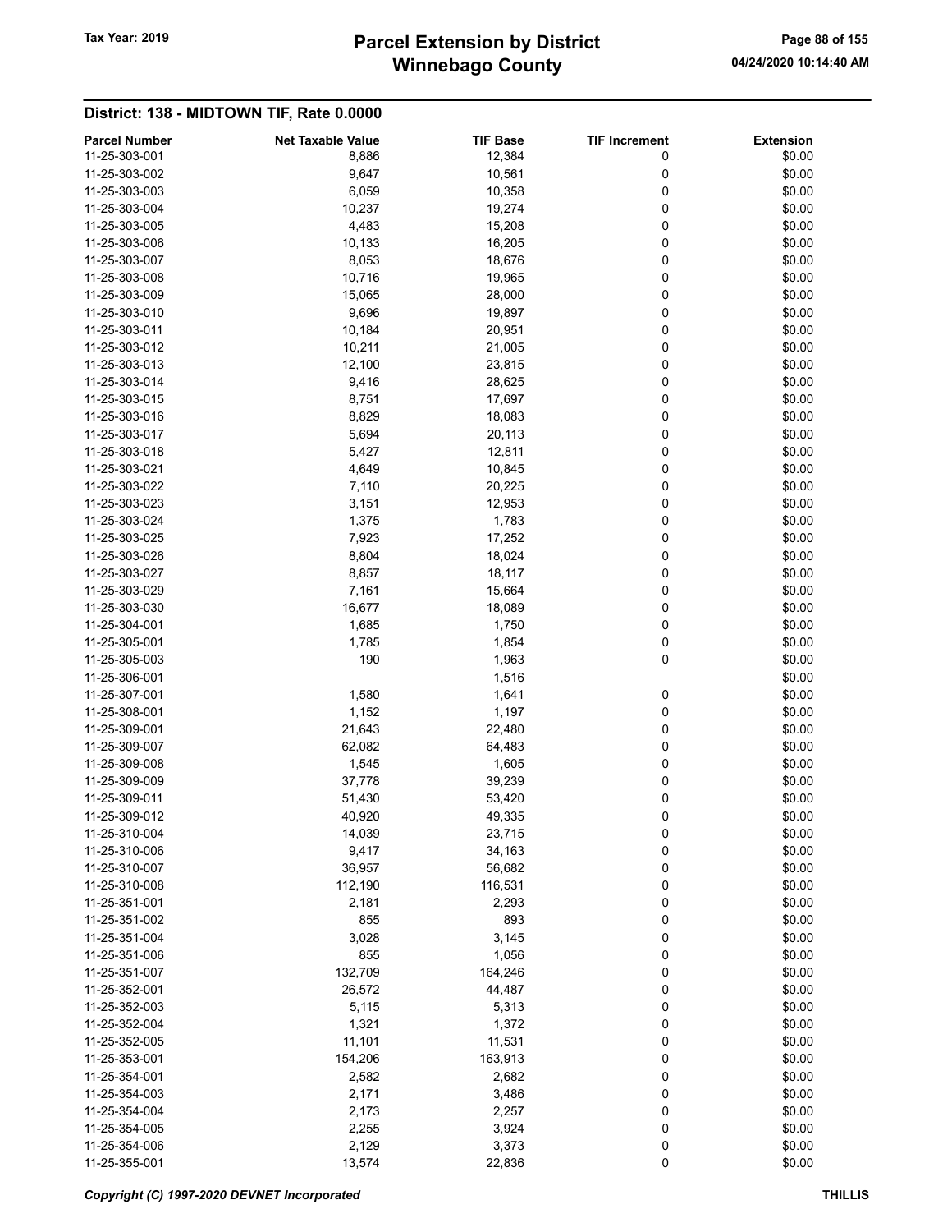# Winnebago County Tax Year: 2019 **Parcel Extension by District** Page 88 of 155

| <b>Parcel Number</b> | <b>Net Taxable Value</b> | <b>TIF Base</b> | <b>TIF Increment</b> | <b>Extension</b> |
|----------------------|--------------------------|-----------------|----------------------|------------------|
| 11-25-303-001        | 8,886                    | 12,384          | 0                    | \$0.00           |
| 11-25-303-002        | 9,647                    | 10,561          | 0                    | \$0.00           |
| 11-25-303-003        | 6,059                    | 10,358          | 0                    | \$0.00           |
| 11-25-303-004        | 10,237                   | 19,274          | 0                    | \$0.00           |
| 11-25-303-005        | 4,483                    | 15,208          | 0                    | \$0.00           |
| 11-25-303-006        | 10,133                   | 16,205          | 0                    | \$0.00           |
| 11-25-303-007        | 8,053                    | 18,676          | 0                    | \$0.00           |
| 11-25-303-008        | 10,716                   | 19,965          | 0                    | \$0.00           |
| 11-25-303-009        | 15,065                   | 28,000          | 0                    | \$0.00           |
| 11-25-303-010        | 9,696                    | 19,897          | 0                    | \$0.00           |
| 11-25-303-011        | 10,184                   | 20,951          | 0                    | \$0.00           |
|                      |                          |                 |                      |                  |
| 11-25-303-012        | 10,211                   | 21,005          | 0                    | \$0.00           |
| 11-25-303-013        | 12,100                   | 23,815          | 0                    | \$0.00           |
| 11-25-303-014        | 9,416                    | 28,625          | 0                    | \$0.00           |
| 11-25-303-015        | 8,751                    | 17,697          | 0                    | \$0.00           |
| 11-25-303-016        | 8,829                    | 18,083          | 0                    | \$0.00           |
| 11-25-303-017        | 5,694                    | 20,113          | 0                    | \$0.00           |
| 11-25-303-018        | 5,427                    | 12,811          | 0                    | \$0.00           |
| 11-25-303-021        | 4,649                    | 10,845          | 0                    | \$0.00           |
| 11-25-303-022        | 7,110                    | 20,225          | 0                    | \$0.00           |
| 11-25-303-023        | 3,151                    | 12,953          | 0                    | \$0.00           |
| 11-25-303-024        | 1,375                    | 1,783           | 0                    | \$0.00           |
| 11-25-303-025        | 7,923                    | 17,252          | 0                    | \$0.00           |
| 11-25-303-026        |                          |                 | 0                    |                  |
|                      | 8,804                    | 18,024          |                      | \$0.00           |
| 11-25-303-027        | 8,857                    | 18,117          | 0                    | \$0.00           |
| 11-25-303-029        | 7,161                    | 15,664          | 0                    | \$0.00           |
| 11-25-303-030        | 16,677                   | 18,089          | 0                    | \$0.00           |
| 11-25-304-001        | 1,685                    | 1,750           | 0                    | \$0.00           |
| 11-25-305-001        | 1,785                    | 1,854           | 0                    | \$0.00           |
| 11-25-305-003        | 190                      | 1,963           | 0                    | \$0.00           |
| 11-25-306-001        |                          | 1,516           |                      | \$0.00           |
| 11-25-307-001        | 1,580                    | 1,641           | 0                    | \$0.00           |
| 11-25-308-001        | 1,152                    | 1,197           | 0                    | \$0.00           |
| 11-25-309-001        | 21,643                   | 22,480          | 0                    | \$0.00           |
| 11-25-309-007        | 62,082                   | 64,483          | 0                    | \$0.00           |
| 11-25-309-008        | 1,545                    | 1,605           | 0                    | \$0.00           |
| 11-25-309-009        |                          |                 | 0                    |                  |
|                      | 37,778                   | 39,239          |                      | \$0.00           |
| 11-25-309-011        | 51,430                   | 53,420          | 0                    | \$0.00           |
| 11-25-309-012        | 40,920                   | 49,335          | 0                    | \$0.00           |
| 11-25-310-004        | 14,039                   | 23,715          | 0                    | \$0.00           |
| 11-25-310-006        | 9,417                    | 34,163          | 0                    | \$0.00           |
| 11-25-310-007        | 36,957                   | 56,682          | 0                    | \$0.00           |
| 11-25-310-008        | 112,190                  | 116,531         | 0                    | \$0.00           |
| 11-25-351-001        | 2,181                    | 2,293           | 0                    | \$0.00           |
| 11-25-351-002        | 855                      | 893             | 0                    | \$0.00           |
| 11-25-351-004        | 3,028                    | 3,145           | 0                    | \$0.00           |
| 11-25-351-006        | 855                      | 1,056           | 0                    | \$0.00           |
| 11-25-351-007        | 132,709                  | 164,246         | 0                    | \$0.00           |
| 11-25-352-001        | 26,572                   | 44,487          | 0                    | \$0.00           |
| 11-25-352-003        | 5,115                    | 5,313           | 0                    | \$0.00           |
| 11-25-352-004        | 1,321                    | 1,372           | 0                    | \$0.00           |
|                      |                          |                 |                      |                  |
| 11-25-352-005        | 11,101                   | 11,531          | 0                    | \$0.00           |
| 11-25-353-001        | 154,206                  | 163,913         | 0                    | \$0.00           |
| 11-25-354-001        | 2,582                    | 2,682           | 0                    | \$0.00           |
| 11-25-354-003        | 2,171                    | 3,486           | 0                    | \$0.00           |
| 11-25-354-004        | 2,173                    | 2,257           | 0                    | \$0.00           |
| 11-25-354-005        | 2,255                    | 3,924           | 0                    | \$0.00           |
| 11-25-354-006        | 2,129                    | 3,373           | 0                    | \$0.00           |
| 11-25-355-001        | 13,574                   | 22,836          | 0                    | \$0.00           |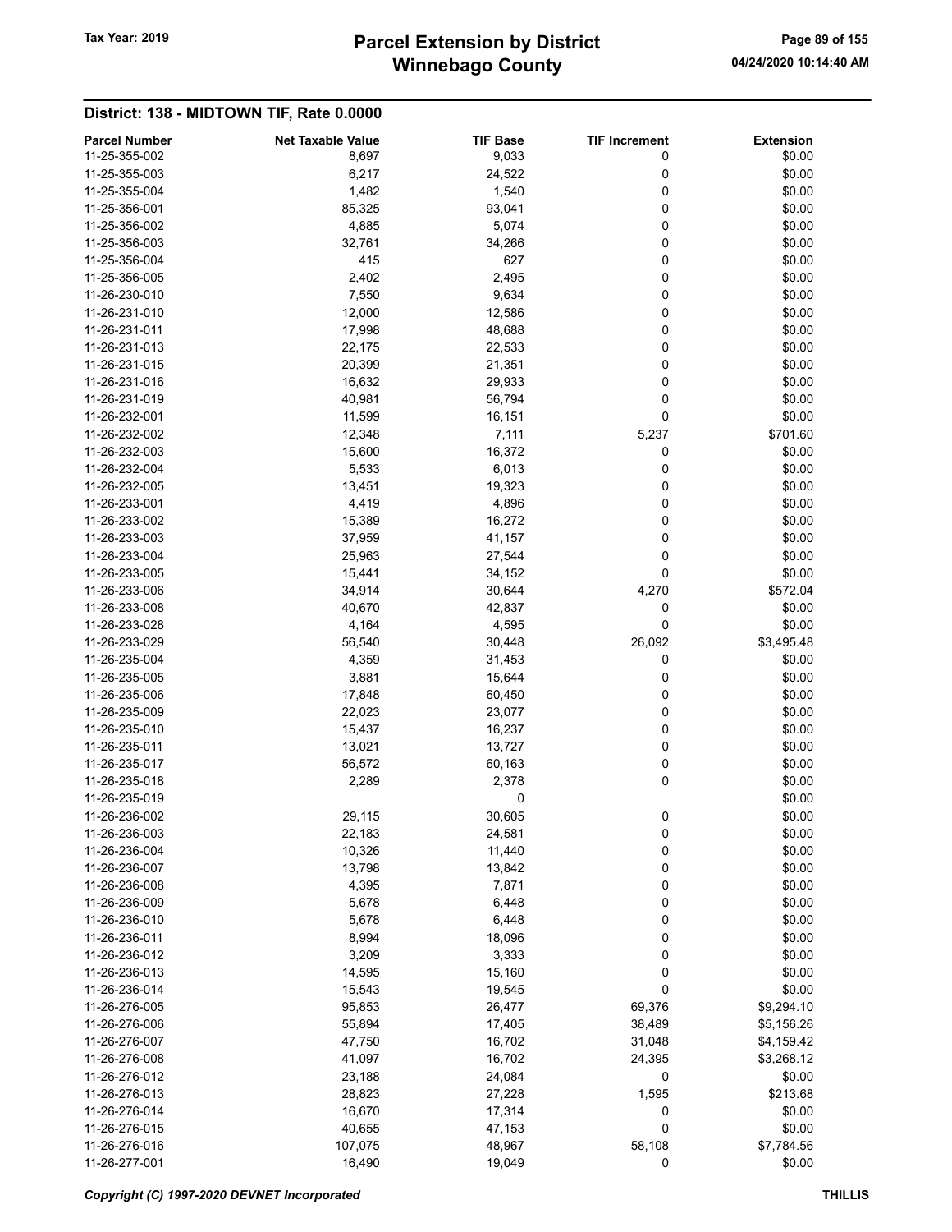# Winnebago County Tax Year: 2019 **Parcel Extension by District** Page 89 of 155

| <b>Parcel Number</b> | <b>Net Taxable Value</b> | <b>TIF Base</b> | <b>TIF Increment</b> | <b>Extension</b> |
|----------------------|--------------------------|-----------------|----------------------|------------------|
| 11-25-355-002        | 8,697                    | 9,033           | 0                    | \$0.00           |
| 11-25-355-003        | 6,217                    | 24,522          | 0                    | \$0.00           |
| 11-25-355-004        | 1,482                    | 1,540           | 0                    | \$0.00           |
| 11-25-356-001        | 85,325                   | 93,041          | 0                    | \$0.00           |
| 11-25-356-002        | 4,885                    | 5,074           | 0                    | \$0.00           |
| 11-25-356-003        | 32,761                   | 34,266          | 0                    | \$0.00           |
| 11-25-356-004        | 415                      | 627             | 0                    | \$0.00           |
| 11-25-356-005        | 2,402                    | 2,495           | 0                    | \$0.00           |
| 11-26-230-010        | 7,550                    | 9,634           | 0                    | \$0.00           |
| 11-26-231-010        | 12,000                   | 12,586          | 0                    | \$0.00           |
| 11-26-231-011        | 17,998                   | 48,688          | 0                    | \$0.00           |
| 11-26-231-013        | 22,175                   | 22,533          | 0                    | \$0.00           |
| 11-26-231-015        | 20,399                   | 21,351          | 0                    | \$0.00           |
| 11-26-231-016        | 16,632                   | 29,933          | 0                    | \$0.00           |
| 11-26-231-019        | 40,981                   | 56,794          | 0                    | \$0.00           |
| 11-26-232-001        | 11,599                   | 16,151          | 0                    | \$0.00           |
| 11-26-232-002        | 12,348                   | 7,111           | 5,237                | \$701.60         |
| 11-26-232-003        | 15,600                   | 16,372          | 0                    | \$0.00           |
| 11-26-232-004        | 5,533                    | 6,013           | 0                    | \$0.00           |
| 11-26-232-005        | 13,451                   | 19,323          | 0                    | \$0.00           |
| 11-26-233-001        | 4,419                    | 4,896           | 0                    | \$0.00           |
| 11-26-233-002        | 15,389                   | 16,272          | 0                    | \$0.00           |
|                      |                          |                 |                      |                  |
| 11-26-233-003        | 37,959                   | 41,157          | 0                    | \$0.00           |
| 11-26-233-004        | 25,963                   | 27,544          | 0                    | \$0.00           |
| 11-26-233-005        | 15,441                   | 34,152          | 0                    | \$0.00           |
| 11-26-233-006        | 34,914                   | 30,644          | 4,270                | \$572.04         |
| 11-26-233-008        | 40,670                   | 42,837          | 0                    | \$0.00           |
| 11-26-233-028        | 4,164                    | 4,595           | 0                    | \$0.00           |
| 11-26-233-029        | 56,540                   | 30,448          | 26,092               | \$3,495.48       |
| 11-26-235-004        | 4,359                    | 31,453          | 0                    | \$0.00           |
| 11-26-235-005        | 3,881                    | 15,644          | 0                    | \$0.00           |
| 11-26-235-006        | 17,848                   | 60,450          | 0                    | \$0.00           |
| 11-26-235-009        | 22,023                   | 23,077          | 0                    | \$0.00           |
| 11-26-235-010        | 15,437                   | 16,237          | 0                    | \$0.00           |
| 11-26-235-011        | 13,021                   | 13,727          | 0                    | \$0.00           |
| 11-26-235-017        | 56,572                   | 60,163          | 0                    | \$0.00           |
| 11-26-235-018        | 2,289                    | 2,378           | 0                    | \$0.00           |
| 11-26-235-019        |                          | 0               |                      | \$0.00           |
| 11-26-236-002        | 29,115                   | 30,605          | 0                    | \$0.00           |
| 11-26-236-003        | 22,183                   | 24,581          | 0                    | \$0.00           |
| 11-26-236-004        | 10,326                   | 11,440          | 0                    | \$0.00           |
| 11-26-236-007        | 13,798                   | 13,842          | 0                    | \$0.00           |
| 11-26-236-008        | 4,395                    | 7,871           | 0                    | \$0.00           |
| 11-26-236-009        | 5,678                    | 6,448           | 0                    | \$0.00           |
| 11-26-236-010        | 5,678                    | 6,448           | 0                    | \$0.00           |
| 11-26-236-011        | 8,994                    | 18,096          | 0                    | \$0.00           |
| 11-26-236-012        | 3,209                    | 3,333           | 0                    | \$0.00           |
| 11-26-236-013        | 14,595                   | 15,160          | 0                    | \$0.00           |
| 11-26-236-014        | 15,543                   | 19,545          | 0                    | \$0.00           |
| 11-26-276-005        | 95,853                   | 26,477          | 69,376               | \$9,294.10       |
| 11-26-276-006        | 55,894                   | 17,405          | 38,489               | \$5,156.26       |
| 11-26-276-007        | 47,750                   | 16,702          | 31,048               | \$4,159.42       |
| 11-26-276-008        | 41,097                   | 16,702          | 24,395               | \$3,268.12       |
| 11-26-276-012        | 23,188                   | 24,084          | 0                    | \$0.00           |
| 11-26-276-013        | 28,823                   | 27,228          | 1,595                | \$213.68         |
| 11-26-276-014        |                          |                 |                      |                  |
|                      | 16,670                   | 17,314          | 0                    | \$0.00           |
| 11-26-276-015        | 40,655                   | 47,153          | 0                    | \$0.00           |
| 11-26-276-016        | 107,075                  | 48,967          | 58,108               | \$7,784.56       |
| 11-26-277-001        | 16,490                   | 19,049          | 0                    | \$0.00           |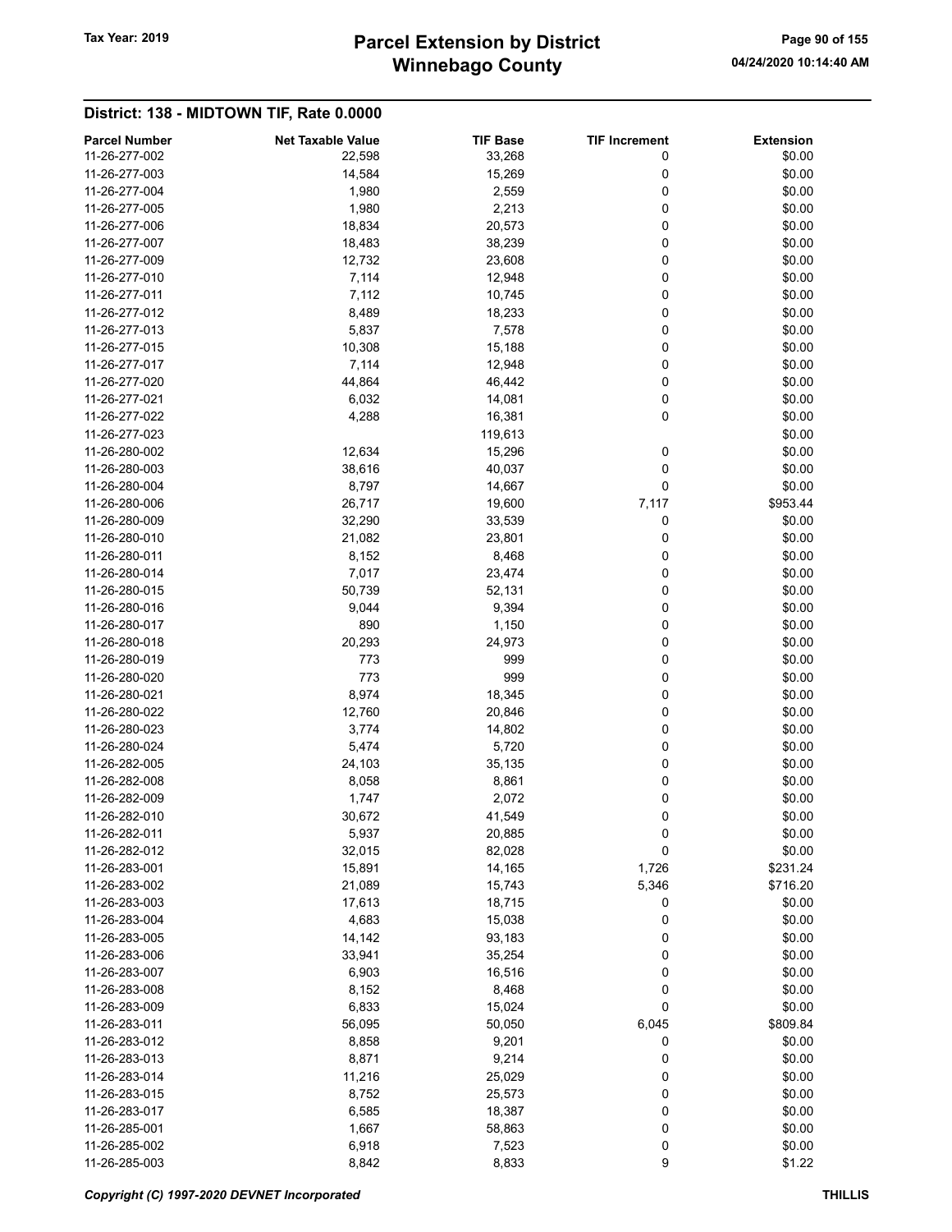# Winnebago County Tax Year: 2019 **Parcel Extension by District** Page 90 of 155

| <b>Parcel Number</b> | <b>Net Taxable Value</b> | <b>TIF Base</b> | <b>TIF Increment</b> | <b>Extension</b> |
|----------------------|--------------------------|-----------------|----------------------|------------------|
| 11-26-277-002        | 22,598                   | 33,268          | 0                    | \$0.00           |
| 11-26-277-003        | 14,584                   | 15,269          | 0                    | \$0.00           |
| 11-26-277-004        | 1,980                    | 2,559           | 0                    | \$0.00           |
| 11-26-277-005        | 1,980                    | 2,213           | 0                    | \$0.00           |
| 11-26-277-006        | 18,834                   | 20,573          | 0                    | \$0.00           |
| 11-26-277-007        | 18,483                   | 38,239          | 0                    | \$0.00           |
| 11-26-277-009        | 12,732                   | 23,608          | 0                    | \$0.00           |
| 11-26-277-010        | 7,114                    | 12,948          | 0                    | \$0.00           |
| 11-26-277-011        | 7,112                    | 10,745          | 0                    | \$0.00           |
| 11-26-277-012        | 8,489                    | 18,233          | 0                    | \$0.00           |
| 11-26-277-013        | 5,837                    |                 | 0                    | \$0.00           |
|                      |                          | 7,578           |                      |                  |
| 11-26-277-015        | 10,308                   | 15,188          | 0                    | \$0.00           |
| 11-26-277-017        | 7,114                    | 12,948          | 0                    | \$0.00           |
| 11-26-277-020        | 44,864                   | 46,442          | 0                    | \$0.00           |
| 11-26-277-021        | 6,032                    | 14,081          | 0                    | \$0.00           |
| 11-26-277-022        | 4,288                    | 16,381          | 0                    | \$0.00           |
| 11-26-277-023        |                          | 119,613         |                      | \$0.00           |
| 11-26-280-002        | 12,634                   | 15,296          | 0                    | \$0.00           |
| 11-26-280-003        | 38,616                   | 40,037          | 0                    | \$0.00           |
| 11-26-280-004        | 8,797                    | 14,667          | 0                    | \$0.00           |
| 11-26-280-006        | 26,717                   | 19,600          | 7,117                | \$953.44         |
| 11-26-280-009        | 32,290                   | 33,539          | 0                    | \$0.00           |
| 11-26-280-010        | 21,082                   | 23,801          | 0                    | \$0.00           |
| 11-26-280-011        |                          |                 | 0                    | \$0.00           |
|                      | 8,152                    | 8,468           |                      |                  |
| 11-26-280-014        | 7,017                    | 23,474          | 0                    | \$0.00           |
| 11-26-280-015        | 50,739                   | 52,131          | 0                    | \$0.00           |
| 11-26-280-016        | 9,044                    | 9,394           | 0                    | \$0.00           |
| 11-26-280-017        | 890                      | 1,150           | 0                    | \$0.00           |
| 11-26-280-018        | 20,293                   | 24,973          | 0                    | \$0.00           |
| 11-26-280-019        | 773                      | 999             | 0                    | \$0.00           |
| 11-26-280-020        | 773                      | 999             | 0                    | \$0.00           |
| 11-26-280-021        | 8,974                    | 18,345          | 0                    | \$0.00           |
| 11-26-280-022        | 12,760                   | 20,846          | 0                    | \$0.00           |
| 11-26-280-023        | 3,774                    | 14,802          | 0                    | \$0.00           |
| 11-26-280-024        | 5,474                    | 5,720           | 0                    | \$0.00           |
| 11-26-282-005        | 24,103                   | 35,135          | 0                    | \$0.00           |
| 11-26-282-008        | 8,058                    | 8,861           | 0                    | \$0.00           |
| 11-26-282-009        | 1,747                    | 2,072           | 0                    | \$0.00           |
| 11-26-282-010        | 30,672                   | 41,549          | 0                    | \$0.00           |
| 11-26-282-011        | 5,937                    | 20,885          | 0                    | \$0.00           |
|                      |                          |                 |                      |                  |
| 11-26-282-012        | 32,015                   | 82,028          | $\mathbf 0$          | \$0.00           |
| 11-26-283-001        | 15,891                   | 14,165          | 1,726                | \$231.24         |
| 11-26-283-002        | 21,089                   | 15,743          | 5,346                | \$716.20         |
| 11-26-283-003        | 17,613                   | 18,715          | 0                    | \$0.00           |
| 11-26-283-004        | 4,683                    | 15,038          | 0                    | \$0.00           |
| 11-26-283-005        | 14,142                   | 93,183          | 0                    | \$0.00           |
| 11-26-283-006        | 33,941                   | 35,254          | 0                    | \$0.00           |
| 11-26-283-007        | 6,903                    | 16,516          | 0                    | \$0.00           |
| 11-26-283-008        | 8,152                    | 8,468           | 0                    | \$0.00           |
| 11-26-283-009        | 6,833                    | 15,024          | 0                    | \$0.00           |
| 11-26-283-011        | 56,095                   | 50,050          | 6,045                | \$809.84         |
| 11-26-283-012        | 8,858                    | 9,201           | 0                    | \$0.00           |
| 11-26-283-013        | 8,871                    | 9,214           | 0                    | \$0.00           |
| 11-26-283-014        | 11,216                   | 25,029          | 0                    | \$0.00           |
| 11-26-283-015        | 8,752                    | 25,573          | 0                    | \$0.00           |
| 11-26-283-017        |                          | 18,387          |                      |                  |
|                      | 6,585                    |                 | 0                    | \$0.00           |
| 11-26-285-001        | 1,667                    | 58,863          | 0                    | \$0.00           |
| 11-26-285-002        | 6,918                    | 7,523           | 0                    | \$0.00           |
| 11-26-285-003        | 8,842                    | 8,833           | 9                    | \$1.22           |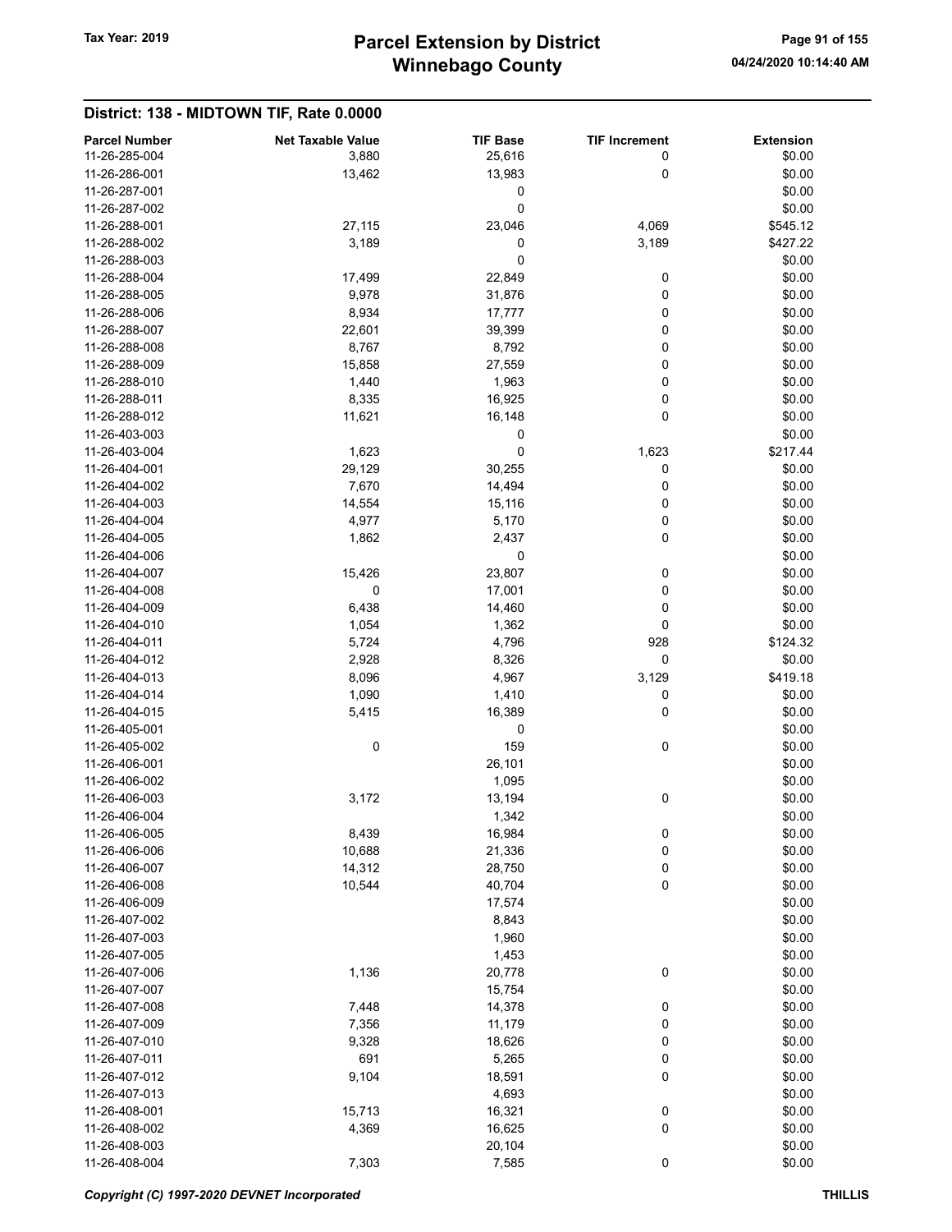# Winnebago County Tax Year: 2019 **Parcel Extension by District** Page 91 of 155

#### District: 138 - MIDTOWN TIF, Rate 0.0000 Parcel Number **Net Taxable Value** TIF Base TIF Increment Extension 11-26-285-004 **3,880** 3,880 **25,616** 0 \$0.00 11-26-286-001 13,462 13,983 0 \$0.00 11-26-287-001 0 \$0.00  $11-26-287-002$  \$0.00 11-26-288-001 27,115 23,046 4,069 \$545.12 11-26-288-002 3,189 3,189 3,189 3,189 3,189 3,189 3,189 3,189 11-26-288-003 0 \$0.00 11-26-288-004 17,499 22,849 0 \$0.00 11-26-288-005 9,978 31,876 0 \$0.00 11-26-288-006 8,934 17,777 0 \$0.00 11-26-288-007 22,601 39,399 0 \$0.00 11-26-288-008 8,767 8,792 0 \$0.00 11-26-288-009 15,858 27,559 0 \$0.00 11-26-288-010 **1,440** 1,963 0 \$0.00 11-26-288-011 8,335 16,925 0 \$0.00 11-26-288-012 11,621 16,148 0 \$0.00  $11-26-403-003$  \$0.00 11-26-403-004 **1,623 1,623 1,623 1,623 1,623 1,623 1,623** 11-26-404-001 29,129 30,255 0 \$0.00 11-26-404-002 7,670 14,494 0 \$0.00 11-26-404-003 **12-8 120 120 14,554** 15,116 0 30.00 11-26-404-004 **4,977** 5,170 0 \$0.00 11-26-404-005 1,862 2,437 0 \$0.00  $11-26-404-006$  \$0.00 11-26-404-007 **15,426** 23,807 0 \$0.00 11-26-404-008 0 17,001 0 \$0.00 11-26-404-009 6,438 6,438 14,460 0 0 \$0.00 11-26-404-010 1,054 1,362 0 \$0.00 11-26-404-011 5,724 4,796 928 \$124.32 11-26-404-012 2,928 8,326 0 \$0.00 11-26-404-013 8,096 8,096 4,967 3,129 \$419.18 11-26-404-014 1,090 1,410 0 \$0.00 11-26-404-015 5,415 16,389 0 \$0.00  $11-26-405-001$  \$0.00 11-26-405-002 0 0 159 0 0 \$0.00 11-26-406-001 \$0.00 \$0.00 \$0.00 \$0.00 \$0.00 \$0.00 \$0.00 \$0.00 \$0.00 \$0.00 \$0.00 \$0.00 \$0.00 \$0.00 \$0.00 \$0.00 11-26-406-002 1,095 \$0.00 11-26-406-003 3,172 13,194 0 \$0.00 11-26-406-004 \$0.00 11-26-406-005 8,439 16,984 0 \$0.00 11-26-406-006 10,688 21,336 0 \$0.00 11-26-406-007 14,312 28,750 0 \$0.00 11-26-406-008 **10,544** 10,544 **40,704** 0 \$0.00 11-26-406-009 17,574 \$0.00 11-26-407-002 8,843 \$0.00 11-26-407-003 \$0.00 11-26-407-005 \$0.00 11-26-407-006 1,136 20,778 0 \$0.00 11-26-407-007 15,754 \$0.00 11-26-407-008 7,448 14,378 0 \$0.00 11-26-407-009 7,356 11,179 0 \$0.00 11-26-407-010 9,328 18,626 0 \$0.00 11-26-407-011 691 5,265 0 \$0.00 11-26-407-012 9,104 9,104 18,591 0 \$0.00 11-26-407-013 \$0.00 11-26-408-001 **15,713** 16,321 0 \$0.00 11-26-408-002 4,369 16,625 0 \$0.00 11-26-408-003 \$0.00 \$0.00 \$0.00 \$0.00 \$0.00 \$0.00 \$0.00 \$0.00 \$0.00 \$0.00 \$0.00 \$0.00 \$0.00 \$0.00 \$0.00 \$0.00 11-26-408-004 7,303 7,585 0 \$0.00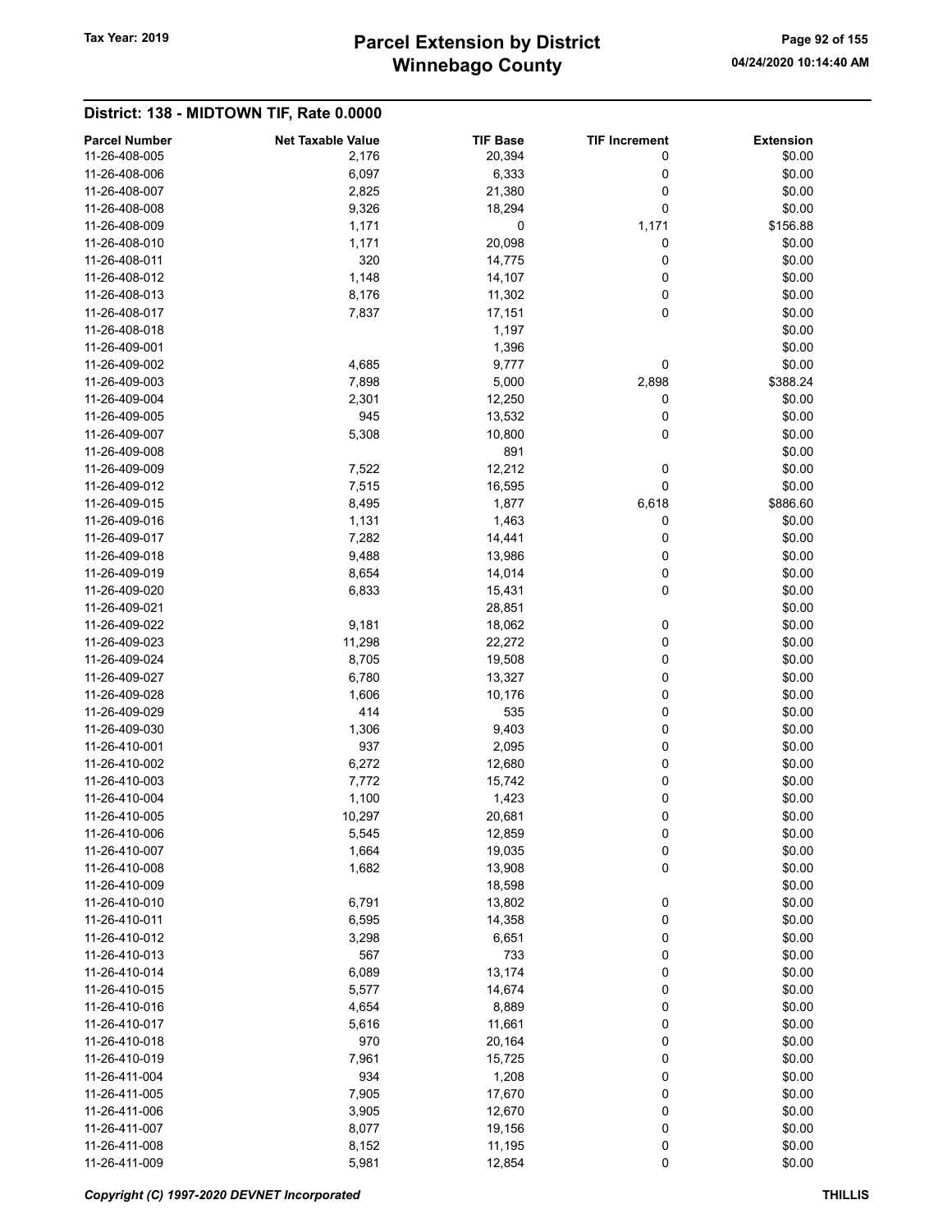# Winnebago County Tax Year: 2019 **Parcel Extension by District** Page 92 of 155

| <b>Parcel Number</b> | <b>Net Taxable Value</b> | <b>TIF Base</b> | <b>TIF Increment</b> | <b>Extension</b> |
|----------------------|--------------------------|-----------------|----------------------|------------------|
| 11-26-408-005        | 2,176                    | 20,394          | 0                    | \$0.00           |
| 11-26-408-006        | 6,097                    | 6,333           | 0                    | \$0.00           |
| 11-26-408-007        | 2,825                    | 21,380          | 0                    | \$0.00           |
| 11-26-408-008        | 9,326                    | 18,294          | 0                    | \$0.00           |
| 11-26-408-009        | 1,171                    | 0               | 1,171                | \$156.88         |
| 11-26-408-010        | 1,171                    | 20,098          | 0                    | \$0.00           |
| 11-26-408-011        | 320                      | 14,775          | 0                    | \$0.00           |
| 11-26-408-012        | 1,148                    | 14,107          | 0                    | \$0.00           |
| 11-26-408-013        | 8,176                    | 11,302          | 0                    | \$0.00           |
| 11-26-408-017        | 7,837                    | 17,151          | 0                    | \$0.00           |
| 11-26-408-018        |                          | 1,197           |                      | \$0.00           |
| 11-26-409-001        |                          | 1,396           |                      | \$0.00           |
| 11-26-409-002        | 4,685                    | 9,777           | 0                    | \$0.00           |
| 11-26-409-003        | 7,898                    | 5,000           | 2,898                | \$388.24         |
| 11-26-409-004        | 2,301                    | 12,250          | 0                    | \$0.00           |
| 11-26-409-005        | 945                      | 13,532          | 0                    | \$0.00           |
| 11-26-409-007        | 5,308                    | 10,800          | 0                    | \$0.00           |
| 11-26-409-008        |                          | 891             |                      | \$0.00           |
| 11-26-409-009        | 7,522                    | 12,212          | 0                    | \$0.00           |
| 11-26-409-012        | 7,515                    | 16,595          | 0                    | \$0.00           |
| 11-26-409-015        | 8,495                    | 1,877           | 6,618                | \$886.60         |
| 11-26-409-016        |                          |                 |                      | \$0.00           |
|                      | 1,131<br>7,282           | 1,463<br>14,441 | 0                    |                  |
| 11-26-409-017        |                          |                 | 0                    | \$0.00           |
| 11-26-409-018        | 9,488                    | 13,986          | 0                    | \$0.00           |
| 11-26-409-019        | 8,654                    | 14,014          | 0                    | \$0.00           |
| 11-26-409-020        | 6,833                    | 15,431          | 0                    | \$0.00           |
| 11-26-409-021        |                          | 28,851          |                      | \$0.00           |
| 11-26-409-022        | 9,181                    | 18,062          | 0                    | \$0.00           |
| 11-26-409-023        | 11,298                   | 22,272          | 0                    | \$0.00           |
| 11-26-409-024        | 8,705                    | 19,508          | 0                    | \$0.00           |
| 11-26-409-027        | 6,780                    | 13,327          | 0                    | \$0.00           |
| 11-26-409-028        | 1,606                    | 10,176          | 0                    | \$0.00           |
| 11-26-409-029        | 414                      | 535             | 0                    | \$0.00           |
| 11-26-409-030        | 1,306                    | 9,403           | 0                    | \$0.00           |
| 11-26-410-001        | 937                      | 2,095           | 0                    | \$0.00           |
| 11-26-410-002        | 6,272                    | 12,680          | 0                    | \$0.00           |
| 11-26-410-003        | 7,772                    | 15,742          | 0                    | \$0.00           |
| 11-26-410-004        | 1,100                    | 1,423           | 0                    | \$0.00           |
| 11-26-410-005        | 10,297                   | 20,681          | 0                    | \$0.00           |
| 11-26-410-006        | 5,545                    | 12,859          | 0                    | \$0.00           |
| 11-26-410-007        | 1,664                    | 19,035          | 0                    | \$0.00           |
| 11-26-410-008        | 1,682                    | 13,908          | $\pmb{0}$            | \$0.00           |
| 11-26-410-009        |                          | 18,598          |                      | \$0.00           |
| 11-26-410-010        | 6,791                    | 13,802          | 0                    | \$0.00           |
| 11-26-410-011        | 6,595                    | 14,358          | 0                    | \$0.00           |
| 11-26-410-012        | 3,298                    | 6,651           | 0                    | \$0.00           |
| 11-26-410-013        | 567                      | 733             | 0                    | \$0.00           |
| 11-26-410-014        | 6,089                    | 13,174          | 0                    | \$0.00           |
| 11-26-410-015        | 5,577                    | 14,674          | 0                    | \$0.00           |
| 11-26-410-016        | 4,654                    | 8,889           | 0                    | \$0.00           |
| 11-26-410-017        | 5,616                    | 11,661          | 0                    | \$0.00           |
| 11-26-410-018        | 970                      | 20,164          | 0                    | \$0.00           |
| 11-26-410-019        | 7,961                    | 15,725          | 0                    | \$0.00           |
| 11-26-411-004        | 934                      | 1,208           | 0                    | \$0.00           |
| 11-26-411-005        | 7,905                    | 17,670          | 0                    | \$0.00           |
| 11-26-411-006        | 3,905                    | 12,670          | 0                    | \$0.00           |
| 11-26-411-007        | 8,077                    | 19,156          | 0                    | \$0.00           |
| 11-26-411-008        | 8,152                    | 11,195          | 0                    | \$0.00           |
| 11-26-411-009        | 5,981                    | 12,854          | $\pmb{0}$            | \$0.00           |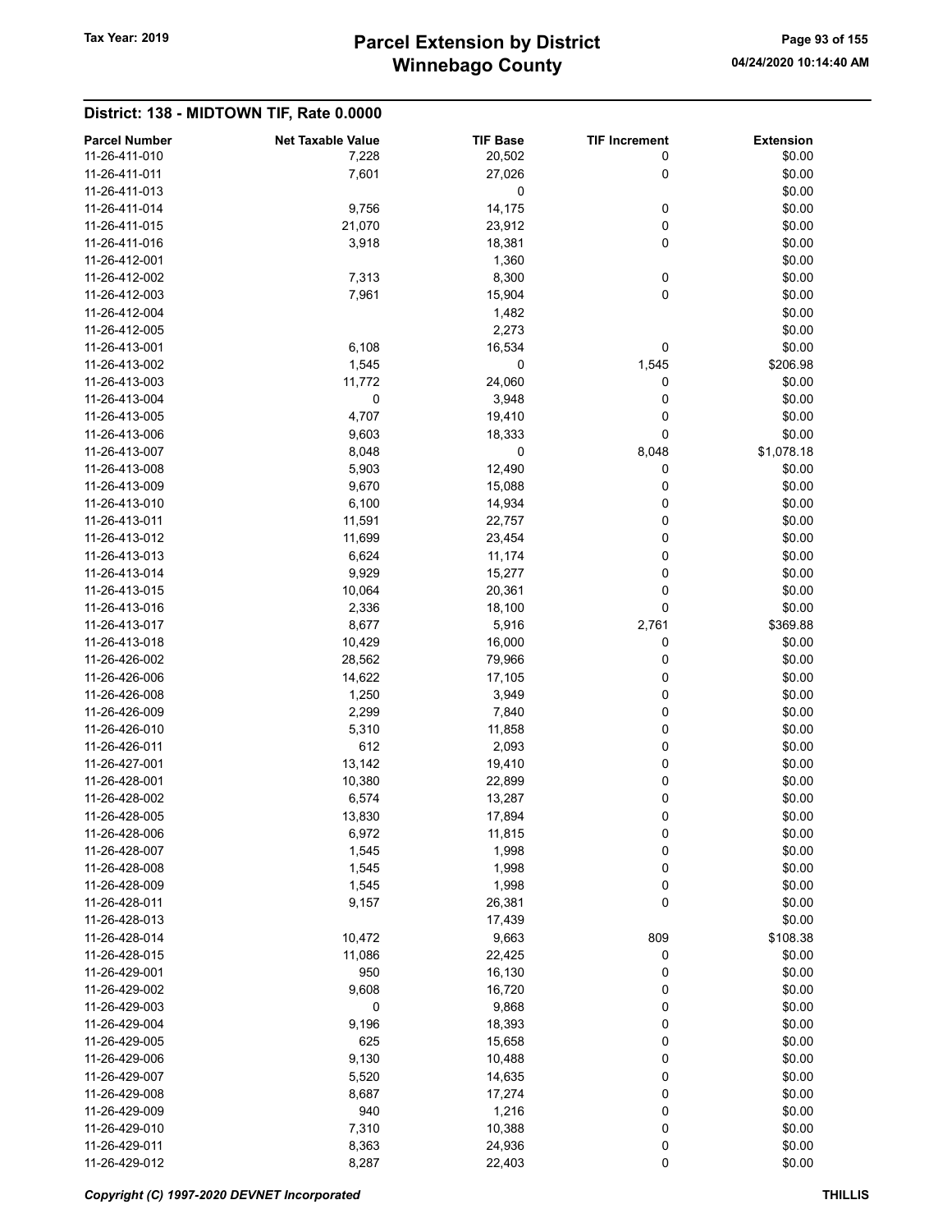# Winnebago County Tax Year: 2019 **Parcel Extension by District** Page 93 of 155

| <b>Parcel Number</b> | <b>Net Taxable Value</b> | <b>TIF Base</b> | <b>TIF Increment</b> | <b>Extension</b> |
|----------------------|--------------------------|-----------------|----------------------|------------------|
| 11-26-411-010        | 7,228                    | 20,502          | 0                    | \$0.00           |
| 11-26-411-011        | 7,601                    | 27,026          | 0                    | \$0.00           |
| 11-26-411-013        |                          | 0               |                      | \$0.00           |
| 11-26-411-014        | 9,756                    | 14,175          | 0                    | \$0.00           |
| 11-26-411-015        | 21,070                   | 23,912          | 0                    | \$0.00           |
| 11-26-411-016        | 3,918                    | 18,381          | 0                    | \$0.00           |
| 11-26-412-001        |                          | 1,360           |                      | \$0.00           |
| 11-26-412-002        | 7,313                    | 8,300           | 0                    | \$0.00           |
| 11-26-412-003        | 7,961                    | 15,904          | 0                    | \$0.00           |
| 11-26-412-004        |                          | 1,482           |                      | \$0.00           |
| 11-26-412-005        |                          | 2,273           |                      | \$0.00           |
| 11-26-413-001        | 6,108                    | 16,534          | 0                    | \$0.00           |
| 11-26-413-002        | 1,545                    | 0               | 1,545                | \$206.98         |
| 11-26-413-003        | 11,772                   | 24,060          | 0                    | \$0.00           |
| 11-26-413-004        | 0                        | 3,948           | 0                    | \$0.00           |
| 11-26-413-005        | 4,707                    | 19,410          | 0                    | \$0.00           |
| 11-26-413-006        | 9,603                    | 18,333          | 0                    | \$0.00           |
| 11-26-413-007        | 8,048                    | 0               | 8,048                | \$1,078.18       |
| 11-26-413-008        | 5,903                    | 12,490          | 0                    | \$0.00           |
| 11-26-413-009        | 9,670                    | 15,088          | 0                    | \$0.00           |
|                      |                          |                 |                      | \$0.00           |
| 11-26-413-010        | 6,100                    | 14,934          | 0                    |                  |
| 11-26-413-011        | 11,591                   | 22,757          | 0                    | \$0.00           |
| 11-26-413-012        | 11,699                   | 23,454          | 0                    | \$0.00           |
| 11-26-413-013        | 6,624                    | 11,174          | 0                    | \$0.00           |
| 11-26-413-014        | 9,929                    | 15,277          | 0                    | \$0.00           |
| 11-26-413-015        | 10,064                   | 20,361          | 0                    | \$0.00           |
| 11-26-413-016        | 2,336                    | 18,100          | 0                    | \$0.00           |
| 11-26-413-017        | 8,677                    | 5,916           | 2,761                | \$369.88         |
| 11-26-413-018        | 10,429                   | 16,000          | 0                    | \$0.00           |
| 11-26-426-002        | 28,562                   | 79,966          | 0                    | \$0.00           |
| 11-26-426-006        | 14,622                   | 17,105          | 0                    | \$0.00           |
| 11-26-426-008        | 1,250                    | 3,949           | 0                    | \$0.00           |
| 11-26-426-009        | 2,299                    | 7,840           | 0                    | \$0.00           |
| 11-26-426-010        | 5,310                    | 11,858          | 0                    | \$0.00           |
| 11-26-426-011        | 612                      | 2,093           | 0                    | \$0.00           |
| 11-26-427-001        | 13,142                   | 19,410          | 0                    | \$0.00           |
| 11-26-428-001        | 10,380                   | 22,899          | 0                    | \$0.00           |
| 11-26-428-002        | 6,574                    | 13,287          | 0                    | \$0.00           |
| 11-26-428-005        | 13,830                   | 17,894          | 0                    | \$0.00           |
| 11-26-428-006        | 6,972                    | 11,815          | 0                    | \$0.00           |
| 11-26-428-007        | 1,545                    | 1,998           | 0                    | \$0.00           |
| 11-26-428-008        | 1,545                    | 1,998           | 0                    | \$0.00           |
| 11-26-428-009        | 1,545                    | 1,998           | 0                    | \$0.00           |
| 11-26-428-011        | 9,157                    | 26,381          | 0                    | \$0.00           |
| 11-26-428-013        |                          | 17,439          |                      | \$0.00           |
| 11-26-428-014        | 10,472                   | 9,663           | 809                  | \$108.38         |
| 11-26-428-015        | 11,086                   | 22,425          | 0                    | \$0.00           |
| 11-26-429-001        | 950                      | 16,130          | 0                    | \$0.00           |
| 11-26-429-002        | 9,608                    | 16,720          | 0                    | \$0.00           |
| 11-26-429-003        |                          |                 |                      |                  |
|                      | 0                        | 9,868           | 0                    | \$0.00           |
| 11-26-429-004        | 9,196                    | 18,393          | 0                    | \$0.00           |
| 11-26-429-005        | 625                      | 15,658          | 0                    | \$0.00           |
| 11-26-429-006        | 9,130                    | 10,488          | 0                    | \$0.00           |
| 11-26-429-007        | 5,520                    | 14,635          | 0                    | \$0.00           |
| 11-26-429-008        | 8,687                    | 17,274          | 0                    | \$0.00           |
| 11-26-429-009        | 940                      | 1,216           | 0                    | \$0.00           |
| 11-26-429-010        | 7,310                    | 10,388          | 0                    | \$0.00           |
| 11-26-429-011        | 8,363                    | 24,936          | 0                    | \$0.00           |
| 11-26-429-012        | 8,287                    | 22,403          | 0                    | \$0.00           |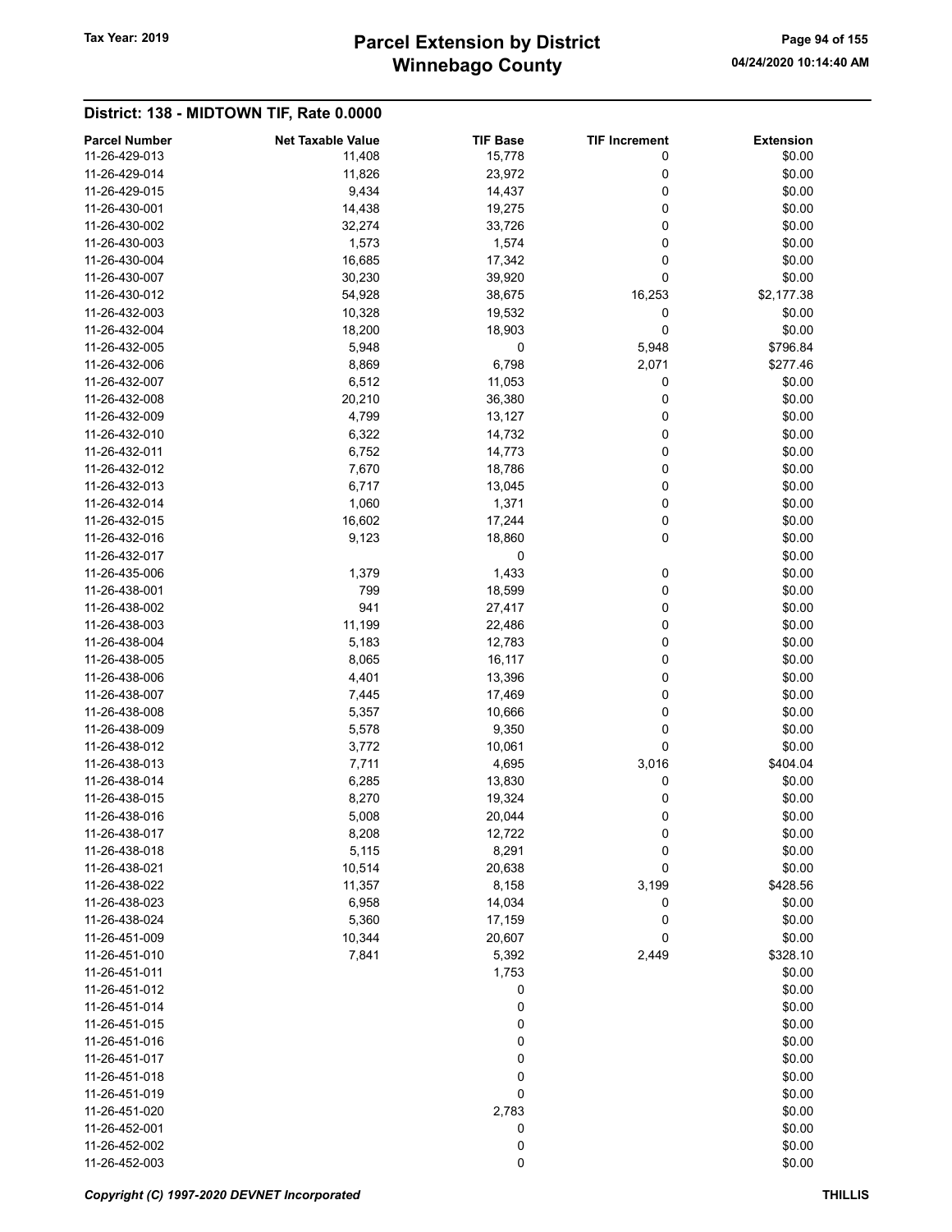# Winnebago County Tax Year: 2019 **Parcel Extension by District** Page 94 of 155

| <b>Parcel Number</b> | <b>Net Taxable Value</b> | <b>TIF Base</b> | <b>TIF Increment</b> | <b>Extension</b> |
|----------------------|--------------------------|-----------------|----------------------|------------------|
| 11-26-429-013        | 11,408                   | 15,778          | 0                    | \$0.00           |
| 11-26-429-014        | 11,826                   | 23,972          | 0                    | \$0.00           |
| 11-26-429-015        | 9,434                    | 14,437          | 0                    | \$0.00           |
| 11-26-430-001        | 14,438                   | 19,275          | 0                    | \$0.00           |
| 11-26-430-002        | 32,274                   | 33,726          | 0                    | \$0.00           |
| 11-26-430-003        | 1,573                    | 1,574           | 0                    | \$0.00           |
| 11-26-430-004        | 16,685                   | 17,342          | 0                    | \$0.00           |
| 11-26-430-007        | 30,230                   | 39,920          | 0                    | \$0.00           |
| 11-26-430-012        | 54,928                   | 38,675          | 16,253               | \$2,177.38       |
| 11-26-432-003        | 10,328                   | 19,532          | 0                    | \$0.00           |
| 11-26-432-004        | 18,200                   | 18,903          | 0                    | \$0.00           |
| 11-26-432-005        | 5,948                    | 0               | 5,948                | \$796.84         |
| 11-26-432-006        | 8,869                    | 6,798           | 2,071                | \$277.46         |
| 11-26-432-007        | 6,512                    | 11,053          | 0                    | \$0.00           |
| 11-26-432-008        | 20,210                   | 36,380          | 0                    | \$0.00           |
| 11-26-432-009        | 4,799                    | 13,127          | 0                    | \$0.00           |
| 11-26-432-010        | 6,322                    | 14,732          | 0                    | \$0.00           |
| 11-26-432-011        | 6,752                    | 14,773          | 0                    | \$0.00           |
| 11-26-432-012        | 7,670                    | 18,786          | 0                    | \$0.00           |
| 11-26-432-013        | 6,717                    | 13,045          | 0                    | \$0.00           |
| 11-26-432-014        | 1,060                    | 1,371           | 0                    | \$0.00           |
| 11-26-432-015        | 16,602                   | 17,244          | 0                    | \$0.00           |
| 11-26-432-016        | 9,123                    | 18,860          | 0                    | \$0.00           |
| 11-26-432-017        |                          | 0               |                      | \$0.00           |
| 11-26-435-006        |                          | 1,433           |                      |                  |
|                      | 1,379                    |                 | 0                    | \$0.00           |
| 11-26-438-001        | 799                      | 18,599          | 0                    | \$0.00           |
| 11-26-438-002        | 941                      | 27,417          | 0                    | \$0.00           |
| 11-26-438-003        | 11,199                   | 22,486          | 0                    | \$0.00           |
| 11-26-438-004        | 5,183                    | 12,783          | 0                    | \$0.00           |
| 11-26-438-005        | 8,065                    | 16,117          | 0                    | \$0.00           |
| 11-26-438-006        | 4,401                    | 13,396          | 0                    | \$0.00           |
| 11-26-438-007        | 7,445                    | 17,469          | 0                    | \$0.00           |
| 11-26-438-008        | 5,357                    | 10,666          | 0                    | \$0.00           |
| 11-26-438-009        | 5,578                    | 9,350           | 0                    | \$0.00           |
| 11-26-438-012        | 3,772                    | 10,061          | 0                    | \$0.00           |
| 11-26-438-013        | 7,711                    | 4,695           | 3,016                | \$404.04         |
| 11-26-438-014        | 6,285                    | 13,830          | 0                    | \$0.00           |
| 11-26-438-015        | 8,270                    | 19,324          | 0                    | \$0.00           |
| 11-26-438-016        | 5,008                    | 20,044          | 0                    | \$0.00           |
| 11-26-438-017        | 8,208                    | 12,722          | 0                    | \$0.00           |
| 11-26-438-018        | 5,115                    | 8,291           | 0                    | \$0.00           |
| 11-26-438-021        | 10,514                   | 20,638          | 0                    | \$0.00           |
| 11-26-438-022        | 11,357                   | 8,158           | 3,199                | \$428.56         |
| 11-26-438-023        | 6,958                    | 14,034          | 0                    | \$0.00           |
| 11-26-438-024        | 5,360                    | 17,159          | 0                    | \$0.00           |
| 11-26-451-009        | 10,344                   | 20,607          | 0                    | \$0.00           |
| 11-26-451-010        | 7,841                    | 5,392           | 2,449                | \$328.10         |
| 11-26-451-011        |                          | 1,753           |                      | \$0.00           |
| 11-26-451-012        |                          | 0               |                      | \$0.00           |
| 11-26-451-014        |                          | 0               |                      | \$0.00           |
| 11-26-451-015        |                          | 0               |                      | \$0.00           |
| 11-26-451-016        |                          | 0               |                      | \$0.00           |
| 11-26-451-017        |                          | 0               |                      | \$0.00           |
| 11-26-451-018        |                          | 0               |                      | \$0.00           |
| 11-26-451-019        |                          | 0               |                      | \$0.00           |
| 11-26-451-020        |                          |                 |                      |                  |
|                      |                          | 2,783           |                      | \$0.00           |
| 11-26-452-001        |                          | 0               |                      | \$0.00           |
| 11-26-452-002        |                          | 0               |                      | \$0.00           |
| 11-26-452-003        |                          | 0               |                      | \$0.00           |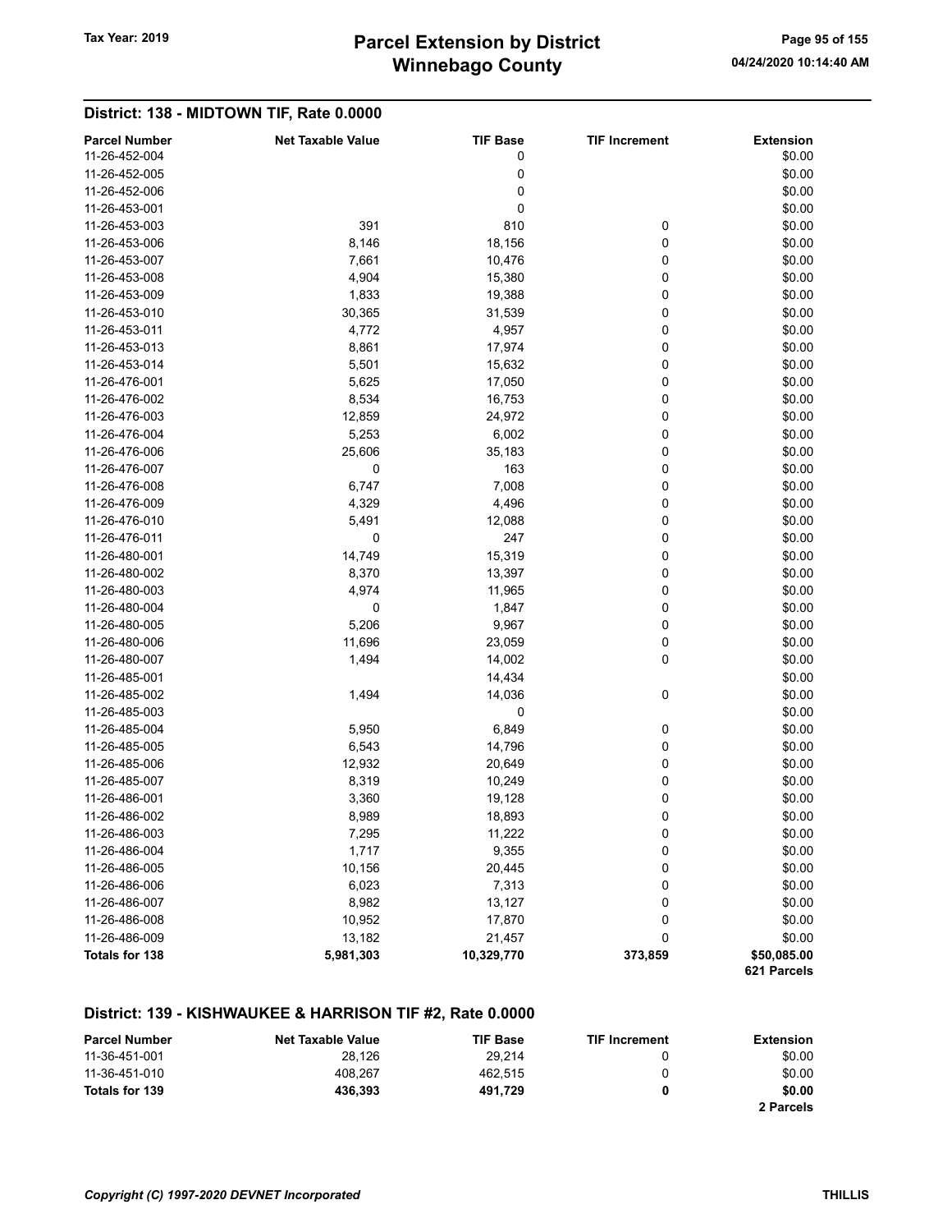# Winnebago County Tax Year: 2019 **Parcel Extension by District** Tax Year: 2019 Page 95 of 155

#### District: 138 - MIDTOWN TIF, Rate 0.0000 Parcel Number **Net Taxable Value** TIF Base TIF Increment Extension  $11-26-452-004$  \$0.00  $11-26-452-005$  \$0.00  $11-26-452-006$  \$0.00  $11-26-453-001$  \$0.00 11-26-453-003 391 810 0 \$0.00 11-26-453-006 8,146 8,146 18,156 0 \$0.00 11-26-453-007 7,661 10,476 0 \$0.00 11-26-453-008 4,904 15,380 0 \$0.00 11-26-453-009 1,833 19,388 0 \$0.00 11-26-453-010 30,365 31,539 0 \$0.00 11-26-453-011 4,772 4,957 0 \$0.00 11-26-453-013 8,861 17,974 0 \$0.00 11-26-453-014 **5,501** 5,501 **15,632** 0 \$0.00 11-26-476-001 **5,625** 17,050 0 \$0.00 11-26-476-002 8,534 16,753 0 \$0.00 11-26-476-003 12,859 24,972 0 \$0.00 11-26-476-004 **5,253** 6,002 0 \$0.00 11-26-476-006 25,606 35,183 0 \$0.00 11-26-476-007 0 163 0 \$0.00 11-26-476-008 6,747 7,008 0 \$0.00 11-26-476-009 4,329 4,329 4,496 0 \$0.00 11-26-476-010 5,491 12,088 0 \$0.00 11-26-476-011 0 247 0 \$0.00 11-26-480-001 14,749 15,319 0 \$0.00 11-26-480-002 8,370 8,370 13,397 0 \$0.00 11-26-480-003 4,974 11,965 0 \$0.00 11-26-480-004 0 1,847 0 \$0.00 11-26-480-005 5,206 9,967 0 \$0.00 11-26-480-006 11,696 23,059 0 \$0.00 11-26-480-007 **1,494** 14,002 0 \$0.00 11-26-485-001 \$0.00 11-26-485-002 1,494 14,036 0 \$0.00  $11-26-485-003$  \$0.00 11-26-485-004 **5,950** 5,950 6,849 0 \$0.00 11-26-485-005 6,543 6,543 14,796 0 \$0.00 11-26-485-006 12,932 20,649 0 \$0.00 11-26-485-007 8,319 10,249 0 \$0.00 11-26-486-001 **3,360** 19,128 0 \$0.00 11-26-486-002 8,989 8,989 18,893 0 \$0.00 11-26-486-003 7,295 11,222 0 \$0.00 11-26-486-004 1,717 9,355 0 \$0.00 11-26-486-005 10,156 20,445 0 \$0.00 11-26-486-006 6,023 6,023 7,313 0 \$0.00 11-26-486-007 8,982 13,127 0 \$0.00 11-26-486-008 10,952 17,870 0 \$0.00 11-26-486-009 13,182 21,457 0 \$0.00 Totals for 138 **5,981,303** 5,981,303 10,329,770 373,859 550,085.00

#### District: 139 - KISHWAUKEE & HARRISON TIF #2, Rate 0.0000

| <b>Parcel Number</b> | <b>Net Taxable Value</b> | <b>TIF Base</b> | <b>TIF Increment</b> | Extension |
|----------------------|--------------------------|-----------------|----------------------|-----------|
| 11-36-451-001        | 28.126                   | 29.214          |                      | \$0.00    |
| 11-36-451-010        | 408.267                  | 462.515         | 0                    | \$0.00    |
| Totals for 139       | 436.393                  | 491.729         |                      | \$0.00    |
|                      |                          |                 |                      | 2 Parcels |

621 Parcels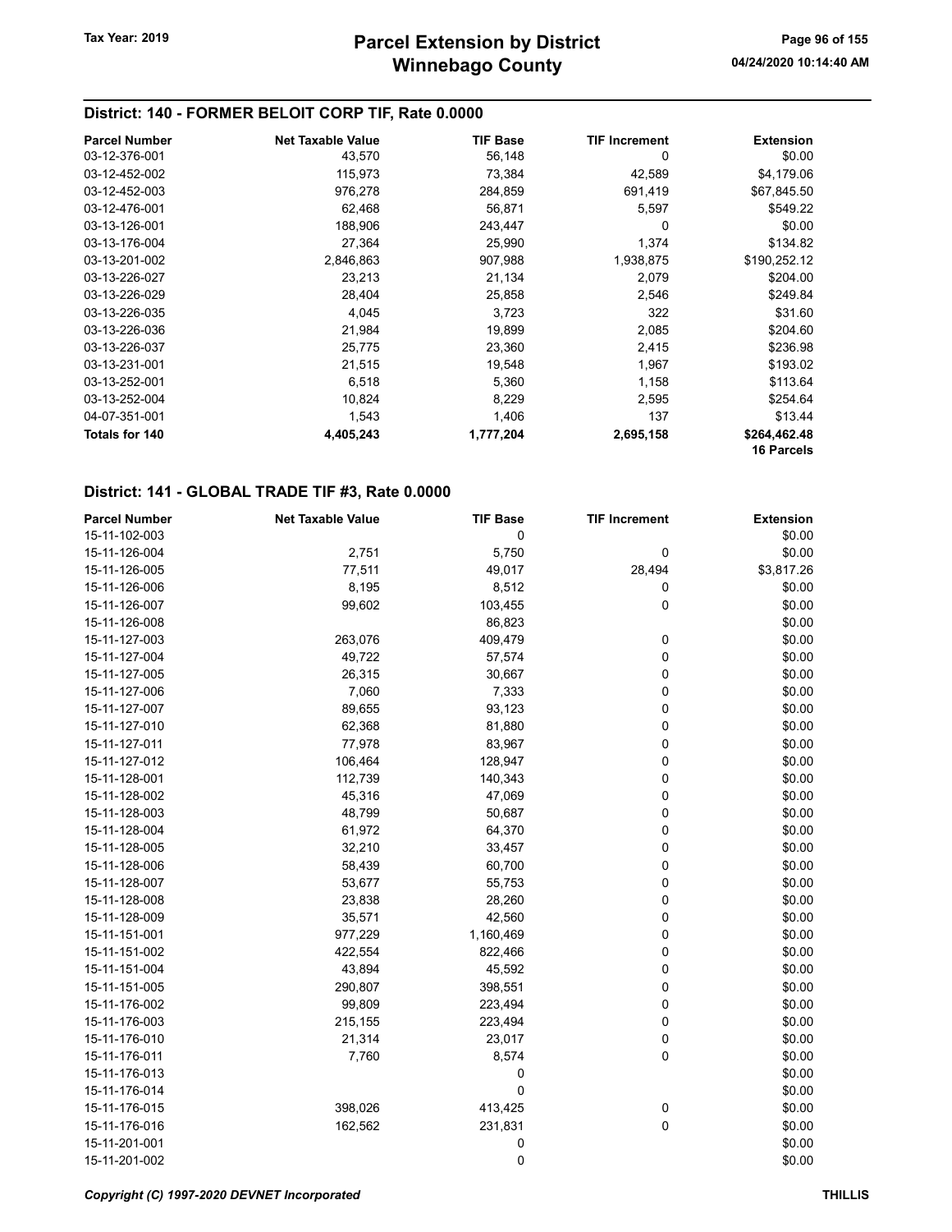## District: 140 - FORMER BELOIT CORP TIF, Rate 0.0000

| <b>Parcel Number</b> | <b>Net Taxable Value</b> | <b>TIF Base</b> | <b>TIF Increment</b> | <b>Extension</b>  |
|----------------------|--------------------------|-----------------|----------------------|-------------------|
| 03-12-376-001        | 43,570                   | 56,148          | 0                    | \$0.00            |
| 03-12-452-002        | 115,973                  | 73,384          | 42,589               | \$4,179.06        |
| 03-12-452-003        | 976,278                  | 284,859         | 691,419              | \$67,845.50       |
| 03-12-476-001        | 62,468                   | 56,871          | 5,597                | \$549.22          |
| 03-13-126-001        | 188,906                  | 243,447         | 0                    | \$0.00            |
| 03-13-176-004        | 27,364                   | 25,990          | 1,374                | \$134.82          |
| 03-13-201-002        | 2,846,863                | 907,988         | 1,938,875            | \$190,252.12      |
| 03-13-226-027        | 23,213                   | 21,134          | 2,079                | \$204.00          |
| 03-13-226-029        | 28,404                   | 25,858          | 2,546                | \$249.84          |
| 03-13-226-035        | 4,045                    | 3,723           | 322                  | \$31.60           |
| 03-13-226-036        | 21,984                   | 19,899          | 2,085                | \$204.60          |
| 03-13-226-037        | 25,775                   | 23,360          | 2,415                | \$236.98          |
| 03-13-231-001        | 21,515                   | 19,548          | 1,967                | \$193.02          |
| 03-13-252-001        | 6,518                    | 5,360           | 1,158                | \$113.64          |
| 03-13-252-004        | 10,824                   | 8,229           | 2,595                | \$254.64          |
| 04-07-351-001        | 1,543                    | 1,406           | 137                  | \$13.44           |
| Totals for 140       | 4,405,243                | 1,777,204       | 2,695,158            | \$264,462.48      |
|                      |                          |                 |                      | <b>16 Parcels</b> |

#### District: 141 - GLOBAL TRADE TIF #3, Rate 0.0000

| <b>Parcel Number</b> | <b>Net Taxable Value</b> | <b>TIF Base</b> | <b>TIF Increment</b> | <b>Extension</b> |
|----------------------|--------------------------|-----------------|----------------------|------------------|
| 15-11-102-003        |                          | 0               |                      | \$0.00           |
| 15-11-126-004        | 2,751                    | 5,750           | 0                    | \$0.00           |
| 15-11-126-005        | 77,511                   | 49,017          | 28,494               | \$3,817.26       |
| 15-11-126-006        | 8,195                    | 8,512           | 0                    | \$0.00           |
| 15-11-126-007        | 99,602                   | 103,455         | 0                    | \$0.00           |
| 15-11-126-008        |                          | 86,823          |                      | \$0.00           |
| 15-11-127-003        | 263,076                  | 409,479         | 0                    | \$0.00           |
| 15-11-127-004        | 49,722                   | 57,574          | 0                    | \$0.00           |
| 15-11-127-005        | 26,315                   | 30,667          | 0                    | \$0.00           |
| 15-11-127-006        | 7,060                    | 7,333           | 0                    | \$0.00           |
| 15-11-127-007        | 89,655                   | 93,123          | 0                    | \$0.00           |
| 15-11-127-010        | 62,368                   | 81,880          | 0                    | \$0.00           |
| 15-11-127-011        | 77,978                   | 83,967          | 0                    | \$0.00           |
| 15-11-127-012        | 106,464                  | 128,947         | 0                    | \$0.00           |
| 15-11-128-001        | 112,739                  | 140,343         | 0                    | \$0.00           |
| 15-11-128-002        | 45,316                   | 47,069          | 0                    | \$0.00           |
| 15-11-128-003        | 48,799                   | 50,687          | 0                    | \$0.00           |
| 15-11-128-004        | 61,972                   | 64,370          | 0                    | \$0.00           |
| 15-11-128-005        | 32,210                   | 33,457          | 0                    | \$0.00           |
| 15-11-128-006        | 58,439                   | 60,700          | 0                    | \$0.00           |
| 15-11-128-007        | 53,677                   | 55,753          | 0                    | \$0.00           |
| 15-11-128-008        | 23,838                   | 28,260          | 0                    | \$0.00           |
| 15-11-128-009        | 35,571                   | 42,560          | 0                    | \$0.00           |
| 15-11-151-001        | 977,229                  | 1,160,469       | 0                    | \$0.00           |
| 15-11-151-002        | 422,554                  | 822,466         | 0                    | \$0.00           |
| 15-11-151-004        | 43,894                   | 45,592          | 0                    | \$0.00           |
| 15-11-151-005        | 290,807                  | 398,551         | 0                    | \$0.00           |
| 15-11-176-002        | 99,809                   | 223,494         | 0                    | \$0.00           |
| 15-11-176-003        | 215,155                  | 223,494         | 0                    | \$0.00           |
| 15-11-176-010        | 21,314                   | 23,017          | 0                    | \$0.00           |
| 15-11-176-011        | 7,760                    | 8,574           | 0                    | \$0.00           |
| 15-11-176-013        |                          | 0               |                      | \$0.00           |
| 15-11-176-014        |                          | 0               |                      | \$0.00           |
| 15-11-176-015        | 398,026                  | 413,425         | 0                    | \$0.00           |
| 15-11-176-016        | 162,562                  | 231,831         | 0                    | \$0.00           |
| 15-11-201-001        |                          | 0               |                      | \$0.00           |
| 15-11-201-002        |                          | 0               |                      | \$0.00           |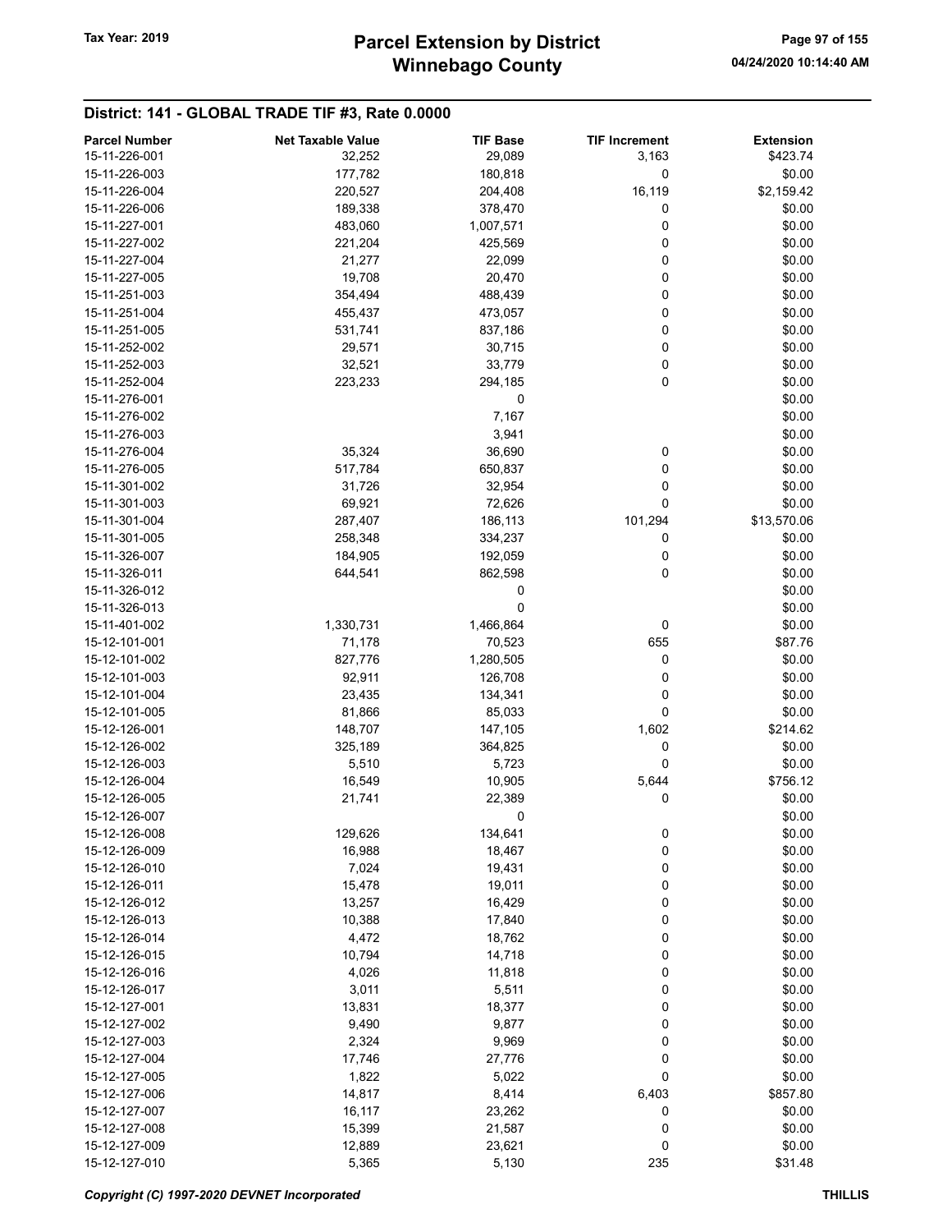## District: 141 - GLOBAL TRADE TIF #3, Rate 0.0000

| <b>Parcel Number</b> | <b>Net Taxable Value</b> | <b>TIF Base</b> | <b>TIF Increment</b> | <b>Extension</b> |
|----------------------|--------------------------|-----------------|----------------------|------------------|
| 15-11-226-001        | 32,252                   | 29,089          | 3,163                | \$423.74         |
| 15-11-226-003        | 177,782                  | 180,818         | 0                    | \$0.00           |
| 15-11-226-004        | 220,527                  | 204,408         | 16,119               | \$2,159.42       |
| 15-11-226-006        | 189,338                  | 378,470         | 0                    | \$0.00           |
| 15-11-227-001        | 483,060                  | 1,007,571       | 0                    | \$0.00           |
| 15-11-227-002        | 221,204                  | 425,569         | 0                    | \$0.00           |
| 15-11-227-004        | 21,277                   | 22,099          | 0                    | \$0.00           |
| 15-11-227-005        | 19,708                   | 20,470          | 0                    | \$0.00           |
| 15-11-251-003        | 354,494                  | 488,439         | 0                    | \$0.00           |
| 15-11-251-004        | 455,437                  | 473,057         | 0                    | \$0.00           |
| 15-11-251-005        | 531,741                  | 837,186         | 0                    | \$0.00           |
| 15-11-252-002        |                          |                 | 0                    |                  |
|                      | 29,571                   | 30,715          |                      | \$0.00           |
| 15-11-252-003        | 32,521                   | 33,779          | 0                    | \$0.00           |
| 15-11-252-004        | 223,233                  | 294,185         | 0                    | \$0.00           |
| 15-11-276-001        |                          | 0               |                      | \$0.00           |
| 15-11-276-002        |                          | 7,167           |                      | \$0.00           |
| 15-11-276-003        |                          | 3,941           |                      | \$0.00           |
| 15-11-276-004        | 35,324                   | 36,690          | 0                    | \$0.00           |
| 15-11-276-005        | 517,784                  | 650,837         | 0                    | \$0.00           |
| 15-11-301-002        | 31,726                   | 32,954          | 0                    | \$0.00           |
| 15-11-301-003        | 69,921                   | 72,626          | 0                    | \$0.00           |
| 15-11-301-004        | 287,407                  | 186,113         | 101,294              | \$13,570.06      |
| 15-11-301-005        | 258,348                  | 334,237         | 0                    | \$0.00           |
| 15-11-326-007        | 184,905                  | 192,059         | 0                    | \$0.00           |
| 15-11-326-011        | 644,541                  | 862,598         | 0                    | \$0.00           |
| 15-11-326-012        |                          | 0               |                      | \$0.00           |
| 15-11-326-013        |                          | 0               |                      | \$0.00           |
| 15-11-401-002        | 1,330,731                | 1,466,864       | 0                    | \$0.00           |
| 15-12-101-001        | 71,178                   | 70,523          | 655                  | \$87.76          |
| 15-12-101-002        | 827,776                  | 1,280,505       | 0                    | \$0.00           |
| 15-12-101-003        | 92,911                   | 126,708         | 0                    | \$0.00           |
| 15-12-101-004        | 23,435                   | 134,341         | 0                    | \$0.00           |
| 15-12-101-005        | 81,866                   | 85,033          | 0                    | \$0.00           |
| 15-12-126-001        | 148,707                  | 147,105         | 1,602                | \$214.62         |
| 15-12-126-002        | 325,189                  | 364,825         | 0                    | \$0.00           |
| 15-12-126-003        | 5,510                    | 5,723           | 0                    | \$0.00           |
| 15-12-126-004        | 16,549                   | 10,905          | 5,644                | \$756.12         |
| 15-12-126-005        | 21,741                   | 22,389          | 0                    | \$0.00           |
| 15-12-126-007        |                          | 0               |                      | \$0.00           |
| 15-12-126-008        | 129,626                  | 134,641         |                      | \$0.00           |
| 15-12-126-009        |                          |                 | 0                    |                  |
|                      | 16,988                   | 18,467          | 0                    | \$0.00           |
| 15-12-126-010        | 7,024                    | 19,431          | 0                    | \$0.00           |
| 15-12-126-011        | 15,478                   | 19,011          | 0                    | \$0.00           |
| 15-12-126-012        | 13,257                   | 16,429          | 0                    | \$0.00           |
| 15-12-126-013        | 10,388                   | 17,840          | 0                    | \$0.00           |
| 15-12-126-014        | 4,472                    | 18,762          | 0                    | \$0.00           |
| 15-12-126-015        | 10,794                   | 14,718          | 0                    | \$0.00           |
| 15-12-126-016        | 4,026                    | 11,818          | 0                    | \$0.00           |
| 15-12-126-017        | 3,011                    | 5,511           | 0                    | \$0.00           |
| 15-12-127-001        | 13,831                   | 18,377          | 0                    | \$0.00           |
| 15-12-127-002        | 9,490                    | 9,877           | 0                    | \$0.00           |
| 15-12-127-003        | 2,324                    | 9,969           | 0                    | \$0.00           |
| 15-12-127-004        | 17,746                   | 27,776          | 0                    | \$0.00           |
| 15-12-127-005        | 1,822                    | 5,022           | 0                    | \$0.00           |
| 15-12-127-006        | 14,817                   | 8,414           | 6,403                | \$857.80         |
| 15-12-127-007        | 16,117                   | 23,262          | 0                    | \$0.00           |
| 15-12-127-008        | 15,399                   | 21,587          | 0                    | \$0.00           |
| 15-12-127-009        | 12,889                   | 23,621          | 0                    | \$0.00           |
| 15-12-127-010        | 5,365                    | 5,130           | 235                  | \$31.48          |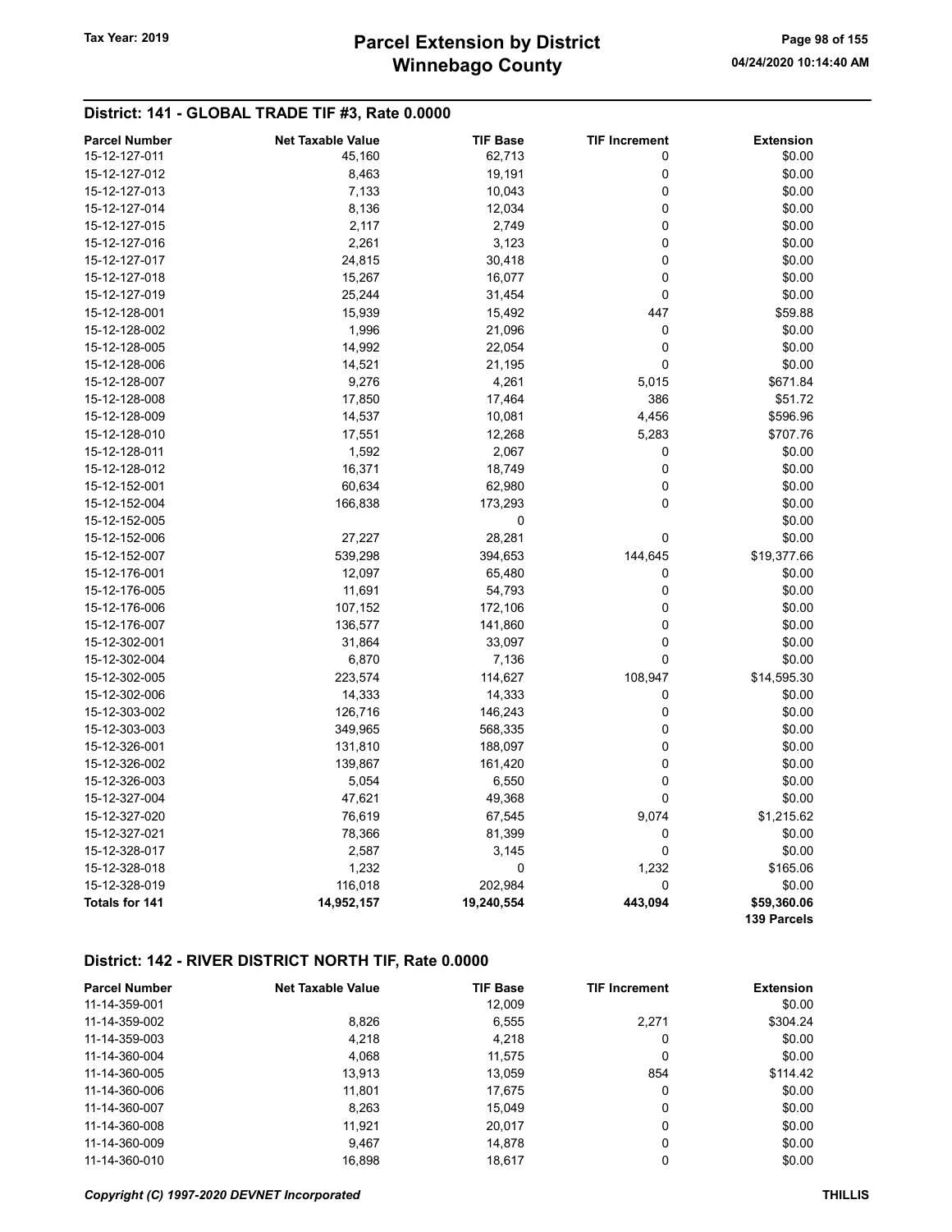# Winnebago County Tax Year: 2019 **Parcel Extension by District** Page 98 of 155

## District: 141 - GLOBAL TRADE TIF #3, Rate 0.0000

| <b>Parcel Number</b>  | <b>Net Taxable Value</b> | <b>TIF Base</b> | <b>TIF Increment</b> | <b>Extension</b>           |
|-----------------------|--------------------------|-----------------|----------------------|----------------------------|
| 15-12-127-011         | 45,160                   | 62,713          | 0                    | \$0.00                     |
| 15-12-127-012         | 8,463                    | 19,191          | $\mathbf 0$          | \$0.00                     |
| 15-12-127-013         | 7,133                    | 10,043          | 0                    | \$0.00                     |
| 15-12-127-014         | 8,136                    | 12,034          | 0                    | \$0.00                     |
| 15-12-127-015         | 2,117                    | 2,749           | $\pmb{0}$            | \$0.00                     |
| 15-12-127-016         | 2,261                    | 3,123           | 0                    | \$0.00                     |
| 15-12-127-017         | 24,815                   | 30,418          | 0                    | \$0.00                     |
| 15-12-127-018         | 15,267                   | 16,077          | 0                    | \$0.00                     |
| 15-12-127-019         | 25,244                   | 31,454          | 0                    | \$0.00                     |
| 15-12-128-001         | 15,939                   | 15,492          | 447                  | \$59.88                    |
| 15-12-128-002         | 1,996                    | 21,096          | 0                    | \$0.00                     |
| 15-12-128-005         | 14,992                   | 22,054          | 0                    | \$0.00                     |
| 15-12-128-006         | 14,521                   | 21,195          | 0                    | \$0.00                     |
| 15-12-128-007         | 9,276                    | 4,261           | 5,015                | \$671.84                   |
| 15-12-128-008         | 17,850                   | 17,464          | 386                  | \$51.72                    |
| 15-12-128-009         | 14,537                   | 10,081          | 4,456                | \$596.96                   |
| 15-12-128-010         | 17,551                   | 12,268          | 5,283                | \$707.76                   |
| 15-12-128-011         | 1,592                    | 2,067           | 0                    | \$0.00                     |
| 15-12-128-012         | 16,371                   | 18,749          | $\pmb{0}$            | \$0.00                     |
| 15-12-152-001         | 60,634                   | 62,980          | 0                    | \$0.00                     |
| 15-12-152-004         | 166,838                  | 173,293         | 0                    | \$0.00                     |
| 15-12-152-005         |                          | $\mathbf 0$     |                      | \$0.00                     |
| 15-12-152-006         | 27,227                   | 28,281          | 0                    | \$0.00                     |
| 15-12-152-007         | 539,298                  | 394,653         | 144,645              | \$19,377.66                |
| 15-12-176-001         | 12,097                   | 65,480          | 0                    | \$0.00                     |
| 15-12-176-005         | 11,691                   | 54,793          | $\mathbf 0$          | \$0.00                     |
| 15-12-176-006         | 107,152                  | 172,106         | 0                    | \$0.00                     |
| 15-12-176-007         | 136,577                  | 141,860         | 0                    | \$0.00                     |
| 15-12-302-001         | 31,864                   | 33,097          | 0                    | \$0.00                     |
| 15-12-302-004         | 6,870                    | 7,136           | $\mathbf 0$          | \$0.00                     |
| 15-12-302-005         | 223,574                  | 114,627         | 108,947              | \$14,595.30                |
| 15-12-302-006         | 14,333                   | 14,333          | 0                    | \$0.00                     |
| 15-12-303-002         | 126,716                  | 146,243         | 0                    | \$0.00                     |
| 15-12-303-003         | 349,965                  | 568,335         | 0                    | \$0.00                     |
| 15-12-326-001         | 131,810                  | 188,097         | $\pmb{0}$            | \$0.00                     |
| 15-12-326-002         | 139,867                  | 161,420         | 0                    | \$0.00                     |
| 15-12-326-003         | 5,054                    | 6,550           | 0                    | \$0.00                     |
| 15-12-327-004         | 47,621                   | 49,368          | 0                    | \$0.00                     |
| 15-12-327-020         | 76,619                   | 67,545          | 9,074                | \$1,215.62                 |
| 15-12-327-021         | 78,366                   | 81,399          | 0                    | \$0.00                     |
| 15-12-328-017         | 2,587                    | 3,145           | 0                    | \$0.00                     |
| 15-12-328-018         | 1,232                    | $\pmb{0}$       | 1,232                | \$165.06                   |
| 15-12-328-019         | 116,018                  | 202,984         | 0                    | \$0.00                     |
| <b>Totals for 141</b> | 14,952,157               | 19,240,554      | 443,094              | \$59,360.06<br>139 Parcels |

| <b>Parcel Number</b> | <b>Net Taxable Value</b> | <b>TIF Base</b> | <b>TIF Increment</b> | <b>Extension</b> |
|----------------------|--------------------------|-----------------|----------------------|------------------|
| 11-14-359-001        |                          | 12,009          |                      | \$0.00           |
| 11-14-359-002        | 8,826                    | 6,555           | 2,271                | \$304.24         |
| 11-14-359-003        | 4.218                    | 4,218           | 0                    | \$0.00           |
| 11-14-360-004        | 4.068                    | 11.575          | 0                    | \$0.00           |
| 11-14-360-005        | 13.913                   | 13.059          | 854                  | \$114.42         |
| 11-14-360-006        | 11,801                   | 17,675          | 0                    | \$0.00           |
| 11-14-360-007        | 8,263                    | 15,049          | 0                    | \$0.00           |
| 11-14-360-008        | 11.921                   | 20.017          | 0                    | \$0.00           |
| 11-14-360-009        | 9.467                    | 14.878          | 0                    | \$0.00           |
| 11-14-360-010        | 16.898                   | 18.617          | 0                    | \$0.00           |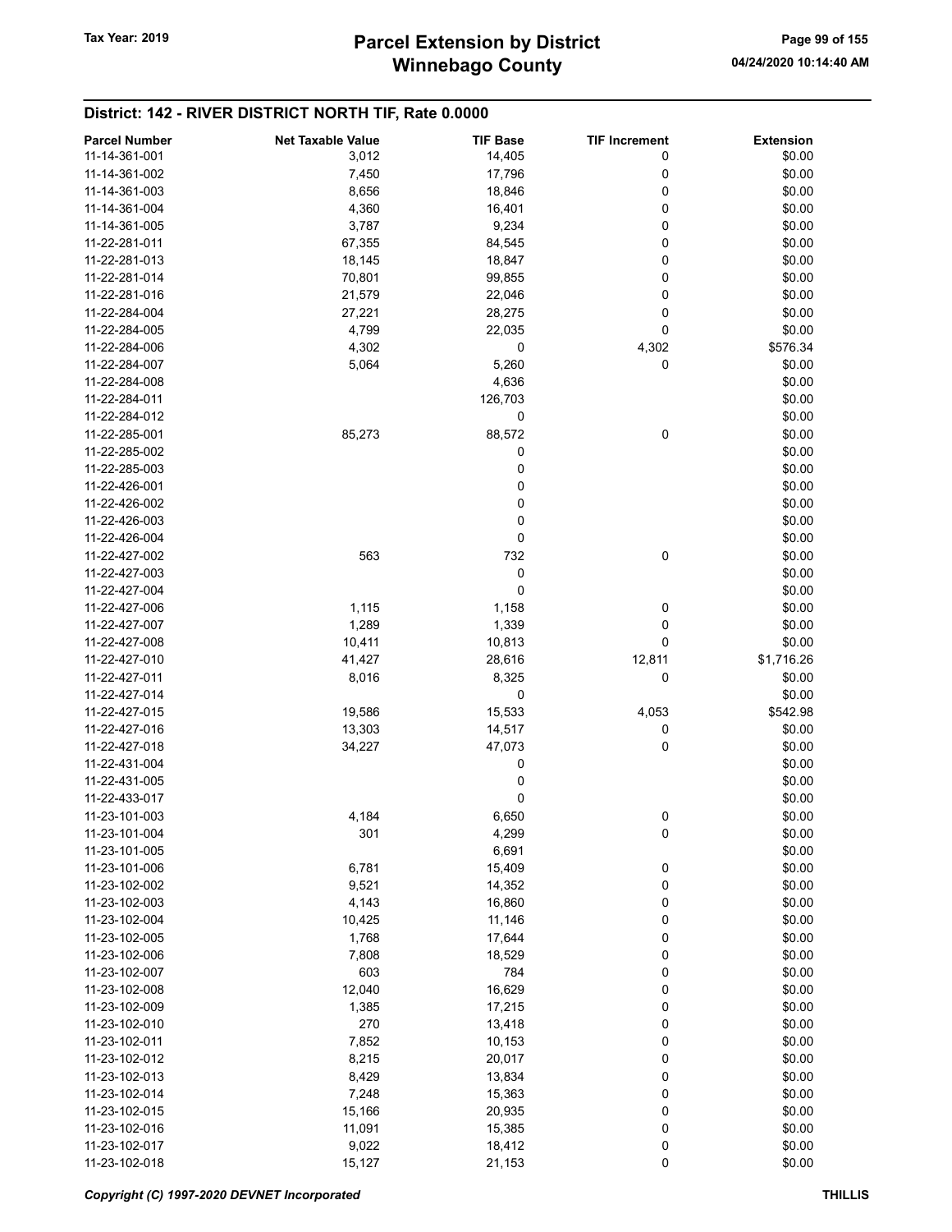# Winnebago County Tax Year: 2019 **Parcel Extension by District** Page 99 of 155

| <b>Parcel Number</b> | <b>Net Taxable Value</b> | <b>TIF Base</b> | <b>TIF Increment</b> | <b>Extension</b> |
|----------------------|--------------------------|-----------------|----------------------|------------------|
| 11-14-361-001        | 3,012                    | 14,405          | 0                    | \$0.00           |
| 11-14-361-002        | 7,450                    | 17,796          | 0                    | \$0.00           |
| 11-14-361-003        | 8,656                    | 18,846          | 0                    | \$0.00           |
|                      |                          |                 |                      |                  |
| 11-14-361-004        | 4,360                    | 16,401          | 0                    | \$0.00           |
| 11-14-361-005        | 3,787                    | 9,234           | 0                    | \$0.00           |
| 11-22-281-011        | 67,355                   | 84,545          | 0                    | \$0.00           |
| 11-22-281-013        | 18,145                   | 18,847          | 0                    | \$0.00           |
| 11-22-281-014        | 70,801                   | 99,855          | 0                    | \$0.00           |
| 11-22-281-016        | 21,579                   | 22,046          | 0                    | \$0.00           |
| 11-22-284-004        | 27,221                   | 28,275          | 0                    | \$0.00           |
| 11-22-284-005        | 4,799                    | 22,035          | 0                    | \$0.00           |
| 11-22-284-006        | 4,302                    | 0               | 4,302                | \$576.34         |
| 11-22-284-007        | 5,064                    | 5,260           | 0                    | \$0.00           |
| 11-22-284-008        |                          | 4,636           |                      | \$0.00           |
|                      |                          |                 |                      |                  |
| 11-22-284-011        |                          | 126,703         |                      | \$0.00           |
| 11-22-284-012        |                          | 0               |                      | \$0.00           |
| 11-22-285-001        | 85,273                   | 88,572          | 0                    | \$0.00           |
| 11-22-285-002        |                          | 0               |                      | \$0.00           |
| 11-22-285-003        |                          | 0               |                      | \$0.00           |
| 11-22-426-001        |                          | 0               |                      | \$0.00           |
| 11-22-426-002        |                          | 0               |                      | \$0.00           |
| 11-22-426-003        |                          | 0               |                      | \$0.00           |
| 11-22-426-004        |                          | 0               |                      | \$0.00           |
| 11-22-427-002        | 563                      | 732             | $\mathbf 0$          | \$0.00           |
|                      |                          |                 |                      |                  |
| 11-22-427-003        |                          | 0               |                      | \$0.00           |
| 11-22-427-004        |                          | 0               |                      | \$0.00           |
| 11-22-427-006        | 1,115                    | 1,158           | 0                    | \$0.00           |
| 11-22-427-007        | 1,289                    | 1,339           | 0                    | \$0.00           |
| 11-22-427-008        | 10,411                   | 10,813          | 0                    | \$0.00           |
| 11-22-427-010        | 41,427                   | 28,616          | 12,811               | \$1,716.26       |
| 11-22-427-011        | 8,016                    | 8,325           | 0                    | \$0.00           |
| 11-22-427-014        |                          | 0               |                      | \$0.00           |
| 11-22-427-015        | 19,586                   | 15,533          | 4,053                | \$542.98         |
| 11-22-427-016        | 13,303                   | 14,517          | 0                    | \$0.00           |
| 11-22-427-018        | 34,227                   | 47,073          | 0                    | \$0.00           |
|                      |                          |                 |                      |                  |
| 11-22-431-004        |                          | 0               |                      | \$0.00           |
| 11-22-431-005        |                          | 0               |                      | \$0.00           |
| 11-22-433-017        |                          | 0               |                      | \$0.00           |
| 11-23-101-003        | 4,184                    | 6,650           | 0                    | \$0.00           |
| 11-23-101-004        | 301                      | 4,299           | $\pmb{0}$            | \$0.00           |
| 11-23-101-005        |                          | 6,691           |                      | \$0.00           |
| 11-23-101-006        | 6,781                    | 15,409          | 0                    | \$0.00           |
| 11-23-102-002        | 9,521                    | 14,352          | 0                    | \$0.00           |
| 11-23-102-003        | 4,143                    | 16,860          | 0                    | \$0.00           |
| 11-23-102-004        | 10,425                   | 11,146          | 0                    | \$0.00           |
| 11-23-102-005        | 1,768                    | 17,644          | 0                    | \$0.00           |
| 11-23-102-006        | 7,808                    | 18,529          | 0                    | \$0.00           |
| 11-23-102-007        |                          |                 |                      |                  |
|                      | 603                      | 784             | 0                    | \$0.00           |
| 11-23-102-008        | 12,040                   | 16,629          | 0                    | \$0.00           |
| 11-23-102-009        | 1,385                    | 17,215          | 0                    | \$0.00           |
| 11-23-102-010        | 270                      | 13,418          | 0                    | \$0.00           |
| 11-23-102-011        | 7,852                    | 10,153          | 0                    | \$0.00           |
| 11-23-102-012        | 8,215                    | 20,017          | 0                    | \$0.00           |
| 11-23-102-013        | 8,429                    | 13,834          | 0                    | \$0.00           |
| 11-23-102-014        | 7,248                    | 15,363          | 0                    | \$0.00           |
| 11-23-102-015        | 15,166                   | 20,935          | 0                    | \$0.00           |
| 11-23-102-016        | 11,091                   | 15,385          | 0                    | \$0.00           |
| 11-23-102-017        | 9,022                    | 18,412          | 0                    | \$0.00           |
| 11-23-102-018        | 15,127                   | 21,153          | 0                    | \$0.00           |
|                      |                          |                 |                      |                  |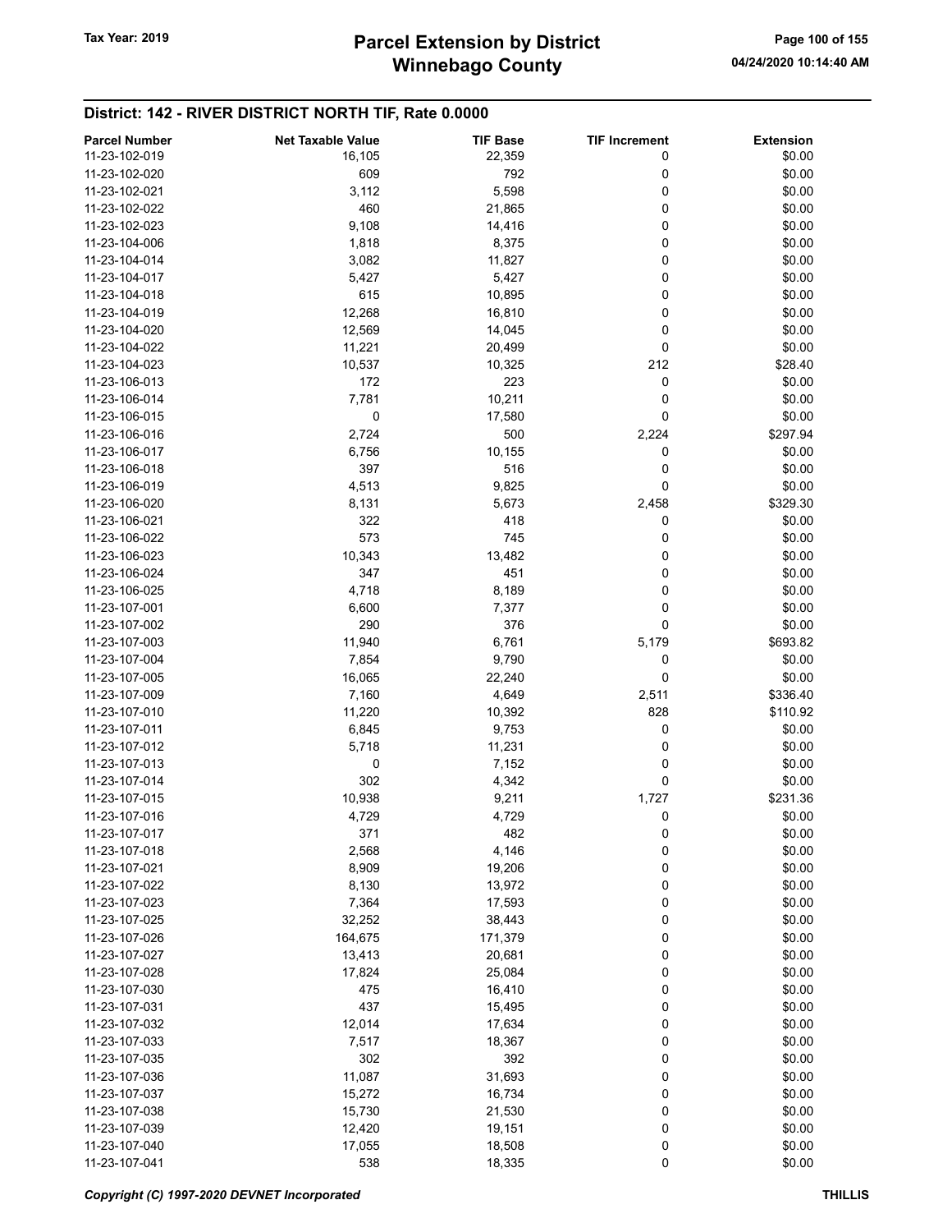| <b>Parcel Number</b> | <b>Net Taxable Value</b> | <b>TIF Base</b> | <b>TIF Increment</b> | <b>Extension</b> |
|----------------------|--------------------------|-----------------|----------------------|------------------|
| 11-23-102-019        | 16,105                   | 22,359          | 0                    | \$0.00           |
| 11-23-102-020        | 609                      | 792             | 0                    | \$0.00           |
| 11-23-102-021        | 3,112                    | 5,598           | 0                    | \$0.00           |
|                      |                          |                 |                      |                  |
| 11-23-102-022        | 460                      | 21,865          | 0                    | \$0.00           |
| 11-23-102-023        | 9,108                    | 14,416          | 0                    | \$0.00           |
| 11-23-104-006        | 1,818                    | 8,375           | 0                    | \$0.00           |
| 11-23-104-014        | 3,082                    | 11,827          | 0                    | \$0.00           |
| 11-23-104-017        | 5,427                    | 5,427           | 0                    | \$0.00           |
| 11-23-104-018        | 615                      | 10,895          | 0                    | \$0.00           |
| 11-23-104-019        | 12,268                   | 16,810          | 0                    | \$0.00           |
| 11-23-104-020        | 12,569                   | 14,045          | 0                    | \$0.00           |
| 11-23-104-022        | 11,221                   | 20,499          | 0                    | \$0.00           |
| 11-23-104-023        | 10,537                   | 10,325          | 212                  | \$28.40          |
| 11-23-106-013        | 172                      | 223             | 0                    | \$0.00           |
| 11-23-106-014        |                          |                 | 0                    |                  |
|                      | 7,781                    | 10,211          |                      | \$0.00           |
| 11-23-106-015        | 0                        | 17,580          | 0                    | \$0.00           |
| 11-23-106-016        | 2,724                    | 500             | 2,224                | \$297.94         |
| 11-23-106-017        | 6,756                    | 10,155          | 0                    | \$0.00           |
| 11-23-106-018        | 397                      | 516             | 0                    | \$0.00           |
| 11-23-106-019        | 4,513                    | 9,825           | 0                    | \$0.00           |
| 11-23-106-020        | 8,131                    | 5,673           | 2,458                | \$329.30         |
| 11-23-106-021        | 322                      | 418             | 0                    | \$0.00           |
| 11-23-106-022        | 573                      | 745             | 0                    | \$0.00           |
| 11-23-106-023        | 10,343                   | 13,482          | 0                    | \$0.00           |
| 11-23-106-024        | 347                      | 451             | 0                    | \$0.00           |
|                      |                          |                 |                      |                  |
| 11-23-106-025        | 4,718                    | 8,189           | 0                    | \$0.00           |
| 11-23-107-001        | 6,600                    | 7,377           | 0                    | \$0.00           |
| 11-23-107-002        | 290                      | 376             | 0                    | \$0.00           |
| 11-23-107-003        | 11,940                   | 6,761           | 5,179                | \$693.82         |
| 11-23-107-004        | 7,854                    | 9,790           | 0                    | \$0.00           |
| 11-23-107-005        | 16,065                   | 22,240          | 0                    | \$0.00           |
| 11-23-107-009        | 7,160                    | 4,649           | 2,511                | \$336.40         |
| 11-23-107-010        | 11,220                   | 10,392          | 828                  | \$110.92         |
| 11-23-107-011        | 6,845                    | 9,753           | 0                    | \$0.00           |
| 11-23-107-012        | 5,718                    | 11,231          | 0                    | \$0.00           |
| 11-23-107-013        | 0                        | 7,152           | 0                    | \$0.00           |
| 11-23-107-014        | 302                      | 4,342           | 0                    | \$0.00           |
| 11-23-107-015        | 10,938                   | 9,211           | 1,727                | \$231.36         |
|                      |                          |                 |                      |                  |
| 11-23-107-016        | 4,729                    | 4,729           | 0                    | \$0.00           |
| 11-23-107-017        | 371                      | 482             | 0                    | \$0.00           |
| 11-23-107-018        | 2,568                    | 4,146           | 0                    | \$0.00           |
| 11-23-107-021        | 8,909                    | 19,206          | 0                    | \$0.00           |
| 11-23-107-022        | 8,130                    | 13,972          | 0                    | \$0.00           |
| 11-23-107-023        | 7,364                    | 17,593          | 0                    | \$0.00           |
| 11-23-107-025        | 32,252                   | 38,443          | 0                    | \$0.00           |
| 11-23-107-026        | 164,675                  | 171,379         | 0                    | \$0.00           |
| 11-23-107-027        | 13,413                   | 20,681          | 0                    | \$0.00           |
| 11-23-107-028        | 17,824                   | 25,084          | 0                    | \$0.00           |
| 11-23-107-030        | 475                      | 16,410          | 0                    | \$0.00           |
| 11-23-107-031        | 437                      | 15,495          | 0                    | \$0.00           |
| 11-23-107-032        | 12,014                   | 17,634          | 0                    | \$0.00           |
|                      |                          |                 |                      |                  |
| 11-23-107-033        | 7,517                    | 18,367          | 0                    | \$0.00           |
| 11-23-107-035        | 302                      | 392             | 0                    | \$0.00           |
| 11-23-107-036        | 11,087                   | 31,693          | 0                    | \$0.00           |
| 11-23-107-037        | 15,272                   | 16,734          | 0                    | \$0.00           |
| 11-23-107-038        | 15,730                   | 21,530          | 0                    | \$0.00           |
| 11-23-107-039        | 12,420                   | 19,151          | 0                    | \$0.00           |
| 11-23-107-040        | 17,055                   | 18,508          | 0                    | \$0.00           |
| 11-23-107-041        | 538                      | 18,335          | 0                    | \$0.00           |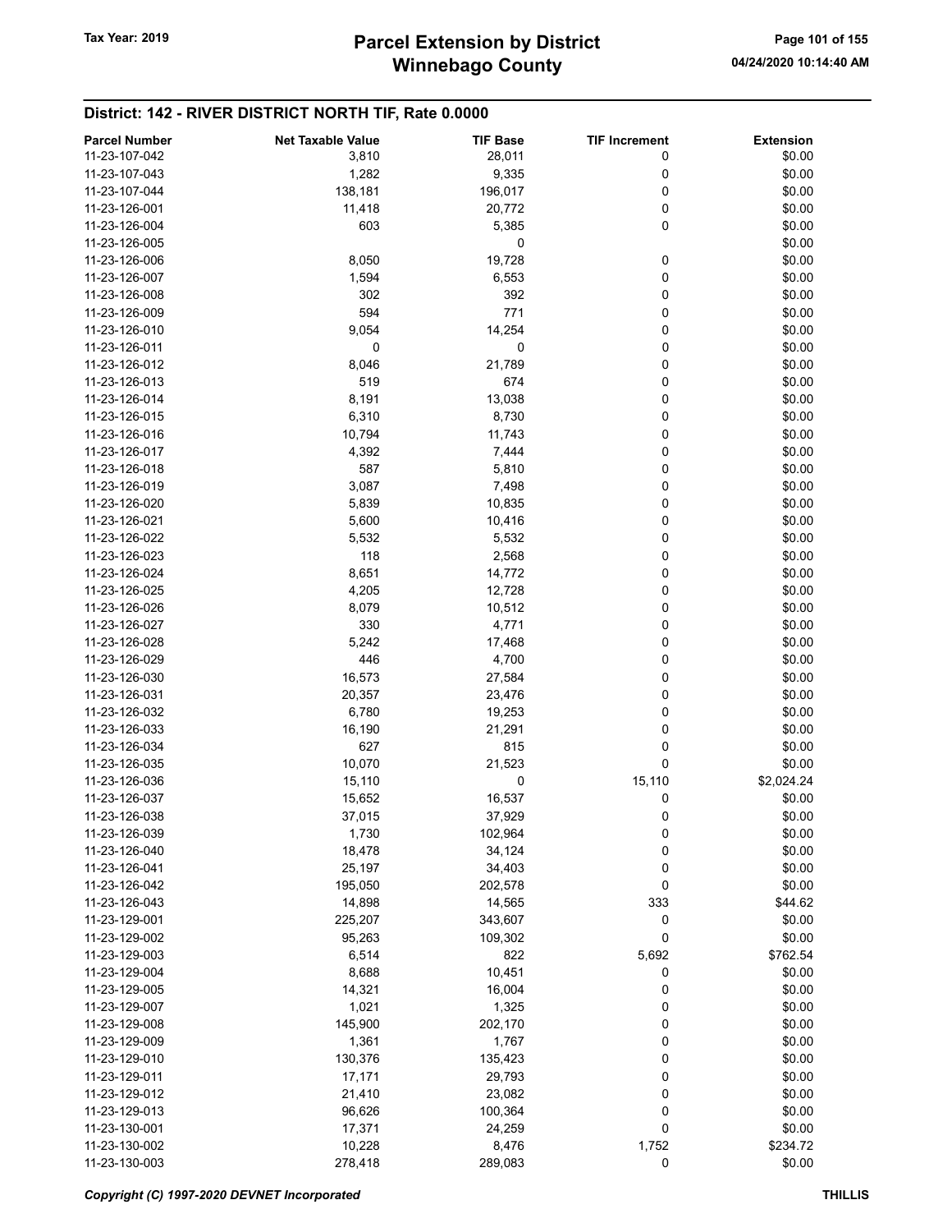| <b>Parcel Number</b> | <b>Net Taxable Value</b> | <b>TIF Base</b> | <b>TIF Increment</b> | <b>Extension</b> |
|----------------------|--------------------------|-----------------|----------------------|------------------|
| 11-23-107-042        | 3,810                    | 28,011          | 0                    | \$0.00           |
| 11-23-107-043        |                          | 9,335           |                      | \$0.00           |
|                      | 1,282                    |                 | 0                    |                  |
| 11-23-107-044        | 138,181                  | 196,017         | 0                    | \$0.00           |
| 11-23-126-001        | 11,418                   | 20,772          | 0                    | \$0.00           |
| 11-23-126-004        | 603                      | 5,385           | 0                    | \$0.00           |
| 11-23-126-005        |                          | 0               |                      | \$0.00           |
| 11-23-126-006        | 8,050                    | 19,728          | 0                    | \$0.00           |
| 11-23-126-007        | 1,594                    | 6,553           | 0                    | \$0.00           |
| 11-23-126-008        | 302                      | 392             | 0                    | \$0.00           |
| 11-23-126-009        | 594                      | 771             | 0                    | \$0.00           |
| 11-23-126-010        | 9,054                    | 14,254          | 0                    | \$0.00           |
| 11-23-126-011        | 0                        | 0               | 0                    | \$0.00           |
| 11-23-126-012        | 8,046                    | 21,789          | 0                    | \$0.00           |
| 11-23-126-013        | 519                      | 674             |                      | \$0.00           |
|                      |                          |                 | 0                    |                  |
| 11-23-126-014        | 8,191                    | 13,038          | 0                    | \$0.00           |
| 11-23-126-015        | 6,310                    | 8,730           | 0                    | \$0.00           |
| 11-23-126-016        | 10,794                   | 11,743          | 0                    | \$0.00           |
| 11-23-126-017        | 4,392                    | 7,444           | 0                    | \$0.00           |
| 11-23-126-018        | 587                      | 5,810           | 0                    | \$0.00           |
| 11-23-126-019        | 3,087                    | 7,498           | 0                    | \$0.00           |
| 11-23-126-020        | 5,839                    | 10,835          | 0                    | \$0.00           |
| 11-23-126-021        | 5,600                    | 10,416          | 0                    | \$0.00           |
| 11-23-126-022        | 5,532                    | 5,532           | 0                    | \$0.00           |
| 11-23-126-023        | 118                      | 2,568           | 0                    | \$0.00           |
| 11-23-126-024        | 8,651                    | 14,772          | 0                    | \$0.00           |
|                      |                          |                 |                      |                  |
| 11-23-126-025        | 4,205                    | 12,728          | 0                    | \$0.00           |
| 11-23-126-026        | 8,079                    | 10,512          | 0                    | \$0.00           |
| 11-23-126-027        | 330                      | 4,771           | 0                    | \$0.00           |
| 11-23-126-028        | 5,242                    | 17,468          | 0                    | \$0.00           |
| 11-23-126-029        | 446                      | 4,700           | 0                    | \$0.00           |
| 11-23-126-030        | 16,573                   | 27,584          | 0                    | \$0.00           |
| 11-23-126-031        | 20,357                   | 23,476          | 0                    | \$0.00           |
| 11-23-126-032        | 6,780                    | 19,253          | 0                    | \$0.00           |
| 11-23-126-033        | 16,190                   | 21,291          | 0                    | \$0.00           |
| 11-23-126-034        | 627                      | 815             | 0                    | \$0.00           |
| 11-23-126-035        | 10,070                   | 21,523          | 0                    | \$0.00           |
| 11-23-126-036        | 15,110                   | 0               | 15,110               | \$2,024.24       |
| 11-23-126-037        | 15,652                   | 16,537          | 0                    | \$0.00           |
|                      |                          |                 |                      |                  |
| 11-23-126-038        | 37,015                   | 37,929          | 0                    | \$0.00           |
| 11-23-126-039        | 1,730                    | 102,964         | 0                    | \$0.00           |
| 11-23-126-040        | 18,478                   | 34,124          | 0                    | \$0.00           |
| 11-23-126-041        | 25,197                   | 34,403          | 0                    | \$0.00           |
| 11-23-126-042        | 195,050                  | 202,578         | 0                    | \$0.00           |
| 11-23-126-043        | 14,898                   | 14,565          | 333                  | \$44.62          |
| 11-23-129-001        | 225,207                  | 343,607         | 0                    | \$0.00           |
| 11-23-129-002        | 95,263                   | 109,302         | 0                    | \$0.00           |
| 11-23-129-003        | 6,514                    | 822             | 5,692                | \$762.54         |
| 11-23-129-004        | 8,688                    | 10,451          | 0                    | \$0.00           |
| 11-23-129-005        | 14,321                   | 16,004          | 0                    | \$0.00           |
| 11-23-129-007        | 1,021                    | 1,325           | 0                    | \$0.00           |
| 11-23-129-008        | 145,900                  | 202,170         | 0                    | \$0.00           |
| 11-23-129-009        |                          | 1,767           | 0                    |                  |
|                      | 1,361                    |                 |                      | \$0.00           |
| 11-23-129-010        | 130,376                  | 135,423         | 0                    | \$0.00           |
| 11-23-129-011        | 17,171                   | 29,793          | 0                    | \$0.00           |
| 11-23-129-012        | 21,410                   | 23,082          | 0                    | \$0.00           |
| 11-23-129-013        | 96,626                   | 100,364         | 0                    | \$0.00           |
| 11-23-130-001        | 17,371                   | 24,259          | 0                    | \$0.00           |
| 11-23-130-002        | 10,228                   | 8,476           | 1,752                | \$234.72         |
| 11-23-130-003        | 278,418                  | 289,083         | 0                    | \$0.00           |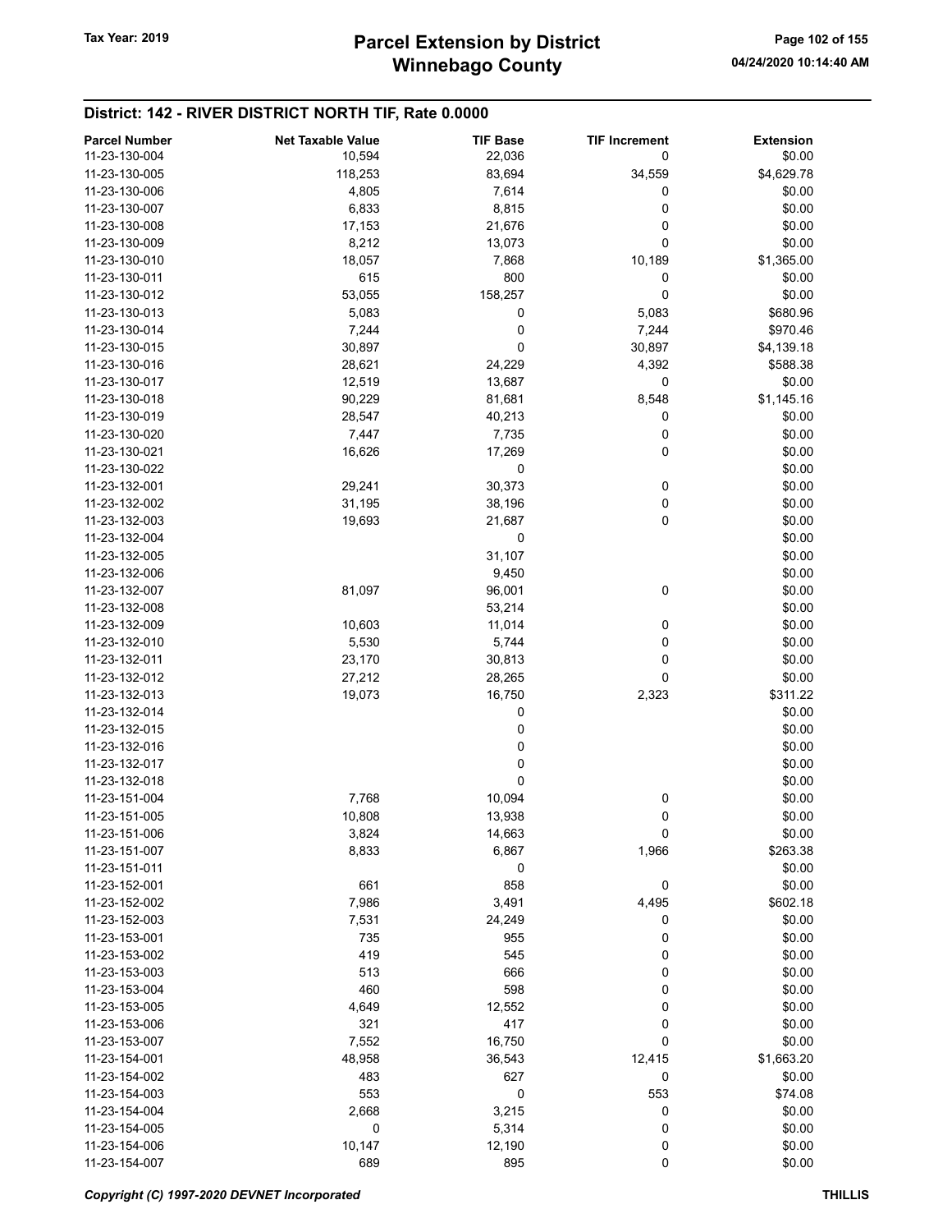| <b>Parcel Number</b> | <b>Net Taxable Value</b> | <b>TIF Base</b> | <b>TIF Increment</b> | <b>Extension</b> |
|----------------------|--------------------------|-----------------|----------------------|------------------|
| 11-23-130-004        | 10,594                   | 22,036          | 0                    | \$0.00           |
| 11-23-130-005        |                          | 83,694          | 34,559               | \$4,629.78       |
|                      | 118,253                  |                 |                      |                  |
| 11-23-130-006        | 4,805                    | 7,614           | 0                    | \$0.00           |
| 11-23-130-007        | 6,833                    | 8,815           | 0                    | \$0.00           |
| 11-23-130-008        | 17,153                   | 21,676          | 0                    | \$0.00           |
| 11-23-130-009        | 8,212                    | 13,073          | 0                    | \$0.00           |
| 11-23-130-010        | 18,057                   | 7,868           | 10,189               | \$1,365.00       |
| 11-23-130-011        | 615                      | 800             | 0                    | \$0.00           |
| 11-23-130-012        | 53,055                   | 158,257         | 0                    | \$0.00           |
| 11-23-130-013        | 5,083                    | 0               | 5,083                | \$680.96         |
| 11-23-130-014        | 7,244                    | 0               | 7,244                | \$970.46         |
| 11-23-130-015        | 30,897                   | 0               | 30,897               | \$4,139.18       |
| 11-23-130-016        | 28,621                   | 24,229          | 4,392                | \$588.38         |
| 11-23-130-017        | 12,519                   | 13,687          | 0                    | \$0.00           |
| 11-23-130-018        | 90,229                   | 81,681          | 8,548                | \$1,145.16       |
| 11-23-130-019        | 28,547                   | 40,213          | 0                    | \$0.00           |
| 11-23-130-020        | 7,447                    | 7,735           | 0                    | \$0.00           |
| 11-23-130-021        | 16,626                   | 17,269          | 0                    | \$0.00           |
| 11-23-130-022        |                          | 0               |                      | \$0.00           |
| 11-23-132-001        | 29,241                   | 30,373          | 0                    | \$0.00           |
| 11-23-132-002        | 31,195                   | 38,196          | 0                    | \$0.00           |
| 11-23-132-003        | 19,693                   | 21,687          | 0                    | \$0.00           |
| 11-23-132-004        |                          | 0               |                      | \$0.00           |
| 11-23-132-005        |                          | 31,107          |                      | \$0.00           |
| 11-23-132-006        |                          | 9,450           |                      | \$0.00           |
| 11-23-132-007        | 81,097                   |                 | 0                    | \$0.00           |
|                      |                          | 96,001          |                      |                  |
| 11-23-132-008        |                          | 53,214          |                      | \$0.00           |
| 11-23-132-009        | 10,603                   | 11,014          | 0                    | \$0.00           |
| 11-23-132-010        | 5,530                    | 5,744           | 0                    | \$0.00           |
| 11-23-132-011        | 23,170                   | 30,813          | 0                    | \$0.00           |
| 11-23-132-012        | 27,212                   | 28,265          | 0                    | \$0.00           |
| 11-23-132-013        | 19,073                   | 16,750          | 2,323                | \$311.22         |
| 11-23-132-014        |                          | 0               |                      | \$0.00           |
| 11-23-132-015        |                          | 0               |                      | \$0.00           |
| 11-23-132-016        |                          | 0               |                      | \$0.00           |
| 11-23-132-017        |                          | 0               |                      | \$0.00           |
| 11-23-132-018        |                          | 0               |                      | \$0.00           |
| 11-23-151-004        | 7,768                    | 10,094          | 0                    | \$0.00           |
| 11-23-151-005        | 10,808                   | 13,938          | 0                    | \$0.00           |
| 11-23-151-006        | 3,824                    | 14,663          | 0                    | \$0.00           |
| 11-23-151-007        | 8,833                    | 6,867           | 1,966                | \$263.38         |
| 11-23-151-011        |                          | 0               |                      | \$0.00           |
| 11-23-152-001        | 661                      | 858             | 0                    | \$0.00           |
| 11-23-152-002        | 7,986                    | 3,491           | 4,495                | \$602.18         |
| 11-23-152-003        | 7,531                    | 24,249          | 0                    | \$0.00           |
| 11-23-153-001        | 735                      | 955             | 0                    | \$0.00           |
| 11-23-153-002        | 419                      | 545             | 0                    | \$0.00           |
| 11-23-153-003        | 513                      | 666             | 0                    | \$0.00           |
| 11-23-153-004        | 460                      | 598             | 0                    | \$0.00           |
| 11-23-153-005        | 4,649                    | 12,552          | 0                    | \$0.00           |
| 11-23-153-006        | 321                      | 417             | 0                    | \$0.00           |
| 11-23-153-007        | 7,552                    | 16,750          | 0                    | \$0.00           |
| 11-23-154-001        | 48,958                   |                 |                      | \$1,663.20       |
|                      |                          | 36,543          | 12,415<br>0          |                  |
| 11-23-154-002        | 483                      | 627             |                      | \$0.00           |
| 11-23-154-003        | 553                      | 0               | 553                  | \$74.08          |
| 11-23-154-004        | 2,668                    | 3,215           | 0                    | \$0.00           |
| 11-23-154-005        | 0                        | 5,314           | 0                    | \$0.00           |
| 11-23-154-006        | 10,147                   | 12,190          | 0                    | \$0.00           |
| 11-23-154-007        | 689                      | 895             | 0                    | \$0.00           |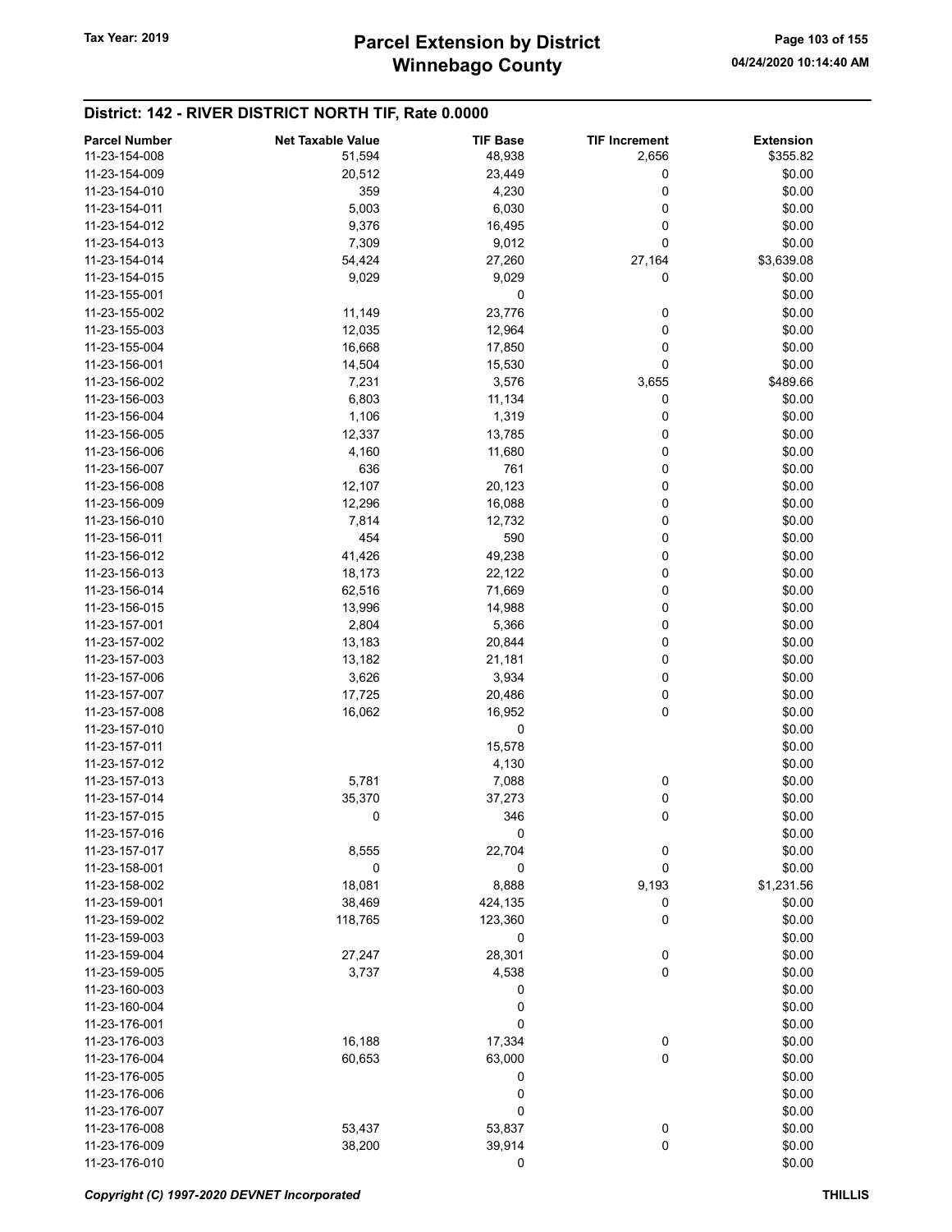# Winnebago County Tax Year: 2019 **Parcel Extension by District** Page 103 of 155

| <b>Parcel Number</b> | <b>Net Taxable Value</b> | <b>TIF Base</b> | <b>TIF Increment</b> | <b>Extension</b> |
|----------------------|--------------------------|-----------------|----------------------|------------------|
| 11-23-154-008        | 51,594                   | 48,938          | 2,656                | \$355.82         |
| 11-23-154-009        | 20,512                   | 23,449          | 0                    | \$0.00           |
| 11-23-154-010        | 359                      | 4,230           | 0                    | \$0.00           |
| 11-23-154-011        | 5,003                    | 6,030           | 0                    | \$0.00           |
| 11-23-154-012        | 9,376                    | 16,495          | 0                    | \$0.00           |
| 11-23-154-013        |                          |                 | 0                    | \$0.00           |
|                      | 7,309                    | 9,012           |                      |                  |
| 11-23-154-014        | 54,424                   | 27,260          | 27,164               | \$3,639.08       |
| 11-23-154-015        | 9,029                    | 9,029           | 0                    | \$0.00           |
| 11-23-155-001        |                          | 0               |                      | \$0.00           |
| 11-23-155-002        | 11,149                   | 23,776          | 0                    | \$0.00           |
| 11-23-155-003        | 12,035                   | 12,964          | 0                    | \$0.00           |
| 11-23-155-004        | 16,668                   | 17,850          | 0                    | \$0.00           |
| 11-23-156-001        | 14,504                   | 15,530          | 0                    | \$0.00           |
| 11-23-156-002        | 7,231                    | 3,576           | 3,655                | \$489.66         |
| 11-23-156-003        | 6,803                    | 11,134          | 0                    | \$0.00           |
| 11-23-156-004        | 1,106                    | 1,319           | 0                    | \$0.00           |
| 11-23-156-005        | 12,337                   | 13,785          | 0                    | \$0.00           |
| 11-23-156-006        | 4,160                    | 11,680          | 0                    | \$0.00           |
| 11-23-156-007        | 636                      | 761             | 0                    | \$0.00           |
| 11-23-156-008        | 12,107                   | 20,123          | 0                    | \$0.00           |
| 11-23-156-009        | 12,296                   | 16,088          | 0                    | \$0.00           |
| 11-23-156-010        | 7,814                    | 12,732          | 0                    | \$0.00           |
| 11-23-156-011        | 454                      | 590             | 0                    | \$0.00           |
| 11-23-156-012        | 41,426                   | 49,238          | 0                    | \$0.00           |
| 11-23-156-013        | 18,173                   | 22,122          | 0                    | \$0.00           |
| 11-23-156-014        | 62,516                   | 71,669          | 0                    | \$0.00           |
| 11-23-156-015        | 13,996                   | 14,988          | 0                    | \$0.00           |
| 11-23-157-001        | 2,804                    | 5,366           | 0                    | \$0.00           |
| 11-23-157-002        | 13,183                   | 20,844          | 0                    | \$0.00           |
| 11-23-157-003        | 13,182                   | 21,181          | 0                    | \$0.00           |
| 11-23-157-006        | 3,626                    | 3,934           | 0                    | \$0.00           |
| 11-23-157-007        | 17,725                   | 20,486          | 0                    | \$0.00           |
| 11-23-157-008        | 16,062                   | 16,952          | 0                    | \$0.00           |
| 11-23-157-010        |                          | 0               |                      | \$0.00           |
| 11-23-157-011        |                          | 15,578          |                      | \$0.00           |
| 11-23-157-012        |                          | 4,130           |                      | \$0.00           |
| 11-23-157-013        | 5,781                    |                 |                      | \$0.00           |
|                      |                          | 7,088           | 0                    |                  |
| 11-23-157-014        | 35,370                   | 37,273          | 0                    | \$0.00           |
| 11-23-157-015        | 0                        | 346             | 0                    | \$0.00           |
| 11-23-157-016        |                          | 0               |                      | \$0.00           |
| 11-23-157-017        | 8,555                    | 22,704          | 0                    | \$0.00           |
| 11-23-158-001        | 0                        | 0               | 0                    | \$0.00           |
| 11-23-158-002        | 18,081                   | 8,888           | 9,193                | \$1,231.56       |
| 11-23-159-001        | 38,469                   | 424,135         | 0                    | \$0.00           |
| 11-23-159-002        | 118,765                  | 123,360         | 0                    | \$0.00           |
| 11-23-159-003        |                          | 0               |                      | \$0.00           |
| 11-23-159-004        | 27,247                   | 28,301          | 0                    | \$0.00           |
| 11-23-159-005        | 3,737                    | 4,538           | $\pmb{0}$            | \$0.00           |
| 11-23-160-003        |                          | 0               |                      | \$0.00           |
| 11-23-160-004        |                          | 0               |                      | \$0.00           |
| 11-23-176-001        |                          | 0               |                      | \$0.00           |
| 11-23-176-003        | 16,188                   | 17,334          | $\pmb{0}$            | \$0.00           |
| 11-23-176-004        | 60,653                   | 63,000          | $\pmb{0}$            | \$0.00           |
| 11-23-176-005        |                          | 0               |                      | \$0.00           |
| 11-23-176-006        |                          | 0               |                      | \$0.00           |
| 11-23-176-007        |                          | 0               |                      | \$0.00           |
| 11-23-176-008        | 53,437                   | 53,837          | 0                    | \$0.00           |
| 11-23-176-009        | 38,200                   | 39,914          | 0                    | \$0.00           |
| 11-23-176-010        |                          | 0               |                      | \$0.00           |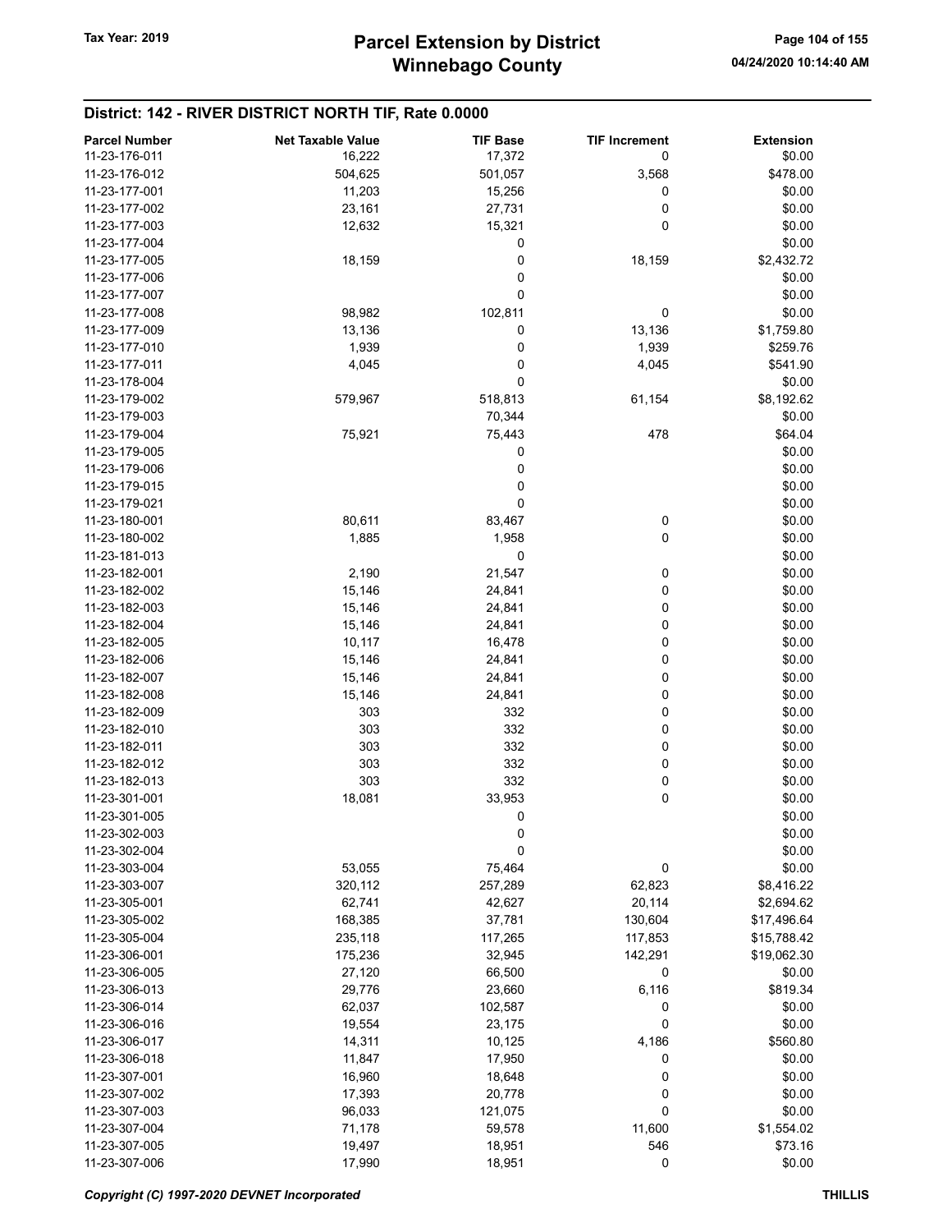| <b>Parcel Number</b> | <b>Net Taxable Value</b> | <b>TIF Base</b> | <b>TIF Increment</b> | <b>Extension</b> |
|----------------------|--------------------------|-----------------|----------------------|------------------|
| 11-23-176-011        | 16,222                   | 17,372          | 0                    | \$0.00           |
| 11-23-176-012        | 504,625                  | 501,057         | 3,568                | \$478.00         |
| 11-23-177-001        | 11,203                   | 15,256          | 0                    | \$0.00           |
| 11-23-177-002        | 23,161                   | 27,731          | 0                    | \$0.00           |
| 11-23-177-003        | 12,632                   | 15,321          | 0                    | \$0.00           |
| 11-23-177-004        |                          | 0               |                      | \$0.00           |
| 11-23-177-005        | 18,159                   | 0               | 18,159               | \$2,432.72       |
| 11-23-177-006        |                          | 0               |                      | \$0.00           |
| 11-23-177-007        |                          | 0               |                      | \$0.00           |
| 11-23-177-008        | 98,982                   | 102,811         | 0                    | \$0.00           |
| 11-23-177-009        | 13,136                   | 0               | 13,136               | \$1,759.80       |
| 11-23-177-010        | 1,939                    | 0               | 1,939                | \$259.76         |
| 11-23-177-011        | 4,045                    | 0               | 4,045                | \$541.90         |
| 11-23-178-004        |                          | 0               |                      | \$0.00           |
| 11-23-179-002        | 579,967                  | 518,813         | 61,154               | \$8,192.62       |
| 11-23-179-003        |                          | 70,344          |                      | \$0.00           |
| 11-23-179-004        | 75,921                   | 75,443          | 478                  | \$64.04          |
| 11-23-179-005        |                          | 0               |                      | \$0.00           |
| 11-23-179-006        |                          | 0               |                      | \$0.00           |
| 11-23-179-015        |                          | 0               |                      | \$0.00           |
| 11-23-179-021        |                          | 0               |                      | \$0.00           |
| 11-23-180-001        | 80,611                   | 83,467          | 0                    | \$0.00           |
| 11-23-180-002        | 1,885                    | 1,958           | 0                    | \$0.00           |
| 11-23-181-013        |                          | 0               |                      | \$0.00           |
| 11-23-182-001        | 2,190                    | 21,547          | 0                    | \$0.00           |
| 11-23-182-002        | 15,146                   | 24,841          | 0                    | \$0.00           |
| 11-23-182-003        | 15,146                   | 24,841          | 0                    | \$0.00           |
| 11-23-182-004        | 15,146                   | 24,841          | 0                    | \$0.00           |
| 11-23-182-005        | 10,117                   | 16,478          | 0                    | \$0.00           |
| 11-23-182-006        | 15,146                   | 24,841          | 0                    | \$0.00           |
| 11-23-182-007        | 15,146                   | 24,841          | 0                    | \$0.00           |
| 11-23-182-008        | 15,146                   | 24,841          | 0                    | \$0.00           |
| 11-23-182-009        | 303                      | 332             | 0                    | \$0.00           |
| 11-23-182-010        | 303                      | 332             | 0                    | \$0.00           |
| 11-23-182-011        | 303                      | 332             | 0                    | \$0.00           |
| 11-23-182-012        | 303                      | 332             | 0                    | \$0.00           |
| 11-23-182-013        | 303                      | 332             | 0                    | \$0.00           |
| 11-23-301-001        | 18,081                   | 33,953          | 0                    | \$0.00           |
| 11-23-301-005        |                          | 0               |                      | \$0.00           |
| 11-23-302-003        |                          | 0               |                      | \$0.00           |
| 11-23-302-004        |                          | 0               |                      | \$0.00           |
| 11-23-303-004        | 53,055                   | 75,464          | 0                    | \$0.00           |
| 11-23-303-007        | 320,112                  | 257,289         | 62,823               | \$8,416.22       |
| 11-23-305-001        | 62,741                   | 42,627          | 20,114               | \$2,694.62       |
| 11-23-305-002        | 168,385                  | 37,781          | 130,604              | \$17,496.64      |
| 11-23-305-004        | 235,118                  | 117,265         | 117,853              | \$15,788.42      |
| 11-23-306-001        | 175,236                  | 32,945          | 142,291              | \$19,062.30      |
| 11-23-306-005        | 27,120                   | 66,500          | 0                    | \$0.00           |
| 11-23-306-013        | 29,776                   | 23,660          | 6,116                | \$819.34         |
| 11-23-306-014        | 62,037                   | 102,587         | 0                    | \$0.00           |
| 11-23-306-016        | 19,554                   | 23,175          | 0                    | \$0.00           |
| 11-23-306-017        | 14,311                   | 10,125          | 4,186                | \$560.80         |
| 11-23-306-018        | 11,847                   | 17,950          | 0                    | \$0.00           |
| 11-23-307-001        | 16,960                   | 18,648          | 0                    | \$0.00           |
| 11-23-307-002        | 17,393                   | 20,778          | 0                    | \$0.00           |
| 11-23-307-003        | 96,033                   | 121,075         | 0                    | \$0.00           |
| 11-23-307-004        | 71,178                   | 59,578          | 11,600               | \$1,554.02       |
| 11-23-307-005        | 19,497                   | 18,951          | 546                  | \$73.16          |
| 11-23-307-006        | 17,990                   | 18,951          | 0                    | \$0.00           |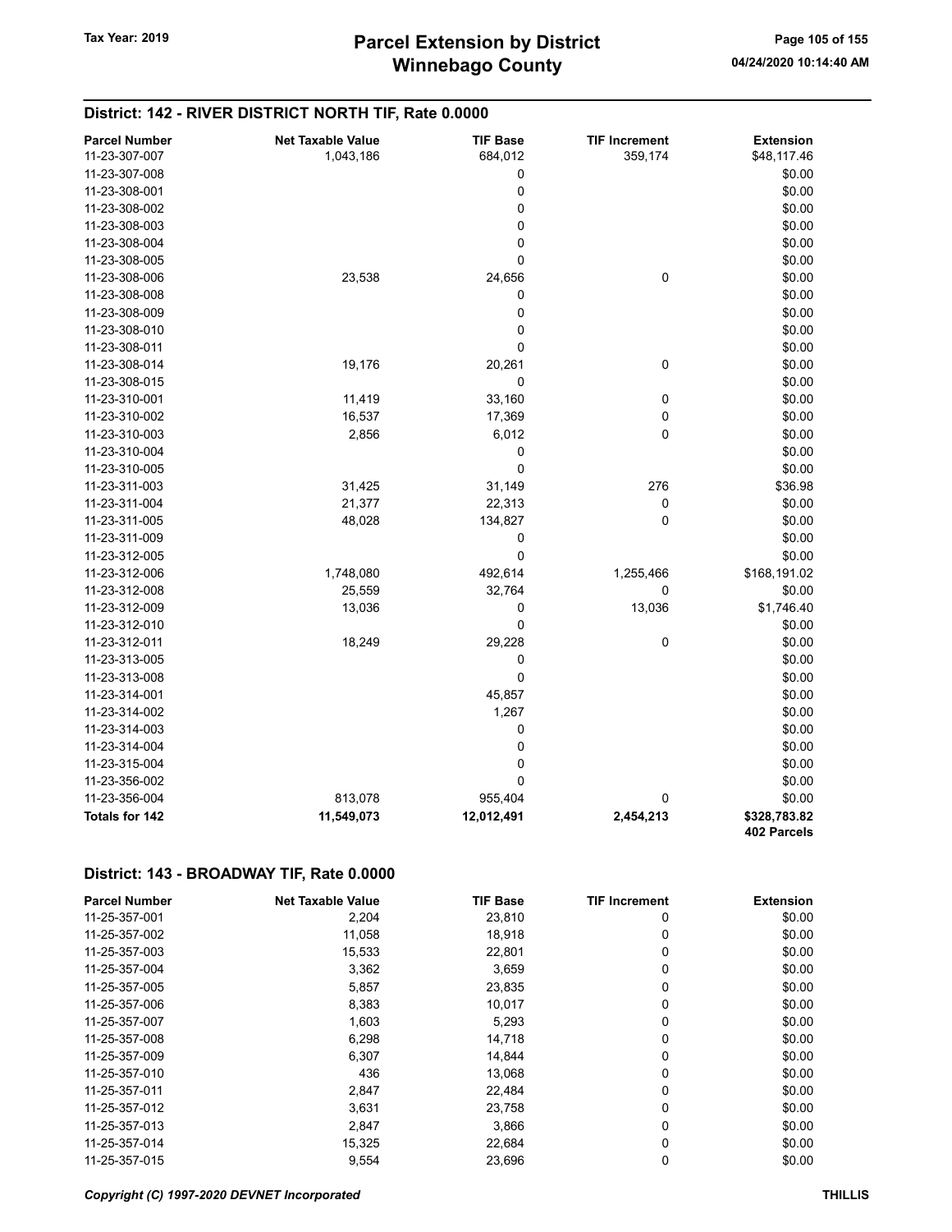| <b>Parcel Number</b>  | <b>Net Taxable Value</b> | <b>TIF Base</b> | <b>TIF Increment</b> | <b>Extension</b> |
|-----------------------|--------------------------|-----------------|----------------------|------------------|
| 11-23-307-007         | 1,043,186                | 684,012         | 359,174              | \$48,117.46      |
| 11-23-307-008         |                          | 0               |                      | \$0.00           |
| 11-23-308-001         |                          | $\pmb{0}$       |                      | \$0.00           |
| 11-23-308-002         |                          | 0               |                      | \$0.00           |
| 11-23-308-003         |                          | 0               |                      | \$0.00           |
| 11-23-308-004         |                          | $\pmb{0}$       |                      | \$0.00           |
| 11-23-308-005         |                          | 0               |                      | \$0.00           |
| 11-23-308-006         | 23,538                   | 24,656          | 0                    | \$0.00           |
| 11-23-308-008         |                          | 0               |                      | \$0.00           |
| 11-23-308-009         |                          | $\pmb{0}$       |                      | \$0.00           |
| 11-23-308-010         |                          | 0               |                      | \$0.00           |
| 11-23-308-011         |                          | 0               |                      | \$0.00           |
| 11-23-308-014         | 19,176                   | 20,261          | 0                    | \$0.00           |
| 11-23-308-015         |                          | $\mathbf 0$     |                      | \$0.00           |
| 11-23-310-001         | 11,419                   | 33,160          | 0                    | \$0.00           |
| 11-23-310-002         | 16,537                   | 17,369          | 0                    | \$0.00           |
| 11-23-310-003         | 2,856                    | 6,012           | 0                    | \$0.00           |
| 11-23-310-004         |                          | 0               |                      | \$0.00           |
| 11-23-310-005         |                          | $\mathbf 0$     |                      | \$0.00           |
| 11-23-311-003         | 31,425                   | 31,149          | 276                  | \$36.98          |
| 11-23-311-004         | 21,377                   | 22,313          | 0                    | \$0.00           |
| 11-23-311-005         | 48,028                   | 134,827         | $\mathbf 0$          | \$0.00           |
| 11-23-311-009         |                          | 0               |                      | \$0.00           |
| 11-23-312-005         |                          | 0               |                      | \$0.00           |
| 11-23-312-006         | 1,748,080                | 492,614         | 1,255,466            | \$168,191.02     |
| 11-23-312-008         | 25,559                   | 32,764          | 0                    | \$0.00           |
| 11-23-312-009         | 13,036                   | 0               | 13,036               | \$1,746.40       |
| 11-23-312-010         |                          | $\mathbf 0$     |                      | \$0.00           |
| 11-23-312-011         | 18,249                   | 29,228          | 0                    | \$0.00           |
| 11-23-313-005         |                          | 0               |                      | \$0.00           |
| 11-23-313-008         |                          | $\pmb{0}$       |                      | \$0.00           |
| 11-23-314-001         |                          | 45,857          |                      | \$0.00           |
| 11-23-314-002         |                          | 1,267           |                      | \$0.00           |
| 11-23-314-003         |                          | 0               |                      | \$0.00           |
| 11-23-314-004         |                          | $\pmb{0}$       |                      | \$0.00           |
| 11-23-315-004         |                          | 0               |                      | \$0.00           |
| 11-23-356-002         |                          | $\pmb{0}$       |                      | \$0.00           |
| 11-23-356-004         | 813,078                  | 955,404         | 0                    | \$0.00           |
| <b>Totals for 142</b> | 11,549,073               | 12,012,491      | 2,454,213            | \$328,783.82     |
|                       |                          |                 |                      | 402 Parcels      |

| <b>Parcel Number</b> | <b>Net Taxable Value</b> | <b>TIF Base</b> | <b>TIF Increment</b> | <b>Extension</b> |
|----------------------|--------------------------|-----------------|----------------------|------------------|
| 11-25-357-001        | 2,204                    | 23,810          | 0                    | \$0.00           |
| 11-25-357-002        | 11,058                   | 18,918          | 0                    | \$0.00           |
| 11-25-357-003        | 15,533                   | 22,801          | 0                    | \$0.00           |
| 11-25-357-004        | 3,362                    | 3,659           | 0                    | \$0.00           |
| 11-25-357-005        | 5,857                    | 23,835          | 0                    | \$0.00           |
| 11-25-357-006        | 8,383                    | 10,017          | 0                    | \$0.00           |
| 11-25-357-007        | 1,603                    | 5,293           | 0                    | \$0.00           |
| 11-25-357-008        | 6,298                    | 14,718          | 0                    | \$0.00           |
| 11-25-357-009        | 6,307                    | 14.844          | 0                    | \$0.00           |
| 11-25-357-010        | 436                      | 13,068          | 0                    | \$0.00           |
| 11-25-357-011        | 2,847                    | 22,484          | 0                    | \$0.00           |
| 11-25-357-012        | 3.631                    | 23,758          | 0                    | \$0.00           |
| 11-25-357-013        | 2,847                    | 3,866           | 0                    | \$0.00           |
| 11-25-357-014        | 15,325                   | 22,684          | 0                    | \$0.00           |
| 11-25-357-015        | 9,554                    | 23,696          | 0                    | \$0.00           |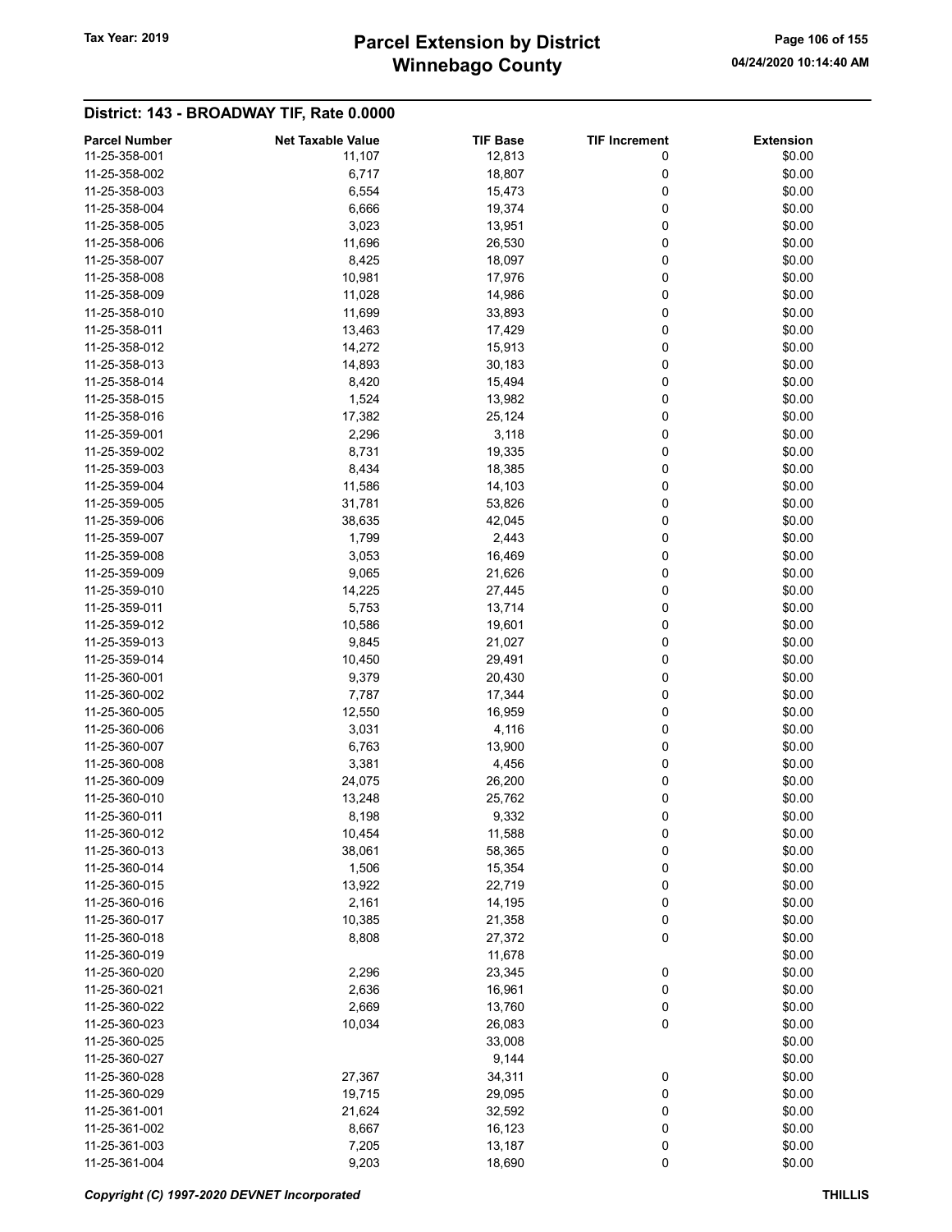# Winnebago County Tax Year: 2019 **Parcel Extension by District** Page 106 of 155

| <b>Parcel Number</b> | <b>Net Taxable Value</b> | <b>TIF Base</b> | <b>TIF Increment</b> | <b>Extension</b> |
|----------------------|--------------------------|-----------------|----------------------|------------------|
| 11-25-358-001        | 11,107                   | 12,813          | 0                    | \$0.00           |
| 11-25-358-002        | 6,717                    | 18,807          | 0                    | \$0.00           |
| 11-25-358-003        | 6,554                    | 15,473          | 0                    | \$0.00           |
| 11-25-358-004        | 6,666                    | 19,374          | 0                    | \$0.00           |
| 11-25-358-005        | 3,023                    | 13,951          | 0                    | \$0.00           |
| 11-25-358-006        | 11,696                   | 26,530          | 0                    | \$0.00           |
| 11-25-358-007        | 8,425                    | 18,097          | 0                    | \$0.00           |
| 11-25-358-008        | 10,981                   | 17,976          | 0                    | \$0.00           |
|                      |                          |                 |                      |                  |
| 11-25-358-009        | 11,028                   | 14,986          | 0                    | \$0.00           |
| 11-25-358-010        | 11,699                   | 33,893          | 0                    | \$0.00           |
| 11-25-358-011        | 13,463                   | 17,429          | 0                    | \$0.00           |
| 11-25-358-012        | 14,272                   | 15,913          | 0                    | \$0.00           |
| 11-25-358-013        | 14,893                   | 30,183          | 0                    | \$0.00           |
| 11-25-358-014        | 8,420                    | 15,494          | 0                    | \$0.00           |
| 11-25-358-015        | 1,524                    | 13,982          | 0                    | \$0.00           |
| 11-25-358-016        | 17,382                   | 25,124          | 0                    | \$0.00           |
| 11-25-359-001        | 2,296                    | 3,118           | 0                    | \$0.00           |
| 11-25-359-002        | 8,731                    | 19,335          | 0                    | \$0.00           |
| 11-25-359-003        | 8,434                    | 18,385          | 0                    | \$0.00           |
| 11-25-359-004        | 11,586                   | 14,103          | 0                    | \$0.00           |
| 11-25-359-005        | 31,781                   | 53,826          | 0                    | \$0.00           |
| 11-25-359-006        | 38,635                   | 42,045          | 0                    | \$0.00           |
| 11-25-359-007        | 1,799                    | 2,443           | 0                    | \$0.00           |
| 11-25-359-008        | 3,053                    | 16,469          | 0                    | \$0.00           |
| 11-25-359-009        | 9,065                    | 21,626          | 0                    | \$0.00           |
| 11-25-359-010        | 14,225                   | 27,445          | 0                    | \$0.00           |
|                      |                          |                 |                      |                  |
| 11-25-359-011        | 5,753                    | 13,714          | 0                    | \$0.00           |
| 11-25-359-012        | 10,586                   | 19,601          | 0                    | \$0.00           |
| 11-25-359-013        | 9,845                    | 21,027          | 0                    | \$0.00           |
| 11-25-359-014        | 10,450                   | 29,491          | 0                    | \$0.00           |
| 11-25-360-001        | 9,379                    | 20,430          | 0                    | \$0.00           |
| 11-25-360-002        | 7,787                    | 17,344          | 0                    | \$0.00           |
| 11-25-360-005        | 12,550                   | 16,959          | 0                    | \$0.00           |
| 11-25-360-006        | 3,031                    | 4,116           | 0                    | \$0.00           |
| 11-25-360-007        | 6,763                    | 13,900          | 0                    | \$0.00           |
| 11-25-360-008        | 3,381                    | 4,456           | 0                    | \$0.00           |
| 11-25-360-009        | 24,075                   | 26,200          | 0                    | \$0.00           |
| 11-25-360-010        | 13,248                   | 25,762          | 0                    | \$0.00           |
| 11-25-360-011        | 8,198                    | 9,332           | 0                    | \$0.00           |
| 11-25-360-012        | 10,454                   | 11,588          | 0                    | \$0.00           |
| 11-25-360-013        | 38,061                   | 58,365          | $\pmb{0}$            | \$0.00           |
| 11-25-360-014        | 1,506                    | 15,354          | 0                    | \$0.00           |
| 11-25-360-015        | 13,922                   | 22,719          | 0                    | \$0.00           |
| 11-25-360-016        | 2,161                    | 14,195          | 0                    | \$0.00           |
| 11-25-360-017        | 10,385                   | 21,358          | 0                    | \$0.00           |
| 11-25-360-018        | 8,808                    | 27,372          | 0                    | \$0.00           |
| 11-25-360-019        |                          |                 |                      | \$0.00           |
|                      |                          | 11,678          |                      |                  |
| 11-25-360-020        | 2,296                    | 23,345          | 0                    | \$0.00           |
| 11-25-360-021        | 2,636                    | 16,961          | 0                    | \$0.00           |
| 11-25-360-022        | 2,669                    | 13,760          | $\pmb{0}$            | \$0.00           |
| 11-25-360-023        | 10,034                   | 26,083          | $\pmb{0}$            | \$0.00           |
| 11-25-360-025        |                          | 33,008          |                      | \$0.00           |
| 11-25-360-027        |                          | 9,144           |                      | \$0.00           |
| 11-25-360-028        | 27,367                   | 34,311          | 0                    | \$0.00           |
| 11-25-360-029        | 19,715                   | 29,095          | 0                    | \$0.00           |
| 11-25-361-001        | 21,624                   | 32,592          | 0                    | \$0.00           |
| 11-25-361-002        | 8,667                    | 16,123          | 0                    | \$0.00           |
| 11-25-361-003        | 7,205                    | 13,187          | 0                    | \$0.00           |
| 11-25-361-004        | 9,203                    | 18,690          | $\pmb{0}$            | \$0.00           |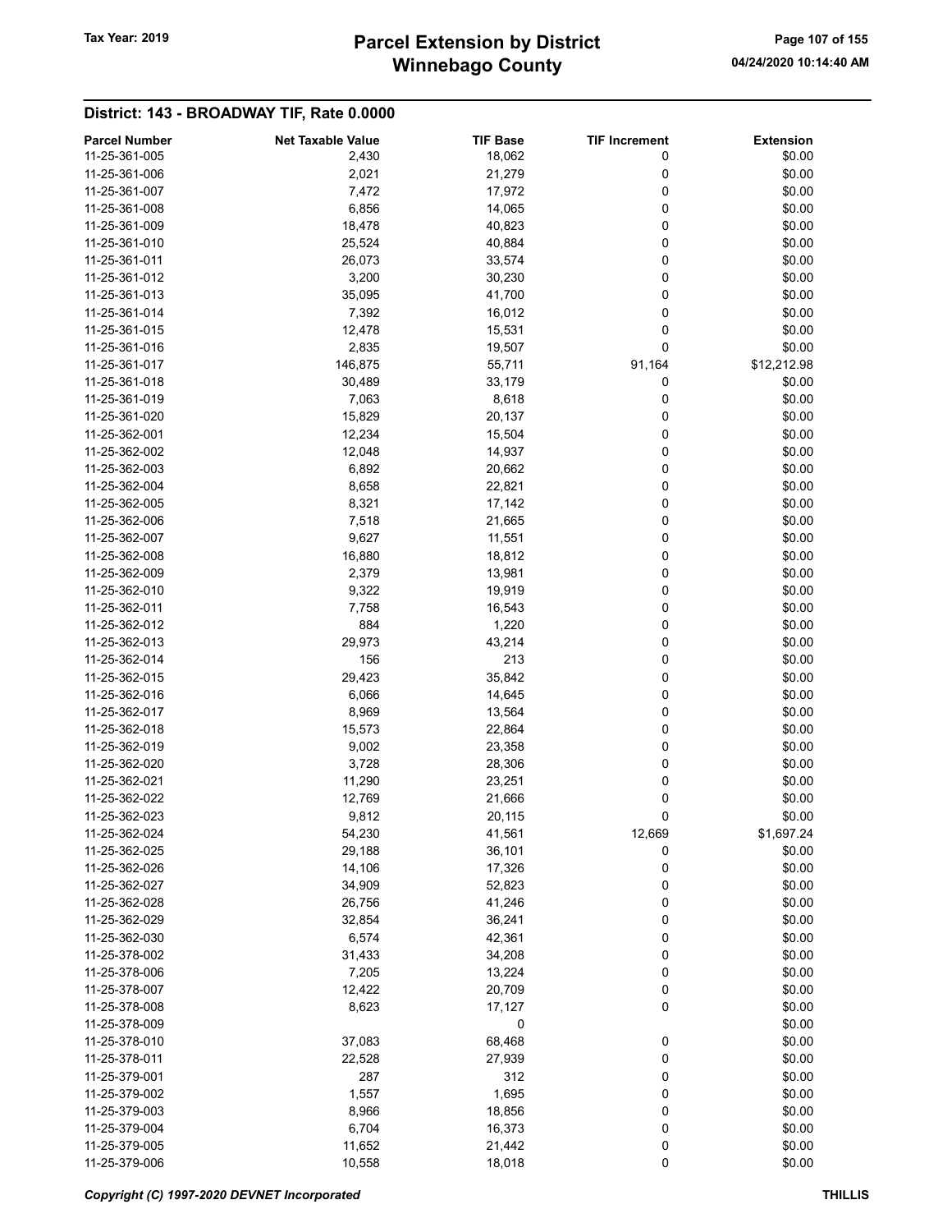# Winnebago County Tax Year: 2019 **Parcel Extension by District** Page 107 of 155

| <b>Parcel Number</b> | <b>Net Taxable Value</b> | <b>TIF Base</b> | <b>TIF Increment</b> | <b>Extension</b> |
|----------------------|--------------------------|-----------------|----------------------|------------------|
| 11-25-361-005        | 2,430                    | 18,062          | 0                    | \$0.00           |
| 11-25-361-006        | 2,021                    | 21,279          | 0                    | \$0.00           |
| 11-25-361-007        | 7,472                    | 17,972          | 0                    | \$0.00           |
| 11-25-361-008        | 6,856                    | 14,065          | 0                    | \$0.00           |
| 11-25-361-009        | 18,478                   | 40,823          | 0                    | \$0.00           |
| 11-25-361-010        | 25,524                   | 40,884          | 0                    | \$0.00           |
| 11-25-361-011        | 26,073                   | 33,574          | 0                    | \$0.00           |
| 11-25-361-012        | 3,200                    | 30,230          | 0                    | \$0.00           |
| 11-25-361-013        |                          | 41,700          | 0                    | \$0.00           |
|                      | 35,095                   |                 |                      |                  |
| 11-25-361-014        | 7,392                    | 16,012          | 0                    | \$0.00           |
| 11-25-361-015        | 12,478                   | 15,531          | 0                    | \$0.00           |
| 11-25-361-016        | 2,835                    | 19,507          | 0                    | \$0.00           |
| 11-25-361-017        | 146,875                  | 55,711          | 91,164               | \$12,212.98      |
| 11-25-361-018        | 30,489                   | 33,179          | 0                    | \$0.00           |
| 11-25-361-019        | 7,063                    | 8,618           | 0                    | \$0.00           |
| 11-25-361-020        | 15,829                   | 20,137          | 0                    | \$0.00           |
| 11-25-362-001        | 12,234                   | 15,504          | 0                    | \$0.00           |
| 11-25-362-002        | 12,048                   | 14,937          | 0                    | \$0.00           |
| 11-25-362-003        | 6,892                    | 20,662          | 0                    | \$0.00           |
| 11-25-362-004        | 8,658                    | 22,821          | 0                    | \$0.00           |
| 11-25-362-005        | 8,321                    | 17,142          | 0                    | \$0.00           |
| 11-25-362-006        | 7,518                    | 21,665          | 0                    | \$0.00           |
| 11-25-362-007        | 9,627                    | 11,551          | 0                    | \$0.00           |
| 11-25-362-008        | 16,880                   | 18,812          | 0                    | \$0.00           |
| 11-25-362-009        | 2,379                    | 13,981          | 0                    | \$0.00           |
| 11-25-362-010        | 9,322                    | 19,919          | 0                    | \$0.00           |
| 11-25-362-011        | 7,758                    | 16,543          | 0                    | \$0.00           |
| 11-25-362-012        | 884                      | 1,220           | 0                    | \$0.00           |
| 11-25-362-013        | 29,973                   | 43,214          | 0                    | \$0.00           |
| 11-25-362-014        | 156                      | 213             | 0                    | \$0.00           |
| 11-25-362-015        | 29,423                   | 35,842          | 0                    | \$0.00           |
| 11-25-362-016        | 6,066                    | 14,645          | 0                    | \$0.00           |
| 11-25-362-017        | 8,969                    | 13,564          | 0                    | \$0.00           |
| 11-25-362-018        | 15,573                   | 22,864          | 0                    | \$0.00           |
| 11-25-362-019        | 9,002                    | 23,358          | 0                    | \$0.00           |
| 11-25-362-020        | 3,728                    | 28,306          | 0                    | \$0.00           |
| 11-25-362-021        | 11,290                   | 23,251          | 0                    | \$0.00           |
| 11-25-362-022        | 12,769                   | 21,666          | 0                    | \$0.00           |
| 11-25-362-023        | 9,812                    | 20,115          | 0                    | \$0.00           |
| 11-25-362-024        | 54,230                   | 41,561          | 12,669               | \$1,697.24       |
| 11-25-362-025        |                          |                 |                      |                  |
|                      | 29,188                   | 36,101          | 0                    | \$0.00           |
| 11-25-362-026        | 14,106                   | 17,326          | 0                    | \$0.00           |
| 11-25-362-027        | 34,909                   | 52,823          | 0                    | \$0.00           |
| 11-25-362-028        | 26,756                   | 41,246          | 0                    | \$0.00           |
| 11-25-362-029        | 32,854                   | 36,241          | 0                    | \$0.00           |
| 11-25-362-030        | 6,574                    | 42,361          | 0                    | \$0.00           |
| 11-25-378-002        | 31,433                   | 34,208          | 0                    | \$0.00           |
| 11-25-378-006        | 7,205                    | 13,224          | 0                    | \$0.00           |
| 11-25-378-007        | 12,422                   | 20,709          | 0                    | \$0.00           |
| 11-25-378-008        | 8,623                    | 17,127          | 0                    | \$0.00           |
| 11-25-378-009        |                          | 0               |                      | \$0.00           |
| 11-25-378-010        | 37,083                   | 68,468          | 0                    | \$0.00           |
| 11-25-378-011        | 22,528                   | 27,939          | 0                    | \$0.00           |
| 11-25-379-001        | 287                      | 312             | 0                    | \$0.00           |
| 11-25-379-002        | 1,557                    | 1,695           | 0                    | \$0.00           |
| 11-25-379-003        | 8,966                    | 18,856          | 0                    | \$0.00           |
| 11-25-379-004        | 6,704                    | 16,373          | 0                    | \$0.00           |
| 11-25-379-005        | 11,652                   | 21,442          | 0                    | \$0.00           |
| 11-25-379-006        | 10,558                   | 18,018          | 0                    | \$0.00           |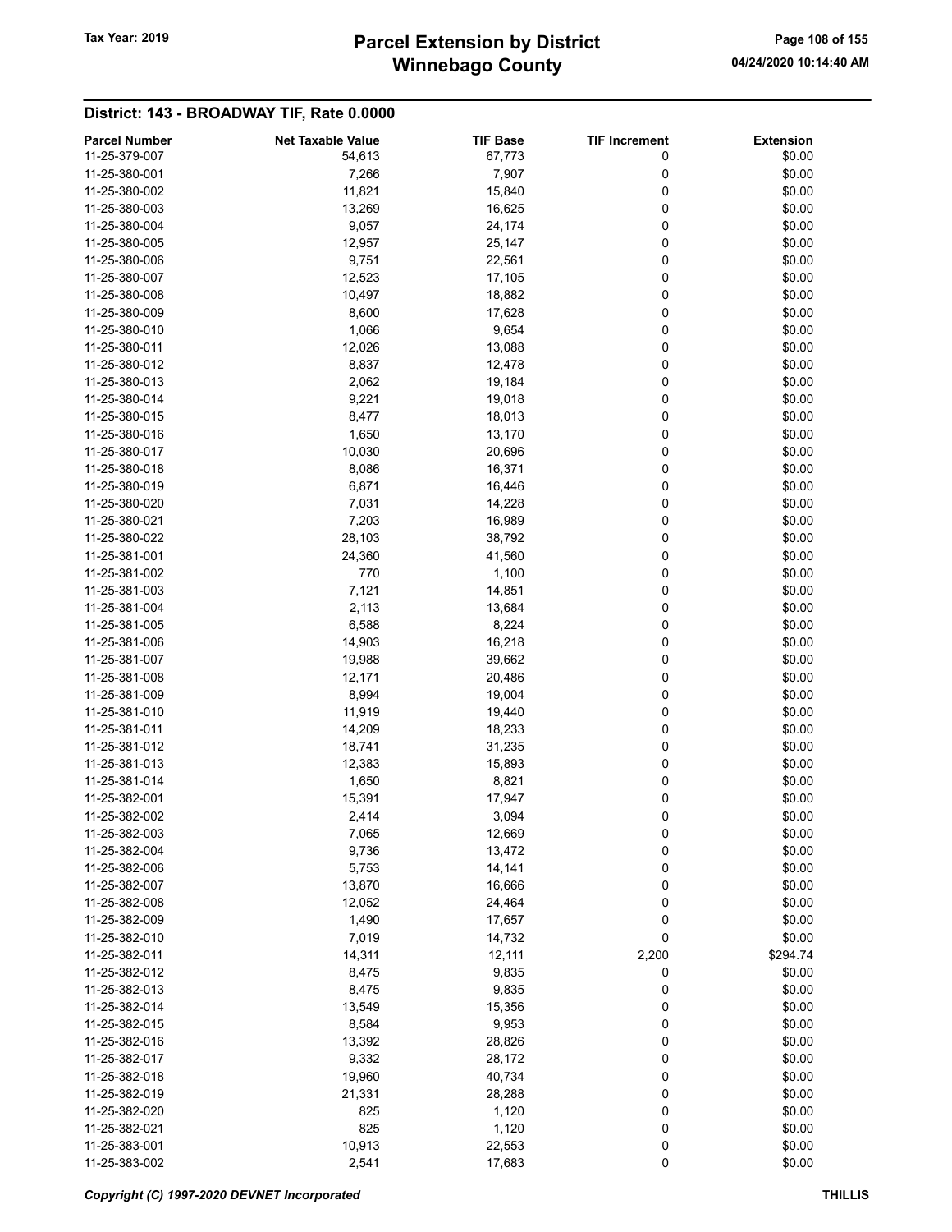# Winnebago County Tax Year: 2019 **Parcel Extension by District** Page 108 of 155

| <b>Parcel Number</b> | <b>Net Taxable Value</b> | <b>TIF Base</b> | <b>TIF Increment</b> | <b>Extension</b> |
|----------------------|--------------------------|-----------------|----------------------|------------------|
| 11-25-379-007        | 54,613                   | 67,773          | 0                    | \$0.00           |
| 11-25-380-001        | 7,266                    | 7,907           | 0                    | \$0.00           |
| 11-25-380-002        | 11,821                   | 15,840          | 0                    | \$0.00           |
| 11-25-380-003        | 13,269                   | 16,625          | 0                    | \$0.00           |
| 11-25-380-004        |                          | 24,174          | 0                    | \$0.00           |
|                      | 9,057                    |                 |                      |                  |
| 11-25-380-005        | 12,957                   | 25,147          | 0                    | \$0.00           |
| 11-25-380-006        | 9,751                    | 22,561          | 0                    | \$0.00           |
| 11-25-380-007        | 12,523                   | 17,105          | 0                    | \$0.00           |
| 11-25-380-008        | 10,497                   | 18,882          | 0                    | \$0.00           |
| 11-25-380-009        | 8,600                    | 17,628          | 0                    | \$0.00           |
| 11-25-380-010        | 1,066                    | 9,654           | 0                    | \$0.00           |
| 11-25-380-011        | 12,026                   | 13,088          | 0                    | \$0.00           |
| 11-25-380-012        | 8,837                    | 12,478          | 0                    | \$0.00           |
| 11-25-380-013        | 2,062                    | 19,184          | 0                    | \$0.00           |
| 11-25-380-014        | 9,221                    | 19,018          | 0                    | \$0.00           |
| 11-25-380-015        | 8,477                    | 18,013          | 0                    | \$0.00           |
| 11-25-380-016        | 1,650                    | 13,170          | 0                    | \$0.00           |
| 11-25-380-017        | 10,030                   | 20,696          | 0                    | \$0.00           |
| 11-25-380-018        | 8,086                    | 16,371          | 0                    | \$0.00           |
| 11-25-380-019        |                          |                 |                      |                  |
|                      | 6,871                    | 16,446          | 0                    | \$0.00           |
| 11-25-380-020        | 7,031                    | 14,228          | 0                    | \$0.00           |
| 11-25-380-021        | 7,203                    | 16,989          | 0                    | \$0.00           |
| 11-25-380-022        | 28,103                   | 38,792          | 0                    | \$0.00           |
| 11-25-381-001        | 24,360                   | 41,560          | 0                    | \$0.00           |
| 11-25-381-002        | 770                      | 1,100           | 0                    | \$0.00           |
| 11-25-381-003        | 7,121                    | 14,851          | 0                    | \$0.00           |
| 11-25-381-004        | 2,113                    | 13,684          | 0                    | \$0.00           |
| 11-25-381-005        | 6,588                    | 8,224           | 0                    | \$0.00           |
| 11-25-381-006        | 14,903                   | 16,218          | 0                    | \$0.00           |
| 11-25-381-007        | 19,988                   | 39,662          | 0                    | \$0.00           |
| 11-25-381-008        | 12,171                   | 20,486          | 0                    | \$0.00           |
| 11-25-381-009        | 8,994                    | 19,004          | 0                    | \$0.00           |
| 11-25-381-010        | 11,919                   | 19,440          | 0                    | \$0.00           |
| 11-25-381-011        | 14,209                   | 18,233          | 0                    | \$0.00           |
| 11-25-381-012        | 18,741                   | 31,235          | 0                    | \$0.00           |
|                      |                          |                 |                      |                  |
| 11-25-381-013        | 12,383                   | 15,893          | 0                    | \$0.00           |
| 11-25-381-014        | 1,650                    | 8,821           | 0                    | \$0.00           |
| 11-25-382-001        | 15,391                   | 17,947          | 0                    | \$0.00           |
| 11-25-382-002        | 2,414                    | 3,094           | 0                    | \$0.00           |
| 11-25-382-003        | 7,065                    | 12,669          | 0                    | \$0.00           |
| 11-25-382-004        | 9,736                    | 13,472          | 0                    | \$0.00           |
| 11-25-382-006        | 5,753                    | 14,141          | 0                    | \$0.00           |
| 11-25-382-007        | 13,870                   | 16,666          | 0                    | \$0.00           |
| 11-25-382-008        | 12,052                   | 24,464          | 0                    | \$0.00           |
| 11-25-382-009        | 1,490                    | 17,657          | 0                    | \$0.00           |
| 11-25-382-010        | 7,019                    | 14,732          | 0                    | \$0.00           |
| 11-25-382-011        | 14,311                   | 12,111          | 2,200                | \$294.74         |
| 11-25-382-012        | 8,475                    | 9,835           | 0                    | \$0.00           |
| 11-25-382-013        | 8,475                    | 9,835           | 0                    | \$0.00           |
| 11-25-382-014        | 13,549                   | 15,356          | 0                    | \$0.00           |
|                      |                          |                 |                      |                  |
| 11-25-382-015        | 8,584                    | 9,953           | 0                    | \$0.00           |
| 11-25-382-016        | 13,392                   | 28,826          | 0                    | \$0.00           |
| 11-25-382-017        | 9,332                    | 28,172          | 0                    | \$0.00           |
| 11-25-382-018        | 19,960                   | 40,734          | 0                    | \$0.00           |
| 11-25-382-019        | 21,331                   | 28,288          | 0                    | \$0.00           |
| 11-25-382-020        | 825                      | 1,120           | 0                    | \$0.00           |
| 11-25-382-021        | 825                      | 1,120           | 0                    | \$0.00           |
| 11-25-383-001        | 10,913                   | 22,553          | 0                    | \$0.00           |
| 11-25-383-002        | 2,541                    | 17,683          | 0                    | \$0.00           |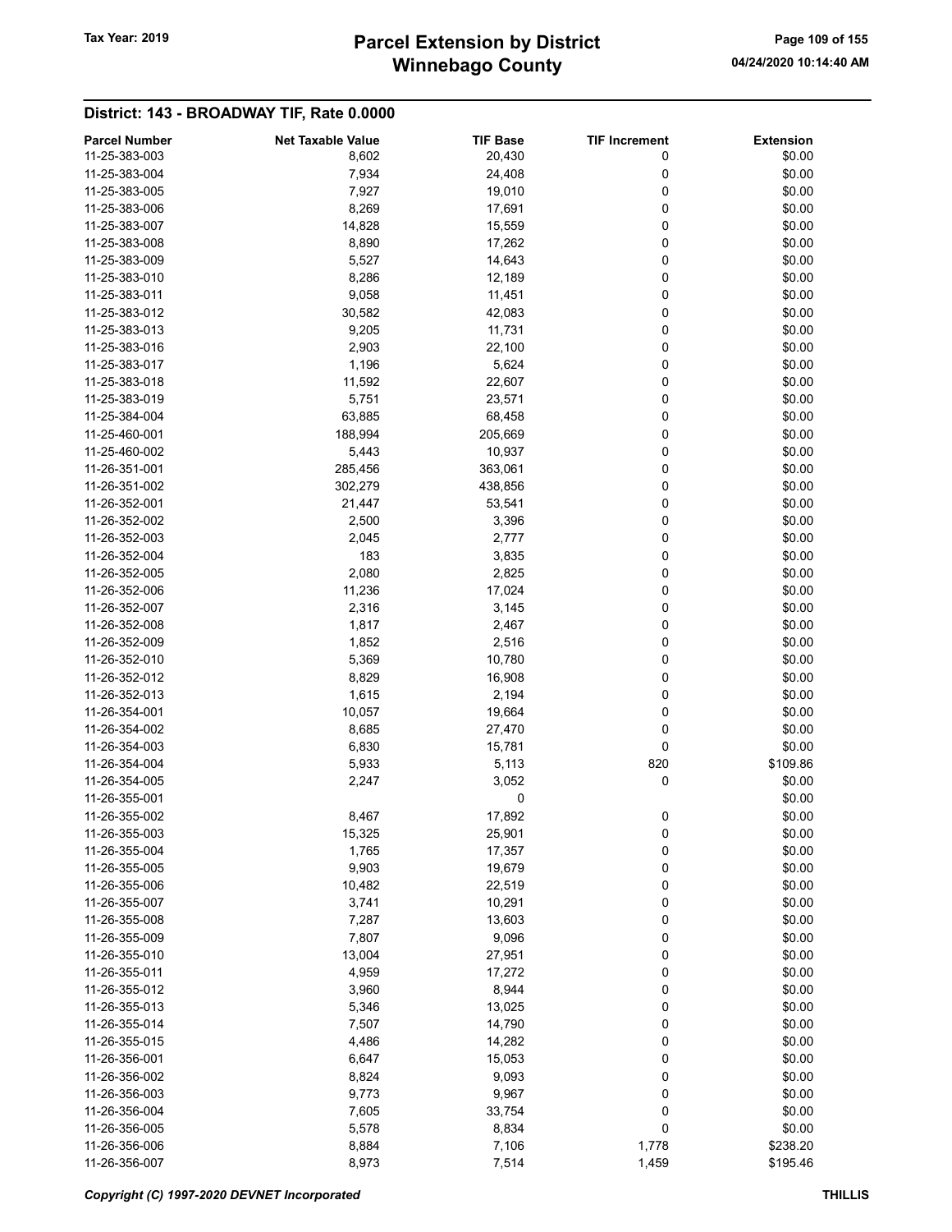# Winnebago County Tax Year: 2019 **Parcel Extension by District** Page 109 of 155

| <b>Parcel Number</b> | <b>Net Taxable Value</b> | <b>TIF Base</b> | <b>TIF Increment</b> | <b>Extension</b> |
|----------------------|--------------------------|-----------------|----------------------|------------------|
| 11-25-383-003        | 8,602                    | 20,430          | 0                    | \$0.00           |
| 11-25-383-004        | 7,934                    | 24,408          | 0                    | \$0.00           |
| 11-25-383-005        | 7,927                    | 19,010          | 0                    | \$0.00           |
| 11-25-383-006        | 8,269                    | 17,691          | 0                    | \$0.00           |
| 11-25-383-007        | 14,828                   | 15,559          | 0                    | \$0.00           |
| 11-25-383-008        | 8,890                    | 17,262          | 0                    | \$0.00           |
| 11-25-383-009        | 5,527                    | 14,643          | 0                    | \$0.00           |
| 11-25-383-010        | 8,286                    | 12,189          | 0                    | \$0.00           |
| 11-25-383-011        | 9,058                    | 11,451          | 0                    | \$0.00           |
| 11-25-383-012        | 30,582                   | 42,083          | 0                    | \$0.00           |
| 11-25-383-013        | 9,205                    | 11,731          | 0                    | \$0.00           |
| 11-25-383-016        |                          |                 | 0                    | \$0.00           |
|                      | 2,903                    | 22,100          |                      |                  |
| 11-25-383-017        | 1,196                    | 5,624           | 0                    | \$0.00           |
| 11-25-383-018        | 11,592                   | 22,607          | 0                    | \$0.00           |
| 11-25-383-019        | 5,751                    | 23,571          | 0                    | \$0.00           |
| 11-25-384-004        | 63,885                   | 68,458          | 0                    | \$0.00           |
| 11-25-460-001        | 188,994                  | 205,669         | 0                    | \$0.00           |
| 11-25-460-002        | 5,443                    | 10,937          | 0                    | \$0.00           |
| 11-26-351-001        | 285,456                  | 363,061         | 0                    | \$0.00           |
| 11-26-351-002        | 302,279                  | 438,856         | 0                    | \$0.00           |
| 11-26-352-001        | 21,447                   | 53,541          | 0                    | \$0.00           |
| 11-26-352-002        | 2,500                    | 3,396           | 0                    | \$0.00           |
| 11-26-352-003        | 2,045                    | 2,777           | 0                    | \$0.00           |
| 11-26-352-004        | 183                      | 3,835           | 0                    | \$0.00           |
| 11-26-352-005        | 2,080                    | 2,825           | 0                    | \$0.00           |
| 11-26-352-006        | 11,236                   | 17,024          | 0                    | \$0.00           |
| 11-26-352-007        | 2,316                    | 3,145           | 0                    | \$0.00           |
| 11-26-352-008        | 1,817                    | 2,467           | 0                    | \$0.00           |
| 11-26-352-009        | 1,852                    | 2,516           | 0                    | \$0.00           |
| 11-26-352-010        | 5,369                    | 10,780          | 0                    | \$0.00           |
| 11-26-352-012        | 8,829                    | 16,908          | 0                    | \$0.00           |
| 11-26-352-013        | 1,615                    | 2,194           | 0                    | \$0.00           |
| 11-26-354-001        | 10,057                   | 19,664          | 0                    | \$0.00           |
| 11-26-354-002        | 8,685                    | 27,470          | 0                    | \$0.00           |
| 11-26-354-003        | 6,830                    | 15,781          | 0                    | \$0.00           |
| 11-26-354-004        | 5,933                    | 5,113           | 820                  | \$109.86         |
| 11-26-354-005        | 2,247                    |                 | 0                    | \$0.00           |
|                      |                          | 3,052           |                      |                  |
| 11-26-355-001        |                          | 0               |                      | \$0.00           |
| 11-26-355-002        | 8,467                    | 17,892          | 0                    | \$0.00           |
| 11-26-355-003        | 15,325                   | 25,901          | 0                    | \$0.00           |
| 11-26-355-004        | 1,765                    | 17,357          | 0                    | \$0.00           |
| 11-26-355-005        | 9,903                    | 19,679          | 0                    | \$0.00           |
| 11-26-355-006        | 10,482                   | 22,519          | 0                    | \$0.00           |
| 11-26-355-007        | 3,741                    | 10,291          | 0                    | \$0.00           |
| 11-26-355-008        | 7,287                    | 13,603          | 0                    | \$0.00           |
| 11-26-355-009        | 7,807                    | 9,096           | 0                    | \$0.00           |
| 11-26-355-010        | 13,004                   | 27,951          | 0                    | \$0.00           |
| 11-26-355-011        | 4,959                    | 17,272          | 0                    | \$0.00           |
| 11-26-355-012        | 3,960                    | 8,944           | 0                    | \$0.00           |
| 11-26-355-013        | 5,346                    | 13,025          | 0                    | \$0.00           |
| 11-26-355-014        | 7,507                    | 14,790          | 0                    | \$0.00           |
| 11-26-355-015        | 4,486                    | 14,282          | 0                    | \$0.00           |
| 11-26-356-001        | 6,647                    | 15,053          | 0                    | \$0.00           |
| 11-26-356-002        | 8,824                    | 9,093           | 0                    | \$0.00           |
| 11-26-356-003        | 9,773                    | 9,967           | 0                    | \$0.00           |
| 11-26-356-004        | 7,605                    | 33,754          | 0                    | \$0.00           |
| 11-26-356-005        | 5,578                    | 8,834           | 0                    | \$0.00           |
| 11-26-356-006        | 8,884                    | 7,106           | 1,778                | \$238.20         |
| 11-26-356-007        | 8,973                    | 7,514           | 1,459                | \$195.46         |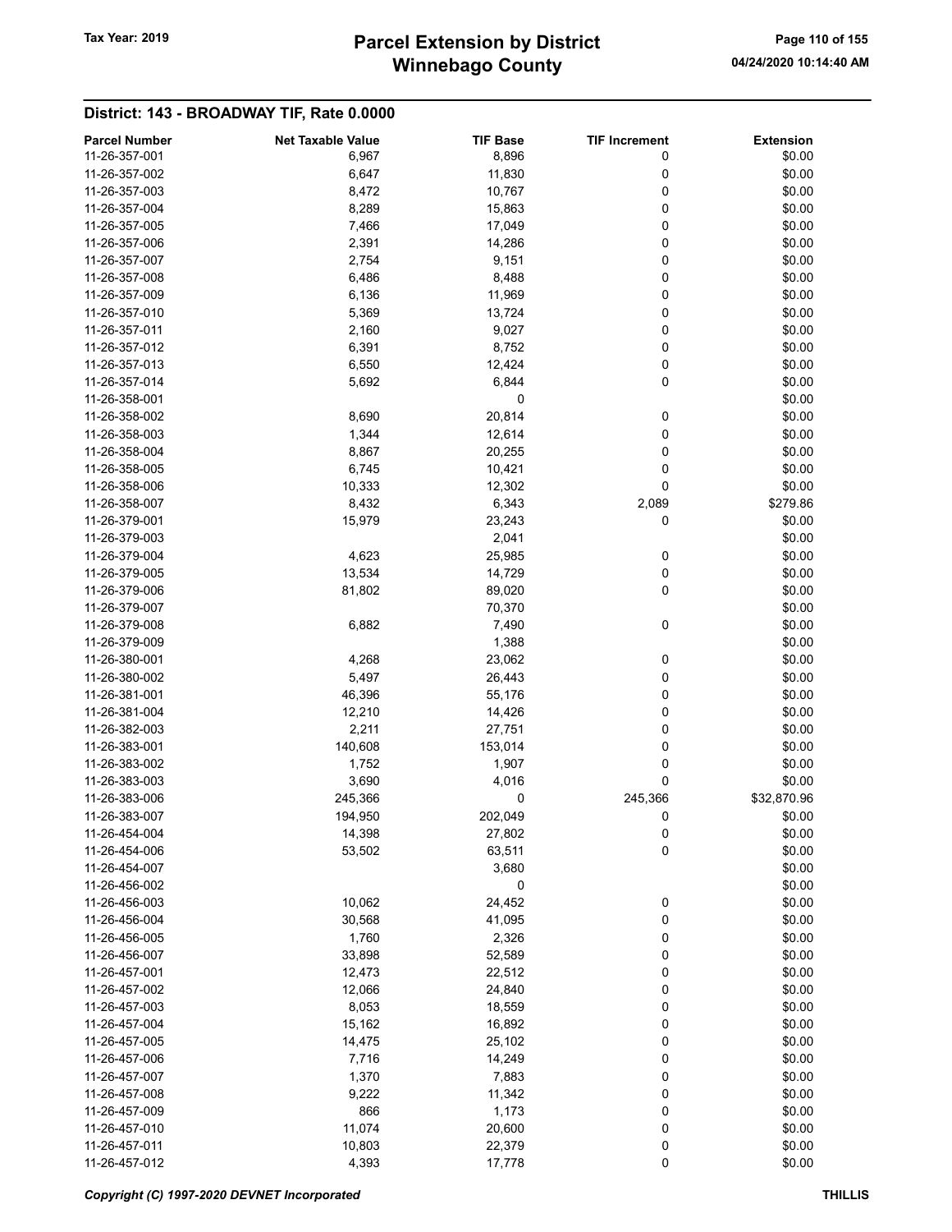# Winnebago County Tax Year: 2019 **Parcel Extension by District** Page 110 of 155

| <b>Parcel Number</b> | <b>Net Taxable Value</b> | <b>TIF Base</b> | <b>TIF Increment</b> | <b>Extension</b> |
|----------------------|--------------------------|-----------------|----------------------|------------------|
| 11-26-357-001        | 6,967                    | 8,896           | 0                    | \$0.00           |
| 11-26-357-002        | 6,647                    | 11,830          | 0                    | \$0.00           |
| 11-26-357-003        | 8,472                    | 10,767          | 0                    | \$0.00           |
| 11-26-357-004        | 8,289                    | 15,863          | 0                    | \$0.00           |
| 11-26-357-005        | 7,466                    | 17,049          | 0                    | \$0.00           |
| 11-26-357-006        | 2,391                    | 14,286          | 0                    | \$0.00           |
| 11-26-357-007        | 2,754                    | 9,151           | 0                    | \$0.00           |
| 11-26-357-008        | 6,486                    | 8,488           | 0                    | \$0.00           |
| 11-26-357-009        | 6,136                    | 11,969          | 0                    | \$0.00           |
| 11-26-357-010        | 5,369                    | 13,724          | 0                    | \$0.00           |
| 11-26-357-011        | 2,160                    | 9,027           | 0                    | \$0.00           |
| 11-26-357-012        | 6,391                    | 8,752           | 0                    | \$0.00           |
| 11-26-357-013        | 6,550                    | 12,424          | 0                    | \$0.00           |
| 11-26-357-014        | 5,692                    | 6,844           | 0                    | \$0.00           |
| 11-26-358-001        |                          | 0               |                      | \$0.00           |
| 11-26-358-002        | 8,690                    | 20,814          | 0                    | \$0.00           |
| 11-26-358-003        |                          |                 | 0                    | \$0.00           |
|                      | 1,344                    | 12,614          |                      |                  |
| 11-26-358-004        | 8,867                    | 20,255          | 0                    | \$0.00           |
| 11-26-358-005        | 6,745                    | 10,421          | 0                    | \$0.00           |
| 11-26-358-006        | 10,333                   | 12,302          | 0                    | \$0.00           |
| 11-26-358-007        | 8,432                    | 6,343           | 2,089                | \$279.86         |
| 11-26-379-001        | 15,979                   | 23,243          | 0                    | \$0.00           |
| 11-26-379-003        |                          | 2,041           |                      | \$0.00           |
| 11-26-379-004        | 4,623                    | 25,985          | 0                    | \$0.00           |
| 11-26-379-005        | 13,534                   | 14,729          | 0                    | \$0.00           |
| 11-26-379-006        | 81,802                   | 89,020          | 0                    | \$0.00           |
| 11-26-379-007        |                          | 70,370          |                      | \$0.00           |
| 11-26-379-008        | 6,882                    | 7,490           | 0                    | \$0.00           |
| 11-26-379-009        |                          | 1,388           |                      | \$0.00           |
| 11-26-380-001        | 4,268                    | 23,062          | 0                    | \$0.00           |
| 11-26-380-002        | 5,497                    | 26,443          | 0                    | \$0.00           |
| 11-26-381-001        | 46,396                   | 55,176          | 0                    | \$0.00           |
| 11-26-381-004        | 12,210                   | 14,426          | 0                    | \$0.00           |
| 11-26-382-003        | 2,211                    | 27,751          | 0                    | \$0.00           |
| 11-26-383-001        | 140,608                  | 153,014         | 0                    | \$0.00           |
| 11-26-383-002        | 1,752                    | 1,907           | 0                    | \$0.00           |
| 11-26-383-003        | 3,690                    | 4,016           | 0                    | \$0.00           |
| 11-26-383-006        | 245,366                  | 0               | 245,366              | \$32,870.96      |
| 11-26-383-007        | 194,950                  | 202,049         | 0                    | \$0.00           |
| 11-26-454-004        | 14,398                   | 27,802          | 0                    | \$0.00           |
| 11-26-454-006        | 53,502                   | 63,511          | 0                    | \$0.00           |
| 11-26-454-007        |                          | 3,680           |                      | \$0.00           |
| 11-26-456-002        |                          | 0               |                      | \$0.00           |
| 11-26-456-003        | 10,062                   | 24,452          | 0                    | \$0.00           |
| 11-26-456-004        | 30,568                   | 41,095          | 0                    | \$0.00           |
| 11-26-456-005        | 1,760                    | 2,326           | 0                    | \$0.00           |
| 11-26-456-007        | 33,898                   | 52,589          | 0                    | \$0.00           |
| 11-26-457-001        | 12,473                   | 22,512          | 0                    | \$0.00           |
| 11-26-457-002        | 12,066                   | 24,840          | 0                    | \$0.00           |
| 11-26-457-003        | 8,053                    | 18,559          | $\mathbf 0$          | \$0.00           |
| 11-26-457-004        | 15,162                   | 16,892          | 0                    | \$0.00           |
| 11-26-457-005        |                          |                 |                      | \$0.00           |
| 11-26-457-006        | 14,475                   | 25,102          | 0<br>0               | \$0.00           |
|                      | 7,716                    | 14,249          |                      |                  |
| 11-26-457-007        | 1,370                    | 7,883           | 0                    | \$0.00           |
| 11-26-457-008        | 9,222                    | 11,342          | 0                    | \$0.00           |
| 11-26-457-009        | 866                      | 1,173           | 0                    | \$0.00           |
| 11-26-457-010        | 11,074                   | 20,600          | 0                    | \$0.00           |
| 11-26-457-011        | 10,803                   | 22,379          | 0                    | \$0.00           |
| 11-26-457-012        | 4,393                    | 17,778          | 0                    | \$0.00           |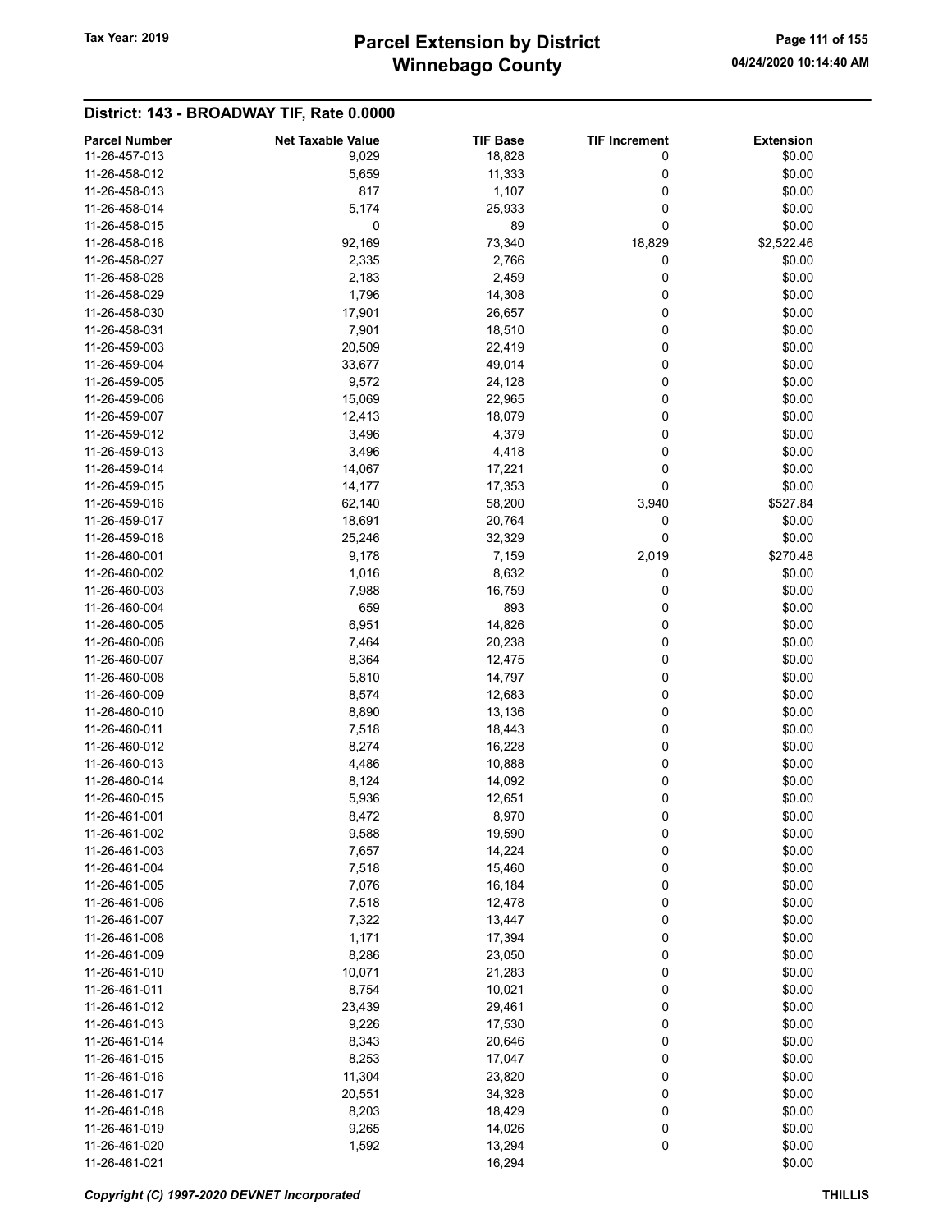# Winnebago County Tax Year: 2019 **Parcel Extension by District** Page 111 of 155

| <b>Parcel Number</b> | <b>Net Taxable Value</b> | <b>TIF Base</b> | <b>TIF Increment</b> | <b>Extension</b> |
|----------------------|--------------------------|-----------------|----------------------|------------------|
| 11-26-457-013        | 9,029                    | 18,828          | 0                    | \$0.00           |
| 11-26-458-012        | 5,659                    | 11,333          | 0                    | \$0.00           |
| 11-26-458-013        | 817                      | 1,107           | 0                    | \$0.00           |
| 11-26-458-014        | 5,174                    | 25,933          | 0                    | \$0.00           |
| 11-26-458-015        | 0                        | 89              | 0                    | \$0.00           |
| 11-26-458-018        | 92,169                   |                 | 18,829               | \$2,522.46       |
|                      |                          | 73,340          | 0                    |                  |
| 11-26-458-027        | 2,335                    | 2,766           |                      | \$0.00           |
| 11-26-458-028        | 2,183                    | 2,459           | 0                    | \$0.00           |
| 11-26-458-029        | 1,796                    | 14,308          | 0                    | \$0.00           |
| 11-26-458-030        | 17,901                   | 26,657          | 0                    | \$0.00           |
| 11-26-458-031        | 7,901                    | 18,510          | 0                    | \$0.00           |
| 11-26-459-003        | 20,509                   | 22,419          | 0                    | \$0.00           |
| 11-26-459-004        | 33,677                   | 49,014          | 0                    | \$0.00           |
| 11-26-459-005        | 9,572                    | 24,128          | 0                    | \$0.00           |
| 11-26-459-006        | 15,069                   | 22,965          | 0                    | \$0.00           |
| 11-26-459-007        | 12,413                   | 18,079          | 0                    | \$0.00           |
| 11-26-459-012        | 3,496                    | 4,379           | 0                    | \$0.00           |
| 11-26-459-013        | 3,496                    | 4,418           | 0                    | \$0.00           |
| 11-26-459-014        | 14,067                   | 17,221          | 0                    | \$0.00           |
| 11-26-459-015        | 14,177                   | 17,353          | 0                    | \$0.00           |
| 11-26-459-016        | 62,140                   | 58,200          | 3,940                | \$527.84         |
| 11-26-459-017        | 18,691                   | 20,764          | 0                    | \$0.00           |
| 11-26-459-018        | 25,246                   | 32,329          | 0                    | \$0.00           |
| 11-26-460-001        | 9,178                    | 7,159           | 2,019                | \$270.48         |
| 11-26-460-002        | 1,016                    | 8,632           | 0                    | \$0.00           |
| 11-26-460-003        | 7,988                    | 16,759          | 0                    | \$0.00           |
| 11-26-460-004        | 659                      | 893             | 0                    | \$0.00           |
| 11-26-460-005        | 6,951                    | 14,826          | 0                    | \$0.00           |
| 11-26-460-006        | 7,464                    | 20,238          | 0                    | \$0.00           |
| 11-26-460-007        | 8,364                    | 12,475          | 0                    | \$0.00           |
| 11-26-460-008        | 5,810                    | 14,797          | 0                    | \$0.00           |
| 11-26-460-009        | 8,574                    | 12,683          | 0                    | \$0.00           |
| 11-26-460-010        | 8,890                    | 13,136          | 0                    | \$0.00           |
| 11-26-460-011        | 7,518                    | 18,443          | 0                    | \$0.00           |
| 11-26-460-012        | 8,274                    | 16,228          | 0                    | \$0.00           |
| 11-26-460-013        | 4,486                    | 10,888          | 0                    | \$0.00           |
| 11-26-460-014        |                          |                 | 0                    |                  |
|                      | 8,124                    | 14,092          |                      | \$0.00           |
| 11-26-460-015        | 5,936                    | 12,651          | 0                    | \$0.00           |
| 11-26-461-001        | 8,472                    | 8,970           | 0                    | \$0.00           |
| 11-26-461-002        | 9,588                    | 19,590          | 0                    | \$0.00           |
| 11-26-461-003        | 7,657                    | 14,224          | 0                    | \$0.00           |
| 11-26-461-004        | 7,518                    | 15,460          | 0                    | \$0.00           |
| 11-26-461-005        | 7,076                    | 16,184          | 0                    | \$0.00           |
| 11-26-461-006        | 7,518                    | 12,478          | 0                    | \$0.00           |
| 11-26-461-007        | 7,322                    | 13,447          | 0                    | \$0.00           |
| 11-26-461-008        | 1,171                    | 17,394          | 0                    | \$0.00           |
| 11-26-461-009        | 8,286                    | 23,050          | 0                    | \$0.00           |
| 11-26-461-010        | 10,071                   | 21,283          | 0                    | \$0.00           |
| 11-26-461-011        | 8,754                    | 10,021          | 0                    | \$0.00           |
| 11-26-461-012        | 23,439                   | 29,461          | 0                    | \$0.00           |
| 11-26-461-013        | 9,226                    | 17,530          | 0                    | \$0.00           |
| 11-26-461-014        | 8,343                    | 20,646          | 0                    | \$0.00           |
| 11-26-461-015        | 8,253                    | 17,047          | 0                    | \$0.00           |
| 11-26-461-016        | 11,304                   | 23,820          | 0                    | \$0.00           |
| 11-26-461-017        | 20,551                   | 34,328          | 0                    | \$0.00           |
| 11-26-461-018        | 8,203                    | 18,429          | 0                    | \$0.00           |
| 11-26-461-019        | 9,265                    | 14,026          | 0                    | \$0.00           |
| 11-26-461-020        | 1,592                    | 13,294          | 0                    | \$0.00           |
| 11-26-461-021        |                          | 16,294          |                      | \$0.00           |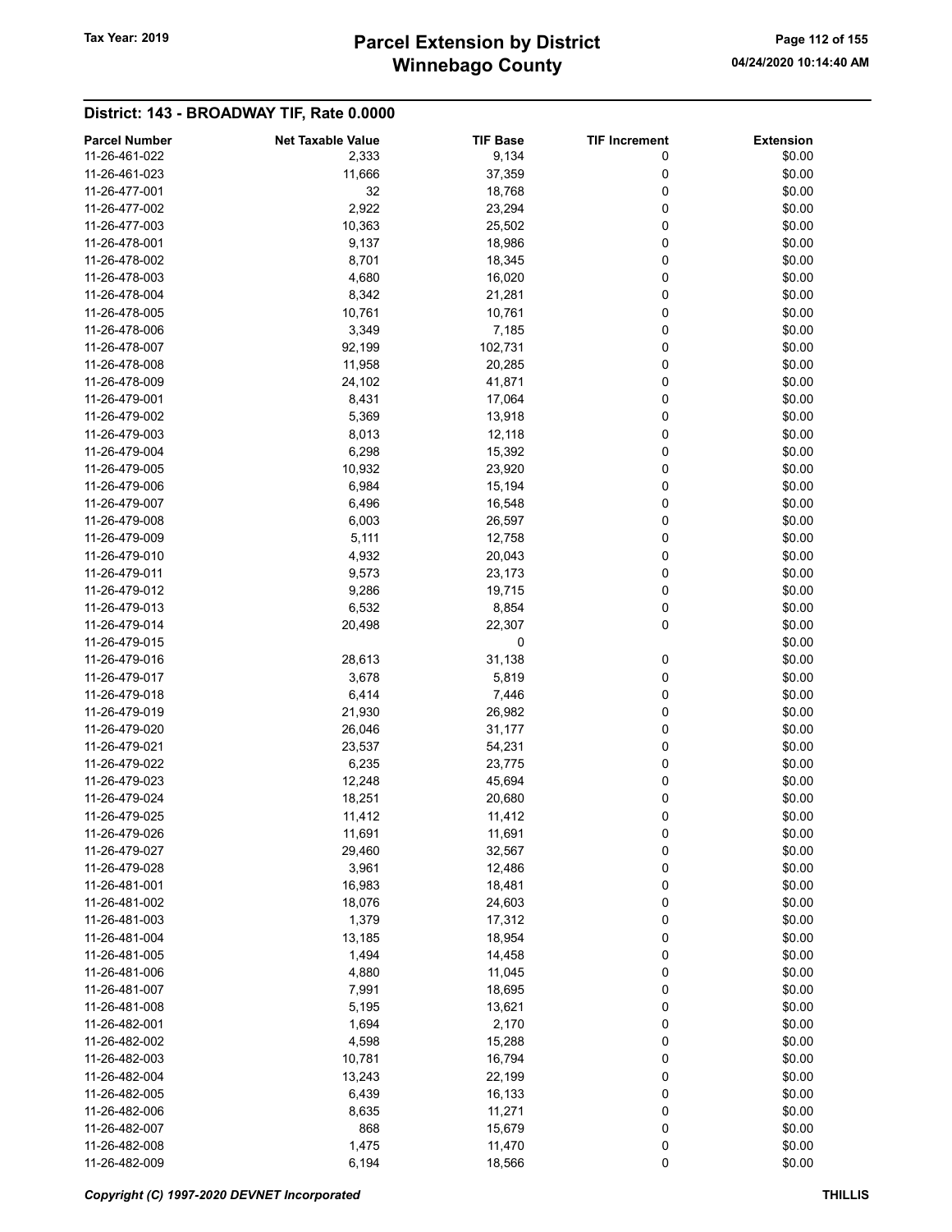# Winnebago County Tax Year: 2019 **Parcel Extension by District** Page 112 of 155

| <b>Parcel Number</b> | <b>Net Taxable Value</b> | <b>TIF Base</b> | <b>TIF Increment</b> | <b>Extension</b> |
|----------------------|--------------------------|-----------------|----------------------|------------------|
| 11-26-461-022        | 2,333                    | 9,134           | 0                    | \$0.00           |
| 11-26-461-023        | 11,666                   | 37,359          | 0                    | \$0.00           |
| 11-26-477-001        | 32                       | 18,768          | 0                    | \$0.00           |
| 11-26-477-002        | 2,922                    | 23,294          | 0                    | \$0.00           |
| 11-26-477-003        | 10,363                   |                 | 0                    | \$0.00           |
|                      |                          | 25,502          |                      |                  |
| 11-26-478-001        | 9,137                    | 18,986          | 0                    | \$0.00           |
| 11-26-478-002        | 8,701                    | 18,345          | 0                    | \$0.00           |
| 11-26-478-003        | 4,680                    | 16,020          | 0                    | \$0.00           |
| 11-26-478-004        | 8,342                    | 21,281          | 0                    | \$0.00           |
| 11-26-478-005        | 10,761                   | 10,761          | 0                    | \$0.00           |
| 11-26-478-006        | 3,349                    | 7,185           | 0                    | \$0.00           |
| 11-26-478-007        | 92,199                   | 102,731         | 0                    | \$0.00           |
| 11-26-478-008        | 11,958                   | 20,285          | 0                    | \$0.00           |
| 11-26-478-009        | 24,102                   | 41,871          | 0                    | \$0.00           |
| 11-26-479-001        | 8,431                    | 17,064          | 0                    | \$0.00           |
| 11-26-479-002        | 5,369                    | 13,918          | 0                    | \$0.00           |
| 11-26-479-003        | 8,013                    | 12,118          | 0                    | \$0.00           |
| 11-26-479-004        | 6,298                    | 15,392          | 0                    | \$0.00           |
| 11-26-479-005        | 10,932                   | 23,920          | 0                    | \$0.00           |
| 11-26-479-006        |                          |                 |                      |                  |
|                      | 6,984                    | 15,194          | 0                    | \$0.00           |
| 11-26-479-007        | 6,496                    | 16,548          | 0                    | \$0.00           |
| 11-26-479-008        | 6,003                    | 26,597          | 0                    | \$0.00           |
| 11-26-479-009        | 5,111                    | 12,758          | 0                    | \$0.00           |
| 11-26-479-010        | 4,932                    | 20,043          | 0                    | \$0.00           |
| 11-26-479-011        | 9,573                    | 23,173          | 0                    | \$0.00           |
| 11-26-479-012        | 9,286                    | 19,715          | 0                    | \$0.00           |
| 11-26-479-013        | 6,532                    | 8,854           | 0                    | \$0.00           |
| 11-26-479-014        | 20,498                   | 22,307          | 0                    | \$0.00           |
| 11-26-479-015        |                          | 0               |                      | \$0.00           |
| 11-26-479-016        | 28,613                   | 31,138          | 0                    | \$0.00           |
| 11-26-479-017        | 3,678                    | 5,819           | 0                    | \$0.00           |
| 11-26-479-018        | 6,414                    | 7,446           | 0                    | \$0.00           |
| 11-26-479-019        | 21,930                   | 26,982          | 0                    | \$0.00           |
| 11-26-479-020        | 26,046                   | 31,177          | 0                    | \$0.00           |
| 11-26-479-021        | 23,537                   | 54,231          | 0                    | \$0.00           |
| 11-26-479-022        |                          |                 | 0                    |                  |
|                      | 6,235                    | 23,775          |                      | \$0.00           |
| 11-26-479-023        | 12,248                   | 45,694          | 0                    | \$0.00           |
| 11-26-479-024        | 18,251                   | 20,680          | 0                    | \$0.00           |
| 11-26-479-025        | 11,412                   | 11,412          | 0                    | \$0.00           |
| 11-26-479-026        | 11,691                   | 11,691          | 0                    | \$0.00           |
| 11-26-479-027        | 29,460                   | 32,567          | 0                    | \$0.00           |
| 11-26-479-028        | 3,961                    | 12,486          | 0                    | \$0.00           |
| 11-26-481-001        | 16,983                   | 18,481          | 0                    | \$0.00           |
| 11-26-481-002        | 18,076                   | 24,603          | 0                    | \$0.00           |
| 11-26-481-003        | 1,379                    | 17,312          | 0                    | \$0.00           |
| 11-26-481-004        | 13,185                   | 18,954          | 0                    | \$0.00           |
| 11-26-481-005        | 1,494                    | 14,458          | 0                    | \$0.00           |
| 11-26-481-006        | 4,880                    | 11,045          | 0                    | \$0.00           |
| 11-26-481-007        | 7,991                    | 18,695          | 0                    | \$0.00           |
| 11-26-481-008        | 5,195                    | 13,621          | 0                    | \$0.00           |
| 11-26-482-001        | 1,694                    | 2,170           | 0                    | \$0.00           |
| 11-26-482-002        | 4,598                    | 15,288          | 0                    | \$0.00           |
| 11-26-482-003        |                          |                 | 0                    |                  |
|                      | 10,781                   | 16,794          |                      | \$0.00           |
| 11-26-482-004        | 13,243                   | 22,199          | 0                    | \$0.00           |
| 11-26-482-005        | 6,439                    | 16,133          | 0                    | \$0.00           |
| 11-26-482-006        | 8,635                    | 11,271          | 0                    | \$0.00           |
| 11-26-482-007        | 868                      | 15,679          | 0                    | \$0.00           |
| 11-26-482-008        | 1,475                    | 11,470          | 0                    | \$0.00           |
| 11-26-482-009        | 6,194                    | 18,566          | $\pmb{0}$            | \$0.00           |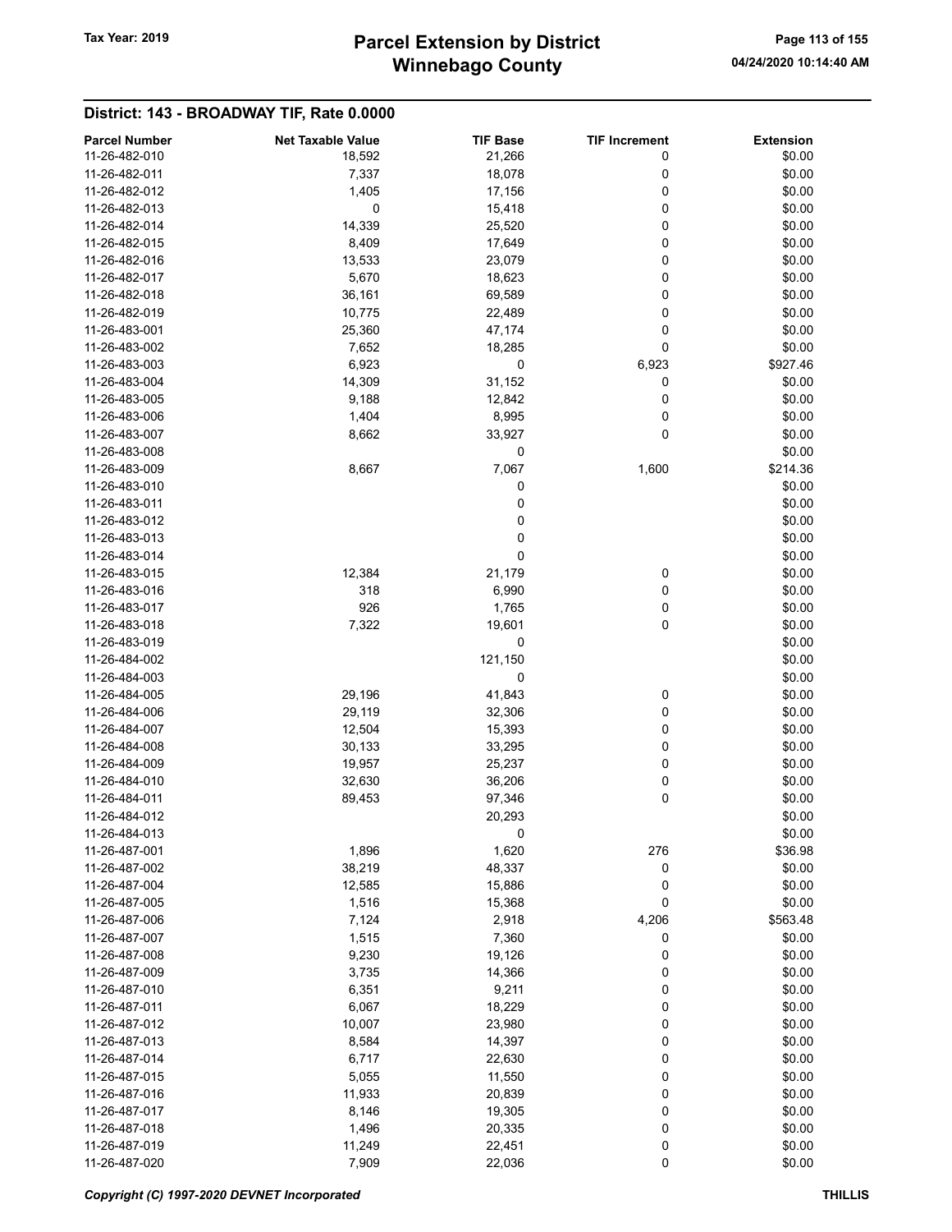# Winnebago County Tax Year: 2019 **Parcel Extension by District** Page 113 of 155

| <b>Parcel Number</b> | <b>Net Taxable Value</b> | <b>TIF Base</b> | <b>TIF Increment</b> | <b>Extension</b> |
|----------------------|--------------------------|-----------------|----------------------|------------------|
| 11-26-482-010        | 18,592                   | 21,266          | 0                    | \$0.00           |
| 11-26-482-011        | 7,337                    | 18,078          | 0                    | \$0.00           |
| 11-26-482-012        | 1,405                    | 17,156          | 0                    | \$0.00           |
| 11-26-482-013        | 0                        | 15,418          | 0                    | \$0.00           |
| 11-26-482-014        | 14,339                   | 25,520          | 0                    | \$0.00           |
| 11-26-482-015        |                          |                 | 0                    | \$0.00           |
|                      | 8,409                    | 17,649          |                      |                  |
| 11-26-482-016        | 13,533                   | 23,079          | 0                    | \$0.00           |
| 11-26-482-017        | 5,670                    | 18,623          | 0                    | \$0.00           |
| 11-26-482-018        | 36,161                   | 69,589          | 0                    | \$0.00           |
| 11-26-482-019        | 10,775                   | 22,489          | 0                    | \$0.00           |
| 11-26-483-001        | 25,360                   | 47,174          | 0                    | \$0.00           |
| 11-26-483-002        | 7,652                    | 18,285          | 0                    | \$0.00           |
| 11-26-483-003        | 6,923                    | 0               | 6,923                | \$927.46         |
| 11-26-483-004        | 14,309                   | 31,152          | 0                    | \$0.00           |
| 11-26-483-005        | 9,188                    | 12,842          | 0                    | \$0.00           |
| 11-26-483-006        | 1,404                    | 8,995           | 0                    | \$0.00           |
| 11-26-483-007        | 8,662                    | 33,927          | 0                    | \$0.00           |
| 11-26-483-008        |                          | 0               |                      | \$0.00           |
| 11-26-483-009        | 8,667                    | 7,067           | 1,600                | \$214.36         |
| 11-26-483-010        |                          | 0               |                      | \$0.00           |
| 11-26-483-011        |                          | 0               |                      | \$0.00           |
| 11-26-483-012        |                          | 0               |                      | \$0.00           |
| 11-26-483-013        |                          | 0               |                      | \$0.00           |
| 11-26-483-014        |                          | 0               |                      | \$0.00           |
| 11-26-483-015        | 12,384                   | 21,179          | 0                    | \$0.00           |
| 11-26-483-016        | 318                      | 6,990           |                      | \$0.00           |
|                      |                          |                 | 0                    |                  |
| 11-26-483-017        | 926                      | 1,765           | 0                    | \$0.00           |
| 11-26-483-018        | 7,322                    | 19,601          | 0                    | \$0.00           |
| 11-26-483-019        |                          | 0               |                      | \$0.00           |
| 11-26-484-002        |                          | 121,150         |                      | \$0.00           |
| 11-26-484-003        |                          | 0               |                      | \$0.00           |
| 11-26-484-005        | 29,196                   | 41,843          | 0                    | \$0.00           |
| 11-26-484-006        | 29,119                   | 32,306          | 0                    | \$0.00           |
| 11-26-484-007        | 12,504                   | 15,393          | 0                    | \$0.00           |
| 11-26-484-008        | 30,133                   | 33,295          | 0                    | \$0.00           |
| 11-26-484-009        | 19,957                   | 25,237          | 0                    | \$0.00           |
| 11-26-484-010        | 32,630                   | 36,206          | 0                    | \$0.00           |
| 11-26-484-011        | 89,453                   | 97,346          | 0                    | \$0.00           |
| 11-26-484-012        |                          | 20,293          |                      | \$0.00           |
| 11-26-484-013        |                          | $\pmb{0}$       |                      | \$0.00           |
| 11-26-487-001        | 1,896                    | 1,620           | 276                  | \$36.98          |
| 11-26-487-002        | 38,219                   | 48,337          | 0                    | \$0.00           |
| 11-26-487-004        | 12,585                   | 15,886          | 0                    | \$0.00           |
| 11-26-487-005        | 1,516                    | 15,368          | 0                    | \$0.00           |
| 11-26-487-006        | 7,124                    | 2,918           | 4,206                | \$563.48         |
| 11-26-487-007        | 1,515                    | 7,360           | 0                    | \$0.00           |
| 11-26-487-008        | 9,230                    | 19,126          | 0                    | \$0.00           |
| 11-26-487-009        | 3,735                    | 14,366          | 0                    | \$0.00           |
| 11-26-487-010        |                          |                 |                      | \$0.00           |
|                      | 6,351                    | 9,211           | 0                    |                  |
| 11-26-487-011        | 6,067                    | 18,229          | 0                    | \$0.00           |
| 11-26-487-012        | 10,007                   | 23,980          | 0                    | \$0.00           |
| 11-26-487-013        | 8,584                    | 14,397          | 0                    | \$0.00           |
| 11-26-487-014        | 6,717                    | 22,630          | 0                    | \$0.00           |
| 11-26-487-015        | 5,055                    | 11,550          | 0                    | \$0.00           |
| 11-26-487-016        | 11,933                   | 20,839          | 0                    | \$0.00           |
| 11-26-487-017        | 8,146                    | 19,305          | 0                    | \$0.00           |
| 11-26-487-018        | 1,496                    | 20,335          | 0                    | \$0.00           |
| 11-26-487-019        | 11,249                   | 22,451          | 0                    | \$0.00           |
| 11-26-487-020        | 7,909                    | 22,036          | 0                    | \$0.00           |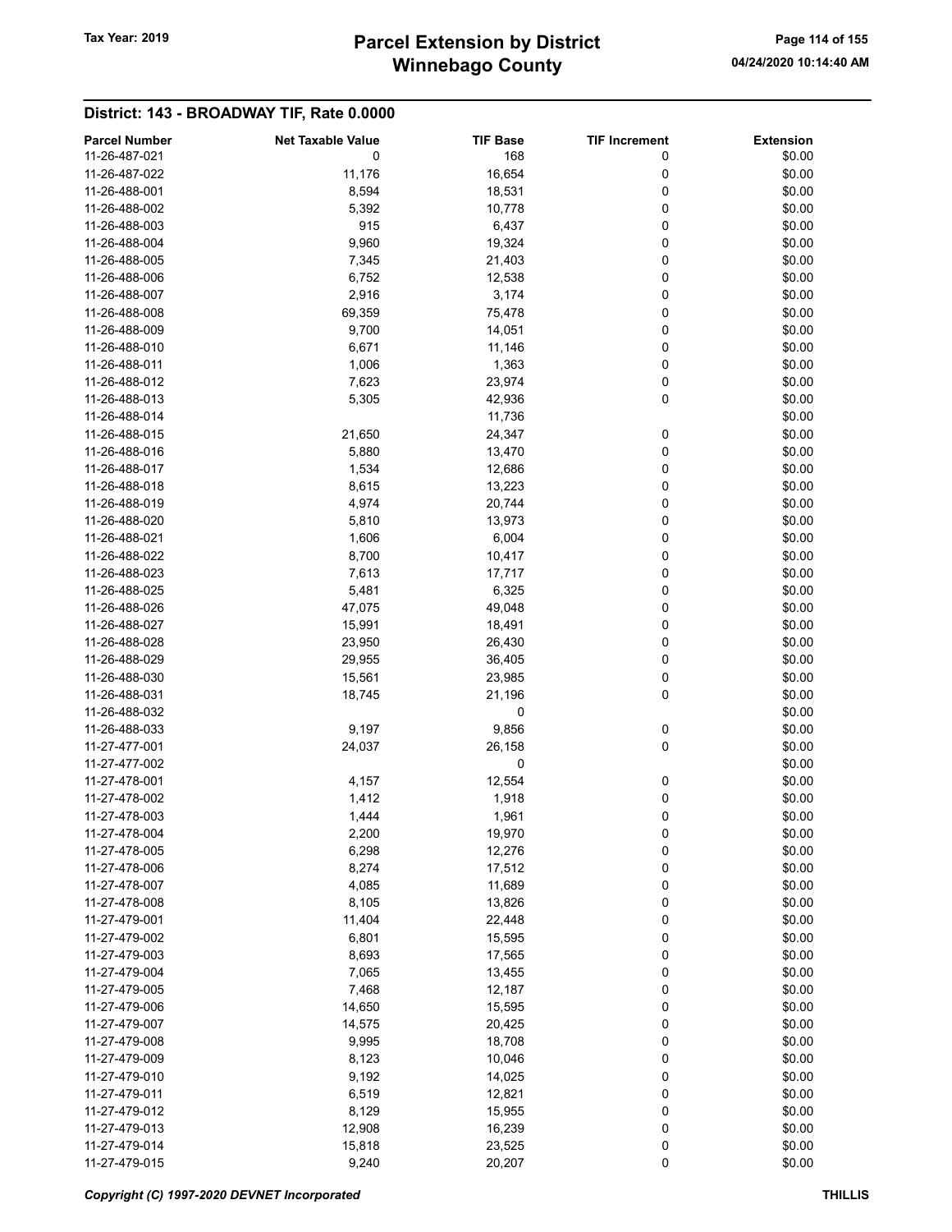# Winnebago County Tax Year: 2019 **Parcel Extension by District** Page 114 of 155

| <b>Parcel Number</b> | <b>Net Taxable Value</b> | <b>TIF Base</b> | <b>TIF Increment</b> | <b>Extension</b> |
|----------------------|--------------------------|-----------------|----------------------|------------------|
| 11-26-487-021        | 0                        | 168             | 0                    | \$0.00           |
|                      |                          |                 |                      |                  |
| 11-26-487-022        | 11,176                   | 16,654          | 0                    | \$0.00           |
| 11-26-488-001        | 8,594                    | 18,531          | 0                    | \$0.00           |
| 11-26-488-002        | 5,392                    | 10,778          | 0                    | \$0.00           |
| 11-26-488-003        | 915                      | 6,437           | 0                    | \$0.00           |
| 11-26-488-004        | 9,960                    | 19,324          | 0                    | \$0.00           |
| 11-26-488-005        | 7,345                    | 21,403          | 0                    | \$0.00           |
| 11-26-488-006        | 6,752                    | 12,538          | 0                    | \$0.00           |
| 11-26-488-007        | 2,916                    | 3,174           | 0                    | \$0.00           |
| 11-26-488-008        | 69,359                   | 75,478          | 0                    | \$0.00           |
| 11-26-488-009        | 9,700                    | 14,051          | 0                    | \$0.00           |
| 11-26-488-010        | 6,671                    | 11,146          | 0                    | \$0.00           |
| 11-26-488-011        | 1,006                    | 1,363           | 0                    | \$0.00           |
| 11-26-488-012        | 7,623                    | 23,974          | 0                    | \$0.00           |
| 11-26-488-013        | 5,305                    | 42,936          | 0                    | \$0.00           |
|                      |                          |                 |                      |                  |
| 11-26-488-014        |                          | 11,736          |                      | \$0.00           |
| 11-26-488-015        | 21,650                   | 24,347          | 0                    | \$0.00           |
| 11-26-488-016        | 5,880                    | 13,470          | 0                    | \$0.00           |
| 11-26-488-017        | 1,534                    | 12,686          | 0                    | \$0.00           |
| 11-26-488-018        | 8,615                    | 13,223          | 0                    | \$0.00           |
| 11-26-488-019        | 4,974                    | 20,744          | 0                    | \$0.00           |
| 11-26-488-020        | 5,810                    | 13,973          | 0                    | \$0.00           |
| 11-26-488-021        | 1,606                    | 6,004           | 0                    | \$0.00           |
| 11-26-488-022        | 8,700                    | 10,417          | 0                    | \$0.00           |
| 11-26-488-023        | 7,613                    | 17,717          | 0                    | \$0.00           |
| 11-26-488-025        | 5,481                    | 6,325           | 0                    | \$0.00           |
| 11-26-488-026        | 47,075                   | 49,048          | 0                    | \$0.00           |
| 11-26-488-027        | 15,991                   | 18,491          | 0                    | \$0.00           |
| 11-26-488-028        | 23,950                   | 26,430          | 0                    | \$0.00           |
| 11-26-488-029        | 29,955                   |                 |                      |                  |
|                      |                          | 36,405          | 0                    | \$0.00           |
| 11-26-488-030        | 15,561                   | 23,985          | 0                    | \$0.00           |
| 11-26-488-031        | 18,745                   | 21,196          | 0                    | \$0.00           |
| 11-26-488-032        |                          | 0               |                      | \$0.00           |
| 11-26-488-033        | 9,197                    | 9,856           | 0                    | \$0.00           |
| 11-27-477-001        | 24,037                   | 26,158          | 0                    | \$0.00           |
| 11-27-477-002        |                          | 0               |                      | \$0.00           |
| 11-27-478-001        | 4,157                    | 12,554          | 0                    | \$0.00           |
| 11-27-478-002        | 1,412                    | 1,918           | 0                    | \$0.00           |
| 11-27-478-003        | 1,444                    | 1,961           | 0                    | \$0.00           |
| 11-27-478-004        | 2,200                    | 19,970          | 0                    | \$0.00           |
| 11-27-478-005        | 6,298                    | 12,276          | 0                    | \$0.00           |
| 11-27-478-006        | 8,274                    | 17,512          | 0                    | \$0.00           |
| 11-27-478-007        | 4,085                    | 11,689          | 0                    | \$0.00           |
| 11-27-478-008        | 8,105                    | 13,826          | 0                    | \$0.00           |
| 11-27-479-001        | 11,404                   | 22,448          | 0                    | \$0.00           |
| 11-27-479-002        | 6,801                    | 15,595          | 0                    | \$0.00           |
| 11-27-479-003        | 8,693                    | 17,565          | 0                    | \$0.00           |
| 11-27-479-004        |                          |                 |                      | \$0.00           |
|                      | 7,065                    | 13,455          | 0                    |                  |
| 11-27-479-005        | 7,468                    | 12,187          | 0                    | \$0.00           |
| 11-27-479-006        | 14,650                   | 15,595          | 0                    | \$0.00           |
| 11-27-479-007        | 14,575                   | 20,425          | 0                    | \$0.00           |
| 11-27-479-008        | 9,995                    | 18,708          | 0                    | \$0.00           |
| 11-27-479-009        | 8,123                    | 10,046          | 0                    | \$0.00           |
| 11-27-479-010        | 9,192                    | 14,025          | 0                    | \$0.00           |
| 11-27-479-011        | 6,519                    | 12,821          | 0                    | \$0.00           |
| 11-27-479-012        | 8,129                    | 15,955          | 0                    | \$0.00           |
| 11-27-479-013        | 12,908                   | 16,239          | 0                    | \$0.00           |
| 11-27-479-014        | 15,818                   | 23,525          | 0                    | \$0.00           |
| 11-27-479-015        | 9,240                    | 20,207          | 0                    | \$0.00           |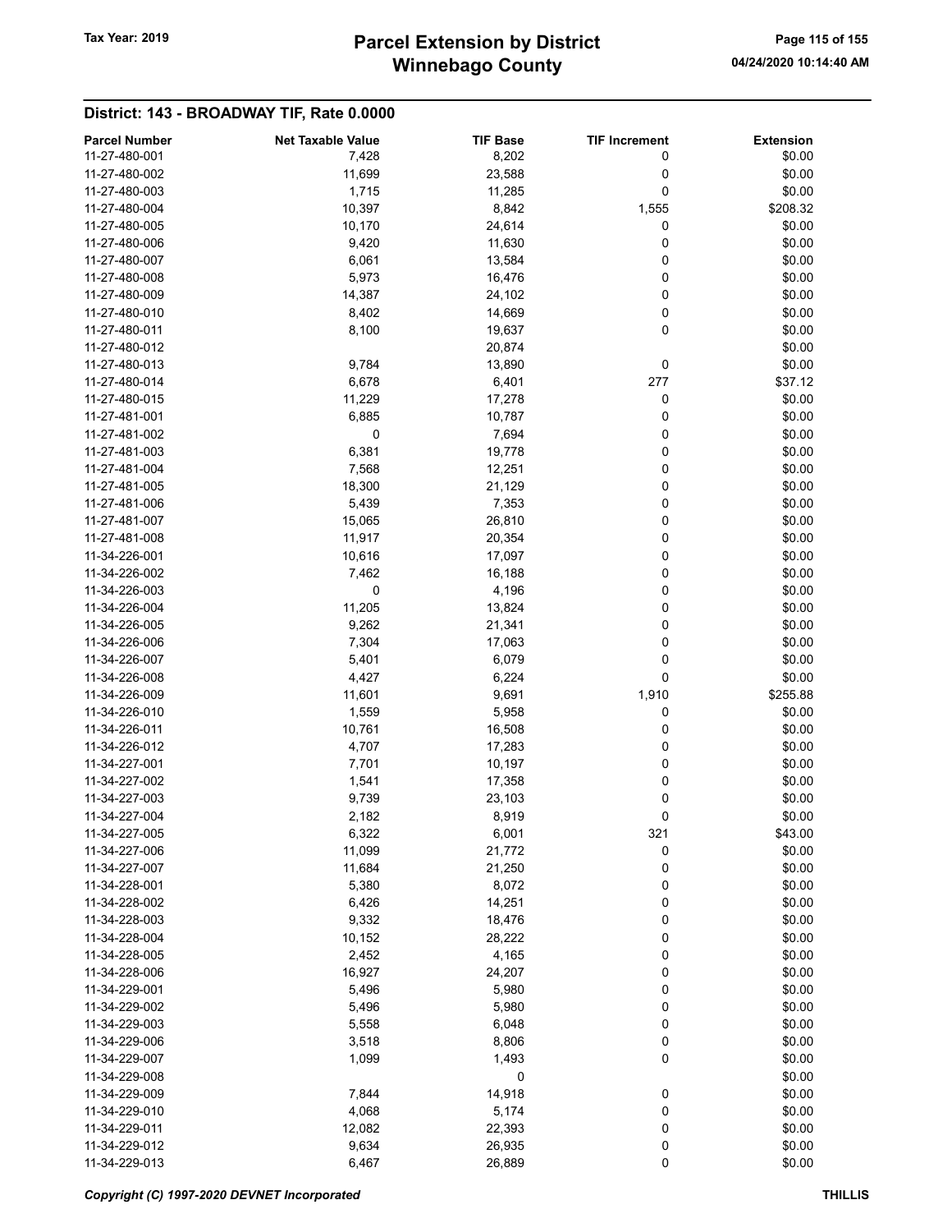# Winnebago County Tax Year: 2019 **Parcel Extension by District** Page 115 of 155

| <b>Parcel Number</b> | <b>Net Taxable Value</b> | <b>TIF Base</b> | <b>TIF Increment</b> | <b>Extension</b> |
|----------------------|--------------------------|-----------------|----------------------|------------------|
| 11-27-480-001        | 7,428                    | 8,202           | 0                    | \$0.00           |
| 11-27-480-002        | 11,699                   | 23,588          | 0                    | \$0.00           |
|                      |                          |                 |                      |                  |
| 11-27-480-003        | 1,715                    | 11,285          | 0                    | \$0.00           |
| 11-27-480-004        | 10,397                   | 8,842           | 1,555                | \$208.32         |
| 11-27-480-005        | 10,170                   | 24,614          | 0                    | \$0.00           |
| 11-27-480-006        | 9,420                    | 11,630          | 0                    | \$0.00           |
| 11-27-480-007        | 6,061                    | 13,584          | 0                    | \$0.00           |
| 11-27-480-008        | 5,973                    | 16,476          | 0                    | \$0.00           |
| 11-27-480-009        | 14,387                   | 24,102          | 0                    | \$0.00           |
| 11-27-480-010        | 8,402                    | 14,669          | 0                    | \$0.00           |
| 11-27-480-011        | 8,100                    | 19,637          | 0                    | \$0.00           |
|                      |                          |                 |                      |                  |
| 11-27-480-012        |                          | 20,874          |                      | \$0.00           |
| 11-27-480-013        | 9,784                    | 13,890          | 0                    | \$0.00           |
| 11-27-480-014        | 6,678                    | 6,401           | 277                  | \$37.12          |
| 11-27-480-015        | 11,229                   | 17,278          | 0                    | \$0.00           |
| 11-27-481-001        | 6,885                    | 10,787          | 0                    | \$0.00           |
| 11-27-481-002        | 0                        | 7,694           | 0                    | \$0.00           |
| 11-27-481-003        | 6,381                    | 19,778          | 0                    | \$0.00           |
| 11-27-481-004        | 7,568                    | 12,251          | 0                    | \$0.00           |
| 11-27-481-005        | 18,300                   | 21,129          | 0                    | \$0.00           |
|                      |                          |                 |                      |                  |
| 11-27-481-006        | 5,439                    | 7,353           | 0                    | \$0.00           |
| 11-27-481-007        | 15,065                   | 26,810          | 0                    | \$0.00           |
| 11-27-481-008        | 11,917                   | 20,354          | 0                    | \$0.00           |
| 11-34-226-001        | 10,616                   | 17,097          | 0                    | \$0.00           |
| 11-34-226-002        | 7,462                    | 16,188          | 0                    | \$0.00           |
| 11-34-226-003        | 0                        | 4,196           | 0                    | \$0.00           |
| 11-34-226-004        | 11,205                   | 13,824          | 0                    | \$0.00           |
| 11-34-226-005        | 9,262                    | 21,341          | 0                    | \$0.00           |
|                      |                          |                 |                      |                  |
| 11-34-226-006        | 7,304                    | 17,063          | 0                    | \$0.00           |
| 11-34-226-007        | 5,401                    | 6,079           | 0                    | \$0.00           |
| 11-34-226-008        | 4,427                    | 6,224           | 0                    | \$0.00           |
| 11-34-226-009        | 11,601                   | 9,691           | 1,910                | \$255.88         |
| 11-34-226-010        | 1,559                    | 5,958           | 0                    | \$0.00           |
| 11-34-226-011        | 10,761                   | 16,508          | 0                    | \$0.00           |
| 11-34-226-012        | 4,707                    | 17,283          | 0                    | \$0.00           |
| 11-34-227-001        | 7,701                    | 10,197          | 0                    | \$0.00           |
| 11-34-227-002        | 1,541                    | 17,358          | 0                    | \$0.00           |
| 11-34-227-003        | 9,739                    | 23,103          | 0                    | \$0.00           |
|                      |                          |                 |                      |                  |
| 11-34-227-004        | 2,182                    | 8,919           | 0                    | \$0.00           |
| 11-34-227-005        | 6,322                    | 6,001           | 321                  | \$43.00          |
| 11-34-227-006        | 11,099                   | 21,772          | 0                    | \$0.00           |
| 11-34-227-007        | 11,684                   | 21,250          | 0                    | \$0.00           |
| 11-34-228-001        | 5,380                    | 8,072           | 0                    | \$0.00           |
| 11-34-228-002        | 6,426                    | 14,251          | 0                    | \$0.00           |
| 11-34-228-003        | 9,332                    | 18,476          | 0                    | \$0.00           |
| 11-34-228-004        | 10,152                   | 28,222          | 0                    | \$0.00           |
| 11-34-228-005        | 2,452                    | 4,165           | 0                    | \$0.00           |
|                      |                          |                 |                      |                  |
| 11-34-228-006        | 16,927                   | 24,207          | 0                    | \$0.00           |
| 11-34-229-001        | 5,496                    | 5,980           | 0                    | \$0.00           |
| 11-34-229-002        | 5,496                    | 5,980           | 0                    | \$0.00           |
| 11-34-229-003        | 5,558                    | 6,048           | 0                    | \$0.00           |
| 11-34-229-006        | 3,518                    | 8,806           | 0                    | \$0.00           |
| 11-34-229-007        | 1,099                    | 1,493           | 0                    | \$0.00           |
| 11-34-229-008        |                          | 0               |                      | \$0.00           |
| 11-34-229-009        | 7,844                    | 14,918          | 0                    | \$0.00           |
| 11-34-229-010        | 4,068                    | 5,174           | 0                    | \$0.00           |
| 11-34-229-011        |                          |                 |                      |                  |
|                      | 12,082                   | 22,393          | 0                    | \$0.00           |
| 11-34-229-012        | 9,634                    | 26,935          | 0                    | \$0.00           |
| 11-34-229-013        | 6,467                    | 26,889          | $\pmb{0}$            | \$0.00           |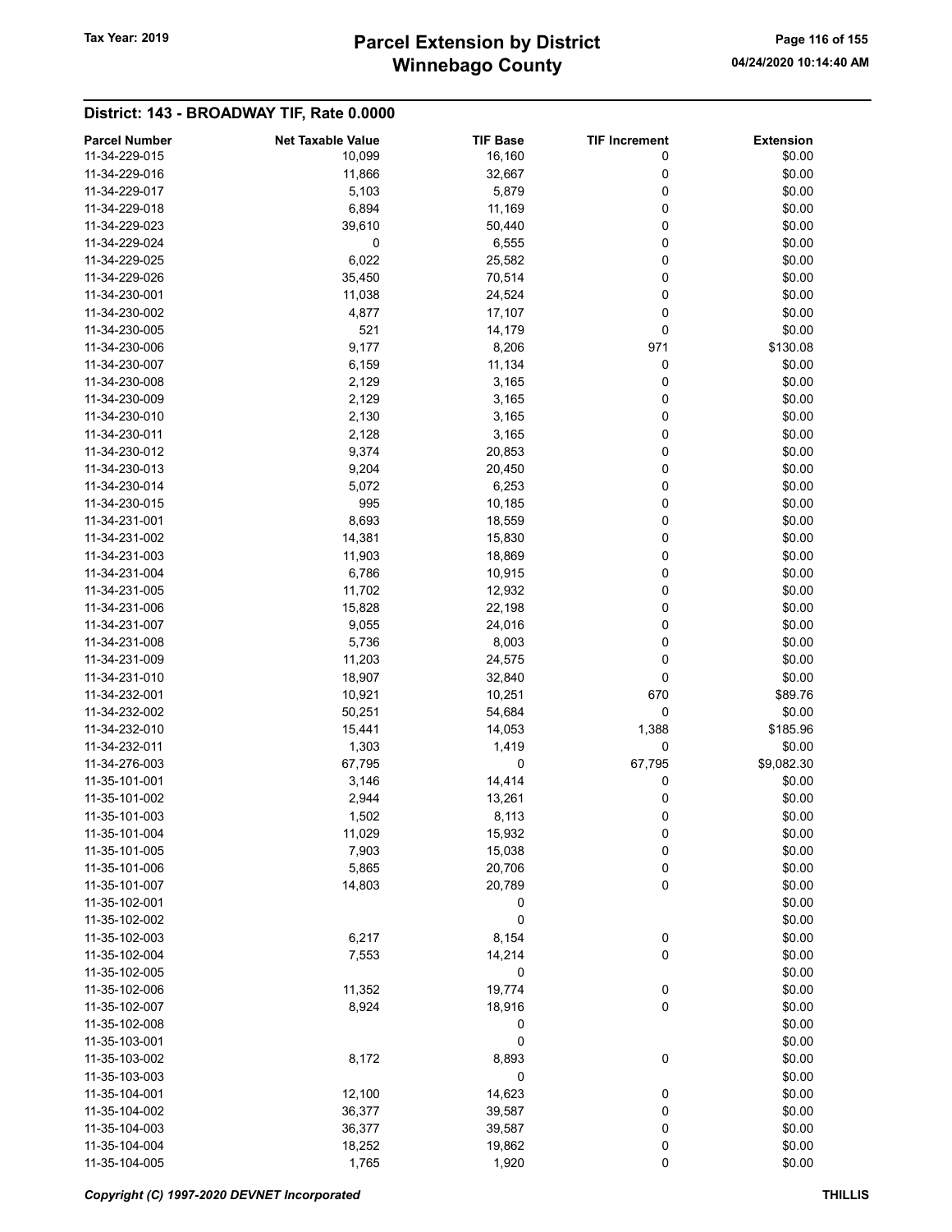# Winnebago County Tax Year: 2019 **Parcel Extension by District** Page 116 of 155

| <b>Parcel Number</b> | <b>Net Taxable Value</b> | <b>TIF Base</b> | <b>TIF Increment</b> | <b>Extension</b> |
|----------------------|--------------------------|-----------------|----------------------|------------------|
| 11-34-229-015        | 10,099                   | 16,160          | 0                    | \$0.00           |
| 11-34-229-016        | 11,866                   | 32,667          | 0                    | \$0.00           |
| 11-34-229-017        | 5,103                    | 5,879           | 0                    | \$0.00           |
| 11-34-229-018        | 6,894                    | 11,169          | 0                    | \$0.00           |
| 11-34-229-023        | 39,610                   | 50,440          | 0                    | \$0.00           |
| 11-34-229-024        | 0                        | 6,555           | 0                    | \$0.00           |
| 11-34-229-025        | 6,022                    | 25,582          | 0                    | \$0.00           |
| 11-34-229-026        | 35,450                   | 70,514          | 0                    | \$0.00           |
| 11-34-230-001        |                          |                 | 0                    | \$0.00           |
|                      | 11,038                   | 24,524          |                      |                  |
| 11-34-230-002        | 4,877                    | 17,107          | 0                    | \$0.00           |
| 11-34-230-005        | 521                      | 14,179          | 0                    | \$0.00           |
| 11-34-230-006        | 9,177                    | 8,206           | 971                  | \$130.08         |
| 11-34-230-007        | 6,159                    | 11,134          | 0                    | \$0.00           |
| 11-34-230-008        | 2,129                    | 3,165           | 0                    | \$0.00           |
| 11-34-230-009        | 2,129                    | 3,165           | 0                    | \$0.00           |
| 11-34-230-010        | 2,130                    | 3,165           | 0                    | \$0.00           |
| 11-34-230-011        | 2,128                    | 3,165           | 0                    | \$0.00           |
| 11-34-230-012        | 9,374                    | 20,853          | 0                    | \$0.00           |
| 11-34-230-013        | 9,204                    | 20,450          | 0                    | \$0.00           |
| 11-34-230-014        | 5,072                    | 6,253           | 0                    | \$0.00           |
| 11-34-230-015        | 995                      | 10,185          | 0                    | \$0.00           |
| 11-34-231-001        | 8,693                    | 18,559          | 0                    | \$0.00           |
| 11-34-231-002        | 14,381                   | 15,830          | 0                    | \$0.00           |
| 11-34-231-003        | 11,903                   | 18,869          | 0                    | \$0.00           |
| 11-34-231-004        | 6,786                    | 10,915          | 0                    | \$0.00           |
| 11-34-231-005        | 11,702                   | 12,932          | 0                    | \$0.00           |
| 11-34-231-006        | 15,828                   | 22,198          | 0                    | \$0.00           |
| 11-34-231-007        | 9,055                    | 24,016          | 0                    | \$0.00           |
| 11-34-231-008        | 5,736                    | 8,003           | 0                    | \$0.00           |
| 11-34-231-009        | 11,203                   | 24,575          | 0                    | \$0.00           |
| 11-34-231-010        | 18,907                   | 32,840          | 0                    | \$0.00           |
| 11-34-232-001        | 10,921                   | 10,251          | 670                  | \$89.76          |
| 11-34-232-002        | 50,251                   | 54,684          | 0                    | \$0.00           |
| 11-34-232-010        | 15,441                   | 14,053          | 1,388                | \$185.96         |
| 11-34-232-011        | 1,303                    | 1,419           | 0                    | \$0.00           |
| 11-34-276-003        | 67,795                   | 0               | 67,795               | \$9,082.30       |
| 11-35-101-001        | 3,146                    | 14,414          | 0                    | \$0.00           |
| 11-35-101-002        | 2,944                    | 13,261          | 0                    | \$0.00           |
| 11-35-101-003        | 1,502                    | 8,113           | 0                    | \$0.00           |
| 11-35-101-004        | 11,029                   | 15,932          |                      | \$0.00           |
| 11-35-101-005        |                          |                 | 0                    |                  |
|                      | 7,903                    | 15,038          | 0                    | \$0.00           |
| 11-35-101-006        | 5,865                    | 20,706          | $\bf{0}$             | \$0.00           |
| 11-35-101-007        | 14,803                   | 20,789          | 0                    | \$0.00           |
| 11-35-102-001        |                          | 0               |                      | \$0.00           |
| 11-35-102-002        |                          | 0               |                      | \$0.00           |
| 11-35-102-003        | 6,217                    | 8,154           | 0                    | \$0.00           |
| 11-35-102-004        | 7,553                    | 14,214          | 0                    | \$0.00           |
| 11-35-102-005        |                          | 0               |                      | \$0.00           |
| 11-35-102-006        | 11,352                   | 19,774          | $\boldsymbol{0}$     | \$0.00           |
| 11-35-102-007        | 8,924                    | 18,916          | 0                    | \$0.00           |
| 11-35-102-008        |                          | 0               |                      | \$0.00           |
| 11-35-103-001        |                          | 0               |                      | \$0.00           |
| 11-35-103-002        | 8,172                    | 8,893           | 0                    | \$0.00           |
| 11-35-103-003        |                          | 0               |                      | \$0.00           |
| 11-35-104-001        | 12,100                   | 14,623          | 0                    | \$0.00           |
| 11-35-104-002        | 36,377                   | 39,587          | 0                    | \$0.00           |
| 11-35-104-003        | 36,377                   | 39,587          | 0                    | \$0.00           |
| 11-35-104-004        | 18,252                   | 19,862          | 0                    | \$0.00           |
| 11-35-104-005        | 1,765                    | 1,920           | 0                    | \$0.00           |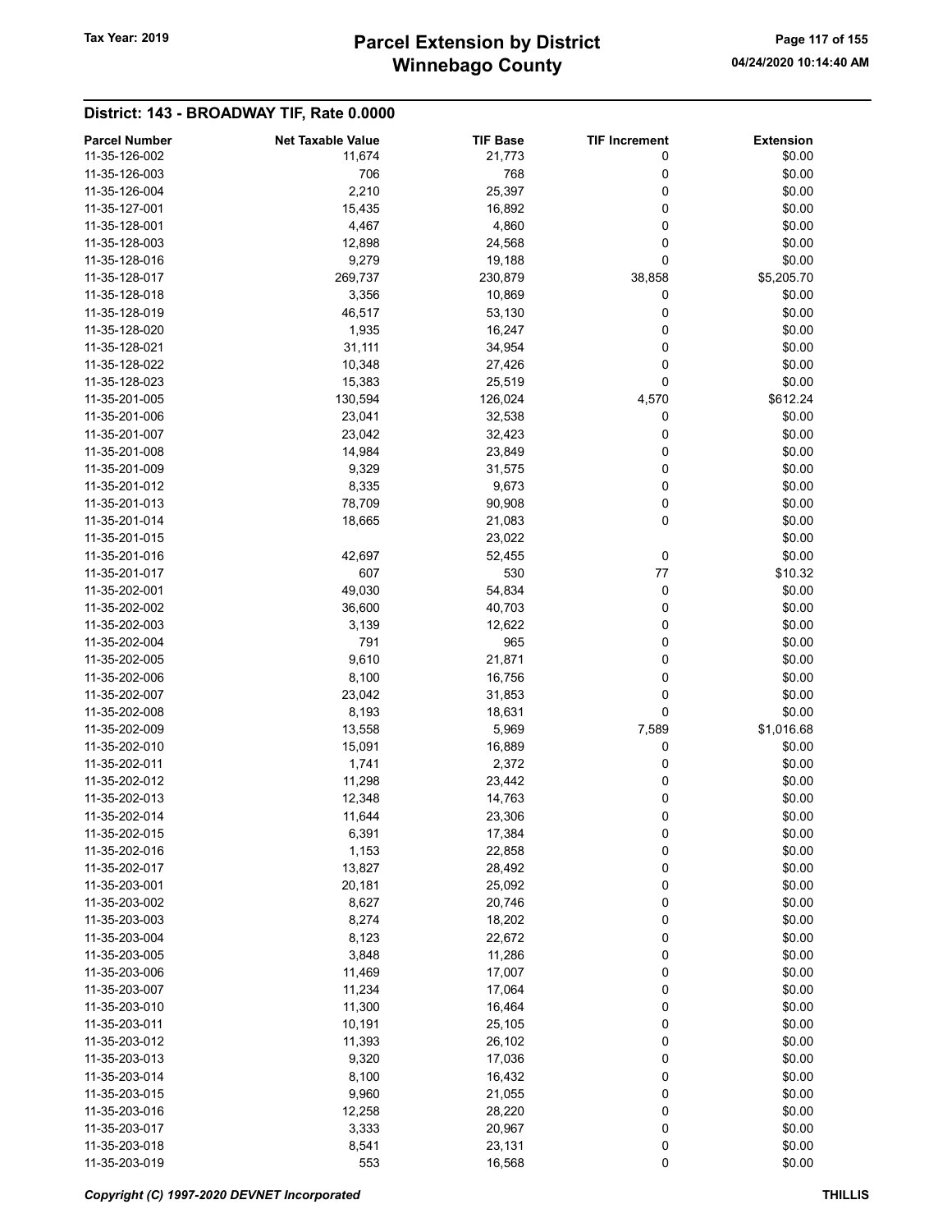# Winnebago County Tax Year: 2019 **Parcel Extension by District** Page 117 of 155

| <b>Parcel Number</b> | <b>Net Taxable Value</b> | <b>TIF Base</b> | <b>TIF Increment</b> | <b>Extension</b> |
|----------------------|--------------------------|-----------------|----------------------|------------------|
| 11-35-126-002        | 11,674                   | 21,773          | 0                    | \$0.00           |
| 11-35-126-003        | 706                      | 768             | 0                    | \$0.00           |
| 11-35-126-004        | 2,210                    | 25,397          | 0                    | \$0.00           |
| 11-35-127-001        | 15,435                   | 16,892          | 0                    | \$0.00           |
| 11-35-128-001        | 4,467                    | 4,860           | 0                    | \$0.00           |
| 11-35-128-003        | 12,898                   | 24,568          | 0                    | \$0.00           |
| 11-35-128-016        | 9,279                    | 19,188          | 0                    | \$0.00           |
| 11-35-128-017        | 269,737                  | 230,879         | 38,858               | \$5,205.70       |
| 11-35-128-018        | 3,356                    | 10,869          | 0                    | \$0.00           |
| 11-35-128-019        | 46,517                   | 53,130          | 0                    | \$0.00           |
| 11-35-128-020        | 1,935                    | 16,247          | 0                    | \$0.00           |
| 11-35-128-021        | 31,111                   | 34,954          | 0                    | \$0.00           |
| 11-35-128-022        | 10,348                   | 27,426          | 0                    | \$0.00           |
| 11-35-128-023        | 15,383                   | 25,519          | 0                    | \$0.00           |
| 11-35-201-005        | 130,594                  | 126,024         | 4,570                | \$612.24         |
| 11-35-201-006        | 23,041                   | 32,538          | 0                    | \$0.00           |
| 11-35-201-007        | 23,042                   | 32,423          | 0                    | \$0.00           |
| 11-35-201-008        | 14,984                   | 23,849          | 0                    | \$0.00           |
| 11-35-201-009        | 9,329                    | 31,575          | 0                    | \$0.00           |
| 11-35-201-012        | 8,335                    | 9,673           | 0                    | \$0.00           |
| 11-35-201-013        | 78,709                   | 90,908          | 0                    | \$0.00           |
| 11-35-201-014        | 18,665                   | 21,083          | 0                    | \$0.00           |
| 11-35-201-015        |                          | 23,022          |                      | \$0.00           |
| 11-35-201-016        | 42,697                   | 52,455          | 0                    | \$0.00           |
| 11-35-201-017        | 607                      | 530             | 77                   | \$10.32          |
| 11-35-202-001        | 49,030                   | 54,834          | 0                    | \$0.00           |
| 11-35-202-002        | 36,600                   | 40,703          | 0                    | \$0.00           |
| 11-35-202-003        | 3,139                    | 12,622          | 0                    | \$0.00           |
| 11-35-202-004        | 791                      | 965             | 0                    | \$0.00           |
| 11-35-202-005        | 9,610                    | 21,871          | 0                    | \$0.00           |
| 11-35-202-006        | 8,100                    | 16,756          | 0                    | \$0.00           |
| 11-35-202-007        | 23,042                   | 31,853          | 0                    | \$0.00           |
| 11-35-202-008        | 8,193                    | 18,631          | 0                    | \$0.00           |
| 11-35-202-009        | 13,558                   | 5,969           | 7,589                | \$1,016.68       |
| 11-35-202-010        | 15,091                   | 16,889          | 0                    | \$0.00           |
| 11-35-202-011        | 1,741                    | 2,372           | 0                    | \$0.00           |
| 11-35-202-012        | 11,298                   | 23,442          | 0                    | \$0.00           |
| 11-35-202-013        | 12,348                   | 14,763          | 0                    | \$0.00           |
| 11-35-202-014        | 11,644                   | 23,306          | 0                    | \$0.00           |
| 11-35-202-015        | 6,391                    | 17,384          | 0                    | \$0.00           |
| 11-35-202-016        | 1,153                    | 22,858          | 0                    | \$0.00           |
| 11-35-202-017        | 13,827                   | 28,492          | 0                    | \$0.00           |
| 11-35-203-001        | 20,181                   | 25,092          | 0                    | \$0.00           |
| 11-35-203-002        | 8,627                    | 20,746          | 0                    | \$0.00           |
| 11-35-203-003        | 8,274                    | 18,202          | 0                    | \$0.00           |
| 11-35-203-004        | 8,123                    | 22,672          | 0                    | \$0.00           |
| 11-35-203-005        | 3,848                    | 11,286          | 0                    | \$0.00           |
| 11-35-203-006        | 11,469                   | 17,007          | 0                    | \$0.00           |
| 11-35-203-007        | 11,234                   | 17,064          | 0                    | \$0.00           |
| 11-35-203-010        | 11,300                   | 16,464          | 0                    | \$0.00           |
| 11-35-203-011        | 10,191                   | 25,105          | 0                    | \$0.00           |
| 11-35-203-012        | 11,393                   | 26,102          | 0                    | \$0.00           |
| 11-35-203-013        | 9,320                    | 17,036          | 0                    | \$0.00           |
| 11-35-203-014        | 8,100                    | 16,432          | 0                    | \$0.00           |
| 11-35-203-015        | 9,960                    | 21,055          | 0                    | \$0.00           |
| 11-35-203-016        | 12,258                   | 28,220          | 0                    | \$0.00           |
| 11-35-203-017        | 3,333                    | 20,967          | 0                    | \$0.00           |
| 11-35-203-018        | 8,541                    | 23,131          | 0                    | \$0.00           |
| 11-35-203-019        | 553                      | 16,568          | 0                    | \$0.00           |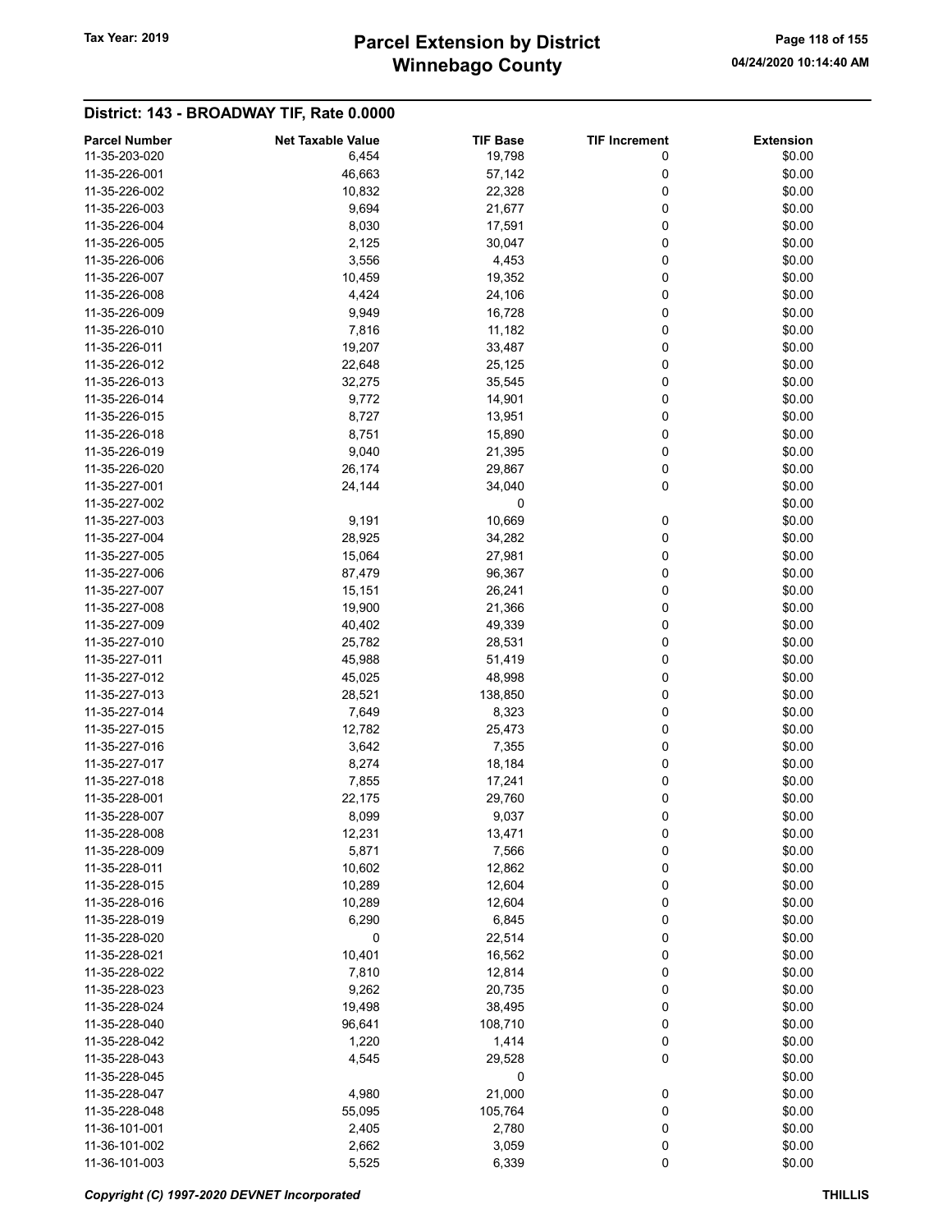# Winnebago County Tax Year: 2019 **Parcel Extension by District** Page 118 of 155

| <b>Parcel Number</b> | <b>Net Taxable Value</b> | <b>TIF Base</b> | <b>TIF Increment</b> | <b>Extension</b> |
|----------------------|--------------------------|-----------------|----------------------|------------------|
| 11-35-203-020        | 6,454                    | 19,798          | 0                    | \$0.00           |
| 11-35-226-001        | 46,663                   | 57,142          | 0                    | \$0.00           |
| 11-35-226-002        | 10,832                   | 22,328          | 0                    | \$0.00           |
| 11-35-226-003        | 9,694                    | 21,677          | 0                    | \$0.00           |
| 11-35-226-004        | 8,030                    | 17,591          | 0                    | \$0.00           |
| 11-35-226-005        | 2,125                    | 30,047          | 0                    | \$0.00           |
| 11-35-226-006        | 3,556                    | 4,453           | 0                    | \$0.00           |
| 11-35-226-007        | 10,459                   | 19,352          | 0                    | \$0.00           |
|                      |                          |                 |                      |                  |
| 11-35-226-008        | 4,424                    | 24,106          | 0                    | \$0.00           |
| 11-35-226-009        | 9,949                    | 16,728          | 0                    | \$0.00           |
| 11-35-226-010        | 7,816                    | 11,182          | 0                    | \$0.00           |
| 11-35-226-011        | 19,207                   | 33,487          | 0                    | \$0.00           |
| 11-35-226-012        | 22,648                   | 25,125          | 0                    | \$0.00           |
| 11-35-226-013        | 32,275                   | 35,545          | 0                    | \$0.00           |
| 11-35-226-014        | 9,772                    | 14,901          | 0                    | \$0.00           |
| 11-35-226-015        | 8,727                    | 13,951          | 0                    | \$0.00           |
| 11-35-226-018        | 8,751                    | 15,890          | 0                    | \$0.00           |
| 11-35-226-019        | 9,040                    | 21,395          | 0                    | \$0.00           |
| 11-35-226-020        | 26,174                   | 29,867          | 0                    | \$0.00           |
| 11-35-227-001        | 24,144                   | 34,040          | 0                    | \$0.00           |
| 11-35-227-002        |                          | 0               |                      | \$0.00           |
| 11-35-227-003        | 9,191                    | 10,669          | 0                    | \$0.00           |
| 11-35-227-004        | 28,925                   | 34,282          | 0                    | \$0.00           |
| 11-35-227-005        | 15,064                   | 27,981          | 0                    | \$0.00           |
|                      |                          |                 |                      |                  |
| 11-35-227-006        | 87,479                   | 96,367          | 0                    | \$0.00           |
| 11-35-227-007        | 15,151                   | 26,241          | 0                    | \$0.00           |
| 11-35-227-008        | 19,900                   | 21,366          | 0                    | \$0.00           |
| 11-35-227-009        | 40,402                   | 49,339          | 0                    | \$0.00           |
| 11-35-227-010        | 25,782                   | 28,531          | 0                    | \$0.00           |
| 11-35-227-011        | 45,988                   | 51,419          | 0                    | \$0.00           |
| 11-35-227-012        | 45,025                   | 48,998          | 0                    | \$0.00           |
| 11-35-227-013        | 28,521                   | 138,850         | 0                    | \$0.00           |
| 11-35-227-014        | 7,649                    | 8,323           | 0                    | \$0.00           |
| 11-35-227-015        | 12,782                   | 25,473          | 0                    | \$0.00           |
| 11-35-227-016        | 3,642                    | 7,355           | 0                    | \$0.00           |
| 11-35-227-017        | 8,274                    | 18,184          | 0                    | \$0.00           |
| 11-35-227-018        | 7,855                    | 17,241          | 0                    | \$0.00           |
| 11-35-228-001        | 22,175                   | 29,760          | 0                    | \$0.00           |
| 11-35-228-007        | 8,099                    | 9,037           | 0                    | \$0.00           |
| 11-35-228-008        | 12,231                   | 13,471          | 0                    | \$0.00           |
| 11-35-228-009        | 5,871                    | 7,566           | 0                    | \$0.00           |
| 11-35-228-011        |                          |                 |                      |                  |
|                      | 10,602                   | 12,862          | 0                    | \$0.00           |
| 11-35-228-015        | 10,289                   | 12,604          | 0                    | \$0.00           |
| 11-35-228-016        | 10,289                   | 12,604          | 0                    | \$0.00           |
| 11-35-228-019        | 6,290                    | 6,845           | 0                    | \$0.00           |
| 11-35-228-020        | 0                        | 22,514          | 0                    | \$0.00           |
| 11-35-228-021        | 10,401                   | 16,562          | 0                    | \$0.00           |
| 11-35-228-022        | 7,810                    | 12,814          | 0                    | \$0.00           |
| 11-35-228-023        | 9,262                    | 20,735          | 0                    | \$0.00           |
| 11-35-228-024        | 19,498                   | 38,495          | 0                    | \$0.00           |
| 11-35-228-040        | 96,641                   | 108,710         | 0                    | \$0.00           |
| 11-35-228-042        | 1,220                    | 1,414           | 0                    | \$0.00           |
| 11-35-228-043        | 4,545                    | 29,528          | 0                    | \$0.00           |
| 11-35-228-045        |                          | 0               |                      | \$0.00           |
| 11-35-228-047        | 4,980                    | 21,000          | 0                    | \$0.00           |
| 11-35-228-048        | 55,095                   | 105,764         | 0                    | \$0.00           |
| 11-36-101-001        | 2,405                    | 2,780           | 0                    | \$0.00           |
| 11-36-101-002        |                          |                 |                      | \$0.00           |
|                      | 2,662                    | 3,059           | 0                    |                  |
| 11-36-101-003        | 5,525                    | 6,339           | 0                    | \$0.00           |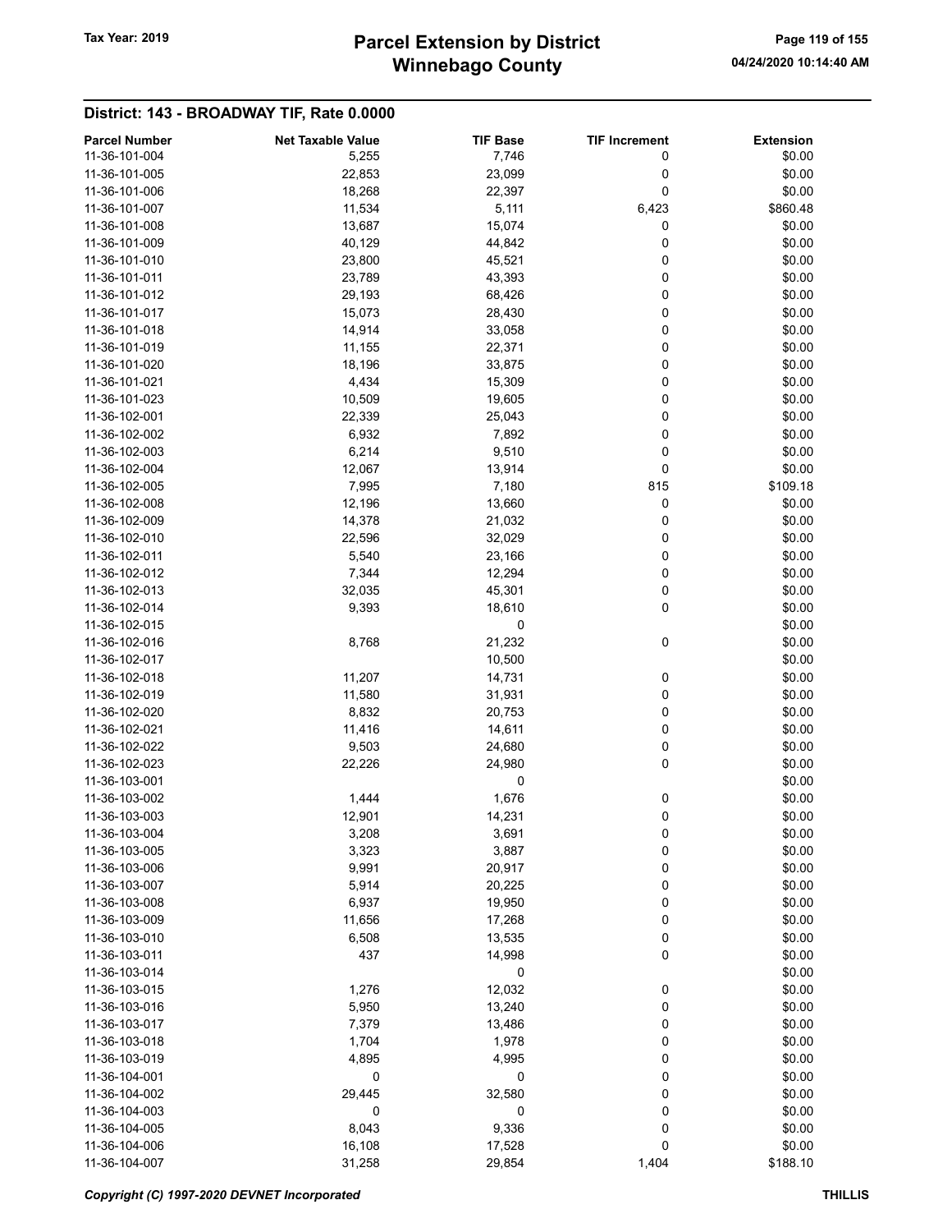# Winnebago County Tax Year: 2019 **Parcel Extension by District** Page 119 of 155

| <b>Parcel Number</b> | <b>Net Taxable Value</b> | <b>TIF Base</b> | <b>TIF Increment</b> | <b>Extension</b> |
|----------------------|--------------------------|-----------------|----------------------|------------------|
| 11-36-101-004        | 5,255                    | 7,746           | 0                    | \$0.00           |
| 11-36-101-005        | 22,853                   | 23,099          | 0                    | \$0.00           |
| 11-36-101-006        | 18,268                   | 22,397          | 0                    | \$0.00           |
| 11-36-101-007        | 11,534                   | 5,111           | 6,423                | \$860.48         |
|                      |                          |                 |                      |                  |
| 11-36-101-008        | 13,687                   | 15,074          | 0                    | \$0.00           |
| 11-36-101-009        | 40,129                   | 44,842          | 0                    | \$0.00           |
| 11-36-101-010        | 23,800                   | 45,521          | 0                    | \$0.00           |
| 11-36-101-011        | 23,789                   | 43,393          | 0                    | \$0.00           |
| 11-36-101-012        | 29,193                   | 68,426          | 0                    | \$0.00           |
| 11-36-101-017        | 15,073                   | 28,430          | 0                    | \$0.00           |
| 11-36-101-018        | 14,914                   | 33,058          | 0                    | \$0.00           |
| 11-36-101-019        | 11,155                   | 22,371          | 0                    | \$0.00           |
| 11-36-101-020        | 18,196                   | 33,875          | 0                    | \$0.00           |
| 11-36-101-021        | 4,434                    | 15,309          | 0                    | \$0.00           |
| 11-36-101-023        | 10,509                   | 19,605          | 0                    | \$0.00           |
| 11-36-102-001        | 22,339                   | 25,043          | 0                    | \$0.00           |
| 11-36-102-002        | 6,932                    | 7,892           | 0                    | \$0.00           |
| 11-36-102-003        | 6,214                    | 9,510           | 0                    | \$0.00           |
| 11-36-102-004        |                          |                 | 0                    | \$0.00           |
|                      | 12,067                   | 13,914          |                      |                  |
| 11-36-102-005        | 7,995                    | 7,180           | 815                  | \$109.18         |
| 11-36-102-008        | 12,196                   | 13,660          | 0                    | \$0.00           |
| 11-36-102-009        | 14,378                   | 21,032          | 0                    | \$0.00           |
| 11-36-102-010        | 22,596                   | 32,029          | 0                    | \$0.00           |
| 11-36-102-011        | 5,540                    | 23,166          | 0                    | \$0.00           |
| 11-36-102-012        | 7,344                    | 12,294          | 0                    | \$0.00           |
| 11-36-102-013        | 32,035                   | 45,301          | 0                    | \$0.00           |
| 11-36-102-014        | 9,393                    | 18,610          | 0                    | \$0.00           |
| 11-36-102-015        |                          | 0               |                      | \$0.00           |
| 11-36-102-016        | 8,768                    | 21,232          | 0                    | \$0.00           |
| 11-36-102-017        |                          | 10,500          |                      | \$0.00           |
| 11-36-102-018        | 11,207                   | 14,731          | 0                    | \$0.00           |
| 11-36-102-019        | 11,580                   | 31,931          | 0                    | \$0.00           |
| 11-36-102-020        | 8,832                    | 20,753          | 0                    | \$0.00           |
| 11-36-102-021        | 11,416                   | 14,611          | 0                    | \$0.00           |
| 11-36-102-022        | 9,503                    | 24,680          | 0                    | \$0.00           |
|                      |                          |                 | 0                    |                  |
| 11-36-102-023        | 22,226                   | 24,980          |                      | \$0.00           |
| 11-36-103-001        |                          | 0               |                      | \$0.00           |
| 11-36-103-002        | 1,444                    | 1,676           | 0                    | \$0.00           |
| 11-36-103-003        | 12,901                   | 14,231          | 0                    | \$0.00           |
| 11-36-103-004        | 3,208                    | 3,691           | 0                    | \$0.00           |
| 11-36-103-005        | 3,323                    | 3,887           | 0                    | \$0.00           |
| 11-36-103-006        | 9,991                    | 20,917          | 0                    | \$0.00           |
| 11-36-103-007        | 5,914                    | 20,225          | 0                    | \$0.00           |
| 11-36-103-008        | 6,937                    | 19,950          | 0                    | \$0.00           |
| 11-36-103-009        | 11,656                   | 17,268          | 0                    | \$0.00           |
| 11-36-103-010        | 6,508                    | 13,535          | 0                    | \$0.00           |
| 11-36-103-011        | 437                      | 14,998          | 0                    | \$0.00           |
| 11-36-103-014        |                          | 0               |                      | \$0.00           |
| 11-36-103-015        | 1,276                    | 12,032          | 0                    | \$0.00           |
| 11-36-103-016        | 5,950                    | 13,240          | 0                    | \$0.00           |
|                      |                          |                 |                      |                  |
| 11-36-103-017        | 7,379                    | 13,486          | 0                    | \$0.00           |
| 11-36-103-018        | 1,704                    | 1,978           | 0                    | \$0.00           |
| 11-36-103-019        | 4,895                    | 4,995           | 0                    | \$0.00           |
| 11-36-104-001        | 0                        | 0               | 0                    | \$0.00           |
| 11-36-104-002        | 29,445                   | 32,580          | 0                    | \$0.00           |
| 11-36-104-003        | 0                        | 0               | 0                    | \$0.00           |
| 11-36-104-005        | 8,043                    | 9,336           | 0                    | \$0.00           |
| 11-36-104-006        | 16,108                   | 17,528          | 0                    | \$0.00           |
| 11-36-104-007        | 31,258                   | 29,854          | 1,404                | \$188.10         |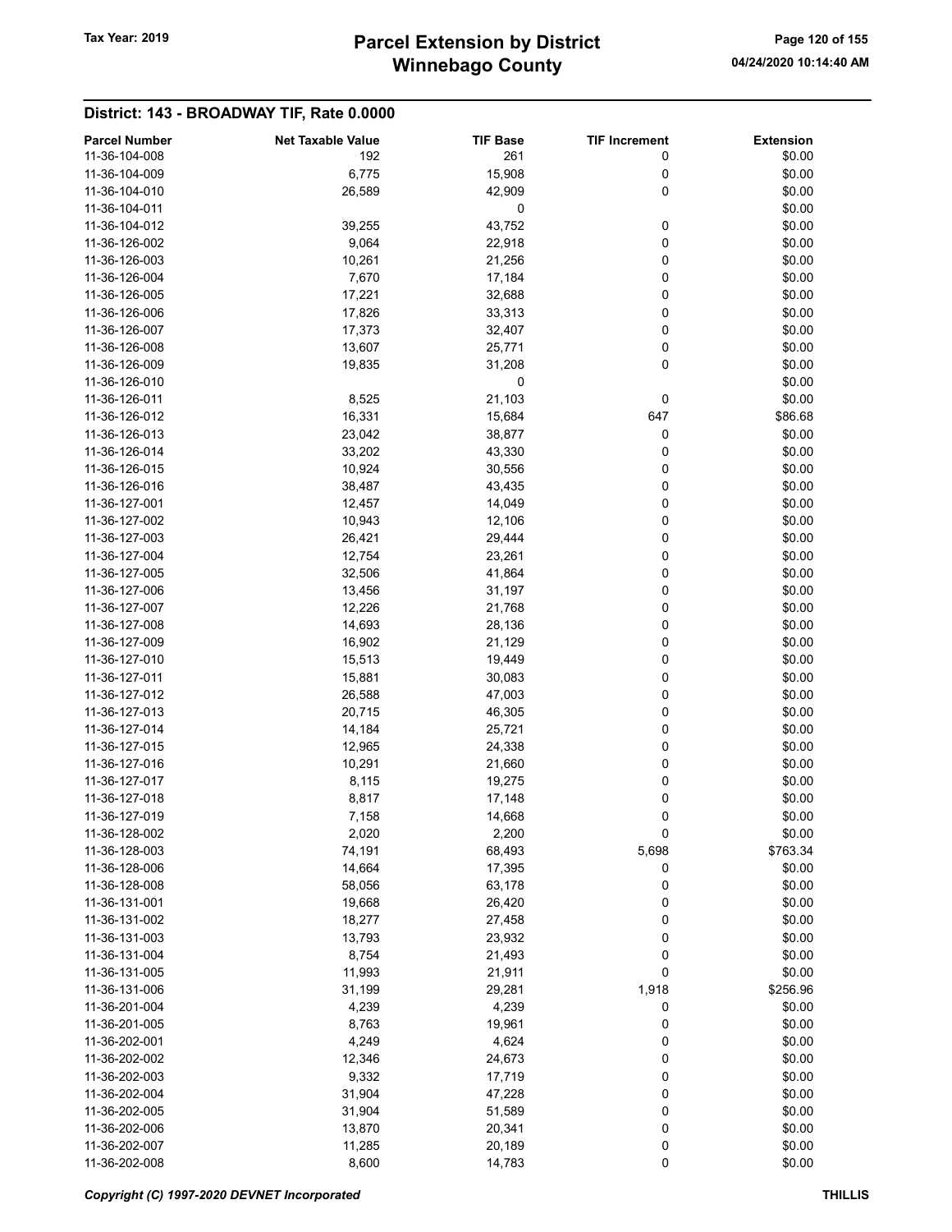# Winnebago County Tax Year: 2019 **Parcel Extension by District** Page 120 of 155

| <b>Parcel Number</b> | <b>Net Taxable Value</b> | <b>TIF Base</b> | <b>TIF Increment</b> | <b>Extension</b> |
|----------------------|--------------------------|-----------------|----------------------|------------------|
| 11-36-104-008        | 192                      | 261             | 0                    | \$0.00           |
| 11-36-104-009        | 6,775                    | 15,908          | 0                    | \$0.00           |
| 11-36-104-010        | 26,589                   | 42,909          | 0                    | \$0.00           |
| 11-36-104-011        |                          | 0               |                      | \$0.00           |
| 11-36-104-012        | 39,255                   | 43,752          | 0                    | \$0.00           |
| 11-36-126-002        | 9,064                    | 22,918          | 0                    | \$0.00           |
| 11-36-126-003        | 10,261                   | 21,256          | 0                    | \$0.00           |
| 11-36-126-004        | 7,670                    | 17,184          | 0                    | \$0.00           |
| 11-36-126-005        | 17,221                   | 32,688          | 0                    | \$0.00           |
| 11-36-126-006        | 17,826                   | 33,313          | 0                    | \$0.00           |
| 11-36-126-007        | 17,373                   | 32,407          | 0                    | \$0.00           |
| 11-36-126-008        | 13,607                   | 25,771          | 0                    | \$0.00           |
| 11-36-126-009        | 19,835                   | 31,208          | 0                    | \$0.00           |
| 11-36-126-010        |                          | 0               |                      | \$0.00           |
| 11-36-126-011        | 8,525                    | 21,103          | 0                    | \$0.00           |
| 11-36-126-012        | 16,331                   | 15,684          | 647                  | \$86.68          |
| 11-36-126-013        | 23,042                   | 38,877          | 0                    | \$0.00           |
| 11-36-126-014        | 33,202                   | 43,330          | 0                    | \$0.00           |
| 11-36-126-015        | 10,924                   | 30,556          | 0                    | \$0.00           |
| 11-36-126-016        | 38,487                   | 43,435          | 0                    | \$0.00           |
| 11-36-127-001        | 12,457                   | 14,049          | 0                    | \$0.00           |
| 11-36-127-002        | 10,943                   | 12,106          | 0                    | \$0.00           |
| 11-36-127-003        | 26,421                   | 29,444          | 0                    | \$0.00           |
| 11-36-127-004        | 12,754                   | 23,261          | 0                    | \$0.00           |
| 11-36-127-005        | 32,506                   | 41,864          | 0                    | \$0.00           |
| 11-36-127-006        | 13,456                   | 31,197          | 0                    | \$0.00           |
| 11-36-127-007        | 12,226                   | 21,768          | 0                    | \$0.00           |
| 11-36-127-008        | 14,693                   | 28,136          | 0                    | \$0.00           |
| 11-36-127-009        | 16,902                   | 21,129          | 0                    | \$0.00           |
| 11-36-127-010        | 15,513                   | 19,449          | 0                    | \$0.00           |
| 11-36-127-011        | 15,881                   | 30,083          | 0                    | \$0.00           |
| 11-36-127-012        | 26,588                   | 47,003          | 0                    | \$0.00           |
| 11-36-127-013        | 20,715                   | 46,305          | 0                    | \$0.00           |
| 11-36-127-014        | 14,184                   | 25,721          | 0                    | \$0.00           |
| 11-36-127-015        | 12,965                   | 24,338          | 0                    | \$0.00           |
| 11-36-127-016        | 10,291                   | 21,660          | 0                    | \$0.00           |
| 11-36-127-017        | 8,115                    | 19,275          | 0                    | \$0.00           |
| 11-36-127-018        | 8,817                    | 17,148          | 0                    | \$0.00           |
| 11-36-127-019        | 7,158                    | 14,668          | 0                    | \$0.00           |
| 11-36-128-002        | 2,020                    | 2,200           | 0                    | \$0.00           |
| 11-36-128-003        | 74,191                   | 68,493          | 5,698                | \$763.34         |
| 11-36-128-006        | 14,664                   | 17,395          | 0                    | \$0.00           |
| 11-36-128-008        | 58,056                   | 63,178          | 0                    | \$0.00           |
| 11-36-131-001        | 19,668                   | 26,420          | 0                    | \$0.00           |
| 11-36-131-002        | 18,277                   | 27,458          | 0                    | \$0.00           |
| 11-36-131-003        | 13,793                   | 23,932          | 0                    | \$0.00           |
| 11-36-131-004        | 8,754                    | 21,493          | 0                    | \$0.00           |
| 11-36-131-005        | 11,993                   | 21,911          | 0                    | \$0.00           |
| 11-36-131-006        | 31,199                   | 29,281          | 1,918                | \$256.96         |
| 11-36-201-004        | 4,239                    | 4,239           | 0                    | \$0.00           |
| 11-36-201-005        | 8,763                    | 19,961          | 0                    | \$0.00           |
| 11-36-202-001        | 4,249                    | 4,624           | 0                    | \$0.00           |
| 11-36-202-002        | 12,346                   | 24,673          | 0                    | \$0.00           |
| 11-36-202-003        | 9,332                    | 17,719          | 0                    | \$0.00           |
| 11-36-202-004        | 31,904                   | 47,228          | 0                    | \$0.00           |
| 11-36-202-005        | 31,904                   | 51,589          | 0                    | \$0.00           |
| 11-36-202-006        | 13,870                   | 20,341          | 0                    | \$0.00           |
| 11-36-202-007        | 11,285                   | 20,189          | 0                    | \$0.00           |
| 11-36-202-008        | 8,600                    | 14,783          | 0                    | \$0.00           |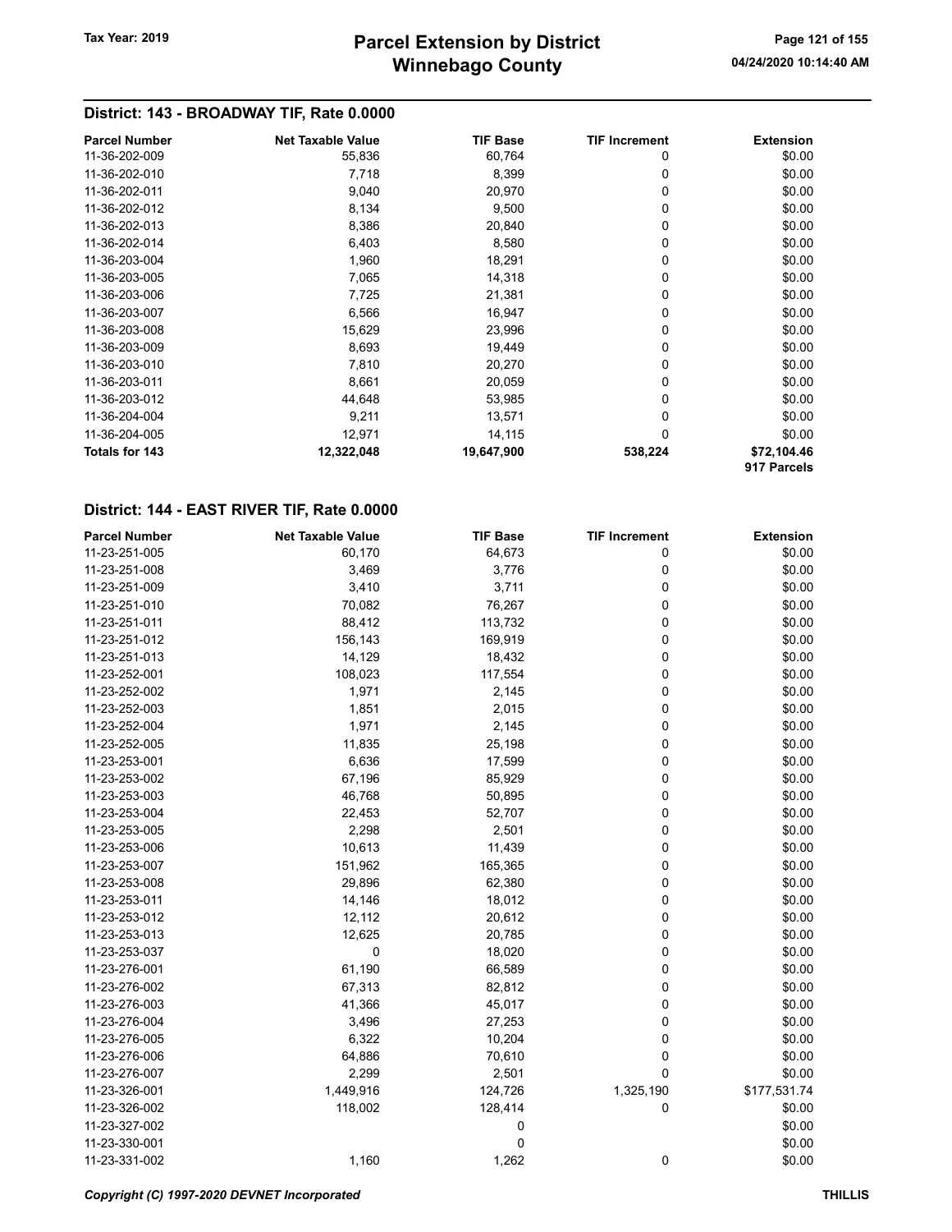# Winnebago County Tax Year: 2019 **Parcel Extension by District** Page 121 of 155

## District: 143 - BROADWAY TIF, Rate 0.0000

| <b>Parcel Number</b>  | <b>Net Taxable Value</b> | <b>TIF Base</b> | <b>TIF Increment</b> | <b>Extension</b>           |
|-----------------------|--------------------------|-----------------|----------------------|----------------------------|
| 11-36-202-009         | 55,836                   | 60,764          | 0                    | \$0.00                     |
| 11-36-202-010         | 7,718                    | 8,399           | 0                    | \$0.00                     |
| 11-36-202-011         | 9,040                    | 20,970          | 0                    | \$0.00                     |
| 11-36-202-012         | 8,134                    | 9,500           | 0                    | \$0.00                     |
| 11-36-202-013         | 8,386                    | 20,840          | 0                    | \$0.00                     |
| 11-36-202-014         | 6,403                    | 8,580           | 0                    | \$0.00                     |
| 11-36-203-004         | 1,960                    | 18,291          | 0                    | \$0.00                     |
| 11-36-203-005         | 7,065                    | 14,318          | 0                    | \$0.00                     |
| 11-36-203-006         | 7,725                    | 21,381          | 0                    | \$0.00                     |
| 11-36-203-007         | 6,566                    | 16,947          | 0                    | \$0.00                     |
| 11-36-203-008         | 15,629                   | 23,996          | 0                    | \$0.00                     |
| 11-36-203-009         | 8,693                    | 19,449          | 0                    | \$0.00                     |
| 11-36-203-010         | 7,810                    | 20,270          | 0                    | \$0.00                     |
| 11-36-203-011         | 8,661                    | 20,059          | $\Omega$             | \$0.00                     |
| 11-36-203-012         | 44,648                   | 53,985          | 0                    | \$0.00                     |
| 11-36-204-004         | 9,211                    | 13,571          | $\Omega$             | \$0.00                     |
| 11-36-204-005         | 12,971                   | 14,115          | 0                    | \$0.00                     |
| <b>Totals for 143</b> | 12,322,048               | 19,647,900      | 538,224              | \$72,104.46<br>917 Parcels |

## District: 144 - EAST RIVER TIF, Rate 0.0000

| <b>Parcel Number</b> | <b>Net Taxable Value</b> | <b>TIF Base</b> | <b>TIF Increment</b> | <b>Extension</b> |
|----------------------|--------------------------|-----------------|----------------------|------------------|
| 11-23-251-005        | 60,170                   | 64,673          | 0                    | \$0.00           |
| 11-23-251-008        | 3,469                    | 3,776           | 0                    | \$0.00           |
| 11-23-251-009        | 3,410                    | 3,711           | 0                    | \$0.00           |
| 11-23-251-010        | 70,082                   | 76,267          | 0                    | \$0.00           |
| 11-23-251-011        | 88,412                   | 113,732         | 0                    | \$0.00           |
| 11-23-251-012        | 156,143                  | 169,919         | 0                    | \$0.00           |
| 11-23-251-013        | 14,129                   | 18,432          | 0                    | \$0.00           |
| 11-23-252-001        | 108,023                  | 117,554         | 0                    | \$0.00           |
| 11-23-252-002        | 1,971                    | 2,145           | 0                    | \$0.00           |
| 11-23-252-003        | 1,851                    | 2,015           | 0                    | \$0.00           |
| 11-23-252-004        | 1,971                    | 2,145           | 0                    | \$0.00           |
| 11-23-252-005        | 11,835                   | 25,198          | 0                    | \$0.00           |
| 11-23-253-001        | 6,636                    | 17,599          | 0                    | \$0.00           |
| 11-23-253-002        | 67,196                   | 85,929          | 0                    | \$0.00           |
| 11-23-253-003        | 46,768                   | 50,895          | 0                    | \$0.00           |
| 11-23-253-004        | 22,453                   | 52,707          | 0                    | \$0.00           |
| 11-23-253-005        | 2,298                    | 2,501           | 0                    | \$0.00           |
| 11-23-253-006        | 10,613                   | 11,439          | 0                    | \$0.00           |
| 11-23-253-007        | 151,962                  | 165,365         | 0                    | \$0.00           |
| 11-23-253-008        | 29,896                   | 62,380          | 0                    | \$0.00           |
| 11-23-253-011        | 14,146                   | 18,012          | 0                    | \$0.00           |
| 11-23-253-012        | 12,112                   | 20,612          | 0                    | \$0.00           |
| 11-23-253-013        | 12,625                   | 20,785          | 0                    | \$0.00           |
| 11-23-253-037        | 0                        | 18,020          | 0                    | \$0.00           |
| 11-23-276-001        | 61,190                   | 66,589          | 0                    | \$0.00           |
| 11-23-276-002        | 67,313                   | 82,812          | 0                    | \$0.00           |
| 11-23-276-003        | 41,366                   | 45,017          | 0                    | \$0.00           |
| 11-23-276-004        | 3,496                    | 27,253          | 0                    | \$0.00           |
| 11-23-276-005        | 6,322                    | 10,204          | 0                    | \$0.00           |
| 11-23-276-006        | 64,886                   | 70,610          | 0                    | \$0.00           |
| 11-23-276-007        | 2,299                    | 2,501           | 0                    | \$0.00           |
| 11-23-326-001        | 1,449,916                | 124,726         | 1,325,190            | \$177,531.74     |
| 11-23-326-002        | 118,002                  | 128,414         | 0                    | \$0.00           |
| 11-23-327-002        |                          | 0               |                      | \$0.00           |
| 11-23-330-001        |                          | 0               |                      | \$0.00           |
| 11-23-331-002        | 1,160                    | 1,262           | 0                    | \$0.00           |

Copyright (C) 1997-2020 DEVNET Incorporated THILLIS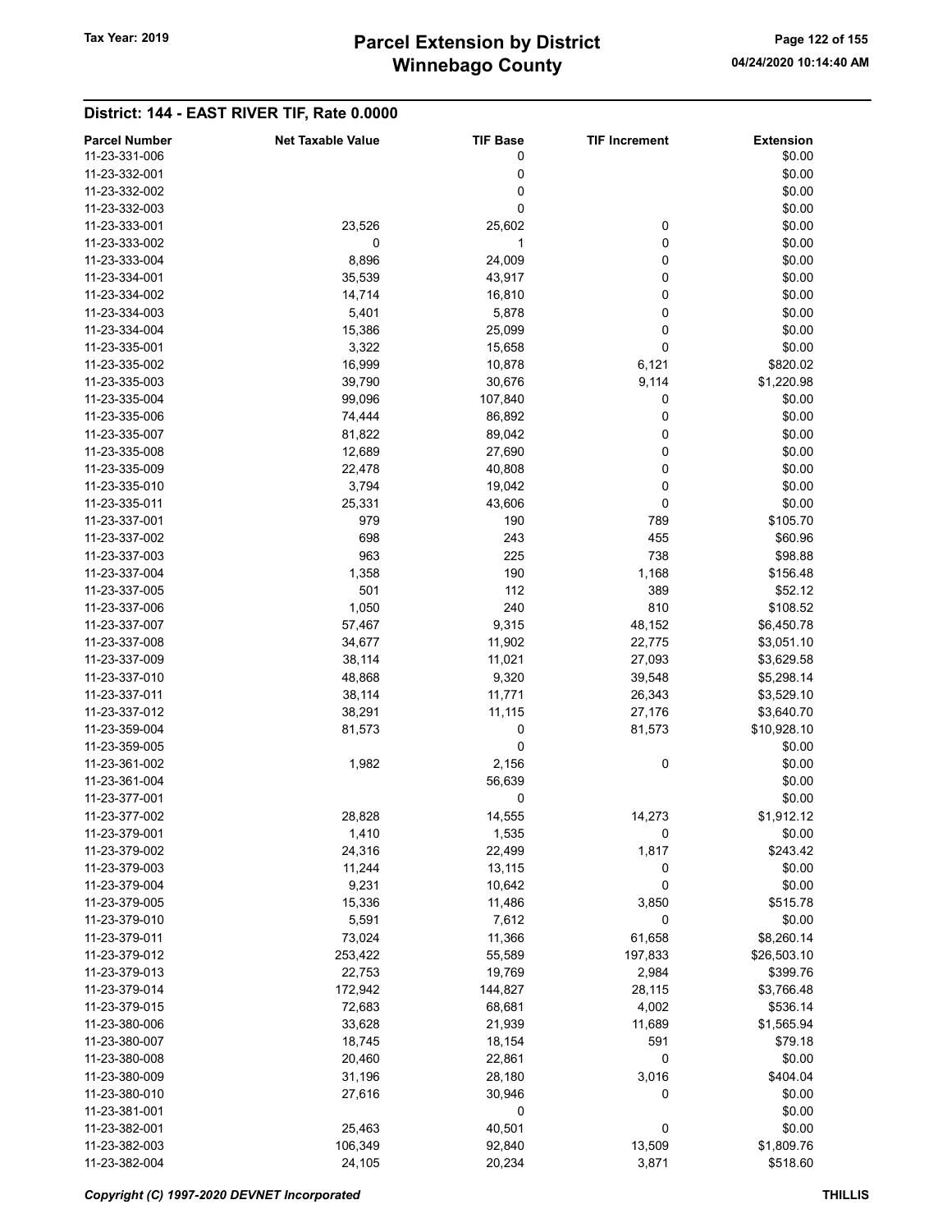# Winnebago County Tax Year: 2019 **Parcel Extension by District** Page 122 of 155

| <b>Parcel Number</b> | <b>Net Taxable Value</b> | <b>TIF Base</b> | <b>TIF Increment</b> | <b>Extension</b> |
|----------------------|--------------------------|-----------------|----------------------|------------------|
| 11-23-331-006        |                          | 0               |                      | \$0.00           |
| 11-23-332-001        |                          | 0               |                      | \$0.00           |
| 11-23-332-002        |                          | 0               |                      | \$0.00           |
|                      |                          |                 |                      |                  |
| 11-23-332-003        |                          | 0               |                      | \$0.00           |
| 11-23-333-001        | 23,526                   | 25,602          | 0                    | \$0.00           |
| 11-23-333-002        | 0                        | 1               | 0                    | \$0.00           |
| 11-23-333-004        | 8,896                    | 24,009          | 0                    | \$0.00           |
| 11-23-334-001        | 35,539                   | 43,917          | 0                    | \$0.00           |
| 11-23-334-002        | 14,714                   | 16,810          | 0                    | \$0.00           |
| 11-23-334-003        | 5,401                    | 5,878           | 0                    | \$0.00           |
| 11-23-334-004        | 15,386                   | 25,099          | 0                    | \$0.00           |
|                      |                          |                 |                      |                  |
| 11-23-335-001        | 3,322                    | 15,658          | 0                    | \$0.00           |
| 11-23-335-002        | 16,999                   | 10,878          | 6,121                | \$820.02         |
| 11-23-335-003        | 39,790                   | 30,676          | 9,114                | \$1,220.98       |
| 11-23-335-004        | 99,096                   | 107,840         | 0                    | \$0.00           |
| 11-23-335-006        | 74,444                   | 86,892          | 0                    | \$0.00           |
| 11-23-335-007        | 81,822                   | 89,042          | 0                    | \$0.00           |
| 11-23-335-008        | 12,689                   | 27,690          | 0                    | \$0.00           |
| 11-23-335-009        | 22,478                   | 40,808          | 0                    | \$0.00           |
| 11-23-335-010        | 3,794                    | 19,042          | 0                    | \$0.00           |
|                      |                          |                 |                      |                  |
| 11-23-335-011        | 25,331                   | 43,606          | 0                    | \$0.00           |
| 11-23-337-001        | 979                      | 190             | 789                  | \$105.70         |
| 11-23-337-002        | 698                      | 243             | 455                  | \$60.96          |
| 11-23-337-003        | 963                      | 225             | 738                  | \$98.88          |
| 11-23-337-004        | 1,358                    | 190             | 1,168                | \$156.48         |
| 11-23-337-005        | 501                      | 112             | 389                  | \$52.12          |
| 11-23-337-006        | 1,050                    | 240             | 810                  | \$108.52         |
| 11-23-337-007        | 57,467                   | 9,315           | 48,152               | \$6,450.78       |
| 11-23-337-008        | 34,677                   | 11,902          | 22,775               | \$3,051.10       |
| 11-23-337-009        |                          | 11,021          |                      |                  |
|                      | 38,114                   |                 | 27,093               | \$3,629.58       |
| 11-23-337-010        | 48,868                   | 9,320           | 39,548               | \$5,298.14       |
| 11-23-337-011        | 38,114                   | 11,771          | 26,343               | \$3,529.10       |
| 11-23-337-012        | 38,291                   | 11,115          | 27,176               | \$3,640.70       |
| 11-23-359-004        | 81,573                   | 0               | 81,573               | \$10,928.10      |
| 11-23-359-005        |                          | 0               |                      | \$0.00           |
| 11-23-361-002        | 1,982                    | 2,156           | 0                    | \$0.00           |
| 11-23-361-004        |                          | 56,639          |                      | \$0.00           |
| 11-23-377-001        |                          | 0               |                      | \$0.00           |
| 11-23-377-002        | 28,828                   | 14,555          | 14,273               | \$1,912.12       |
|                      |                          |                 |                      |                  |
| 11-23-379-001        | 1,410                    | 1,535           | 0                    | \$0.00           |
| 11-23-379-002        | 24,316                   | 22,499          | 1,817                | \$243.42         |
| 11-23-379-003        | 11,244                   | 13,115          | 0                    | \$0.00           |
| 11-23-379-004        | 9,231                    | 10,642          | 0                    | \$0.00           |
| 11-23-379-005        | 15,336                   | 11,486          | 3,850                | \$515.78         |
| 11-23-379-010        | 5,591                    | 7,612           | 0                    | \$0.00           |
| 11-23-379-011        | 73,024                   | 11,366          | 61,658               | \$8,260.14       |
| 11-23-379-012        | 253,422                  | 55,589          | 197,833              | \$26,503.10      |
| 11-23-379-013        | 22,753                   | 19,769          | 2,984                | \$399.76         |
| 11-23-379-014        |                          | 144,827         | 28,115               | \$3,766.48       |
|                      | 172,942                  |                 |                      |                  |
| 11-23-379-015        | 72,683                   | 68,681          | 4,002                | \$536.14         |
| 11-23-380-006        | 33,628                   | 21,939          | 11,689               | \$1,565.94       |
| 11-23-380-007        | 18,745                   | 18,154          | 591                  | \$79.18          |
| 11-23-380-008        | 20,460                   | 22,861          | 0                    | \$0.00           |
| 11-23-380-009        | 31,196                   | 28,180          | 3,016                | \$404.04         |
| 11-23-380-010        | 27,616                   | 30,946          | 0                    | \$0.00           |
| 11-23-381-001        |                          | 0               |                      | \$0.00           |
| 11-23-382-001        | 25,463                   | 40,501          | 0                    | \$0.00           |
| 11-23-382-003        | 106,349                  | 92,840          | 13,509               | \$1,809.76       |
|                      |                          |                 |                      |                  |
| 11-23-382-004        | 24,105                   | 20,234          | 3,871                | \$518.60         |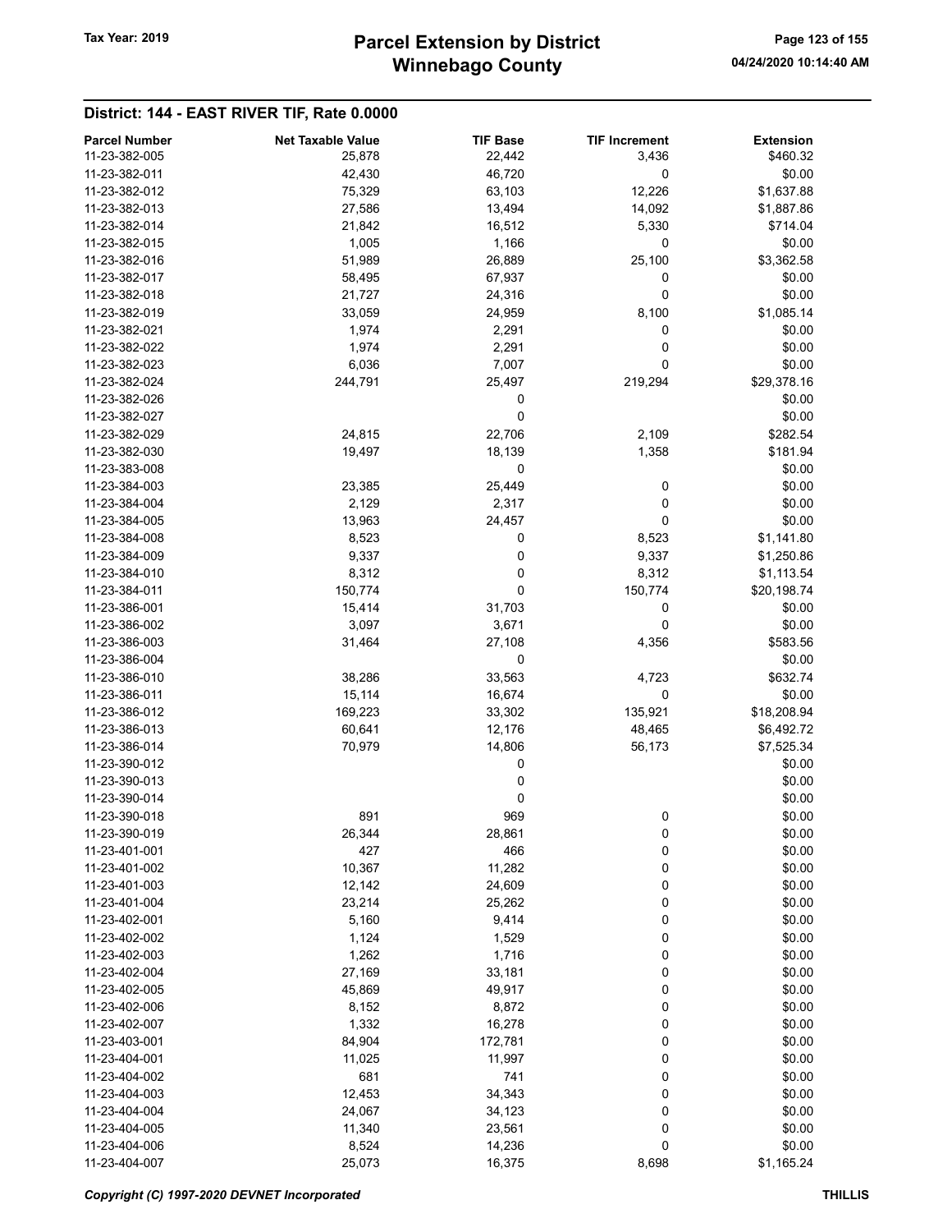# Winnebago County Tax Year: 2019 **Parcel Extension by District** Page 123 of 155

| <b>Parcel Number</b> | <b>Net Taxable Value</b> | <b>TIF Base</b> | <b>TIF Increment</b> | <b>Extension</b> |
|----------------------|--------------------------|-----------------|----------------------|------------------|
| 11-23-382-005        | 25,878                   | 22,442          | 3,436                | \$460.32         |
| 11-23-382-011        | 42,430                   | 46,720          | $\mathbf 0$          | \$0.00           |
| 11-23-382-012        | 75,329                   | 63,103          | 12,226               | \$1,637.88       |
| 11-23-382-013        | 27,586                   | 13,494          | 14,092               | \$1,887.86       |
| 11-23-382-014        | 21,842                   | 16,512          | 5,330                | \$714.04         |
| 11-23-382-015        |                          |                 |                      |                  |
|                      | 1,005                    | 1,166           | 0                    | \$0.00           |
| 11-23-382-016        | 51,989                   | 26,889          | 25,100               | \$3,362.58       |
| 11-23-382-017        | 58,495                   | 67,937          | 0                    | \$0.00           |
| 11-23-382-018        | 21,727                   | 24,316          | 0                    | \$0.00           |
| 11-23-382-019        | 33,059                   | 24,959          | 8,100                | \$1,085.14       |
| 11-23-382-021        | 1,974                    | 2,291           | 0                    | \$0.00           |
| 11-23-382-022        | 1,974                    | 2,291           | 0                    | \$0.00           |
| 11-23-382-023        | 6,036                    | 7,007           | 0                    | \$0.00           |
| 11-23-382-024        | 244,791                  | 25,497          | 219,294              | \$29,378.16      |
| 11-23-382-026        |                          | 0               |                      | \$0.00           |
| 11-23-382-027        |                          | 0               |                      | \$0.00           |
| 11-23-382-029        | 24,815                   | 22,706          | 2,109                | \$282.54         |
| 11-23-382-030        | 19,497                   | 18,139          | 1,358                | \$181.94         |
| 11-23-383-008        |                          | 0               |                      | \$0.00           |
| 11-23-384-003        | 23,385                   | 25,449          | 0                    | \$0.00           |
| 11-23-384-004        | 2,129                    | 2,317           | 0                    | \$0.00           |
| 11-23-384-005        | 13,963                   | 24,457          | 0                    | \$0.00           |
| 11-23-384-008        | 8,523                    | 0               | 8,523                | \$1,141.80       |
| 11-23-384-009        | 9,337                    | 0               | 9,337                | \$1,250.86       |
| 11-23-384-010        | 8,312                    | 0               | 8,312                | \$1,113.54       |
| 11-23-384-011        | 150,774                  | 0               | 150,774              | \$20,198.74      |
| 11-23-386-001        | 15,414                   | 31,703          | 0                    | \$0.00           |
| 11-23-386-002        | 3,097                    | 3,671           | 0                    | \$0.00           |
| 11-23-386-003        | 31,464                   | 27,108          | 4,356                | \$583.56         |
| 11-23-386-004        |                          | 0               |                      | \$0.00           |
| 11-23-386-010        | 38,286                   | 33,563          | 4,723                | \$632.74         |
| 11-23-386-011        | 15,114                   | 16,674          | 0                    | \$0.00           |
| 11-23-386-012        | 169,223                  | 33,302          | 135,921              | \$18,208.94      |
| 11-23-386-013        | 60,641                   | 12,176          | 48,465               | \$6,492.72       |
| 11-23-386-014        | 70,979                   | 14,806          | 56,173               | \$7,525.34       |
| 11-23-390-012        |                          | 0               |                      | \$0.00           |
| 11-23-390-013        |                          | 0               |                      | \$0.00           |
| 11-23-390-014        |                          | 0               |                      | \$0.00           |
| 11-23-390-018        |                          |                 |                      |                  |
| 11-23-390-019        | 891                      | 969             | 0                    | \$0.00<br>\$0.00 |
|                      | 26,344                   | 28,861          | 0                    |                  |
| 11-23-401-001        | 427                      | 466             | 0                    | \$0.00           |
| 11-23-401-002        | 10,367                   | 11,282          | 0                    | \$0.00           |
| 11-23-401-003        | 12,142                   | 24,609          | 0                    | \$0.00           |
| 11-23-401-004        | 23,214                   | 25,262          | 0                    | \$0.00           |
| 11-23-402-001        | 5,160                    | 9,414           | 0                    | \$0.00           |
| 11-23-402-002        | 1,124                    | 1,529           | 0                    | \$0.00           |
| 11-23-402-003        | 1,262                    | 1,716           | 0                    | \$0.00           |
| 11-23-402-004        | 27,169                   | 33,181          | 0                    | \$0.00           |
| 11-23-402-005        | 45,869                   | 49,917          | 0                    | \$0.00           |
| 11-23-402-006        | 8,152                    | 8,872           | 0                    | \$0.00           |
| 11-23-402-007        | 1,332                    | 16,278          | 0                    | \$0.00           |
| 11-23-403-001        | 84,904                   | 172,781         | 0                    | \$0.00           |
| 11-23-404-001        | 11,025                   | 11,997          | 0                    | \$0.00           |
| 11-23-404-002        | 681                      | 741             | 0                    | \$0.00           |
| 11-23-404-003        | 12,453                   | 34,343          | 0                    | \$0.00           |
| 11-23-404-004        | 24,067                   | 34,123          | 0                    | \$0.00           |
| 11-23-404-005        | 11,340                   | 23,561          | 0                    | \$0.00           |
| 11-23-404-006        | 8,524                    | 14,236          | 0                    | \$0.00           |
| 11-23-404-007        | 25,073                   | 16,375          | 8,698                | \$1,165.24       |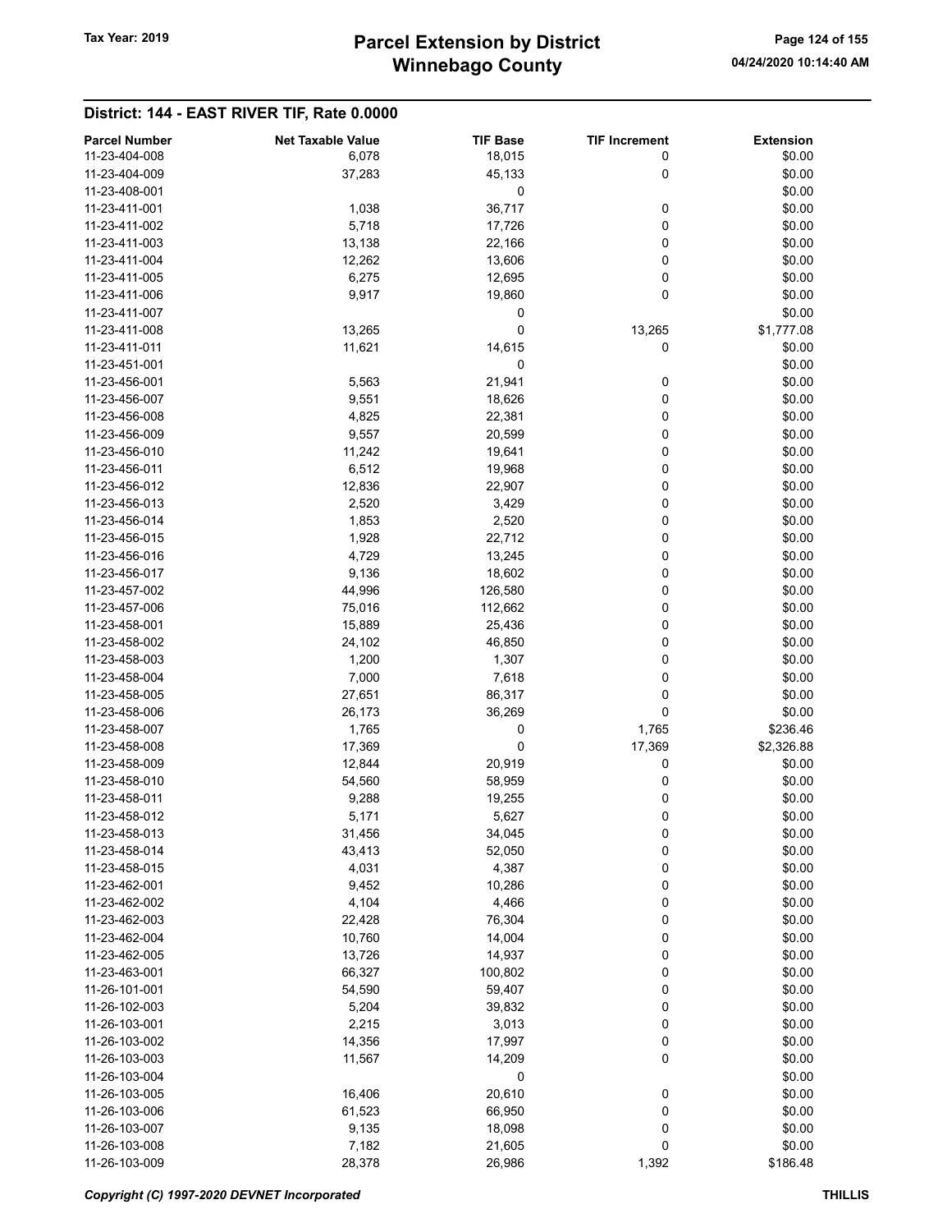# Winnebago County Tax Year: 2019 **Parcel Extension by District** Page 124 of 155

| <b>Parcel Number</b> | <b>Net Taxable Value</b> | <b>TIF Base</b> | <b>TIF Increment</b> | <b>Extension</b> |
|----------------------|--------------------------|-----------------|----------------------|------------------|
| 11-23-404-008        | 6,078                    | 18,015          | 0                    | \$0.00           |
| 11-23-404-009        | 37,283                   | 45,133          | 0                    | \$0.00           |
| 11-23-408-001        |                          | 0               |                      | \$0.00           |
| 11-23-411-001        | 1,038                    | 36,717          | 0                    | \$0.00           |
| 11-23-411-002        | 5,718                    | 17,726          | 0                    | \$0.00           |
| 11-23-411-003        | 13,138                   | 22,166          | 0                    | \$0.00           |
| 11-23-411-004        | 12,262                   | 13,606          | 0                    | \$0.00           |
| 11-23-411-005        | 6,275                    | 12,695          | 0                    | \$0.00           |
| 11-23-411-006        | 9,917                    | 19,860          | 0                    | \$0.00           |
| 11-23-411-007        |                          | 0               |                      | \$0.00           |
| 11-23-411-008        | 13,265                   | 0               | 13,265               | \$1,777.08       |
| 11-23-411-011        | 11,621                   | 14,615          | 0                    | \$0.00           |
| 11-23-451-001        |                          | 0               |                      | \$0.00           |
| 11-23-456-001        | 5,563                    | 21,941          | 0                    | \$0.00           |
| 11-23-456-007        | 9,551                    | 18,626          | 0                    | \$0.00           |
| 11-23-456-008        | 4,825                    | 22,381          | 0                    | \$0.00           |
| 11-23-456-009        | 9,557                    | 20,599          | 0                    | \$0.00           |
| 11-23-456-010        | 11,242                   | 19,641          | 0                    | \$0.00           |
| 11-23-456-011        | 6,512                    | 19,968          | 0                    | \$0.00           |
| 11-23-456-012        | 12,836                   | 22,907          | 0                    | \$0.00           |
| 11-23-456-013        | 2,520                    | 3,429           | 0                    | \$0.00           |
| 11-23-456-014        | 1,853                    | 2,520           | 0                    | \$0.00           |
| 11-23-456-015        | 1,928                    | 22,712          | 0                    | \$0.00           |
| 11-23-456-016        | 4,729                    | 13,245          | 0                    | \$0.00           |
| 11-23-456-017        | 9,136                    | 18,602          | 0                    | \$0.00           |
| 11-23-457-002        | 44,996                   | 126,580         | 0                    | \$0.00           |
| 11-23-457-006        | 75,016                   | 112,662         | 0                    | \$0.00           |
| 11-23-458-001        | 15,889                   | 25,436          | 0                    | \$0.00           |
| 11-23-458-002        | 24,102                   | 46,850          | 0                    | \$0.00           |
| 11-23-458-003        | 1,200                    | 1,307           | 0                    | \$0.00           |
| 11-23-458-004        | 7,000                    | 7,618           | 0                    | \$0.00           |
| 11-23-458-005        | 27,651                   | 86,317          | 0                    | \$0.00           |
| 11-23-458-006        | 26,173                   | 36,269          | 0                    | \$0.00           |
| 11-23-458-007        | 1,765                    | 0               | 1,765                | \$236.46         |
| 11-23-458-008        | 17,369                   | 0               | 17,369               | \$2,326.88       |
| 11-23-458-009        | 12,844                   | 20,919          | 0                    | \$0.00           |
| 11-23-458-010        | 54,560                   | 58,959          | 0                    | \$0.00           |
| 11-23-458-011        | 9,288                    | 19,255          | 0                    | \$0.00           |
| 11-23-458-012        | 5,171                    | 5,627           | 0                    | \$0.00           |
| 11-23-458-013        | 31,456                   | 34,045          | 0                    | \$0.00           |
| 11-23-458-014        | 43,413                   | 52,050          | 0                    | \$0.00           |
| 11-23-458-015        | 4,031                    | 4,387           | 0                    | \$0.00           |
| 11-23-462-001        | 9,452                    | 10,286          | 0                    | \$0.00           |
| 11-23-462-002        | 4,104                    | 4,466           | 0                    | \$0.00           |
| 11-23-462-003        | 22,428                   | 76,304          | 0                    | \$0.00           |
| 11-23-462-004        | 10,760                   | 14,004          | 0                    | \$0.00           |
| 11-23-462-005        | 13,726                   | 14,937          | 0                    | \$0.00           |
| 11-23-463-001        | 66,327                   | 100,802         | 0                    | \$0.00           |
| 11-26-101-001        | 54,590                   | 59,407          | 0                    | \$0.00           |
| 11-26-102-003        | 5,204                    | 39,832          | 0                    | \$0.00           |
| 11-26-103-001        | 2,215                    | 3,013           | 0                    | \$0.00           |
| 11-26-103-002        | 14,356                   | 17,997          | 0                    | \$0.00           |
| 11-26-103-003        | 11,567                   | 14,209          | 0                    | \$0.00           |
| 11-26-103-004        |                          | 0               |                      | \$0.00           |
| 11-26-103-005        | 16,406                   | 20,610          | 0                    | \$0.00           |
| 11-26-103-006        | 61,523                   | 66,950          | 0                    | \$0.00           |
| 11-26-103-007        | 9,135                    | 18,098          | 0                    | \$0.00           |
| 11-26-103-008        | 7,182                    | 21,605          | 0                    | \$0.00           |
| 11-26-103-009        | 28,378                   | 26,986          | 1,392                | \$186.48         |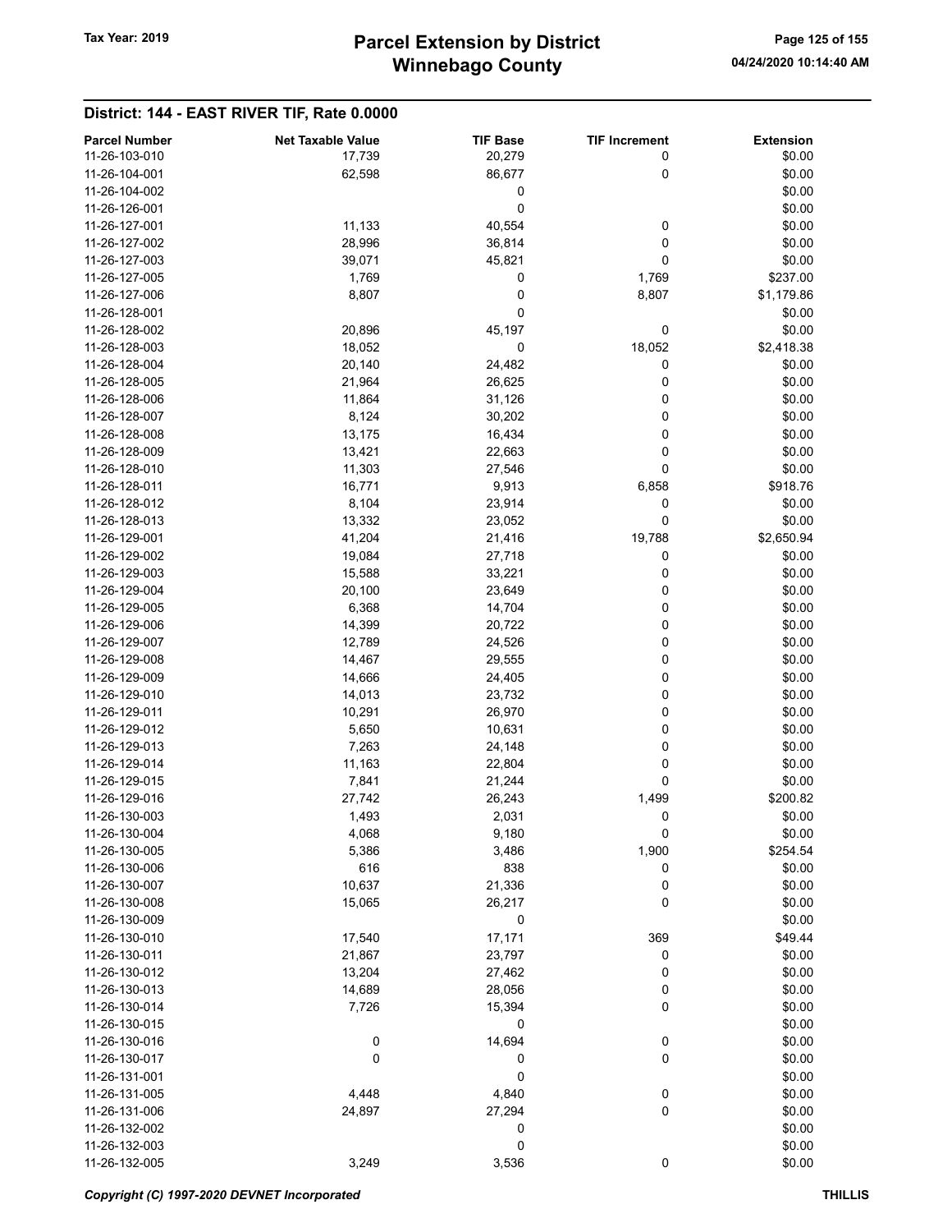# Winnebago County Tax Year: 2019 **Parcel Extension by District** Page 125 of 155

| <b>Parcel Number</b> | <b>Net Taxable Value</b> | <b>TIF Base</b> | <b>TIF Increment</b> | <b>Extension</b> |
|----------------------|--------------------------|-----------------|----------------------|------------------|
| 11-26-103-010        | 17,739                   | 20,279          | 0                    | \$0.00           |
| 11-26-104-001        | 62,598                   | 86,677          | 0                    | \$0.00           |
| 11-26-104-002        |                          | 0               |                      | \$0.00           |
| 11-26-126-001        |                          | 0               |                      | \$0.00           |
| 11-26-127-001        | 11,133                   | 40,554          | 0                    | \$0.00           |
| 11-26-127-002        | 28,996                   | 36,814          | 0                    | \$0.00           |
| 11-26-127-003        | 39,071                   | 45,821          | 0                    | \$0.00           |
| 11-26-127-005        | 1,769                    | 0               | 1,769                | \$237.00         |
| 11-26-127-006        | 8,807                    | 0               | 8,807                | \$1,179.86       |
| 11-26-128-001        |                          | 0               |                      | \$0.00           |
| 11-26-128-002        | 20,896                   | 45,197          | 0                    | \$0.00           |
| 11-26-128-003        | 18,052                   | 0               | 18,052               | \$2,418.38       |
| 11-26-128-004        | 20,140                   | 24,482          | 0                    | \$0.00           |
| 11-26-128-005        | 21,964                   | 26,625          | 0                    | \$0.00           |
| 11-26-128-006        | 11,864                   | 31,126          | 0                    | \$0.00           |
| 11-26-128-007        | 8,124                    | 30,202          | 0                    | \$0.00           |
| 11-26-128-008        | 13,175                   | 16,434          | 0                    | \$0.00           |
| 11-26-128-009        | 13,421                   | 22,663          | 0                    | \$0.00           |
| 11-26-128-010        | 11,303                   | 27,546          | 0                    | \$0.00           |
| 11-26-128-011        | 16,771                   | 9,913           | 6,858                | \$918.76         |
| 11-26-128-012        | 8,104                    | 23,914          | 0                    | \$0.00           |
| 11-26-128-013        | 13,332                   | 23,052          | 0                    | \$0.00           |
| 11-26-129-001        | 41,204                   | 21,416          | 19,788               | \$2,650.94       |
| 11-26-129-002        | 19,084                   | 27,718          | 0                    | \$0.00           |
| 11-26-129-003        | 15,588                   | 33,221          | 0                    | \$0.00           |
| 11-26-129-004        | 20,100                   | 23,649          | 0                    | \$0.00           |
| 11-26-129-005        | 6,368                    | 14,704          | 0                    | \$0.00           |
| 11-26-129-006        | 14,399                   | 20,722          | 0                    | \$0.00           |
| 11-26-129-007        | 12,789                   | 24,526          | 0                    | \$0.00           |
| 11-26-129-008        | 14,467                   | 29,555          | 0                    | \$0.00           |
| 11-26-129-009        | 14,666                   | 24,405          | 0                    | \$0.00           |
| 11-26-129-010        | 14,013                   | 23,732          | 0                    | \$0.00           |
| 11-26-129-011        | 10,291                   | 26,970          | 0                    | \$0.00           |
| 11-26-129-012        | 5,650                    | 10,631          | 0                    | \$0.00           |
| 11-26-129-013        | 7,263                    | 24,148          | 0                    | \$0.00           |
| 11-26-129-014        | 11,163                   | 22,804          | 0                    | \$0.00           |
| 11-26-129-015        | 7,841                    | 21,244          | 0                    | \$0.00           |
| 11-26-129-016        | 27,742                   | 26,243          | 1,499                | \$200.82         |
| 11-26-130-003        | 1,493                    | 2,031           | 0                    | \$0.00           |
| 11-26-130-004        | 4,068                    | 9,180           | 0                    | \$0.00           |
| 11-26-130-005        | 5,386                    | 3,486           | 1,900                | \$254.54         |
| 11-26-130-006        | 616                      | 838             | 0                    | \$0.00           |
| 11-26-130-007        | 10,637                   | 21,336          | 0                    | \$0.00           |
| 11-26-130-008        | 15,065                   | 26,217          | 0                    | \$0.00           |
| 11-26-130-009        |                          | 0               |                      | \$0.00           |
| 11-26-130-010        | 17,540                   | 17,171          | 369                  | \$49.44          |
| 11-26-130-011        | 21,867                   | 23,797          | 0                    | \$0.00           |
| 11-26-130-012        | 13,204                   | 27,462          | 0                    | \$0.00           |
| 11-26-130-013        | 14,689                   | 28,056          | 0                    | \$0.00           |
| 11-26-130-014        | 7,726                    | 15,394          | 0                    | \$0.00           |
| 11-26-130-015        |                          | 0               |                      | \$0.00           |
| 11-26-130-016        | 0                        | 14,694          | $\boldsymbol{0}$     | \$0.00           |
| 11-26-130-017        | 0                        | 0               | 0                    | \$0.00           |
| 11-26-131-001        |                          | 0               |                      | \$0.00           |
| 11-26-131-005        | 4,448                    | 4,840           | $\boldsymbol{0}$     | \$0.00           |
| 11-26-131-006        | 24,897                   | 27,294          | $\pmb{0}$            | \$0.00           |
| 11-26-132-002        |                          | 0               |                      | \$0.00           |
| 11-26-132-003        |                          | 0               |                      | \$0.00           |
| 11-26-132-005        | 3,249                    | 3,536           | 0                    | \$0.00           |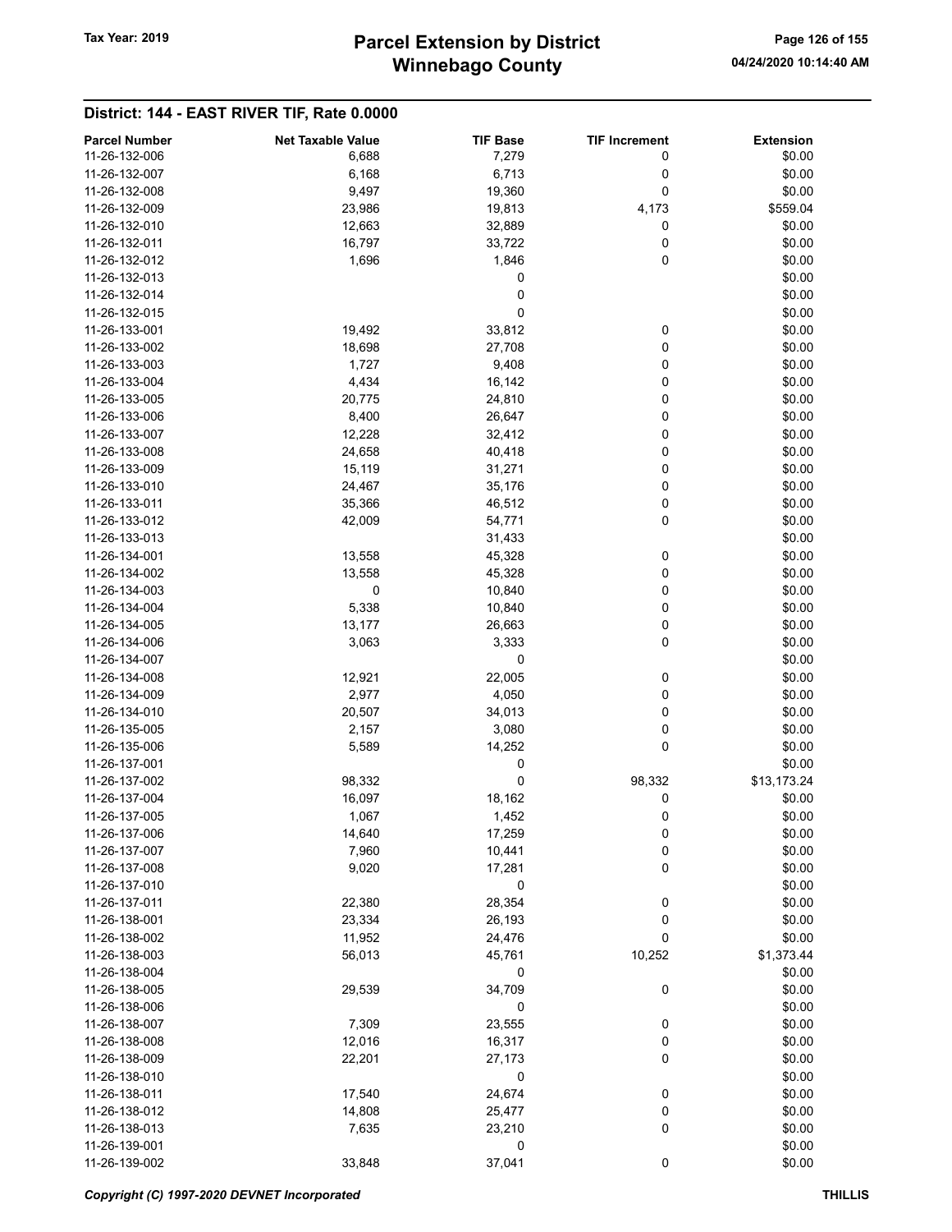| <b>Parcel Number</b> | <b>Net Taxable Value</b> | <b>TIF Base</b> | <b>TIF Increment</b> | <b>Extension</b> |
|----------------------|--------------------------|-----------------|----------------------|------------------|
| 11-26-132-006        | 6,688                    | 7,279           | 0                    | \$0.00           |
| 11-26-132-007        |                          |                 |                      |                  |
| 11-26-132-008        | 6,168                    | 6,713           | 0<br>0               | \$0.00           |
|                      | 9,497                    | 19,360          |                      | \$0.00           |
| 11-26-132-009        | 23,986                   | 19,813          | 4,173                | \$559.04         |
| 11-26-132-010        | 12,663                   | 32,889          | 0                    | \$0.00           |
| 11-26-132-011        | 16,797                   | 33,722          | 0                    | \$0.00           |
| 11-26-132-012        | 1,696                    | 1,846           | 0                    | \$0.00           |
| 11-26-132-013        |                          | 0               |                      | \$0.00           |
| 11-26-132-014        |                          | 0               |                      | \$0.00           |
| 11-26-132-015        |                          | 0               |                      | \$0.00           |
| 11-26-133-001        | 19,492                   | 33,812          | 0                    | \$0.00           |
| 11-26-133-002        | 18,698                   | 27,708          | 0                    | \$0.00           |
| 11-26-133-003        | 1,727                    | 9,408           | 0                    | \$0.00           |
| 11-26-133-004        | 4,434                    | 16,142          | 0                    | \$0.00           |
| 11-26-133-005        | 20,775                   | 24,810          | 0                    | \$0.00           |
| 11-26-133-006        | 8,400                    | 26,647          | 0                    | \$0.00           |
| 11-26-133-007        | 12,228                   | 32,412          | 0                    | \$0.00           |
| 11-26-133-008        | 24,658                   | 40,418          | 0                    | \$0.00           |
| 11-26-133-009        | 15,119                   | 31,271          | 0                    | \$0.00           |
| 11-26-133-010        | 24,467                   | 35,176          | 0                    | \$0.00           |
| 11-26-133-011        | 35,366                   | 46,512          | 0                    | \$0.00           |
| 11-26-133-012        | 42,009                   | 54,771          | 0                    | \$0.00           |
| 11-26-133-013        |                          | 31,433          |                      | \$0.00           |
| 11-26-134-001        | 13,558                   | 45,328          | 0                    | \$0.00           |
| 11-26-134-002        | 13,558                   | 45,328          | 0                    | \$0.00           |
| 11-26-134-003        | 0                        | 10,840          | 0                    | \$0.00           |
| 11-26-134-004        | 5,338                    | 10,840          | 0                    | \$0.00           |
| 11-26-134-005        | 13,177                   | 26,663          | 0                    | \$0.00           |
| 11-26-134-006        | 3,063                    | 3,333           | 0                    | \$0.00           |
| 11-26-134-007        |                          | 0               |                      | \$0.00           |
| 11-26-134-008        | 12,921                   | 22,005          | 0                    | \$0.00           |
| 11-26-134-009        | 2,977                    | 4,050           | 0                    | \$0.00           |
| 11-26-134-010        | 20,507                   | 34,013          | 0                    | \$0.00           |
| 11-26-135-005        | 2,157                    | 3,080           | 0                    | \$0.00           |
| 11-26-135-006        | 5,589                    | 14,252          | 0                    | \$0.00           |
| 11-26-137-001        |                          | 0               |                      | \$0.00           |
| 11-26-137-002        | 98,332                   | 0               | 98,332               | \$13,173.24      |
| 11-26-137-004        | 16,097                   | 18,162          | 0                    | \$0.00           |
| 11-26-137-005        | 1,067                    | 1,452           | 0                    | \$0.00           |
| 11-26-137-006        | 14,640                   | 17,259          | 0                    | \$0.00           |
| 11-26-137-007        | 7,960                    | 10,441          | 0                    | \$0.00           |
| 11-26-137-008        | 9,020                    | 17,281          | 0                    | \$0.00           |
| 11-26-137-010        |                          | 0               |                      | \$0.00           |
| 11-26-137-011        | 22,380                   | 28,354          | 0                    | \$0.00           |
| 11-26-138-001        | 23,334                   | 26,193          | 0                    | \$0.00           |
| 11-26-138-002        | 11,952                   | 24,476          | 0                    | \$0.00           |
| 11-26-138-003        | 56,013                   | 45,761          | 10,252               | \$1,373.44       |
| 11-26-138-004        |                          |                 |                      | \$0.00           |
| 11-26-138-005        |                          | 0<br>34,709     |                      |                  |
|                      | 29,539                   |                 | 0                    | \$0.00           |
| 11-26-138-006        |                          | 0               |                      | \$0.00           |
| 11-26-138-007        | 7,309                    | 23,555          | 0                    | \$0.00           |
| 11-26-138-008        | 12,016                   | 16,317          | 0                    | \$0.00           |
| 11-26-138-009        | 22,201                   | 27,173          | 0                    | \$0.00           |
| 11-26-138-010        |                          | 0               |                      | \$0.00           |
| 11-26-138-011        | 17,540                   | 24,674          | $\boldsymbol{0}$     | \$0.00           |
| 11-26-138-012        | 14,808                   | 25,477          | 0                    | \$0.00           |
| 11-26-138-013        | 7,635                    | 23,210          | 0                    | \$0.00           |
| 11-26-139-001        |                          | 0               |                      | \$0.00           |
| 11-26-139-002        | 33,848                   | 37,041          | 0                    | \$0.00           |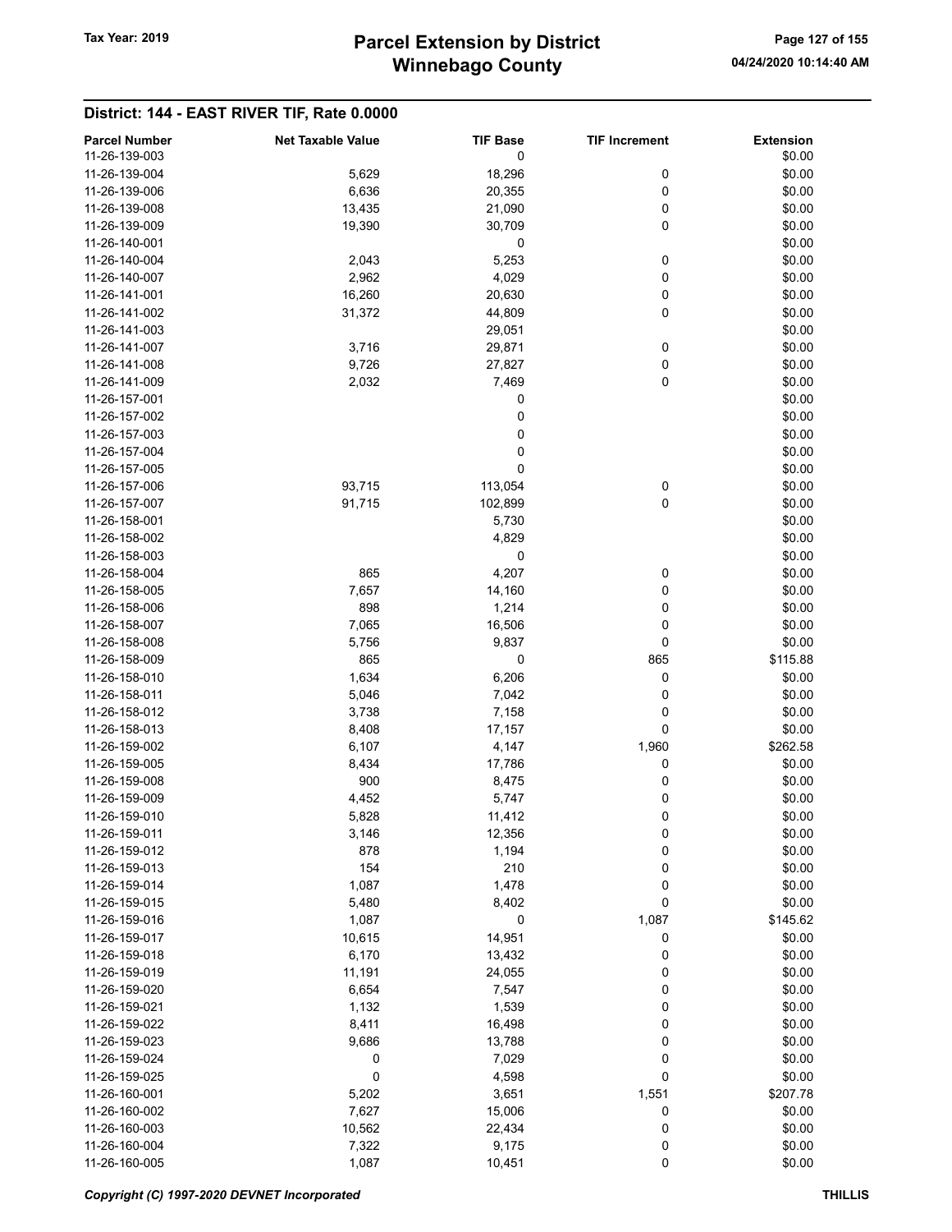# Winnebago County Tax Year: 2019 **Parcel Extension by District** Page 127 of 155

# District: 144 - EAST RIVER TIF, Rate 0.0000

| <b>Parcel Number</b><br>11-26-139-003 | <b>Net Taxable Value</b> | <b>TIF Base</b><br>0 | <b>TIF Increment</b> | <b>Extension</b><br>\$0.00 |
|---------------------------------------|--------------------------|----------------------|----------------------|----------------------------|
| 11-26-139-004                         | 5,629                    | 18,296               | 0                    | \$0.00                     |
| 11-26-139-006                         | 6,636                    | 20,355               | 0                    | \$0.00                     |
| 11-26-139-008                         | 13,435                   | 21,090               | 0                    | \$0.00                     |
| 11-26-139-009                         | 19,390                   | 30,709               | 0                    | \$0.00                     |
| 11-26-140-001                         |                          | 0                    |                      | \$0.00                     |
| 11-26-140-004                         | 2,043                    | 5,253                | 0                    | \$0.00                     |
| 11-26-140-007                         | 2,962                    | 4,029                | 0                    | \$0.00                     |
| 11-26-141-001                         | 16,260                   | 20,630               | 0                    | \$0.00                     |
| 11-26-141-002                         | 31,372                   | 44,809               | 0                    | \$0.00                     |
| 11-26-141-003                         |                          | 29,051               |                      | \$0.00                     |
| 11-26-141-007                         | 3,716                    | 29,871               | 0                    | \$0.00                     |
| 11-26-141-008                         | 9,726                    | 27,827               | 0                    | \$0.00                     |
| 11-26-141-009                         | 2,032                    | 7,469                | 0                    | \$0.00                     |
| 11-26-157-001                         |                          | 0                    |                      | \$0.00                     |
| 11-26-157-002                         |                          | 0                    |                      | \$0.00                     |
| 11-26-157-003                         |                          | 0                    |                      | \$0.00                     |
| 11-26-157-004                         |                          |                      |                      | \$0.00                     |
|                                       |                          | 0                    |                      |                            |
| 11-26-157-005                         |                          | 0                    |                      | \$0.00                     |
| 11-26-157-006                         | 93,715                   | 113,054              | 0                    | \$0.00                     |
| 11-26-157-007                         | 91,715                   | 102,899              | 0                    | \$0.00                     |
| 11-26-158-001                         |                          | 5,730                |                      | \$0.00                     |
| 11-26-158-002                         |                          | 4,829                |                      | \$0.00                     |
| 11-26-158-003                         |                          | 0                    |                      | \$0.00                     |
| 11-26-158-004                         | 865                      | 4,207                | 0                    | \$0.00                     |
| 11-26-158-005                         | 7,657                    | 14,160               | 0                    | \$0.00                     |
| 11-26-158-006                         | 898                      | 1,214                | 0                    | \$0.00                     |
| 11-26-158-007                         | 7,065                    | 16,506               | 0                    | \$0.00                     |
| 11-26-158-008                         | 5,756                    | 9,837                | 0                    | \$0.00                     |
| 11-26-158-009                         | 865                      | 0                    | 865                  | \$115.88                   |
| 11-26-158-010                         | 1,634                    | 6,206                | 0                    | \$0.00                     |
| 11-26-158-011                         | 5,046                    | 7,042                | 0                    | \$0.00                     |
| 11-26-158-012                         | 3,738                    | 7,158                | 0                    | \$0.00                     |
| 11-26-158-013                         | 8,408                    | 17,157               | 0                    | \$0.00                     |
| 11-26-159-002                         | 6,107                    | 4,147                | 1,960                | \$262.58                   |
| 11-26-159-005                         | 8,434                    | 17,786               | 0                    | \$0.00                     |
| 11-26-159-008                         | 900                      | 8,475                | 0                    | \$0.00                     |
| 11-26-159-009                         | 4,452                    | 5,747                | 0                    | \$0.00                     |
| 11-26-159-010                         | 5,828                    | 11,412               | 0                    | \$0.00                     |
| 11-26-159-011                         | 3,146                    | 12,356               | 0                    | \$0.00                     |
| 11-26-159-012                         | 878                      | 1,194                | 0                    | \$0.00                     |
| 11-26-159-013                         | 154                      | 210                  | 0                    | \$0.00                     |
| 11-26-159-014                         | 1,087                    | 1,478                | 0                    | \$0.00                     |
| 11-26-159-015                         | 5,480                    | 8,402                | 0                    | \$0.00                     |
| 11-26-159-016                         | 1,087                    | 0                    | 1,087                | \$145.62                   |
| 11-26-159-017                         | 10,615                   | 14,951               | 0                    | \$0.00                     |
| 11-26-159-018                         | 6,170                    | 13,432               | 0                    | \$0.00                     |
| 11-26-159-019                         | 11,191                   | 24,055               | 0                    | \$0.00                     |
| 11-26-159-020                         | 6,654                    | 7,547                | 0                    | \$0.00                     |
| 11-26-159-021                         | 1,132                    | 1,539                | 0                    | \$0.00                     |
| 11-26-159-022                         | 8,411                    | 16,498               | 0                    | \$0.00                     |
| 11-26-159-023                         | 9,686                    | 13,788               | 0                    | \$0.00                     |
| 11-26-159-024                         | 0                        | 7,029                | 0                    | \$0.00                     |
| 11-26-159-025                         | $\pmb{0}$                | 4,598                | 0                    | \$0.00                     |
| 11-26-160-001                         | 5,202                    | 3,651                | 1,551                | \$207.78                   |
| 11-26-160-002                         | 7,627                    | 15,006               | 0                    | \$0.00                     |
| 11-26-160-003                         | 10,562                   | 22,434               | 0                    | \$0.00                     |
| 11-26-160-004                         | 7,322                    | 9,175                | $\boldsymbol{0}$     | \$0.00                     |
| 11-26-160-005                         | 1,087                    | 10,451               | $\pmb{0}$            | \$0.00                     |

Copyright (C) 1997-2020 DEVNET Incorporated THILLIS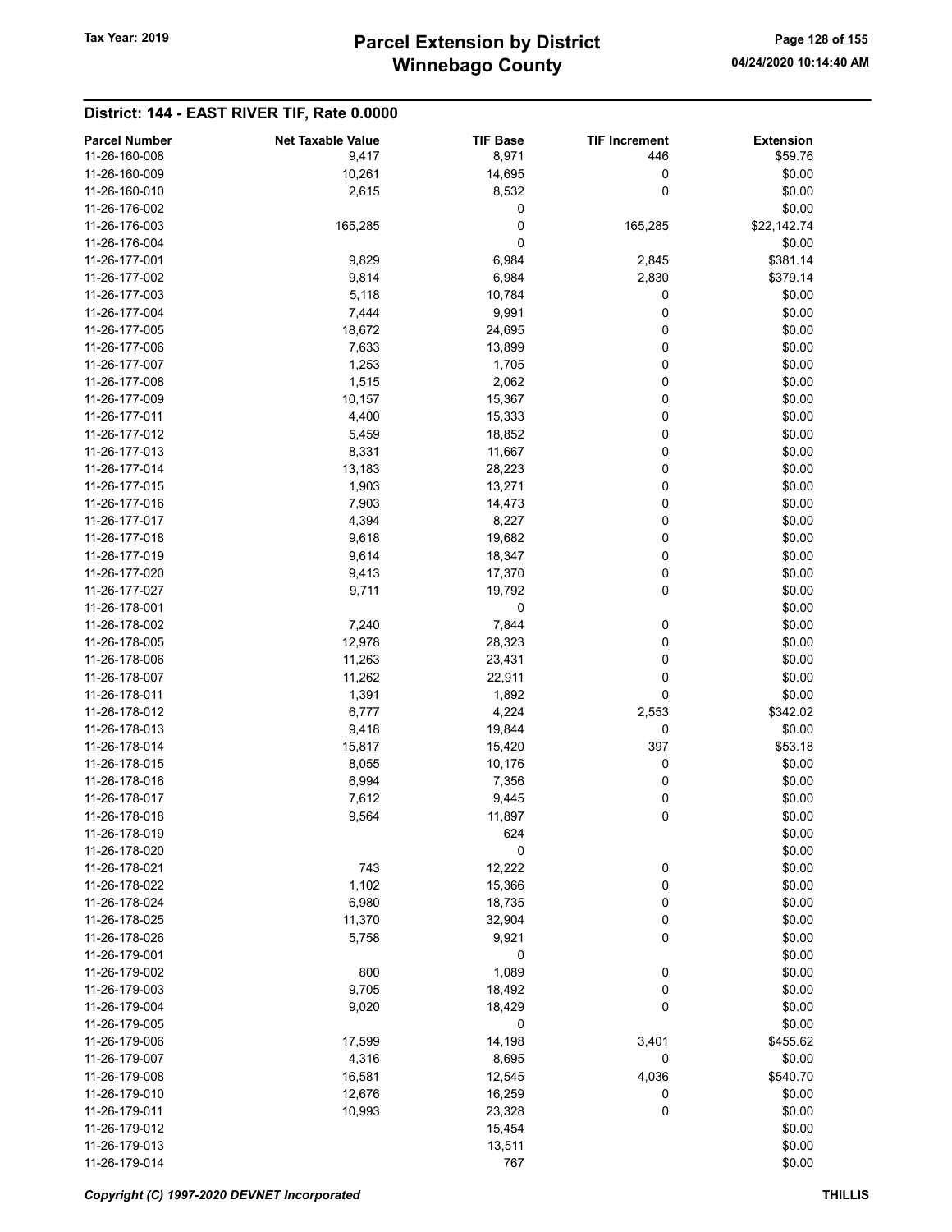| 11-26-160-008<br>8,971<br>\$59.76<br>9,417<br>446<br>10,261<br>0<br>\$0.00<br>11-26-160-009<br>14,695<br>0<br>\$0.00<br>11-26-160-010<br>2,615<br>8,532<br>0<br>11-26-176-002<br>\$0.00<br>0<br>11-26-176-003<br>165,285<br>165,285<br>\$22,142.74<br>11-26-176-004<br>0<br>\$0.00<br>9,829<br>6,984<br>11-26-177-001<br>2,845<br>\$381.14<br>6,984<br>11-26-177-002<br>9,814<br>2,830<br>\$379.14<br>11-26-177-003<br>5,118<br>10,784<br>0<br>\$0.00<br>0<br>\$0.00<br>11-26-177-004<br>7,444<br>9,991<br>18,672<br>24,695<br>0<br>\$0.00<br>11-26-177-005<br>7,633<br>13,899<br>0<br>\$0.00<br>11-26-177-006<br>11-26-177-007<br>1,253<br>1,705<br>0<br>\$0.00<br>2,062<br>0<br>\$0.00<br>11-26-177-008<br>1,515<br>0<br>11-26-177-009<br>10,157<br>15,367<br>\$0.00<br>0<br>11-26-177-011<br>4,400<br>15,333<br>\$0.00<br>0<br>\$0.00<br>11-26-177-012<br>5,459<br>18,852<br>0<br>\$0.00<br>11-26-177-013<br>8,331<br>11,667<br>0<br>\$0.00<br>11-26-177-014<br>13,183<br>28,223<br>1,903<br>0<br>\$0.00<br>11-26-177-015<br>13,271<br>0<br>7,903<br>\$0.00<br>11-26-177-016<br>14,473<br>0<br>11-26-177-017<br>4,394<br>8,227<br>\$0.00<br>0<br>11-26-177-018<br>9,618<br>19,682<br>\$0.00<br>9,614<br>18,347<br>0<br>\$0.00<br>11-26-177-019<br>0<br>\$0.00<br>9,413<br>17,370<br>11-26-177-020<br>0<br>\$0.00<br>11-26-177-027<br>9,711<br>19,792<br>11-26-178-001<br>0<br>\$0.00<br>0<br>\$0.00<br>7,240<br>7,844<br>11-26-178-002<br>11-26-178-005<br>12,978<br>28,323<br>0<br>\$0.00<br>11,263<br>0<br>\$0.00<br>11-26-178-006<br>23,431<br>\$0.00<br>11-26-178-007<br>11,262<br>22,911<br>0<br>0<br>\$0.00<br>1,391<br>1,892<br>11-26-178-011<br>\$342.02<br>6,777<br>4,224<br>2,553<br>11-26-178-012<br>11-26-178-013<br>9,418<br>19,844<br>0<br>\$0.00<br>11-26-178-014<br>15,817<br>397<br>\$53.18<br>15,420<br>0<br>8,055<br>\$0.00<br>11-26-178-015<br>10,176<br>6,994<br>7,356<br>0<br>\$0.00<br>11-26-178-016<br>11-26-178-017<br>7,612<br>9,445<br>0<br>\$0.00<br>0<br>11-26-178-018<br>9,564<br>11,897<br>\$0.00<br>11-26-178-019<br>\$0.00<br>624<br>0<br>\$0.00<br>11-26-178-020<br>$\boldsymbol{0}$<br>\$0.00<br>11-26-178-021<br>743<br>12,222<br>1,102<br>0<br>\$0.00<br>11-26-178-022<br>15,366<br>0<br>\$0.00<br>11-26-178-024<br>6,980<br>18,735<br>11-26-178-025<br>11,370<br>32,904<br>0<br>\$0.00<br>0<br>\$0.00<br>11-26-178-026<br>5,758<br>9,921<br>0<br>\$0.00<br>11-26-179-001<br>800<br>1,089<br>0<br>\$0.00<br>11-26-179-002<br>9,705<br>0<br>\$0.00<br>11-26-179-003<br>18,492<br>18,429<br>0<br>\$0.00<br>11-26-179-004<br>9,020<br>0<br>\$0.00<br>11-26-179-005<br>14,198<br>\$455.62<br>11-26-179-006<br>17,599<br>3,401<br>0<br>\$0.00<br>11-26-179-007<br>4,316<br>8,695<br>4,036<br>\$540.70<br>11-26-179-008<br>16,581<br>12,545<br>12,676<br>16,259<br>\$0.00<br>11-26-179-010<br>0<br>\$0.00<br>11-26-179-011<br>10,993<br>23,328<br>0<br>\$0.00<br>11-26-179-012<br>15,454<br>\$0.00<br>11-26-179-013<br>13,511 | <b>Parcel Number</b> | <b>Net Taxable Value</b> | <b>TIF Base</b> | <b>TIF Increment</b> | <b>Extension</b> |
|-----------------------------------------------------------------------------------------------------------------------------------------------------------------------------------------------------------------------------------------------------------------------------------------------------------------------------------------------------------------------------------------------------------------------------------------------------------------------------------------------------------------------------------------------------------------------------------------------------------------------------------------------------------------------------------------------------------------------------------------------------------------------------------------------------------------------------------------------------------------------------------------------------------------------------------------------------------------------------------------------------------------------------------------------------------------------------------------------------------------------------------------------------------------------------------------------------------------------------------------------------------------------------------------------------------------------------------------------------------------------------------------------------------------------------------------------------------------------------------------------------------------------------------------------------------------------------------------------------------------------------------------------------------------------------------------------------------------------------------------------------------------------------------------------------------------------------------------------------------------------------------------------------------------------------------------------------------------------------------------------------------------------------------------------------------------------------------------------------------------------------------------------------------------------------------------------------------------------------------------------------------------------------------------------------------------------------------------------------------------------------------------------------------------------------------------------------------------------------------------------------------------------------------------------------------------------------------------------------------------------------------------------------------------------------------------------------------------------------------------------------------------------------------------------------------------------------------------------------------------------------------------------------------------------------------------------------------------|----------------------|--------------------------|-----------------|----------------------|------------------|
|                                                                                                                                                                                                                                                                                                                                                                                                                                                                                                                                                                                                                                                                                                                                                                                                                                                                                                                                                                                                                                                                                                                                                                                                                                                                                                                                                                                                                                                                                                                                                                                                                                                                                                                                                                                                                                                                                                                                                                                                                                                                                                                                                                                                                                                                                                                                                                                                                                                                                                                                                                                                                                                                                                                                                                                                                                                                                                                                                                 |                      |                          |                 |                      |                  |
|                                                                                                                                                                                                                                                                                                                                                                                                                                                                                                                                                                                                                                                                                                                                                                                                                                                                                                                                                                                                                                                                                                                                                                                                                                                                                                                                                                                                                                                                                                                                                                                                                                                                                                                                                                                                                                                                                                                                                                                                                                                                                                                                                                                                                                                                                                                                                                                                                                                                                                                                                                                                                                                                                                                                                                                                                                                                                                                                                                 |                      |                          |                 |                      |                  |
|                                                                                                                                                                                                                                                                                                                                                                                                                                                                                                                                                                                                                                                                                                                                                                                                                                                                                                                                                                                                                                                                                                                                                                                                                                                                                                                                                                                                                                                                                                                                                                                                                                                                                                                                                                                                                                                                                                                                                                                                                                                                                                                                                                                                                                                                                                                                                                                                                                                                                                                                                                                                                                                                                                                                                                                                                                                                                                                                                                 |                      |                          |                 |                      |                  |
|                                                                                                                                                                                                                                                                                                                                                                                                                                                                                                                                                                                                                                                                                                                                                                                                                                                                                                                                                                                                                                                                                                                                                                                                                                                                                                                                                                                                                                                                                                                                                                                                                                                                                                                                                                                                                                                                                                                                                                                                                                                                                                                                                                                                                                                                                                                                                                                                                                                                                                                                                                                                                                                                                                                                                                                                                                                                                                                                                                 |                      |                          |                 |                      |                  |
|                                                                                                                                                                                                                                                                                                                                                                                                                                                                                                                                                                                                                                                                                                                                                                                                                                                                                                                                                                                                                                                                                                                                                                                                                                                                                                                                                                                                                                                                                                                                                                                                                                                                                                                                                                                                                                                                                                                                                                                                                                                                                                                                                                                                                                                                                                                                                                                                                                                                                                                                                                                                                                                                                                                                                                                                                                                                                                                                                                 |                      |                          |                 |                      |                  |
|                                                                                                                                                                                                                                                                                                                                                                                                                                                                                                                                                                                                                                                                                                                                                                                                                                                                                                                                                                                                                                                                                                                                                                                                                                                                                                                                                                                                                                                                                                                                                                                                                                                                                                                                                                                                                                                                                                                                                                                                                                                                                                                                                                                                                                                                                                                                                                                                                                                                                                                                                                                                                                                                                                                                                                                                                                                                                                                                                                 |                      |                          |                 |                      |                  |
|                                                                                                                                                                                                                                                                                                                                                                                                                                                                                                                                                                                                                                                                                                                                                                                                                                                                                                                                                                                                                                                                                                                                                                                                                                                                                                                                                                                                                                                                                                                                                                                                                                                                                                                                                                                                                                                                                                                                                                                                                                                                                                                                                                                                                                                                                                                                                                                                                                                                                                                                                                                                                                                                                                                                                                                                                                                                                                                                                                 |                      |                          |                 |                      |                  |
|                                                                                                                                                                                                                                                                                                                                                                                                                                                                                                                                                                                                                                                                                                                                                                                                                                                                                                                                                                                                                                                                                                                                                                                                                                                                                                                                                                                                                                                                                                                                                                                                                                                                                                                                                                                                                                                                                                                                                                                                                                                                                                                                                                                                                                                                                                                                                                                                                                                                                                                                                                                                                                                                                                                                                                                                                                                                                                                                                                 |                      |                          |                 |                      |                  |
|                                                                                                                                                                                                                                                                                                                                                                                                                                                                                                                                                                                                                                                                                                                                                                                                                                                                                                                                                                                                                                                                                                                                                                                                                                                                                                                                                                                                                                                                                                                                                                                                                                                                                                                                                                                                                                                                                                                                                                                                                                                                                                                                                                                                                                                                                                                                                                                                                                                                                                                                                                                                                                                                                                                                                                                                                                                                                                                                                                 |                      |                          |                 |                      |                  |
|                                                                                                                                                                                                                                                                                                                                                                                                                                                                                                                                                                                                                                                                                                                                                                                                                                                                                                                                                                                                                                                                                                                                                                                                                                                                                                                                                                                                                                                                                                                                                                                                                                                                                                                                                                                                                                                                                                                                                                                                                                                                                                                                                                                                                                                                                                                                                                                                                                                                                                                                                                                                                                                                                                                                                                                                                                                                                                                                                                 |                      |                          |                 |                      |                  |
|                                                                                                                                                                                                                                                                                                                                                                                                                                                                                                                                                                                                                                                                                                                                                                                                                                                                                                                                                                                                                                                                                                                                                                                                                                                                                                                                                                                                                                                                                                                                                                                                                                                                                                                                                                                                                                                                                                                                                                                                                                                                                                                                                                                                                                                                                                                                                                                                                                                                                                                                                                                                                                                                                                                                                                                                                                                                                                                                                                 |                      |                          |                 |                      |                  |
|                                                                                                                                                                                                                                                                                                                                                                                                                                                                                                                                                                                                                                                                                                                                                                                                                                                                                                                                                                                                                                                                                                                                                                                                                                                                                                                                                                                                                                                                                                                                                                                                                                                                                                                                                                                                                                                                                                                                                                                                                                                                                                                                                                                                                                                                                                                                                                                                                                                                                                                                                                                                                                                                                                                                                                                                                                                                                                                                                                 |                      |                          |                 |                      |                  |
|                                                                                                                                                                                                                                                                                                                                                                                                                                                                                                                                                                                                                                                                                                                                                                                                                                                                                                                                                                                                                                                                                                                                                                                                                                                                                                                                                                                                                                                                                                                                                                                                                                                                                                                                                                                                                                                                                                                                                                                                                                                                                                                                                                                                                                                                                                                                                                                                                                                                                                                                                                                                                                                                                                                                                                                                                                                                                                                                                                 |                      |                          |                 |                      |                  |
|                                                                                                                                                                                                                                                                                                                                                                                                                                                                                                                                                                                                                                                                                                                                                                                                                                                                                                                                                                                                                                                                                                                                                                                                                                                                                                                                                                                                                                                                                                                                                                                                                                                                                                                                                                                                                                                                                                                                                                                                                                                                                                                                                                                                                                                                                                                                                                                                                                                                                                                                                                                                                                                                                                                                                                                                                                                                                                                                                                 |                      |                          |                 |                      |                  |
|                                                                                                                                                                                                                                                                                                                                                                                                                                                                                                                                                                                                                                                                                                                                                                                                                                                                                                                                                                                                                                                                                                                                                                                                                                                                                                                                                                                                                                                                                                                                                                                                                                                                                                                                                                                                                                                                                                                                                                                                                                                                                                                                                                                                                                                                                                                                                                                                                                                                                                                                                                                                                                                                                                                                                                                                                                                                                                                                                                 |                      |                          |                 |                      |                  |
|                                                                                                                                                                                                                                                                                                                                                                                                                                                                                                                                                                                                                                                                                                                                                                                                                                                                                                                                                                                                                                                                                                                                                                                                                                                                                                                                                                                                                                                                                                                                                                                                                                                                                                                                                                                                                                                                                                                                                                                                                                                                                                                                                                                                                                                                                                                                                                                                                                                                                                                                                                                                                                                                                                                                                                                                                                                                                                                                                                 |                      |                          |                 |                      |                  |
|                                                                                                                                                                                                                                                                                                                                                                                                                                                                                                                                                                                                                                                                                                                                                                                                                                                                                                                                                                                                                                                                                                                                                                                                                                                                                                                                                                                                                                                                                                                                                                                                                                                                                                                                                                                                                                                                                                                                                                                                                                                                                                                                                                                                                                                                                                                                                                                                                                                                                                                                                                                                                                                                                                                                                                                                                                                                                                                                                                 |                      |                          |                 |                      |                  |
|                                                                                                                                                                                                                                                                                                                                                                                                                                                                                                                                                                                                                                                                                                                                                                                                                                                                                                                                                                                                                                                                                                                                                                                                                                                                                                                                                                                                                                                                                                                                                                                                                                                                                                                                                                                                                                                                                                                                                                                                                                                                                                                                                                                                                                                                                                                                                                                                                                                                                                                                                                                                                                                                                                                                                                                                                                                                                                                                                                 |                      |                          |                 |                      |                  |
|                                                                                                                                                                                                                                                                                                                                                                                                                                                                                                                                                                                                                                                                                                                                                                                                                                                                                                                                                                                                                                                                                                                                                                                                                                                                                                                                                                                                                                                                                                                                                                                                                                                                                                                                                                                                                                                                                                                                                                                                                                                                                                                                                                                                                                                                                                                                                                                                                                                                                                                                                                                                                                                                                                                                                                                                                                                                                                                                                                 |                      |                          |                 |                      |                  |
|                                                                                                                                                                                                                                                                                                                                                                                                                                                                                                                                                                                                                                                                                                                                                                                                                                                                                                                                                                                                                                                                                                                                                                                                                                                                                                                                                                                                                                                                                                                                                                                                                                                                                                                                                                                                                                                                                                                                                                                                                                                                                                                                                                                                                                                                                                                                                                                                                                                                                                                                                                                                                                                                                                                                                                                                                                                                                                                                                                 |                      |                          |                 |                      |                  |
|                                                                                                                                                                                                                                                                                                                                                                                                                                                                                                                                                                                                                                                                                                                                                                                                                                                                                                                                                                                                                                                                                                                                                                                                                                                                                                                                                                                                                                                                                                                                                                                                                                                                                                                                                                                                                                                                                                                                                                                                                                                                                                                                                                                                                                                                                                                                                                                                                                                                                                                                                                                                                                                                                                                                                                                                                                                                                                                                                                 |                      |                          |                 |                      |                  |
|                                                                                                                                                                                                                                                                                                                                                                                                                                                                                                                                                                                                                                                                                                                                                                                                                                                                                                                                                                                                                                                                                                                                                                                                                                                                                                                                                                                                                                                                                                                                                                                                                                                                                                                                                                                                                                                                                                                                                                                                                                                                                                                                                                                                                                                                                                                                                                                                                                                                                                                                                                                                                                                                                                                                                                                                                                                                                                                                                                 |                      |                          |                 |                      |                  |
|                                                                                                                                                                                                                                                                                                                                                                                                                                                                                                                                                                                                                                                                                                                                                                                                                                                                                                                                                                                                                                                                                                                                                                                                                                                                                                                                                                                                                                                                                                                                                                                                                                                                                                                                                                                                                                                                                                                                                                                                                                                                                                                                                                                                                                                                                                                                                                                                                                                                                                                                                                                                                                                                                                                                                                                                                                                                                                                                                                 |                      |                          |                 |                      |                  |
|                                                                                                                                                                                                                                                                                                                                                                                                                                                                                                                                                                                                                                                                                                                                                                                                                                                                                                                                                                                                                                                                                                                                                                                                                                                                                                                                                                                                                                                                                                                                                                                                                                                                                                                                                                                                                                                                                                                                                                                                                                                                                                                                                                                                                                                                                                                                                                                                                                                                                                                                                                                                                                                                                                                                                                                                                                                                                                                                                                 |                      |                          |                 |                      |                  |
|                                                                                                                                                                                                                                                                                                                                                                                                                                                                                                                                                                                                                                                                                                                                                                                                                                                                                                                                                                                                                                                                                                                                                                                                                                                                                                                                                                                                                                                                                                                                                                                                                                                                                                                                                                                                                                                                                                                                                                                                                                                                                                                                                                                                                                                                                                                                                                                                                                                                                                                                                                                                                                                                                                                                                                                                                                                                                                                                                                 |                      |                          |                 |                      |                  |
|                                                                                                                                                                                                                                                                                                                                                                                                                                                                                                                                                                                                                                                                                                                                                                                                                                                                                                                                                                                                                                                                                                                                                                                                                                                                                                                                                                                                                                                                                                                                                                                                                                                                                                                                                                                                                                                                                                                                                                                                                                                                                                                                                                                                                                                                                                                                                                                                                                                                                                                                                                                                                                                                                                                                                                                                                                                                                                                                                                 |                      |                          |                 |                      |                  |
|                                                                                                                                                                                                                                                                                                                                                                                                                                                                                                                                                                                                                                                                                                                                                                                                                                                                                                                                                                                                                                                                                                                                                                                                                                                                                                                                                                                                                                                                                                                                                                                                                                                                                                                                                                                                                                                                                                                                                                                                                                                                                                                                                                                                                                                                                                                                                                                                                                                                                                                                                                                                                                                                                                                                                                                                                                                                                                                                                                 |                      |                          |                 |                      |                  |
|                                                                                                                                                                                                                                                                                                                                                                                                                                                                                                                                                                                                                                                                                                                                                                                                                                                                                                                                                                                                                                                                                                                                                                                                                                                                                                                                                                                                                                                                                                                                                                                                                                                                                                                                                                                                                                                                                                                                                                                                                                                                                                                                                                                                                                                                                                                                                                                                                                                                                                                                                                                                                                                                                                                                                                                                                                                                                                                                                                 |                      |                          |                 |                      |                  |
|                                                                                                                                                                                                                                                                                                                                                                                                                                                                                                                                                                                                                                                                                                                                                                                                                                                                                                                                                                                                                                                                                                                                                                                                                                                                                                                                                                                                                                                                                                                                                                                                                                                                                                                                                                                                                                                                                                                                                                                                                                                                                                                                                                                                                                                                                                                                                                                                                                                                                                                                                                                                                                                                                                                                                                                                                                                                                                                                                                 |                      |                          |                 |                      |                  |
|                                                                                                                                                                                                                                                                                                                                                                                                                                                                                                                                                                                                                                                                                                                                                                                                                                                                                                                                                                                                                                                                                                                                                                                                                                                                                                                                                                                                                                                                                                                                                                                                                                                                                                                                                                                                                                                                                                                                                                                                                                                                                                                                                                                                                                                                                                                                                                                                                                                                                                                                                                                                                                                                                                                                                                                                                                                                                                                                                                 |                      |                          |                 |                      |                  |
|                                                                                                                                                                                                                                                                                                                                                                                                                                                                                                                                                                                                                                                                                                                                                                                                                                                                                                                                                                                                                                                                                                                                                                                                                                                                                                                                                                                                                                                                                                                                                                                                                                                                                                                                                                                                                                                                                                                                                                                                                                                                                                                                                                                                                                                                                                                                                                                                                                                                                                                                                                                                                                                                                                                                                                                                                                                                                                                                                                 |                      |                          |                 |                      |                  |
|                                                                                                                                                                                                                                                                                                                                                                                                                                                                                                                                                                                                                                                                                                                                                                                                                                                                                                                                                                                                                                                                                                                                                                                                                                                                                                                                                                                                                                                                                                                                                                                                                                                                                                                                                                                                                                                                                                                                                                                                                                                                                                                                                                                                                                                                                                                                                                                                                                                                                                                                                                                                                                                                                                                                                                                                                                                                                                                                                                 |                      |                          |                 |                      |                  |
|                                                                                                                                                                                                                                                                                                                                                                                                                                                                                                                                                                                                                                                                                                                                                                                                                                                                                                                                                                                                                                                                                                                                                                                                                                                                                                                                                                                                                                                                                                                                                                                                                                                                                                                                                                                                                                                                                                                                                                                                                                                                                                                                                                                                                                                                                                                                                                                                                                                                                                                                                                                                                                                                                                                                                                                                                                                                                                                                                                 |                      |                          |                 |                      |                  |
|                                                                                                                                                                                                                                                                                                                                                                                                                                                                                                                                                                                                                                                                                                                                                                                                                                                                                                                                                                                                                                                                                                                                                                                                                                                                                                                                                                                                                                                                                                                                                                                                                                                                                                                                                                                                                                                                                                                                                                                                                                                                                                                                                                                                                                                                                                                                                                                                                                                                                                                                                                                                                                                                                                                                                                                                                                                                                                                                                                 |                      |                          |                 |                      |                  |
|                                                                                                                                                                                                                                                                                                                                                                                                                                                                                                                                                                                                                                                                                                                                                                                                                                                                                                                                                                                                                                                                                                                                                                                                                                                                                                                                                                                                                                                                                                                                                                                                                                                                                                                                                                                                                                                                                                                                                                                                                                                                                                                                                                                                                                                                                                                                                                                                                                                                                                                                                                                                                                                                                                                                                                                                                                                                                                                                                                 |                      |                          |                 |                      |                  |
|                                                                                                                                                                                                                                                                                                                                                                                                                                                                                                                                                                                                                                                                                                                                                                                                                                                                                                                                                                                                                                                                                                                                                                                                                                                                                                                                                                                                                                                                                                                                                                                                                                                                                                                                                                                                                                                                                                                                                                                                                                                                                                                                                                                                                                                                                                                                                                                                                                                                                                                                                                                                                                                                                                                                                                                                                                                                                                                                                                 |                      |                          |                 |                      |                  |
|                                                                                                                                                                                                                                                                                                                                                                                                                                                                                                                                                                                                                                                                                                                                                                                                                                                                                                                                                                                                                                                                                                                                                                                                                                                                                                                                                                                                                                                                                                                                                                                                                                                                                                                                                                                                                                                                                                                                                                                                                                                                                                                                                                                                                                                                                                                                                                                                                                                                                                                                                                                                                                                                                                                                                                                                                                                                                                                                                                 |                      |                          |                 |                      |                  |
|                                                                                                                                                                                                                                                                                                                                                                                                                                                                                                                                                                                                                                                                                                                                                                                                                                                                                                                                                                                                                                                                                                                                                                                                                                                                                                                                                                                                                                                                                                                                                                                                                                                                                                                                                                                                                                                                                                                                                                                                                                                                                                                                                                                                                                                                                                                                                                                                                                                                                                                                                                                                                                                                                                                                                                                                                                                                                                                                                                 |                      |                          |                 |                      |                  |
|                                                                                                                                                                                                                                                                                                                                                                                                                                                                                                                                                                                                                                                                                                                                                                                                                                                                                                                                                                                                                                                                                                                                                                                                                                                                                                                                                                                                                                                                                                                                                                                                                                                                                                                                                                                                                                                                                                                                                                                                                                                                                                                                                                                                                                                                                                                                                                                                                                                                                                                                                                                                                                                                                                                                                                                                                                                                                                                                                                 |                      |                          |                 |                      |                  |
|                                                                                                                                                                                                                                                                                                                                                                                                                                                                                                                                                                                                                                                                                                                                                                                                                                                                                                                                                                                                                                                                                                                                                                                                                                                                                                                                                                                                                                                                                                                                                                                                                                                                                                                                                                                                                                                                                                                                                                                                                                                                                                                                                                                                                                                                                                                                                                                                                                                                                                                                                                                                                                                                                                                                                                                                                                                                                                                                                                 |                      |                          |                 |                      |                  |
|                                                                                                                                                                                                                                                                                                                                                                                                                                                                                                                                                                                                                                                                                                                                                                                                                                                                                                                                                                                                                                                                                                                                                                                                                                                                                                                                                                                                                                                                                                                                                                                                                                                                                                                                                                                                                                                                                                                                                                                                                                                                                                                                                                                                                                                                                                                                                                                                                                                                                                                                                                                                                                                                                                                                                                                                                                                                                                                                                                 |                      |                          |                 |                      |                  |
|                                                                                                                                                                                                                                                                                                                                                                                                                                                                                                                                                                                                                                                                                                                                                                                                                                                                                                                                                                                                                                                                                                                                                                                                                                                                                                                                                                                                                                                                                                                                                                                                                                                                                                                                                                                                                                                                                                                                                                                                                                                                                                                                                                                                                                                                                                                                                                                                                                                                                                                                                                                                                                                                                                                                                                                                                                                                                                                                                                 |                      |                          |                 |                      |                  |
|                                                                                                                                                                                                                                                                                                                                                                                                                                                                                                                                                                                                                                                                                                                                                                                                                                                                                                                                                                                                                                                                                                                                                                                                                                                                                                                                                                                                                                                                                                                                                                                                                                                                                                                                                                                                                                                                                                                                                                                                                                                                                                                                                                                                                                                                                                                                                                                                                                                                                                                                                                                                                                                                                                                                                                                                                                                                                                                                                                 |                      |                          |                 |                      |                  |
|                                                                                                                                                                                                                                                                                                                                                                                                                                                                                                                                                                                                                                                                                                                                                                                                                                                                                                                                                                                                                                                                                                                                                                                                                                                                                                                                                                                                                                                                                                                                                                                                                                                                                                                                                                                                                                                                                                                                                                                                                                                                                                                                                                                                                                                                                                                                                                                                                                                                                                                                                                                                                                                                                                                                                                                                                                                                                                                                                                 |                      |                          |                 |                      |                  |
|                                                                                                                                                                                                                                                                                                                                                                                                                                                                                                                                                                                                                                                                                                                                                                                                                                                                                                                                                                                                                                                                                                                                                                                                                                                                                                                                                                                                                                                                                                                                                                                                                                                                                                                                                                                                                                                                                                                                                                                                                                                                                                                                                                                                                                                                                                                                                                                                                                                                                                                                                                                                                                                                                                                                                                                                                                                                                                                                                                 |                      |                          |                 |                      |                  |
|                                                                                                                                                                                                                                                                                                                                                                                                                                                                                                                                                                                                                                                                                                                                                                                                                                                                                                                                                                                                                                                                                                                                                                                                                                                                                                                                                                                                                                                                                                                                                                                                                                                                                                                                                                                                                                                                                                                                                                                                                                                                                                                                                                                                                                                                                                                                                                                                                                                                                                                                                                                                                                                                                                                                                                                                                                                                                                                                                                 |                      |                          |                 |                      |                  |
|                                                                                                                                                                                                                                                                                                                                                                                                                                                                                                                                                                                                                                                                                                                                                                                                                                                                                                                                                                                                                                                                                                                                                                                                                                                                                                                                                                                                                                                                                                                                                                                                                                                                                                                                                                                                                                                                                                                                                                                                                                                                                                                                                                                                                                                                                                                                                                                                                                                                                                                                                                                                                                                                                                                                                                                                                                                                                                                                                                 |                      |                          |                 |                      |                  |
|                                                                                                                                                                                                                                                                                                                                                                                                                                                                                                                                                                                                                                                                                                                                                                                                                                                                                                                                                                                                                                                                                                                                                                                                                                                                                                                                                                                                                                                                                                                                                                                                                                                                                                                                                                                                                                                                                                                                                                                                                                                                                                                                                                                                                                                                                                                                                                                                                                                                                                                                                                                                                                                                                                                                                                                                                                                                                                                                                                 |                      |                          |                 |                      |                  |
|                                                                                                                                                                                                                                                                                                                                                                                                                                                                                                                                                                                                                                                                                                                                                                                                                                                                                                                                                                                                                                                                                                                                                                                                                                                                                                                                                                                                                                                                                                                                                                                                                                                                                                                                                                                                                                                                                                                                                                                                                                                                                                                                                                                                                                                                                                                                                                                                                                                                                                                                                                                                                                                                                                                                                                                                                                                                                                                                                                 |                      |                          |                 |                      |                  |
|                                                                                                                                                                                                                                                                                                                                                                                                                                                                                                                                                                                                                                                                                                                                                                                                                                                                                                                                                                                                                                                                                                                                                                                                                                                                                                                                                                                                                                                                                                                                                                                                                                                                                                                                                                                                                                                                                                                                                                                                                                                                                                                                                                                                                                                                                                                                                                                                                                                                                                                                                                                                                                                                                                                                                                                                                                                                                                                                                                 |                      |                          |                 |                      |                  |
|                                                                                                                                                                                                                                                                                                                                                                                                                                                                                                                                                                                                                                                                                                                                                                                                                                                                                                                                                                                                                                                                                                                                                                                                                                                                                                                                                                                                                                                                                                                                                                                                                                                                                                                                                                                                                                                                                                                                                                                                                                                                                                                                                                                                                                                                                                                                                                                                                                                                                                                                                                                                                                                                                                                                                                                                                                                                                                                                                                 |                      |                          |                 |                      |                  |
|                                                                                                                                                                                                                                                                                                                                                                                                                                                                                                                                                                                                                                                                                                                                                                                                                                                                                                                                                                                                                                                                                                                                                                                                                                                                                                                                                                                                                                                                                                                                                                                                                                                                                                                                                                                                                                                                                                                                                                                                                                                                                                                                                                                                                                                                                                                                                                                                                                                                                                                                                                                                                                                                                                                                                                                                                                                                                                                                                                 |                      |                          |                 |                      |                  |
|                                                                                                                                                                                                                                                                                                                                                                                                                                                                                                                                                                                                                                                                                                                                                                                                                                                                                                                                                                                                                                                                                                                                                                                                                                                                                                                                                                                                                                                                                                                                                                                                                                                                                                                                                                                                                                                                                                                                                                                                                                                                                                                                                                                                                                                                                                                                                                                                                                                                                                                                                                                                                                                                                                                                                                                                                                                                                                                                                                 |                      |                          |                 |                      |                  |
|                                                                                                                                                                                                                                                                                                                                                                                                                                                                                                                                                                                                                                                                                                                                                                                                                                                                                                                                                                                                                                                                                                                                                                                                                                                                                                                                                                                                                                                                                                                                                                                                                                                                                                                                                                                                                                                                                                                                                                                                                                                                                                                                                                                                                                                                                                                                                                                                                                                                                                                                                                                                                                                                                                                                                                                                                                                                                                                                                                 |                      |                          |                 |                      |                  |
|                                                                                                                                                                                                                                                                                                                                                                                                                                                                                                                                                                                                                                                                                                                                                                                                                                                                                                                                                                                                                                                                                                                                                                                                                                                                                                                                                                                                                                                                                                                                                                                                                                                                                                                                                                                                                                                                                                                                                                                                                                                                                                                                                                                                                                                                                                                                                                                                                                                                                                                                                                                                                                                                                                                                                                                                                                                                                                                                                                 |                      |                          |                 |                      |                  |
|                                                                                                                                                                                                                                                                                                                                                                                                                                                                                                                                                                                                                                                                                                                                                                                                                                                                                                                                                                                                                                                                                                                                                                                                                                                                                                                                                                                                                                                                                                                                                                                                                                                                                                                                                                                                                                                                                                                                                                                                                                                                                                                                                                                                                                                                                                                                                                                                                                                                                                                                                                                                                                                                                                                                                                                                                                                                                                                                                                 |                      |                          |                 |                      |                  |
|                                                                                                                                                                                                                                                                                                                                                                                                                                                                                                                                                                                                                                                                                                                                                                                                                                                                                                                                                                                                                                                                                                                                                                                                                                                                                                                                                                                                                                                                                                                                                                                                                                                                                                                                                                                                                                                                                                                                                                                                                                                                                                                                                                                                                                                                                                                                                                                                                                                                                                                                                                                                                                                                                                                                                                                                                                                                                                                                                                 |                      |                          |                 |                      |                  |
|                                                                                                                                                                                                                                                                                                                                                                                                                                                                                                                                                                                                                                                                                                                                                                                                                                                                                                                                                                                                                                                                                                                                                                                                                                                                                                                                                                                                                                                                                                                                                                                                                                                                                                                                                                                                                                                                                                                                                                                                                                                                                                                                                                                                                                                                                                                                                                                                                                                                                                                                                                                                                                                                                                                                                                                                                                                                                                                                                                 |                      |                          |                 |                      |                  |
|                                                                                                                                                                                                                                                                                                                                                                                                                                                                                                                                                                                                                                                                                                                                                                                                                                                                                                                                                                                                                                                                                                                                                                                                                                                                                                                                                                                                                                                                                                                                                                                                                                                                                                                                                                                                                                                                                                                                                                                                                                                                                                                                                                                                                                                                                                                                                                                                                                                                                                                                                                                                                                                                                                                                                                                                                                                                                                                                                                 |                      |                          |                 |                      |                  |
|                                                                                                                                                                                                                                                                                                                                                                                                                                                                                                                                                                                                                                                                                                                                                                                                                                                                                                                                                                                                                                                                                                                                                                                                                                                                                                                                                                                                                                                                                                                                                                                                                                                                                                                                                                                                                                                                                                                                                                                                                                                                                                                                                                                                                                                                                                                                                                                                                                                                                                                                                                                                                                                                                                                                                                                                                                                                                                                                                                 |                      |                          |                 |                      |                  |
|                                                                                                                                                                                                                                                                                                                                                                                                                                                                                                                                                                                                                                                                                                                                                                                                                                                                                                                                                                                                                                                                                                                                                                                                                                                                                                                                                                                                                                                                                                                                                                                                                                                                                                                                                                                                                                                                                                                                                                                                                                                                                                                                                                                                                                                                                                                                                                                                                                                                                                                                                                                                                                                                                                                                                                                                                                                                                                                                                                 |                      |                          |                 |                      |                  |
|                                                                                                                                                                                                                                                                                                                                                                                                                                                                                                                                                                                                                                                                                                                                                                                                                                                                                                                                                                                                                                                                                                                                                                                                                                                                                                                                                                                                                                                                                                                                                                                                                                                                                                                                                                                                                                                                                                                                                                                                                                                                                                                                                                                                                                                                                                                                                                                                                                                                                                                                                                                                                                                                                                                                                                                                                                                                                                                                                                 |                      |                          |                 |                      |                  |
|                                                                                                                                                                                                                                                                                                                                                                                                                                                                                                                                                                                                                                                                                                                                                                                                                                                                                                                                                                                                                                                                                                                                                                                                                                                                                                                                                                                                                                                                                                                                                                                                                                                                                                                                                                                                                                                                                                                                                                                                                                                                                                                                                                                                                                                                                                                                                                                                                                                                                                                                                                                                                                                                                                                                                                                                                                                                                                                                                                 | 11-26-179-014        |                          | 767             |                      | \$0.00           |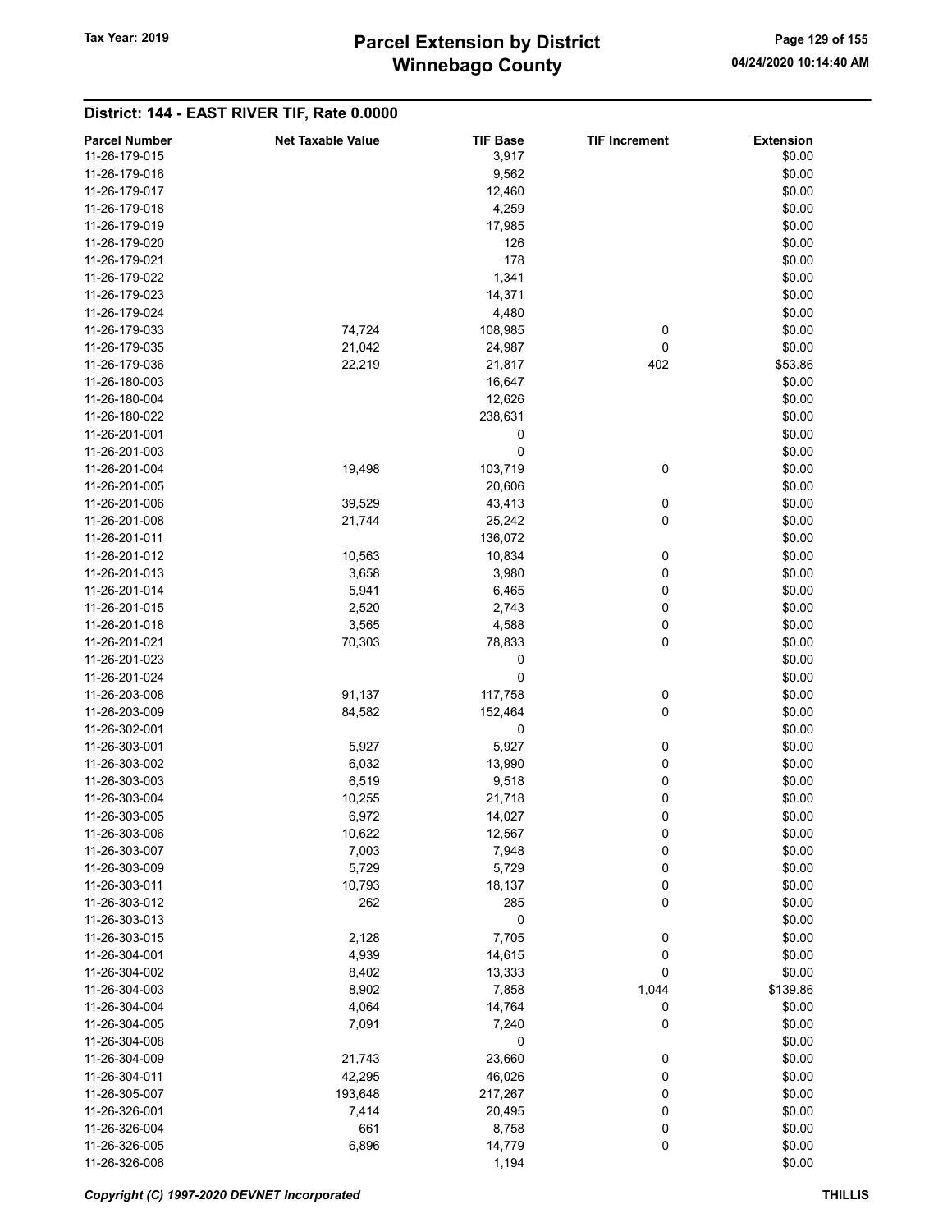# Winnebago County Tax Year: 2019 **Parcel Extension by District** Page 129 of 155

| <b>Parcel Number</b> | <b>Net Taxable Value</b> | <b>TIF Base</b> | <b>TIF Increment</b> | <b>Extension</b> |
|----------------------|--------------------------|-----------------|----------------------|------------------|
| 11-26-179-015        |                          | 3,917           |                      | \$0.00           |
| 11-26-179-016        |                          | 9,562           |                      | \$0.00           |
| 11-26-179-017        |                          |                 |                      | \$0.00           |
|                      |                          | 12,460          |                      |                  |
| 11-26-179-018        |                          | 4,259           |                      | \$0.00           |
| 11-26-179-019        |                          | 17,985          |                      | \$0.00           |
| 11-26-179-020        |                          | 126             |                      | \$0.00           |
| 11-26-179-021        |                          | 178             |                      | \$0.00           |
| 11-26-179-022        |                          | 1,341           |                      | \$0.00           |
| 11-26-179-023        |                          | 14,371          |                      | \$0.00           |
| 11-26-179-024        |                          | 4,480           |                      | \$0.00           |
| 11-26-179-033        | 74,724                   | 108,985         | 0                    | \$0.00           |
| 11-26-179-035        | 21,042                   | 24,987          | 0                    | \$0.00           |
| 11-26-179-036        | 22,219                   | 21,817          | 402                  | \$53.86          |
| 11-26-180-003        |                          |                 |                      |                  |
|                      |                          | 16,647          |                      | \$0.00           |
| 11-26-180-004        |                          | 12,626          |                      | \$0.00           |
| 11-26-180-022        |                          | 238,631         |                      | \$0.00           |
| 11-26-201-001        |                          | 0               |                      | \$0.00           |
| 11-26-201-003        |                          | 0               |                      | \$0.00           |
| 11-26-201-004        | 19,498                   | 103,719         | 0                    | \$0.00           |
| 11-26-201-005        |                          | 20,606          |                      | \$0.00           |
| 11-26-201-006        | 39,529                   | 43,413          | 0                    | \$0.00           |
| 11-26-201-008        | 21,744                   | 25,242          | 0                    | \$0.00           |
| 11-26-201-011        |                          | 136,072         |                      | \$0.00           |
| 11-26-201-012        | 10,563                   | 10,834          | 0                    | \$0.00           |
|                      |                          |                 |                      |                  |
| 11-26-201-013        | 3,658                    | 3,980           | 0                    | \$0.00           |
| 11-26-201-014        | 5,941                    | 6,465           | 0                    | \$0.00           |
| 11-26-201-015        | 2,520                    | 2,743           | 0                    | \$0.00           |
| 11-26-201-018        | 3,565                    | 4,588           | 0                    | \$0.00           |
| 11-26-201-021        | 70,303                   | 78,833          | 0                    | \$0.00           |
| 11-26-201-023        |                          | 0               |                      | \$0.00           |
| 11-26-201-024        |                          | 0               |                      | \$0.00           |
| 11-26-203-008        | 91,137                   | 117,758         | 0                    | \$0.00           |
| 11-26-203-009        | 84,582                   | 152,464         | 0                    | \$0.00           |
| 11-26-302-001        |                          | 0               |                      | \$0.00           |
| 11-26-303-001        | 5,927                    | 5,927           | 0                    | \$0.00           |
| 11-26-303-002        | 6,032                    | 13,990          | 0                    | \$0.00           |
| 11-26-303-003        | 6,519                    |                 |                      | \$0.00           |
|                      |                          | 9,518           | 0                    |                  |
| 11-26-303-004        | 10,255                   | 21,718          | 0                    | \$0.00           |
| 11-26-303-005        | 6,972                    | 14,027          | 0                    | \$0.00           |
| 11-26-303-006        | 10,622                   | 12,567          | 0                    | \$0.00           |
| 11-26-303-007        | 7,003                    | 7,948           | 0                    | \$0.00           |
| 11-26-303-009        | 5,729                    | 5,729           | $\mathbf 0$          | \$0.00           |
| 11-26-303-011        | 10,793                   | 18,137          | 0                    | \$0.00           |
| 11-26-303-012        | 262                      | 285             | $\pmb{0}$            | \$0.00           |
| 11-26-303-013        |                          | 0               |                      | \$0.00           |
| 11-26-303-015        | 2,128                    | 7,705           | 0                    | \$0.00           |
| 11-26-304-001        | 4,939                    | 14,615          | 0                    | \$0.00           |
| 11-26-304-002        | 8,402                    | 13,333          | 0                    | \$0.00           |
| 11-26-304-003        |                          |                 | 1,044                | \$139.86         |
|                      | 8,902                    | 7,858           |                      |                  |
| 11-26-304-004        | 4,064                    | 14,764          | 0                    | \$0.00           |
| 11-26-304-005        | 7,091                    | 7,240           | 0                    | \$0.00           |
| 11-26-304-008        |                          | 0               |                      | \$0.00           |
| 11-26-304-009        | 21,743                   | 23,660          | 0                    | \$0.00           |
| 11-26-304-011        | 42,295                   | 46,026          | 0                    | \$0.00           |
| 11-26-305-007        | 193,648                  | 217,267         | 0                    | \$0.00           |
| 11-26-326-001        | 7,414                    | 20,495          | 0                    | \$0.00           |
| 11-26-326-004        | 661                      | 8,758           | 0                    | \$0.00           |
| 11-26-326-005        | 6,896                    | 14,779          | 0                    | \$0.00           |
| 11-26-326-006        |                          | 1,194           |                      | \$0.00           |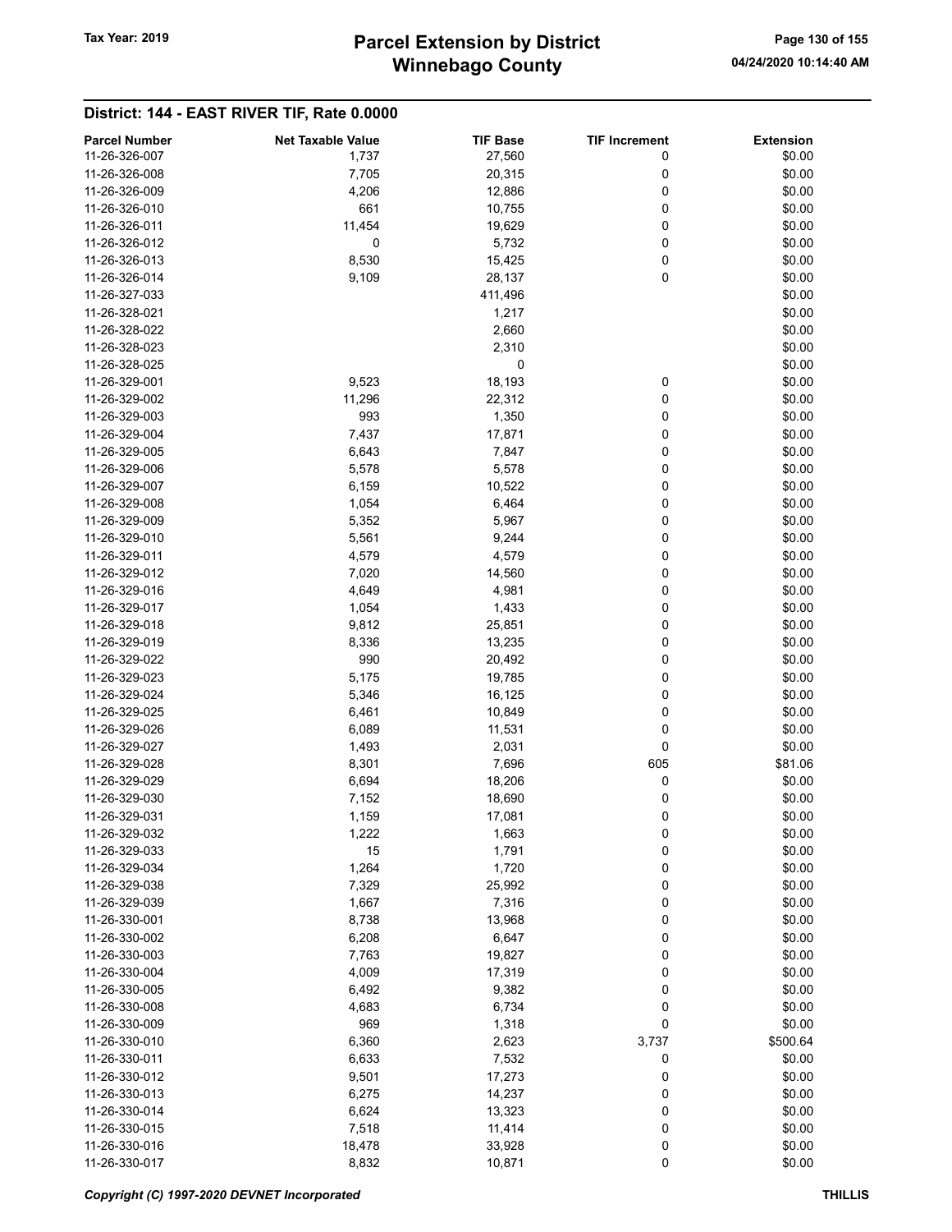# Winnebago County Tax Year: 2019 **Parcel Extension by District** Page 130 of 155

| <b>Parcel Number</b> | <b>Net Taxable Value</b> | <b>TIF Base</b> | <b>TIF Increment</b> | <b>Extension</b> |
|----------------------|--------------------------|-----------------|----------------------|------------------|
| 11-26-326-007        | 1,737                    | 27,560          | 0                    | \$0.00           |
| 11-26-326-008        | 7,705                    | 20,315          | 0                    | \$0.00           |
| 11-26-326-009        | 4,206                    | 12,886          | 0                    | \$0.00           |
| 11-26-326-010        | 661                      | 10,755          | 0                    | \$0.00           |
| 11-26-326-011        | 11,454                   | 19,629          | 0                    | \$0.00           |
| 11-26-326-012        | 0                        | 5,732           | 0                    | \$0.00           |
| 11-26-326-013        | 8,530                    | 15,425          | 0                    | \$0.00           |
| 11-26-326-014        |                          |                 | 0                    | \$0.00           |
|                      | 9,109                    | 28,137          |                      |                  |
| 11-26-327-033        |                          | 411,496         |                      | \$0.00           |
| 11-26-328-021        |                          | 1,217           |                      | \$0.00           |
| 11-26-328-022        |                          | 2,660           |                      | \$0.00           |
| 11-26-328-023        |                          | 2,310           |                      | \$0.00           |
| 11-26-328-025        |                          | 0               |                      | \$0.00           |
| 11-26-329-001        | 9,523                    | 18,193          | 0                    | \$0.00           |
| 11-26-329-002        | 11,296                   | 22,312          | 0                    | \$0.00           |
| 11-26-329-003        | 993                      | 1,350           | 0                    | \$0.00           |
| 11-26-329-004        | 7,437                    | 17,871          | 0                    | \$0.00           |
| 11-26-329-005        | 6,643                    | 7,847           | 0                    | \$0.00           |
| 11-26-329-006        | 5,578                    | 5,578           | 0                    | \$0.00           |
| 11-26-329-007        | 6,159                    | 10,522          | 0                    | \$0.00           |
| 11-26-329-008        | 1,054                    | 6,464           | 0                    | \$0.00           |
| 11-26-329-009        | 5,352                    | 5,967           | 0                    | \$0.00           |
| 11-26-329-010        | 5,561                    | 9,244           | 0                    | \$0.00           |
| 11-26-329-011        | 4,579                    | 4,579           | 0                    | \$0.00           |
| 11-26-329-012        | 7,020                    | 14,560          | 0                    | \$0.00           |
| 11-26-329-016        | 4,649                    | 4,981           | 0                    | \$0.00           |
| 11-26-329-017        | 1,054                    | 1,433           | 0                    | \$0.00           |
| 11-26-329-018        | 9,812                    | 25,851          | 0                    | \$0.00           |
| 11-26-329-019        | 8,336                    | 13,235          | 0                    | \$0.00           |
| 11-26-329-022        | 990                      | 20,492          | 0                    | \$0.00           |
| 11-26-329-023        | 5,175                    | 19,785          | 0                    | \$0.00           |
| 11-26-329-024        | 5,346                    | 16,125          | 0                    | \$0.00           |
| 11-26-329-025        | 6,461                    | 10,849          | 0                    | \$0.00           |
| 11-26-329-026        | 6,089                    | 11,531          | 0                    | \$0.00           |
| 11-26-329-027        | 1,493                    | 2,031           | 0                    | \$0.00           |
| 11-26-329-028        | 8,301                    | 7,696           | 605                  | \$81.06          |
| 11-26-329-029        | 6,694                    | 18,206          | 0                    | \$0.00           |
| 11-26-329-030        | 7,152                    | 18,690          | 0                    | \$0.00           |
| 11-26-329-031        |                          |                 | 0                    | \$0.00           |
| 11-26-329-032        | 1,159<br>1,222           | 17,081<br>1,663 | 0                    | \$0.00           |
|                      |                          |                 |                      |                  |
| 11-26-329-033        | 15                       | 1,791           | 0                    | \$0.00           |
| 11-26-329-034        | 1,264                    | 1,720           | 0                    | \$0.00           |
| 11-26-329-038        | 7,329                    | 25,992          | 0                    | \$0.00           |
| 11-26-329-039        | 1,667                    | 7,316           | 0                    | \$0.00           |
| 11-26-330-001        | 8,738                    | 13,968          | 0                    | \$0.00           |
| 11-26-330-002        | 6,208                    | 6,647           | 0                    | \$0.00           |
| 11-26-330-003        | 7,763                    | 19,827          | 0                    | \$0.00           |
| 11-26-330-004        | 4,009                    | 17,319          | 0                    | \$0.00           |
| 11-26-330-005        | 6,492                    | 9,382           | 0                    | \$0.00           |
| 11-26-330-008        | 4,683                    | 6,734           | 0                    | \$0.00           |
| 11-26-330-009        | 969                      | 1,318           | 0                    | \$0.00           |
| 11-26-330-010        | 6,360                    | 2,623           | 3,737                | \$500.64         |
| 11-26-330-011        | 6,633                    | 7,532           | 0                    | \$0.00           |
| 11-26-330-012        | 9,501                    | 17,273          | 0                    | \$0.00           |
| 11-26-330-013        | 6,275                    | 14,237          | 0                    | \$0.00           |
| 11-26-330-014        | 6,624                    | 13,323          | 0                    | \$0.00           |
| 11-26-330-015        | 7,518                    | 11,414          | 0                    | \$0.00           |
| 11-26-330-016        | 18,478                   | 33,928          | 0                    | \$0.00           |
| 11-26-330-017        | 8,832                    | 10,871          | 0                    | \$0.00           |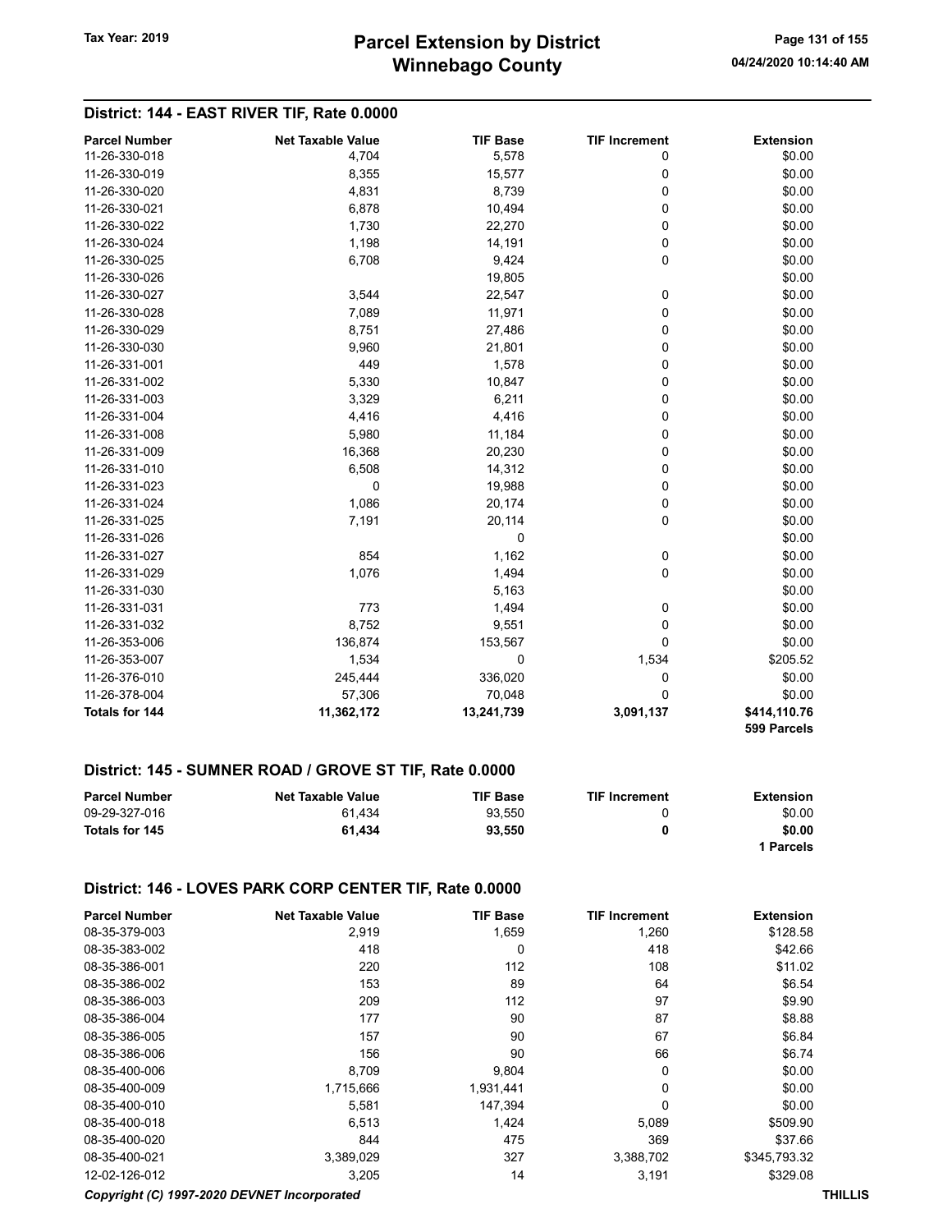## District: 144 - EAST RIVER TIF, Rate 0.0000

| <b>Parcel Number</b> | <b>Net Taxable Value</b> | <b>TIF Base</b> | <b>TIF Increment</b> | <b>Extension</b>            |
|----------------------|--------------------------|-----------------|----------------------|-----------------------------|
| 11-26-330-018        | 4,704                    | 5,578           | 0                    | \$0.00                      |
| 11-26-330-019        | 8,355                    | 15,577          | 0                    | \$0.00                      |
| 11-26-330-020        | 4,831                    | 8,739           | $\mathbf 0$          | \$0.00                      |
| 11-26-330-021        | 6,878                    | 10,494          | 0                    | \$0.00                      |
| 11-26-330-022        | 1,730                    | 22,270          | 0                    | \$0.00                      |
| 11-26-330-024        | 1,198                    | 14,191          | 0                    | \$0.00                      |
| 11-26-330-025        | 6,708                    | 9,424           | 0                    | \$0.00                      |
| 11-26-330-026        |                          | 19,805          |                      | \$0.00                      |
| 11-26-330-027        | 3,544                    | 22,547          | 0                    | \$0.00                      |
| 11-26-330-028        | 7,089                    | 11,971          | 0                    | \$0.00                      |
| 11-26-330-029        | 8,751                    | 27,486          | 0                    | \$0.00                      |
| 11-26-330-030        | 9,960                    | 21,801          | 0                    | \$0.00                      |
| 11-26-331-001        | 449                      | 1,578           | 0                    | \$0.00                      |
| 11-26-331-002        | 5,330                    | 10,847          | 0                    | \$0.00                      |
| 11-26-331-003        | 3,329                    | 6,211           | 0                    | \$0.00                      |
| 11-26-331-004        | 4,416                    | 4,416           | 0                    | \$0.00                      |
| 11-26-331-008        | 5,980                    | 11,184          | 0                    | \$0.00                      |
| 11-26-331-009        | 16,368                   | 20,230          | 0                    | \$0.00                      |
| 11-26-331-010        | 6,508                    | 14,312          | 0                    | \$0.00                      |
| 11-26-331-023        | $\mathbf 0$              | 19,988          | 0                    | \$0.00                      |
| 11-26-331-024        | 1,086                    | 20,174          | 0                    | \$0.00                      |
| 11-26-331-025        | 7,191                    | 20,114          | 0                    | \$0.00                      |
| 11-26-331-026        |                          | $\mathbf 0$     |                      | \$0.00                      |
| 11-26-331-027        | 854                      | 1,162           | 0                    | \$0.00                      |
| 11-26-331-029        | 1,076                    | 1,494           | 0                    | \$0.00                      |
| 11-26-331-030        |                          | 5,163           |                      | \$0.00                      |
| 11-26-331-031        | 773                      | 1,494           | 0                    | \$0.00                      |
| 11-26-331-032        | 8,752                    | 9,551           | 0                    | \$0.00                      |
| 11-26-353-006        | 136,874                  | 153,567         | 0                    | \$0.00                      |
| 11-26-353-007        | 1,534                    | $\mathbf 0$     | 1,534                | \$205.52                    |
| 11-26-376-010        | 245,444                  | 336,020         | 0                    | \$0.00                      |
| 11-26-378-004        | 57,306                   | 70,048          | $\Omega$             | \$0.00                      |
| Totals for 144       | 11,362,172               | 13,241,739      | 3,091,137            | \$414,110.76<br>599 Parcels |

#### District: 145 - SUMNER ROAD / GROVE ST TIF, Rate 0.0000

| <b>Parcel Number</b> | <b>Net Taxable Value</b> | <b>TIF Base</b> | <b>TIF Increment</b> | Extension |
|----------------------|--------------------------|-----------------|----------------------|-----------|
| 09-29-327-016        | 61.434                   | 93.550          |                      | \$0.00    |
| Totals for 145       | 61.434                   | 93.550          | 0                    | \$0.00    |
|                      |                          |                 |                      | l Parcels |

#### District: 146 - LOVES PARK CORP CENTER TIF, Rate 0.0000

| <b>Parcel Number</b>                        | <b>Net Taxable Value</b> | <b>TIF Base</b> | <b>TIF Increment</b> | <b>Extension</b> |                |
|---------------------------------------------|--------------------------|-----------------|----------------------|------------------|----------------|
| 08-35-379-003                               | 2,919                    | 1,659           | 1,260                | \$128.58         |                |
| 08-35-383-002                               | 418                      | 0               | 418                  | \$42.66          |                |
| 08-35-386-001                               | 220                      | 112             | 108                  | \$11.02          |                |
| 08-35-386-002                               | 153                      | 89              | 64                   | \$6.54           |                |
| 08-35-386-003                               | 209                      | 112             | 97                   | \$9.90           |                |
| 08-35-386-004                               | 177                      | 90              | 87                   | \$8.88           |                |
| 08-35-386-005                               | 157                      | 90              | 67                   | \$6.84           |                |
| 08-35-386-006                               | 156                      | 90              | 66                   | \$6.74           |                |
| 08-35-400-006                               | 8,709                    | 9,804           | 0                    | \$0.00           |                |
| 08-35-400-009                               | 1,715,666                | 1,931,441       | 0                    | \$0.00           |                |
| 08-35-400-010                               | 5,581                    | 147.394         | $\Omega$             | \$0.00           |                |
| 08-35-400-018                               | 6,513                    | 1,424           | 5,089                | \$509.90         |                |
| 08-35-400-020                               | 844                      | 475             | 369                  | \$37.66          |                |
| 08-35-400-021                               | 3,389,029                | 327             | 3,388,702            | \$345,793.32     |                |
| 12-02-126-012                               | 3,205                    | 14              | 3,191                | \$329.08         |                |
| Copyright (C) 1997-2020 DEVNET Incorporated |                          |                 |                      |                  | <b>THILLIS</b> |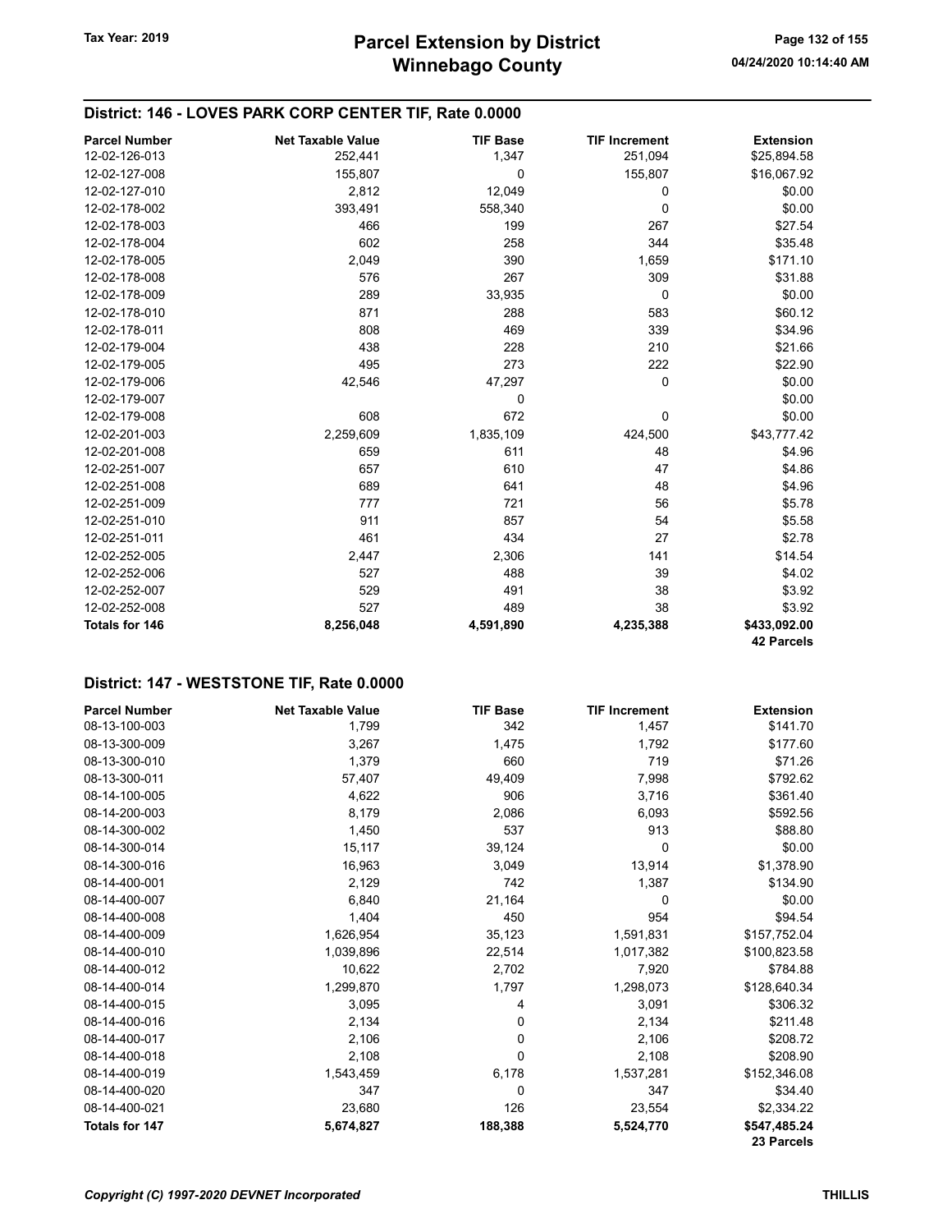### District: 146 - LOVES PARK CORP CENTER TIF, Rate 0.0000

| <b>Parcel Number</b> | <b>Net Taxable Value</b> | <b>TIF Base</b> | <b>TIF Increment</b> | <b>Extension</b>  |
|----------------------|--------------------------|-----------------|----------------------|-------------------|
| 12-02-126-013        | 252,441                  | 1,347           | 251,094              | \$25,894.58       |
| 12-02-127-008        | 155,807                  | $\mathbf 0$     | 155,807              | \$16,067.92       |
| 12-02-127-010        | 2,812                    | 12,049          | 0                    | \$0.00            |
| 12-02-178-002        | 393,491                  | 558,340         | 0                    | \$0.00            |
| 12-02-178-003        | 466                      | 199             | 267                  | \$27.54           |
| 12-02-178-004        | 602                      | 258             | 344                  | \$35.48           |
| 12-02-178-005        | 2,049                    | 390             | 1,659                | \$171.10          |
| 12-02-178-008        | 576                      | 267             | 309                  | \$31.88           |
| 12-02-178-009        | 289                      | 33,935          | 0                    | \$0.00            |
| 12-02-178-010        | 871                      | 288             | 583                  | \$60.12           |
| 12-02-178-011        | 808                      | 469             | 339                  | \$34.96           |
| 12-02-179-004        | 438                      | 228             | 210                  | \$21.66           |
| 12-02-179-005        | 495                      | 273             | 222                  | \$22.90           |
| 12-02-179-006        | 42,546                   | 47,297          | 0                    | \$0.00            |
| 12-02-179-007        |                          | 0               |                      | \$0.00            |
| 12-02-179-008        | 608                      | 672             | 0                    | \$0.00            |
| 12-02-201-003        | 2,259,609                | 1,835,109       | 424,500              | \$43,777.42       |
| 12-02-201-008        | 659                      | 611             | 48                   | \$4.96            |
| 12-02-251-007        | 657                      | 610             | 47                   | \$4.86            |
| 12-02-251-008        | 689                      | 641             | 48                   | \$4.96            |
| 12-02-251-009        | 777                      | 721             | 56                   | \$5.78            |
| 12-02-251-010        | 911                      | 857             | 54                   | \$5.58            |
| 12-02-251-011        | 461                      | 434             | 27                   | \$2.78            |
| 12-02-252-005        | 2,447                    | 2,306           | 141                  | \$14.54           |
| 12-02-252-006        | 527                      | 488             | 39                   | \$4.02            |
| 12-02-252-007        | 529                      | 491             | 38                   | \$3.92            |
| 12-02-252-008        | 527                      | 489             | 38                   | \$3.92            |
| Totals for 146       | 8,256,048                | 4,591,890       | 4,235,388            | \$433,092.00      |
|                      |                          |                 |                      | <b>42 Parcels</b> |

#### District: 147 - WESTSTONE TIF, Rate 0.0000

| <b>Parcel Number</b>  | <b>Net Taxable Value</b> | <b>TIF Base</b> | <b>TIF Increment</b> | <b>Extension</b> |
|-----------------------|--------------------------|-----------------|----------------------|------------------|
| 08-13-100-003         | 1,799                    | 342             | 1,457                | \$141.70         |
| 08-13-300-009         | 3,267                    | 1,475           | 1,792                | \$177.60         |
| 08-13-300-010         | 1,379                    | 660             | 719                  | \$71.26          |
| 08-13-300-011         | 57,407                   | 49,409          | 7,998                | \$792.62         |
| 08-14-100-005         | 4,622                    | 906             | 3,716                | \$361.40         |
| 08-14-200-003         | 8,179                    | 2,086           | 6,093                | \$592.56         |
| 08-14-300-002         | 1,450                    | 537             | 913                  | \$88.80          |
| 08-14-300-014         | 15,117                   | 39,124          | 0                    | \$0.00           |
| 08-14-300-016         | 16,963                   | 3,049           | 13,914               | \$1,378.90       |
| 08-14-400-001         | 2,129                    | 742             | 1,387                | \$134.90         |
| 08-14-400-007         | 6,840                    | 21,164          | 0                    | \$0.00           |
| 08-14-400-008         | 1,404                    | 450             | 954                  | \$94.54          |
| 08-14-400-009         | 1,626,954                | 35,123          | 1,591,831            | \$157,752.04     |
| 08-14-400-010         | 1,039,896                | 22,514          | 1,017,382            | \$100,823.58     |
| 08-14-400-012         | 10,622                   | 2,702           | 7,920                | \$784.88         |
| 08-14-400-014         | 1,299,870                | 1,797           | 1,298,073            | \$128,640.34     |
| 08-14-400-015         | 3,095                    | 4               | 3,091                | \$306.32         |
| 08-14-400-016         | 2,134                    | 0               | 2,134                | \$211.48         |
| 08-14-400-017         | 2,106                    | 0               | 2,106                | \$208.72         |
| 08-14-400-018         | 2,108                    | 0               | 2,108                | \$208.90         |
| 08-14-400-019         | 1,543,459                | 6,178           | 1,537,281            | \$152,346.08     |
| 08-14-400-020         | 347                      | 0               | 347                  | \$34.40          |
| 08-14-400-021         | 23,680                   | 126             | 23,554               | \$2,334.22       |
| <b>Totals for 147</b> | 5,674,827                | 188,388         | 5,524,770            | \$547,485.24     |
|                       |                          |                 |                      | 23 Parcels       |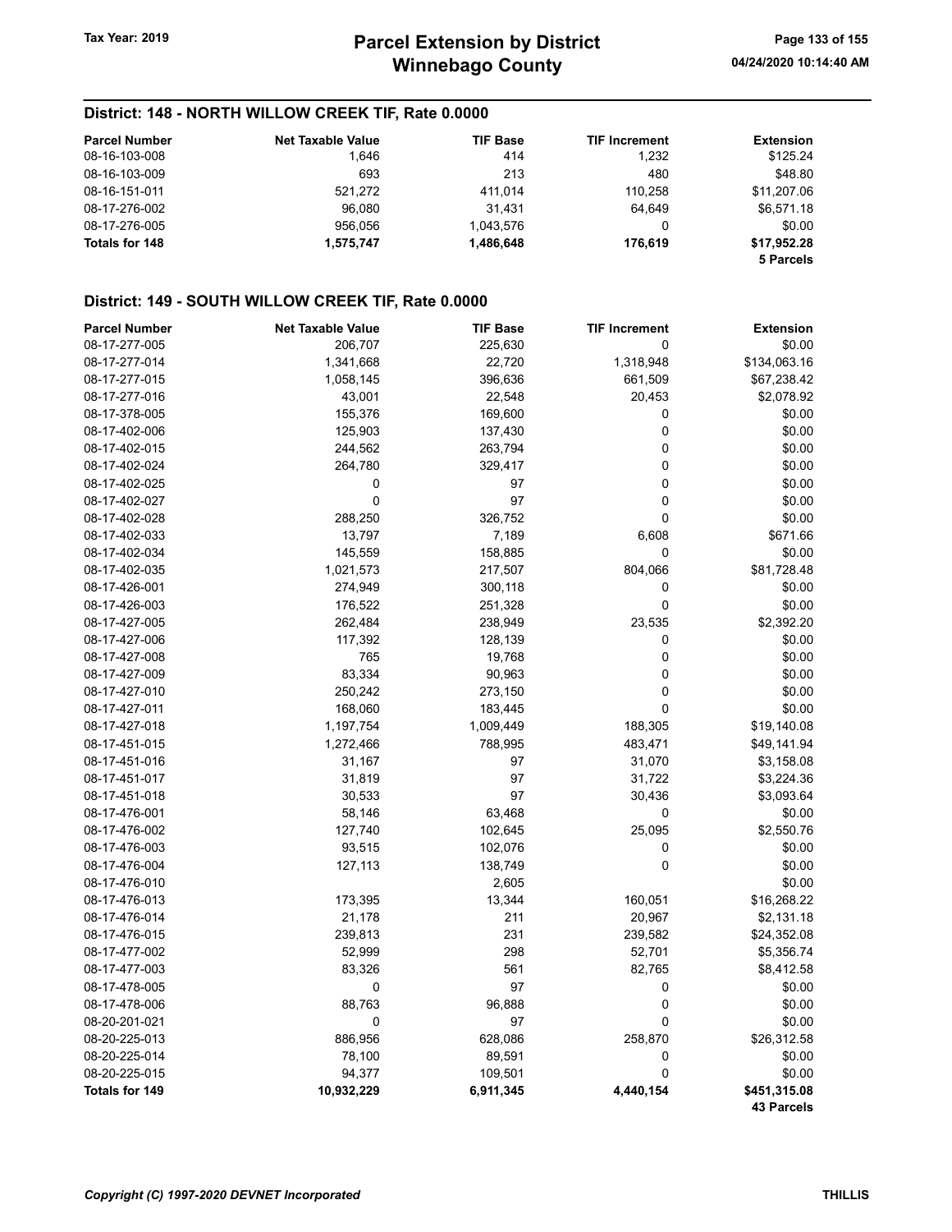## District: 148 - NORTH WILLOW CREEK TIF, Rate 0.0000

| <b>Parcel Number</b>  | <b>Net Taxable Value</b> | <b>TIF Base</b> | <b>TIF Increment</b> | <b>Extension</b>         |
|-----------------------|--------------------------|-----------------|----------------------|--------------------------|
| 08-16-103-008         | 1,646                    | 414             | 1.232                | \$125.24                 |
| 08-16-103-009         | 693                      | 213             | 480                  | \$48.80                  |
| 08-16-151-011         | 521.272                  | 411.014         | 110.258              | \$11.207.06              |
| 08-17-276-002         | 96.080                   | 31.431          | 64.649               | \$6.571.18               |
| 08-17-276-005         | 956.056                  | 1.043.576       | 0                    | \$0.00                   |
| <b>Totals for 148</b> | 1.575.747                | 1.486.648       | 176.619              | \$17.952.28<br>5 Parcels |

## District: 149 - SOUTH WILLOW CREEK TIF, Rate 0.0000

| <b>Parcel Number</b>  | <b>Net Taxable Value</b> | <b>TIF Base</b> | <b>TIF Increment</b> | <b>Extension</b>  |
|-----------------------|--------------------------|-----------------|----------------------|-------------------|
| 08-17-277-005         | 206,707                  | 225,630         | 0                    | \$0.00            |
| 08-17-277-014         | 1,341,668                | 22,720          | 1,318,948            | \$134,063.16      |
| 08-17-277-015         | 1,058,145                | 396,636         | 661,509              | \$67,238.42       |
| 08-17-277-016         | 43,001                   | 22,548          | 20,453               | \$2,078.92        |
| 08-17-378-005         | 155,376                  | 169,600         | 0                    | \$0.00            |
| 08-17-402-006         | 125,903                  | 137,430         | $\mathbf 0$          | \$0.00            |
| 08-17-402-015         | 244,562                  | 263,794         | $\mathbf 0$          | \$0.00            |
| 08-17-402-024         | 264,780                  | 329,417         | 0                    | \$0.00            |
| 08-17-402-025         | 0                        | 97              | $\mathbf 0$          | \$0.00            |
| 08-17-402-027         | 0                        | 97              | 0                    | \$0.00            |
| 08-17-402-028         | 288,250                  | 326,752         | $\pmb{0}$            | \$0.00            |
| 08-17-402-033         | 13,797                   | 7,189           | 6,608                | \$671.66          |
| 08-17-402-034         | 145,559                  | 158,885         | 0                    | \$0.00            |
| 08-17-402-035         | 1,021,573                | 217,507         | 804,066              | \$81,728.48       |
| 08-17-426-001         | 274,949                  | 300,118         | 0                    | \$0.00            |
| 08-17-426-003         | 176,522                  | 251,328         | $\mathbf 0$          | \$0.00            |
| 08-17-427-005         | 262,484                  | 238,949         | 23,535               | \$2,392.20        |
| 08-17-427-006         | 117,392                  | 128,139         | 0                    | \$0.00            |
| 08-17-427-008         | 765                      | 19,768          | 0                    | \$0.00            |
| 08-17-427-009         | 83,334                   | 90,963          | $\mathbf 0$          | \$0.00            |
| 08-17-427-010         | 250,242                  | 273,150         | 0                    | \$0.00            |
| 08-17-427-011         | 168,060                  | 183,445         | $\pmb{0}$            | \$0.00            |
| 08-17-427-018         | 1,197,754                | 1,009,449       | 188,305              | \$19,140.08       |
| 08-17-451-015         | 1,272,466                | 788,995         | 483,471              | \$49,141.94       |
| 08-17-451-016         | 31,167                   | 97              | 31,070               | \$3,158.08        |
| 08-17-451-017         | 31,819                   | 97              | 31,722               | \$3,224.36        |
| 08-17-451-018         | 30,533                   | 97              | 30,436               | \$3,093.64        |
| 08-17-476-001         | 58,146                   | 63,468          | $\pmb{0}$            | \$0.00            |
| 08-17-476-002         | 127,740                  | 102,645         | 25,095               | \$2,550.76        |
| 08-17-476-003         | 93,515                   | 102,076         | 0                    | \$0.00            |
| 08-17-476-004         | 127,113                  | 138,749         | $\overline{0}$       | \$0.00            |
| 08-17-476-010         |                          | 2,605           |                      | \$0.00            |
| 08-17-476-013         | 173,395                  | 13,344          | 160,051              | \$16,268.22       |
| 08-17-476-014         | 21,178                   | 211             | 20,967               | \$2,131.18        |
| 08-17-476-015         | 239,813                  | 231             | 239,582              | \$24,352.08       |
| 08-17-477-002         | 52,999                   | 298             | 52,701               | \$5,356.74        |
| 08-17-477-003         | 83,326                   | 561             | 82,765               | \$8,412.58        |
| 08-17-478-005         | 0                        | 97              | 0                    | \$0.00            |
| 08-17-478-006         | 88,763                   | 96,888          | $\pmb{0}$            | \$0.00            |
| 08-20-201-021         | 0                        | 97              | 0                    | \$0.00            |
| 08-20-225-013         | 886,956                  | 628,086         | 258,870              | \$26,312.58       |
| 08-20-225-014         | 78,100                   | 89,591          | $\pmb{0}$            | \$0.00            |
| 08-20-225-015         | 94,377                   | 109,501         | 0                    | \$0.00            |
| <b>Totals for 149</b> | 10,932,229               | 6,911,345       | 4,440,154            | \$451,315.08      |
|                       |                          |                 |                      | <b>43 Parcels</b> |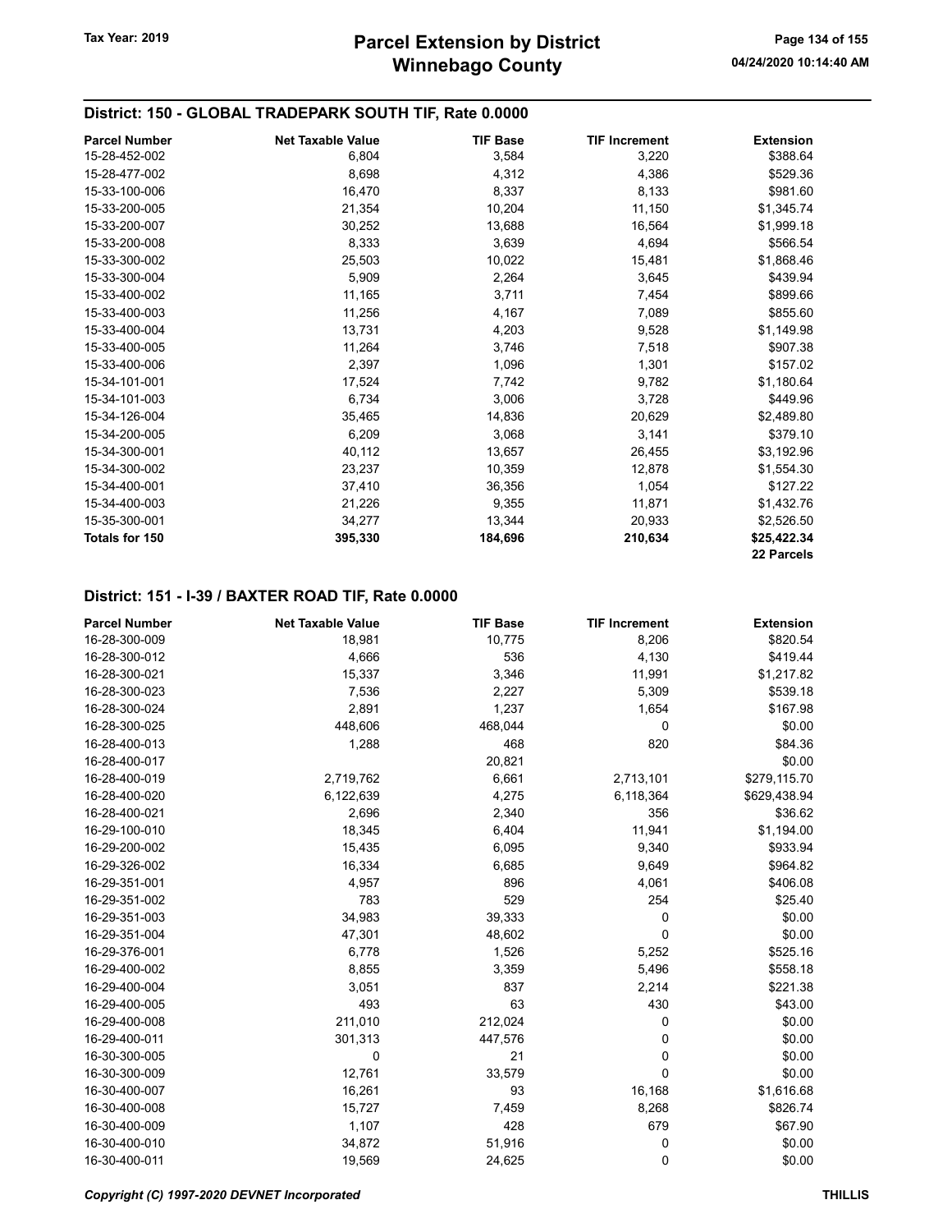## District: 150 - GLOBAL TRADEPARK SOUTH TIF, Rate 0.0000

| <b>Parcel Number</b>  | <b>Net Taxable Value</b> | <b>TIF Base</b> | <b>TIF Increment</b> | <b>Extension</b> |
|-----------------------|--------------------------|-----------------|----------------------|------------------|
| 15-28-452-002         | 6,804                    | 3,584           | 3,220                | \$388.64         |
| 15-28-477-002         | 8,698                    | 4,312           | 4,386                | \$529.36         |
| 15-33-100-006         | 16,470                   | 8,337           | 8,133                | \$981.60         |
| 15-33-200-005         | 21,354                   | 10,204          | 11,150               | \$1,345.74       |
| 15-33-200-007         | 30,252                   | 13,688          | 16,564               | \$1,999.18       |
| 15-33-200-008         | 8,333                    | 3,639           | 4,694                | \$566.54         |
| 15-33-300-002         | 25,503                   | 10,022          | 15,481               | \$1,868.46       |
| 15-33-300-004         | 5,909                    | 2,264           | 3,645                | \$439.94         |
| 15-33-400-002         | 11,165                   | 3,711           | 7,454                | \$899.66         |
| 15-33-400-003         | 11,256                   | 4,167           | 7,089                | \$855.60         |
| 15-33-400-004         | 13,731                   | 4,203           | 9,528                | \$1,149.98       |
| 15-33-400-005         | 11,264                   | 3,746           | 7,518                | \$907.38         |
| 15-33-400-006         | 2,397                    | 1,096           | 1,301                | \$157.02         |
| 15-34-101-001         | 17,524                   | 7,742           | 9,782                | \$1,180.64       |
| 15-34-101-003         | 6,734                    | 3,006           | 3,728                | \$449.96         |
| 15-34-126-004         | 35,465                   | 14,836          | 20,629               | \$2,489.80       |
| 15-34-200-005         | 6,209                    | 3,068           | 3,141                | \$379.10         |
| 15-34-300-001         | 40,112                   | 13,657          | 26,455               | \$3,192.96       |
| 15-34-300-002         | 23,237                   | 10,359          | 12,878               | \$1,554.30       |
| 15-34-400-001         | 37,410                   | 36,356          | 1,054                | \$127.22         |
| 15-34-400-003         | 21,226                   | 9,355           | 11,871               | \$1,432.76       |
| 15-35-300-001         | 34,277                   | 13,344          | 20,933               | \$2,526.50       |
| <b>Totals for 150</b> | 395,330                  | 184,696         | 210,634              | \$25,422.34      |
|                       |                          |                 |                      | 22 Parcels       |

#### District: 151 - I-39 / BAXTER ROAD TIF, Rate 0.0000

| <b>Parcel Number</b> | <b>Net Taxable Value</b> | <b>TIF Base</b> | <b>TIF Increment</b> | <b>Extension</b> |
|----------------------|--------------------------|-----------------|----------------------|------------------|
| 16-28-300-009        | 18,981                   | 10,775          | 8,206                | \$820.54         |
| 16-28-300-012        | 4,666                    | 536             | 4,130                | \$419.44         |
| 16-28-300-021        | 15,337                   | 3,346           | 11,991               | \$1,217.82       |
| 16-28-300-023        | 7,536                    | 2,227           | 5,309                | \$539.18         |
| 16-28-300-024        | 2,891                    | 1,237           | 1,654                | \$167.98         |
| 16-28-300-025        | 448,606                  | 468,044         | 0                    | \$0.00           |
| 16-28-400-013        | 1,288                    | 468             | 820                  | \$84.36          |
| 16-28-400-017        |                          | 20,821          |                      | \$0.00           |
| 16-28-400-019        | 2,719,762                | 6,661           | 2,713,101            | \$279,115.70     |
| 16-28-400-020        | 6,122,639                | 4,275           | 6,118,364            | \$629,438.94     |
| 16-28-400-021        | 2,696                    | 2,340           | 356                  | \$36.62          |
| 16-29-100-010        | 18,345                   | 6,404           | 11,941               | \$1,194.00       |
| 16-29-200-002        | 15,435                   | 6,095           | 9,340                | \$933.94         |
| 16-29-326-002        | 16,334                   | 6,685           | 9,649                | \$964.82         |
| 16-29-351-001        | 4,957                    | 896             | 4,061                | \$406.08         |
| 16-29-351-002        | 783                      | 529             | 254                  | \$25.40          |
| 16-29-351-003        | 34,983                   | 39,333          | 0                    | \$0.00           |
| 16-29-351-004        | 47,301                   | 48,602          | 0                    | \$0.00           |
| 16-29-376-001        | 6,778                    | 1,526           | 5,252                | \$525.16         |
| 16-29-400-002        | 8,855                    | 3,359           | 5,496                | \$558.18         |
| 16-29-400-004        | 3,051                    | 837             | 2,214                | \$221.38         |
| 16-29-400-005        | 493                      | 63              | 430                  | \$43.00          |
| 16-29-400-008        | 211,010                  | 212,024         | 0                    | \$0.00           |
| 16-29-400-011        | 301,313                  | 447,576         | 0                    | \$0.00           |
| 16-30-300-005        | 0                        | 21              | 0                    | \$0.00           |
| 16-30-300-009        | 12,761                   | 33,579          | 0                    | \$0.00           |
| 16-30-400-007        | 16,261                   | 93              | 16,168               | \$1,616.68       |
| 16-30-400-008        | 15,727                   | 7,459           | 8,268                | \$826.74         |
| 16-30-400-009        | 1,107                    | 428             | 679                  | \$67.90          |
| 16-30-400-010        | 34,872                   | 51,916          | 0                    | \$0.00           |
| 16-30-400-011        | 19,569                   | 24,625          | 0                    | \$0.00           |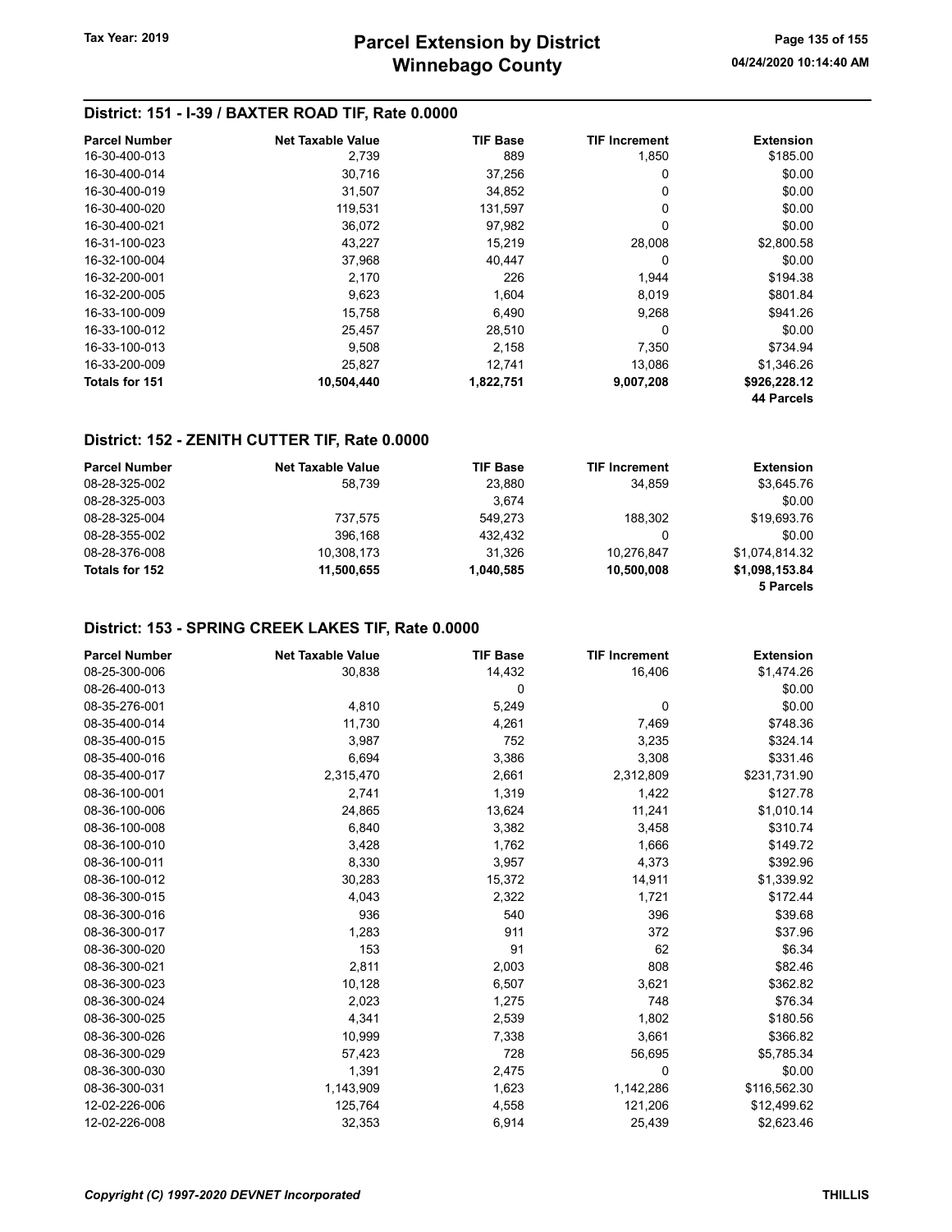## District: 151 - I-39 / BAXTER ROAD TIF, Rate 0.0000

| <b>Parcel Number</b> | <b>Net Taxable Value</b> | <b>TIF Base</b> | <b>TIF Increment</b> | <b>Extension</b> |
|----------------------|--------------------------|-----------------|----------------------|------------------|
| 16-30-400-013        | 2,739                    | 889             | 1,850                | \$185.00         |
| 16-30-400-014        | 30.716                   | 37,256          | 0                    | \$0.00           |
| 16-30-400-019        | 31,507                   | 34,852          | 0                    | \$0.00           |
| 16-30-400-020        | 119.531                  | 131.597         | 0                    | \$0.00           |
| 16-30-400-021        | 36,072                   | 97,982          | 0                    | \$0.00           |
| 16-31-100-023        | 43,227                   | 15,219          | 28,008               | \$2,800.58       |
| 16-32-100-004        | 37,968                   | 40,447          | 0                    | \$0.00           |
| 16-32-200-001        | 2.170                    | 226             | 1,944                | \$194.38         |
| 16-32-200-005        | 9,623                    | 1,604           | 8,019                | \$801.84         |
| 16-33-100-009        | 15.758                   | 6,490           | 9,268                | \$941.26         |
| 16-33-100-012        | 25,457                   | 28,510          | 0                    | \$0.00           |
| 16-33-100-013        | 9,508                    | 2,158           | 7,350                | \$734.94         |
| 16-33-200-009        | 25,827                   | 12,741          | 13,086               | \$1,346.26       |
| Totals for 151       | 10,504,440               | 1,822,751       | 9,007,208            | \$926,228.12     |
|                      |                          |                 |                      | 44 Parcels       |

#### District: 152 - ZENITH CUTTER TIF, Rate 0.0000

| <b>Parcel Number</b> | <b>Net Taxable Value</b> | <b>TIF Base</b> | <b>TIF Increment</b> | <b>Extension</b> |
|----------------------|--------------------------|-----------------|----------------------|------------------|
| 08-28-325-002        | 58.739                   | 23.880          | 34.859               | \$3,645.76       |
| 08-28-325-003        |                          | 3.674           |                      | \$0.00           |
| 08-28-325-004        | 737.575                  | 549.273         | 188.302              | \$19,693.76      |
| 08-28-355-002        | 396.168                  | 432.432         | 0                    | \$0.00           |
| 08-28-376-008        | 10.308.173               | 31.326          | 10.276.847           | \$1.074.814.32   |
| Totals for 152       | 11.500.655               | 1.040.585       | 10.500.008           | \$1,098,153.84   |
|                      |                          |                 |                      | 5 Parcels        |

## District: 153 - SPRING CREEK LAKES TIF, Rate 0.0000

| <b>Parcel Number</b> | <b>Net Taxable Value</b> | <b>TIF Base</b> | <b>TIF Increment</b> | <b>Extension</b> |
|----------------------|--------------------------|-----------------|----------------------|------------------|
| 08-25-300-006        | 30,838                   | 14,432          | 16,406               | \$1,474.26       |
| 08-26-400-013        |                          | 0               |                      | \$0.00           |
| 08-35-276-001        | 4,810                    | 5,249           | 0                    | \$0.00           |
| 08-35-400-014        | 11,730                   | 4,261           | 7,469                | \$748.36         |
| 08-35-400-015        | 3,987                    | 752             | 3,235                | \$324.14         |
| 08-35-400-016        | 6,694                    | 3,386           | 3,308                | \$331.46         |
| 08-35-400-017        | 2,315,470                | 2,661           | 2,312,809            | \$231,731.90     |
| 08-36-100-001        | 2,741                    | 1,319           | 1,422                | \$127.78         |
| 08-36-100-006        | 24,865                   | 13,624          | 11,241               | \$1,010.14       |
| 08-36-100-008        | 6,840                    | 3,382           | 3,458                | \$310.74         |
| 08-36-100-010        | 3,428                    | 1,762           | 1,666                | \$149.72         |
| 08-36-100-011        | 8,330                    | 3,957           | 4,373                | \$392.96         |
| 08-36-100-012        | 30,283                   | 15,372          | 14,911               | \$1,339.92       |
| 08-36-300-015        | 4,043                    | 2,322           | 1,721                | \$172.44         |
| 08-36-300-016        | 936                      | 540             | 396                  | \$39.68          |
| 08-36-300-017        | 1,283                    | 911             | 372                  | \$37.96          |
| 08-36-300-020        | 153                      | 91              | 62                   | \$6.34           |
| 08-36-300-021        | 2,811                    | 2,003           | 808                  | \$82.46          |
| 08-36-300-023        | 10,128                   | 6,507           | 3,621                | \$362.82         |
| 08-36-300-024        | 2,023                    | 1,275           | 748                  | \$76.34          |
| 08-36-300-025        | 4,341                    | 2,539           | 1,802                | \$180.56         |
| 08-36-300-026        | 10,999                   | 7,338           | 3,661                | \$366.82         |
| 08-36-300-029        | 57,423                   | 728             | 56,695               | \$5,785.34       |
| 08-36-300-030        | 1,391                    | 2,475           | 0                    | \$0.00           |
| 08-36-300-031        | 1,143,909                | 1,623           | 1,142,286            | \$116,562.30     |
| 12-02-226-006        | 125,764                  | 4,558           | 121,206              | \$12,499.62      |
| 12-02-226-008        | 32,353                   | 6,914           | 25,439               | \$2,623.46       |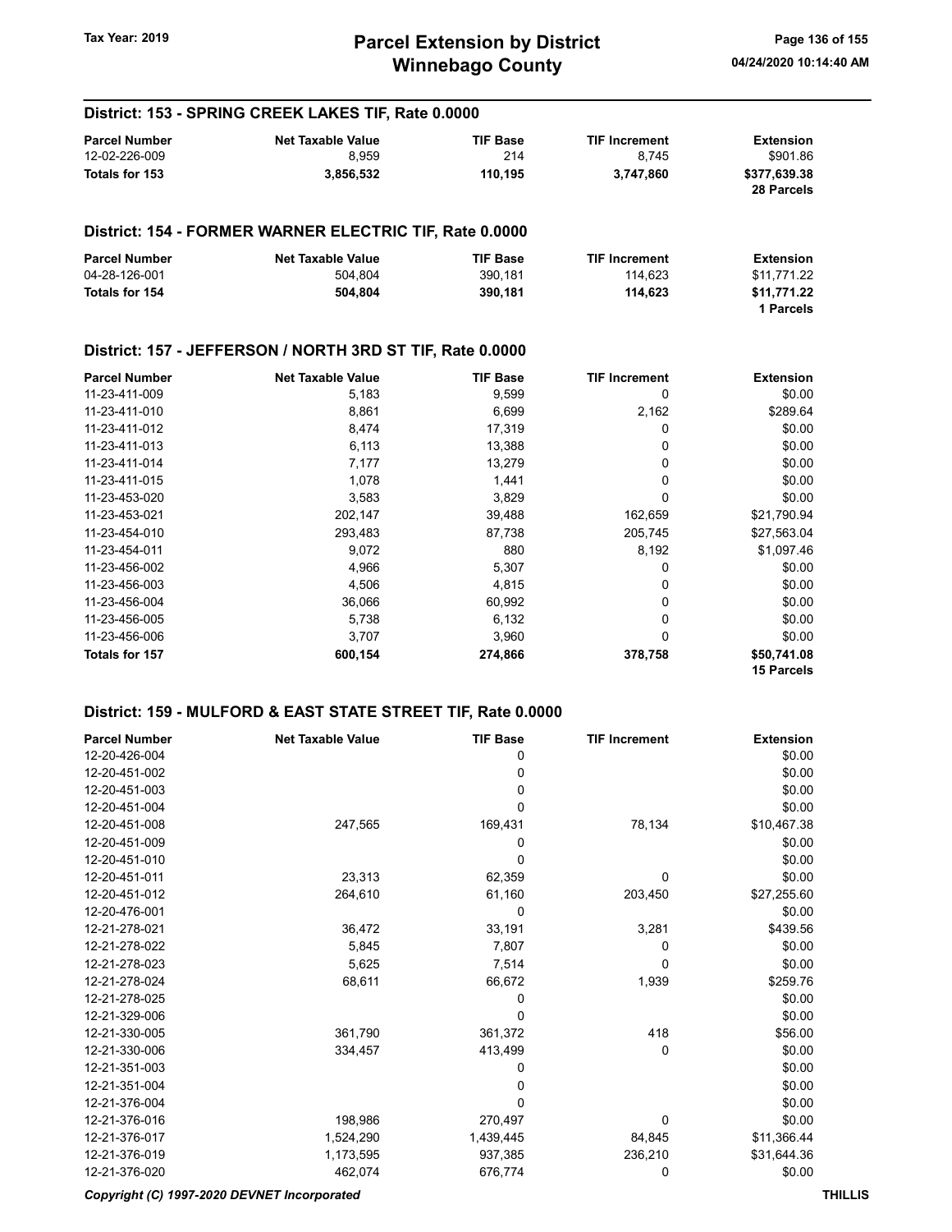## Winnebago County Tax Year: 2019 **Parcel Extension by District** Page 136 of 155

15 Parcels

#### Parcel Number **Net Taxable Value** TIF Base TIF Increment Extension 12-02-226-009 8,959 214 8,745 \$901.86 Totals for 153 3,856,532 110,195 3,747,860 \$377,639.38 28 Parcels District: 154 - FORMER WARNER ELECTRIC TIF, Rate 0.0000 Parcel Number **Net Taxable Value** TIF Base TIF Increment Extension 04-28-126-001 504,804 390,181 114,623 \$11,771.22 Totals for 154 **504,804** 504,804 **504,804** 390,181 **114,623** \$11,771.22 1 Parcels District: 157 - JEFFERSON / NORTH 3RD ST TIF, Rate 0.0000 Parcel Number **Net Taxable Value Net Taxable Value TIF Base TIF Increment Extension**<br>11-23-411-009 **Extension Extension Extension Extension Extension Extension Extension Extension** 11-23-411-009 5,183 9,599 0 \$0.00 11-23-411-010 8,861 8,861 6,699 2,162 \$289.64 11-23-411-012 8,474 17,319 0 \$0.00 11-23-411-013 6,113 13,388 0 \$0.00 11-23-411-014 **13,279** 0 \$0.00 11-23-411-015 **1,078** 1,441 0 \$0.00 11-23-453-020 3,583 3,829 0 \$0.00 11-23-453-021 202,147 39,488 162,659 \$21,790.94 11-23-454-010 293,483 87,738 205,745 \$27,563.04 11-23-454-011 9,072 880 8,192 \$1,097.46 11-23-456-002 4,966 5,307 0 \$0.00 11-23-456-003 4,506 4,815 0 \$0.00 11-23-456-004 36,066 60,992 0 \$0.00 11-23-456-005 5,738 6,132 0 \$0.00 11-23-456-006 3,707 3,960 0 \$0.00 Totals for 157 600,154 274,866 378,758 \$50,741.08

#### District: 159 - MULFORD & EAST STATE STREET TIF, Rate 0.0000

District: 153 - SPRING CREEK LAKES TIF, Rate 0.0000

| <b>Parcel Number</b> | <b>Net Taxable Value</b> | <b>TIF Base</b> | <b>TIF Increment</b> | <b>Extension</b> |
|----------------------|--------------------------|-----------------|----------------------|------------------|
| 12-20-426-004        |                          | 0               |                      | \$0.00           |
| 12-20-451-002        |                          | 0               |                      | \$0.00           |
| 12-20-451-003        |                          | 0               |                      | \$0.00           |
| 12-20-451-004        |                          | 0               |                      | \$0.00           |
| 12-20-451-008        | 247,565                  | 169,431         | 78,134               | \$10,467.38      |
| 12-20-451-009        |                          | 0               |                      | \$0.00           |
| 12-20-451-010        |                          | 0               |                      | \$0.00           |
| 12-20-451-011        | 23,313                   | 62,359          | 0                    | \$0.00           |
| 12-20-451-012        | 264,610                  | 61,160          | 203,450              | \$27,255.60      |
| 12-20-476-001        |                          | 0               |                      | \$0.00           |
| 12-21-278-021        | 36,472                   | 33,191          | 3,281                | \$439.56         |
| 12-21-278-022        | 5,845                    | 7,807           | 0                    | \$0.00           |
| 12-21-278-023        | 5,625                    | 7,514           | 0                    | \$0.00           |
| 12-21-278-024        | 68,611                   | 66,672          | 1,939                | \$259.76         |
| 12-21-278-025        |                          | 0               |                      | \$0.00           |
| 12-21-329-006        |                          | 0               |                      | \$0.00           |
| 12-21-330-005        | 361,790                  | 361,372         | 418                  | \$56.00          |
| 12-21-330-006        | 334,457                  | 413,499         | 0                    | \$0.00           |
| 12-21-351-003        |                          | 0               |                      | \$0.00           |
| 12-21-351-004        |                          | 0               |                      | \$0.00           |
| 12-21-376-004        |                          | 0               |                      | \$0.00           |
| 12-21-376-016        | 198,986                  | 270,497         | 0                    | \$0.00           |
| 12-21-376-017        | 1,524,290                | 1,439,445       | 84,845               | \$11,366.44      |
| 12-21-376-019        | 1,173,595                | 937,385         | 236,210              | \$31,644.36      |
| 12-21-376-020        | 462,074                  | 676,774         | 0                    | \$0.00           |

#### Copyright (C) 1997-2020 DEVNET Incorporated THILLIS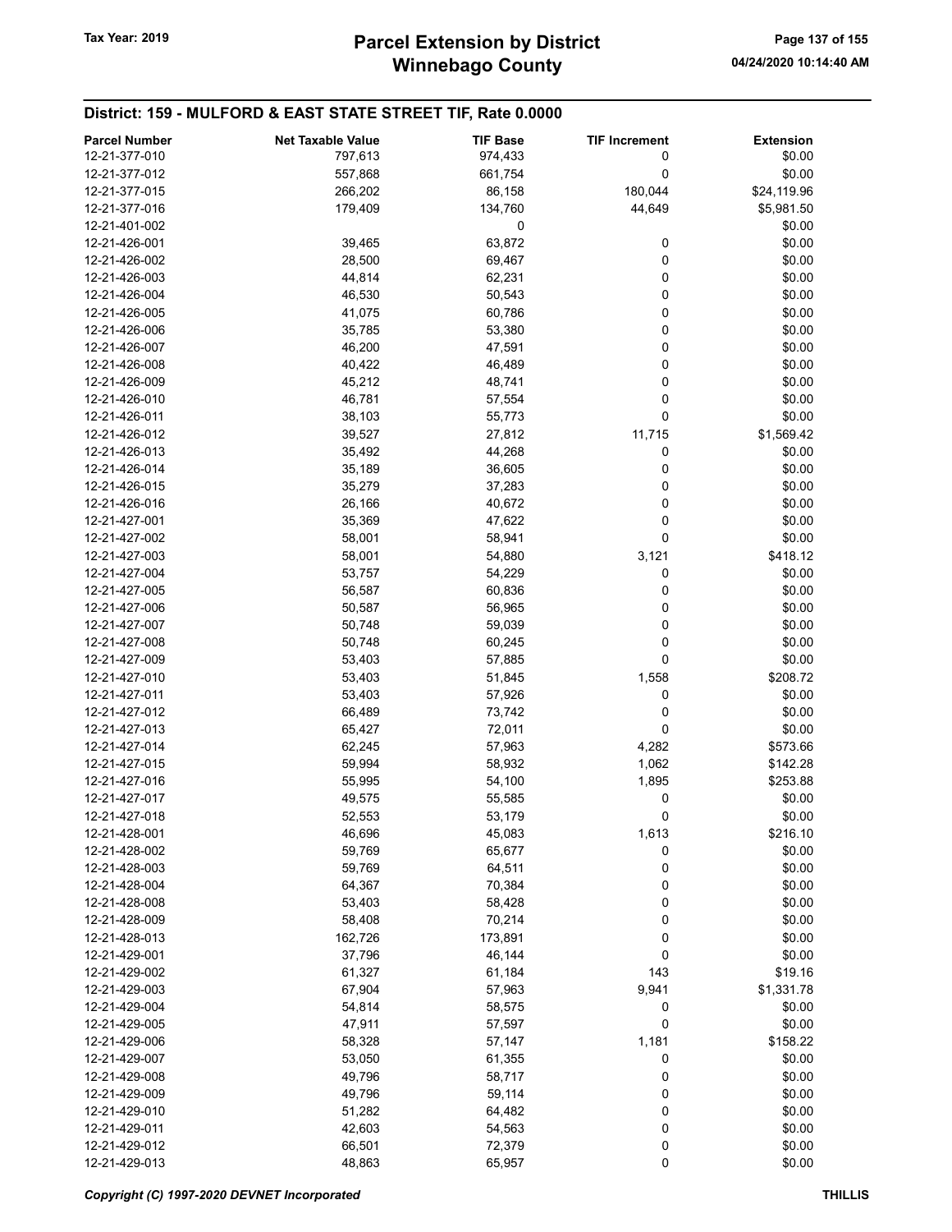| 12-21-377-010<br>\$0.00<br>797,613<br>974,433<br>0<br>12-21-377-012<br>557,868<br>661,754<br>0<br>\$0.00<br>180,044<br>12-21-377-015<br>266,202<br>86,158<br>\$24,119.96<br>44,649<br>12-21-377-016<br>179,409<br>134,760<br>\$5,981.50<br>\$0.00<br>12-21-401-002<br>0<br>63,872<br>\$0.00<br>12-21-426-001<br>39,465<br>0<br>0<br>\$0.00<br>12-21-426-002<br>28,500<br>69,467<br>0<br>\$0.00<br>12-21-426-003<br>44,814<br>62,231<br>0<br>12-21-426-004<br>46,530<br>50,543<br>\$0.00<br>0<br>\$0.00<br>12-21-426-005<br>41,075<br>60,786<br>0<br>\$0.00<br>12-21-426-006<br>35,785<br>53,380<br>0<br>\$0.00<br>12-21-426-007<br>46,200<br>47,591<br>0<br>\$0.00<br>12-21-426-008<br>40,422<br>46,489<br>0<br>\$0.00<br>12-21-426-009<br>45,212<br>48,741<br>46,781<br>0<br>\$0.00<br>12-21-426-010<br>57,554<br>12-21-426-011<br>38,103<br>55,773<br>0<br>\$0.00<br>11,715<br>12-21-426-012<br>39,527<br>27,812<br>\$1,569.42<br>0<br>12-21-426-013<br>35,492<br>44,268<br>\$0.00<br>35,189<br>0<br>\$0.00<br>12-21-426-014<br>36,605<br>\$0.00<br>12-21-426-015<br>35,279<br>37,283<br>0<br>0<br>\$0.00<br>12-21-426-016<br>26,166<br>40,672<br>0<br>\$0.00<br>12-21-427-001<br>35,369<br>47,622<br>\$0.00<br>12-21-427-002<br>58,001<br>58,941<br>$\Omega$<br>\$418.12<br>12-21-427-003<br>58,001<br>54,880<br>3,121<br>0<br>12-21-427-004<br>53,757<br>54,229<br>\$0.00<br>0<br>\$0.00<br>12-21-427-005<br>56,587<br>60,836<br>0<br>12-21-427-006<br>50,587<br>56,965<br>\$0.00<br>\$0.00<br>12-21-427-007<br>50,748<br>59,039<br>0<br>0<br>\$0.00<br>12-21-427-008<br>50,748<br>60,245<br>\$0.00<br>12-21-427-009<br>53,403<br>57,885<br>0<br>\$208.72<br>12-21-427-010<br>53,403<br>1,558<br>51,845<br>12-21-427-011<br>53,403<br>57,926<br>0<br>\$0.00<br>\$0.00<br>12-21-427-012<br>66,489<br>73,742<br>0<br>\$0.00<br>12-21-427-013<br>65,427<br>72,011<br>0<br>62,245<br>\$573.66<br>12-21-427-014<br>57,963<br>4,282<br>1,062<br>12-21-427-015<br>59,994<br>58,932<br>\$142.28<br>12-21-427-016<br>55,995<br>54,100<br>1,895<br>\$253.88<br>12-21-427-017<br>49,575<br>0<br>\$0.00<br>55,585<br>\$0.00<br>12-21-427-018<br>52,553<br>53,179<br>0<br>1,613<br>\$216.10<br>12-21-428-001<br>46,696<br>45,083<br>0<br>12-21-428-002<br>59,769<br>65,677<br>\$0.00<br>\$0.00<br>12-21-428-003<br>59,769<br>64,511<br>0<br>\$0.00<br>12-21-428-004<br>64,367<br>70,384<br>0<br>\$0.00<br>12-21-428-008<br>53,403<br>58,428<br>0<br>70,214<br>0<br>\$0.00<br>12-21-428-009<br>58,408<br>12-21-428-013<br>162,726<br>173,891<br>0<br>\$0.00<br>0<br>12-21-429-001<br>37,796<br>46,144<br>\$0.00<br>12-21-429-002<br>61,327<br>61,184<br>143<br>\$19.16<br>12-21-429-003<br>67,904<br>57,963<br>9,941<br>\$1,331.78<br>12-21-429-004<br>54,814<br>0<br>\$0.00<br>58,575<br>\$0.00<br>47,911<br>57,597<br>0<br>12-21-429-005<br>12-21-429-006<br>58,328<br>57,147<br>1,181<br>\$158.22<br>12-21-429-007<br>53,050<br>61,355<br>0<br>\$0.00<br>\$0.00<br>12-21-429-008<br>49,796<br>58,717<br>0<br>\$0.00<br>12-21-429-009<br>49,796<br>59,114<br>0<br>\$0.00<br>12-21-429-010<br>51,282<br>64,482<br>0<br>0<br>42,603<br>\$0.00<br>12-21-429-011<br>54,563<br>0<br>\$0.00<br>12-21-429-012<br>66,501<br>72,379<br>0<br>12-21-429-013<br>48,863<br>65,957<br>\$0.00 | <b>Parcel Number</b> | <b>Net Taxable Value</b> | <b>TIF Base</b> | <b>TIF Increment</b> | <b>Extension</b> |
|------------------------------------------------------------------------------------------------------------------------------------------------------------------------------------------------------------------------------------------------------------------------------------------------------------------------------------------------------------------------------------------------------------------------------------------------------------------------------------------------------------------------------------------------------------------------------------------------------------------------------------------------------------------------------------------------------------------------------------------------------------------------------------------------------------------------------------------------------------------------------------------------------------------------------------------------------------------------------------------------------------------------------------------------------------------------------------------------------------------------------------------------------------------------------------------------------------------------------------------------------------------------------------------------------------------------------------------------------------------------------------------------------------------------------------------------------------------------------------------------------------------------------------------------------------------------------------------------------------------------------------------------------------------------------------------------------------------------------------------------------------------------------------------------------------------------------------------------------------------------------------------------------------------------------------------------------------------------------------------------------------------------------------------------------------------------------------------------------------------------------------------------------------------------------------------------------------------------------------------------------------------------------------------------------------------------------------------------------------------------------------------------------------------------------------------------------------------------------------------------------------------------------------------------------------------------------------------------------------------------------------------------------------------------------------------------------------------------------------------------------------------------------------------------------------------------------------------------------------------------------------------------------------------------------------------------------------------------------------------------------------------------------------------------------------------------------------------------------------------------------------------------------------------------------------------------------------------------------------------------------------------------|----------------------|--------------------------|-----------------|----------------------|------------------|
|                                                                                                                                                                                                                                                                                                                                                                                                                                                                                                                                                                                                                                                                                                                                                                                                                                                                                                                                                                                                                                                                                                                                                                                                                                                                                                                                                                                                                                                                                                                                                                                                                                                                                                                                                                                                                                                                                                                                                                                                                                                                                                                                                                                                                                                                                                                                                                                                                                                                                                                                                                                                                                                                                                                                                                                                                                                                                                                                                                                                                                                                                                                                                                                                                                                                        |                      |                          |                 |                      |                  |
|                                                                                                                                                                                                                                                                                                                                                                                                                                                                                                                                                                                                                                                                                                                                                                                                                                                                                                                                                                                                                                                                                                                                                                                                                                                                                                                                                                                                                                                                                                                                                                                                                                                                                                                                                                                                                                                                                                                                                                                                                                                                                                                                                                                                                                                                                                                                                                                                                                                                                                                                                                                                                                                                                                                                                                                                                                                                                                                                                                                                                                                                                                                                                                                                                                                                        |                      |                          |                 |                      |                  |
|                                                                                                                                                                                                                                                                                                                                                                                                                                                                                                                                                                                                                                                                                                                                                                                                                                                                                                                                                                                                                                                                                                                                                                                                                                                                                                                                                                                                                                                                                                                                                                                                                                                                                                                                                                                                                                                                                                                                                                                                                                                                                                                                                                                                                                                                                                                                                                                                                                                                                                                                                                                                                                                                                                                                                                                                                                                                                                                                                                                                                                                                                                                                                                                                                                                                        |                      |                          |                 |                      |                  |
|                                                                                                                                                                                                                                                                                                                                                                                                                                                                                                                                                                                                                                                                                                                                                                                                                                                                                                                                                                                                                                                                                                                                                                                                                                                                                                                                                                                                                                                                                                                                                                                                                                                                                                                                                                                                                                                                                                                                                                                                                                                                                                                                                                                                                                                                                                                                                                                                                                                                                                                                                                                                                                                                                                                                                                                                                                                                                                                                                                                                                                                                                                                                                                                                                                                                        |                      |                          |                 |                      |                  |
|                                                                                                                                                                                                                                                                                                                                                                                                                                                                                                                                                                                                                                                                                                                                                                                                                                                                                                                                                                                                                                                                                                                                                                                                                                                                                                                                                                                                                                                                                                                                                                                                                                                                                                                                                                                                                                                                                                                                                                                                                                                                                                                                                                                                                                                                                                                                                                                                                                                                                                                                                                                                                                                                                                                                                                                                                                                                                                                                                                                                                                                                                                                                                                                                                                                                        |                      |                          |                 |                      |                  |
|                                                                                                                                                                                                                                                                                                                                                                                                                                                                                                                                                                                                                                                                                                                                                                                                                                                                                                                                                                                                                                                                                                                                                                                                                                                                                                                                                                                                                                                                                                                                                                                                                                                                                                                                                                                                                                                                                                                                                                                                                                                                                                                                                                                                                                                                                                                                                                                                                                                                                                                                                                                                                                                                                                                                                                                                                                                                                                                                                                                                                                                                                                                                                                                                                                                                        |                      |                          |                 |                      |                  |
|                                                                                                                                                                                                                                                                                                                                                                                                                                                                                                                                                                                                                                                                                                                                                                                                                                                                                                                                                                                                                                                                                                                                                                                                                                                                                                                                                                                                                                                                                                                                                                                                                                                                                                                                                                                                                                                                                                                                                                                                                                                                                                                                                                                                                                                                                                                                                                                                                                                                                                                                                                                                                                                                                                                                                                                                                                                                                                                                                                                                                                                                                                                                                                                                                                                                        |                      |                          |                 |                      |                  |
|                                                                                                                                                                                                                                                                                                                                                                                                                                                                                                                                                                                                                                                                                                                                                                                                                                                                                                                                                                                                                                                                                                                                                                                                                                                                                                                                                                                                                                                                                                                                                                                                                                                                                                                                                                                                                                                                                                                                                                                                                                                                                                                                                                                                                                                                                                                                                                                                                                                                                                                                                                                                                                                                                                                                                                                                                                                                                                                                                                                                                                                                                                                                                                                                                                                                        |                      |                          |                 |                      |                  |
|                                                                                                                                                                                                                                                                                                                                                                                                                                                                                                                                                                                                                                                                                                                                                                                                                                                                                                                                                                                                                                                                                                                                                                                                                                                                                                                                                                                                                                                                                                                                                                                                                                                                                                                                                                                                                                                                                                                                                                                                                                                                                                                                                                                                                                                                                                                                                                                                                                                                                                                                                                                                                                                                                                                                                                                                                                                                                                                                                                                                                                                                                                                                                                                                                                                                        |                      |                          |                 |                      |                  |
|                                                                                                                                                                                                                                                                                                                                                                                                                                                                                                                                                                                                                                                                                                                                                                                                                                                                                                                                                                                                                                                                                                                                                                                                                                                                                                                                                                                                                                                                                                                                                                                                                                                                                                                                                                                                                                                                                                                                                                                                                                                                                                                                                                                                                                                                                                                                                                                                                                                                                                                                                                                                                                                                                                                                                                                                                                                                                                                                                                                                                                                                                                                                                                                                                                                                        |                      |                          |                 |                      |                  |
|                                                                                                                                                                                                                                                                                                                                                                                                                                                                                                                                                                                                                                                                                                                                                                                                                                                                                                                                                                                                                                                                                                                                                                                                                                                                                                                                                                                                                                                                                                                                                                                                                                                                                                                                                                                                                                                                                                                                                                                                                                                                                                                                                                                                                                                                                                                                                                                                                                                                                                                                                                                                                                                                                                                                                                                                                                                                                                                                                                                                                                                                                                                                                                                                                                                                        |                      |                          |                 |                      |                  |
|                                                                                                                                                                                                                                                                                                                                                                                                                                                                                                                                                                                                                                                                                                                                                                                                                                                                                                                                                                                                                                                                                                                                                                                                                                                                                                                                                                                                                                                                                                                                                                                                                                                                                                                                                                                                                                                                                                                                                                                                                                                                                                                                                                                                                                                                                                                                                                                                                                                                                                                                                                                                                                                                                                                                                                                                                                                                                                                                                                                                                                                                                                                                                                                                                                                                        |                      |                          |                 |                      |                  |
|                                                                                                                                                                                                                                                                                                                                                                                                                                                                                                                                                                                                                                                                                                                                                                                                                                                                                                                                                                                                                                                                                                                                                                                                                                                                                                                                                                                                                                                                                                                                                                                                                                                                                                                                                                                                                                                                                                                                                                                                                                                                                                                                                                                                                                                                                                                                                                                                                                                                                                                                                                                                                                                                                                                                                                                                                                                                                                                                                                                                                                                                                                                                                                                                                                                                        |                      |                          |                 |                      |                  |
|                                                                                                                                                                                                                                                                                                                                                                                                                                                                                                                                                                                                                                                                                                                                                                                                                                                                                                                                                                                                                                                                                                                                                                                                                                                                                                                                                                                                                                                                                                                                                                                                                                                                                                                                                                                                                                                                                                                                                                                                                                                                                                                                                                                                                                                                                                                                                                                                                                                                                                                                                                                                                                                                                                                                                                                                                                                                                                                                                                                                                                                                                                                                                                                                                                                                        |                      |                          |                 |                      |                  |
|                                                                                                                                                                                                                                                                                                                                                                                                                                                                                                                                                                                                                                                                                                                                                                                                                                                                                                                                                                                                                                                                                                                                                                                                                                                                                                                                                                                                                                                                                                                                                                                                                                                                                                                                                                                                                                                                                                                                                                                                                                                                                                                                                                                                                                                                                                                                                                                                                                                                                                                                                                                                                                                                                                                                                                                                                                                                                                                                                                                                                                                                                                                                                                                                                                                                        |                      |                          |                 |                      |                  |
|                                                                                                                                                                                                                                                                                                                                                                                                                                                                                                                                                                                                                                                                                                                                                                                                                                                                                                                                                                                                                                                                                                                                                                                                                                                                                                                                                                                                                                                                                                                                                                                                                                                                                                                                                                                                                                                                                                                                                                                                                                                                                                                                                                                                                                                                                                                                                                                                                                                                                                                                                                                                                                                                                                                                                                                                                                                                                                                                                                                                                                                                                                                                                                                                                                                                        |                      |                          |                 |                      |                  |
|                                                                                                                                                                                                                                                                                                                                                                                                                                                                                                                                                                                                                                                                                                                                                                                                                                                                                                                                                                                                                                                                                                                                                                                                                                                                                                                                                                                                                                                                                                                                                                                                                                                                                                                                                                                                                                                                                                                                                                                                                                                                                                                                                                                                                                                                                                                                                                                                                                                                                                                                                                                                                                                                                                                                                                                                                                                                                                                                                                                                                                                                                                                                                                                                                                                                        |                      |                          |                 |                      |                  |
|                                                                                                                                                                                                                                                                                                                                                                                                                                                                                                                                                                                                                                                                                                                                                                                                                                                                                                                                                                                                                                                                                                                                                                                                                                                                                                                                                                                                                                                                                                                                                                                                                                                                                                                                                                                                                                                                                                                                                                                                                                                                                                                                                                                                                                                                                                                                                                                                                                                                                                                                                                                                                                                                                                                                                                                                                                                                                                                                                                                                                                                                                                                                                                                                                                                                        |                      |                          |                 |                      |                  |
|                                                                                                                                                                                                                                                                                                                                                                                                                                                                                                                                                                                                                                                                                                                                                                                                                                                                                                                                                                                                                                                                                                                                                                                                                                                                                                                                                                                                                                                                                                                                                                                                                                                                                                                                                                                                                                                                                                                                                                                                                                                                                                                                                                                                                                                                                                                                                                                                                                                                                                                                                                                                                                                                                                                                                                                                                                                                                                                                                                                                                                                                                                                                                                                                                                                                        |                      |                          |                 |                      |                  |
|                                                                                                                                                                                                                                                                                                                                                                                                                                                                                                                                                                                                                                                                                                                                                                                                                                                                                                                                                                                                                                                                                                                                                                                                                                                                                                                                                                                                                                                                                                                                                                                                                                                                                                                                                                                                                                                                                                                                                                                                                                                                                                                                                                                                                                                                                                                                                                                                                                                                                                                                                                                                                                                                                                                                                                                                                                                                                                                                                                                                                                                                                                                                                                                                                                                                        |                      |                          |                 |                      |                  |
|                                                                                                                                                                                                                                                                                                                                                                                                                                                                                                                                                                                                                                                                                                                                                                                                                                                                                                                                                                                                                                                                                                                                                                                                                                                                                                                                                                                                                                                                                                                                                                                                                                                                                                                                                                                                                                                                                                                                                                                                                                                                                                                                                                                                                                                                                                                                                                                                                                                                                                                                                                                                                                                                                                                                                                                                                                                                                                                                                                                                                                                                                                                                                                                                                                                                        |                      |                          |                 |                      |                  |
|                                                                                                                                                                                                                                                                                                                                                                                                                                                                                                                                                                                                                                                                                                                                                                                                                                                                                                                                                                                                                                                                                                                                                                                                                                                                                                                                                                                                                                                                                                                                                                                                                                                                                                                                                                                                                                                                                                                                                                                                                                                                                                                                                                                                                                                                                                                                                                                                                                                                                                                                                                                                                                                                                                                                                                                                                                                                                                                                                                                                                                                                                                                                                                                                                                                                        |                      |                          |                 |                      |                  |
|                                                                                                                                                                                                                                                                                                                                                                                                                                                                                                                                                                                                                                                                                                                                                                                                                                                                                                                                                                                                                                                                                                                                                                                                                                                                                                                                                                                                                                                                                                                                                                                                                                                                                                                                                                                                                                                                                                                                                                                                                                                                                                                                                                                                                                                                                                                                                                                                                                                                                                                                                                                                                                                                                                                                                                                                                                                                                                                                                                                                                                                                                                                                                                                                                                                                        |                      |                          |                 |                      |                  |
|                                                                                                                                                                                                                                                                                                                                                                                                                                                                                                                                                                                                                                                                                                                                                                                                                                                                                                                                                                                                                                                                                                                                                                                                                                                                                                                                                                                                                                                                                                                                                                                                                                                                                                                                                                                                                                                                                                                                                                                                                                                                                                                                                                                                                                                                                                                                                                                                                                                                                                                                                                                                                                                                                                                                                                                                                                                                                                                                                                                                                                                                                                                                                                                                                                                                        |                      |                          |                 |                      |                  |
|                                                                                                                                                                                                                                                                                                                                                                                                                                                                                                                                                                                                                                                                                                                                                                                                                                                                                                                                                                                                                                                                                                                                                                                                                                                                                                                                                                                                                                                                                                                                                                                                                                                                                                                                                                                                                                                                                                                                                                                                                                                                                                                                                                                                                                                                                                                                                                                                                                                                                                                                                                                                                                                                                                                                                                                                                                                                                                                                                                                                                                                                                                                                                                                                                                                                        |                      |                          |                 |                      |                  |
|                                                                                                                                                                                                                                                                                                                                                                                                                                                                                                                                                                                                                                                                                                                                                                                                                                                                                                                                                                                                                                                                                                                                                                                                                                                                                                                                                                                                                                                                                                                                                                                                                                                                                                                                                                                                                                                                                                                                                                                                                                                                                                                                                                                                                                                                                                                                                                                                                                                                                                                                                                                                                                                                                                                                                                                                                                                                                                                                                                                                                                                                                                                                                                                                                                                                        |                      |                          |                 |                      |                  |
|                                                                                                                                                                                                                                                                                                                                                                                                                                                                                                                                                                                                                                                                                                                                                                                                                                                                                                                                                                                                                                                                                                                                                                                                                                                                                                                                                                                                                                                                                                                                                                                                                                                                                                                                                                                                                                                                                                                                                                                                                                                                                                                                                                                                                                                                                                                                                                                                                                                                                                                                                                                                                                                                                                                                                                                                                                                                                                                                                                                                                                                                                                                                                                                                                                                                        |                      |                          |                 |                      |                  |
|                                                                                                                                                                                                                                                                                                                                                                                                                                                                                                                                                                                                                                                                                                                                                                                                                                                                                                                                                                                                                                                                                                                                                                                                                                                                                                                                                                                                                                                                                                                                                                                                                                                                                                                                                                                                                                                                                                                                                                                                                                                                                                                                                                                                                                                                                                                                                                                                                                                                                                                                                                                                                                                                                                                                                                                                                                                                                                                                                                                                                                                                                                                                                                                                                                                                        |                      |                          |                 |                      |                  |
|                                                                                                                                                                                                                                                                                                                                                                                                                                                                                                                                                                                                                                                                                                                                                                                                                                                                                                                                                                                                                                                                                                                                                                                                                                                                                                                                                                                                                                                                                                                                                                                                                                                                                                                                                                                                                                                                                                                                                                                                                                                                                                                                                                                                                                                                                                                                                                                                                                                                                                                                                                                                                                                                                                                                                                                                                                                                                                                                                                                                                                                                                                                                                                                                                                                                        |                      |                          |                 |                      |                  |
|                                                                                                                                                                                                                                                                                                                                                                                                                                                                                                                                                                                                                                                                                                                                                                                                                                                                                                                                                                                                                                                                                                                                                                                                                                                                                                                                                                                                                                                                                                                                                                                                                                                                                                                                                                                                                                                                                                                                                                                                                                                                                                                                                                                                                                                                                                                                                                                                                                                                                                                                                                                                                                                                                                                                                                                                                                                                                                                                                                                                                                                                                                                                                                                                                                                                        |                      |                          |                 |                      |                  |
|                                                                                                                                                                                                                                                                                                                                                                                                                                                                                                                                                                                                                                                                                                                                                                                                                                                                                                                                                                                                                                                                                                                                                                                                                                                                                                                                                                                                                                                                                                                                                                                                                                                                                                                                                                                                                                                                                                                                                                                                                                                                                                                                                                                                                                                                                                                                                                                                                                                                                                                                                                                                                                                                                                                                                                                                                                                                                                                                                                                                                                                                                                                                                                                                                                                                        |                      |                          |                 |                      |                  |
|                                                                                                                                                                                                                                                                                                                                                                                                                                                                                                                                                                                                                                                                                                                                                                                                                                                                                                                                                                                                                                                                                                                                                                                                                                                                                                                                                                                                                                                                                                                                                                                                                                                                                                                                                                                                                                                                                                                                                                                                                                                                                                                                                                                                                                                                                                                                                                                                                                                                                                                                                                                                                                                                                                                                                                                                                                                                                                                                                                                                                                                                                                                                                                                                                                                                        |                      |                          |                 |                      |                  |
|                                                                                                                                                                                                                                                                                                                                                                                                                                                                                                                                                                                                                                                                                                                                                                                                                                                                                                                                                                                                                                                                                                                                                                                                                                                                                                                                                                                                                                                                                                                                                                                                                                                                                                                                                                                                                                                                                                                                                                                                                                                                                                                                                                                                                                                                                                                                                                                                                                                                                                                                                                                                                                                                                                                                                                                                                                                                                                                                                                                                                                                                                                                                                                                                                                                                        |                      |                          |                 |                      |                  |
|                                                                                                                                                                                                                                                                                                                                                                                                                                                                                                                                                                                                                                                                                                                                                                                                                                                                                                                                                                                                                                                                                                                                                                                                                                                                                                                                                                                                                                                                                                                                                                                                                                                                                                                                                                                                                                                                                                                                                                                                                                                                                                                                                                                                                                                                                                                                                                                                                                                                                                                                                                                                                                                                                                                                                                                                                                                                                                                                                                                                                                                                                                                                                                                                                                                                        |                      |                          |                 |                      |                  |
|                                                                                                                                                                                                                                                                                                                                                                                                                                                                                                                                                                                                                                                                                                                                                                                                                                                                                                                                                                                                                                                                                                                                                                                                                                                                                                                                                                                                                                                                                                                                                                                                                                                                                                                                                                                                                                                                                                                                                                                                                                                                                                                                                                                                                                                                                                                                                                                                                                                                                                                                                                                                                                                                                                                                                                                                                                                                                                                                                                                                                                                                                                                                                                                                                                                                        |                      |                          |                 |                      |                  |
|                                                                                                                                                                                                                                                                                                                                                                                                                                                                                                                                                                                                                                                                                                                                                                                                                                                                                                                                                                                                                                                                                                                                                                                                                                                                                                                                                                                                                                                                                                                                                                                                                                                                                                                                                                                                                                                                                                                                                                                                                                                                                                                                                                                                                                                                                                                                                                                                                                                                                                                                                                                                                                                                                                                                                                                                                                                                                                                                                                                                                                                                                                                                                                                                                                                                        |                      |                          |                 |                      |                  |
|                                                                                                                                                                                                                                                                                                                                                                                                                                                                                                                                                                                                                                                                                                                                                                                                                                                                                                                                                                                                                                                                                                                                                                                                                                                                                                                                                                                                                                                                                                                                                                                                                                                                                                                                                                                                                                                                                                                                                                                                                                                                                                                                                                                                                                                                                                                                                                                                                                                                                                                                                                                                                                                                                                                                                                                                                                                                                                                                                                                                                                                                                                                                                                                                                                                                        |                      |                          |                 |                      |                  |
|                                                                                                                                                                                                                                                                                                                                                                                                                                                                                                                                                                                                                                                                                                                                                                                                                                                                                                                                                                                                                                                                                                                                                                                                                                                                                                                                                                                                                                                                                                                                                                                                                                                                                                                                                                                                                                                                                                                                                                                                                                                                                                                                                                                                                                                                                                                                                                                                                                                                                                                                                                                                                                                                                                                                                                                                                                                                                                                                                                                                                                                                                                                                                                                                                                                                        |                      |                          |                 |                      |                  |
|                                                                                                                                                                                                                                                                                                                                                                                                                                                                                                                                                                                                                                                                                                                                                                                                                                                                                                                                                                                                                                                                                                                                                                                                                                                                                                                                                                                                                                                                                                                                                                                                                                                                                                                                                                                                                                                                                                                                                                                                                                                                                                                                                                                                                                                                                                                                                                                                                                                                                                                                                                                                                                                                                                                                                                                                                                                                                                                                                                                                                                                                                                                                                                                                                                                                        |                      |                          |                 |                      |                  |
|                                                                                                                                                                                                                                                                                                                                                                                                                                                                                                                                                                                                                                                                                                                                                                                                                                                                                                                                                                                                                                                                                                                                                                                                                                                                                                                                                                                                                                                                                                                                                                                                                                                                                                                                                                                                                                                                                                                                                                                                                                                                                                                                                                                                                                                                                                                                                                                                                                                                                                                                                                                                                                                                                                                                                                                                                                                                                                                                                                                                                                                                                                                                                                                                                                                                        |                      |                          |                 |                      |                  |
|                                                                                                                                                                                                                                                                                                                                                                                                                                                                                                                                                                                                                                                                                                                                                                                                                                                                                                                                                                                                                                                                                                                                                                                                                                                                                                                                                                                                                                                                                                                                                                                                                                                                                                                                                                                                                                                                                                                                                                                                                                                                                                                                                                                                                                                                                                                                                                                                                                                                                                                                                                                                                                                                                                                                                                                                                                                                                                                                                                                                                                                                                                                                                                                                                                                                        |                      |                          |                 |                      |                  |
|                                                                                                                                                                                                                                                                                                                                                                                                                                                                                                                                                                                                                                                                                                                                                                                                                                                                                                                                                                                                                                                                                                                                                                                                                                                                                                                                                                                                                                                                                                                                                                                                                                                                                                                                                                                                                                                                                                                                                                                                                                                                                                                                                                                                                                                                                                                                                                                                                                                                                                                                                                                                                                                                                                                                                                                                                                                                                                                                                                                                                                                                                                                                                                                                                                                                        |                      |                          |                 |                      |                  |
|                                                                                                                                                                                                                                                                                                                                                                                                                                                                                                                                                                                                                                                                                                                                                                                                                                                                                                                                                                                                                                                                                                                                                                                                                                                                                                                                                                                                                                                                                                                                                                                                                                                                                                                                                                                                                                                                                                                                                                                                                                                                                                                                                                                                                                                                                                                                                                                                                                                                                                                                                                                                                                                                                                                                                                                                                                                                                                                                                                                                                                                                                                                                                                                                                                                                        |                      |                          |                 |                      |                  |
|                                                                                                                                                                                                                                                                                                                                                                                                                                                                                                                                                                                                                                                                                                                                                                                                                                                                                                                                                                                                                                                                                                                                                                                                                                                                                                                                                                                                                                                                                                                                                                                                                                                                                                                                                                                                                                                                                                                                                                                                                                                                                                                                                                                                                                                                                                                                                                                                                                                                                                                                                                                                                                                                                                                                                                                                                                                                                                                                                                                                                                                                                                                                                                                                                                                                        |                      |                          |                 |                      |                  |
|                                                                                                                                                                                                                                                                                                                                                                                                                                                                                                                                                                                                                                                                                                                                                                                                                                                                                                                                                                                                                                                                                                                                                                                                                                                                                                                                                                                                                                                                                                                                                                                                                                                                                                                                                                                                                                                                                                                                                                                                                                                                                                                                                                                                                                                                                                                                                                                                                                                                                                                                                                                                                                                                                                                                                                                                                                                                                                                                                                                                                                                                                                                                                                                                                                                                        |                      |                          |                 |                      |                  |
|                                                                                                                                                                                                                                                                                                                                                                                                                                                                                                                                                                                                                                                                                                                                                                                                                                                                                                                                                                                                                                                                                                                                                                                                                                                                                                                                                                                                                                                                                                                                                                                                                                                                                                                                                                                                                                                                                                                                                                                                                                                                                                                                                                                                                                                                                                                                                                                                                                                                                                                                                                                                                                                                                                                                                                                                                                                                                                                                                                                                                                                                                                                                                                                                                                                                        |                      |                          |                 |                      |                  |
|                                                                                                                                                                                                                                                                                                                                                                                                                                                                                                                                                                                                                                                                                                                                                                                                                                                                                                                                                                                                                                                                                                                                                                                                                                                                                                                                                                                                                                                                                                                                                                                                                                                                                                                                                                                                                                                                                                                                                                                                                                                                                                                                                                                                                                                                                                                                                                                                                                                                                                                                                                                                                                                                                                                                                                                                                                                                                                                                                                                                                                                                                                                                                                                                                                                                        |                      |                          |                 |                      |                  |
|                                                                                                                                                                                                                                                                                                                                                                                                                                                                                                                                                                                                                                                                                                                                                                                                                                                                                                                                                                                                                                                                                                                                                                                                                                                                                                                                                                                                                                                                                                                                                                                                                                                                                                                                                                                                                                                                                                                                                                                                                                                                                                                                                                                                                                                                                                                                                                                                                                                                                                                                                                                                                                                                                                                                                                                                                                                                                                                                                                                                                                                                                                                                                                                                                                                                        |                      |                          |                 |                      |                  |
|                                                                                                                                                                                                                                                                                                                                                                                                                                                                                                                                                                                                                                                                                                                                                                                                                                                                                                                                                                                                                                                                                                                                                                                                                                                                                                                                                                                                                                                                                                                                                                                                                                                                                                                                                                                                                                                                                                                                                                                                                                                                                                                                                                                                                                                                                                                                                                                                                                                                                                                                                                                                                                                                                                                                                                                                                                                                                                                                                                                                                                                                                                                                                                                                                                                                        |                      |                          |                 |                      |                  |
|                                                                                                                                                                                                                                                                                                                                                                                                                                                                                                                                                                                                                                                                                                                                                                                                                                                                                                                                                                                                                                                                                                                                                                                                                                                                                                                                                                                                                                                                                                                                                                                                                                                                                                                                                                                                                                                                                                                                                                                                                                                                                                                                                                                                                                                                                                                                                                                                                                                                                                                                                                                                                                                                                                                                                                                                                                                                                                                                                                                                                                                                                                                                                                                                                                                                        |                      |                          |                 |                      |                  |
|                                                                                                                                                                                                                                                                                                                                                                                                                                                                                                                                                                                                                                                                                                                                                                                                                                                                                                                                                                                                                                                                                                                                                                                                                                                                                                                                                                                                                                                                                                                                                                                                                                                                                                                                                                                                                                                                                                                                                                                                                                                                                                                                                                                                                                                                                                                                                                                                                                                                                                                                                                                                                                                                                                                                                                                                                                                                                                                                                                                                                                                                                                                                                                                                                                                                        |                      |                          |                 |                      |                  |
|                                                                                                                                                                                                                                                                                                                                                                                                                                                                                                                                                                                                                                                                                                                                                                                                                                                                                                                                                                                                                                                                                                                                                                                                                                                                                                                                                                                                                                                                                                                                                                                                                                                                                                                                                                                                                                                                                                                                                                                                                                                                                                                                                                                                                                                                                                                                                                                                                                                                                                                                                                                                                                                                                                                                                                                                                                                                                                                                                                                                                                                                                                                                                                                                                                                                        |                      |                          |                 |                      |                  |
|                                                                                                                                                                                                                                                                                                                                                                                                                                                                                                                                                                                                                                                                                                                                                                                                                                                                                                                                                                                                                                                                                                                                                                                                                                                                                                                                                                                                                                                                                                                                                                                                                                                                                                                                                                                                                                                                                                                                                                                                                                                                                                                                                                                                                                                                                                                                                                                                                                                                                                                                                                                                                                                                                                                                                                                                                                                                                                                                                                                                                                                                                                                                                                                                                                                                        |                      |                          |                 |                      |                  |
|                                                                                                                                                                                                                                                                                                                                                                                                                                                                                                                                                                                                                                                                                                                                                                                                                                                                                                                                                                                                                                                                                                                                                                                                                                                                                                                                                                                                                                                                                                                                                                                                                                                                                                                                                                                                                                                                                                                                                                                                                                                                                                                                                                                                                                                                                                                                                                                                                                                                                                                                                                                                                                                                                                                                                                                                                                                                                                                                                                                                                                                                                                                                                                                                                                                                        |                      |                          |                 |                      |                  |
|                                                                                                                                                                                                                                                                                                                                                                                                                                                                                                                                                                                                                                                                                                                                                                                                                                                                                                                                                                                                                                                                                                                                                                                                                                                                                                                                                                                                                                                                                                                                                                                                                                                                                                                                                                                                                                                                                                                                                                                                                                                                                                                                                                                                                                                                                                                                                                                                                                                                                                                                                                                                                                                                                                                                                                                                                                                                                                                                                                                                                                                                                                                                                                                                                                                                        |                      |                          |                 |                      |                  |
|                                                                                                                                                                                                                                                                                                                                                                                                                                                                                                                                                                                                                                                                                                                                                                                                                                                                                                                                                                                                                                                                                                                                                                                                                                                                                                                                                                                                                                                                                                                                                                                                                                                                                                                                                                                                                                                                                                                                                                                                                                                                                                                                                                                                                                                                                                                                                                                                                                                                                                                                                                                                                                                                                                                                                                                                                                                                                                                                                                                                                                                                                                                                                                                                                                                                        |                      |                          |                 |                      |                  |
|                                                                                                                                                                                                                                                                                                                                                                                                                                                                                                                                                                                                                                                                                                                                                                                                                                                                                                                                                                                                                                                                                                                                                                                                                                                                                                                                                                                                                                                                                                                                                                                                                                                                                                                                                                                                                                                                                                                                                                                                                                                                                                                                                                                                                                                                                                                                                                                                                                                                                                                                                                                                                                                                                                                                                                                                                                                                                                                                                                                                                                                                                                                                                                                                                                                                        |                      |                          |                 |                      |                  |
|                                                                                                                                                                                                                                                                                                                                                                                                                                                                                                                                                                                                                                                                                                                                                                                                                                                                                                                                                                                                                                                                                                                                                                                                                                                                                                                                                                                                                                                                                                                                                                                                                                                                                                                                                                                                                                                                                                                                                                                                                                                                                                                                                                                                                                                                                                                                                                                                                                                                                                                                                                                                                                                                                                                                                                                                                                                                                                                                                                                                                                                                                                                                                                                                                                                                        |                      |                          |                 |                      |                  |
|                                                                                                                                                                                                                                                                                                                                                                                                                                                                                                                                                                                                                                                                                                                                                                                                                                                                                                                                                                                                                                                                                                                                                                                                                                                                                                                                                                                                                                                                                                                                                                                                                                                                                                                                                                                                                                                                                                                                                                                                                                                                                                                                                                                                                                                                                                                                                                                                                                                                                                                                                                                                                                                                                                                                                                                                                                                                                                                                                                                                                                                                                                                                                                                                                                                                        |                      |                          |                 |                      |                  |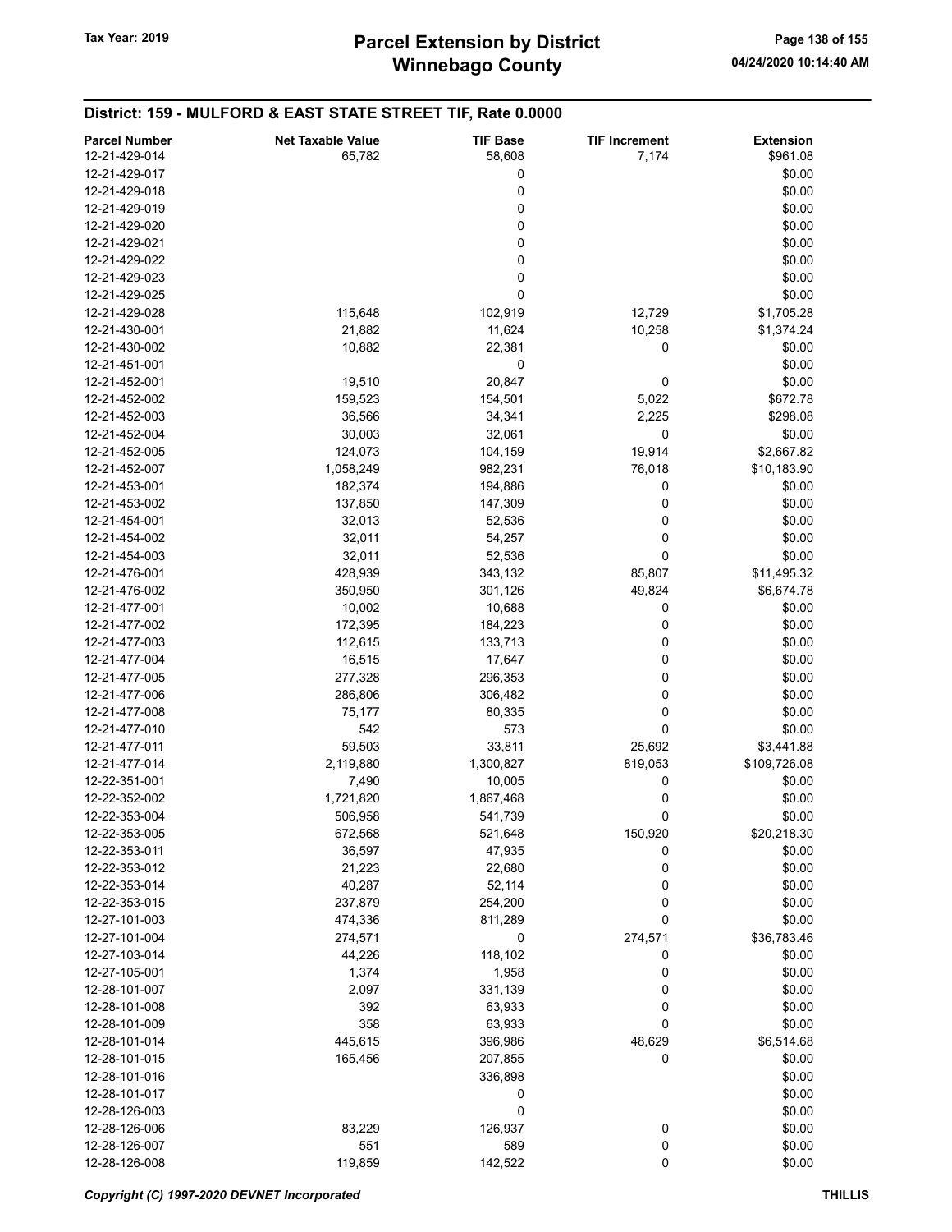District: 159 - MULFORD & EAST STATE STREET TIF, Rate 0.0000

#### Parcel Number **Net Taxable Value** TIF Base TIF Increment Extension 12-21-429-014 **58,782** 65,782 58,608 7,174 5961.08  $12-21-429-017$  \$0.00  $12-21-429-018$  \$0.00  $12-21-429-019$  \$0.00  $12-21-429-020$  \$0.00  $12-21-429-021$  \$0.00  $12-21-429-022$  \$0.00  $12-21-429-023$  \$0.00  $12-21-429-025$  \$0.00 12-21-429-028 115,648 102,919 12,729 \$1,705.28 12-21-430-001 21,882 11,624 10,258 \$1,374.24 12-21-430-002 10,882 22,381 0 \$0.00  $12-21-451-001$  \$0.00 12-21-452-001 **19,510** 20,847 0 \$0.00 12-21-452-002 159,523 154,501 5,022 \$672.78 12-21-452-003 36,566 34,341 2,225 \$298.08 12-21-452-004 **30,003** 30,003 32,061 0 \$0.00 12-21-452-005 124,073 104,159 19,914 \$2,667.82 12-21-452-007 1,058,249 982,231 76,018 \$10,183.90 12-21-453-001 182,374 194,886 0 \$0.00 12-21-453-002 **137,850** 137,850 147,309 0 \$0.00 12-21-454-001 **32,013** 32,013 52,536 0 \$0.00 12-21-454-002 32,011 54,257 0 \$0.00 12-21-454-003 32,011 52,536 0 \$0.00 12-21-476-001 **12-21-476-001** 428,939 428,939 343,132 85,807 \$11,495.32 12-21-476-002 350,950 301,126 49,824 \$6,674.78 12-21-477-001 10,002 10,688 0 \$0.00 12-21-477-002 172,395 184,223 0 \$0.00 12-21-477-003 **112,615** 112,615 133,713 0 \$0.00 12-21-477-004 **16,515** 16,515 17,647 0 \$0.00 12-21-477-005 277,328 296,353 0 \$0.00 12-21-477-006 286,806 306,482 0 \$0.00 12-21-477-008 **80.00 75,177** 80,335 0 **12-21-477-008 80.00** 12-21-477-010 **542** 573 0 \$0.00 12-21-477-011 59,503 59,503 33,811 25,692 \$3,441.88 12-21-477-014 2,119,880 1,300,827 819,053 \$109,726.08 12-22-351-001 7,490 10,005 0 \$0.00 12-22-352-002 1,721,820 1,867,468 0 0 \$0.00 12-22-353-004 506,958 566,958 541,739 0 \$0.00 12-22-353-005 672,568 521,648 150,920 \$20,218.30 12-22-353-011 36,597 47,935 0 \$0.00 12-22-353-012 21,223 22,680 0 \$0.00 12-22-353-014 **40,287** 52,114 0 \$0.00 12-22-353-015 237,879 254,200 0 \$0.00 12-27-101-003 474,336 811,289 0 \$0.00 12-27-101-004 274,571 274,571 0 274,571 \$36,783.46 12-27-103-014 **44,226 118,102 0** \$0.00 12-27-105-001 1,374 1,958 0 \$0.00 12-28-101-007 2,097 331,139 0 \$0.00 12-28-101-008 **392** 63,933 0 \$0.00 12-28-101-009 358 63,933 0 \$0.00 12-28-101-014 445,615 396,986 48,629 \$6,514.68 12-28-101-015 165,456 207,855 0 \$0.00 12-28-101-016 \$0.00  $12-28-101-017$  \$0.00  $12-28-126-003$  \$0.00 12-28-126-006 83,229 126,937 0 \$0.00 12-28-126-007 551 589 0 \$0.00 12-28-126-008 **119,859** 119,859 142,522 0 30.00

#### Copyright (C) 1997-2020 DEVNET Incorporated THILLIS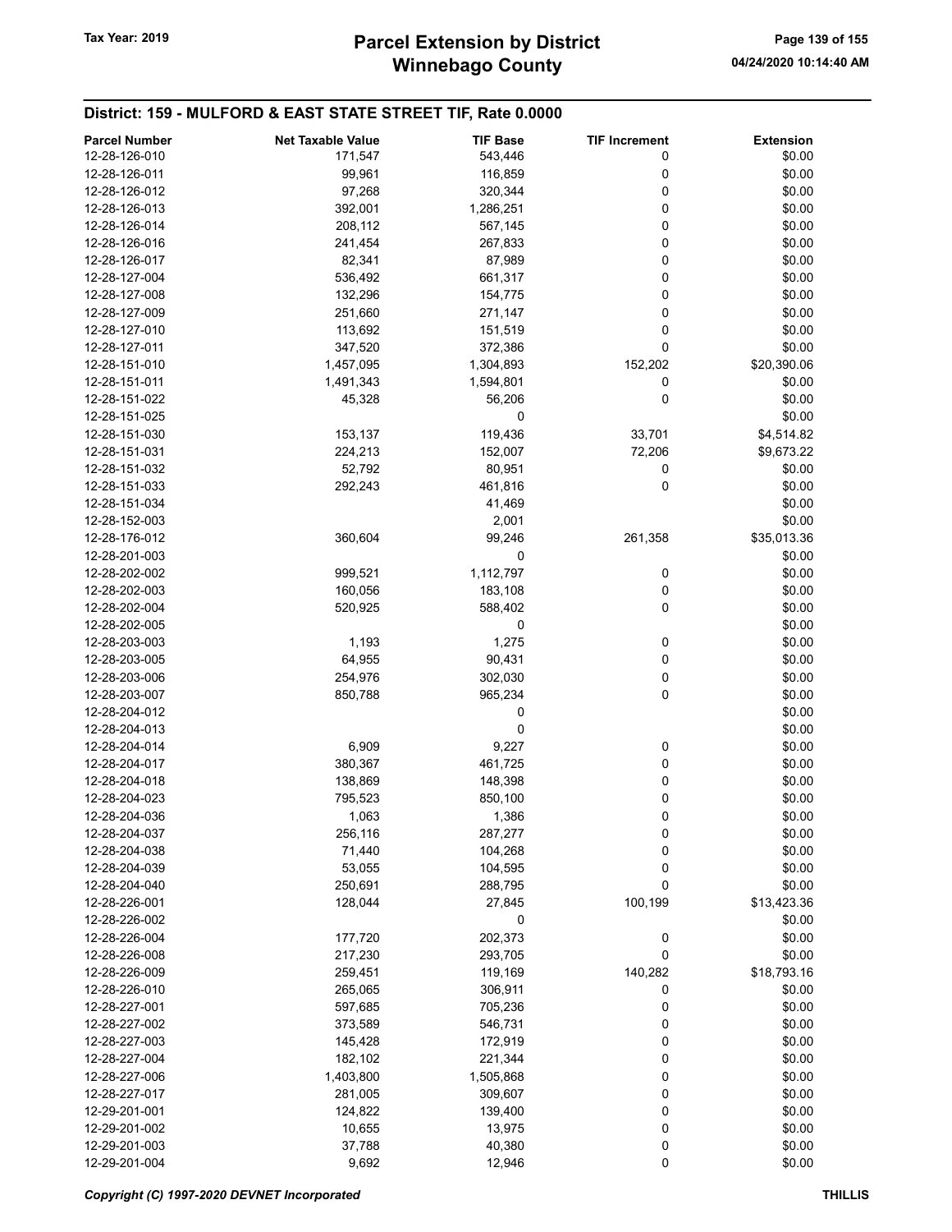# Winnebago County Tax Year: 2019 **Parcel Extension by District** Page 139 of 155

| <b>Parcel Number</b> | <b>Net Taxable Value</b> | <b>TIF Base</b> | <b>TIF Increment</b> | <b>Extension</b> |
|----------------------|--------------------------|-----------------|----------------------|------------------|
| 12-28-126-010        | 171,547                  | 543,446         | 0                    | \$0.00           |
| 12-28-126-011        |                          |                 | 0                    | \$0.00           |
|                      | 99,961                   | 116,859         |                      |                  |
| 12-28-126-012        | 97,268                   | 320,344         | 0                    | \$0.00           |
| 12-28-126-013        | 392,001                  | 1,286,251       | 0                    | \$0.00           |
| 12-28-126-014        | 208,112                  | 567,145         | 0                    | \$0.00           |
| 12-28-126-016        | 241,454                  | 267,833         | 0                    | \$0.00           |
| 12-28-126-017        | 82,341                   | 87,989          | 0                    | \$0.00           |
| 12-28-127-004        | 536,492                  | 661,317         | 0                    | \$0.00           |
| 12-28-127-008        | 132,296                  | 154,775         | 0                    | \$0.00           |
| 12-28-127-009        | 251,660                  | 271,147         | 0                    | \$0.00           |
| 12-28-127-010        | 113,692                  | 151,519         | 0                    | \$0.00           |
| 12-28-127-011        | 347,520                  | 372,386         | 0                    | \$0.00           |
| 12-28-151-010        | 1,457,095                | 1,304,893       | 152,202              | \$20,390.06      |
| 12-28-151-011        | 1,491,343                | 1,594,801       | 0                    | \$0.00           |
| 12-28-151-022        | 45,328                   | 56,206          | 0                    | \$0.00           |
| 12-28-151-025        |                          | 0               |                      | \$0.00           |
| 12-28-151-030        | 153,137                  | 119,436         | 33,701               | \$4,514.82       |
| 12-28-151-031        | 224,213                  | 152,007         | 72,206               | \$9,673.22       |
|                      |                          |                 |                      |                  |
| 12-28-151-032        | 52,792                   | 80,951          | 0                    | \$0.00           |
| 12-28-151-033        | 292,243                  | 461,816         | 0                    | \$0.00           |
| 12-28-151-034        |                          | 41,469          |                      | \$0.00           |
| 12-28-152-003        |                          | 2,001           |                      | \$0.00           |
| 12-28-176-012        | 360,604                  | 99,246          | 261,358              | \$35,013.36      |
| 12-28-201-003        |                          | 0               |                      | \$0.00           |
| 12-28-202-002        | 999,521                  | 1,112,797       | 0                    | \$0.00           |
| 12-28-202-003        | 160,056                  | 183,108         | 0                    | \$0.00           |
| 12-28-202-004        | 520,925                  | 588,402         | 0                    | \$0.00           |
| 12-28-202-005        |                          | 0               |                      | \$0.00           |
| 12-28-203-003        | 1,193                    | 1,275           | 0                    | \$0.00           |
| 12-28-203-005        | 64,955                   | 90,431          | 0                    | \$0.00           |
| 12-28-203-006        | 254,976                  | 302,030         | 0                    | \$0.00           |
| 12-28-203-007        | 850,788                  | 965,234         | 0                    | \$0.00           |
| 12-28-204-012        |                          | 0               |                      | \$0.00           |
| 12-28-204-013        |                          | 0               |                      | \$0.00           |
|                      |                          |                 |                      |                  |
| 12-28-204-014        | 6,909                    | 9,227           | 0                    | \$0.00           |
| 12-28-204-017        | 380,367                  | 461,725         | 0                    | \$0.00           |
| 12-28-204-018        | 138,869                  | 148,398         | 0                    | \$0.00           |
| 12-28-204-023        | 795,523                  | 850,100         | 0                    | \$0.00           |
| 12-28-204-036        | 1,063                    | 1,386           | 0                    | \$0.00           |
| 12-28-204-037        | 256,116                  | 287,277         | 0                    | \$0.00           |
| 12-28-204-038        | 71,440                   | 104,268         | 0                    | \$0.00           |
| 12-28-204-039        | 53,055                   | 104,595         | 0                    | \$0.00           |
| 12-28-204-040        | 250,691                  | 288,795         | 0                    | \$0.00           |
| 12-28-226-001        | 128,044                  | 27,845          | 100,199              | \$13,423.36      |
| 12-28-226-002        |                          | 0               |                      | \$0.00           |
| 12-28-226-004        | 177,720                  | 202,373         | 0                    | \$0.00           |
| 12-28-226-008        | 217,230                  | 293,705         | 0                    | \$0.00           |
| 12-28-226-009        | 259,451                  | 119,169         | 140,282              | \$18,793.16      |
| 12-28-226-010        | 265,065                  | 306,911         | 0                    | \$0.00           |
| 12-28-227-001        | 597,685                  | 705,236         | 0                    | \$0.00           |
|                      |                          |                 |                      |                  |
| 12-28-227-002        | 373,589                  | 546,731         | 0                    | \$0.00           |
| 12-28-227-003        | 145,428                  | 172,919         | 0                    | \$0.00           |
| 12-28-227-004        | 182,102                  | 221,344         | 0                    | \$0.00           |
| 12-28-227-006        | 1,403,800                | 1,505,868       | 0                    | \$0.00           |
| 12-28-227-017        | 281,005                  | 309,607         | 0                    | \$0.00           |
| 12-29-201-001        | 124,822                  | 139,400         | 0                    | \$0.00           |
| 12-29-201-002        | 10,655                   | 13,975          | 0                    | \$0.00           |
| 12-29-201-003        | 37,788                   | 40,380          | 0                    | \$0.00           |
| 12-29-201-004        | 9,692                    | 12,946          | 0                    | \$0.00           |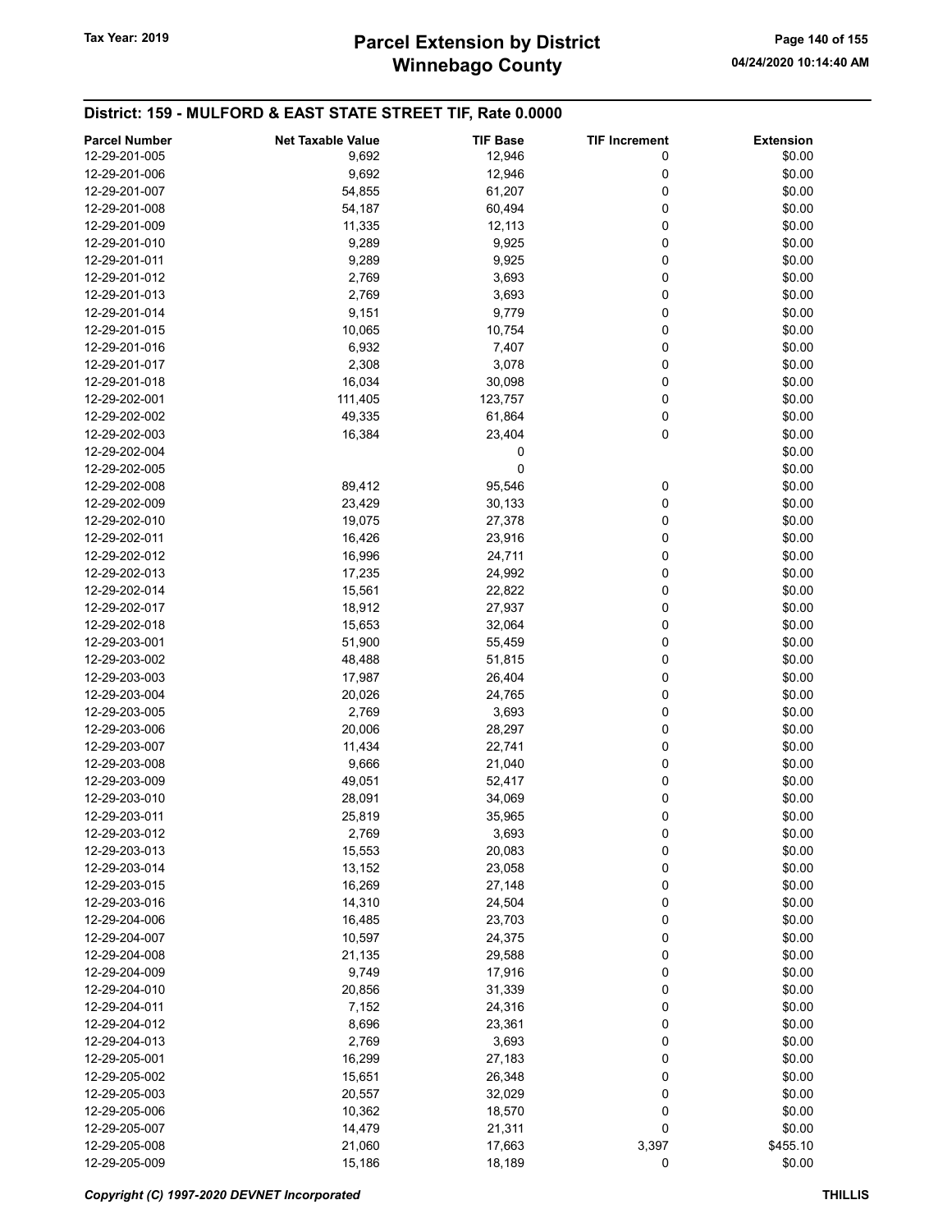# Winnebago County Tax Year: 2019 **Parcel Extension by District** Page 140 of 155

| <b>Parcel Number</b> | <b>Net Taxable Value</b> | <b>TIF Base</b> | <b>TIF Increment</b> | <b>Extension</b> |
|----------------------|--------------------------|-----------------|----------------------|------------------|
| 12-29-201-005        | 9,692                    | 12,946          | 0                    | \$0.00           |
| 12-29-201-006        | 9,692                    | 12,946          | 0                    | \$0.00           |
| 12-29-201-007        | 54,855                   | 61,207          | 0                    | \$0.00           |
| 12-29-201-008        | 54,187                   | 60,494          | 0                    | \$0.00           |
|                      |                          |                 |                      |                  |
| 12-29-201-009        | 11,335                   | 12,113          | 0                    | \$0.00           |
| 12-29-201-010        | 9,289                    | 9,925           | 0                    | \$0.00           |
| 12-29-201-011        | 9,289                    | 9,925           | 0                    | \$0.00           |
| 12-29-201-012        | 2,769                    | 3,693           | 0                    | \$0.00           |
| 12-29-201-013        | 2,769                    | 3,693           | 0                    | \$0.00           |
| 12-29-201-014        | 9,151                    | 9,779           | 0                    | \$0.00           |
| 12-29-201-015        | 10,065                   | 10,754          | 0                    | \$0.00           |
| 12-29-201-016        | 6,932                    | 7,407           | 0                    | \$0.00           |
| 12-29-201-017        | 2,308                    | 3,078           | 0                    | \$0.00           |
| 12-29-201-018        | 16,034                   | 30,098          | 0                    | \$0.00           |
| 12-29-202-001        | 111,405                  | 123,757         | 0                    | \$0.00           |
| 12-29-202-002        | 49,335                   | 61,864          | 0                    | \$0.00           |
| 12-29-202-003        | 16,384                   | 23,404          | 0                    | \$0.00           |
| 12-29-202-004        |                          | 0               |                      | \$0.00           |
| 12-29-202-005        |                          | 0               |                      | \$0.00           |
|                      |                          |                 |                      |                  |
| 12-29-202-008        | 89,412                   | 95,546          | 0                    | \$0.00           |
| 12-29-202-009        | 23,429                   | 30,133          | 0                    | \$0.00           |
| 12-29-202-010        | 19,075                   | 27,378          | 0                    | \$0.00           |
| 12-29-202-011        | 16,426                   | 23,916          | 0                    | \$0.00           |
| 12-29-202-012        | 16,996                   | 24,711          | 0                    | \$0.00           |
| 12-29-202-013        | 17,235                   | 24,992          | 0                    | \$0.00           |
| 12-29-202-014        | 15,561                   | 22,822          | 0                    | \$0.00           |
| 12-29-202-017        | 18,912                   | 27,937          | 0                    | \$0.00           |
| 12-29-202-018        | 15,653                   | 32,064          | 0                    | \$0.00           |
| 12-29-203-001        | 51,900                   | 55,459          | 0                    | \$0.00           |
| 12-29-203-002        | 48,488                   | 51,815          | 0                    | \$0.00           |
| 12-29-203-003        | 17,987                   | 26,404          | 0                    | \$0.00           |
| 12-29-203-004        | 20,026                   | 24,765          | 0                    | \$0.00           |
| 12-29-203-005        | 2,769                    | 3,693           | 0                    | \$0.00           |
| 12-29-203-006        | 20,006                   | 28,297          | 0                    | \$0.00           |
| 12-29-203-007        | 11,434                   | 22,741          | 0                    | \$0.00           |
| 12-29-203-008        |                          |                 | 0                    |                  |
|                      | 9,666                    | 21,040          |                      | \$0.00           |
| 12-29-203-009        | 49,051                   | 52,417          | 0                    | \$0.00           |
| 12-29-203-010        | 28,091                   | 34,069          | 0                    | \$0.00           |
| 12-29-203-011        | 25,819                   | 35,965          | 0                    | \$0.00           |
| 12-29-203-012        | 2,769                    | 3,693           | 0                    | \$0.00           |
| 12-29-203-013        | 15,553                   | 20,083          | 0                    | \$0.00           |
| 12-29-203-014        | 13,152                   | 23,058          | 0                    | \$0.00           |
| 12-29-203-015        | 16,269                   | 27,148          | 0                    | \$0.00           |
| 12-29-203-016        | 14,310                   | 24,504          | 0                    | \$0.00           |
| 12-29-204-006        | 16,485                   | 23,703          | 0                    | \$0.00           |
| 12-29-204-007        | 10,597                   | 24,375          | 0                    | \$0.00           |
| 12-29-204-008        | 21,135                   | 29,588          | 0                    | \$0.00           |
| 12-29-204-009        | 9,749                    | 17,916          | 0                    | \$0.00           |
| 12-29-204-010        | 20,856                   | 31,339          | 0                    | \$0.00           |
| 12-29-204-011        | 7,152                    | 24,316          | 0                    | \$0.00           |
| 12-29-204-012        | 8,696                    | 23,361          | 0                    | \$0.00           |
| 12-29-204-013        | 2,769                    | 3,693           |                      | \$0.00           |
|                      |                          |                 | 0                    |                  |
| 12-29-205-001        | 16,299                   | 27,183          | 0                    | \$0.00           |
| 12-29-205-002        | 15,651                   | 26,348          | 0                    | \$0.00           |
| 12-29-205-003        | 20,557                   | 32,029          | 0                    | \$0.00           |
| 12-29-205-006        | 10,362                   | 18,570          | 0                    | \$0.00           |
| 12-29-205-007        | 14,479                   | 21,311          | 0                    | \$0.00           |
| 12-29-205-008        | 21,060                   | 17,663          | 3,397                | \$455.10         |
| 12-29-205-009        | 15,186                   | 18,189          | 0                    | \$0.00           |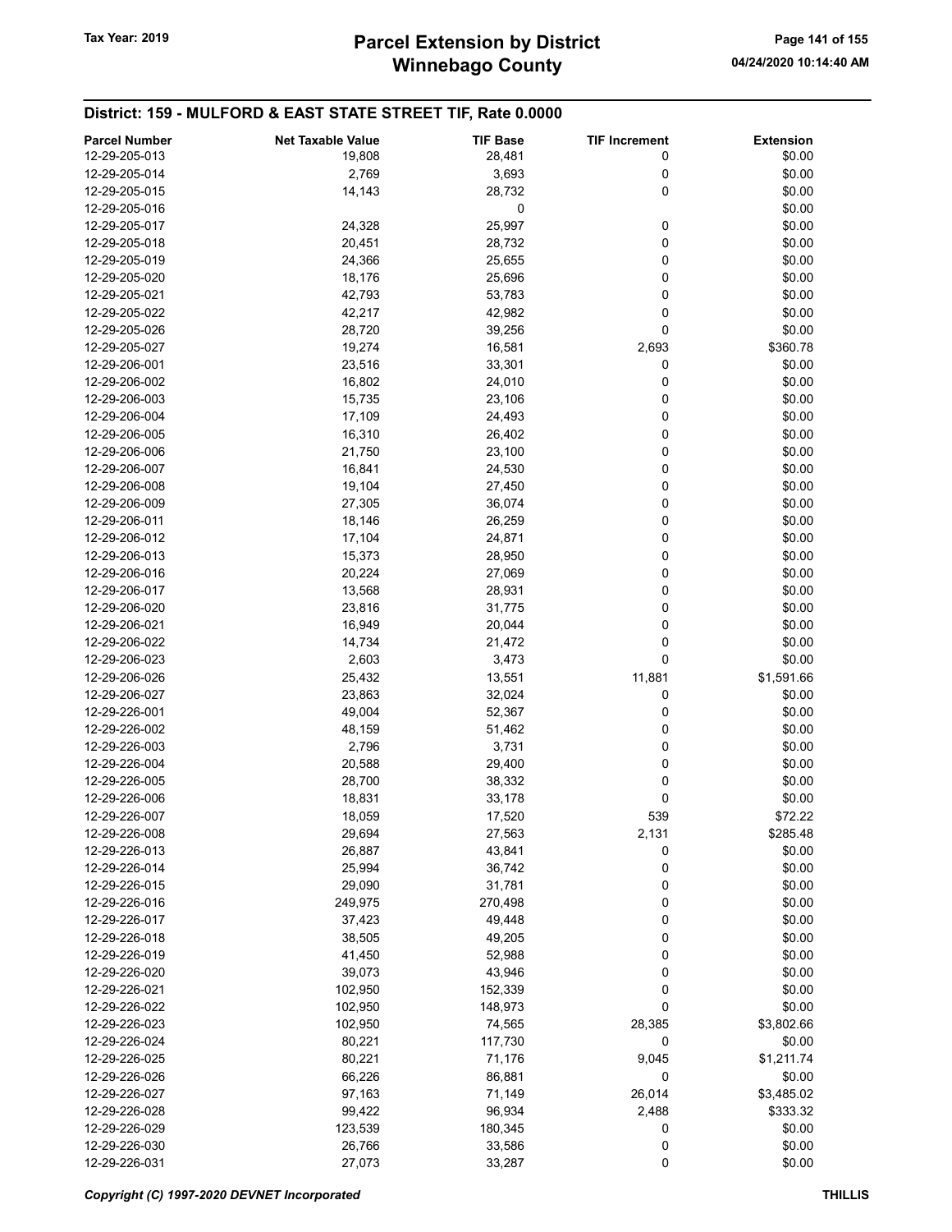| <b>Parcel Number</b>           | <b>Net Taxable Value</b> | <b>TIF Base</b> | <b>TIF Increment</b> | <b>Extension</b> |
|--------------------------------|--------------------------|-----------------|----------------------|------------------|
| 12-29-205-013                  | 19,808                   | 28,481          | 0                    | \$0.00           |
| 12-29-205-014                  | 2,769                    | 3,693           | 0                    | \$0.00           |
| 12-29-205-015                  | 14,143                   | 28,732          | 0                    | \$0.00           |
| 12-29-205-016                  |                          | 0               |                      | \$0.00           |
|                                |                          |                 |                      |                  |
| 12-29-205-017                  | 24,328                   | 25,997          | 0                    | \$0.00           |
| 12-29-205-018                  | 20,451                   | 28,732          | 0                    | \$0.00           |
| 12-29-205-019                  | 24,366                   | 25,655          | 0                    | \$0.00           |
| 12-29-205-020                  | 18,176                   | 25,696          | 0                    | \$0.00           |
| 12-29-205-021                  | 42,793                   | 53,783          | 0                    | \$0.00           |
| 12-29-205-022                  | 42,217                   | 42,982          | 0                    | \$0.00           |
| 12-29-205-026                  | 28,720                   | 39,256          | 0                    | \$0.00           |
| 12-29-205-027                  | 19,274                   | 16,581          | 2,693                | \$360.78         |
| 12-29-206-001                  | 23,516                   | 33,301          | 0                    | \$0.00           |
| 12-29-206-002                  | 16,802                   | 24,010          | 0                    | \$0.00           |
| 12-29-206-003                  | 15,735                   | 23,106          | 0                    | \$0.00           |
| 12-29-206-004                  | 17,109                   | 24,493          | 0                    | \$0.00           |
| 12-29-206-005                  | 16,310                   | 26,402          | 0                    | \$0.00           |
| 12-29-206-006                  | 21,750                   | 23,100          | 0                    | \$0.00           |
| 12-29-206-007                  | 16,841                   | 24,530          | 0                    | \$0.00           |
| 12-29-206-008                  | 19,104                   | 27,450          | 0                    | \$0.00           |
| 12-29-206-009                  | 27,305                   | 36,074          | 0                    | \$0.00           |
| 12-29-206-011                  | 18,146                   | 26,259          | 0                    | \$0.00           |
| 12-29-206-012                  | 17,104                   | 24,871          | 0                    | \$0.00           |
| 12-29-206-013                  | 15,373                   | 28,950          | 0                    | \$0.00           |
| 12-29-206-016                  | 20,224                   | 27,069          | 0                    | \$0.00           |
| 12-29-206-017                  | 13,568                   | 28,931          | 0                    | \$0.00           |
| 12-29-206-020                  | 23,816                   | 31,775          | 0                    | \$0.00           |
| 12-29-206-021                  | 16,949                   | 20,044          | 0                    | \$0.00           |
| 12-29-206-022                  | 14,734                   | 21,472          | 0                    | \$0.00           |
| 12-29-206-023                  | 2,603                    | 3,473           | 0                    | \$0.00           |
| 12-29-206-026                  | 25,432                   | 13,551          | 11,881               | \$1,591.66       |
| 12-29-206-027                  | 23,863                   | 32,024          | 0                    | \$0.00           |
|                                | 49,004                   |                 | 0                    | \$0.00           |
| 12-29-226-001<br>12-29-226-002 |                          | 52,367          |                      |                  |
|                                | 48,159                   | 51,462          | 0                    | \$0.00           |
| 12-29-226-003                  | 2,796                    | 3,731           | 0                    | \$0.00           |
| 12-29-226-004                  | 20,588                   | 29,400          | 0                    | \$0.00           |
| 12-29-226-005                  | 28,700                   | 38,332          | 0                    | \$0.00           |
| 12-29-226-006                  | 18,831                   | 33,178          | 0                    | \$0.00           |
| 12-29-226-007                  | 18,059                   | 17,520          | 539                  | \$72.22          |
| 12-29-226-008                  | 29,694                   | 27,563          | 2,131                | \$285.48         |
| 12-29-226-013                  | 26,887                   | 43,841          | 0                    | \$0.00           |
| 12-29-226-014                  | 25,994                   | 36,742          | 0                    | \$0.00           |
| 12-29-226-015                  | 29,090                   | 31,781          | 0                    | \$0.00           |
| 12-29-226-016                  | 249,975                  | 270,498         | 0                    | \$0.00           |
| 12-29-226-017                  | 37,423                   | 49,448          | 0                    | \$0.00           |
| 12-29-226-018                  | 38,505                   | 49,205          | 0                    | \$0.00           |
| 12-29-226-019                  | 41,450                   | 52,988          | 0                    | \$0.00           |
| 12-29-226-020                  | 39,073                   | 43,946          | 0                    | \$0.00           |
| 12-29-226-021                  | 102,950                  | 152,339         | 0                    | \$0.00           |
| 12-29-226-022                  | 102,950                  | 148,973         | 0                    | \$0.00           |
| 12-29-226-023                  | 102,950                  | 74,565          | 28,385               | \$3,802.66       |
| 12-29-226-024                  | 80,221                   | 117,730         | 0                    | \$0.00           |
| 12-29-226-025                  | 80,221                   | 71,176          | 9,045                | \$1,211.74       |
| 12-29-226-026                  | 66,226                   | 86,881          | 0                    | \$0.00           |
| 12-29-226-027                  | 97,163                   | 71,149          | 26,014               | \$3,485.02       |
| 12-29-226-028                  | 99,422                   | 96,934          | 2,488                | \$333.32         |
| 12-29-226-029                  | 123,539                  | 180,345         | 0                    | \$0.00           |
| 12-29-226-030                  | 26,766                   | 33,586          | 0                    | \$0.00           |
| 12-29-226-031                  | 27,073                   | 33,287          | 0                    | \$0.00           |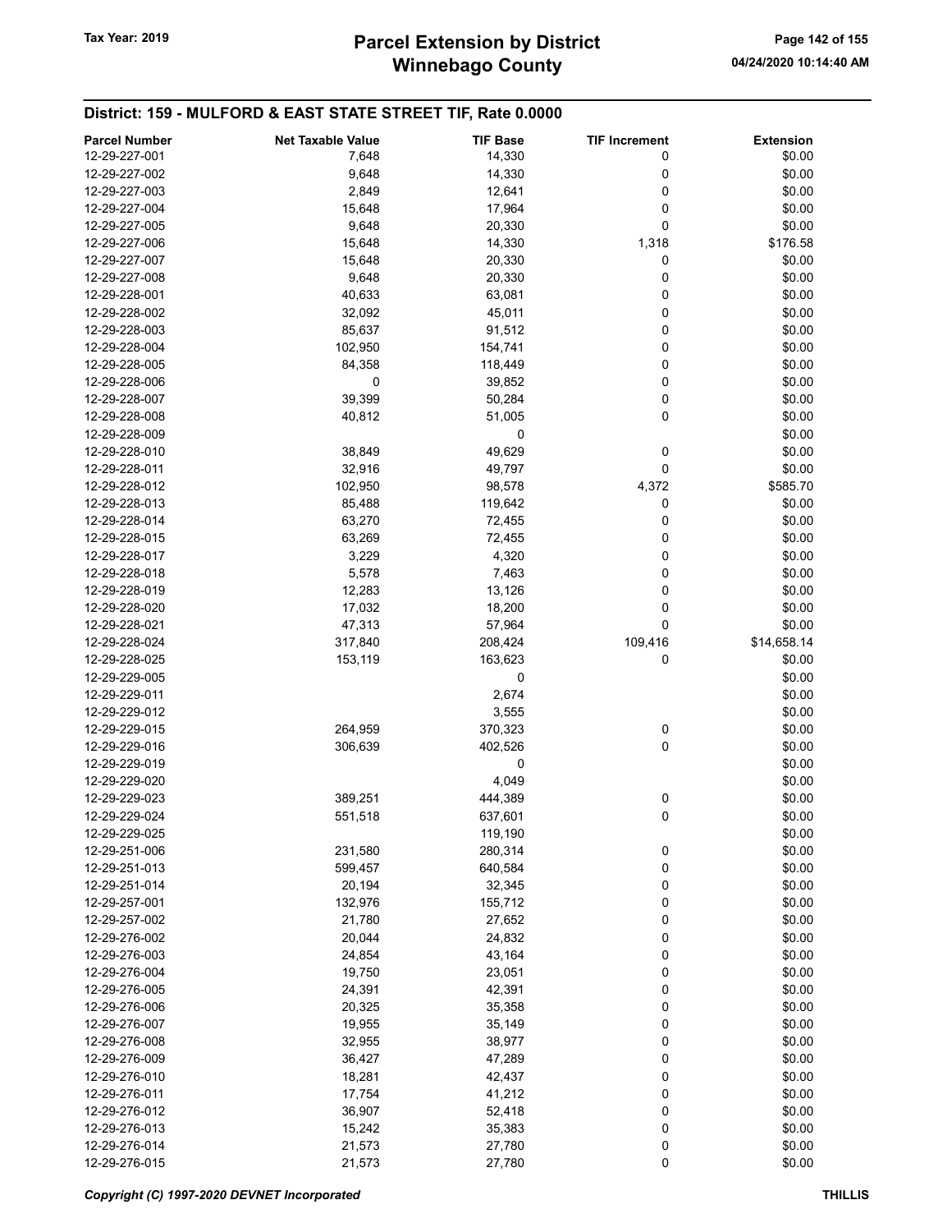# Winnebago County Tax Year: 2019 **Parcel Extension by District** Page 142 of 155

| <b>Parcel Number</b> | <b>Net Taxable Value</b> | <b>TIF Base</b> | <b>TIF Increment</b> | <b>Extension</b> |
|----------------------|--------------------------|-----------------|----------------------|------------------|
| 12-29-227-001        | 7,648                    | 14,330          | 0                    | \$0.00           |
|                      |                          |                 |                      |                  |
| 12-29-227-002        | 9,648                    | 14,330          | 0                    | \$0.00           |
| 12-29-227-003        | 2,849                    | 12,641          | 0                    | \$0.00           |
| 12-29-227-004        | 15,648                   | 17,964          | 0                    | \$0.00           |
| 12-29-227-005        | 9,648                    | 20,330          | 0                    | \$0.00           |
| 12-29-227-006        | 15,648                   | 14,330          | 1,318                | \$176.58         |
| 12-29-227-007        | 15,648                   | 20,330          | 0                    | \$0.00           |
| 12-29-227-008        | 9,648                    | 20,330          | 0                    | \$0.00           |
| 12-29-228-001        | 40,633                   | 63,081          | 0                    | \$0.00           |
| 12-29-228-002        | 32,092                   | 45,011          | 0                    | \$0.00           |
| 12-29-228-003        | 85,637                   | 91,512          | 0                    | \$0.00           |
| 12-29-228-004        | 102,950                  | 154,741         | 0                    | \$0.00           |
| 12-29-228-005        | 84,358                   | 118,449         | 0                    | \$0.00           |
| 12-29-228-006        | 0                        | 39,852          | 0                    | \$0.00           |
| 12-29-228-007        | 39,399                   | 50,284          | 0                    | \$0.00           |
| 12-29-228-008        | 40,812                   | 51,005          | $\mathbf 0$          | \$0.00           |
| 12-29-228-009        |                          | 0               |                      | \$0.00           |
| 12-29-228-010        | 38,849                   | 49,629          | 0                    | \$0.00           |
| 12-29-228-011        | 32,916                   | 49,797          | 0                    | \$0.00           |
| 12-29-228-012        | 102,950                  | 98,578          | 4,372                | \$585.70         |
| 12-29-228-013        |                          |                 | 0                    |                  |
|                      | 85,488                   | 119,642         |                      | \$0.00           |
| 12-29-228-014        | 63,270                   | 72,455          | 0                    | \$0.00           |
| 12-29-228-015        | 63,269                   | 72,455          | 0                    | \$0.00           |
| 12-29-228-017        | 3,229                    | 4,320           | 0                    | \$0.00           |
| 12-29-228-018        | 5,578                    | 7,463           | 0                    | \$0.00           |
| 12-29-228-019        | 12,283                   | 13,126          | 0                    | \$0.00           |
| 12-29-228-020        | 17,032                   | 18,200          | 0                    | \$0.00           |
| 12-29-228-021        | 47,313                   | 57,964          | 0                    | \$0.00           |
| 12-29-228-024        | 317,840                  | 208,424         | 109,416              | \$14,658.14      |
| 12-29-228-025        | 153,119                  | 163,623         | 0                    | \$0.00           |
| 12-29-229-005        |                          | 0               |                      | \$0.00           |
| 12-29-229-011        |                          | 2,674           |                      | \$0.00           |
| 12-29-229-012        |                          | 3,555           |                      | \$0.00           |
| 12-29-229-015        | 264,959                  | 370,323         | 0                    | \$0.00           |
| 12-29-229-016        | 306,639                  | 402,526         | 0                    | \$0.00           |
| 12-29-229-019        |                          | 0               |                      | \$0.00           |
| 12-29-229-020        |                          | 4,049           |                      | \$0.00           |
| 12-29-229-023        | 389,251                  | 444,389         | 0                    | \$0.00           |
| 12-29-229-024        | 551,518                  | 637,601         | 0                    | \$0.00           |
| 12-29-229-025        |                          | 119,190         |                      | \$0.00           |
| 12-29-251-006        | 231,580                  | 280,314         | 0                    | \$0.00           |
| 12-29-251-013        | 599,457                  | 640,584         | 0                    | \$0.00           |
| 12-29-251-014        | 20,194                   | 32,345          | 0                    | \$0.00           |
| 12-29-257-001        |                          |                 |                      |                  |
|                      | 132,976                  | 155,712         | 0                    | \$0.00           |
| 12-29-257-002        | 21,780                   | 27,652          | 0                    | \$0.00           |
| 12-29-276-002        | 20,044                   | 24,832          | 0                    | \$0.00           |
| 12-29-276-003        | 24,854                   | 43,164          | 0                    | \$0.00           |
| 12-29-276-004        | 19,750                   | 23,051          | 0                    | \$0.00           |
| 12-29-276-005        | 24,391                   | 42,391          | 0                    | \$0.00           |
| 12-29-276-006        | 20,325                   | 35,358          | 0                    | \$0.00           |
| 12-29-276-007        | 19,955                   | 35,149          | 0                    | \$0.00           |
| 12-29-276-008        | 32,955                   | 38,977          | 0                    | \$0.00           |
| 12-29-276-009        | 36,427                   | 47,289          | 0                    | \$0.00           |
| 12-29-276-010        | 18,281                   | 42,437          | 0                    | \$0.00           |
| 12-29-276-011        | 17,754                   | 41,212          | 0                    | \$0.00           |
| 12-29-276-012        | 36,907                   | 52,418          | 0                    | \$0.00           |
| 12-29-276-013        | 15,242                   | 35,383          | 0                    | \$0.00           |
| 12-29-276-014        | 21,573                   | 27,780          | 0                    | \$0.00           |
| 12-29-276-015        | 21,573                   | 27,780          | 0                    | \$0.00           |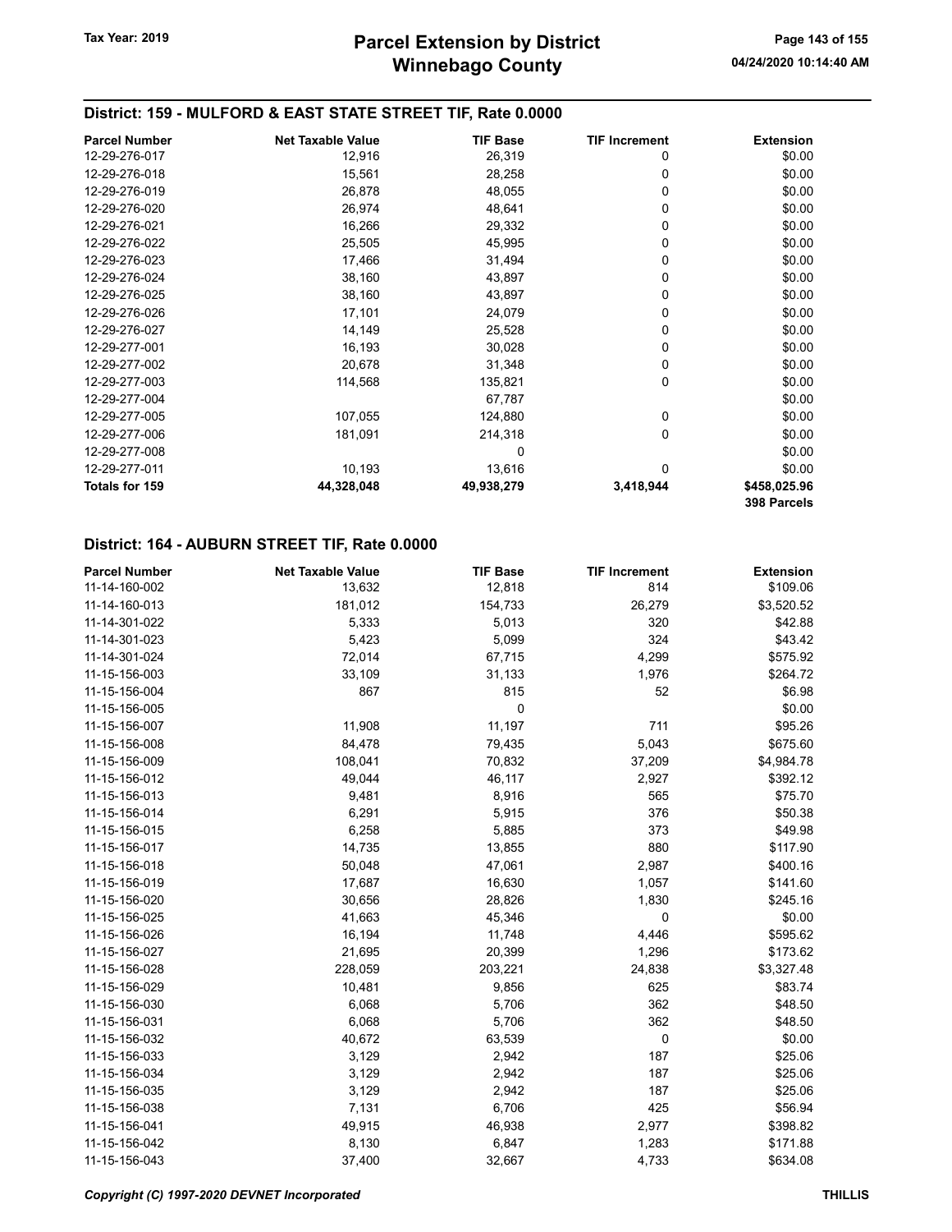## District: 159 - MULFORD & EAST STATE STREET TIF, Rate 0.0000

| <b>Parcel Number</b> | <b>Net Taxable Value</b> | <b>TIF Base</b> | <b>TIF Increment</b> | <b>Extension</b> |
|----------------------|--------------------------|-----------------|----------------------|------------------|
| 12-29-276-017        | 12,916                   | 26,319          | 0                    | \$0.00           |
| 12-29-276-018        | 15,561                   | 28,258          | 0                    | \$0.00           |
| 12-29-276-019        | 26,878                   | 48,055          | 0                    | \$0.00           |
| 12-29-276-020        | 26,974                   | 48,641          | 0                    | \$0.00           |
| 12-29-276-021        | 16,266                   | 29,332          | 0                    | \$0.00           |
| 12-29-276-022        | 25,505                   | 45,995          | 0                    | \$0.00           |
| 12-29-276-023        | 17,466                   | 31,494          | 0                    | \$0.00           |
| 12-29-276-024        | 38,160                   | 43,897          | 0                    | \$0.00           |
| 12-29-276-025        | 38,160                   | 43,897          | $\Omega$             | \$0.00           |
| 12-29-276-026        | 17,101                   | 24,079          | 0                    | \$0.00           |
| 12-29-276-027        | 14,149                   | 25,528          | 0                    | \$0.00           |
| 12-29-277-001        | 16,193                   | 30,028          | 0                    | \$0.00           |
| 12-29-277-002        | 20,678                   | 31,348          | 0                    | \$0.00           |
| 12-29-277-003        | 114,568                  | 135,821         | 0                    | \$0.00           |
| 12-29-277-004        |                          | 67,787          |                      | \$0.00           |
| 12-29-277-005        | 107,055                  | 124,880         | 0                    | \$0.00           |
| 12-29-277-006        | 181,091                  | 214,318         | 0                    | \$0.00           |
| 12-29-277-008        |                          | 0               |                      | \$0.00           |
| 12-29-277-011        | 10,193                   | 13,616          | 0                    | \$0.00           |
| Totals for 159       | 44,328,048               | 49,938,279      | 3,418,944            | \$458,025.96     |
|                      |                          |                 |                      | 398 Parcels      |

#### District: 164 - AUBURN STREET TIF, Rate 0.0000

| <b>Parcel Number</b> | <b>Net Taxable Value</b> | <b>TIF Base</b> | <b>TIF Increment</b> | <b>Extension</b> |
|----------------------|--------------------------|-----------------|----------------------|------------------|
| 11-14-160-002        | 13,632                   | 12,818          | 814                  | \$109.06         |
| 11-14-160-013        | 181,012                  | 154,733         | 26,279               | \$3,520.52       |
| 11-14-301-022        | 5,333                    | 5,013           | 320                  | \$42.88          |
| 11-14-301-023        | 5,423                    | 5,099           | 324                  | \$43.42          |
| 11-14-301-024        | 72,014                   | 67,715          | 4,299                | \$575.92         |
| 11-15-156-003        | 33,109                   | 31,133          | 1,976                | \$264.72         |
| 11-15-156-004        | 867                      | 815             | 52                   | \$6.98           |
| 11-15-156-005        |                          | 0               |                      | \$0.00           |
| 11-15-156-007        | 11,908                   | 11,197          | 711                  | \$95.26          |
| 11-15-156-008        | 84,478                   | 79,435          | 5,043                | \$675.60         |
| 11-15-156-009        | 108,041                  | 70,832          | 37,209               | \$4,984.78       |
| 11-15-156-012        | 49,044                   | 46,117          | 2,927                | \$392.12         |
| 11-15-156-013        | 9,481                    | 8,916           | 565                  | \$75.70          |
| 11-15-156-014        | 6,291                    | 5,915           | 376                  | \$50.38          |
| 11-15-156-015        | 6,258                    | 5,885           | 373                  | \$49.98          |
| 11-15-156-017        | 14,735                   | 13,855          | 880                  | \$117.90         |
| 11-15-156-018        | 50,048                   | 47,061          | 2,987                | \$400.16         |
| 11-15-156-019        | 17,687                   | 16,630          | 1,057                | \$141.60         |
| 11-15-156-020        | 30,656                   | 28,826          | 1,830                | \$245.16         |
| 11-15-156-025        | 41,663                   | 45,346          | 0                    | \$0.00           |
| 11-15-156-026        | 16,194                   | 11,748          | 4,446                | \$595.62         |
| 11-15-156-027        | 21,695                   | 20,399          | 1,296                | \$173.62         |
| 11-15-156-028        | 228,059                  | 203,221         | 24,838               | \$3,327.48       |
| 11-15-156-029        | 10,481                   | 9,856           | 625                  | \$83.74          |
| 11-15-156-030        | 6,068                    | 5,706           | 362                  | \$48.50          |
| 11-15-156-031        | 6,068                    | 5,706           | 362                  | \$48.50          |
| 11-15-156-032        | 40,672                   | 63,539          | 0                    | \$0.00           |
| 11-15-156-033        | 3,129                    | 2,942           | 187                  | \$25.06          |
| 11-15-156-034        | 3,129                    | 2,942           | 187                  | \$25.06          |
| 11-15-156-035        | 3,129                    | 2,942           | 187                  | \$25.06          |
| 11-15-156-038        | 7,131                    | 6,706           | 425                  | \$56.94          |
| 11-15-156-041        | 49,915                   | 46,938          | 2,977                | \$398.82         |
| 11-15-156-042        | 8,130                    | 6,847           | 1,283                | \$171.88         |
| 11-15-156-043        | 37,400                   | 32,667          | 4,733                | \$634.08         |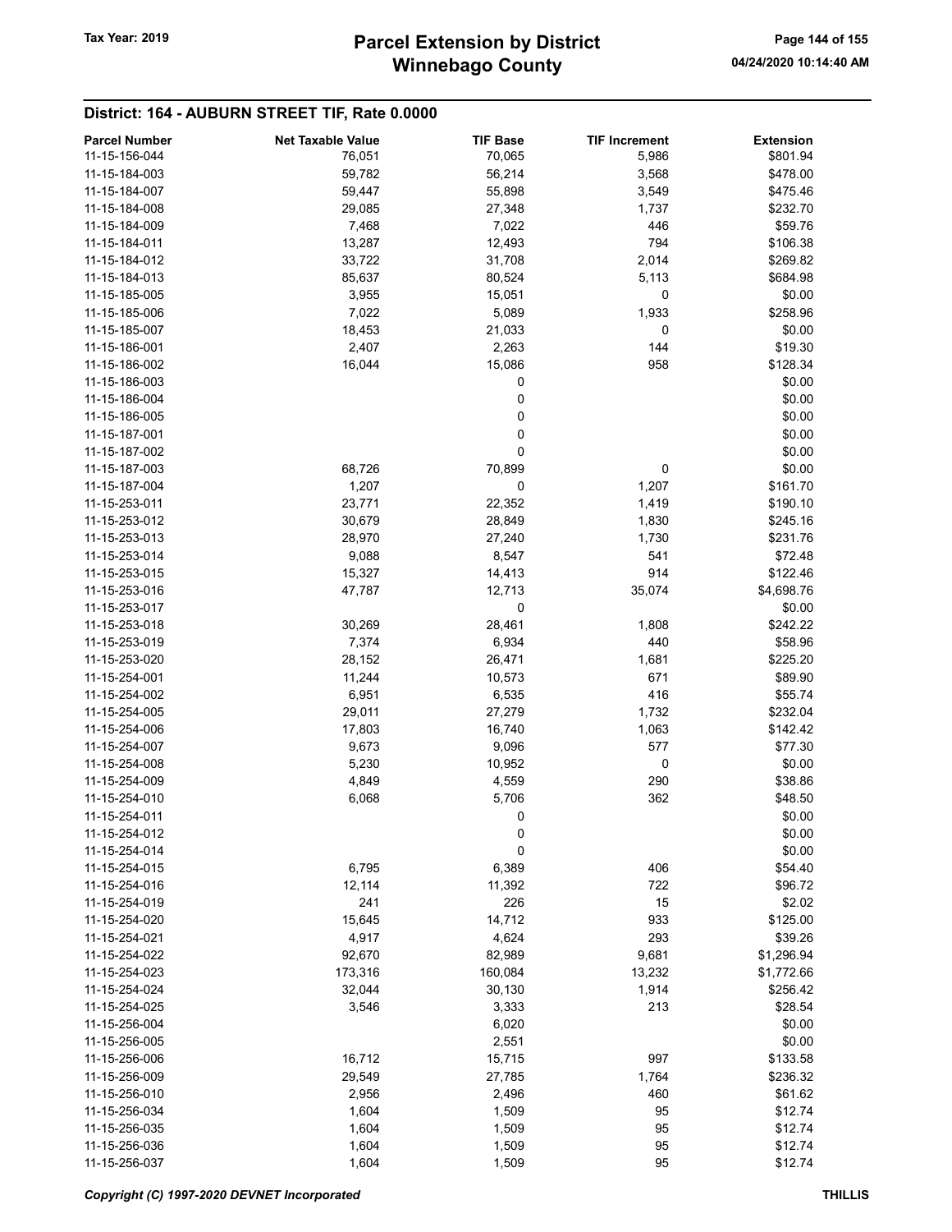# Winnebago County Tax Year: 2019 **Parcel Extension by District** Page 144 of 155

## District: 164 - AUBURN STREET TIF, Rate 0.0000

| <b>Parcel Number</b> | <b>Net Taxable Value</b> | <b>TIF Base</b> | <b>TIF Increment</b> | <b>Extension</b> |
|----------------------|--------------------------|-----------------|----------------------|------------------|
| 11-15-156-044        | 76,051                   | 70,065          | 5,986                | \$801.94         |
| 11-15-184-003        | 59,782                   | 56,214          | 3,568                | \$478.00         |
| 11-15-184-007        | 59,447                   | 55,898          | 3,549                | \$475.46         |
| 11-15-184-008        | 29,085                   | 27,348          | 1,737                | \$232.70         |
| 11-15-184-009        | 7,468                    | 7,022           | 446                  | \$59.76          |
| 11-15-184-011        | 13,287                   | 12,493          | 794                  | \$106.38         |
| 11-15-184-012        | 33,722                   | 31,708          | 2,014                | \$269.82         |
| 11-15-184-013        | 85,637                   | 80,524          | 5,113                | \$684.98         |
| 11-15-185-005        |                          |                 | 0                    |                  |
|                      | 3,955                    | 15,051          |                      | \$0.00           |
| 11-15-185-006        | 7,022                    | 5,089           | 1,933                | \$258.96         |
| 11-15-185-007        | 18,453                   | 21,033          | 0                    | \$0.00           |
| 11-15-186-001        | 2,407                    | 2,263           | 144                  | \$19.30          |
| 11-15-186-002        | 16,044                   | 15,086          | 958                  | \$128.34         |
| 11-15-186-003        |                          | 0               |                      | \$0.00           |
| 11-15-186-004        |                          | 0               |                      | \$0.00           |
| 11-15-186-005        |                          | 0               |                      | \$0.00           |
| 11-15-187-001        |                          | 0               |                      | \$0.00           |
| 11-15-187-002        |                          | 0               |                      | \$0.00           |
| 11-15-187-003        | 68,726                   | 70,899          | 0                    | \$0.00           |
| 11-15-187-004        | 1,207                    | 0               | 1,207                | \$161.70         |
| 11-15-253-011        | 23,771                   | 22,352          | 1,419                | \$190.10         |
| 11-15-253-012        | 30,679                   | 28,849          | 1,830                | \$245.16         |
| 11-15-253-013        | 28,970                   | 27,240          | 1,730                | \$231.76         |
| 11-15-253-014        | 9,088                    | 8,547           | 541                  | \$72.48          |
| 11-15-253-015        | 15,327                   | 14,413          | 914                  | \$122.46         |
| 11-15-253-016        | 47,787                   | 12,713          | 35,074               | \$4,698.76       |
|                      |                          |                 |                      |                  |
| 11-15-253-017        |                          | 0               |                      | \$0.00           |
| 11-15-253-018        | 30,269                   | 28,461          | 1,808                | \$242.22         |
| 11-15-253-019        | 7,374                    | 6,934           | 440                  | \$58.96          |
| 11-15-253-020        | 28,152                   | 26,471          | 1,681                | \$225.20         |
| 11-15-254-001        | 11,244                   | 10,573          | 671                  | \$89.90          |
| 11-15-254-002        | 6,951                    | 6,535           | 416                  | \$55.74          |
| 11-15-254-005        | 29,011                   | 27,279          | 1,732                | \$232.04         |
| 11-15-254-006        | 17,803                   | 16,740          | 1,063                | \$142.42         |
| 11-15-254-007        | 9,673                    | 9,096           | 577                  | \$77.30          |
| 11-15-254-008        | 5,230                    | 10,952          | 0                    | \$0.00           |
| 11-15-254-009        | 4,849                    | 4,559           | 290                  | \$38.86          |
| 11-15-254-010        | 6,068                    | 5,706           | 362                  | \$48.50          |
| 11-15-254-011        |                          | 0               |                      | \$0.00           |
| 11-15-254-012        |                          | 0               |                      | \$0.00           |
| 11-15-254-014        |                          | 0               |                      | \$0.00           |
| 11-15-254-015        | 6,795                    | 6,389           | 406                  | \$54.40          |
| 11-15-254-016        | 12,114                   | 11,392          | 722                  | \$96.72          |
| 11-15-254-019        | 241                      | 226             | 15                   | \$2.02           |
| 11-15-254-020        | 15,645                   | 14,712          | 933                  | \$125.00         |
| 11-15-254-021        | 4,917                    | 4,624           | 293                  | \$39.26          |
|                      |                          |                 |                      |                  |
| 11-15-254-022        | 92,670                   | 82,989          | 9,681                | \$1,296.94       |
| 11-15-254-023        | 173,316                  | 160,084         | 13,232               | \$1,772.66       |
| 11-15-254-024        | 32,044                   | 30,130          | 1,914                | \$256.42         |
| 11-15-254-025        | 3,546                    | 3,333           | 213                  | \$28.54          |
| 11-15-256-004        |                          | 6,020           |                      | \$0.00           |
| 11-15-256-005        |                          | 2,551           |                      | \$0.00           |
| 11-15-256-006        | 16,712                   | 15,715          | 997                  | \$133.58         |
| 11-15-256-009        | 29,549                   | 27,785          | 1,764                | \$236.32         |
| 11-15-256-010        | 2,956                    | 2,496           | 460                  | \$61.62          |
| 11-15-256-034        | 1,604                    | 1,509           | 95                   | \$12.74          |
| 11-15-256-035        | 1,604                    | 1,509           | 95                   | \$12.74          |
| 11-15-256-036        | 1,604                    | 1,509           | 95                   | \$12.74          |
| 11-15-256-037        | 1,604                    | 1,509           | 95                   | \$12.74          |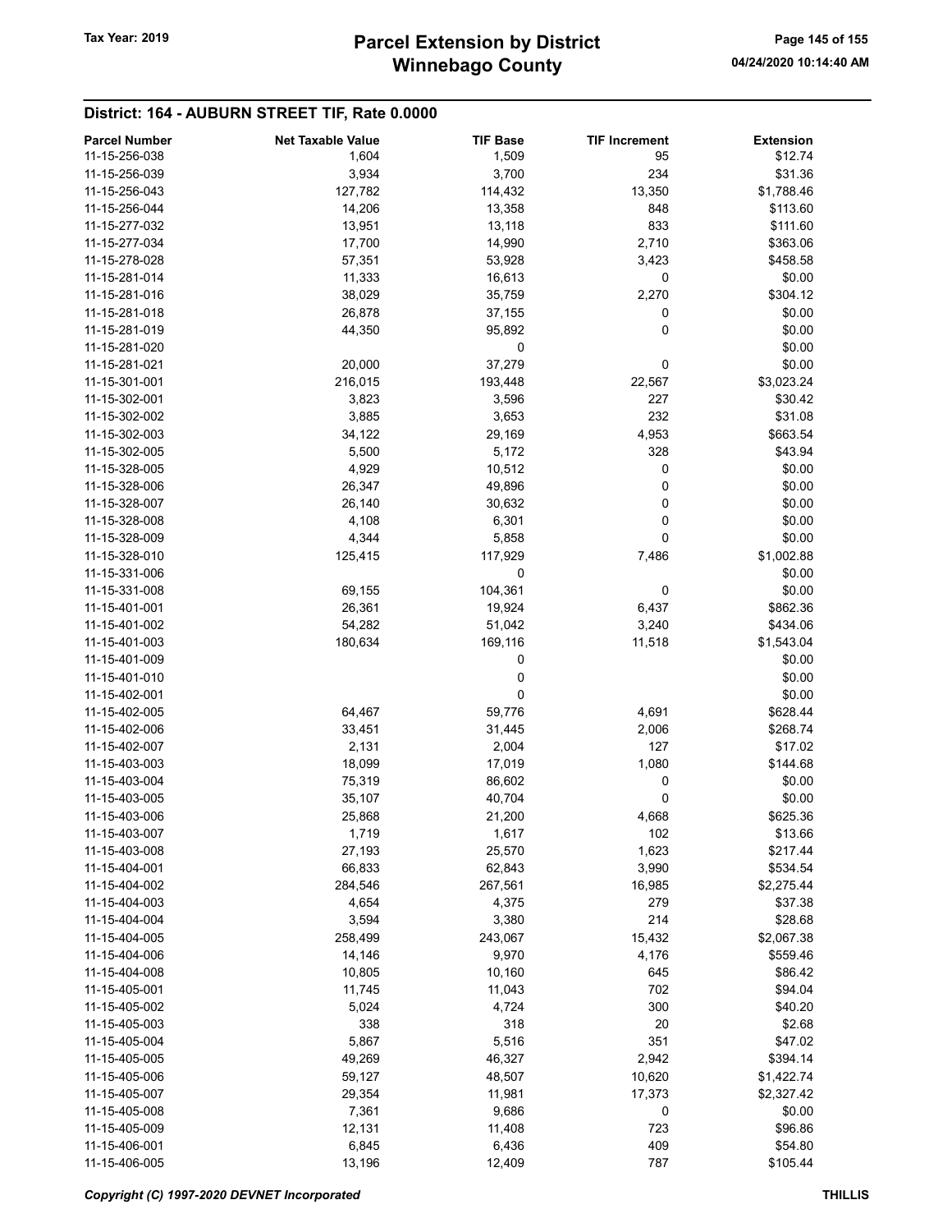## District: 164 - AUBURN STREET TIF, Rate 0.0000

| <b>Parcel Number</b> | <b>Net Taxable Value</b> | <b>TIF Base</b> | <b>TIF Increment</b> | <b>Extension</b> |
|----------------------|--------------------------|-----------------|----------------------|------------------|
| 11-15-256-038        | 1,604                    | 1,509           | 95                   | \$12.74          |
| 11-15-256-039        | 3,934                    | 3,700           | 234                  | \$31.36          |
| 11-15-256-043        | 127,782                  | 114,432         | 13,350               | \$1,788.46       |
| 11-15-256-044        | 14,206                   | 13,358          | 848                  | \$113.60         |
| 11-15-277-032        | 13,951                   | 13,118          | 833                  | \$111.60         |
| 11-15-277-034        | 17,700                   | 14,990          | 2,710                | \$363.06         |
| 11-15-278-028        | 57,351                   | 53,928          | 3,423                | \$458.58         |
| 11-15-281-014        | 11,333                   | 16,613          | 0                    | \$0.00           |
| 11-15-281-016        |                          |                 |                      |                  |
| 11-15-281-018        | 38,029                   | 35,759          | 2,270                | \$304.12         |
|                      | 26,878                   | 37,155          | 0                    | \$0.00           |
| 11-15-281-019        | 44,350                   | 95,892          | 0                    | \$0.00           |
| 11-15-281-020        |                          | 0               |                      | \$0.00           |
| 11-15-281-021        | 20,000                   | 37,279          | 0                    | \$0.00           |
| 11-15-301-001        | 216,015                  | 193,448         | 22,567               | \$3,023.24       |
| 11-15-302-001        | 3,823                    | 3,596           | 227                  | \$30.42          |
| 11-15-302-002        | 3,885                    | 3,653           | 232                  | \$31.08          |
| 11-15-302-003        | 34,122                   | 29,169          | 4,953                | \$663.54         |
| 11-15-302-005        | 5,500                    | 5,172           | 328                  | \$43.94          |
| 11-15-328-005        | 4,929                    | 10,512          | 0                    | \$0.00           |
| 11-15-328-006        | 26,347                   | 49,896          | 0                    | \$0.00           |
| 11-15-328-007        | 26,140                   | 30,632          | 0                    | \$0.00           |
| 11-15-328-008        | 4,108                    | 6,301           | 0                    | \$0.00           |
| 11-15-328-009        | 4,344                    | 5,858           | 0                    | \$0.00           |
| 11-15-328-010        | 125,415                  | 117,929         | 7,486                | \$1,002.88       |
| 11-15-331-006        |                          | 0               |                      | \$0.00           |
| 11-15-331-008        | 69,155                   | 104,361         | 0                    | \$0.00           |
| 11-15-401-001        | 26,361                   |                 |                      | \$862.36         |
| 11-15-401-002        |                          | 19,924          | 6,437<br>3,240       |                  |
|                      | 54,282                   | 51,042          |                      | \$434.06         |
| 11-15-401-003        | 180,634                  | 169,116         | 11,518               | \$1,543.04       |
| 11-15-401-009        |                          | 0               |                      | \$0.00           |
| 11-15-401-010        |                          | 0               |                      | \$0.00           |
| 11-15-402-001        |                          | 0               |                      | \$0.00           |
| 11-15-402-005        | 64,467                   | 59,776          | 4,691                | \$628.44         |
| 11-15-402-006        | 33,451                   | 31,445          | 2,006                | \$268.74         |
| 11-15-402-007        | 2,131                    | 2,004           | 127                  | \$17.02          |
| 11-15-403-003        | 18,099                   | 17,019          | 1,080                | \$144.68         |
| 11-15-403-004        | 75,319                   | 86,602          | 0                    | \$0.00           |
| 11-15-403-005        | 35,107                   | 40,704          | 0                    | \$0.00           |
| 11-15-403-006        | 25,868                   | 21,200          | 4,668                | \$625.36         |
| 11-15-403-007        | 1,719                    | 1,617           | 102                  | \$13.66          |
| 11-15-403-008        | 27,193                   | 25,570          | 1,623                | \$217.44         |
| 11-15-404-001        | 66,833                   | 62,843          | 3,990                | \$534.54         |
| 11-15-404-002        | 284,546                  | 267,561         | 16,985               | \$2,275.44       |
| 11-15-404-003        | 4,654                    | 4,375           | 279                  | \$37.38          |
| 11-15-404-004        | 3,594                    | 3,380           | 214                  | \$28.68          |
| 11-15-404-005        | 258,499                  | 243,067         | 15,432               | \$2,067.38       |
| 11-15-404-006        | 14,146                   | 9,970           | 4,176                | \$559.46         |
|                      |                          |                 |                      |                  |
| 11-15-404-008        | 10,805                   | 10,160          | 645                  | \$86.42          |
| 11-15-405-001        | 11,745                   | 11,043          | 702                  | \$94.04          |
| 11-15-405-002        | 5,024                    | 4,724           | 300                  | \$40.20          |
| 11-15-405-003        | 338                      | 318             | 20                   | \$2.68           |
| 11-15-405-004        | 5,867                    | 5,516           | 351                  | \$47.02          |
| 11-15-405-005        | 49,269                   | 46,327          | 2,942                | \$394.14         |
| 11-15-405-006        | 59,127                   | 48,507          | 10,620               | \$1,422.74       |
| 11-15-405-007        | 29,354                   | 11,981          | 17,373               | \$2,327.42       |
| 11-15-405-008        | 7,361                    | 9,686           | 0                    | \$0.00           |
| 11-15-405-009        | 12,131                   | 11,408          | 723                  | \$96.86          |
| 11-15-406-001        | 6,845                    | 6,436           | 409                  | \$54.80          |
| 11-15-406-005        | 13,196                   | 12,409          | 787                  | \$105.44         |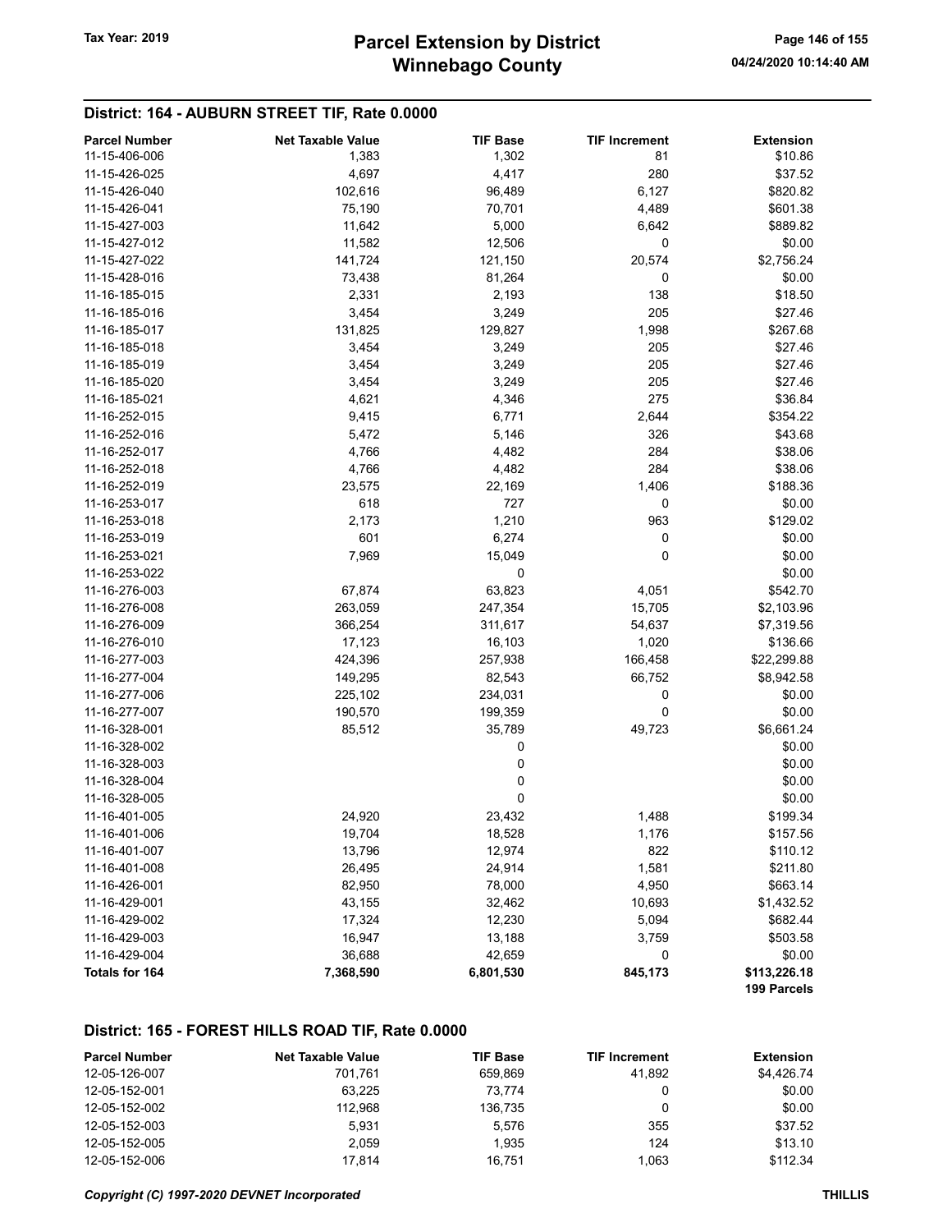## District: 164 - AUBURN STREET TIF, Rate 0.0000

| <b>Parcel Number</b> | <b>Net Taxable Value</b> | <b>TIF Base</b> | <b>TIF Increment</b> | <b>Extension</b>            |
|----------------------|--------------------------|-----------------|----------------------|-----------------------------|
| 11-15-406-006        | 1,383                    | 1,302           | 81                   | \$10.86                     |
| 11-15-426-025        | 4,697                    | 4,417           | 280                  | \$37.52                     |
| 11-15-426-040        | 102,616                  | 96,489          | 6,127                | \$820.82                    |
| 11-15-426-041        | 75,190                   | 70,701          | 4,489                | \$601.38                    |
| 11-15-427-003        | 11,642                   | 5,000           | 6,642                | \$889.82                    |
| 11-15-427-012        | 11,582                   | 12,506          | 0                    | \$0.00                      |
| 11-15-427-022        | 141,724                  | 121,150         | 20,574               | \$2,756.24                  |
| 11-15-428-016        | 73,438                   | 81,264          | 0                    | \$0.00                      |
| 11-16-185-015        | 2,331                    | 2,193           | 138                  | \$18.50                     |
| 11-16-185-016        | 3,454                    | 3,249           | 205                  | \$27.46                     |
| 11-16-185-017        | 131,825                  | 129,827         | 1,998                | \$267.68                    |
| 11-16-185-018        | 3,454                    | 3,249           | 205                  | \$27.46                     |
| 11-16-185-019        | 3,454                    | 3,249           | 205                  | \$27.46                     |
| 11-16-185-020        | 3,454                    | 3,249           | 205                  | \$27.46                     |
| 11-16-185-021        | 4,621                    | 4,346           | 275                  | \$36.84                     |
| 11-16-252-015        | 9,415                    | 6,771           | 2,644                | \$354.22                    |
| 11-16-252-016        | 5,472                    | 5,146           | 326                  | \$43.68                     |
| 11-16-252-017        | 4,766                    | 4,482           | 284                  | \$38.06                     |
| 11-16-252-018        | 4,766                    | 4,482           | 284                  | \$38.06                     |
| 11-16-252-019        | 23,575                   | 22,169          | 1,406                | \$188.36                    |
| 11-16-253-017        | 618                      | 727             | 0                    | \$0.00                      |
| 11-16-253-018        | 2,173                    | 1,210           | 963                  | \$129.02                    |
| 11-16-253-019        | 601                      | 6,274           | 0                    | \$0.00                      |
| 11-16-253-021        | 7,969                    | 15,049          | 0                    | \$0.00                      |
| 11-16-253-022        |                          | 0               |                      | \$0.00                      |
| 11-16-276-003        | 67,874                   | 63,823          | 4,051                | \$542.70                    |
| 11-16-276-008        | 263,059                  | 247,354         | 15,705               | \$2,103.96                  |
| 11-16-276-009        | 366,254                  | 311,617         | 54,637               | \$7,319.56                  |
| 11-16-276-010        | 17,123                   | 16,103          | 1,020                | \$136.66                    |
| 11-16-277-003        | 424,396                  | 257,938         | 166,458              | \$22,299.88                 |
| 11-16-277-004        | 149,295                  | 82,543          | 66,752               | \$8,942.58                  |
| 11-16-277-006        | 225,102                  | 234,031         | 0                    | \$0.00                      |
| 11-16-277-007        | 190,570                  | 199,359         | 0                    | \$0.00                      |
| 11-16-328-001        | 85,512                   | 35,789          | 49,723               | \$6,661.24                  |
| 11-16-328-002        |                          | 0               |                      | \$0.00                      |
| 11-16-328-003        |                          | 0               |                      | \$0.00                      |
| 11-16-328-004        |                          | 0               |                      | \$0.00                      |
| 11-16-328-005        |                          | 0               |                      | \$0.00                      |
| 11-16-401-005        | 24,920                   | 23,432          | 1,488                | \$199.34                    |
| 11-16-401-006        | 19,704                   | 18,528          | 1,176                | \$157.56                    |
| 11-16-401-007        | 13,796                   | 12,974          | 822                  | \$110.12                    |
| 11-16-401-008        | 26,495                   | 24,914          | 1,581                | \$211.80                    |
| 11-16-426-001        | 82,950                   | 78,000          | 4,950                | \$663.14                    |
| 11-16-429-001        | 43,155                   | 32,462          | 10,693               | \$1,432.52                  |
| 11-16-429-002        | 17,324                   | 12,230          | 5,094                | \$682.44                    |
| 11-16-429-003        | 16,947                   | 13,188          | 3,759                | \$503.58                    |
| 11-16-429-004        | 36,688                   | 42,659          | 0                    | \$0.00                      |
| Totals for 164       | 7,368,590                | 6,801,530       | 845,173              | \$113,226.18<br>199 Parcels |

## District: 165 - FOREST HILLS ROAD TIF, Rate 0.0000

| <b>Parcel Number</b> | <b>Net Taxable Value</b> | <b>TIF Base</b> | <b>TIF Increment</b> | <b>Extension</b> |
|----------------------|--------------------------|-----------------|----------------------|------------------|
| 12-05-126-007        | 701.761                  | 659.869         | 41.892               | \$4.426.74       |
| 12-05-152-001        | 63.225                   | 73.774          |                      | \$0.00           |
| 12-05-152-002        | 112.968                  | 136.735         |                      | \$0.00           |
| 12-05-152-003        | 5.931                    | 5.576           | 355                  | \$37.52          |
| 12-05-152-005        | 2.059                    | 1.935           | 124                  | \$13.10          |
| 12-05-152-006        | 17.814                   | 16.751          | 1.063                | \$112.34         |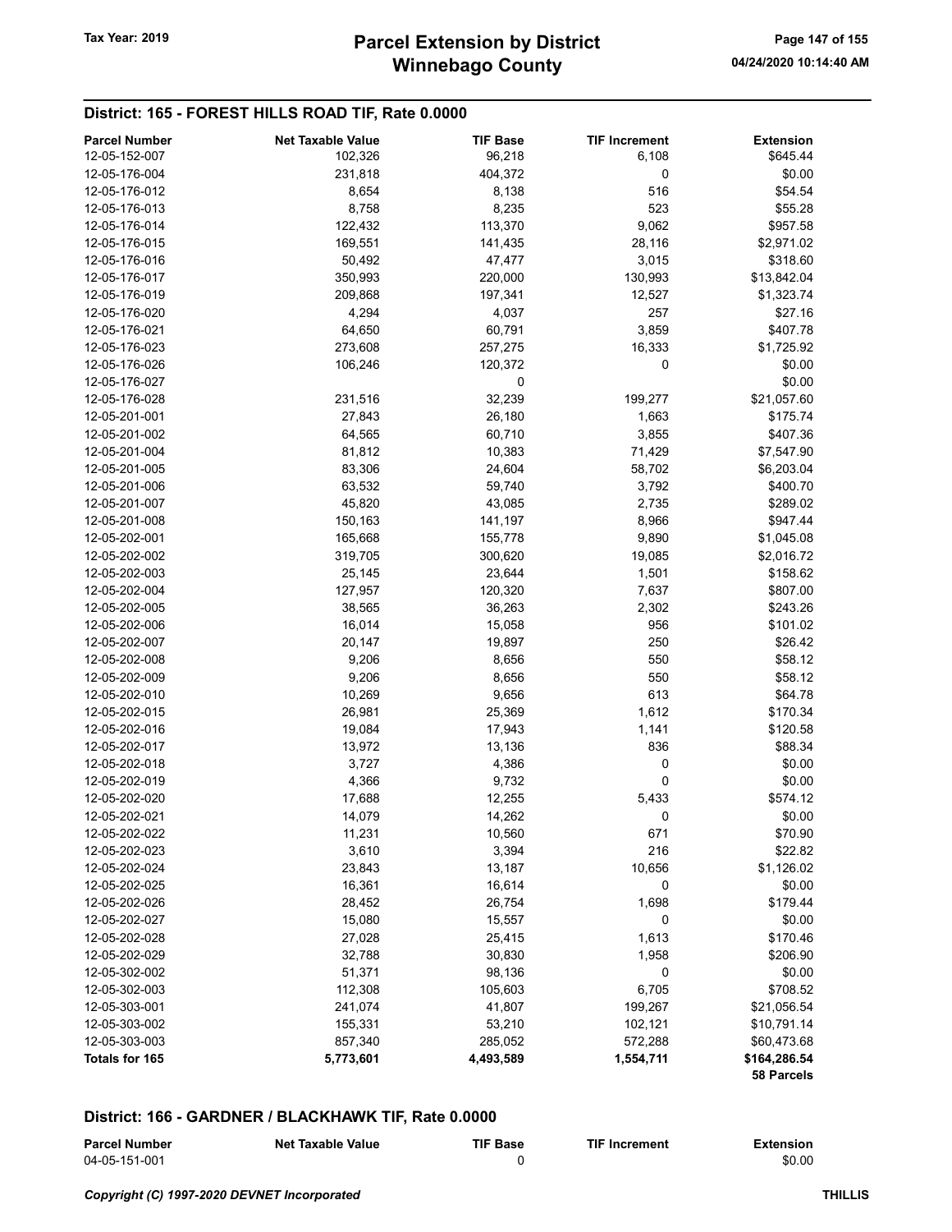## District: 165 - FOREST HILLS ROAD TIF, Rate 0.0000

| <b>Parcel Number</b> | <b>Net Taxable Value</b> | <b>TIF Base</b> | <b>TIF Increment</b> | <b>Extension</b> |
|----------------------|--------------------------|-----------------|----------------------|------------------|
| 12-05-152-007        | 102,326                  | 96,218          | 6,108                | \$645.44         |
| 12-05-176-004        | 231,818                  | 404,372         | 0                    | \$0.00           |
| 12-05-176-012        | 8,654                    | 8,138           | 516                  | \$54.54          |
| 12-05-176-013        | 8,758                    | 8,235           | 523                  | \$55.28          |
| 12-05-176-014        | 122,432                  | 113,370         | 9,062                | \$957.58         |
| 12-05-176-015        | 169,551                  | 141,435         | 28,116               | \$2,971.02       |
| 12-05-176-016        | 50,492                   | 47,477          | 3,015                | \$318.60         |
| 12-05-176-017        | 350,993                  | 220,000         | 130,993              | \$13,842.04      |
| 12-05-176-019        | 209,868                  | 197,341         | 12,527               | \$1,323.74       |
| 12-05-176-020        | 4,294                    | 4,037           | 257                  | \$27.16          |
| 12-05-176-021        | 64,650                   | 60,791          | 3,859                | \$407.78         |
| 12-05-176-023        | 273,608                  | 257,275         | 16,333               | \$1,725.92       |
| 12-05-176-026        | 106,246                  | 120,372         | 0                    | \$0.00           |
| 12-05-176-027        |                          | 0               |                      | \$0.00           |
| 12-05-176-028        | 231,516                  | 32,239          | 199,277              | \$21,057.60      |
| 12-05-201-001        | 27,843                   | 26,180          | 1,663                | \$175.74         |
| 12-05-201-002        | 64,565                   | 60,710          | 3,855                | \$407.36         |
| 12-05-201-004        | 81,812                   | 10,383          | 71,429               | \$7,547.90       |
| 12-05-201-005        | 83,306                   | 24,604          | 58,702               | \$6,203.04       |
| 12-05-201-006        | 63,532                   | 59,740          | 3,792                | \$400.70         |
| 12-05-201-007        | 45,820                   | 43,085          | 2,735                | \$289.02         |
| 12-05-201-008        | 150,163                  | 141,197         | 8,966                | \$947.44         |
| 12-05-202-001        | 165,668                  | 155,778         | 9,890                | \$1,045.08       |
| 12-05-202-002        | 319,705                  | 300,620         | 19,085               | \$2,016.72       |
| 12-05-202-003        | 25,145                   | 23,644          | 1,501                | \$158.62         |
| 12-05-202-004        | 127,957                  | 120,320         | 7,637                | \$807.00         |
| 12-05-202-005        | 38,565                   | 36,263          | 2,302                | \$243.26         |
| 12-05-202-006        | 16,014                   | 15,058          | 956                  | \$101.02         |
| 12-05-202-007        | 20,147                   | 19,897          | 250                  | \$26.42          |
| 12-05-202-008        | 9,206                    | 8,656           | 550                  | \$58.12          |
| 12-05-202-009        | 9,206                    | 8,656           | 550                  | \$58.12          |
| 12-05-202-010        | 10,269                   | 9,656           | 613                  | \$64.78          |
| 12-05-202-015        | 26,981                   | 25,369          | 1,612                | \$170.34         |
| 12-05-202-016        | 19,084                   | 17,943          | 1,141                | \$120.58         |
| 12-05-202-017        | 13,972                   | 13,136          | 836                  | \$88.34          |
| 12-05-202-018        | 3,727                    | 4,386           | 0                    | \$0.00           |
| 12-05-202-019        | 4,366                    | 9,732           | 0                    | \$0.00           |
| 12-05-202-020        | 17,688                   | 12,255          | 5,433                | \$574.12         |
| 12-05-202-021        | 14,079                   | 14,262          | 0                    | \$0.00           |
| 12-05-202-022        | 11,231                   | 10,560          | 671                  | \$70.90          |
| 12-05-202-023        | 3,610                    | 3,394           | 216                  | \$22.82          |
| 12-05-202-024        | 23,843                   | 13,187          | 10,656               | \$1,126.02       |
| 12-05-202-025        | 16,361                   | 16,614          | 0                    | \$0.00           |
| 12-05-202-026        | 28,452                   | 26,754          | 1,698                | \$179.44         |
| 12-05-202-027        | 15,080                   | 15,557          | 0                    | \$0.00           |
| 12-05-202-028        | 27,028                   | 25,415          | 1,613                | \$170.46         |
| 12-05-202-029        | 32,788                   | 30,830          | 1,958                | \$206.90         |
| 12-05-302-002        | 51,371                   | 98,136          | 0                    | \$0.00           |
| 12-05-302-003        | 112,308                  | 105,603         | 6,705                | \$708.52         |
| 12-05-303-001        | 241,074                  | 41,807          | 199,267              | \$21,056.54      |
| 12-05-303-002        | 155,331                  | 53,210          | 102,121              | \$10,791.14      |
| 12-05-303-003        | 857,340                  | 285,052         | 572,288              | \$60,473.68      |
| Totals for 165       | 5,773,601                | 4,493,589       | 1,554,711            | \$164,286.54     |
|                      |                          |                 |                      | 58 Parcels       |

| <b>Parcel Number</b> | <b>Net Taxable Value</b> | TIF Base | <b>TIF Increment</b> | <b>Extension</b> |
|----------------------|--------------------------|----------|----------------------|------------------|
| 04-05-151-001        |                          |          |                      | \$0.00           |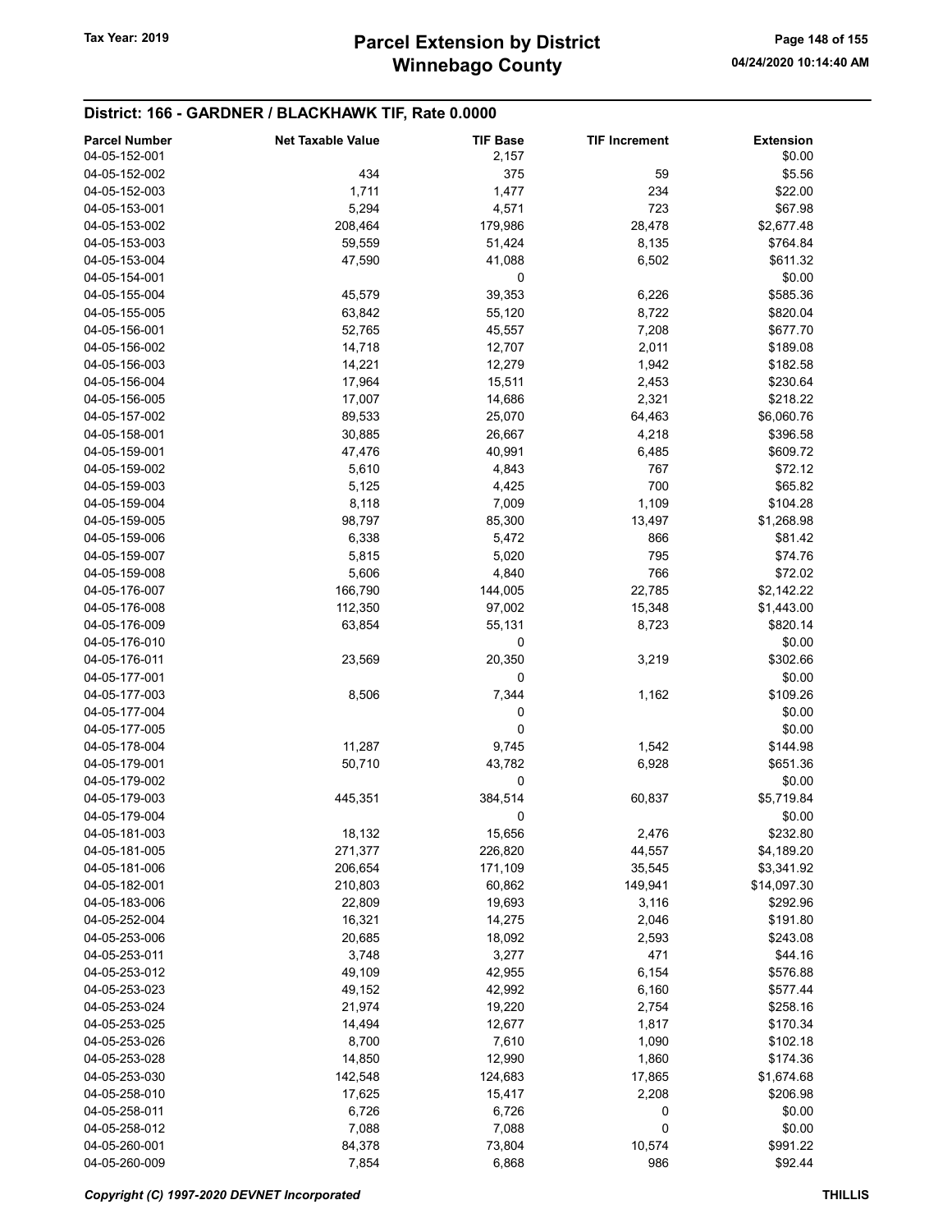| <b>Parcel Number</b> | <b>Net Taxable Value</b> | <b>TIF Base</b> | <b>TIF Increment</b> | <b>Extension</b> |
|----------------------|--------------------------|-----------------|----------------------|------------------|
| 04-05-152-001        |                          | 2,157           |                      | \$0.00           |
| 04-05-152-002        | 434                      | 375             | 59                   | \$5.56           |
| 04-05-152-003        | 1,711                    | 1,477           | 234                  | \$22.00          |
| 04-05-153-001        | 5,294                    | 4,571           | 723                  | \$67.98          |
| 04-05-153-002        | 208,464                  | 179,986         | 28,478               | \$2,677.48       |
| 04-05-153-003        | 59,559                   | 51,424          | 8,135                | \$764.84         |
| 04-05-153-004        | 47,590                   | 41,088          | 6,502                | \$611.32         |
| 04-05-154-001        |                          | 0               |                      | \$0.00           |
| 04-05-155-004        | 45,579                   | 39,353          | 6,226                | \$585.36         |
| 04-05-155-005        | 63,842                   | 55,120          | 8,722                | \$820.04         |
| 04-05-156-001        | 52,765                   | 45,557          | 7,208                | \$677.70         |
| 04-05-156-002        | 14,718                   | 12,707          | 2,011                | \$189.08         |
| 04-05-156-003        | 14,221                   | 12,279          | 1,942                | \$182.58         |
| 04-05-156-004        | 17,964                   | 15,511          | 2,453                | \$230.64         |
| 04-05-156-005        | 17,007                   | 14,686          | 2,321                | \$218.22         |
| 04-05-157-002        | 89,533                   | 25,070          | 64,463               | \$6,060.76       |
| 04-05-158-001        | 30,885                   | 26,667          | 4,218                | \$396.58         |
| 04-05-159-001        | 47,476                   | 40,991          | 6,485                | \$609.72         |
| 04-05-159-002        | 5,610                    | 4,843           | 767                  | \$72.12          |
| 04-05-159-003        | 5,125                    | 4,425           | 700                  | \$65.82          |
| 04-05-159-004        | 8,118                    | 7,009           | 1,109                | \$104.28         |
| 04-05-159-005        | 98,797                   | 85,300          | 13,497               | \$1,268.98       |
| 04-05-159-006        | 6,338                    | 5,472           | 866                  | \$81.42          |
| 04-05-159-007        | 5,815                    | 5,020           | 795                  | \$74.76          |
| 04-05-159-008        | 5,606                    | 4,840           | 766                  | \$72.02          |
| 04-05-176-007        | 166,790                  | 144,005         | 22,785               | \$2,142.22       |
| 04-05-176-008        | 112,350                  | 97,002          | 15,348               | \$1,443.00       |
| 04-05-176-009        | 63,854                   | 55,131          | 8,723                | \$820.14         |
| 04-05-176-010        |                          | 0               |                      | \$0.00           |
| 04-05-176-011        | 23,569                   | 20,350          | 3,219                | \$302.66         |
| 04-05-177-001        |                          | 0               |                      | \$0.00           |
| 04-05-177-003        | 8,506                    | 7,344           | 1,162                | \$109.26         |
| 04-05-177-004        |                          | 0               |                      | \$0.00           |
| 04-05-177-005        |                          | 0               |                      | \$0.00           |
| 04-05-178-004        | 11,287                   | 9,745           | 1,542                | \$144.98         |
| 04-05-179-001        | 50,710                   | 43,782          | 6,928                | \$651.36         |
| 04-05-179-002        |                          | 0               |                      | \$0.00           |
| 04-05-179-003        | 445,351                  | 384,514         | 60,837               | \$5,719.84       |
| 04-05-179-004        |                          | 0               |                      | \$0.00           |
| 04-05-181-003        |                          | 15,656          | 2,476                | \$232.80         |
| 04-05-181-005        | 18,132<br>271,377        | 226,820         | 44,557               | \$4,189.20       |
| 04-05-181-006        | 206,654                  | 171,109         | 35,545               | \$3,341.92       |
| 04-05-182-001        | 210,803                  | 60,862          | 149,941              | \$14,097.30      |
| 04-05-183-006        |                          |                 |                      | \$292.96         |
| 04-05-252-004        | 22,809                   | 19,693          | 3,116                |                  |
|                      | 16,321                   | 14,275          | 2,046                | \$191.80         |
| 04-05-253-006        | 20,685                   | 18,092          | 2,593                | \$243.08         |
| 04-05-253-011        | 3,748                    | 3,277           | 471                  | \$44.16          |
| 04-05-253-012        | 49,109                   | 42,955          | 6,154                | \$576.88         |
| 04-05-253-023        | 49,152                   | 42,992          | 6,160                | \$577.44         |
| 04-05-253-024        | 21,974                   | 19,220          | 2,754                | \$258.16         |
| 04-05-253-025        | 14,494                   | 12,677          | 1,817                | \$170.34         |
| 04-05-253-026        | 8,700                    | 7,610           | 1,090                | \$102.18         |
| 04-05-253-028        | 14,850                   | 12,990          | 1,860                | \$174.36         |
| 04-05-253-030        | 142,548                  | 124,683         | 17,865               | \$1,674.68       |
| 04-05-258-010        | 17,625                   | 15,417          | 2,208                | \$206.98         |
| 04-05-258-011        | 6,726                    | 6,726           | 0                    | \$0.00           |
| 04-05-258-012        | 7,088                    | 7,088           | 0                    | \$0.00           |
| 04-05-260-001        | 84,378                   | 73,804          | 10,574               | \$991.22         |
| 04-05-260-009        | 7,854                    | 6,868           | 986                  | \$92.44          |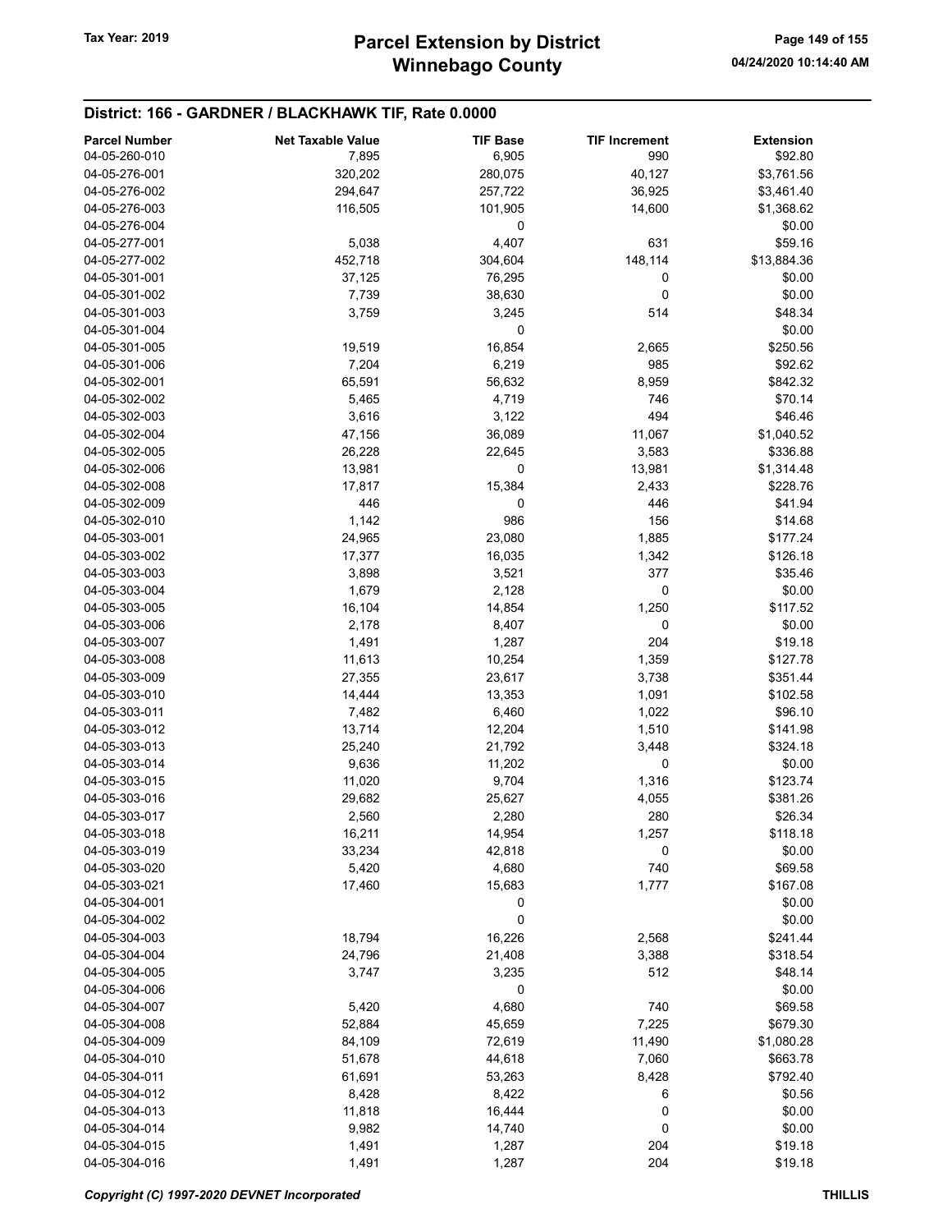| <b>Parcel Number</b> | <b>Net Taxable Value</b> | <b>TIF Base</b> | <b>TIF Increment</b> | <b>Extension</b> |
|----------------------|--------------------------|-----------------|----------------------|------------------|
| 04-05-260-010        | 7,895                    | 6,905           | 990                  | \$92.80          |
| 04-05-276-001        | 320,202                  | 280,075         | 40,127               | \$3,761.56       |
| 04-05-276-002        |                          |                 |                      |                  |
|                      | 294,647                  | 257,722         | 36,925               | \$3,461.40       |
| 04-05-276-003        | 116,505                  | 101,905         | 14,600               | \$1,368.62       |
| 04-05-276-004        |                          | 0               |                      | \$0.00           |
| 04-05-277-001        | 5,038                    | 4,407           | 631                  | \$59.16          |
| 04-05-277-002        | 452,718                  | 304,604         | 148,114              | \$13,884.36      |
| 04-05-301-001        | 37,125                   | 76,295          | 0                    | \$0.00           |
| 04-05-301-002        | 7,739                    | 38,630          | 0                    | \$0.00           |
| 04-05-301-003        | 3,759                    | 3,245           | 514                  | \$48.34          |
| 04-05-301-004        |                          | 0               |                      | \$0.00           |
| 04-05-301-005        | 19,519                   | 16,854          | 2,665                | \$250.56         |
| 04-05-301-006        | 7,204                    | 6,219           | 985                  | \$92.62          |
| 04-05-302-001        | 65,591                   | 56,632          | 8,959                | \$842.32         |
| 04-05-302-002        | 5,465                    | 4,719           | 746                  | \$70.14          |
| 04-05-302-003        | 3,616                    | 3,122           | 494                  | \$46.46          |
| 04-05-302-004        | 47,156                   | 36,089          | 11,067               | \$1,040.52       |
| 04-05-302-005        |                          |                 | 3,583                | \$336.88         |
|                      | 26,228                   | 22,645          |                      |                  |
| 04-05-302-006        | 13,981                   | 0               | 13,981               | \$1,314.48       |
| 04-05-302-008        | 17,817                   | 15,384          | 2,433                | \$228.76         |
| 04-05-302-009        | 446                      | 0               | 446                  | \$41.94          |
| 04-05-302-010        | 1,142                    | 986             | 156                  | \$14.68          |
| 04-05-303-001        | 24,965                   | 23,080          | 1,885                | \$177.24         |
| 04-05-303-002        | 17,377                   | 16,035          | 1,342                | \$126.18         |
| 04-05-303-003        | 3,898                    | 3,521           | 377                  | \$35.46          |
| 04-05-303-004        | 1,679                    | 2,128           | 0                    | \$0.00           |
| 04-05-303-005        | 16,104                   | 14,854          | 1,250                | \$117.52         |
| 04-05-303-006        | 2,178                    | 8,407           | 0                    | \$0.00           |
| 04-05-303-007        | 1,491                    | 1,287           | 204                  | \$19.18          |
| 04-05-303-008        | 11,613                   | 10,254          | 1,359                | \$127.78         |
| 04-05-303-009        | 27,355                   | 23,617          | 3,738                | \$351.44         |
| 04-05-303-010        | 14,444                   | 13,353          | 1,091                | \$102.58         |
| 04-05-303-011        | 7,482                    | 6,460           | 1,022                | \$96.10          |
| 04-05-303-012        | 13,714                   | 12,204          | 1,510                | \$141.98         |
| 04-05-303-013        |                          |                 | 3,448                |                  |
|                      | 25,240                   | 21,792          |                      | \$324.18         |
| 04-05-303-014        | 9,636                    | 11,202          | 0                    | \$0.00           |
| 04-05-303-015        | 11,020                   | 9,704           | 1,316                | \$123.74         |
| 04-05-303-016        | 29,682                   | 25,627          | 4,055                | \$381.26         |
| 04-05-303-017        | 2,560                    | 2,280           | 280                  | \$26.34          |
| 04-05-303-018        | 16,211                   | 14,954          | 1,257                | \$118.18         |
| 04-05-303-019        | 33,234                   | 42,818          | 0                    | \$0.00           |
| 04-05-303-020        | 5,420                    | 4,680           | 740                  | \$69.58          |
| 04-05-303-021        | 17,460                   | 15,683          | 1,777                | \$167.08         |
| 04-05-304-001        |                          | 0               |                      | \$0.00           |
| 04-05-304-002        |                          | 0               |                      | \$0.00           |
| 04-05-304-003        | 18,794                   | 16,226          | 2,568                | \$241.44         |
| 04-05-304-004        | 24,796                   | 21,408          | 3,388                | \$318.54         |
| 04-05-304-005        | 3,747                    | 3,235           | 512                  | \$48.14          |
| 04-05-304-006        |                          | 0               |                      | \$0.00           |
| 04-05-304-007        | 5,420                    | 4,680           | 740                  | \$69.58          |
|                      |                          |                 |                      |                  |
| 04-05-304-008        | 52,884                   | 45,659          | 7,225                | \$679.30         |
| 04-05-304-009        | 84,109                   | 72,619          | 11,490               | \$1,080.28       |
| 04-05-304-010        | 51,678                   | 44,618          | 7,060                | \$663.78         |
| 04-05-304-011        | 61,691                   | 53,263          | 8,428                | \$792.40         |
| 04-05-304-012        | 8,428                    | 8,422           | 6                    | \$0.56           |
| 04-05-304-013        | 11,818                   | 16,444          | 0                    | \$0.00           |
| 04-05-304-014        | 9,982                    | 14,740          | 0                    | \$0.00           |
| 04-05-304-015        | 1,491                    | 1,287           | 204                  | \$19.18          |
| 04-05-304-016        | 1,491                    | 1,287           | 204                  | \$19.18          |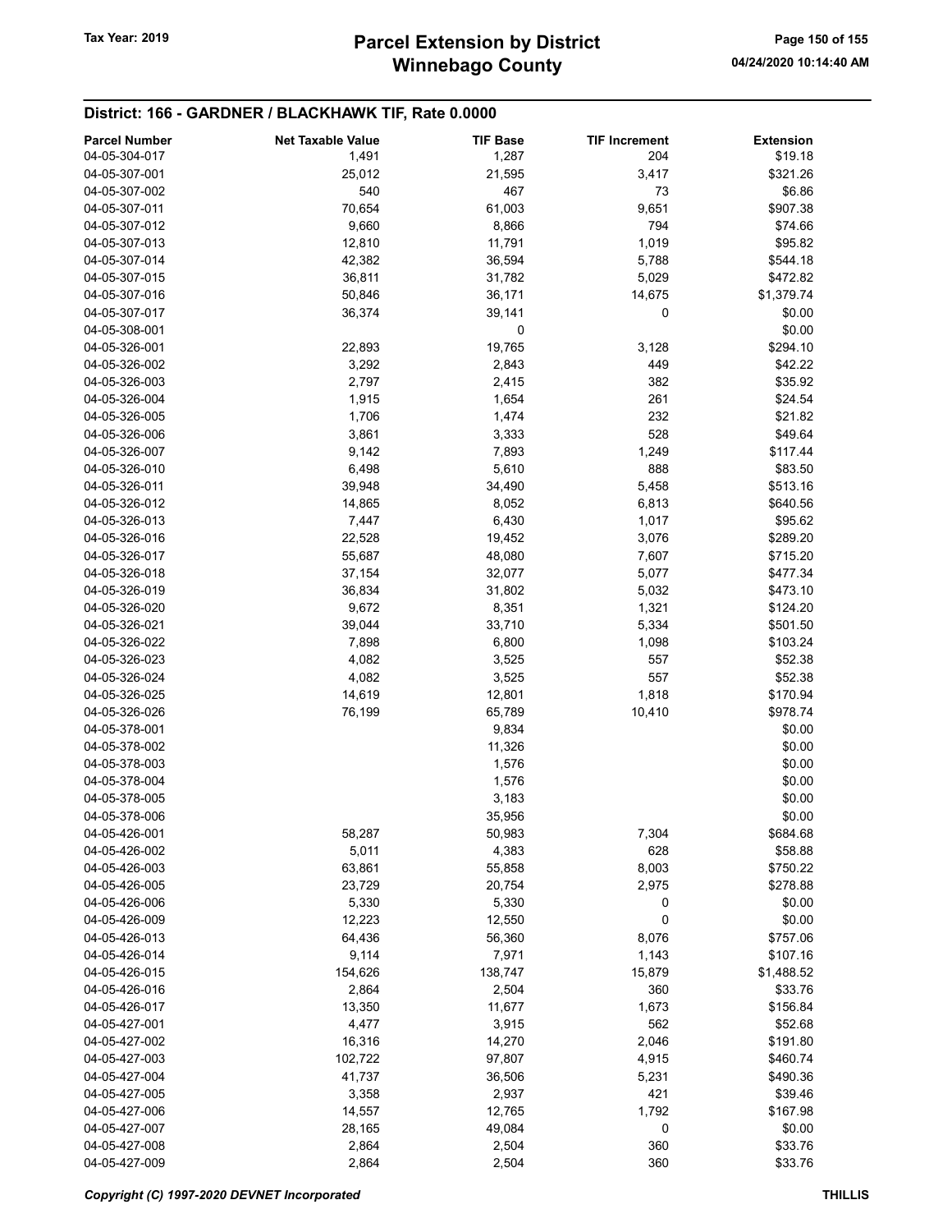| <b>Parcel Number</b> | <b>Net Taxable Value</b> | <b>TIF Base</b> | <b>TIF Increment</b> | <b>Extension</b> |
|----------------------|--------------------------|-----------------|----------------------|------------------|
| 04-05-304-017        |                          |                 | 204                  | \$19.18          |
|                      | 1,491                    | 1,287           |                      |                  |
| 04-05-307-001        | 25,012                   | 21,595          | 3,417                | \$321.26         |
| 04-05-307-002        | 540                      | 467             | 73                   | \$6.86           |
| 04-05-307-011        | 70,654                   | 61,003          | 9,651                | \$907.38         |
| 04-05-307-012        | 9,660                    | 8,866           | 794                  | \$74.66          |
| 04-05-307-013        | 12,810                   | 11,791          | 1,019                | \$95.82          |
| 04-05-307-014        | 42,382                   | 36,594          | 5,788                | \$544.18         |
| 04-05-307-015        | 36,811                   | 31,782          | 5,029                | \$472.82         |
| 04-05-307-016        | 50,846                   | 36,171          | 14,675               | \$1,379.74       |
| 04-05-307-017        | 36,374                   | 39,141          | 0                    | \$0.00           |
| 04-05-308-001        |                          | 0               |                      | \$0.00           |
| 04-05-326-001        | 22,893                   | 19,765          | 3,128                | \$294.10         |
| 04-05-326-002        | 3,292                    | 2,843           | 449                  | \$42.22          |
|                      |                          |                 |                      |                  |
| 04-05-326-003        | 2,797                    | 2,415           | 382                  | \$35.92          |
| 04-05-326-004        | 1,915                    | 1,654           | 261                  | \$24.54          |
| 04-05-326-005        | 1,706                    | 1,474           | 232                  | \$21.82          |
| 04-05-326-006        | 3,861                    | 3,333           | 528                  | \$49.64          |
| 04-05-326-007        | 9,142                    | 7,893           | 1,249                | \$117.44         |
| 04-05-326-010        | 6,498                    | 5,610           | 888                  | \$83.50          |
| 04-05-326-011        | 39,948                   | 34,490          | 5,458                | \$513.16         |
| 04-05-326-012        | 14,865                   | 8,052           | 6,813                | \$640.56         |
| 04-05-326-013        | 7,447                    | 6,430           | 1,017                | \$95.62          |
| 04-05-326-016        | 22,528                   | 19,452          | 3,076                | \$289.20         |
| 04-05-326-017        | 55,687                   | 48,080          | 7,607                | \$715.20         |
| 04-05-326-018        | 37,154                   | 32,077          | 5,077                | \$477.34         |
|                      |                          |                 |                      |                  |
| 04-05-326-019        | 36,834                   | 31,802          | 5,032                | \$473.10         |
| 04-05-326-020        | 9,672                    | 8,351           | 1,321                | \$124.20         |
| 04-05-326-021        | 39,044                   | 33,710          | 5,334                | \$501.50         |
| 04-05-326-022        | 7,898                    | 6,800           | 1,098                | \$103.24         |
| 04-05-326-023        | 4,082                    | 3,525           | 557                  | \$52.38          |
| 04-05-326-024        | 4,082                    | 3,525           | 557                  | \$52.38          |
| 04-05-326-025        | 14,619                   | 12,801          | 1,818                | \$170.94         |
| 04-05-326-026        | 76,199                   | 65,789          | 10,410               | \$978.74         |
| 04-05-378-001        |                          | 9,834           |                      | \$0.00           |
| 04-05-378-002        |                          | 11,326          |                      | \$0.00           |
| 04-05-378-003        |                          | 1,576           |                      | \$0.00           |
| 04-05-378-004        |                          | 1,576           |                      | \$0.00           |
| 04-05-378-005        |                          | 3,183           |                      | \$0.00           |
| 04-05-378-006        |                          |                 |                      |                  |
|                      |                          | 35,956          |                      | \$0.00           |
| 04-05-426-001        | 58,287                   | 50,983          | 7,304                | \$684.68         |
| 04-05-426-002        | 5,011                    | 4,383           | 628                  | \$58.88          |
| 04-05-426-003        | 63,861                   | 55,858          | 8,003                | \$750.22         |
| 04-05-426-005        | 23,729                   | 20,754          | 2,975                | \$278.88         |
| 04-05-426-006        | 5,330                    | 5,330           | 0                    | \$0.00           |
| 04-05-426-009        | 12,223                   | 12,550          | 0                    | \$0.00           |
| 04-05-426-013        | 64,436                   | 56,360          | 8,076                | \$757.06         |
| 04-05-426-014        | 9,114                    | 7,971           | 1,143                | \$107.16         |
| 04-05-426-015        | 154,626                  | 138,747         | 15,879               | \$1,488.52       |
| 04-05-426-016        | 2,864                    | 2,504           | 360                  | \$33.76          |
| 04-05-426-017        | 13,350                   | 11,677          | 1,673                | \$156.84         |
| 04-05-427-001        | 4,477                    | 3,915           | 562                  | \$52.68          |
|                      |                          |                 |                      |                  |
| 04-05-427-002        | 16,316                   | 14,270          | 2,046                | \$191.80         |
| 04-05-427-003        | 102,722                  | 97,807          | 4,915                | \$460.74         |
| 04-05-427-004        | 41,737                   | 36,506          | 5,231                | \$490.36         |
| 04-05-427-005        | 3,358                    | 2,937           | 421                  | \$39.46          |
| 04-05-427-006        | 14,557                   | 12,765          | 1,792                | \$167.98         |
| 04-05-427-007        | 28,165                   | 49,084          | 0                    | \$0.00           |
| 04-05-427-008        | 2,864                    | 2,504           | 360                  | \$33.76          |
| 04-05-427-009        | 2,864                    | 2,504           | 360                  | \$33.76          |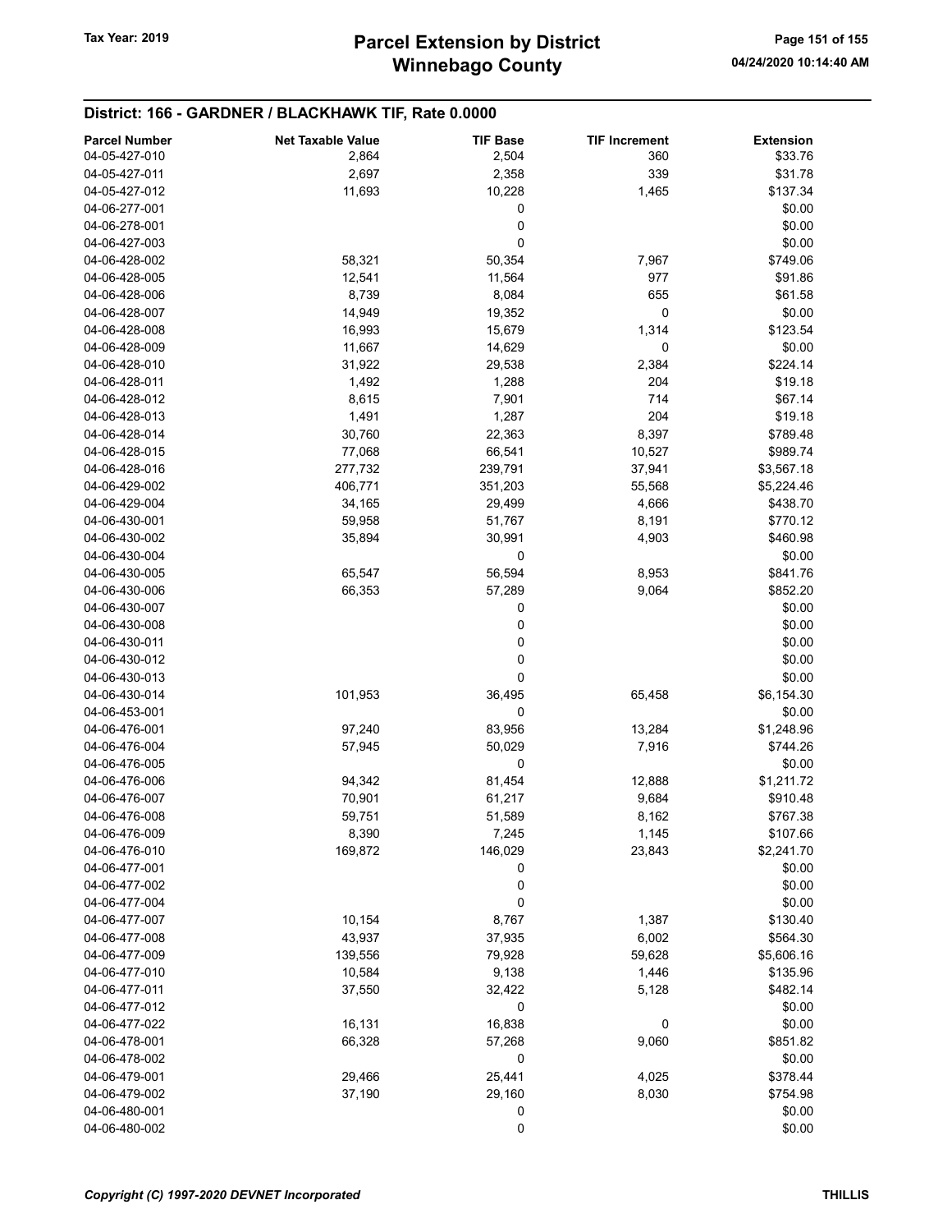| <b>Parcel Number</b> | <b>Net Taxable Value</b> | <b>TIF Base</b> | <b>TIF Increment</b> | <b>Extension</b> |
|----------------------|--------------------------|-----------------|----------------------|------------------|
| 04-05-427-010        | 2,864                    | 2,504           | 360                  | \$33.76          |
| 04-05-427-011        | 2,697                    | 2,358           | 339                  | \$31.78          |
| 04-05-427-012        | 11,693                   | 10,228          | 1,465                | \$137.34         |
| 04-06-277-001        |                          | 0               |                      | \$0.00           |
| 04-06-278-001        |                          | 0               |                      | \$0.00           |
| 04-06-427-003        |                          | 0               |                      | \$0.00           |
| 04-06-428-002        | 58,321                   | 50,354          | 7,967                | \$749.06         |
| 04-06-428-005        | 12,541                   | 11,564          | 977                  | \$91.86          |
| 04-06-428-006        | 8,739                    | 8,084           | 655                  | \$61.58          |
| 04-06-428-007        | 14,949                   | 19,352          | 0                    | \$0.00           |
| 04-06-428-008        | 16,993                   | 15,679          | 1,314                | \$123.54         |
| 04-06-428-009        | 11,667                   | 14,629          | 0                    | \$0.00           |
| 04-06-428-010        | 31,922                   | 29,538          | 2,384                | \$224.14         |
| 04-06-428-011        | 1,492                    | 1,288           | 204                  | \$19.18          |
| 04-06-428-012        | 8,615                    | 7,901           | 714                  | \$67.14          |
| 04-06-428-013        | 1,491                    | 1,287           | 204                  | \$19.18          |
| 04-06-428-014        | 30,760                   | 22,363          | 8,397                | \$789.48         |
| 04-06-428-015        | 77,068                   | 66,541          | 10,527               | \$989.74         |
| 04-06-428-016        | 277,732                  | 239,791         | 37,941               | \$3,567.18       |
| 04-06-429-002        | 406,771                  | 351,203         | 55,568               | \$5,224.46       |
| 04-06-429-004        | 34,165                   | 29,499          | 4,666                | \$438.70         |
| 04-06-430-001        | 59,958                   | 51,767          | 8,191                | \$770.12         |
| 04-06-430-002        | 35,894                   | 30,991          | 4,903                | \$460.98         |
| 04-06-430-004        |                          | 0               |                      | \$0.00           |
| 04-06-430-005        | 65,547                   | 56,594          | 8,953                | \$841.76         |
| 04-06-430-006        | 66,353                   | 57,289          | 9,064                | \$852.20         |
| 04-06-430-007        |                          | 0               |                      | \$0.00           |
| 04-06-430-008        |                          | 0               |                      | \$0.00           |
| 04-06-430-011        |                          | 0               |                      | \$0.00           |
| 04-06-430-012        |                          | 0               |                      | \$0.00           |
| 04-06-430-013        |                          | 0               |                      | \$0.00           |
| 04-06-430-014        | 101,953                  | 36,495          | 65,458               | \$6,154.30       |
| 04-06-453-001        |                          | 0               |                      | \$0.00           |
| 04-06-476-001        | 97,240                   | 83,956          | 13,284               | \$1,248.96       |
| 04-06-476-004        | 57,945                   | 50,029          | 7,916                | \$744.26         |
| 04-06-476-005        |                          | 0               |                      | \$0.00           |
| 04-06-476-006        | 94,342                   | 81,454          | 12,888               | \$1,211.72       |
| 04-06-476-007        | 70,901                   | 61,217          | 9,684                | \$910.48         |
| 04-06-476-008        |                          | 51,589          |                      | \$767.38         |
| 04-06-476-009        | 59,751<br>8,390          | 7,245           | 8,162<br>1,145       | \$107.66         |
| 04-06-476-010        | 169,872                  | 146,029         | 23,843               | \$2,241.70       |
| 04-06-477-001        |                          | 0               |                      | \$0.00           |
| 04-06-477-002        |                          |                 |                      | \$0.00           |
| 04-06-477-004        |                          | 0<br>0          |                      | \$0.00           |
| 04-06-477-007        |                          |                 |                      |                  |
| 04-06-477-008        | 10,154                   | 8,767           | 1,387                | \$130.40         |
|                      | 43,937                   | 37,935          | 6,002                | \$564.30         |
| 04-06-477-009        | 139,556                  | 79,928          | 59,628               | \$5,606.16       |
| 04-06-477-010        | 10,584                   | 9,138           | 1,446                | \$135.96         |
| 04-06-477-011        | 37,550                   | 32,422          | 5,128                | \$482.14         |
| 04-06-477-012        |                          | 0               |                      | \$0.00           |
| 04-06-477-022        | 16,131                   | 16,838          | 0                    | \$0.00           |
| 04-06-478-001        | 66,328                   | 57,268          | 9,060                | \$851.82         |
| 04-06-478-002        |                          | 0               |                      | \$0.00           |
| 04-06-479-001        | 29,466                   | 25,441          | 4,025                | \$378.44         |
| 04-06-479-002        | 37,190                   | 29,160          | 8,030                | \$754.98         |
| 04-06-480-001        |                          | 0               |                      | \$0.00           |
| 04-06-480-002        |                          | 0               |                      | \$0.00           |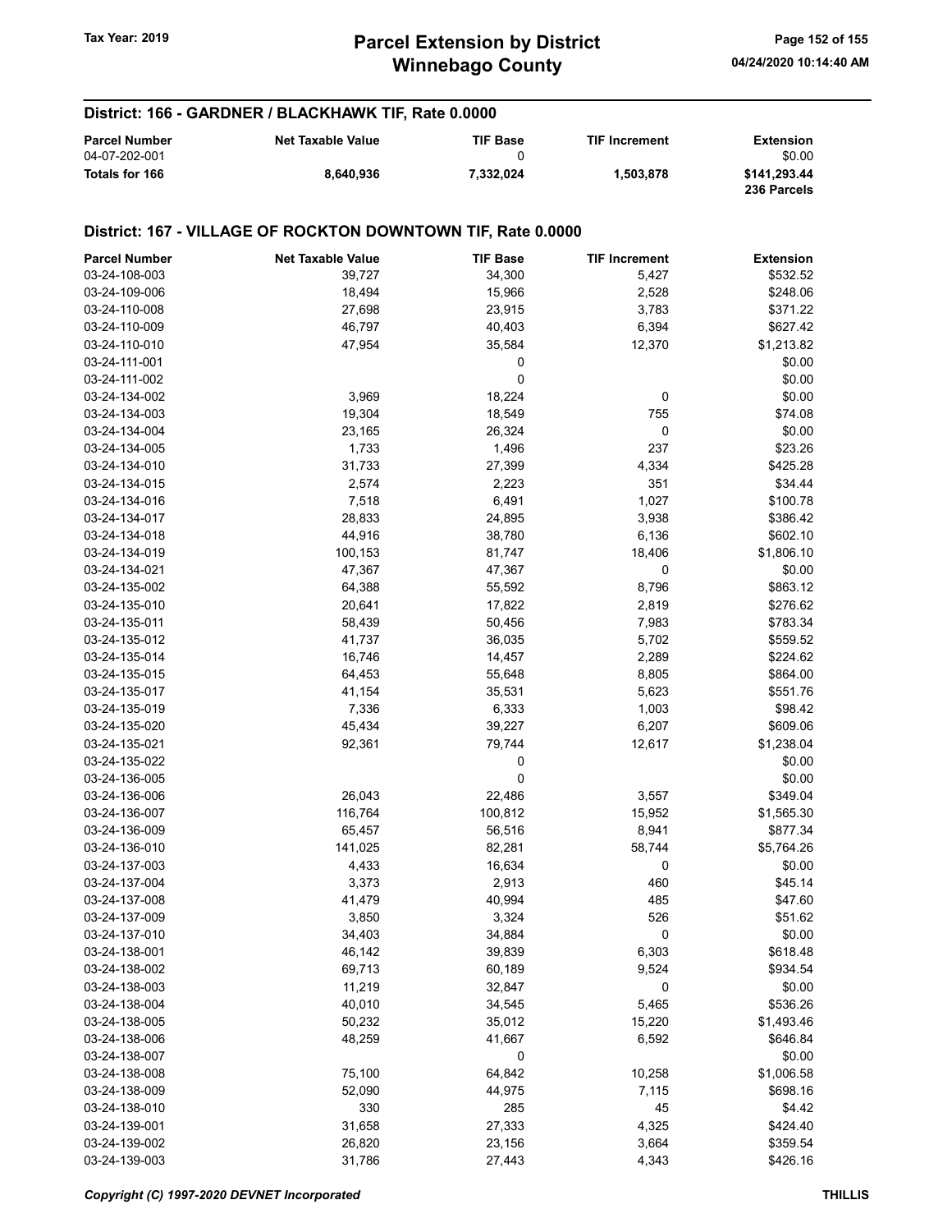# Winnebago County Tax Year: 2019 **Parcel Extension by District** Page 152 of 155

| District: 166 - GARDNER / BLACKHAWK TIF, Rate 0.0000 |                          |                 |                      |                             |  |
|------------------------------------------------------|--------------------------|-----------------|----------------------|-----------------------------|--|
| <b>Parcel Number</b>                                 | <b>Net Taxable Value</b> | <b>TIF Base</b> | <b>TIF Increment</b> | <b>Extension</b>            |  |
| 04-07-202-001                                        |                          | 0               |                      | \$0.00                      |  |
| Totals for 166                                       | 8.640.936                | 7.332.024       | 1.503.878            | \$141,293.44<br>236 Parcels |  |

### District: 167 - VILLAGE OF ROCKTON DOWNTOWN TIF, Rate 0.0000

| <b>Parcel Number</b> | <b>Net Taxable Value</b> | <b>TIF Base</b> | <b>TIF Increment</b> | <b>Extension</b> |
|----------------------|--------------------------|-----------------|----------------------|------------------|
| 03-24-108-003        | 39,727                   | 34,300          | 5,427                | \$532.52         |
| 03-24-109-006        | 18,494                   | 15,966          | 2,528                | \$248.06         |
| 03-24-110-008        | 27,698                   | 23,915          | 3,783                | \$371.22         |
| 03-24-110-009        | 46,797                   | 40,403          | 6,394                | \$627.42         |
| 03-24-110-010        | 47,954                   | 35,584          | 12,370               | \$1,213.82       |
| 03-24-111-001        |                          | 0               |                      | \$0.00           |
| 03-24-111-002        |                          | 0               |                      | \$0.00           |
| 03-24-134-002        | 3,969                    | 18,224          | 0                    | \$0.00           |
| 03-24-134-003        | 19,304                   | 18,549          | 755                  | \$74.08          |
| 03-24-134-004        | 23,165                   | 26,324          | 0                    | \$0.00           |
| 03-24-134-005        | 1,733                    | 1,496           | 237                  | \$23.26          |
| 03-24-134-010        | 31,733                   | 27,399          | 4,334                | \$425.28         |
| 03-24-134-015        | 2,574                    | 2,223           | 351                  | \$34.44          |
| 03-24-134-016        | 7,518                    | 6,491           | 1,027                | \$100.78         |
| 03-24-134-017        | 28,833                   | 24,895          | 3,938                | \$386.42         |
| 03-24-134-018        | 44,916                   | 38,780          | 6,136                | \$602.10         |
| 03-24-134-019        | 100,153                  | 81,747          | 18,406               | \$1,806.10       |
| 03-24-134-021        | 47,367                   | 47,367          | 0                    | \$0.00           |
| 03-24-135-002        | 64,388                   | 55,592          | 8,796                | \$863.12         |
| 03-24-135-010        | 20,641                   | 17,822          | 2,819                | \$276.62         |
| 03-24-135-011        | 58,439                   | 50,456          | 7,983                | \$783.34         |
| 03-24-135-012        | 41,737                   | 36,035          | 5,702                | \$559.52         |
| 03-24-135-014        | 16,746                   | 14,457          | 2,289                | \$224.62         |
| 03-24-135-015        | 64,453                   | 55,648          | 8,805                | \$864.00         |
| 03-24-135-017        | 41,154                   | 35,531          | 5,623                | \$551.76         |
| 03-24-135-019        | 7,336                    | 6,333           | 1,003                | \$98.42          |
| 03-24-135-020        | 45,434                   | 39,227          | 6,207                | \$609.06         |
| 03-24-135-021        | 92,361                   | 79,744          | 12,617               | \$1,238.04       |
| 03-24-135-022        |                          | 0               |                      | \$0.00           |
| 03-24-136-005        |                          | 0               |                      | \$0.00           |
| 03-24-136-006        | 26,043                   | 22,486          | 3,557                | \$349.04         |
| 03-24-136-007        | 116,764                  | 100,812         | 15,952               | \$1,565.30       |
| 03-24-136-009        | 65,457                   | 56,516          | 8,941                | \$877.34         |
| 03-24-136-010        | 141,025                  | 82,281          | 58,744               | \$5,764.26       |
| 03-24-137-003        | 4,433                    | 16,634          | 0                    | \$0.00           |
| 03-24-137-004        | 3,373                    | 2,913           | 460                  | \$45.14          |
| 03-24-137-008        | 41,479                   | 40,994          | 485                  | \$47.60          |
| 03-24-137-009        | 3,850                    | 3,324           | 526                  | \$51.62          |
| 03-24-137-010        | 34,403                   | 34,884          | 0                    | \$0.00           |
| 03-24-138-001        | 46,142                   | 39,839          | 6,303                | \$618.48         |
| 03-24-138-002        | 69,713                   | 60,189          | 9,524                | \$934.54         |
| 03-24-138-003        | 11,219                   | 32,847          | 0                    | \$0.00           |
| 03-24-138-004        | 40,010                   | 34,545          | 5,465                | \$536.26         |
| 03-24-138-005        | 50,232                   | 35,012          | 15,220               | \$1,493.46       |
| 03-24-138-006        | 48,259                   | 41,667          | 6,592                | \$646.84         |
| 03-24-138-007        |                          | 0               |                      | \$0.00           |
| 03-24-138-008        | 75,100                   | 64,842          | 10,258               | \$1,006.58       |
| 03-24-138-009        | 52,090                   | 44,975          | 7,115                | \$698.16         |
| 03-24-138-010        | 330                      | 285             | 45                   | \$4.42           |
| 03-24-139-001        | 31,658                   | 27,333          | 4,325                | \$424.40         |
| 03-24-139-002        | 26,820                   | 23,156          | 3,664                | \$359.54         |
| 03-24-139-003        | 31,786                   | 27,443          | 4,343                | \$426.16         |
|                      |                          |                 |                      |                  |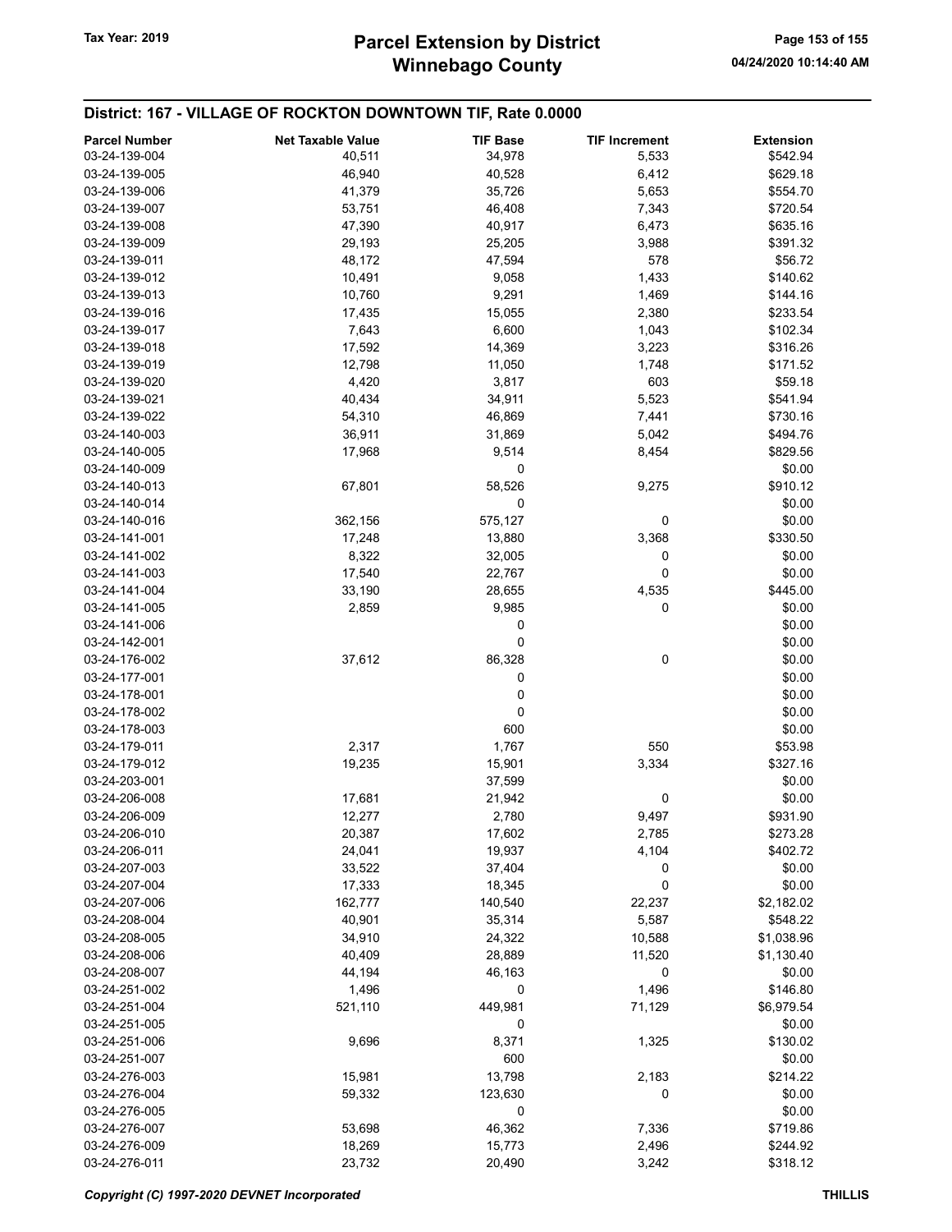# Winnebago County Tax Year: 2019 **Parcel Extension by District** Page 153 of 155

## District: 167 - VILLAGE OF ROCKTON DOWNTOWN TIF, Rate 0.0000

| <b>Parcel Number</b> | <b>Net Taxable Value</b> | <b>TIF Base</b> | <b>TIF Increment</b> | <b>Extension</b> |
|----------------------|--------------------------|-----------------|----------------------|------------------|
| 03-24-139-004        | 40,511                   | 34,978          | 5,533                | \$542.94         |
| 03-24-139-005        | 46,940                   | 40,528          | 6,412                | \$629.18         |
| 03-24-139-006        | 41,379                   | 35,726          | 5,653                | \$554.70         |
| 03-24-139-007        | 53,751                   | 46,408          | 7,343                | \$720.54         |
| 03-24-139-008        | 47,390                   | 40,917          | 6,473                | \$635.16         |
| 03-24-139-009        | 29,193                   | 25,205          | 3,988                | \$391.32         |
| 03-24-139-011        | 48,172                   | 47,594          | 578                  | \$56.72          |
| 03-24-139-012        | 10,491                   | 9,058           | 1,433                | \$140.62         |
| 03-24-139-013        | 10,760                   | 9,291           | 1,469                | \$144.16         |
| 03-24-139-016        | 17,435                   | 15,055          | 2,380                | \$233.54         |
| 03-24-139-017        | 7,643                    | 6,600           | 1,043                | \$102.34         |
| 03-24-139-018        | 17,592                   | 14,369          | 3,223                | \$316.26         |
| 03-24-139-019        | 12,798                   | 11,050          | 1,748                | \$171.52         |
| 03-24-139-020        | 4,420                    | 3,817           | 603                  | \$59.18          |
| 03-24-139-021        | 40,434                   | 34,911          | 5,523                | \$541.94         |
| 03-24-139-022        | 54,310                   | 46,869          | 7,441                | \$730.16         |
| 03-24-140-003        | 36,911                   | 31,869          | 5,042                | \$494.76         |
| 03-24-140-005        | 17,968                   | 9,514           | 8,454                | \$829.56         |
| 03-24-140-009        |                          | 0               |                      | \$0.00           |
| 03-24-140-013        | 67,801                   | 58,526          | 9,275                | \$910.12         |
| 03-24-140-014        |                          | 0               |                      | \$0.00           |
| 03-24-140-016        | 362,156                  | 575,127         | 0                    | \$0.00           |
| 03-24-141-001        | 17,248                   | 13,880          | 3,368                | \$330.50         |
| 03-24-141-002        | 8,322                    | 32,005          | 0                    | \$0.00           |
| 03-24-141-003        | 17,540                   | 22,767          | 0                    | \$0.00           |
| 03-24-141-004        | 33,190                   | 28,655          | 4,535                | \$445.00         |
| 03-24-141-005        | 2,859                    | 9,985           | 0                    | \$0.00           |
| 03-24-141-006        |                          | 0               |                      | \$0.00           |
| 03-24-142-001        |                          | 0               |                      | \$0.00           |
| 03-24-176-002        | 37,612                   | 86,328          | 0                    | \$0.00           |
| 03-24-177-001        |                          | 0               |                      | \$0.00           |
| 03-24-178-001        |                          | 0               |                      | \$0.00           |
| 03-24-178-002        |                          | 0               |                      | \$0.00           |
| 03-24-178-003        |                          | 600             |                      | \$0.00           |
| 03-24-179-011        | 2,317                    | 1,767           | 550                  | \$53.98          |
| 03-24-179-012        | 19,235                   | 15,901          | 3,334                | \$327.16         |
| 03-24-203-001        |                          | 37,599          |                      | \$0.00           |
| 03-24-206-008        | 17,681                   | 21,942          | 0                    | \$0.00           |
| 03-24-206-009        | 12,277                   | 2,780           | 9,497                | \$931.90         |
| 03-24-206-010        | 20,387                   | 17,602          | 2,785                | \$273.28         |
| 03-24-206-011        | 24,041                   | 19,937          | 4,104                | \$402.72         |
| 03-24-207-003        | 33,522                   | 37,404          | 0                    | \$0.00           |
| 03-24-207-004        | 17,333                   | 18,345          | 0                    | \$0.00           |
| 03-24-207-006        | 162,777                  | 140,540         | 22,237               | \$2,182.02       |
| 03-24-208-004        | 40,901                   | 35,314          | 5,587                | \$548.22         |
| 03-24-208-005        | 34,910                   | 24,322          | 10,588               | \$1,038.96       |
| 03-24-208-006        | 40,409                   | 28,889          | 11,520               | \$1,130.40       |
| 03-24-208-007        | 44,194                   | 46,163          | 0                    | \$0.00           |
| 03-24-251-002        | 1,496                    | 0               | 1,496                | \$146.80         |
| 03-24-251-004        | 521,110                  | 449,981         | 71,129               | \$6,979.54       |
| 03-24-251-005        |                          | 0               |                      | \$0.00           |
| 03-24-251-006        | 9,696                    | 8,371           | 1,325                | \$130.02         |
| 03-24-251-007        |                          | 600             |                      | \$0.00           |
| 03-24-276-003        | 15,981                   | 13,798          | 2,183                | \$214.22         |
| 03-24-276-004        | 59,332                   | 123,630         | 0                    | \$0.00           |
| 03-24-276-005        |                          | 0               |                      | \$0.00           |
| 03-24-276-007        | 53,698                   | 46,362          | 7,336                | \$719.86         |
| 03-24-276-009        | 18,269                   | 15,773          | 2,496                | \$244.92         |
| 03-24-276-011        | 23,732                   | 20,490          | 3,242                | \$318.12         |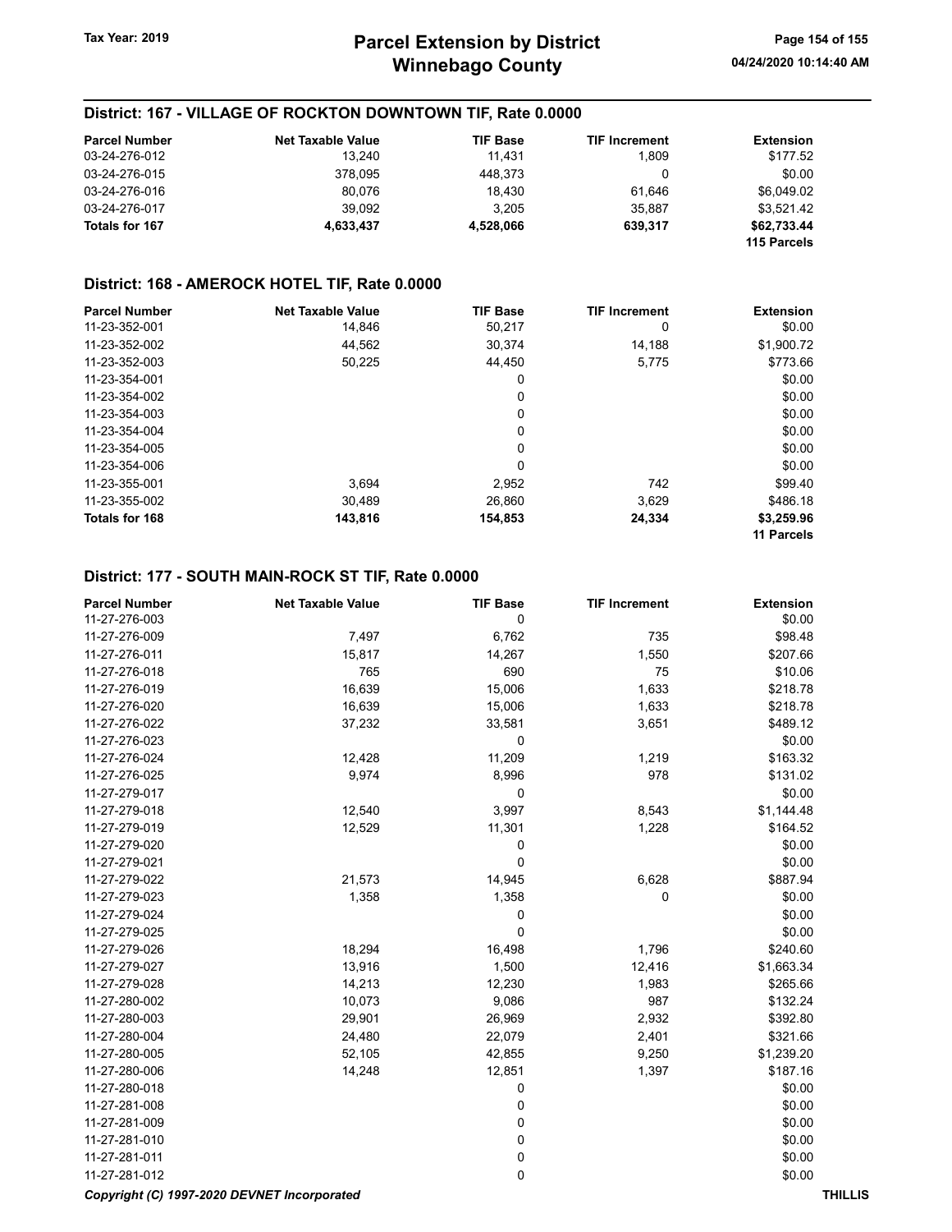## District: 167 - VILLAGE OF ROCKTON DOWNTOWN TIF, Rate 0.0000

| <b>Parcel Number</b> | <b>Net Taxable Value</b> | <b>TIF Base</b> | <b>TIF Increment</b> | <b>Extension</b> |
|----------------------|--------------------------|-----------------|----------------------|------------------|
| 03-24-276-012        | 13.240                   | 11.431          | 1.809                | \$177.52         |
| 03-24-276-015        | 378.095                  | 448.373         |                      | \$0.00           |
| 03-24-276-016        | 80.076                   | 18.430          | 61.646               | \$6.049.02       |
| 03-24-276-017        | 39.092                   | 3.205           | 35.887               | \$3.521.42       |
| Totals for 167       | 4,633,437                | 4,528,066       | 639.317              | \$62.733.44      |
|                      |                          |                 |                      | 115 Parcels      |

#### District: 168 - AMEROCK HOTEL TIF, Rate 0.0000

| <b>Parcel Number</b> | <b>Net Taxable Value</b> | <b>TIF Base</b> | <b>TIF Increment</b> | <b>Extension</b>  |
|----------------------|--------------------------|-----------------|----------------------|-------------------|
| 11-23-352-001        | 14.846                   | 50,217          | 0                    | \$0.00            |
| 11-23-352-002        | 44,562                   | 30,374          | 14,188               | \$1,900.72        |
| 11-23-352-003        | 50,225                   | 44.450          | 5,775                | \$773.66          |
| 11-23-354-001        |                          | 0               |                      | \$0.00            |
| 11-23-354-002        |                          | 0               |                      | \$0.00            |
| 11-23-354-003        |                          | 0               |                      | \$0.00            |
| 11-23-354-004        |                          | 0               |                      | \$0.00            |
| 11-23-354-005        |                          | 0               |                      | \$0.00            |
| 11-23-354-006        |                          | 0               |                      | \$0.00            |
| 11-23-355-001        | 3.694                    | 2.952           | 742                  | \$99.40           |
| 11-23-355-002        | 30.489                   | 26.860          | 3.629                | \$486.18          |
| Totals for 168       | 143,816                  | 154,853         | 24,334               | \$3,259.96        |
|                      |                          |                 |                      | <b>11 Parcels</b> |

## District: 177 - SOUTH MAIN-ROCK ST TIF, Rate 0.0000

| <b>Parcel Number</b>                        | <b>Net Taxable Value</b> | <b>TIF Base</b> | <b>TIF Increment</b> | <b>Extension</b> |  |
|---------------------------------------------|--------------------------|-----------------|----------------------|------------------|--|
| 11-27-276-003                               |                          | 0               |                      | \$0.00           |  |
| 11-27-276-009                               | 7,497                    | 6,762           | 735                  | \$98.48          |  |
| 11-27-276-011                               | 15,817                   | 14,267          | 1,550                | \$207.66         |  |
| 11-27-276-018                               | 765                      | 690             | 75                   | \$10.06          |  |
| 11-27-276-019                               | 16,639                   | 15,006          | 1,633                | \$218.78         |  |
| 11-27-276-020                               | 16,639                   | 15,006          | 1,633                | \$218.78         |  |
| 11-27-276-022                               | 37,232                   | 33,581          | 3,651                | \$489.12         |  |
| 11-27-276-023                               |                          | 0               |                      | \$0.00           |  |
| 11-27-276-024                               | 12,428                   | 11,209          | 1,219                | \$163.32         |  |
| 11-27-276-025                               | 9,974                    | 8,996           | 978                  | \$131.02         |  |
| 11-27-279-017                               |                          | 0               |                      | \$0.00           |  |
| 11-27-279-018                               | 12,540                   | 3,997           | 8,543                | \$1,144.48       |  |
| 11-27-279-019                               | 12,529                   | 11,301          | 1,228                | \$164.52         |  |
| 11-27-279-020                               |                          | 0               |                      | \$0.00           |  |
| 11-27-279-021                               |                          | 0               |                      | \$0.00           |  |
| 11-27-279-022                               | 21,573                   | 14,945          | 6,628                | \$887.94         |  |
| 11-27-279-023                               | 1,358                    | 1,358           | 0                    | \$0.00           |  |
| 11-27-279-024                               |                          | 0               |                      | \$0.00           |  |
| 11-27-279-025                               |                          | 0               |                      | \$0.00           |  |
| 11-27-279-026                               | 18,294                   | 16,498          | 1,796                | \$240.60         |  |
| 11-27-279-027                               | 13,916                   | 1,500           | 12,416               | \$1,663.34       |  |
| 11-27-279-028                               | 14,213                   | 12,230          | 1,983                | \$265.66         |  |
| 11-27-280-002                               | 10,073                   | 9,086           | 987                  | \$132.24         |  |
| 11-27-280-003                               | 29,901                   | 26,969          | 2,932                | \$392.80         |  |
| 11-27-280-004                               | 24,480                   | 22,079          | 2,401                | \$321.66         |  |
| 11-27-280-005                               | 52,105                   | 42,855          | 9,250                | \$1,239.20       |  |
| 11-27-280-006                               | 14,248                   | 12,851          | 1,397                | \$187.16         |  |
| 11-27-280-018                               |                          | 0               |                      | \$0.00           |  |
| 11-27-281-008                               |                          | 0               |                      | \$0.00           |  |
| 11-27-281-009                               |                          | 0               |                      | \$0.00           |  |
| 11-27-281-010                               |                          | 0               |                      | \$0.00           |  |
| 11-27-281-011                               |                          | 0               |                      | \$0.00           |  |
| 11-27-281-012                               |                          | 0               |                      | \$0.00           |  |
| Copyright (C) 1997-2020 DEVNET Incorporated |                          |                 |                      | <b>THILLIS</b>   |  |